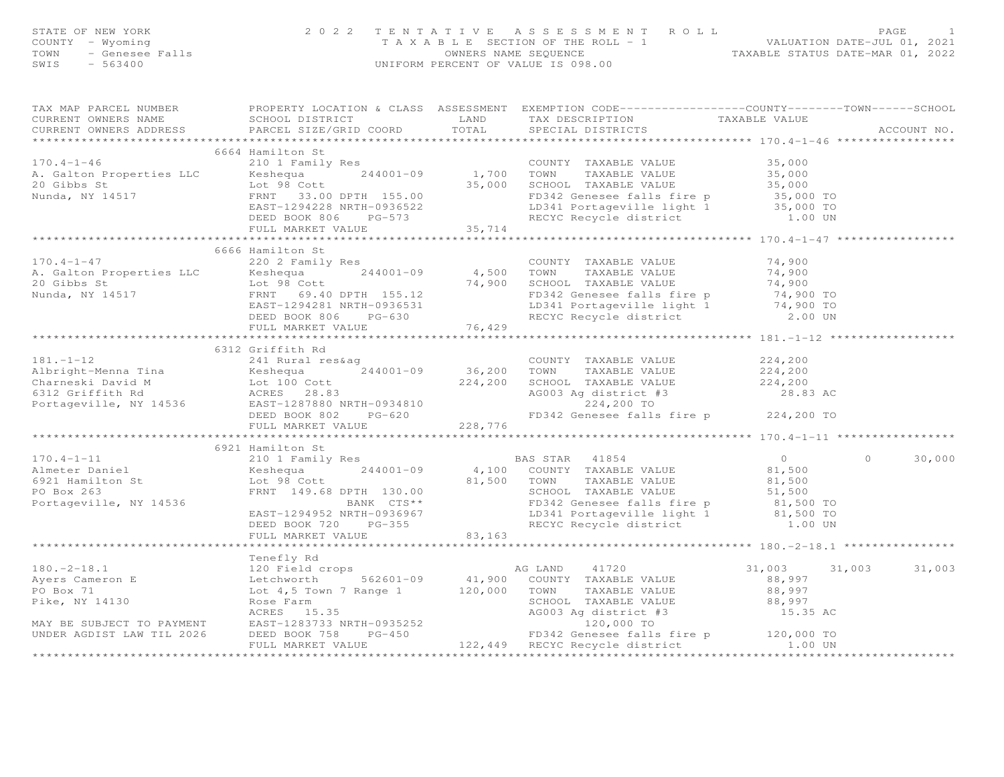|                | STATE OF NEW YORK<br>COUNTY - Wyoming<br>TAXABLE SE<br>TOWN - Genesee Falls<br>SWIS - 563400<br>SWIS - 563400                                                                                                                                                                                                                                                                                                                                                                                            | TENTATIVE ASSESSMENT ROLL PAGE 1<br>TAXABLE SECTION OF THE ROLL - 1 VALUATION DATE-JUL 01, 2021<br>OWNERS NAME SEQUENCE TAXABLE STATUS DATE-MAR 01, 2022<br>UNIFORM PERCENT OF VALUE IS 098.00 |                |                   |
|----------------|----------------------------------------------------------------------------------------------------------------------------------------------------------------------------------------------------------------------------------------------------------------------------------------------------------------------------------------------------------------------------------------------------------------------------------------------------------------------------------------------------------|------------------------------------------------------------------------------------------------------------------------------------------------------------------------------------------------|----------------|-------------------|
|                | TAX MAP PARCEL NUMBER FROPERTY LOCATION & CLASS ASSESSMENT EXEMPTION CODE-----------------COUNTY-------TOWN------SCHOOL<br>CURRENT OWNERS NAME<br>CONTRABLE VALUE<br>CURRENT OWNERS ADDRESS PARCEL SIZE/GRID COORD TOTAL SPECIAL DISTRICTS                                                                                                                                                                                                                                                               |                                                                                                                                                                                                |                | ACCOUNT NO.       |
|                | 6664 Hamilton St<br>170.4-1-46<br>A. Galton Properties LLC 210 1 Family Res<br>20 Gibbs St Lot 98 Cott<br>Nunda, NY 14517 ERNT 33,000<br>ERNT 1294228 NRTH-0936522 LD 35,000<br>DEED BOOK 806 PG-573 35,714<br>TRARBLE VALUE 35,000<br>20 Gibbs St 35,000 TOWN                                                                                                                                                                                                                                           |                                                                                                                                                                                                |                |                   |
|                | 6666 Hamilton St<br>170.4-1-47<br>A. Galton Properties LLC 20 2 Family Res<br>20 2 Family Res<br>20 4,500 TOWN TAXABLE VALUE 74,900<br>20 Gibbs St Lot 98 Cott<br>Nunda, NY 14517 FRAST-1294281 NRTH-0936531 EDB41 Portageville light 1<br>DEED BOOK 806 PG-6                                                                                                                                                                                                                                            |                                                                                                                                                                                                |                |                   |
| $181. -1 - 12$ | 6312 Griffith Rd<br>181.-1-12<br>Albright-Menna Tina 241 Rural res&ag<br>CoUNTY TAXABLE VALUE 224,200<br>Charneski David M Lot 100 Cott 224,200<br>Charneski David M Lot 100 Cott 224,200<br>ESD BOOK 802 PG-620 228,776<br>FD342 Genesee falls fire p 224,20                                                                                                                                                                                                                                            |                                                                                                                                                                                                |                |                   |
|                | 6921 Hamilton St<br>170.4-1-11 $\footnotesize\begin{array}{l} 6921\text{ Hamilton St} \\\hline 210\text{ A} = 11\text{ unit} \\\hline 6921\text{ Hamilton St} \\\hline 6921\text{ Hamilton St} \\\hline 6921\text{ Hamilton St} \\\hline 6921\text{ Hamilton St} \\\hline 6921\text{ Hamilton St} \\\hline 6921\text{ Hamilton St} \\\hline 6921\text{ Hamilton St} \\\hline 6921\text{ Hamilton St} \\\hline 6921\text{ Hamilton St} \\\hline 6921\text{ Hamilton St} \\\hline 6921\text{ Hamilton St}$ |                                                                                                                                                                                                | $\overline{0}$ | $\circ$<br>30,000 |
|                | 180.-2-18.1<br>180.-2-18.1<br>180.-2-18.1<br>180.-2-18.1<br>180.-2-18.1<br>180.-2-18.1<br>180.-2-18.1<br>180.-2-18.1<br>180.-2-18.1<br>180.-2-18.1<br>180.-2-18.1<br>180.-2-18.1<br>180.-2-18.1<br>180.-2-18.1<br>180.-2-18.1<br>180.-2-18.1                                                                                                                                                                                                                                                             |                                                                                                                                                                                                |                | 31,003            |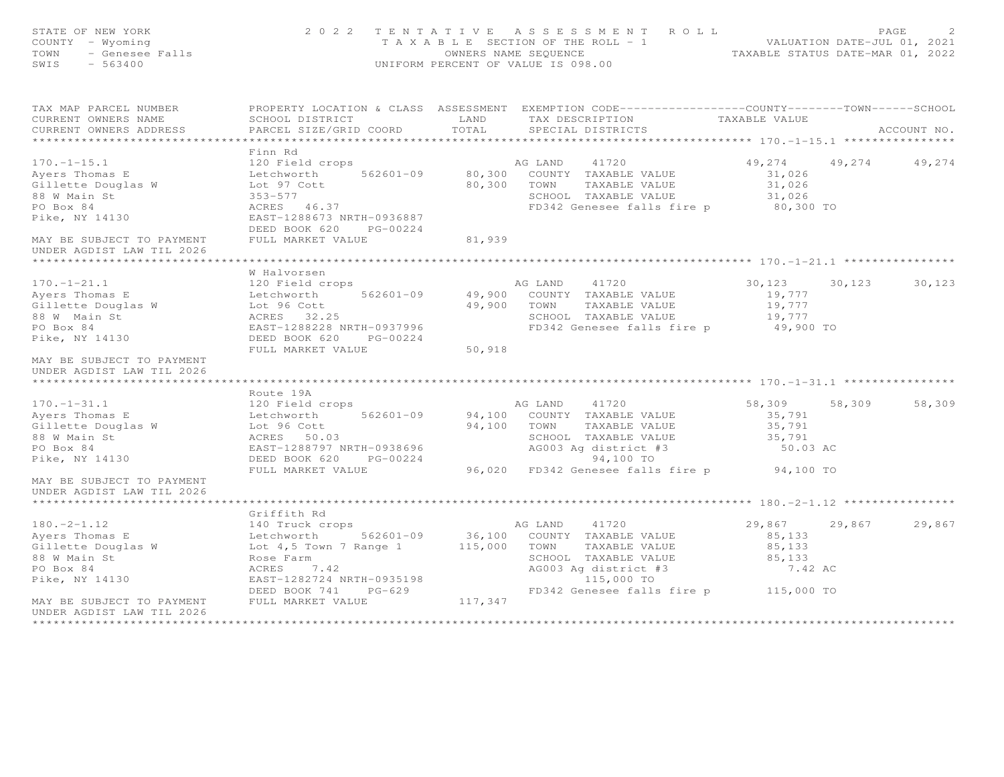| STATE OF NEW YORK<br>OF NEW YORK<br>Y - Wyoming<br>- Genesee Falls<br>- 563400<br>COUNTY - Wyoming<br>TOWN<br>SWIS                                                |                                                                                                                                                   | 2022 TENTATIVE ASSESSMENT ROLL<br>T A X A B L E SECTION OF THE ROLL - 1 VALUATION DATE-JUL 01, 2021<br>OWNERS NAME SEQUENCE TAXABLE STATUS DATE-MAR 01, 2022<br>UNIFORM PERCENT OF VALUE IS 098.00                                                                         | PAGE                                                          | 2           |
|-------------------------------------------------------------------------------------------------------------------------------------------------------------------|---------------------------------------------------------------------------------------------------------------------------------------------------|----------------------------------------------------------------------------------------------------------------------------------------------------------------------------------------------------------------------------------------------------------------------------|---------------------------------------------------------------|-------------|
| TAX MAP PARCEL NUMBER<br>CURRENT OWNERS NAME<br>CURRENT OWNERS ADDRESS                                                                                            | SCHOOL DISTRICT LAND<br>PARCEL SIZE/GRID COORD                                                                                                    | PROPERTY LOCATION & CLASS ASSESSMENT EXEMPTION CODE----------------COUNTY-------TOWN------SCHOOL<br>TAX DESCRIPTION<br>TOTAL<br>SPECIAL DISTRICTS                                                                                                                          | TAXABLE VALUE                                                 | ACCOUNT NO. |
|                                                                                                                                                                   |                                                                                                                                                   |                                                                                                                                                                                                                                                                            |                                                               |             |
| $170. - 1 - 15.1$<br>Ayers Thomas E<br>Gillette Douglas W<br>88 W Main St<br>PO Box 84<br>Pike, NY 14130                                                          | Finn Rd<br>Lot 97 Cott<br>$353 - 577$<br>ACRES 46.37<br>EAST-1288673 NRTH-0936887<br>DEED BOOK 620 PG-00224                                       | 120 Field crops<br>120 Field crops<br>Letchworth 562601-09 80,300 COUNTY TAXABLE VALUE<br>Lot 97 Cott 80,300 TOWN TAXABLE VALUE<br>SCHOOL TAXABLE VALUE<br>FD342 Genesee falls fire p 80,300 TO                                                                            | 49,274<br>49,274<br>31,026<br>31,026<br>31,026                | 49,274      |
| MAY BE SUBJECT TO PAYMENT FULL MARKET VALUE<br>UNDER AGDIST LAW TIL 2026                                                                                          |                                                                                                                                                   | 81,939                                                                                                                                                                                                                                                                     |                                                               |             |
|                                                                                                                                                                   |                                                                                                                                                   |                                                                                                                                                                                                                                                                            |                                                               |             |
| $170. - 1 - 21.1$<br>PO Box 84<br>Pike, NY 14130                                                                                                                  | W Halvorsen<br>120 Field crops<br>EAST-1288228 NRTH-0937996<br>DEED BOOK 620 PG-00224                                                             | AG LAND 41720<br>TAXABLE VALUE<br>SCHOOL TAXABLE VALUE<br>FD342 Genesee falls fire p 49,900 TO                                                                                                                                                                             | 30,123 30,123<br>19,777<br>19,777<br>19,777                   | 30,123      |
| MAY BE SUBJECT TO PAYMENT<br>UNDER AGDIST LAW TIL 2026                                                                                                            | FULL MARKET VALUE                                                                                                                                 | 50,918                                                                                                                                                                                                                                                                     |                                                               |             |
|                                                                                                                                                                   | Route 19A                                                                                                                                         |                                                                                                                                                                                                                                                                            |                                                               |             |
| $170. - 1 - 31.1$<br>Ayers Thomas E<br>Gillette Douglas W<br>88 W Main St<br>PO Box 84<br>Pike, NY 14130                                                          | 120 Field crops<br>Letchworth 562601-09<br>Lot 96 Cott<br>ACRES 50.03<br>EAST-1288797 NRTH-0938696<br>DEED BOOK 620 PG-00224<br>FULL MARKET VALUE | AG LAND 41720<br>94,100 COUNTY TAXABLE VALUE<br>94,100 TOWN TAXABLE VALUE<br>SCHOOL TAXABLE VALUE<br>AG003 Ag district #3<br>94,100 TO<br>96,020 FD342 Genesee falls fire p 94,100 TO                                                                                      | 58,309 58,309<br>35,791<br>35,791<br>35,791<br>50.03 AC       | 58,309      |
| MAY BE SUBJECT TO PAYMENT<br>UNDER AGDIST LAW TIL 2026                                                                                                            |                                                                                                                                                   |                                                                                                                                                                                                                                                                            |                                                               |             |
|                                                                                                                                                                   | Griffith Rd                                                                                                                                       |                                                                                                                                                                                                                                                                            |                                                               |             |
| $180. -2 - 1.12$<br>Ayers Thomas E<br>Gillette Douglas W<br>88 W Main St<br>PO Box 84<br>Pike, NY 14130<br>MAY BE SUBJECT TO PAYMENT<br>UNDER AGDIST LAW TIL 2026 | 140 Truck crops<br>ACRES<br>7.42<br>EAST-1282724 NRTH-0935198<br>DEED BOOK 741<br>$PG-629$<br>FULL MARKET VALUE                                   | AG LAND 41720<br>Letchworth 562601-09 36,100 COUNTY TAXABLE VALUE<br>Lot 4,5 Town 7 Range 1 115,000 TOWN TAXABLE VALUE<br>Rose Farm SCHOOL TAXABLE VALUE<br>SCHOOL TAXABLE VALUE<br>AG003 Ag district #3<br>115,000 TO<br>FD342 Genesee falls fire p 115,000 TO<br>117,347 | 29,867 29,867 29,867<br>85,133<br>85,133<br>85,133<br>7.42 AC |             |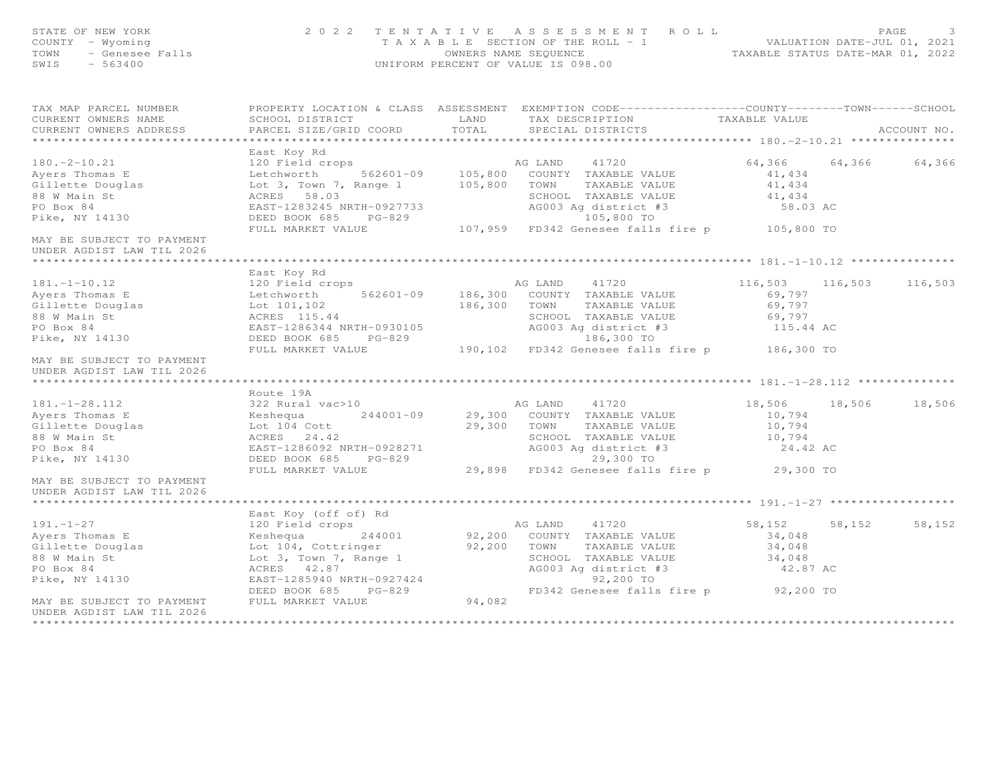| STATE OF NEW YORK<br>OF NEW YORK<br>Y - Wyoming<br>- Genesee Falls<br>- Common<br>COUNTY - Wyoming<br>TOWN<br>SWIS                                |                                                                                                                                                                                                                   |        | 2022 TENTATIVE ASSESSMENT ROLL<br>T A X A B L E SECTION OF THE ROLL - 1<br>OWNERS NAME SEQUENCE TAXABLE STATUS DATE-MAR 01, 2022<br>UNIFORM PERCENT OF VALUE IS 098.00                |                                                                |        | PAGE<br>3   |
|---------------------------------------------------------------------------------------------------------------------------------------------------|-------------------------------------------------------------------------------------------------------------------------------------------------------------------------------------------------------------------|--------|---------------------------------------------------------------------------------------------------------------------------------------------------------------------------------------|----------------------------------------------------------------|--------|-------------|
| TAX MAP PARCEL NUMBER<br>CURRENT OWNERS NAME                                                                                                      | SCHOOL DISTRICT LAND                                                                                                                                                                                              |        | PROPERTY LOCATION & CLASS ASSESSMENT EXEMPTION CODE----------------COUNTY-------TOWN-----SCHOOL<br>TAX DESCRIPTION TAXABLE VALUE                                                      |                                                                |        |             |
| CURRENT OWNERS ADDRESS                                                                                                                            | PARCEL SIZE/GRID COORD                                                                                                                                                                                            | TOTAL  | SPECIAL DISTRICTS                                                                                                                                                                     |                                                                |        | ACCOUNT NO. |
| $180. -2 - 10.21$<br>Ayers Thomas E<br>Gillette Douglas<br>88 W Main St<br>PO Box 84                                                              | East Koy Rd<br>120 Field crops<br>Letchworth 562601-09 105,800 COUNTY TAXABLE VALUE<br>Lot 3, Town 7, Range 1 105,800 TOWN TAXABLE VALUE<br>ACRES 58.03<br>EAST-1283245 NRTH-0927733                              |        | SCHOOL TAXABLE VALUE                                                                                                                                                                  | 64,366 64,366<br>41,434<br>41,434<br>41,434<br>58.03 AC        |        | 64,366      |
| Pike, NY 14130                                                                                                                                    |                                                                                                                                                                                                                   |        | AG003 Ag district #3<br>105,800 TO                                                                                                                                                    |                                                                |        |             |
| MAY BE SUBJECT TO PAYMENT<br>UNDER AGDIST LAW TIL 2026                                                                                            |                                                                                                                                                                                                                   |        | EAST-1283245 NRTH-0927733<br>DEED BOOK 685 PG-829 107,959 FD342 Genesee falls fire p 105,800 TO<br>FULL MARKET VALUE 107,959 FD342 Genesee falls fire p 105,800 TO                    |                                                                |        |             |
|                                                                                                                                                   | East Koy Rd                                                                                                                                                                                                       |        |                                                                                                                                                                                       |                                                                |        |             |
| $181. - 1 - 10.12$<br>Ayers Thomas E<br>Gillette Douglas<br>Lot 101,102<br>88 W Main St                                                           | 120 Field crops<br>Letchworth<br>ACRES 115.44                                                                                                                                                                     |        | AG LAND 41720<br>562601-09 186,300 COUNTY TAXABLE VALUE<br>186,300 TOWN TAXABLE VALUE                                                                                                 | 116,503 116,503 116,503<br>69,797<br>69,797<br>69,797          |        |             |
| PO Box 84<br>Pike, NY 14130                                                                                                                       | EAST-1286344 NRTH-0930105                                                                                                                                                                                         |        | SCHOOL TAXABLE VALUE<br>AG003 Ag district #3                                                                                                                                          | 115.44 AC                                                      |        |             |
| MAY BE SUBJECT TO PAYMENT<br>UNDER AGDIST LAW TIL 2026                                                                                            |                                                                                                                                                                                                                   |        | DEED BOOK 685 PG-829 190,102 FD342 Genesee falls fire p 186,300 TO<br>FULL MARKET VALUE 190,102 FD342 Genesee falls fire p 186,300 TO                                                 |                                                                |        |             |
|                                                                                                                                                   | Route 19A                                                                                                                                                                                                         |        |                                                                                                                                                                                       |                                                                |        |             |
| $181. - 1 - 28.112$<br>Ayers Thomas E<br>Gillette Douglas<br>88 W Main St<br>PO Box 84<br>Pike, NY 14130                                          | 322 Rural vac>10<br>Keshequa 244001-09 29,300 COUNTY TAXABLE VALUE<br>Lot 104 Cott 29,300 TOWN TAXABLE VALUE<br>ACRES 24.42<br>EAST-1286092 NRTH-0928271<br>DEED BOOK 685 PG-829<br>FULL MARKET VALUE             |        | SCHOOL TAXABLE VALUE<br>AG003 Ag district #3<br>AG003 Ag<br>29,300 TO<br>29,898 FD342 Genesee falls fire p 29,300 TO                                                                  | 18,506 18,506 18,506<br>10,794<br>10,794<br>10,794<br>24.42 AC |        |             |
| MAY BE SUBJECT TO PAYMENT<br>UNDER AGDIST LAW TIL 2026                                                                                            |                                                                                                                                                                                                                   |        |                                                                                                                                                                                       |                                                                |        |             |
|                                                                                                                                                   | East Koy (off of) Rd                                                                                                                                                                                              |        |                                                                                                                                                                                       |                                                                |        |             |
| $191. - 1 - 27$<br>Ayers Thomas E<br>Gillette Douglas<br>88 W Main St<br>88 W Main St<br>PO Box 84<br>Pike, NY 14130<br>MAY BE SUBJECT TO PAYMENT | 120 Field crops<br>External compositions of the Meshequa<br>Lot 104, Cottringer<br>Lot 3, Town 7, Range 1<br>ACRES 42.87<br>ACRES 42.87<br>EAST-1285940 NRTH-0927424<br>DEED BOOK 685 PG-829<br>FULL MARKET VALUE | 94,082 | AG LAND 41720<br>244001 92,200 COUNTY TAXABLE VALUE<br>92,200 TOWN TAXABLE VALUE<br>SCHOOL TAXABLE VALUE<br>AG003 Ag district #3<br>92,200 TO<br>FD342 Genesee falls fire p 92,200 TO | 58,152<br>34,048<br>34,048<br>34,048<br>42.87 AC               | 58,152 | 58,152      |
| UNDER AGDIST LAW TIL 2026                                                                                                                         |                                                                                                                                                                                                                   |        |                                                                                                                                                                                       |                                                                |        |             |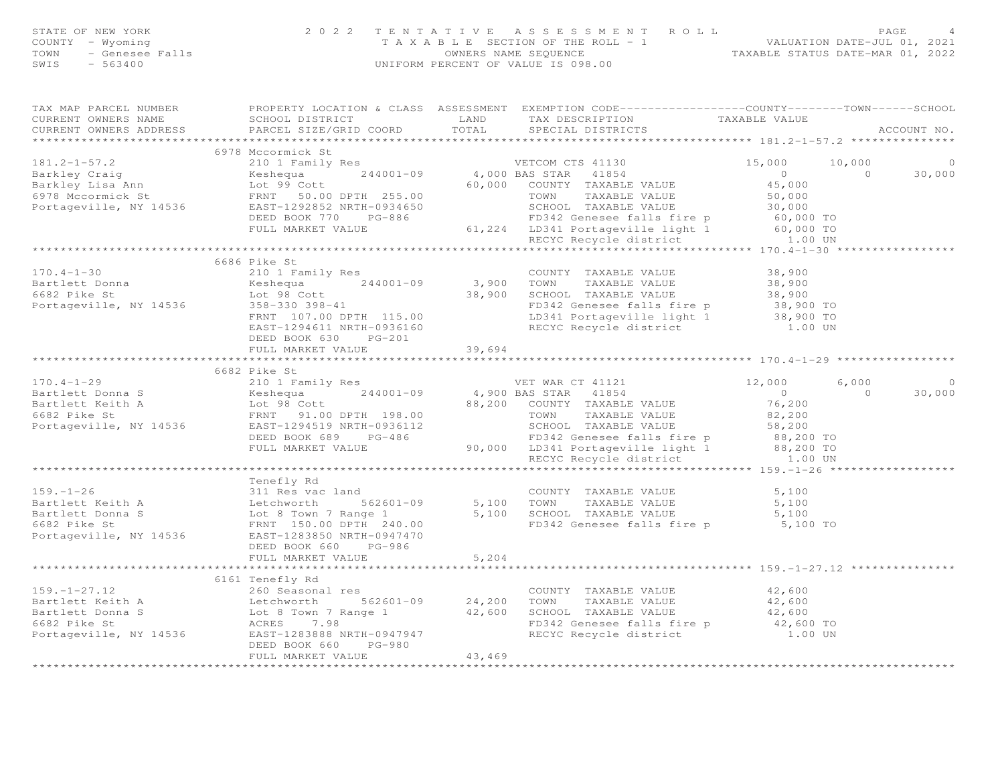| FAGE 4<br>COUNTY - Wyoming and the section of the ROLL - 1<br>TAXABLE SECTION OF THE ROLL - 1<br>TOWN - Genesee Falls COUNTY - Sensee Falls COUNTY - Cenesee Falls<br>SWIS - 563400<br>SWIS - 563400                                                                                                                                                                                                                                                                |        |                                                  |                |             |
|---------------------------------------------------------------------------------------------------------------------------------------------------------------------------------------------------------------------------------------------------------------------------------------------------------------------------------------------------------------------------------------------------------------------------------------------------------------------|--------|--------------------------------------------------|----------------|-------------|
| TAX MAP PARCEL NUMBER FOROPERTY LOCATION & CLASS ASSESSMENT EXEMPTION CODE----------------COUNTY-------TOWN-----SCHOOL<br>CURRENT OWNERS NAME SCHOOL DISTRICT TAND TAX DESCRIPTION TAXABLE VALUE<br>CURRENT OWNERS ADDRESS PARCEL SIZE/GRID COORD TOTAL SPECIAL DISTRICTS                                                                                                                                                                                           |        |                                                  |                | ACCOUNT NO. |
|                                                                                                                                                                                                                                                                                                                                                                                                                                                                     |        |                                                  |                |             |
| 6978 Mccormick St                                                                                                                                                                                                                                                                                                                                                                                                                                                   |        |                                                  |                | $\circ$     |
|                                                                                                                                                                                                                                                                                                                                                                                                                                                                     |        |                                                  |                | 30,000      |
|                                                                                                                                                                                                                                                                                                                                                                                                                                                                     |        |                                                  |                |             |
|                                                                                                                                                                                                                                                                                                                                                                                                                                                                     |        |                                                  |                |             |
|                                                                                                                                                                                                                                                                                                                                                                                                                                                                     |        |                                                  |                |             |
|                                                                                                                                                                                                                                                                                                                                                                                                                                                                     |        |                                                  |                |             |
|                                                                                                                                                                                                                                                                                                                                                                                                                                                                     |        |                                                  |                |             |
|                                                                                                                                                                                                                                                                                                                                                                                                                                                                     |        |                                                  |                |             |
|                                                                                                                                                                                                                                                                                                                                                                                                                                                                     |        |                                                  |                |             |
| 6686 Pike St                                                                                                                                                                                                                                                                                                                                                                                                                                                        |        |                                                  |                |             |
|                                                                                                                                                                                                                                                                                                                                                                                                                                                                     |        |                                                  |                |             |
|                                                                                                                                                                                                                                                                                                                                                                                                                                                                     |        |                                                  |                |             |
|                                                                                                                                                                                                                                                                                                                                                                                                                                                                     |        |                                                  |                |             |
|                                                                                                                                                                                                                                                                                                                                                                                                                                                                     |        |                                                  |                |             |
| $\begin{array}{cccccc} \text{170.4--1-30} & \text{6686 Pike St} & \text{210 1 } & \text{Family Res} & \text{COUNTY} & \text{TXABLE VALUE} & \text{38,900} \\ \text{Bartlett Donna} & \text{Reshequ} & \text{244001--09} & \text{3,900} & \text{TOWN} & \text{TXABLE VALUE} & \text{38,900} \\ \text{6682 Pike St} & \text{tot 98 Cott} & \text{358--330 398--41} & \text{FRNT 107.00 DFH 115.00} & \text{FDS42$<br>DEED BOOK 630 PG-201<br>FULL MARKET VALUE 39,694 |        |                                                  |                |             |
|                                                                                                                                                                                                                                                                                                                                                                                                                                                                     |        |                                                  |                |             |
| 6682 Pike St                                                                                                                                                                                                                                                                                                                                                                                                                                                        |        |                                                  |                |             |
|                                                                                                                                                                                                                                                                                                                                                                                                                                                                     |        |                                                  |                | $\circ$     |
|                                                                                                                                                                                                                                                                                                                                                                                                                                                                     |        |                                                  | $\overline{0}$ | 30,000      |
|                                                                                                                                                                                                                                                                                                                                                                                                                                                                     |        |                                                  |                |             |
|                                                                                                                                                                                                                                                                                                                                                                                                                                                                     |        |                                                  |                |             |
|                                                                                                                                                                                                                                                                                                                                                                                                                                                                     |        |                                                  |                |             |
|                                                                                                                                                                                                                                                                                                                                                                                                                                                                     |        |                                                  |                |             |
|                                                                                                                                                                                                                                                                                                                                                                                                                                                                     |        |                                                  |                |             |
|                                                                                                                                                                                                                                                                                                                                                                                                                                                                     |        |                                                  |                |             |
| $\begin{tabular}{lllllllllllllllllll} \multicolumn{3}{l}{{\small\verb \Pro=1-26 } \multicolumn{3}{l}{{\small\verb \Pro=1-26 } \multicolumn{3}{l}{{\small\verb \Pro=1-26 } \multicolumn{3}{l}{{\small\verb \Pro=1-26 } \multicolumn{3}{l}{{\small\verb \Pro=1-26 } \multicolumn{3}{l}{{\small\verb \Pro=1-26 } \multicolumn{3}{l}{{\small\verb \Pro=1-26 } \multicolumn{3}{l}{{\small\verb \Pro=1-26 } \multicolumn{3}{l}{{\$                                        |        |                                                  |                |             |
|                                                                                                                                                                                                                                                                                                                                                                                                                                                                     |        |                                                  |                |             |
|                                                                                                                                                                                                                                                                                                                                                                                                                                                                     |        |                                                  |                |             |
|                                                                                                                                                                                                                                                                                                                                                                                                                                                                     |        |                                                  |                |             |
|                                                                                                                                                                                                                                                                                                                                                                                                                                                                     |        |                                                  |                |             |
|                                                                                                                                                                                                                                                                                                                                                                                                                                                                     |        |                                                  |                |             |
| DEED BOOK 660 PG-986                                                                                                                                                                                                                                                                                                                                                                                                                                                |        |                                                  |                |             |
| FULL MARKET VALUE 5,204                                                                                                                                                                                                                                                                                                                                                                                                                                             |        |                                                  |                |             |
|                                                                                                                                                                                                                                                                                                                                                                                                                                                                     |        | *********************************** 159.-1-27.12 |                |             |
|                                                                                                                                                                                                                                                                                                                                                                                                                                                                     |        |                                                  |                |             |
|                                                                                                                                                                                                                                                                                                                                                                                                                                                                     |        |                                                  |                |             |
|                                                                                                                                                                                                                                                                                                                                                                                                                                                                     |        |                                                  |                |             |
|                                                                                                                                                                                                                                                                                                                                                                                                                                                                     |        |                                                  |                |             |
|                                                                                                                                                                                                                                                                                                                                                                                                                                                                     |        |                                                  |                |             |
| DEED BOOK 660 PG-980                                                                                                                                                                                                                                                                                                                                                                                                                                                |        |                                                  |                |             |
| FULL MARKET VALUE                                                                                                                                                                                                                                                                                                                                                                                                                                                   | 43,469 |                                                  |                |             |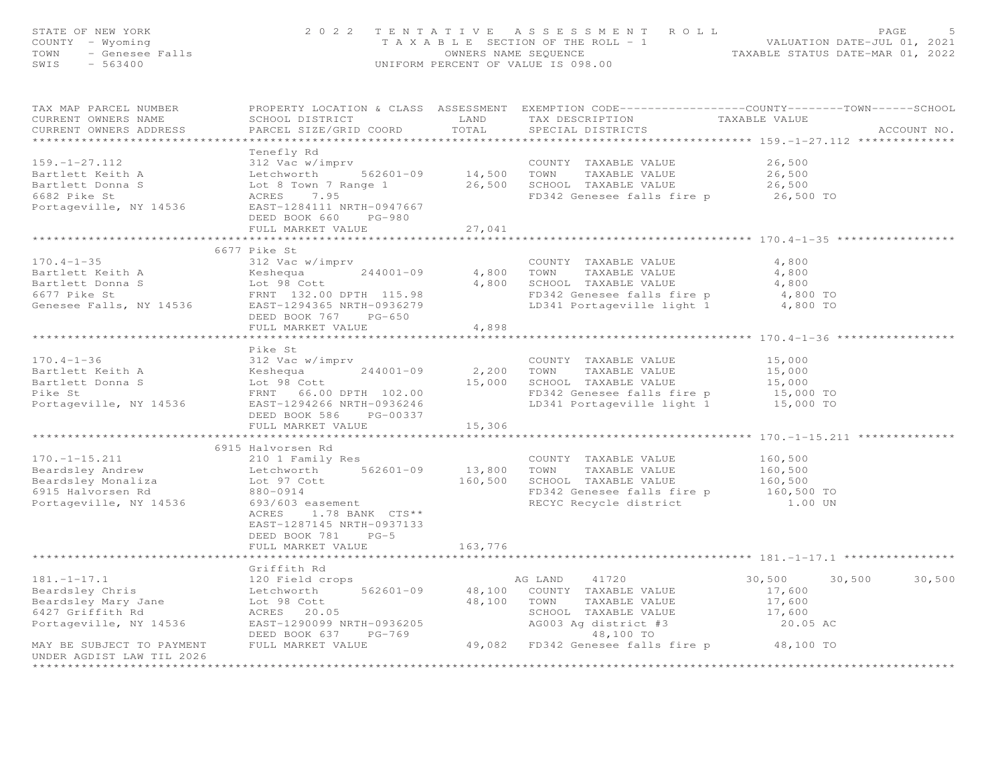| STATE OF NEW YORK<br>COUNTY - Wyoming<br>TOWN<br>- Genesee Falls<br>SWIS<br>$-563400$                                                  |                                                                                                                                                                                                                             |                        | 2022 TENTATIVE ASSESSMENT ROLL<br>TAXABLE SECTION OF THE ROLL - 1<br>OWNERS NAME SEQUENCE<br>UNIFORM PERCENT OF VALUE IS 098.00                                              | VALUATION DATE-JUL 01, 2021<br>TAXABLE STATUS DATE-MAR 01, 2022 | PAGE        |
|----------------------------------------------------------------------------------------------------------------------------------------|-----------------------------------------------------------------------------------------------------------------------------------------------------------------------------------------------------------------------------|------------------------|------------------------------------------------------------------------------------------------------------------------------------------------------------------------------|-----------------------------------------------------------------|-------------|
| TAX MAP PARCEL NUMBER<br>CURRENT OWNERS NAME<br>CURRENT OWNERS ADDRESS<br>*************************                                    | SCHOOL DISTRICT<br>PARCEL SIZE/GRID COORD                                                                                                                                                                                   | LAND<br>TOTAL          | PROPERTY LOCATION & CLASS ASSESSMENT EXEMPTION CODE----------------COUNTY-------TOWN------SCHOOL<br>TAX DESCRIPTION<br>SPECIAL DISTRICTS                                     | TAXABLE VALUE                                                   | ACCOUNT NO. |
| $159. - 1 - 27.112$<br>Bartlett Keith A<br>Bartlett Donna S<br>6682 Pike St<br>Portageville, NY 14536                                  | Tenefly Rd<br>312 Vac w/imprv<br>Letchworth 562601-09<br>Lot 8 Town 7 Range 1<br>ACRES 7.95<br>EAST-1284111 NRTH-0947667<br>DEED BOOK 660 PG-980<br>FULL MARKET VALUE                                                       | 14,500 TOWN<br>27,041  | COUNTY TAXABLE VALUE<br>TAXABLE VALUE<br>26,500 SCHOOL TAXABLE VALUE<br>FD342 Genesee falls fire p                                                                           | 26,500<br>26,500<br>26,500<br>26,500 TO                         |             |
|                                                                                                                                        |                                                                                                                                                                                                                             |                        |                                                                                                                                                                              |                                                                 |             |
| $170.4 - 1 - 35$<br>Bartlett Keith A<br>Bartlett Donna S<br>6677 Pike St<br>Genesee Falls, NY 14536                                    | 6677 Pike St<br>312 Vac w/imprv<br>$244001 - 09$<br>Keshequa<br>Lot 98 Cott<br>FRNT 132.00 DPTH 115.98<br>EAST-1294365 NRTH-0936279<br>DEED BOOK 767 PG-650<br>FULL MARKET VALUE                                            | 4,800 TOWN<br>4,898    | COUNTY TAXABLE VALUE<br>TAXABLE VALUE<br>4,800 SCHOOL TAXABLE VALUE<br>FD342 Genesee falls fire p<br>LD341 Portageville light 1                                              | 4,800<br>4,800<br>4,800<br>4,800 TO<br>4,800 TO                 |             |
|                                                                                                                                        |                                                                                                                                                                                                                             |                        |                                                                                                                                                                              |                                                                 |             |
| $170.4 - 1 - 36$<br>Bartlett Keith A<br>Bartlett Donna S<br>Pike St                                                                    | Pike St<br>312 Vac w/imprv<br>312 Vac w/in<br>Keshequa<br>Lot 98 Cott<br>FRNT<br>$244001 - 09$<br>FRNT 66.00 DPTH 102.00<br>Portageville, NY 14536 EAST-1294266 NRTH-0936246<br>DEED BOOK 586 PG-00337<br>FULL MARKET VALUE | 2,200<br>15,306        | COUNTY TAXABLE VALUE<br>TAXABLE VALUE<br>TOWN<br>15,000 SCHOOL TAXABLE VALUE<br>FD342 Genesee falls fire p<br>LD341 Portageville light 1 15,000 TO                           | 15,000<br>15,000<br>15,000<br>15,000 TO                         |             |
|                                                                                                                                        |                                                                                                                                                                                                                             |                        |                                                                                                                                                                              |                                                                 |             |
| $170. - 1 - 15.211$<br>Beardsley Andrew<br>Beardsley Monaliza<br>6915 Halvorsen Rd<br>Portageville, NY 14536                           | 6915 Halvorsen Rd<br>210 1 Family Res<br>Letchworth 562601-09<br>Lot 97 Cott<br>880-0914<br>693/603 easement<br>ACRES 1.78 BANK CTS**<br>EAST-1287145 NRTH-0937133<br>DEED BOOK 781 PG-5<br>FULL MARKET VALUE               | 13,800 TOWN<br>163,776 | COUNTY TAXABLE VALUE<br>TAXABLE VALUE<br>160,500 SCHOOL TAXABLE VALUE 160,500<br>FD342 Genesee falls fire p 160,500 TO<br>RECYC Recycle district                             | 160,500<br>160,500<br>1.00 UN                                   |             |
|                                                                                                                                        | ********************                                                                                                                                                                                                        |                        |                                                                                                                                                                              |                                                                 |             |
| $181. - 1 - 17.1$<br>Beardsley Chris<br>Beardsley Mary Jane<br>6427 Griffith Rd<br>Portageville, NY 14536<br>MAY BE SUBJECT TO PAYMENT | Griffith Rd<br>120 Field crops<br>Letchworth<br>562601-09<br>Lot 98 Cott<br>ACRES 20.05<br>EAST-1290099 NRTH-0936205<br>DEED BOOK 637 PG-769<br>FULL MARKET VALUE                                                           | 48,100 TOWN            | AG LAND<br>41720<br>48,100 COUNTY TAXABLE VALUE<br>TAXABLE VALUE<br>SCHOOL TAXABLE VALUE<br>AG003 Ag district #3<br>48,100 TO<br>49,082 FD342 Genesee falls fire p 48,100 TO | 30,500<br>30,500<br>17,600<br>17,600<br>17,600<br>20.05 AC      | 30,500      |
| UNDER AGDIST LAW TIL 2026                                                                                                              |                                                                                                                                                                                                                             |                        |                                                                                                                                                                              |                                                                 |             |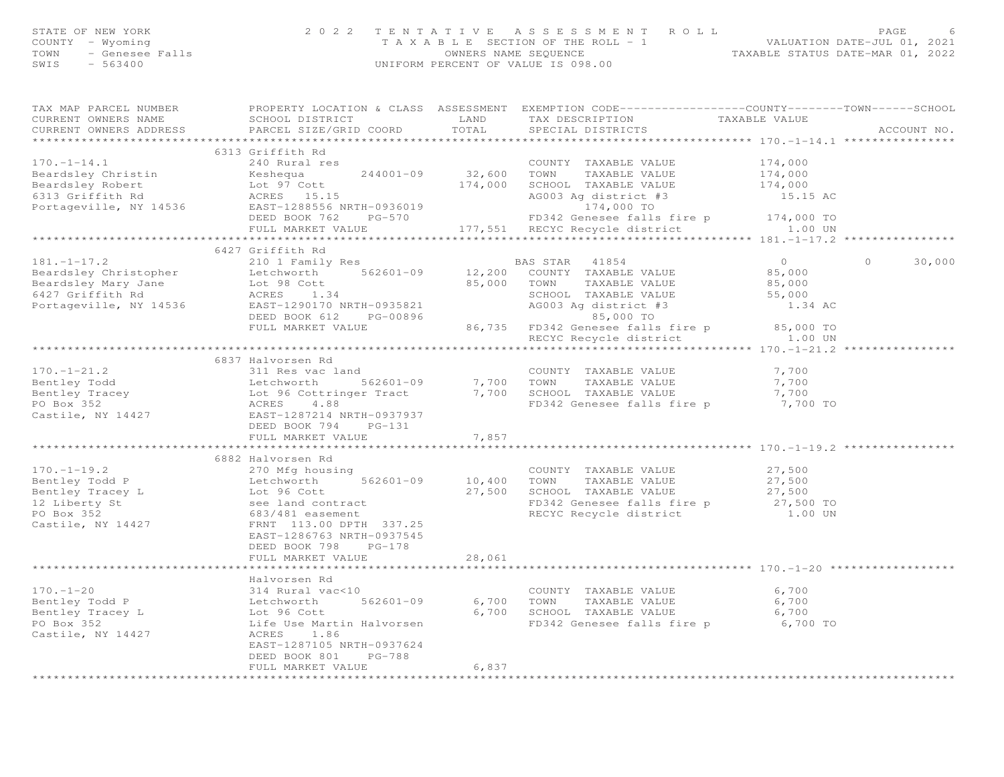| STATE OF NEW YORK<br>COUNTY - Wyoming<br>TOWN<br>SWIS<br>$-563400$     | F NEW YORK PAGE 2022 TENTATIVE ASSESSMENT ROLL PAGE 6<br>- Wyoming 7 A X A B L E SECTION OF THE ROLL - 1 VALUATION DATE-JUL 01, 2021<br>- Genesee Falls 6 (WNERS NAME SEQUENCE TAXABLE STATUS DATE-MAR 01, 2022<br>- 563400 (INTFORM PE                                             |        | UNIFORM PERCENT OF VALUE IS 098.00                                                                                                                                 |                                                                 |             |
|------------------------------------------------------------------------|-------------------------------------------------------------------------------------------------------------------------------------------------------------------------------------------------------------------------------------------------------------------------------------|--------|--------------------------------------------------------------------------------------------------------------------------------------------------------------------|-----------------------------------------------------------------|-------------|
| TAX MAP PARCEL NUMBER<br>CURRENT OWNERS NAME<br>CURRENT OWNERS ADDRESS |                                                                                                                                                                                                                                                                                     |        | PROPERTY LOCATION & CLASS ASSESSMENT EXEMPTION CODE----------------COUNTY-------TOWN------SCHOOL                                                                   |                                                                 | ACCOUNT NO. |
|                                                                        |                                                                                                                                                                                                                                                                                     |        |                                                                                                                                                                    |                                                                 |             |
|                                                                        | COUNTY TAXABLE VALUE<br>Beardsley Christin (174,000 MM TAXABLE VALUE)<br>Beardsley Robert (174,000 MM TAXABLE VALUE Lot 97 Cott<br>6313 Griffith Rd (174,000 MM ACRES 15.15<br>Portageville, NY 14536 EAST-1288556 NRTH-0936019 (DEED                                               |        |                                                                                                                                                                    |                                                                 |             |
|                                                                        |                                                                                                                                                                                                                                                                                     |        |                                                                                                                                                                    | $\begin{array}{c} 174,000 \\ 174,000 \\ 174,000 \\ \end{array}$ |             |
|                                                                        |                                                                                                                                                                                                                                                                                     |        |                                                                                                                                                                    |                                                                 |             |
|                                                                        |                                                                                                                                                                                                                                                                                     |        |                                                                                                                                                                    |                                                                 |             |
|                                                                        |                                                                                                                                                                                                                                                                                     |        |                                                                                                                                                                    |                                                                 |             |
|                                                                        |                                                                                                                                                                                                                                                                                     |        |                                                                                                                                                                    |                                                                 |             |
|                                                                        |                                                                                                                                                                                                                                                                                     |        | ACRES 15.15<br>EAST-1288556 NRTH-0936019<br>DEED BOOK 762 PG-570 FD342 Genesee falls fire p 174,000 TO<br>FULL MARKET VALUE 177,551 RECYC Recycle district 1.00 UN |                                                                 |             |
|                                                                        |                                                                                                                                                                                                                                                                                     |        |                                                                                                                                                                    |                                                                 |             |
|                                                                        | 6427 Griffith Rd<br>181.-1-17.2<br>BAS STAR 41854<br>Beardsley Christopher Letchworth 562601-09<br>Beardsley Mary Jane Lot 98 Cott<br>6427 Griffith Rd ACRES 1.34<br>Portageville, NY 14536<br>Res 1.34<br>Portageville, NY 14536<br>Let 98 Cott<br>EAST-1290170 NRT                |        |                                                                                                                                                                    |                                                                 | $\Omega$    |
|                                                                        |                                                                                                                                                                                                                                                                                     |        |                                                                                                                                                                    | $\overline{0}$<br>85,000                                        | 30,000      |
|                                                                        |                                                                                                                                                                                                                                                                                     |        |                                                                                                                                                                    |                                                                 |             |
|                                                                        |                                                                                                                                                                                                                                                                                     |        |                                                                                                                                                                    | $85,000$<br>55,000                                              |             |
|                                                                        |                                                                                                                                                                                                                                                                                     |        |                                                                                                                                                                    | 1.34 AC                                                         |             |
|                                                                        |                                                                                                                                                                                                                                                                                     |        |                                                                                                                                                                    |                                                                 |             |
|                                                                        |                                                                                                                                                                                                                                                                                     |        |                                                                                                                                                                    |                                                                 |             |
|                                                                        |                                                                                                                                                                                                                                                                                     |        | FULL MARKET VALUE 86,735 FD342 Genesee falls fire p 85,000 TO<br>RECYC Recycle district 1.00 UN                                                                    |                                                                 |             |
|                                                                        |                                                                                                                                                                                                                                                                                     |        |                                                                                                                                                                    |                                                                 |             |
|                                                                        |                                                                                                                                                                                                                                                                                     |        |                                                                                                                                                                    |                                                                 |             |
|                                                                        |                                                                                                                                                                                                                                                                                     |        |                                                                                                                                                                    | 7,700                                                           |             |
|                                                                        |                                                                                                                                                                                                                                                                                     |        |                                                                                                                                                                    | 7,700                                                           |             |
|                                                                        |                                                                                                                                                                                                                                                                                     |        | FD342 Genesee falls fire p                                                                                                                                         | 7,700<br>7,700 TO                                               |             |
|                                                                        |                                                                                                                                                                                                                                                                                     |        |                                                                                                                                                                    |                                                                 |             |
|                                                                        |                                                                                                                                                                                                                                                                                     |        |                                                                                                                                                                    |                                                                 |             |
|                                                                        | 170.-1-21.2<br>Bentley Todd and Bentley TaxaBLE VALUE<br>Bentley Tracey Lot 96 Cottringer Tract 7,700 TOWN TAXABLE VALUE<br>PO Box 352<br>Castile, NY 14427 EACRES 4.88<br>EXERCIST 1287214 NRTH-0937937<br>DEED BOOK 794 PG-131<br>FULL MA                                         |        |                                                                                                                                                                    |                                                                 |             |
|                                                                        |                                                                                                                                                                                                                                                                                     |        |                                                                                                                                                                    |                                                                 |             |
|                                                                        | 170.-1-19.2<br>Bentley Todd P<br>Bentley Tracey L<br>Bentley Tracey L<br>10,400 TOWN TAXABLE VALUE<br>Example the Second Second Second Second Taxable VALUE<br>12 Liberty St<br>PO Box 352 883/481 easurent<br>Castile, NY 14427 FRNT 113.00                                        |        |                                                                                                                                                                    |                                                                 |             |
|                                                                        |                                                                                                                                                                                                                                                                                     |        |                                                                                                                                                                    | 27,500                                                          |             |
|                                                                        |                                                                                                                                                                                                                                                                                     |        |                                                                                                                                                                    | 27,500                                                          |             |
|                                                                        |                                                                                                                                                                                                                                                                                     |        |                                                                                                                                                                    | 27,500                                                          |             |
|                                                                        |                                                                                                                                                                                                                                                                                     |        | FD342 Genesee falls fire p 27,500 TO                                                                                                                               |                                                                 |             |
|                                                                        |                                                                                                                                                                                                                                                                                     |        | RECYC Recycle district                                                                                                                                             | 1.00 UN                                                         |             |
|                                                                        | EAST-1286763 NRTH-0937545                                                                                                                                                                                                                                                           |        |                                                                                                                                                                    |                                                                 |             |
|                                                                        | DEED BOOK 798 PG-178                                                                                                                                                                                                                                                                |        |                                                                                                                                                                    |                                                                 |             |
|                                                                        | FULL MARKET VALUE                                                                                                                                                                                                                                                                   | 28,061 |                                                                                                                                                                    |                                                                 |             |
|                                                                        |                                                                                                                                                                                                                                                                                     |        |                                                                                                                                                                    |                                                                 |             |
|                                                                        | Halvorsen Rd                                                                                                                                                                                                                                                                        |        |                                                                                                                                                                    |                                                                 |             |
|                                                                        |                                                                                                                                                                                                                                                                                     |        | COUNTY TAXABLE VALUE                                                                                                                                               | 6,700                                                           |             |
|                                                                        | $562601 - 09$                                                                                                                                                                                                                                                                       |        | 6,700 TOWN TAXABLE VALUE<br>6,700 SCHOOL TAXABLE VALUE                                                                                                             | 6,700                                                           |             |
|                                                                        |                                                                                                                                                                                                                                                                                     |        |                                                                                                                                                                    | 6,700                                                           |             |
|                                                                        |                                                                                                                                                                                                                                                                                     |        | FD342 Genesee falls fire p 6,700 TO                                                                                                                                |                                                                 |             |
|                                                                        | 170.-1-20<br>Bentley Todd P<br>Bentley Tracey L<br>Bentley Tracey L<br>The Letchworth 562601-09<br>Do Box 352<br>Castile, NY 14427<br>Castile, NY 14427<br>Castile, NY 14427<br>Castile, NY 14427<br>Castile, NY 14427<br>Castile, NY 14427<br>Castile<br>EAST-1287105 NRTH-0937624 |        |                                                                                                                                                                    |                                                                 |             |

DEED BOOK 801 PG-788

FULL MARKET VALUE 6,837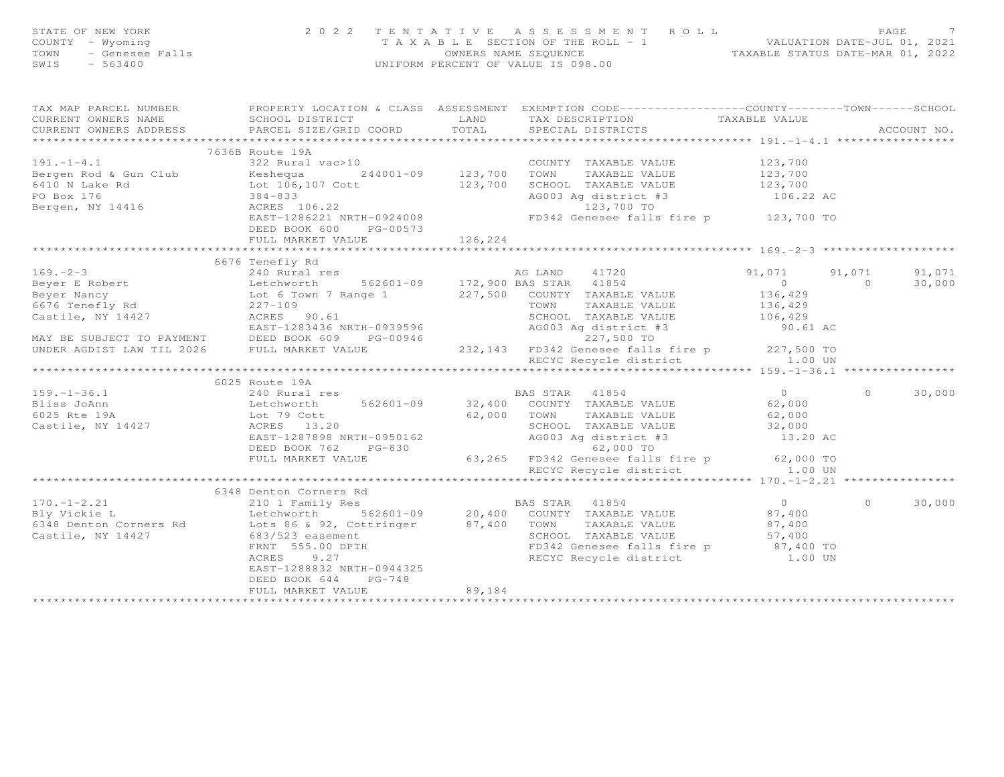| STATE OF NEW YORK<br>STATE OF NEW YORK<br>COUNTY - Wyoming<br>TOWN - Genesee Falls<br>SWIS - 563400                                                                                                                                                      |                                                                                        |               | 2022 TENTATIVE ASSESSMENT ROLL<br>TAXABLE SECTION OF THE ROLL - 1<br>OWNERS NAME SEQUENCE THE ROLL - 1<br>OWNERS NAME SEQUENCE TAXABLE STATUS DATE-MAR 01, 2022<br>UNIFORM PERCENT OF VALUE IS 098.00 |               |                |             |
|----------------------------------------------------------------------------------------------------------------------------------------------------------------------------------------------------------------------------------------------------------|----------------------------------------------------------------------------------------|---------------|-------------------------------------------------------------------------------------------------------------------------------------------------------------------------------------------------------|---------------|----------------|-------------|
| CURRENT OWNERS ADDRESS                                                                                                                                                                                                                                   | SCHOOL DISTRICT TAND TAX DESCRIPTION<br>PARCEL SIZE/GRID COORD TOTAL SPECIAL DISTRICTS |               |                                                                                                                                                                                                       | TAXABLE VALUE |                | ACCOUNT NO. |
|                                                                                                                                                                                                                                                          | 7636B Route 19A                                                                        |               |                                                                                                                                                                                                       |               |                |             |
| 191.-1-4.1<br>Bergen Rod & Gun Club<br>822 Rural vac>10<br>822 Rural vac>10<br>822 Rural vac>10<br>244001-09<br>244001-09<br>123,700 TOWN TAXABLE VALUE<br>123,700 TOWN TAXABLE VALUE<br>123,700<br>SCHOOL TAXABLE VALUE<br>123,700<br>123,700<br>864-83 |                                                                                        |               |                                                                                                                                                                                                       |               |                |             |
|                                                                                                                                                                                                                                                          |                                                                                        |               |                                                                                                                                                                                                       |               |                |             |
|                                                                                                                                                                                                                                                          |                                                                                        |               |                                                                                                                                                                                                       |               |                |             |
|                                                                                                                                                                                                                                                          |                                                                                        |               |                                                                                                                                                                                                       |               |                |             |
|                                                                                                                                                                                                                                                          |                                                                                        |               |                                                                                                                                                                                                       |               |                |             |
|                                                                                                                                                                                                                                                          |                                                                                        |               |                                                                                                                                                                                                       |               |                |             |
|                                                                                                                                                                                                                                                          | DEED BOOK 600 PG-00573                                                                 | 126,224       |                                                                                                                                                                                                       |               |                |             |
|                                                                                                                                                                                                                                                          | FULL MARKET VALUE                                                                      | ************* |                                                                                                                                                                                                       |               |                |             |
|                                                                                                                                                                                                                                                          | 6676 Tenefly Rd                                                                        |               |                                                                                                                                                                                                       |               |                |             |
|                                                                                                                                                                                                                                                          |                                                                                        |               |                                                                                                                                                                                                       |               | 91,071         | 91,071      |
|                                                                                                                                                                                                                                                          |                                                                                        |               |                                                                                                                                                                                                       |               | $\overline{0}$ | 30,000      |
|                                                                                                                                                                                                                                                          |                                                                                        |               |                                                                                                                                                                                                       |               |                |             |
|                                                                                                                                                                                                                                                          |                                                                                        |               |                                                                                                                                                                                                       |               |                |             |
|                                                                                                                                                                                                                                                          |                                                                                        |               |                                                                                                                                                                                                       |               |                |             |
|                                                                                                                                                                                                                                                          |                                                                                        |               |                                                                                                                                                                                                       |               |                |             |
|                                                                                                                                                                                                                                                          |                                                                                        |               |                                                                                                                                                                                                       |               |                |             |
|                                                                                                                                                                                                                                                          |                                                                                        |               |                                                                                                                                                                                                       |               |                |             |
|                                                                                                                                                                                                                                                          |                                                                                        |               |                                                                                                                                                                                                       |               |                |             |
|                                                                                                                                                                                                                                                          | 6025 Route 19A                                                                         |               |                                                                                                                                                                                                       |               |                |             |
|                                                                                                                                                                                                                                                          |                                                                                        |               |                                                                                                                                                                                                       |               | $\circ$        | 30,000      |
|                                                                                                                                                                                                                                                          |                                                                                        |               |                                                                                                                                                                                                       |               |                |             |
|                                                                                                                                                                                                                                                          |                                                                                        |               |                                                                                                                                                                                                       |               |                |             |
|                                                                                                                                                                                                                                                          |                                                                                        |               |                                                                                                                                                                                                       |               |                |             |
|                                                                                                                                                                                                                                                          |                                                                                        |               |                                                                                                                                                                                                       |               |                |             |
|                                                                                                                                                                                                                                                          |                                                                                        |               |                                                                                                                                                                                                       |               |                |             |
|                                                                                                                                                                                                                                                          |                                                                                        |               |                                                                                                                                                                                                       |               |                |             |
|                                                                                                                                                                                                                                                          |                                                                                        |               |                                                                                                                                                                                                       |               |                |             |
|                                                                                                                                                                                                                                                          |                                                                                        |               |                                                                                                                                                                                                       |               |                |             |
|                                                                                                                                                                                                                                                          | 6348 Denton Corners Rd                                                                 |               |                                                                                                                                                                                                       |               | $\Omega$       |             |
|                                                                                                                                                                                                                                                          |                                                                                        |               |                                                                                                                                                                                                       |               |                | 30,000      |
|                                                                                                                                                                                                                                                          |                                                                                        |               |                                                                                                                                                                                                       |               |                |             |
|                                                                                                                                                                                                                                                          |                                                                                        |               |                                                                                                                                                                                                       |               |                |             |
|                                                                                                                                                                                                                                                          |                                                                                        |               |                                                                                                                                                                                                       |               |                |             |
| 170.-1-2.21<br>BAS STAR 41854<br>BAS STAR 41854<br>Duckie Land Lothworth 562601-09<br>Castile, NY 14427<br>Castile, NY 14427<br>Castile, NY 14427<br>Castile, NY 14427<br>Castile, NY 14427<br>Castile, NY 14427<br>Castile, NY 14427<br>Castile, NY     |                                                                                        |               |                                                                                                                                                                                                       |               |                |             |
|                                                                                                                                                                                                                                                          | EAST-1288832 NRTH-0944325                                                              |               |                                                                                                                                                                                                       |               |                |             |
|                                                                                                                                                                                                                                                          | DEED BOOK 644 PG-748                                                                   |               |                                                                                                                                                                                                       |               |                |             |
|                                                                                                                                                                                                                                                          | FULL MARKET VALUE                                                                      | 89,184        |                                                                                                                                                                                                       |               |                |             |
|                                                                                                                                                                                                                                                          |                                                                                        |               |                                                                                                                                                                                                       |               |                |             |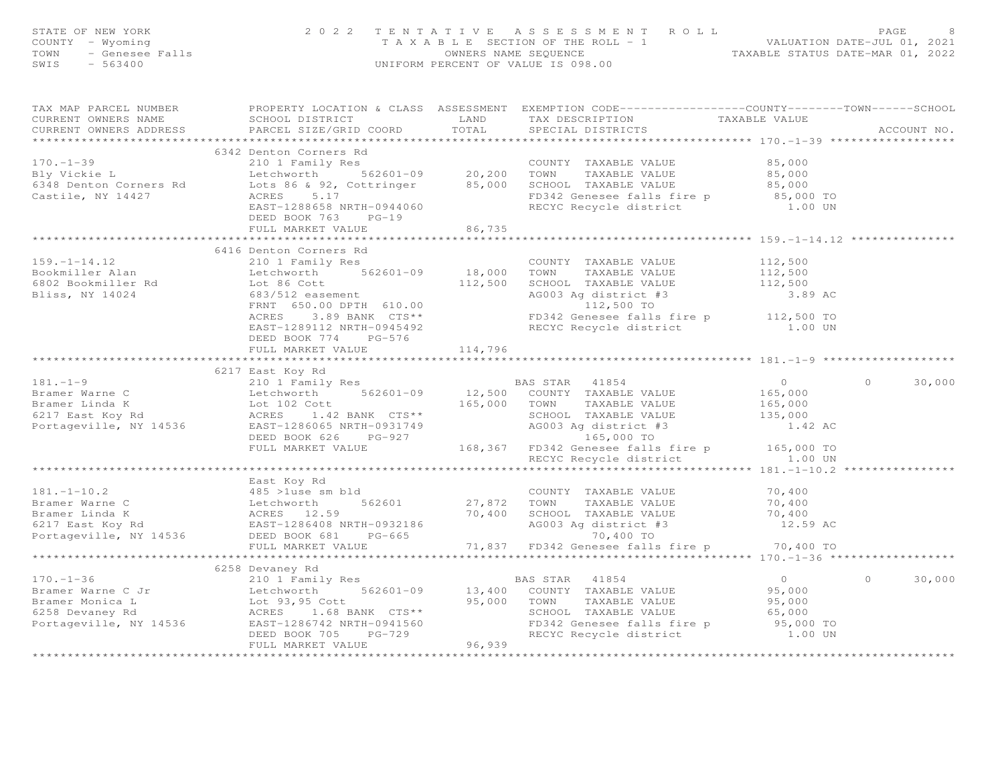| STATE OF NEW YORK<br>COUNTY - Wyoming<br>TOWN<br>SWIS                  | OF NEW YORK 2022 TENTATIVE<br>Y - Wyoming 1 A X A B L E SE<br>- Genesee Falls 663400<br>- 563400                                                                                                                                                                                                                                                                                                                      |                         | TENTATIVE ASSESSMENT ROLL PAGE 8<br>TAXABLE SECTION OF THE ROLL - 1<br>OWNERS NAME SEQUENCE TAXABLE STATUS DATE-MAR 01, 2022<br>UNIFORM PERCENT OF VALUE IS 098.00 |                |                   |
|------------------------------------------------------------------------|-----------------------------------------------------------------------------------------------------------------------------------------------------------------------------------------------------------------------------------------------------------------------------------------------------------------------------------------------------------------------------------------------------------------------|-------------------------|--------------------------------------------------------------------------------------------------------------------------------------------------------------------|----------------|-------------------|
| TAX MAP PARCEL NUMBER<br>CURRENT OWNERS NAME<br>CURRENT OWNERS ADDRESS |                                                                                                                                                                                                                                                                                                                                                                                                                       |                         |                                                                                                                                                                    |                |                   |
|                                                                        | 6342 Denton Corners Rd                                                                                                                                                                                                                                                                                                                                                                                                |                         |                                                                                                                                                                    |                |                   |
| $170. - 1 - 39$                                                        |                                                                                                                                                                                                                                                                                                                                                                                                                       |                         |                                                                                                                                                                    |                |                   |
| Bly Vickie L                                                           |                                                                                                                                                                                                                                                                                                                                                                                                                       |                         |                                                                                                                                                                    |                |                   |
| 6348 Denton Corners Rd                                                 |                                                                                                                                                                                                                                                                                                                                                                                                                       |                         |                                                                                                                                                                    |                |                   |
| Castile, NY 14427                                                      | 6342 Denton Corners Rd<br>210 1 Family Res<br>1 20,200 TOWN TAXABLE VALUE 85,000<br>1 20,200 TOWN TAXABLE VALUE 85,000<br>1 20,200 TOWN TAXABLE VALUE 85,000<br>1 20,200 TOWN TAXABLE VALUE 85,000<br>20,200 TOWN TAXABLE VALUE 85,000<br>55<br>DEED BOOK 763 PG-19                                                                                                                                                   |                         |                                                                                                                                                                    |                |                   |
|                                                                        | FULL MARKET VALUE                                                                                                                                                                                                                                                                                                                                                                                                     | 86,735                  |                                                                                                                                                                    |                |                   |
|                                                                        |                                                                                                                                                                                                                                                                                                                                                                                                                       | * * * * * * * * * * * * |                                                                                                                                                                    |                |                   |
|                                                                        |                                                                                                                                                                                                                                                                                                                                                                                                                       |                         |                                                                                                                                                                    |                |                   |
|                                                                        |                                                                                                                                                                                                                                                                                                                                                                                                                       |                         |                                                                                                                                                                    |                |                   |
|                                                                        |                                                                                                                                                                                                                                                                                                                                                                                                                       |                         |                                                                                                                                                                    |                |                   |
|                                                                        |                                                                                                                                                                                                                                                                                                                                                                                                                       |                         |                                                                                                                                                                    |                |                   |
|                                                                        |                                                                                                                                                                                                                                                                                                                                                                                                                       |                         |                                                                                                                                                                    |                |                   |
|                                                                        |                                                                                                                                                                                                                                                                                                                                                                                                                       |                         |                                                                                                                                                                    |                |                   |
|                                                                        |                                                                                                                                                                                                                                                                                                                                                                                                                       |                         |                                                                                                                                                                    |                |                   |
|                                                                        | FULL MARKET VALUE                                                                                                                                                                                                                                                                                                                                                                                                     | 114,796                 |                                                                                                                                                                    |                |                   |
|                                                                        |                                                                                                                                                                                                                                                                                                                                                                                                                       |                         |                                                                                                                                                                    |                |                   |
|                                                                        | 6217 East Koy Rd                                                                                                                                                                                                                                                                                                                                                                                                      |                         |                                                                                                                                                                    |                | 30,000<br>$\circ$ |
|                                                                        |                                                                                                                                                                                                                                                                                                                                                                                                                       |                         |                                                                                                                                                                    |                |                   |
|                                                                        |                                                                                                                                                                                                                                                                                                                                                                                                                       |                         |                                                                                                                                                                    |                |                   |
|                                                                        |                                                                                                                                                                                                                                                                                                                                                                                                                       |                         |                                                                                                                                                                    |                |                   |
|                                                                        |                                                                                                                                                                                                                                                                                                                                                                                                                       |                         |                                                                                                                                                                    |                |                   |
|                                                                        |                                                                                                                                                                                                                                                                                                                                                                                                                       |                         |                                                                                                                                                                    |                |                   |
|                                                                        |                                                                                                                                                                                                                                                                                                                                                                                                                       |                         |                                                                                                                                                                    |                |                   |
|                                                                        |                                                                                                                                                                                                                                                                                                                                                                                                                       |                         |                                                                                                                                                                    |                |                   |
|                                                                        |                                                                                                                                                                                                                                                                                                                                                                                                                       |                         |                                                                                                                                                                    |                |                   |
|                                                                        | East Koy Rd                                                                                                                                                                                                                                                                                                                                                                                                           |                         |                                                                                                                                                                    |                |                   |
|                                                                        |                                                                                                                                                                                                                                                                                                                                                                                                                       |                         |                                                                                                                                                                    |                |                   |
|                                                                        |                                                                                                                                                                                                                                                                                                                                                                                                                       |                         |                                                                                                                                                                    |                |                   |
|                                                                        |                                                                                                                                                                                                                                                                                                                                                                                                                       |                         |                                                                                                                                                                    |                |                   |
|                                                                        |                                                                                                                                                                                                                                                                                                                                                                                                                       |                         |                                                                                                                                                                    |                |                   |
|                                                                        |                                                                                                                                                                                                                                                                                                                                                                                                                       |                         |                                                                                                                                                                    |                |                   |
|                                                                        | $\begin{array}{lllllllllllllllll} \text{181.-1-10.2} & \text{East Key Rd} & \text{COUNTY TAXABLE VALUE} & 70,400 \\ \text{Bramer Warne C} & \text{A65 >luse sm bld} & 562601 & 27,872 & \text{TOWN} & \text{TXABLE VALUE} & 70,400 \\ \text{Bramer Linda K} & \text{ACRES} & 12.59 & 70,400 & \text{SCHOLD} & \text{TXABLE VALUE} & 70,400 \\ \text{6217 East Key Rd} & \text{A608 R} & \text{EASED 8608 NRFH-093218$ |                         |                                                                                                                                                                    |                |                   |
|                                                                        |                                                                                                                                                                                                                                                                                                                                                                                                                       |                         |                                                                                                                                                                    |                |                   |
|                                                                        | 6258 Devaney Rd                                                                                                                                                                                                                                                                                                                                                                                                       |                         |                                                                                                                                                                    |                |                   |
|                                                                        |                                                                                                                                                                                                                                                                                                                                                                                                                       |                         |                                                                                                                                                                    | $\overline{0}$ | $\circ$<br>30,000 |
|                                                                        |                                                                                                                                                                                                                                                                                                                                                                                                                       |                         |                                                                                                                                                                    | 95,000         |                   |
|                                                                        |                                                                                                                                                                                                                                                                                                                                                                                                                       |                         |                                                                                                                                                                    | 95,000         |                   |
|                                                                        |                                                                                                                                                                                                                                                                                                                                                                                                                       |                         |                                                                                                                                                                    | 65,000         |                   |
|                                                                        |                                                                                                                                                                                                                                                                                                                                                                                                                       |                         |                                                                                                                                                                    | 95,000 TO      |                   |
|                                                                        | 170.-1-36<br>Bramer Warne C Jr<br>Bramer Monica L Letchworth 562601-09 13,400 COUNTY TAXABLE VALUE<br>Bramer Monica L Lot 93,95 Cott 95,000 TOWN TAXABLE VALUE<br>6258 Devaney Rd ACRES 1.68 BANK CTS** SCHOOL TAXABLE VALUE<br>Portage                                                                                                                                                                               |                         |                                                                                                                                                                    | 1.00 UN        |                   |
| ***********************                                                |                                                                                                                                                                                                                                                                                                                                                                                                                       |                         |                                                                                                                                                                    |                |                   |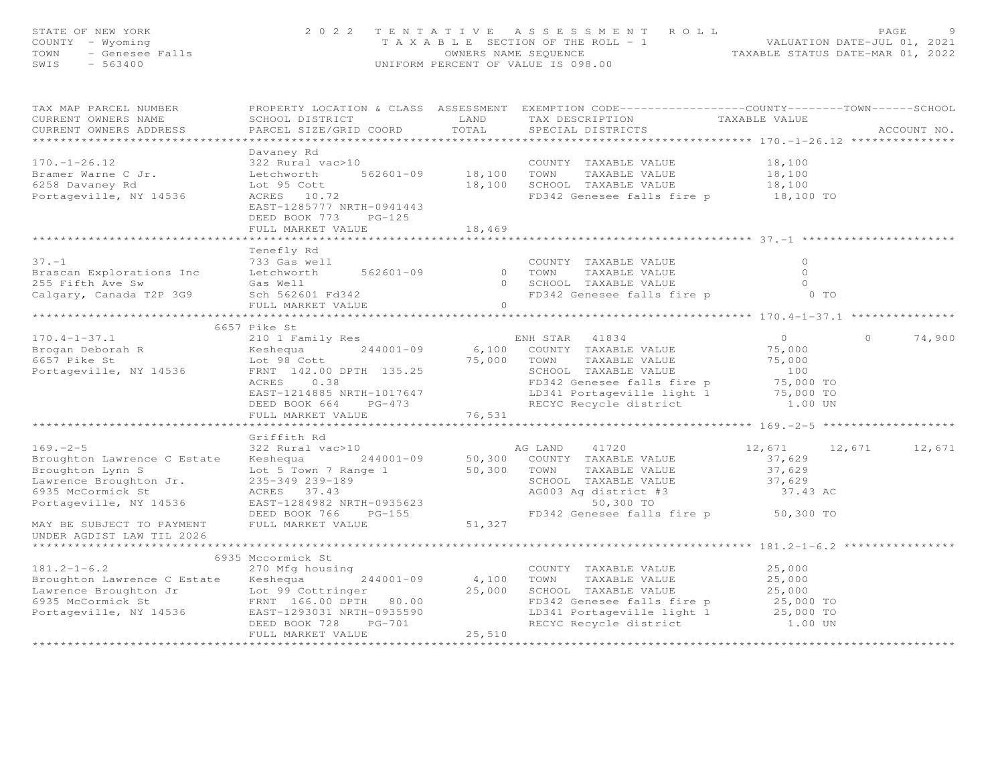| STATE OF NEW YORK<br>- Wyoming<br>- Genesee Falls<br>COUNTY - Wyoming<br>TOWN<br>SWIS<br>$-563400$                                                  | 2022 TENTATIVE                                                                                                                                                                             | TENTATIVE ASSESSMENT ROLL PAGE 9<br>TAXABLE SECTION OF THE ROLL - 1 VALUATION DATE-JUL 01, 2021<br>OWNERS NAME SEQUENCE STATUS DATE-MAR 01, 2022<br>UNIFORM PERCENT OF VALUE IS 098.00                                |                                                                                        |
|-----------------------------------------------------------------------------------------------------------------------------------------------------|--------------------------------------------------------------------------------------------------------------------------------------------------------------------------------------------|-----------------------------------------------------------------------------------------------------------------------------------------------------------------------------------------------------------------------|----------------------------------------------------------------------------------------|
| TAX MAP PARCEL NUMBER<br>CURRENT OWNERS NAME<br>CURRENT OWNERS ADDRESS                                                                              | SCHOOL DISTRICT<br>PARCEL SIZE/GRID COORD                                                                                                                                                  | PROPERTY LOCATION & CLASS ASSESSMENT EXEMPTION CODE----------------COUNTY-------TOWN-----SCHOOL<br>TAX DESCRIPTION TAXABLE VALUE<br>LAND<br>TOTAL<br>SPECIAL DISTRICTS                                                | ACCOUNT NO.                                                                            |
| $170. - 1 - 26.12$<br>Bramer Warne C Jr.<br>6258 Davaney Rd<br>Portageville, NY 14536                                                               | Davaney Rd<br>322 Rural vac>10 COUNTY<br>Letchworth 562601-09 18,100 TOWN<br>Lot 95 Cott<br>ACRES 10.72<br>EAST-1285777 NRTH-0941443<br>DEED BOOK 773 PG-125<br>FULL MARKET VALUE          | COUNTY TAXABLE VALUE<br>TAXABLE VALUE<br>18,100 SCHOOL TAXABLE VALUE<br>FD342 Genesee falls fire p 18,100 TO<br>18,469                                                                                                | 18,100<br>18,100<br>18,100                                                             |
| $37. -1$<br>Brascan Explorations Inc<br>255 Fifth Ave Sw<br>Calgary, Canada T2P 3G9                                                                 | Tenefly Rd<br>733 Gas well<br>Letchworth 562601-09<br>Gas Well<br>Sch 562601 Fd342<br>FULL MARKET VALUE                                                                                    | COUNTY TAXABLE VALUE<br>0 TOWN<br>TAXABLE VALUE<br>0 SCHOOL TAXABLE VALUE<br>FD342 Genesee falls fire p 6 0 TO<br>$\bigcap$                                                                                           | $\circ$<br>$\circ$<br>$\overline{0}$                                                   |
| $170.4 - 1 - 37.1$<br>Brogan Deborah R<br>6657 Pike St<br>Portageville, NY 14536                                                                    | 6657 Pike St<br>210 1 Family Res<br>Keshequa $244001-09$<br>Lot 98 Cott<br>FRNT 142.00 DPTH 135.25<br>ACRES 0.38<br>EAST-1214885 NRTH-1017647<br>DEED BOOK 664 PG-473<br>FULL MARKET VALUE | ENH STAR 41834<br>6,100 COUNTY TAXABLE VALUE<br>75,000 TOWN<br>TAXABLE VALUE<br>SCHOOL TAXABLE VALUE<br>FD342 Genesee falls fire p<br>LD341 Portageville light 1 75,000 TO<br>RECYC Recycle district<br>76,531        | 74,900<br>$\overline{0}$<br>$\circ$<br>75,000<br>75,000<br>100<br>75,000 TO<br>1.00 UN |
|                                                                                                                                                     |                                                                                                                                                                                            |                                                                                                                                                                                                                       |                                                                                        |
| $169. - 2 - 5$<br>Broughton Lawrence C Estate Keshequa<br>Broughton Lynn S<br>Lawrence Broughton Jr.<br>6935 McCormick St<br>Portageville, NY 14536 | Griffith Rd<br>322 Rural vac>10<br>Lot 5 Town 7 Range 1<br>235-349 239-189<br>ACRES 37.43<br>EAST-1284982 NRTH-0935623<br>DEED BOOK 766 PG-155                                             | AG LAND<br>41720<br>244001-09 50,300 COUNTY TAXABLE VALUE<br>nge 1 50,300 TOWN TAXABLE VALUE<br>TAXABLE VALUE<br>SCHOOL TAXABLE VALUE<br>AG003 Ag district #3<br>50,300 TO<br>FD342 Genesee falls fire p 50,300 TO    | 12,671<br>12,671 12,671<br>37,629<br>37,629<br>37,629<br>37.43 AC                      |
| MAY BE SUBJECT TO PAYMENT<br>UNDER AGDIST LAW TIL 2026                                                                                              | FULL MARKET VALUE                                                                                                                                                                          | 51,327                                                                                                                                                                                                                |                                                                                        |
| $181.2 - 1 - 6.2$<br>Broughton Lawrence C Estate<br>Portageville, NY 14536<br>***********************                                               | 6935 Mccormick St<br>270 Mfg housing<br>Keshequa $244001-09$<br>EAST-1293031 NRTH-0935590<br>DEED BOOK 728<br>$PG-701$<br>FULL MARKET VALUE<br>***************************                 | COUNTY TAXABLE VALUE<br>4,100 TOWN<br>TAXABLE VALUE<br>25,000 SCHOOL TAXABLE VALUE<br>FD342 Genesee falls fire p<br>LD341 Portageville light 1<br>RECYC Recycle district<br>25,510<br>******************************* | 25,000<br>25,000<br>25,000<br>25,000 TO<br>25,000 TO<br>1.00 UN                        |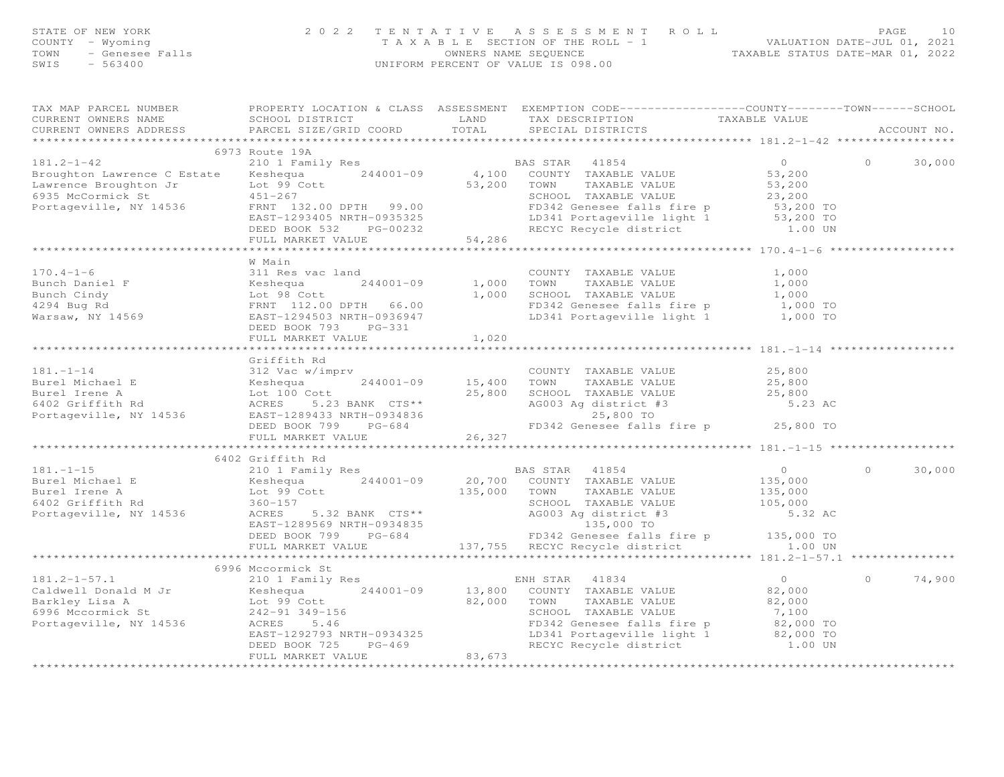| STATE OF NEW YORK                                                                                                                                                                                                                    | 2 0 2 2                    |                                 |                                                                                                                                                                                                                                                |                  |            |             |
|--------------------------------------------------------------------------------------------------------------------------------------------------------------------------------------------------------------------------------------|----------------------------|---------------------------------|------------------------------------------------------------------------------------------------------------------------------------------------------------------------------------------------------------------------------------------------|------------------|------------|-------------|
| COUNTY - Wyoming                                                                                                                                                                                                                     |                            |                                 | TENTATIVE ASSESSMENT ROLL<br>TAXABLE SECTION OF THE ROLL - 1<br>OWNERS NAME SEQUENCE<br>UNIFORM PERCENT OF VALUE IS 098.00<br>UNIFORM PERCENT OF VALUE IS 098.00                                                                               |                  |            |             |
| TOWN                                                                                                                                                                                                                                 |                            |                                 |                                                                                                                                                                                                                                                |                  |            |             |
| F NEW YORK<br>- Wyoming<br>- Genesee Falls<br>- 563400<br>SWIS                                                                                                                                                                       |                            |                                 |                                                                                                                                                                                                                                                |                  |            |             |
|                                                                                                                                                                                                                                      |                            |                                 |                                                                                                                                                                                                                                                |                  |            |             |
|                                                                                                                                                                                                                                      |                            |                                 | TAX MAP PARCEL NUMBER FROPERTY LOCATION & CLASS ASSESSMENT EXEMPTION CODE----------------COUNTY--------TOWN------SCHOOL                                                                                                                        |                  |            |             |
| CURRENT OWNERS NAME                                                                                                                                                                                                                  |                            |                                 | SCHOOL DISTRICT THE TRANSFORM TAX DESCRIPTION TAXABLE VALUE<br>PARCEL SIZE/GRID COORD TOTAL SPECIAL DISTRICTS TAXABLE VALUE                                                                                                                    |                  |            |             |
| CURRENT OWNERS ADDRESS                                                                                                                                                                                                               | PARCEL SIZE/GRID COORD     | TOTAL                           | SPECIAL DISTRICTS                                                                                                                                                                                                                              |                  |            | ACCOUNT NO. |
|                                                                                                                                                                                                                                      |                            |                                 |                                                                                                                                                                                                                                                |                  |            |             |
|                                                                                                                                                                                                                                      | 6973 Route 19A             |                                 |                                                                                                                                                                                                                                                |                  |            |             |
| $181.2 - 1 - 42$                                                                                                                                                                                                                     | 210 1 Family Res           |                                 | BAS STAR 41854                                                                                                                                                                                                                                 | $\bigcap$        | $\Omega$   | 30,000      |
|                                                                                                                                                                                                                                      |                            |                                 |                                                                                                                                                                                                                                                | 53,200           |            |             |
|                                                                                                                                                                                                                                      |                            |                                 |                                                                                                                                                                                                                                                | 53,200           |            |             |
| 6935 McCormick St                                                                                                                                                                                                                    |                            |                                 | SCHOOL TAXABLE VALUE                                                                                                                                                                                                                           |                  |            |             |
| Portageville, NY 14536                                                                                                                                                                                                               |                            |                                 |                                                                                                                                                                                                                                                |                  |            |             |
|                                                                                                                                                                                                                                      |                            |                                 |                                                                                                                                                                                                                                                |                  |            |             |
|                                                                                                                                                                                                                                      |                            |                                 |                                                                                                                                                                                                                                                |                  |            |             |
|                                                                                                                                                                                                                                      |                            |                                 | FRNT 132.00 DPTH 99.00<br>EAST-1293405 NRTH-0935325<br>DEED BOOK 532 PG-00232<br>DEED BOOK 532 PG-00232 54,286<br>FULL MARKE VALUE 11ght 1 53,200 TO<br>FULL MARKE VALUE 11ght 1 53,200 TO<br>FULL MARKE VALUE<br>FULL MARKE VALUE<br>ECYC Rec |                  |            |             |
|                                                                                                                                                                                                                                      |                            |                                 |                                                                                                                                                                                                                                                |                  |            |             |
|                                                                                                                                                                                                                                      | W Main                     |                                 |                                                                                                                                                                                                                                                |                  |            |             |
| $170.4 - 1 - 6$                                                                                                                                                                                                                      | 311 Res vac land           |                                 | COUNTY TAXABLE VALUE                                                                                                                                                                                                                           | 1,000            |            |             |
|                                                                                                                                                                                                                                      |                            | 244001-09 1,000 TOWN            | TAXABLE VALUE                                                                                                                                                                                                                                  | 1,000            |            |             |
|                                                                                                                                                                                                                                      |                            |                                 | 1,000 TOWN TAAADDE VADOL<br>1,000 SCHOOL TAXABLE VALUE 1,000 TO<br>FD342 Genesee falls fire p 1,000 TO                                                                                                                                         |                  |            |             |
|                                                                                                                                                                                                                                      |                            |                                 |                                                                                                                                                                                                                                                |                  |            |             |
|                                                                                                                                                                                                                                      |                            |                                 | LD341 Portageville light 1                                                                                                                                                                                                                     | 1,000 TO         |            |             |
|                                                                                                                                                                                                                                      |                            |                                 |                                                                                                                                                                                                                                                |                  |            |             |
|                                                                                                                                                                                                                                      | FULL MARKET VALUE          | 1,020                           |                                                                                                                                                                                                                                                |                  |            |             |
|                                                                                                                                                                                                                                      |                            |                                 |                                                                                                                                                                                                                                                |                  |            |             |
|                                                                                                                                                                                                                                      | Griffith Rd                |                                 |                                                                                                                                                                                                                                                |                  |            |             |
|                                                                                                                                                                                                                                      |                            |                                 |                                                                                                                                                                                                                                                | 25,800           |            |             |
|                                                                                                                                                                                                                                      |                            |                                 | TAXABLE VALUE                                                                                                                                                                                                                                  |                  |            |             |
| 312 Vac w/imprv<br>Burel Michael E (100 Cott 100 Cott 100 Cott 100 Cott 100 Cott 100 Cott 100 Cott 100 Cott 100 Cott 16402 Griffith Rd ACRES 5.23 BANK CTS** (25,800 SCHOOL TAXABLE VALUE 25,800 CHOOL TAXABLE VALUE 25,800 CHOO     |                            |                                 |                                                                                                                                                                                                                                                | 25,800<br>25,800 |            |             |
|                                                                                                                                                                                                                                      |                            |                                 | AG003 Ag district #3<br>25,800 TO                                                                                                                                                                                                              | 5.23 AC          |            |             |
|                                                                                                                                                                                                                                      |                            |                                 |                                                                                                                                                                                                                                                |                  |            |             |
|                                                                                                                                                                                                                                      |                            |                                 | FD342 Genesee falls fire p 25,800 TO                                                                                                                                                                                                           |                  |            |             |
|                                                                                                                                                                                                                                      | FULL MARKET VALUE          | 26,327                          |                                                                                                                                                                                                                                                |                  |            |             |
|                                                                                                                                                                                                                                      |                            |                                 |                                                                                                                                                                                                                                                |                  |            |             |
|                                                                                                                                                                                                                                      | 6402 Griffith Rd           |                                 |                                                                                                                                                                                                                                                |                  |            |             |
| $181. - 1 - 15$                                                                                                                                                                                                                      | 210 1 Family Res           |                                 | BAS STAR 41854                                                                                                                                                                                                                                 | $\overline{0}$   | $\circ$    | 30,000      |
|                                                                                                                                                                                                                                      |                            |                                 |                                                                                                                                                                                                                                                | 135,000          |            |             |
|                                                                                                                                                                                                                                      |                            |                                 | TAXABLE VALUE                                                                                                                                                                                                                                  | 135,000          |            |             |
|                                                                                                                                                                                                                                      |                            |                                 |                                                                                                                                                                                                                                                |                  |            |             |
| Portageville, NY 14536                                                                                                                                                                                                               |                            |                                 |                                                                                                                                                                                                                                                |                  |            |             |
|                                                                                                                                                                                                                                      |                            |                                 |                                                                                                                                                                                                                                                |                  |            |             |
|                                                                                                                                                                                                                                      |                            |                                 |                                                                                                                                                                                                                                                |                  |            |             |
|                                                                                                                                                                                                                                      |                            |                                 |                                                                                                                                                                                                                                                |                  |            |             |
|                                                                                                                                                                                                                                      | ************************** |                                 | 100 Cott<br>360-157 SCHOOL TAXABLE VALUE<br>ACRES 5.32 BANK CTS** AG003 Ag district #3 5.32 AC<br>EAST-1289569 NRTH-0934835 135,000 TO<br>DEED BOOK 799 PG-684 FD342 Genesee falls fire p 135,000 TO<br>FULL MARKET VALUE 137,755 RECYC        |                  |            |             |
|                                                                                                                                                                                                                                      | 6996 Mccormick St          |                                 |                                                                                                                                                                                                                                                |                  |            |             |
| $181.2 - 1 - 57.1$                                                                                                                                                                                                                   | 210 1 Family Res           |                                 | ENH STAR 41834                                                                                                                                                                                                                                 | $\overline{0}$   | $\bigcirc$ | 74,900      |
|                                                                                                                                                                                                                                      |                            |                                 |                                                                                                                                                                                                                                                | 82,000           |            |             |
| Caldwell Donald M Jr (244001-09) 13,800 COUNTY TAXABLE VALUE<br>Barkley Lisa A (242-91 349-156) 2000 COUNTY TAXABLE VALUE<br>6996 Mccormick St 242-91 349-156 (242-91 349-156) 2000 COUNTY TAXABLE VALUE<br>Portageville, NY 14536 A |                            |                                 | TOWN      TAXABLE VALUE<br>SCHOOL   TAXABLE VALUE                                                                                                                                                                                              | 82,000           |            |             |
|                                                                                                                                                                                                                                      |                            |                                 |                                                                                                                                                                                                                                                | 7,100            |            |             |
|                                                                                                                                                                                                                                      |                            |                                 |                                                                                                                                                                                                                                                |                  |            |             |
|                                                                                                                                                                                                                                      | EAST-1292793 NRTH-0934325  |                                 |                                                                                                                                                                                                                                                |                  |            |             |
|                                                                                                                                                                                                                                      | DEED BOOK 725              | H-0934325<br>PG-469<br>E 83,673 | FD342 Genesee falls fire p<br>LD341 Portageville light 1 82,000 TO<br>RECYC Recycle district 1.00 UN                                                                                                                                           |                  |            |             |
|                                                                                                                                                                                                                                      | FULL MARKET VALUE          |                                 |                                                                                                                                                                                                                                                |                  |            |             |
| **************************                                                                                                                                                                                                           |                            |                                 |                                                                                                                                                                                                                                                |                  |            |             |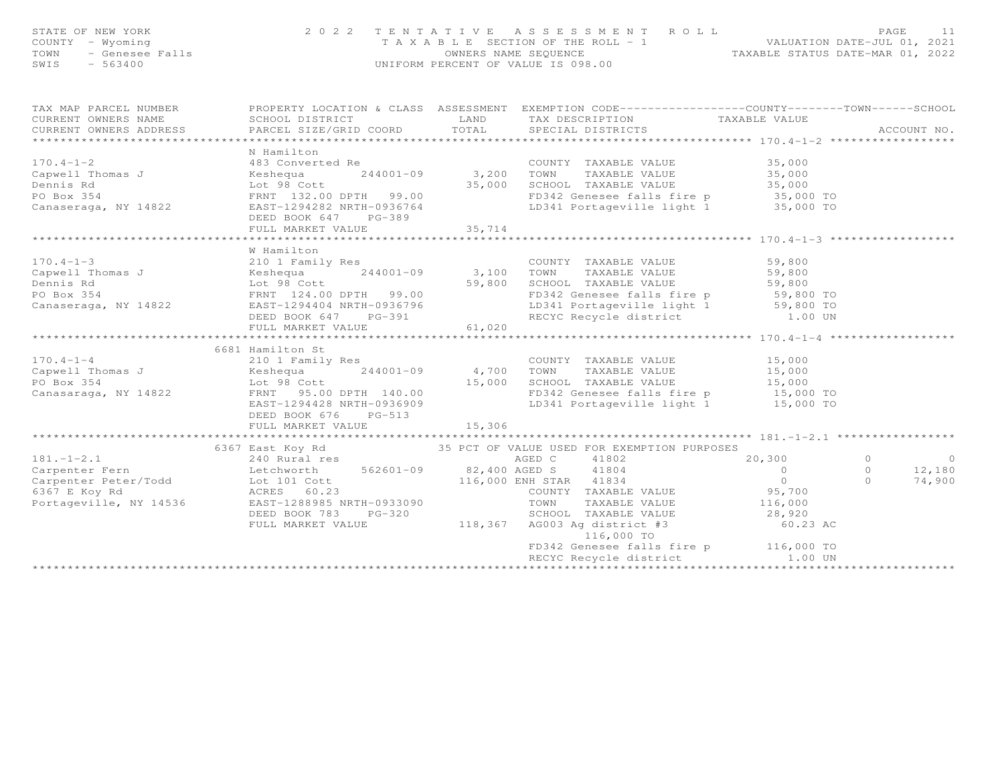| STATE OF NEW YORK<br>COUNTY - Wyoming<br>TOWN<br>SWIS | 2022 TENTATIVE<br>OF NEW YORK<br>- Wyoming<br>- Genesee Falls<br>- 563400                                                                                                                                                                          |        | TENTATIVE ASSESSMENT ROLL<br>TAXABLE SECTION OF THE ROLL -1 VALUATION DATE-JUL 01, 2021<br>OWNERS NAME SEQUENCE TAXABLE STATUS DATE-MAR 01, 2022<br>UNIFORM PERCENT OF VALUE IS 098.00 |          |                |                             |
|-------------------------------------------------------|----------------------------------------------------------------------------------------------------------------------------------------------------------------------------------------------------------------------------------------------------|--------|----------------------------------------------------------------------------------------------------------------------------------------------------------------------------------------|----------|----------------|-----------------------------|
|                                                       | TAX MAP PARCEL NUMBER BROPERTY LOCATION & CLASS ASSESSMENT EXEMPTION CODE-----------------COUNTY--------TOWN-----SCHOOL CURRENT OWNERS NAME SCHOOL DISTRICT LAND TAX DESCRIPTION TAXABLE VALUE (CURRENT OWNERS ADDRESS PARCEL                      |        |                                                                                                                                                                                        |          |                |                             |
|                                                       |                                                                                                                                                                                                                                                    |        |                                                                                                                                                                                        |          |                |                             |
|                                                       |                                                                                                                                                                                                                                                    |        |                                                                                                                                                                                        |          |                |                             |
|                                                       |                                                                                                                                                                                                                                                    |        |                                                                                                                                                                                        |          |                |                             |
|                                                       |                                                                                                                                                                                                                                                    |        |                                                                                                                                                                                        |          |                |                             |
|                                                       |                                                                                                                                                                                                                                                    |        |                                                                                                                                                                                        |          |                |                             |
|                                                       |                                                                                                                                                                                                                                                    |        |                                                                                                                                                                                        |          |                |                             |
|                                                       |                                                                                                                                                                                                                                                    |        |                                                                                                                                                                                        |          |                |                             |
|                                                       |                                                                                                                                                                                                                                                    |        |                                                                                                                                                                                        |          |                |                             |
|                                                       |                                                                                                                                                                                                                                                    |        |                                                                                                                                                                                        |          |                |                             |
|                                                       |                                                                                                                                                                                                                                                    |        |                                                                                                                                                                                        |          |                |                             |
|                                                       |                                                                                                                                                                                                                                                    |        |                                                                                                                                                                                        |          |                |                             |
|                                                       | W Hamilton                                                                                                                                                                                                                                         |        |                                                                                                                                                                                        |          |                |                             |
|                                                       |                                                                                                                                                                                                                                                    |        |                                                                                                                                                                                        |          |                |                             |
|                                                       |                                                                                                                                                                                                                                                    |        |                                                                                                                                                                                        |          |                |                             |
|                                                       |                                                                                                                                                                                                                                                    |        |                                                                                                                                                                                        |          |                |                             |
|                                                       |                                                                                                                                                                                                                                                    |        |                                                                                                                                                                                        |          |                |                             |
|                                                       | W Hamilton<br>CoUNTY TAXABLE VALUE 59,800<br>Capwell Thomas J<br>Dennis Rd<br>FRNT 124.00 DPTH 99.00<br>Canaseraga, NY 14822<br>Canaseraga, NY 14822<br>Canaseraga, NY 14822<br>Canaseraga, NY 14822<br>Canaseraga, NY 14822<br>Canaseraga, NY 148 |        |                                                                                                                                                                                        |          |                |                             |
|                                                       | FULL MARKET VALUE                                                                                                                                                                                                                                  | 61,020 |                                                                                                                                                                                        |          |                |                             |
|                                                       |                                                                                                                                                                                                                                                    |        |                                                                                                                                                                                        |          |                |                             |
|                                                       | 6681 Hamilton St<br>210 1 Family Res<br>Capwell Thomas J<br>Expedia 244001-09 4,700 TOWN TAXABLE VALUE<br>244001-09 4,700 TOWN TAXABLE VALUE<br>244001-09 4,700 TOWN TAXABLE VALUE<br>26 15,000 15,000<br>26 15,000 SCHOOL TAXABLE VALUE<br>25     |        |                                                                                                                                                                                        |          |                |                             |
|                                                       |                                                                                                                                                                                                                                                    |        |                                                                                                                                                                                        |          |                |                             |
|                                                       |                                                                                                                                                                                                                                                    |        |                                                                                                                                                                                        |          |                |                             |
|                                                       |                                                                                                                                                                                                                                                    |        |                                                                                                                                                                                        |          |                |                             |
|                                                       |                                                                                                                                                                                                                                                    |        |                                                                                                                                                                                        |          |                |                             |
|                                                       |                                                                                                                                                                                                                                                    |        |                                                                                                                                                                                        |          |                |                             |
|                                                       | DEED BOOK 676 PG-513                                                                                                                                                                                                                               |        |                                                                                                                                                                                        |          |                |                             |
|                                                       | FULL MARKET VALUE                                                                                                                                                                                                                                  | 15,306 |                                                                                                                                                                                        |          |                |                             |
|                                                       |                                                                                                                                                                                                                                                    |        |                                                                                                                                                                                        |          |                |                             |
|                                                       |                                                                                                                                                                                                                                                    |        |                                                                                                                                                                                        |          | $\overline{0}$ |                             |
|                                                       |                                                                                                                                                                                                                                                    |        |                                                                                                                                                                                        |          |                | 0 0<br>0 12,180<br>0 74,900 |
|                                                       |                                                                                                                                                                                                                                                    |        |                                                                                                                                                                                        |          |                |                             |
|                                                       |                                                                                                                                                                                                                                                    |        |                                                                                                                                                                                        |          |                |                             |
|                                                       |                                                                                                                                                                                                                                                    |        |                                                                                                                                                                                        |          |                |                             |
|                                                       | DEED BOOK 783 PG-320                                                                                                                                                                                                                               |        |                                                                                                                                                                                        |          |                |                             |
|                                                       |                                                                                                                                                                                                                                                    |        | ERED BOOK 783 PG-320<br>FULL MARKET VALUE 118,367 AG003 Ag district #3 60.23<br>118,367 AG003 Ag district #3 60.23                                                                     | 60.23 AC |                |                             |
|                                                       |                                                                                                                                                                                                                                                    |        | FD342 Genesee falls fire p 116,000 TO                                                                                                                                                  |          |                |                             |
|                                                       |                                                                                                                                                                                                                                                    |        | RECYC Recycle district                                                                                                                                                                 | 1.00 UN  |                |                             |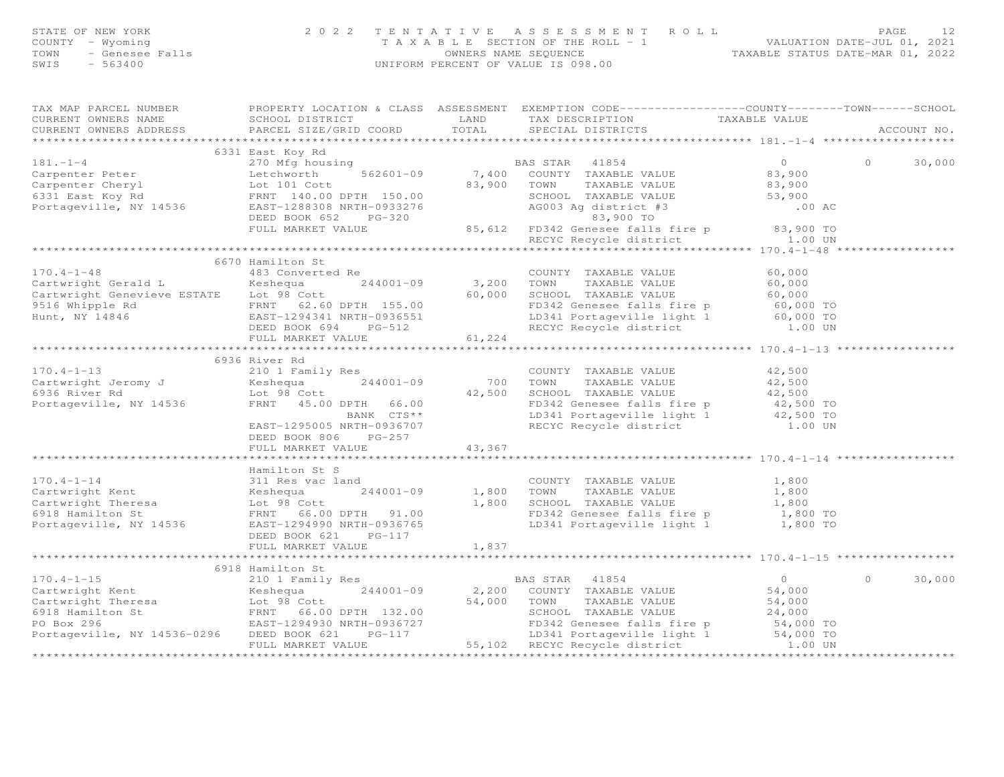|                                                                                                                                                                                                                                                          | 2 0 2 2              |        |                                                                                                                                                                     |          | 12          |
|----------------------------------------------------------------------------------------------------------------------------------------------------------------------------------------------------------------------------------------------------------|----------------------|--------|---------------------------------------------------------------------------------------------------------------------------------------------------------------------|----------|-------------|
| STATE OF NEW YORK 2 0 2<br>COUNTY - Wyoming<br>TOWN - Genesee Falls<br>SWIS - 563400                                                                                                                                                                     |                      |        | TENTATIVE ASSESSMENT ROLL PACE 12<br>TAXABLE SECTION OF THE ROLL - 1<br>OWNERS NAME SEQUENCE TAXABLE STATUS DATE-MAR 01, 2022<br>UNIFORM PERCENT OF VALUE IS 098.00 |          |             |
|                                                                                                                                                                                                                                                          |                      |        |                                                                                                                                                                     |          |             |
|                                                                                                                                                                                                                                                          |                      |        |                                                                                                                                                                     |          |             |
|                                                                                                                                                                                                                                                          |                      |        |                                                                                                                                                                     |          |             |
| TAX MAP PARCEL NUMBER FOROPERTY LOCATION & CLASS ASSESSMENT EXEMPTION CODE----------------COUNTY-------TOWN-----SCHOOL                                                                                                                                   |                      |        |                                                                                                                                                                     |          |             |
|                                                                                                                                                                                                                                                          |                      |        |                                                                                                                                                                     |          |             |
| CURRENT OWNERS NAME SCHOOL DISTRICT TOORD LAND TAX DESCRIPTION TAXABLE VALUE<br>CURRENT OWNERS ADDRESS PARCEL SIZE/GRID COORD TOTAL SPECIAL DISTRICTS                                                                                                    |                      |        |                                                                                                                                                                     |          | ACCOUNT NO. |
|                                                                                                                                                                                                                                                          |                      |        |                                                                                                                                                                     |          |             |
|                                                                                                                                                                                                                                                          | 6331 East Koy Rd     |        |                                                                                                                                                                     |          |             |
| 181.-1-4<br>Carpenter Peter 2010 Might busing<br>Carpenter Peter 2010 Might busing<br>Carpenter Cheryl Lot 101 Cott 83,900 TOWN TAXABLE VALUE 83,900<br>Fortageville, NY 14536 EAST-1288308 NRTH-09332276 BULL MARKET VALUE 25,900 TO                    |                      |        |                                                                                                                                                                     | $\Omega$ | 30,000      |
|                                                                                                                                                                                                                                                          |                      |        |                                                                                                                                                                     |          |             |
|                                                                                                                                                                                                                                                          |                      |        |                                                                                                                                                                     |          |             |
|                                                                                                                                                                                                                                                          |                      |        |                                                                                                                                                                     |          |             |
|                                                                                                                                                                                                                                                          |                      |        |                                                                                                                                                                     |          |             |
|                                                                                                                                                                                                                                                          |                      |        |                                                                                                                                                                     |          |             |
|                                                                                                                                                                                                                                                          |                      |        |                                                                                                                                                                     |          |             |
|                                                                                                                                                                                                                                                          |                      |        |                                                                                                                                                                     |          |             |
|                                                                                                                                                                                                                                                          | 6670 Hamilton St     |        |                                                                                                                                                                     |          |             |
|                                                                                                                                                                                                                                                          |                      |        |                                                                                                                                                                     |          |             |
|                                                                                                                                                                                                                                                          |                      |        |                                                                                                                                                                     |          |             |
|                                                                                                                                                                                                                                                          |                      |        |                                                                                                                                                                     |          |             |
|                                                                                                                                                                                                                                                          |                      |        |                                                                                                                                                                     |          |             |
|                                                                                                                                                                                                                                                          |                      |        |                                                                                                                                                                     |          |             |
|                                                                                                                                                                                                                                                          |                      |        |                                                                                                                                                                     |          |             |
|                                                                                                                                                                                                                                                          |                      |        |                                                                                                                                                                     |          |             |
|                                                                                                                                                                                                                                                          |                      |        |                                                                                                                                                                     |          |             |
|                                                                                                                                                                                                                                                          | 6936 River Rd        |        |                                                                                                                                                                     |          |             |
|                                                                                                                                                                                                                                                          |                      |        |                                                                                                                                                                     |          |             |
|                                                                                                                                                                                                                                                          |                      |        |                                                                                                                                                                     |          |             |
| 170.4-1-13<br>Cartwright Jeromy J<br>Cartwright Jeromy J<br>Examily Res COUNTY TAXABLE VALUE<br>Cartwright Jeromy J<br>Cartwright Jeromy J<br>Cartwright Jeromy J<br>Cartwright Jeromy J<br>Cartwright Jeromy J<br>Cartwright Jeromy Maxame VAL          |                      |        |                                                                                                                                                                     |          |             |
|                                                                                                                                                                                                                                                          |                      |        |                                                                                                                                                                     |          |             |
|                                                                                                                                                                                                                                                          |                      |        |                                                                                                                                                                     |          |             |
|                                                                                                                                                                                                                                                          |                      |        |                                                                                                                                                                     |          |             |
|                                                                                                                                                                                                                                                          | DEED BOOK 806 PG-257 |        |                                                                                                                                                                     |          |             |
|                                                                                                                                                                                                                                                          | FULL MARKET VALUE    | 43,367 |                                                                                                                                                                     |          |             |
|                                                                                                                                                                                                                                                          |                      |        |                                                                                                                                                                     |          |             |
| 170.4-1-14<br>Cartwright Kent<br>Cartwright Kent<br>Cartwright Kent<br>Cartwright Kent<br>Cartwright Kent<br>Cartwright Kent<br>Cartwright Kent<br>Cartwright Kent<br>Cartwright Kent<br>Cartwright Kent<br>Cartwright Kent<br>Cartwright Kent<br>Cartwr |                      |        |                                                                                                                                                                     |          |             |
|                                                                                                                                                                                                                                                          |                      |        |                                                                                                                                                                     |          |             |
|                                                                                                                                                                                                                                                          |                      |        |                                                                                                                                                                     |          |             |
|                                                                                                                                                                                                                                                          |                      |        |                                                                                                                                                                     |          |             |
|                                                                                                                                                                                                                                                          |                      |        |                                                                                                                                                                     |          |             |
|                                                                                                                                                                                                                                                          | DEED BOOK 621 PG-117 |        |                                                                                                                                                                     |          |             |
|                                                                                                                                                                                                                                                          | FULL MARKET VALUE    | 1,837  |                                                                                                                                                                     |          |             |
|                                                                                                                                                                                                                                                          |                      |        |                                                                                                                                                                     |          |             |
|                                                                                                                                                                                                                                                          |                      |        |                                                                                                                                                                     |          |             |
|                                                                                                                                                                                                                                                          |                      |        |                                                                                                                                                                     | $\circ$  | 30,000      |
|                                                                                                                                                                                                                                                          |                      |        |                                                                                                                                                                     |          |             |
|                                                                                                                                                                                                                                                          |                      |        |                                                                                                                                                                     |          |             |
|                                                                                                                                                                                                                                                          |                      |        |                                                                                                                                                                     |          |             |
|                                                                                                                                                                                                                                                          |                      |        |                                                                                                                                                                     |          |             |
|                                                                                                                                                                                                                                                          |                      |        |                                                                                                                                                                     |          |             |
|                                                                                                                                                                                                                                                          |                      |        |                                                                                                                                                                     |          |             |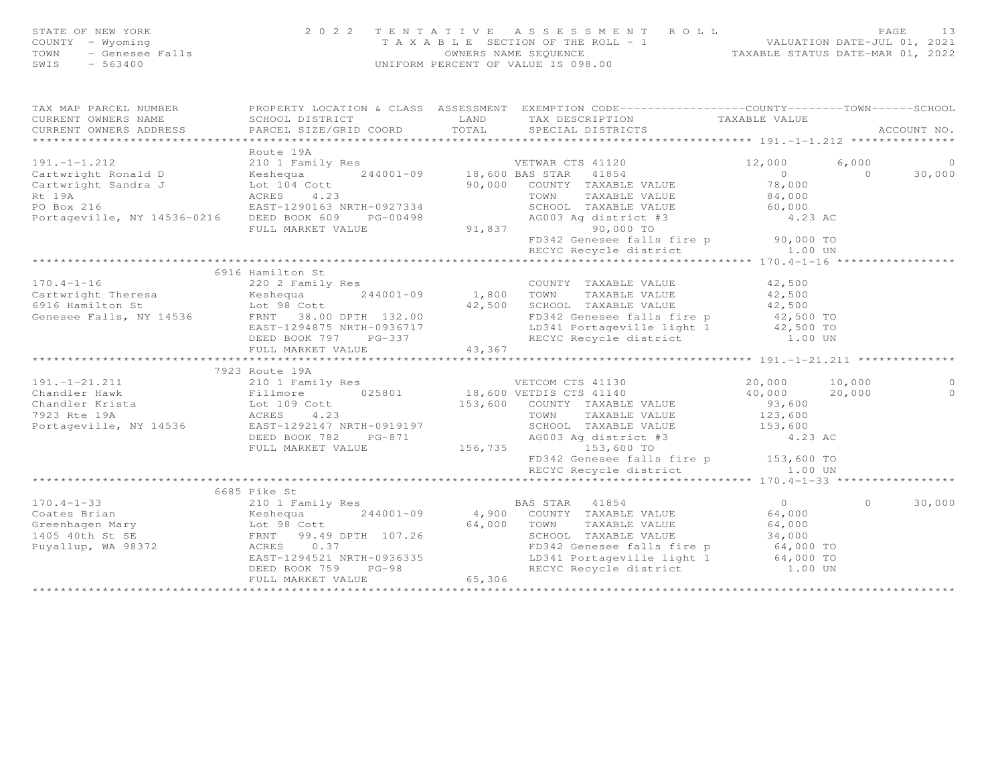| STATE OF NEW YORK<br>COUNTY<br>- Wyoming<br>- Genesee Falls<br>TOWN<br>$-563400$<br>SWIS                                                                                                                                                                                                                                                                                                                                                                                                                               |                                      |        | 2022 TENTATIVE ASSESSMENT ROLL<br>T A X A B L E SECTION OF THE ROLL - 1 VALUATION DATE-JUL 01, 2021<br>OWNERS NAME SEQUENCE TAXABLE STATUS DATE-MAR 01, 2022<br>UNIFORM PERCENT OF VALUE IS 098.00 |              | PAGE | 13             |
|------------------------------------------------------------------------------------------------------------------------------------------------------------------------------------------------------------------------------------------------------------------------------------------------------------------------------------------------------------------------------------------------------------------------------------------------------------------------------------------------------------------------|--------------------------------------|--------|----------------------------------------------------------------------------------------------------------------------------------------------------------------------------------------------------|--------------|------|----------------|
| TAX MAP PARCEL NUMBER                                                                                                                                                                                                                                                                                                                                                                                                                                                                                                  | PROPERTY LOCATION & CLASS ASSESSMENT |        | EXEMPTION CODE-----------------COUNTY-------TOWN------SCHOOL                                                                                                                                       |              |      |                |
| CURRENT OWNERS NAME                                                                                                                                                                                                                                                                                                                                                                                                                                                                                                    | SCHOOL DISTRICT LAND                 |        | TAX DESCRIPTION TAXABLE VALUE                                                                                                                                                                      |              |      |                |
| $\begin{minipage}{.45\textwidth} \begin{minipage}{.45\textwidth} \begin{minipage}{.45\textwidth} \begin{minipage}{.45\textwidth} \begin{minipage}{.45\textwidth} \begin{minipage}{.45\textwidth} \begin{minipage}{.45\textwidth} \begin{minipage}{.45\textwidth} \begin{minipage}{.45\textwidth} \begin{minipage}{.45\textwidth} \begin{minipage}{.45\textwidth} \begin{minipage}{.45\textwidth} \begin{minipage}{.45\textwidth} \begin{minipage}{.45\textwidth} \begin{minipage}{.45\textwidth} \begin{minipage}{.45$ |                                      |        |                                                                                                                                                                                                    |              |      |                |
|                                                                                                                                                                                                                                                                                                                                                                                                                                                                                                                        |                                      |        |                                                                                                                                                                                                    |              |      |                |
|                                                                                                                                                                                                                                                                                                                                                                                                                                                                                                                        | Route 19A                            |        |                                                                                                                                                                                                    |              |      |                |
| 191.-1-1.212 210 1 Family Res VETWAR CTS 41120                                                                                                                                                                                                                                                                                                                                                                                                                                                                         |                                      |        |                                                                                                                                                                                                    | 12,000 6,000 |      | $\overline{0}$ |
| Cartwright Ronald D                                                                                                                                                                                                                                                                                                                                                                                                                                                                                                    |                                      |        |                                                                                                                                                                                                    |              |      | 30,000         |
| Cartwright Sandra J Lot 104 Cott 104 20,000                                                                                                                                                                                                                                                                                                                                                                                                                                                                            |                                      |        | COUNTY TAXABLE VALUE 78,000                                                                                                                                                                        |              |      |                |
| Rt 19A and 23 and 23 and 23 and 23 and 23 and 23 and 23 and 23 and 23 and 23 and 23 and 23 and 23 and 23 and 23 and 23 and 23 and 23 and 23 and 23 and 23 and 23 and 23 and 23 and 23 and 23 and 23 and 23 and 23 and 23 and 2                                                                                                                                                                                                                                                                                         |                                      |        | TAXABLE VALUE<br>TOWN                                                                                                                                                                              | 84,000       |      |                |
| PO Box 216 EAST-1290163 NRTH-0927334                                                                                                                                                                                                                                                                                                                                                                                                                                                                                   |                                      |        | SCHOOL TAXABLE VALUE 60,000                                                                                                                                                                        |              |      |                |
| Portageville, NY 14536-0216                                                                                                                                                                                                                                                                                                                                                                                                                                                                                            | DEED BOOK 609 PG-00498               |        | AG003 Ag district #3 $4.23$ AC                                                                                                                                                                     |              |      |                |
|                                                                                                                                                                                                                                                                                                                                                                                                                                                                                                                        | FULL MARKET VALUE                    | 91,837 | 90,000 TO                                                                                                                                                                                          |              |      |                |
|                                                                                                                                                                                                                                                                                                                                                                                                                                                                                                                        |                                      |        | FD342 Genesee falls fire p 90,000 TO                                                                                                                                                               |              |      |                |
|                                                                                                                                                                                                                                                                                                                                                                                                                                                                                                                        |                                      |        | RECYC Recycle district 1.00 UN                                                                                                                                                                     |              |      |                |
|                                                                                                                                                                                                                                                                                                                                                                                                                                                                                                                        |                                      |        |                                                                                                                                                                                                    |              |      |                |

| 6916 Hamilton St                                                                                                                                  |                                                                                                                                                                                                                    |                     |         |
|---------------------------------------------------------------------------------------------------------------------------------------------------|--------------------------------------------------------------------------------------------------------------------------------------------------------------------------------------------------------------------|---------------------|---------|
| $170.4 - 1 - 16$ 220 2 Family Res                                                                                                                 | COUNTY TAXABLE VALUE 42,500                                                                                                                                                                                        |                     |         |
| Cartwright Theresa<br>Cartwright Theresa<br>6916 Hamilton St<br>Genesee Falls, NY 14536<br>ERST-1294875 NRTH-0936717<br>EAST-1294875 NRTH-0936717 | TOWN TAXABLE VALUE 42,500                                                                                                                                                                                          |                     |         |
|                                                                                                                                                   | SCHOOL TAXABLE VALUE 42,500                                                                                                                                                                                        |                     |         |
|                                                                                                                                                   | FD342 Genesee falls fire p 42,500 TO                                                                                                                                                                               |                     |         |
|                                                                                                                                                   | LD341 Portageville light 1 42,500 TO                                                                                                                                                                               |                     |         |
| DEED BOOK 797 PG-337                                                                                                                              | RECYC Recycle district 1.00 UN                                                                                                                                                                                     |                     |         |
|                                                                                                                                                   |                                                                                                                                                                                                                    |                     |         |
|                                                                                                                                                   |                                                                                                                                                                                                                    |                     |         |
| 7923 Route 19A                                                                                                                                    |                                                                                                                                                                                                                    |                     |         |
|                                                                                                                                                   | 191.-1-21.211 210 1 Family Res VETCOM CTS 41130                                                                                                                                                                    | 20,000 10,000       | $\circ$ |
|                                                                                                                                                   | Chandler Hawk Fillmore<br>Chandler Krista (109 Cott 153,600 VETDIS CTS 41140<br>The Lot 109 Cott 153,600 COUNTY TAXABLE VALUE<br>TOWN TAXABLE VALUE<br>TOWN TAXABLE VALUE                                          | 40,000 20,000       | $\circ$ |
|                                                                                                                                                   |                                                                                                                                                                                                                    | 93,600              |         |
|                                                                                                                                                   | TAXABLE VALUE 123,600                                                                                                                                                                                              |                     |         |
| Portageville, NY 14536 EAST-1292147 NRTH-0919197                                                                                                  | SCHOOL TAXABLE VALUE 153,600                                                                                                                                                                                       |                     |         |
| DEED BOOK 782 PG-871                                                                                                                              | AG003 Ag district #3                                                                                                                                                                                               | 4.23 AC             |         |
|                                                                                                                                                   | FULL MARKET VALUE 156,735 153,600 TO                                                                                                                                                                               |                     |         |
|                                                                                                                                                   | FD342 Genesee falls fire p 153,600 TO                                                                                                                                                                              |                     |         |
|                                                                                                                                                   | RECYC Recycle district 1.00 UN                                                                                                                                                                                     |                     |         |
|                                                                                                                                                   |                                                                                                                                                                                                                    |                     |         |
| 6685 Pike St                                                                                                                                      |                                                                                                                                                                                                                    |                     |         |
|                                                                                                                                                   | $170.4-1-33$ and $210$ 1 Family Res BAS STAR $41854$                                                                                                                                                               | $\circ$<br>$\Omega$ | 30,000  |
|                                                                                                                                                   |                                                                                                                                                                                                                    | 64,000              |         |
|                                                                                                                                                   |                                                                                                                                                                                                                    | 64,000              |         |
|                                                                                                                                                   | SCHOOL TAXABLE VALUE 34,000                                                                                                                                                                                        |                     |         |
|                                                                                                                                                   | Coates Brian<br>Coates Brian<br>Greenhagen Mary Lot 98 Cott<br>1405 40th St SE FRNT 99.49 DPTH 107.26<br>Puyallup, WA 98372 ACRES 0.37<br>ACRES 0.37<br>Puyallup, WA 98372<br>FD342 Genesee falls fire p 64,000 TO |                     |         |
| EAST-1294521 NRTH-0936335                                                                                                                         | LD341 Portageville light 1 64,000 TO                                                                                                                                                                               |                     |         |
| DEED BOOK 759 PG-98                                                                                                                               | RECYC Recycle district 1.00 UN                                                                                                                                                                                     |                     |         |
| FULL MARKET VALUE<br>*******************************                                                                                              | 65,306                                                                                                                                                                                                             |                     |         |
|                                                                                                                                                   | *********************                                                                                                                                                                                              |                     |         |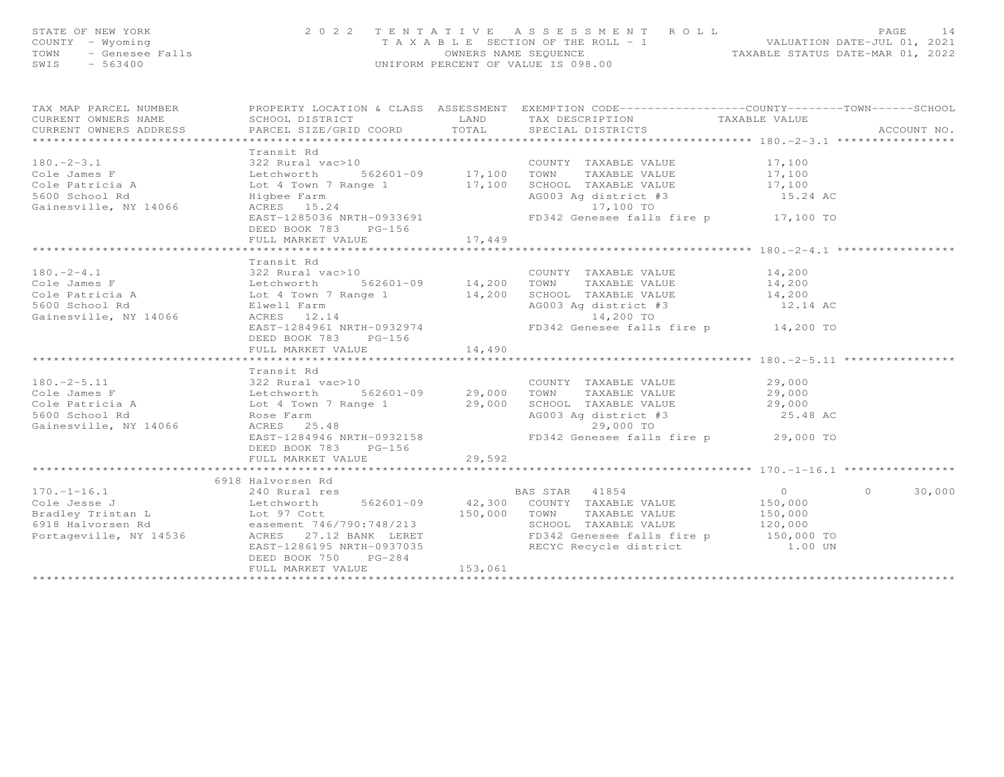| STATE OF NEW YORK<br>COUNTY - Wyoming<br>TOWN<br>SWIS                                                                                                                                                                                                    | OF NEW YORK<br>Y - Wyoming<br>- Genesee Falls<br>- 563400<br>- 563400<br>- 563400 |         | TENTATIVE ASSESSMENT ROLL<br>TAXABLE SECTION OF THE ROLL - 1<br>OWNERS NAME SEQUENCE<br>UNIFORM PERCENT OF VALUE IS 098.00<br>UNIFORM PERCENT OF VALUE IS 098.00 |          |               |
|----------------------------------------------------------------------------------------------------------------------------------------------------------------------------------------------------------------------------------------------------------|-----------------------------------------------------------------------------------|---------|------------------------------------------------------------------------------------------------------------------------------------------------------------------|----------|---------------|
| TAX MAP PARCEL NUMBER FROPERTY LOCATION & CLASS ASSESSMENT EXEMPTION CODE---------------COUNTY-------TOWN------SCHOOL                                                                                                                                    |                                                                                   |         |                                                                                                                                                                  |          | ACCOUNT NO.   |
| 180.-2-3.1<br>Cole James F 322 Rural vac>10<br>Cole Fatricia A Lot 4 Town 7 Range 1<br>S600 School Rd Highee Farm<br>Gainesville, NY 14066 Harts 255036 NRTH-0933691<br>Cole Patricia A Highee Farm<br>Gainesville, NY 14066 ACRES 15.24<br>             | Transit Rd<br>DEED BOOK 783 PG-156<br>FULL MARKET VALUE                           | 17,449  |                                                                                                                                                                  |          |               |
| 180.-2-4.1<br>Cole James F<br>Cole James F<br>Cole Patricia A<br>Sected Batricia A<br>Sected Batricia A<br>Sected Batricia A<br>Sected Batricia A<br>Sected Batricia A<br>Sected Batricia A<br>Sected Batricia A<br>Sected Batricia A<br>Sected Batric   | Transit Rd<br>DEED BOOK 783 PG-156<br>FULL MARKET VALUE                           | 14,490  |                                                                                                                                                                  |          |               |
| 180.-2-5.11<br>Cole James F<br>Cole James F<br>Cole Patricia A<br>Cole Patricia A<br>Cole Patricia A<br>Cole Patricia A<br>Cole Patricia A<br>Cole Patricia A<br>Cole Patricia A<br>Cole Patricia A<br>Cole Patricia A<br>Cole Patricia A<br>Cole Patric | Transit Rd<br>DEED BOOK 783 PG-156<br>FULL MARKET VALUE                           | 29,592  | EAST-1284946 NRTH-0932158 FD342 Genesee falls fire p 29,000 TO                                                                                                   | 25.48 AC |               |
| 3918 Halvorsen Rd<br>3918 Halvorsen Rd<br>3918 Halvorsen External Cole Jesse J<br>3918 Halvorsen External Cole Jesse J<br>3918 Halvorsen Rd<br>3918 Halvorsen Rd<br>3918 Halvorsen Rd<br>3918 Halvorsen Rd<br>3918 Halvorsen Rd<br>3918 Halvorse         | DEED BOOK 750 PG-284<br>FULL MARKET VALUE                                         | 153,061 |                                                                                                                                                                  |          | $0 \t 30,000$ |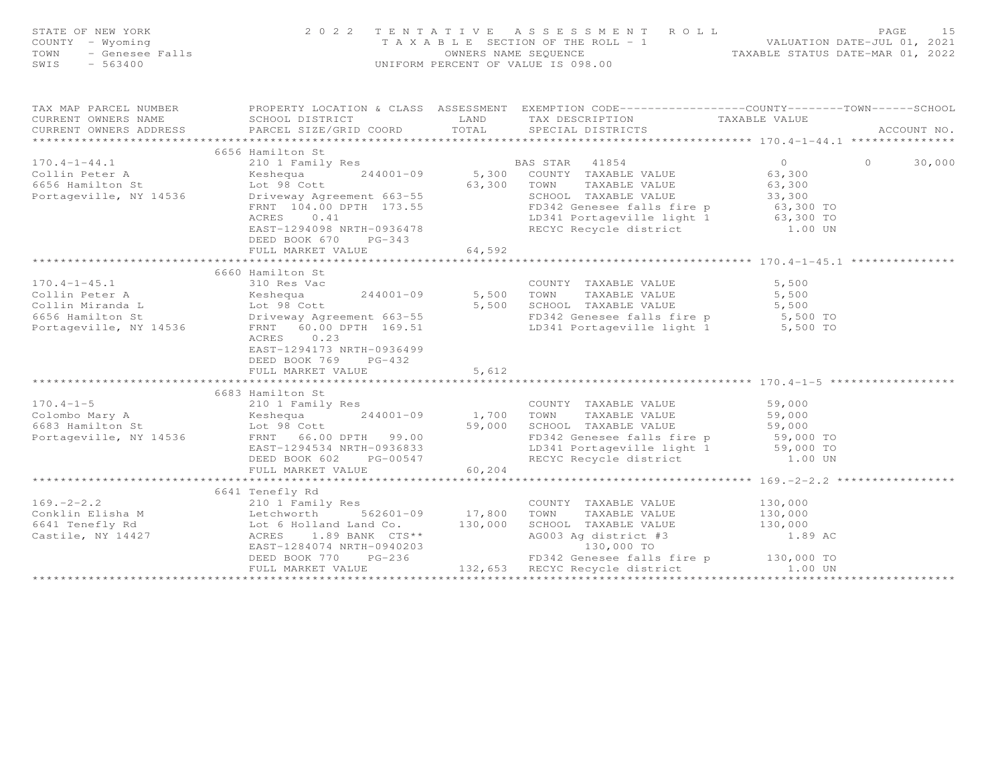|                        |                                                                                                                         | FAGE 15<br>COUNTY - Wyoming and the state of the state of NEW YORK (NOW ONE A SSESSMENT ROLL PAGE 15<br>COUNTY - Wyoming and the section of the ROLL - 1<br>TOWN - Genesee Falls (NOW DRIE-MAR OI, 2022<br>SWIS - 563400                                                    |             |
|------------------------|-------------------------------------------------------------------------------------------------------------------------|-----------------------------------------------------------------------------------------------------------------------------------------------------------------------------------------------------------------------------------------------------------------------------|-------------|
| CURRENT OWNERS ADDRESS |                                                                                                                         | SCHOOL DISTRICT LAND TAX DESCRIPTION TAXABLE VALUE<br>PARCEL SIZE/GRID COORD TOTAL SPECIAL DISTRICTS TAXABLE VALUE                                                                                                                                                          | ACCOUNT NO. |
|                        | 6656 Hamilton St<br>DEED BOOK 670 PG-343<br>FULL MARKET VALUE                                                           | 170.4-1-44.1 (1913) 6656 Hamilton St<br>Collin Peter A (1953) 6656 Hamilton St<br>Example 244001-09 (1953) 63,300 COUNTY TAXABLE VALUE<br>Fortageville, NY 14536 (1953) 58 (1974) 63,300 TOWN TAXABLE VALUE<br>Portageville, NY 14536<br>64,592                             | 30,000      |
| $170.4 - 1 - 45.1$     | 6660 Hamilton St<br>310 Res Vac<br>ACRES 0.23<br>EAST-1294173 NRTH-0936499<br>DEED BOOK 769 PG-432<br>FULL MARKET VALUE | COUNTY TAXABLE VALUE 5,500<br>Collin Peter A<br>Collin Miranda L Mes vac 244001-09 5,500 TOWN TAXABLE VALUE 5,500<br>Collin Miranda L Lot 98 Cott 5,500 SCHOOL TAXABLE VALUE 5,500<br>Fortageville, NY 14536 FRNT 60.00 DPTH 169.51 LD341 Portageville light 1 5,5<br>5,612 |             |
|                        |                                                                                                                         |                                                                                                                                                                                                                                                                             |             |
|                        | 6641 Tenefly Rd                                                                                                         | 169.-2-2.2<br>Countin Elisha M<br>Countin Elisha M<br>Elisha M<br>Elisha M<br>Countin Elisha M<br>Lechworth 562601-09<br>Lechworth 562601-09<br>Lechworth 562601-09<br>17,800 TOWN TAXABLE VALUE<br>TAXABLE VALUE<br>TAXABLE VALUE<br>TAXABLE VALUE<br>1                    |             |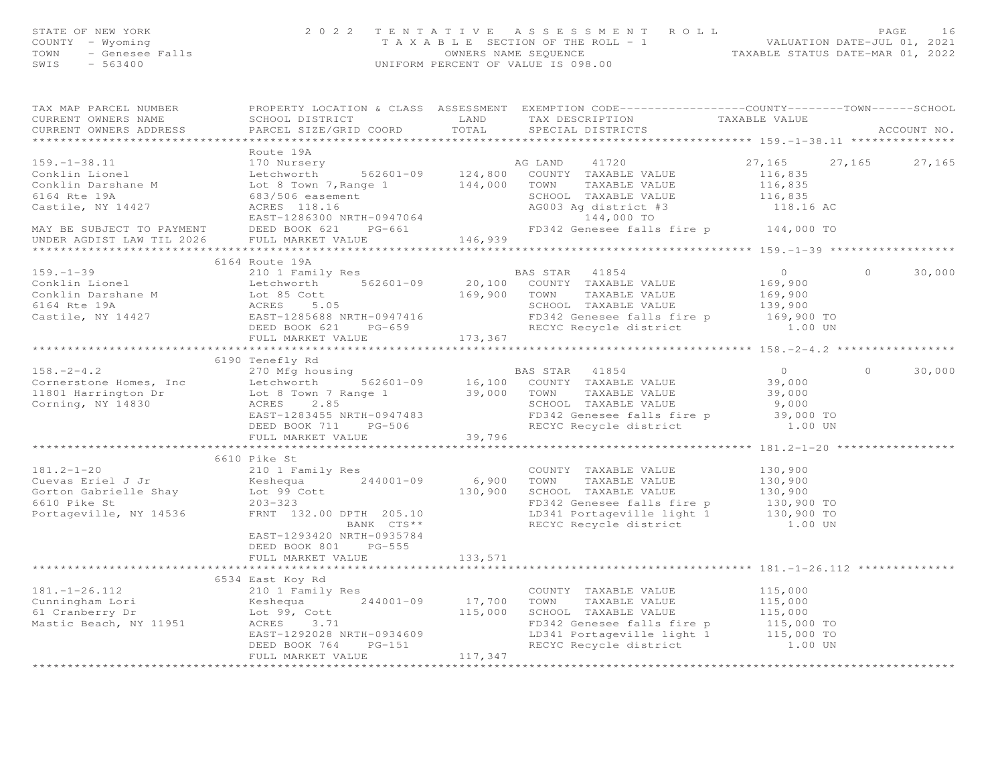| STATE OF NEW YORK<br>COUNTY - Wyoming<br>TOWN - Genesee Falls<br>SWIS - 563400                                                                                                                                                                                                                                                                                                                                                                                                                                |                                                                                |                                           | 2 0 2 2 TENTATIVE ASSESSMENT ROLL PAGE 16<br>TAXABLE SECTION OF THE ROLL - 1<br>OWNERS NAME SEQUENCE TAXABLE STATUS DATE-MAR 01, 2022<br>UNIFORM PERCENT OF VALUE IS 098.00 |                   |               |
|---------------------------------------------------------------------------------------------------------------------------------------------------------------------------------------------------------------------------------------------------------------------------------------------------------------------------------------------------------------------------------------------------------------------------------------------------------------------------------------------------------------|--------------------------------------------------------------------------------|-------------------------------------------|-----------------------------------------------------------------------------------------------------------------------------------------------------------------------------|-------------------|---------------|
| TAX MAP PARCEL NUMBER FROPERTY LOCATION & CLASS ASSESSMENT EXEMPTION CODE----------------COUNTY-------TOWN------SCHOOL<br>CURRENT OWNERS NAME SCHOOL DISTRICT LAND TAX DESCRIPTION TAXABLE VALUE CURRENT OWNERS ADDRESS PARCEL SIZE/GRID COORD TOTAL SPECIAL DISTRICTS                                                                                                                                                                                                                                        |                                                                                |                                           |                                                                                                                                                                             |                   | ACCOUNT NO.   |
|                                                                                                                                                                                                                                                                                                                                                                                                                                                                                                               | Route 19A                                                                      |                                           |                                                                                                                                                                             |                   |               |
|                                                                                                                                                                                                                                                                                                                                                                                                                                                                                                               |                                                                                |                                           |                                                                                                                                                                             |                   |               |
|                                                                                                                                                                                                                                                                                                                                                                                                                                                                                                               |                                                                                |                                           |                                                                                                                                                                             |                   |               |
|                                                                                                                                                                                                                                                                                                                                                                                                                                                                                                               |                                                                                |                                           |                                                                                                                                                                             | $0 \qquad \qquad$ | 30,000        |
| $\begin{tabular}{lllllllllllllllllll} \multicolumn{3}{c }{\begin{tabular}{l} \multicolumn{3}{c}{\begin{tabular}{l} \multicolumn{3}{c}{\begin{tabular}{l} \multicolumn{3}{c}{\begin{tabular}{l} \multicolumn{3}{c}{\begin{tabular}{l} \multicolumn{3}{c}{\begin{tabular}{l} \multicolumn{3}{c}{\begin{tabular}{l} \multicolumn{3}{c}{\begin{tabular}{l} \multicolumn{3}{c}{\begin{tabular}{l} \multicolumn{3}{c}{\begin{tabular}{l} \multicolumn{3}{c}{\begin{tabular}{l} \multicolumn{3}{c}{\begin{tabular}{$ |                                                                                |                                           |                                                                                                                                                                             |                   |               |
|                                                                                                                                                                                                                                                                                                                                                                                                                                                                                                               |                                                                                |                                           |                                                                                                                                                                             |                   |               |
| $\begin{array}{ccccccccc} 6190 & Tenefly Rd & & & & & & & & 6190 & Tenefly Rd & & & & & & & & & 6190 & Tenefly Rd & & & & & & & & & 6190 & Tenefly Rd & & & & & & & & & 6190 & Tenefly Rd & & & & & & & & & 6190 & Tenefly Rd & & & & & & & & & 6190 & Tenefly Rd & & & & & & & & 652601-09 & & & 16,100 & COUNTY TAXABLE VALUE & & & & & 39,000 & & & & & & & 39,000 & & & & & & 39,000 & & & & & &$                                                                                                         | 6190 Tenefly Rd                                                                |                                           |                                                                                                                                                                             |                   | $0 \t 30,000$ |
|                                                                                                                                                                                                                                                                                                                                                                                                                                                                                                               |                                                                                |                                           |                                                                                                                                                                             |                   |               |
| 181.2-1-20<br>Cuevas Eriel J Jr<br>Cuevas Eriel J Jr<br>Cuevas Eriel J Jr<br>Counto Gabrielle Shay<br>Cuevas Eriel J Jr<br>Counto Meshequa 244001-09<br>County TAXABLE VALUE<br>COUNTY TAXABLE VALUE<br>COUNTY TAXABLE VALUE<br>COUNTY TAXABLE VAL                                                                                                                                                                                                                                                            | 6610 Pike St                                                                   |                                           |                                                                                                                                                                             |                   |               |
|                                                                                                                                                                                                                                                                                                                                                                                                                                                                                                               | EAST-1293420 NRTH-0935784<br>DEED BOOK 801 PG-555<br>FULL MARKET VALUE 133,571 |                                           |                                                                                                                                                                             |                   |               |
|                                                                                                                                                                                                                                                                                                                                                                                                                                                                                                               | 6534 East Koy Rd                                                               |                                           |                                                                                                                                                                             |                   |               |
| 181.-1-26.112<br>Cunningham Lori 210 115,000<br>2100 17,700 TOWN TAXABLE VALUE 115,000<br>244001-09 17,700 TOWN TAXABLE VALUE 115,000<br>244001-09 17,700 TOWN TAXABLE VALUE 115,000<br>244001-09 17,700 TOWN TAXABLE VALUE 115,000<br>244                                                                                                                                                                                                                                                                    |                                                                                |                                           |                                                                                                                                                                             |                   |               |
|                                                                                                                                                                                                                                                                                                                                                                                                                                                                                                               |                                                                                | $\sim$ $\sim$ $\sim$ $\sim$ $\sim$ $\sim$ |                                                                                                                                                                             |                   |               |

FULL MARKET VALUE 117,347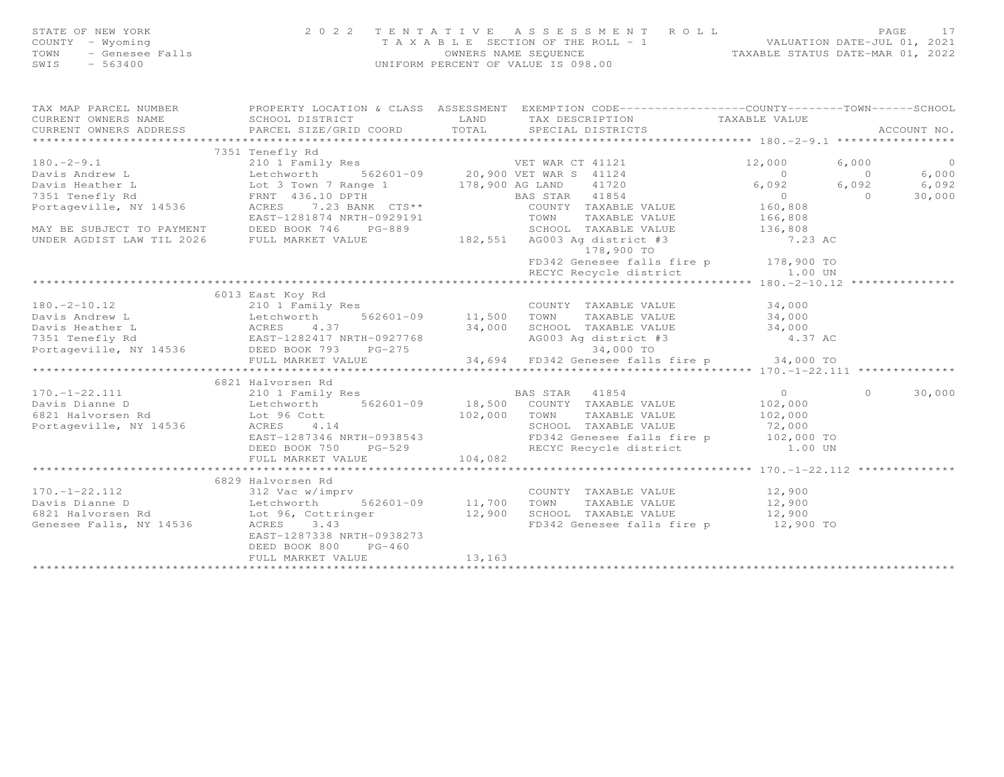| STATE OF NEW YORK                     | 2022 TENTATIVE ASSESSMENT ROLL        |                      |  |                                  | PAGE |  |
|---------------------------------------|---------------------------------------|----------------------|--|----------------------------------|------|--|
| COUNTY – Wyoming                      | T A X A B L E SECTION OF THE ROLL - 1 |                      |  | VALUATION DATE-JUL 01, 2021      |      |  |
| TOWN - Genesee Falls<br>SWIS - 563400 | UNIFORM PERCENT OF VALUE IS 098.00    | OWNERS NAME SEQUENCE |  | TAXABLE STATUS DATE-MAR 01, 2022 |      |  |
|                                       |                                       |                      |  |                                  |      |  |

| TAX MAP PARCEL NUMBER<br>CURRENT OWNERS NAME<br>CURRENT OWNERS ADDRESS                                                                                                                                                                                                                                             |                           |         | PROPERTY LOCATION & CLASS ASSESSMENT EXEMPTION CODE----------------COUNTY-------TOWN------SCHOOL |  |                |
|--------------------------------------------------------------------------------------------------------------------------------------------------------------------------------------------------------------------------------------------------------------------------------------------------------------------|---------------------------|---------|--------------------------------------------------------------------------------------------------|--|----------------|
|                                                                                                                                                                                                                                                                                                                    | 7351 Tenefly Rd           |         |                                                                                                  |  |                |
|                                                                                                                                                                                                                                                                                                                    |                           |         |                                                                                                  |  | $\overline{0}$ |
|                                                                                                                                                                                                                                                                                                                    |                           |         |                                                                                                  |  | 6,000          |
|                                                                                                                                                                                                                                                                                                                    |                           |         |                                                                                                  |  | 6,092          |
|                                                                                                                                                                                                                                                                                                                    |                           |         |                                                                                                  |  | 30,000         |
|                                                                                                                                                                                                                                                                                                                    |                           |         |                                                                                                  |  |                |
|                                                                                                                                                                                                                                                                                                                    |                           |         |                                                                                                  |  |                |
|                                                                                                                                                                                                                                                                                                                    |                           |         |                                                                                                  |  |                |
|                                                                                                                                                                                                                                                                                                                    |                           |         |                                                                                                  |  |                |
|                                                                                                                                                                                                                                                                                                                    |                           |         |                                                                                                  |  |                |
|                                                                                                                                                                                                                                                                                                                    |                           |         | FD342 Genesee falls fire p 178,900 TO                                                            |  |                |
|                                                                                                                                                                                                                                                                                                                    |                           |         |                                                                                                  |  |                |
|                                                                                                                                                                                                                                                                                                                    |                           |         |                                                                                                  |  |                |
|                                                                                                                                                                                                                                                                                                                    | 6013 East Koy Rd          |         |                                                                                                  |  |                |
|                                                                                                                                                                                                                                                                                                                    |                           |         |                                                                                                  |  |                |
|                                                                                                                                                                                                                                                                                                                    |                           |         |                                                                                                  |  |                |
|                                                                                                                                                                                                                                                                                                                    |                           |         |                                                                                                  |  |                |
|                                                                                                                                                                                                                                                                                                                    |                           |         |                                                                                                  |  |                |
|                                                                                                                                                                                                                                                                                                                    |                           |         |                                                                                                  |  |                |
|                                                                                                                                                                                                                                                                                                                    |                           |         |                                                                                                  |  |                |
|                                                                                                                                                                                                                                                                                                                    |                           |         |                                                                                                  |  |                |
| $\begin{tabular}{lllllllllll} 170.-1-22.111 & 6821\;Halvorsen\;Rd & 210\;I\;Family\;Res & BAS\;STAR & 41854 & 0 & 0 & 30,000\\ 170.-1-22.111 & 210\;I\;Family\;Res & 162601-09 & 18,500\;COUNTY\; TAXABLE\;VALUE & 102,000\\ 6821\;Halvorsen\;Rd & \text{LoC} & 102,000 & 80,000\\ 6821\;Halvorsen\;Rd & \text{Lo$ | 6821 Halvorsen Rd         |         |                                                                                                  |  |                |
|                                                                                                                                                                                                                                                                                                                    |                           |         |                                                                                                  |  |                |
|                                                                                                                                                                                                                                                                                                                    |                           |         |                                                                                                  |  |                |
|                                                                                                                                                                                                                                                                                                                    |                           |         |                                                                                                  |  |                |
|                                                                                                                                                                                                                                                                                                                    |                           |         |                                                                                                  |  |                |
|                                                                                                                                                                                                                                                                                                                    |                           |         |                                                                                                  |  |                |
|                                                                                                                                                                                                                                                                                                                    |                           |         |                                                                                                  |  |                |
|                                                                                                                                                                                                                                                                                                                    |                           |         |                                                                                                  |  |                |
|                                                                                                                                                                                                                                                                                                                    | 6829 Halvorsen Rd         |         |                                                                                                  |  |                |
|                                                                                                                                                                                                                                                                                                                    |                           |         |                                                                                                  |  |                |
| 170.-1-22.112<br>Davis Dianne D<br>Davis Dianne D<br>Signal Countration COUNTY TAXABLE VALUE<br>Signal Countration COUNTY TAXABLE VALUE<br>Signal COUNTY TAXABLE VALUE<br>COUNTY TAXABLE VALUE<br>TAXABLE VALUE<br>TAXABLE VALUE<br>TAXABLE VALU                                                                   |                           |         |                                                                                                  |  |                |
|                                                                                                                                                                                                                                                                                                                    |                           |         |                                                                                                  |  |                |
|                                                                                                                                                                                                                                                                                                                    |                           |         | FD342 Genesee falls fire p 12,900 TO                                                             |  |                |
|                                                                                                                                                                                                                                                                                                                    | EAST-1287338 NRTH-0938273 |         |                                                                                                  |  |                |
|                                                                                                                                                                                                                                                                                                                    | DEED BOOK 800 PG-460      |         |                                                                                                  |  |                |
|                                                                                                                                                                                                                                                                                                                    | FULL MARKET VALUE         | 13, 163 |                                                                                                  |  |                |
|                                                                                                                                                                                                                                                                                                                    |                           |         |                                                                                                  |  |                |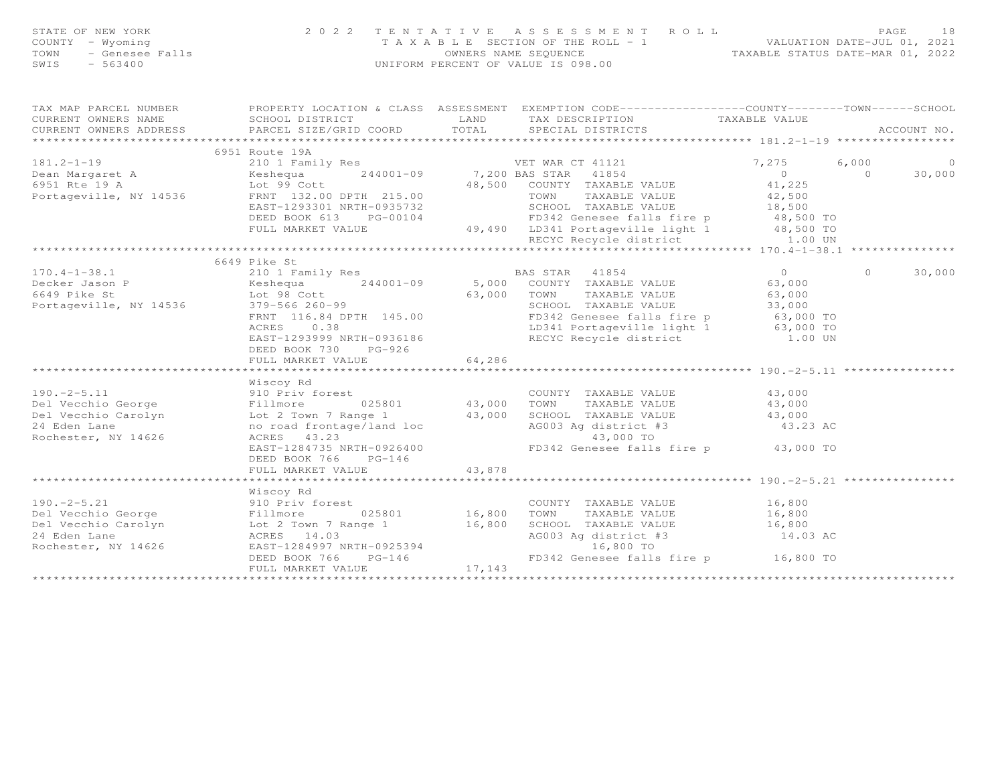| STATE OF NEW YORK<br>COUNTY - Wyoming<br>TOWN - Genesee Falls<br>CWIR - 563400 | 2022 TENTATIVE                            | A S S E S S M E N T R O L L<br>PAGE 18<br>TAXABLE SECTION OF THE ROLL - 1<br>OWNERS NAME SEQUENCE THE ROLL - 1<br>UNIFORM PERCENT OF VALUE IS 098.00                                                                                                                                                                                                                                                                                            |                                            | PAGE<br>18           |
|--------------------------------------------------------------------------------|-------------------------------------------|-------------------------------------------------------------------------------------------------------------------------------------------------------------------------------------------------------------------------------------------------------------------------------------------------------------------------------------------------------------------------------------------------------------------------------------------------|--------------------------------------------|----------------------|
|                                                                                |                                           |                                                                                                                                                                                                                                                                                                                                                                                                                                                 |                                            |                      |
|                                                                                | 6951 Route 19A                            |                                                                                                                                                                                                                                                                                                                                                                                                                                                 |                                            |                      |
|                                                                                |                                           |                                                                                                                                                                                                                                                                                                                                                                                                                                                 |                                            |                      |
|                                                                                |                                           |                                                                                                                                                                                                                                                                                                                                                                                                                                                 |                                            |                      |
|                                                                                |                                           |                                                                                                                                                                                                                                                                                                                                                                                                                                                 |                                            |                      |
|                                                                                | 6649 Pike St                              |                                                                                                                                                                                                                                                                                                                                                                                                                                                 |                                            |                      |
|                                                                                | DEED BOOK 730 PG-926<br>FULL MARKET VALUE | 64,286                                                                                                                                                                                                                                                                                                                                                                                                                                          |                                            | 30,000<br>$\bigcirc$ |
|                                                                                |                                           |                                                                                                                                                                                                                                                                                                                                                                                                                                                 |                                            |                      |
| Rochester, NY 14626                                                            | Wiscoy Rd<br>DEED BOOK 766 PG-146         | 190.-2-5.11 MISCOY KQ<br>Pel Vecchio George Fillmore 025801 43,000 TOWN TAXABLE VALUE 43,000<br>Pel Vecchio Carolyn Lot 2 Town 7 Range 1 43,000 SCHOOL TAXABLE VALUE 43,000<br>24 Eden Lane no road frontage/land loc AG003 Ag distr<br>ACRES 43.23 43,000 IO<br>EAST-1284735 NRTH-0926400 FD342 Genesee falls fire p 43,000 TO                                                                                                                 | AG003 Ag district #3<br>43,000 TO 43.23 AC |                      |
|                                                                                | FULL MARKET VALUE                         | 43,878                                                                                                                                                                                                                                                                                                                                                                                                                                          |                                            |                      |
|                                                                                | Wiscoy Rd                                 |                                                                                                                                                                                                                                                                                                                                                                                                                                                 |                                            |                      |
|                                                                                |                                           | $\begin{tabular}{lllllllllllllllllll} \hline 190.-2-5.21 & \text{Wiscoy Rd} & \text{COUNTY} & \text{TAXABLE VALUE} & 16,800 \\ \hline \text{Del Vecchio George} & \text{Fillmore} & \text{D25801} & 16,800 & \text{TOWN} & \text{TAXABLE VALUE} & 16,800 \\ \text{Del Vecchio Carolyn} & \text{Lot 2 Town 7 Range 1} & 16,800 & \text{SCHOOL TAXABLE VALUE} & 16,800 \\ \text{24 Eden Lane} & \text{ACRES} & 14.03 & \text{ACRES} & 14.03 \\ \$ |                                            |                      |
|                                                                                |                                           |                                                                                                                                                                                                                                                                                                                                                                                                                                                 |                                            |                      |
|                                                                                |                                           |                                                                                                                                                                                                                                                                                                                                                                                                                                                 |                                            |                      |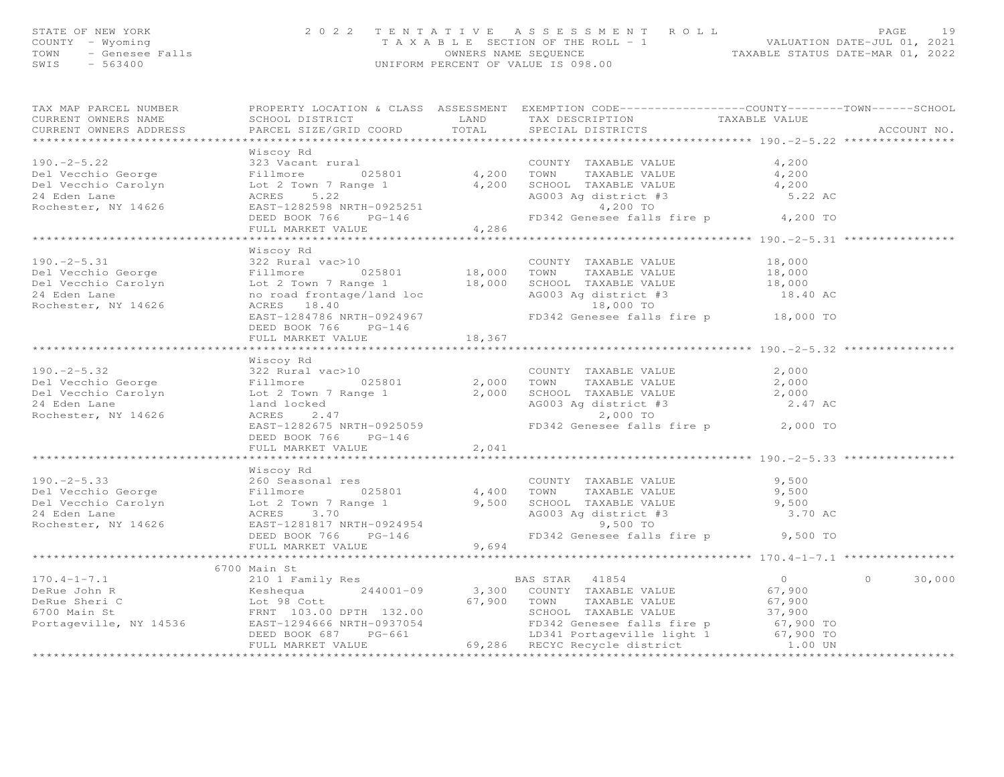| STATE OF NEW YORK<br>COUNTY - Wyoming<br>TOWN - Genesee Falls<br>SWIS<br>$-563400$ |                                      |       | 2022 TENTATIVE ASSESSMENT ROLL<br>UNIFORM PERCENT OF VALUE IS 098.00 | T A X A B L E SECTION OF THE ROLL - 1 WALUATION DATE-JUL 01, 2021<br>OWNERS NAME SEQUENCE TAXABLE STATUS DATE-MAR 01, 2022 | 19<br>PAGE  |
|------------------------------------------------------------------------------------|--------------------------------------|-------|----------------------------------------------------------------------|----------------------------------------------------------------------------------------------------------------------------|-------------|
| TAX MAP PARCEL NUMBER                                                              | PROPERTY LOCATION & CLASS ASSESSMENT |       |                                                                      | EXEMPTION CODE-----------------COUNTY-------TOWN------SCHOOL                                                               |             |
| CURRENT OWNERS NAME SCHOOL DISTRICT SOURCES LAND                                   |                                      |       |                                                                      | TAX DESCRIPTION TAXABLE VALUE                                                                                              |             |
| CURRENT OWNERS ADDRESS 6 PARCEL SIZE/GRID COORD 6 TOTAL 6 SPECIAL DISTRICTS        |                                      |       |                                                                      |                                                                                                                            | ACCOUNT NO. |
|                                                                                    |                                      |       |                                                                      |                                                                                                                            |             |
|                                                                                    | Wiscoy Rd                            |       |                                                                      |                                                                                                                            |             |
| $190 - 2 - 5.22$ 323 Vacant rural                                                  |                                      |       | COUNTY<br>TAXABLE VALUE                                              | 4,200                                                                                                                      |             |
|                                                                                    |                                      | 4,200 | TAXABLE VALUE<br>TOWN                                                | 4,200                                                                                                                      |             |
| Del Vecchio Carolyn                                                                | Lot 2 Town 7 Range 1                 | 4,200 | SCHOOL TAXABLE VALUE                                                 | 4,200                                                                                                                      |             |

| 24 Eden Lane<br>24 Eden Lane<br>24 Eden Lane<br>24 Eden Lane<br>24 Eden Lane<br>24 Eden Lane<br>24 Eden Lane<br>24 Eden Lane<br>24 Eden Lane<br>24 Eden Lane<br>24 Eden Lane<br>24 Eden Lane<br>24 Eden Lane<br>24 Eden Lane<br>24 EAST-1282598 NRTH-09252                  |  |        |
|-----------------------------------------------------------------------------------------------------------------------------------------------------------------------------------------------------------------------------------------------------------------------------|--|--------|
|                                                                                                                                                                                                                                                                             |  |        |
|                                                                                                                                                                                                                                                                             |  |        |
|                                                                                                                                                                                                                                                                             |  |        |
|                                                                                                                                                                                                                                                                             |  |        |
| Wiscoy Rd                                                                                                                                                                                                                                                                   |  |        |
| 190.-2-5.31<br>322 Rural vac>10<br>25801 18,000 TOWN TAXABLE VALUE 18,000 18,000 EDEL Vecchio George Fillmore 025801                                                                                                                                                        |  |        |
|                                                                                                                                                                                                                                                                             |  |        |
|                                                                                                                                                                                                                                                                             |  |        |
|                                                                                                                                                                                                                                                                             |  |        |
| Del Vecchio Carolyn (18,000 ECHOL TAXABLE VALUE 18,000 ECHOL TAXABLE VALUE 18,000 ECHOL 18,000 ECHOL 18,000 ECHOL 18,000 ECHOL 18,000 ECHOL 18,000 ECHOL 18,000 ECHOL 18,000 ECHOL 18.40 AC<br>24 Eden Lane 18.40 AC 18.40 AC 18                                            |  |        |
|                                                                                                                                                                                                                                                                             |  |        |
| DEED BOOK 766 PG-146                                                                                                                                                                                                                                                        |  |        |
| FULL MARKET VALUE 18,367                                                                                                                                                                                                                                                    |  |        |
|                                                                                                                                                                                                                                                                             |  |        |
| Wiscoy Rd                                                                                                                                                                                                                                                                   |  |        |
|                                                                                                                                                                                                                                                                             |  |        |
|                                                                                                                                                                                                                                                                             |  |        |
|                                                                                                                                                                                                                                                                             |  |        |
|                                                                                                                                                                                                                                                                             |  |        |
|                                                                                                                                                                                                                                                                             |  |        |
|                                                                                                                                                                                                                                                                             |  |        |
|                                                                                                                                                                                                                                                                             |  |        |
| FULL MARKET VALUE 2,041                                                                                                                                                                                                                                                     |  |        |
|                                                                                                                                                                                                                                                                             |  |        |
| Wiscoy Rd                                                                                                                                                                                                                                                                   |  |        |
| 9,500 MHz Wiscoy Ku (2-5.33 MHz VALUE)<br>24 Eden Lane (25801 MHz 1200 MHz 1200 MHz 1200 MHz 1200 MHz 1200 MHz 1200 MHz 1200 MHz 9,500<br>24 Eden Lane (25801 MHz 1200 MHz 1200 MHz 1200 MHz 1200 MHz 1200 MHz 1200 MHz 14626 MCRE                                          |  |        |
|                                                                                                                                                                                                                                                                             |  |        |
|                                                                                                                                                                                                                                                                             |  |        |
|                                                                                                                                                                                                                                                                             |  |        |
|                                                                                                                                                                                                                                                                             |  |        |
|                                                                                                                                                                                                                                                                             |  |        |
|                                                                                                                                                                                                                                                                             |  |        |
|                                                                                                                                                                                                                                                                             |  |        |
| 6700 Main St                                                                                                                                                                                                                                                                |  |        |
|                                                                                                                                                                                                                                                                             |  | 30,000 |
|                                                                                                                                                                                                                                                                             |  |        |
|                                                                                                                                                                                                                                                                             |  |        |
|                                                                                                                                                                                                                                                                             |  |        |
|                                                                                                                                                                                                                                                                             |  |        |
|                                                                                                                                                                                                                                                                             |  |        |
|                                                                                                                                                                                                                                                                             |  |        |
| $\begin{tabular}{lllllllllllll} 170.4-1-7.1 & 67000\, {\rm{min\,\, N}} & 210\ 1\ & 210\ 1\ & 210\ 1\ & 210\ 1\ & 210\ 1\ & 210\ 1\ & 210\ 1\ & 210\ 1\ & 210\ 1\ & 210\ 1\ & 210\ 1\ & 210\ 1\ & 210\ 1\ & 210\ 1\ & 210\ 1\ & 210\ 1\ & 210\ 1\ & 210\ 1\ & 210\ 1\ & 210$ |  |        |
|                                                                                                                                                                                                                                                                             |  |        |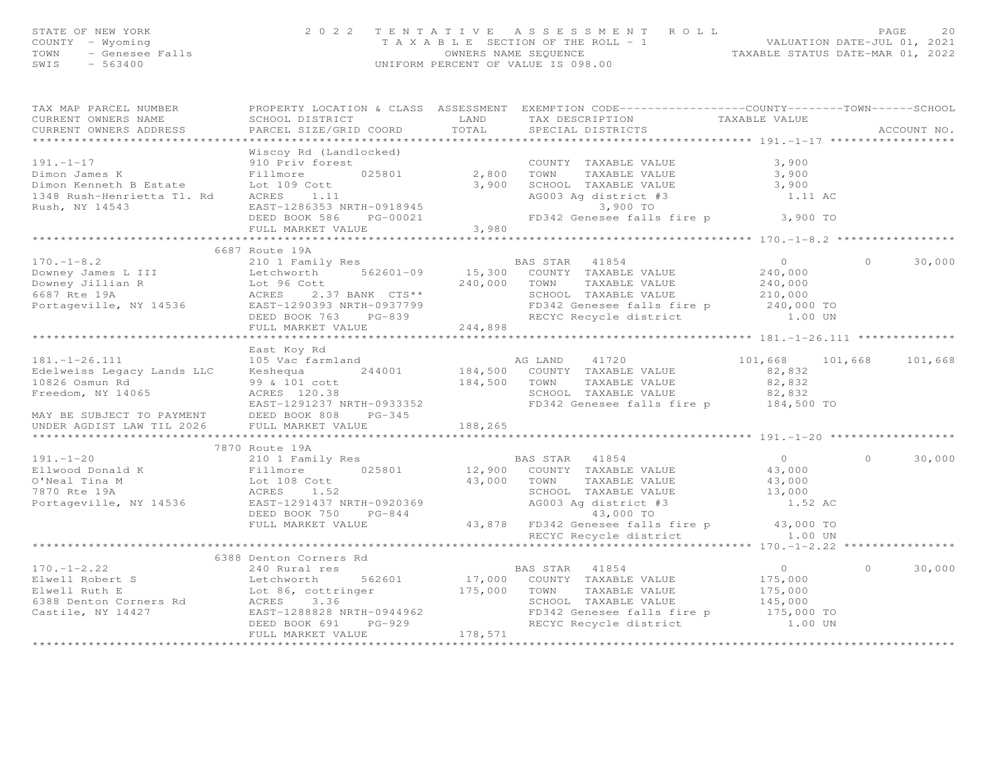| STATE OF NEW YORK<br>COUNTY - Wyoming<br>TOWN<br>SWIS<br>$-563400$                                                                                                                                                                                           |                        |            | F NEW YORK (2022 TENTATIVE ASSESSMENT ROLL PAGE 20<br>- Wyoming (2022 TENTATIVE ASSESSMENT ROLL -1 VALUATION DATE-JUL 01, 2021<br>- Genesee Falls (WHERS NAME SEQUENCE TAXABLE STATUS DATE-MAR 01, 2022<br>- 563400 UNIFORM PERCENT |                         |            |             |
|--------------------------------------------------------------------------------------------------------------------------------------------------------------------------------------------------------------------------------------------------------------|------------------------|------------|-------------------------------------------------------------------------------------------------------------------------------------------------------------------------------------------------------------------------------------|-------------------------|------------|-------------|
| TAX MAP PARCEL NUMBER<br>CURRENT OWNERS NAME                                                                                                                                                                                                                 | SCHOOL DISTRICT        |            | PROPERTY LOCATION & CLASS ASSESSMENT EXEMPTION CODE-----------------COUNTY-------TOWN------SCHOOL<br>LAND TAX DESCRIPTION TAXABLE VALUE<br>TOTAL SPECIAL DISTRICTS TAXABLE VALUE                                                    |                         |            |             |
| CURRENT OWNERS ADDRESS                                                                                                                                                                                                                                       | PARCEL SIZE/GRID COORD |            |                                                                                                                                                                                                                                     |                         |            | ACCOUNT NO. |
|                                                                                                                                                                                                                                                              |                        |            |                                                                                                                                                                                                                                     |                         |            |             |
| COUNTY<br>Dimon James K<br>Dimon Kenneth B Estate<br>Dimon Kenneth B Estate<br>Lot 109 Cott<br>1348 Rush-Henrietta T1. Rd<br>Rush, NY 14543<br>EAST-1286353                                                                                                  |                        |            |                                                                                                                                                                                                                                     |                         |            |             |
|                                                                                                                                                                                                                                                              |                        |            | COUNTY TAXABLE VALUE                                                                                                                                                                                                                | 3,900<br>3,900          |            |             |
|                                                                                                                                                                                                                                                              |                        |            | TAXABLE VALUE                                                                                                                                                                                                                       | 3,900                   |            |             |
|                                                                                                                                                                                                                                                              |                        |            | 3,900 SCHOOL TAXABLE VALUE<br>AG003 Ag district #3                                                                                                                                                                                  | 1.11 AC                 |            |             |
|                                                                                                                                                                                                                                                              |                        |            | $3,900$ TO                                                                                                                                                                                                                          |                         |            |             |
| Rush, NY 14543                                                                                                                                                                                                                                               |                        |            | FD342 Genesee falls fire p 3,900 TO                                                                                                                                                                                                 |                         |            |             |
|                                                                                                                                                                                                                                                              |                        | 3,980      |                                                                                                                                                                                                                                     |                         |            |             |
|                                                                                                                                                                                                                                                              |                        |            |                                                                                                                                                                                                                                     |                         |            |             |
|                                                                                                                                                                                                                                                              | 6687 Route 19A         |            |                                                                                                                                                                                                                                     |                         |            |             |
|                                                                                                                                                                                                                                                              |                        |            |                                                                                                                                                                                                                                     |                         | $\Omega$   | 30,000      |
|                                                                                                                                                                                                                                                              |                        |            |                                                                                                                                                                                                                                     |                         |            |             |
|                                                                                                                                                                                                                                                              |                        |            |                                                                                                                                                                                                                                     |                         |            |             |
|                                                                                                                                                                                                                                                              |                        |            |                                                                                                                                                                                                                                     |                         |            |             |
|                                                                                                                                                                                                                                                              |                        |            |                                                                                                                                                                                                                                     |                         |            |             |
| 170.-1-8.2<br>Downey James L III Letchworth 562601-09 15,300 COUNTY TAXABLE VALUE<br>Downey Jillian R Lot 96 Cott<br>6687 Rte 19A aCRES 2.37 BANK CTS** SCHOOL TAXABLE VALUE<br>Portageville, NY 14536 EAST-1290393 NRTH-0937799 DEED                        | FULL MARKET VALUE      | 244,898    |                                                                                                                                                                                                                                     |                         |            |             |
|                                                                                                                                                                                                                                                              |                        |            |                                                                                                                                                                                                                                     |                         |            |             |
|                                                                                                                                                                                                                                                              | East Koy Rd            |            |                                                                                                                                                                                                                                     |                         |            |             |
|                                                                                                                                                                                                                                                              |                        |            |                                                                                                                                                                                                                                     | 101,668 101,668 101,668 |            |             |
|                                                                                                                                                                                                                                                              |                        |            |                                                                                                                                                                                                                                     | 82,832                  |            |             |
|                                                                                                                                                                                                                                                              |                        |            |                                                                                                                                                                                                                                     | 82,832                  |            |             |
|                                                                                                                                                                                                                                                              |                        |            |                                                                                                                                                                                                                                     | 82,832<br>184,500 TO    |            |             |
| 181.-1-26.111 and Edelweiss Legacy Lands LLC Reshequa 244001 and agency and the set of the set of the set of the set of the set of the set of the set of the set of the set of the set of the set of the set of the set of the                               |                        |            |                                                                                                                                                                                                                                     |                         |            |             |
| MAY BE SUBJECT TO PAYMENT                                                                                                                                                                                                                                    | DEED BOOK 808 PG-345   |            |                                                                                                                                                                                                                                     |                         |            |             |
| UNDER AGDIST LAW TIL 2026                                                                                                                                                                                                                                    | FULL MARKET VALUE      | 188,265    |                                                                                                                                                                                                                                     |                         |            |             |
|                                                                                                                                                                                                                                                              | 7870 Route 19A         |            |                                                                                                                                                                                                                                     |                         |            |             |
| 191.-1-20<br>210 1 Family Res<br>210 1 Family Res<br>210 1 Family Res<br>210 1 Family Res<br>210 1 Family Res<br>210 1 Family Res<br>212,900 COUNTY TAXABLE VALUE<br>22,900 COUNTY TAXABLE VALUE<br>22,900 COUNTY TAXABLE VALUE<br>22,900 COUNTY T           |                        |            |                                                                                                                                                                                                                                     |                         | $\bigcirc$ | 30,000      |
|                                                                                                                                                                                                                                                              |                        |            |                                                                                                                                                                                                                                     |                         |            |             |
|                                                                                                                                                                                                                                                              |                        |            |                                                                                                                                                                                                                                     |                         |            |             |
|                                                                                                                                                                                                                                                              |                        |            |                                                                                                                                                                                                                                     |                         |            |             |
|                                                                                                                                                                                                                                                              |                        |            |                                                                                                                                                                                                                                     |                         |            |             |
|                                                                                                                                                                                                                                                              |                        |            |                                                                                                                                                                                                                                     |                         |            |             |
|                                                                                                                                                                                                                                                              | FULL MARKET VALUE      |            |                                                                                                                                                                                                                                     | 43,000 TO               |            |             |
|                                                                                                                                                                                                                                                              |                        |            | 43,878 FD342 Genesee falls fire p<br>RECYC Recycle district<br>RECYC Recycle district                                                                                                                                               | 1.00 UN                 |            |             |
|                                                                                                                                                                                                                                                              |                        |            |                                                                                                                                                                                                                                     |                         |            |             |
|                                                                                                                                                                                                                                                              | 6388 Denton Corners Rd |            |                                                                                                                                                                                                                                     |                         |            |             |
| $170. - 1 - 2.22$                                                                                                                                                                                                                                            | 240 Rural res          |            | BAS STAR 41854                                                                                                                                                                                                                      | $\overline{0}$          | $\Omega$   | 30,000      |
|                                                                                                                                                                                                                                                              |                        |            |                                                                                                                                                                                                                                     | 175,000                 |            |             |
|                                                                                                                                                                                                                                                              |                        |            | SCHOOL TAXABLE VALUE                                                                                                                                                                                                                | 175,000                 |            |             |
|                                                                                                                                                                                                                                                              |                        |            |                                                                                                                                                                                                                                     | 145,000                 |            |             |
|                                                                                                                                                                                                                                                              |                        |            | FD342 Genesee falls fire p 175,000 TO<br>RECYC Recycle district 1.00 UN                                                                                                                                                             |                         |            |             |
| Elwell Robert States<br>Elwell Ruth E<br>Elwell Ruth E<br>Elwell Ruth E<br>Elmel Ruth E<br>Castile, NY 14427<br>Castile, NY 14427<br>Castile, NY 14427<br>CEED BOOK 691<br>PG-929<br>PG-929<br>PG-929<br>PG-929<br>PG-929<br>RECYC Recycle district<br>RECYC | FULL MARKET VALUE      | 178,571    |                                                                                                                                                                                                                                     |                         |            |             |
|                                                                                                                                                                                                                                                              |                        | ********** |                                                                                                                                                                                                                                     |                         |            |             |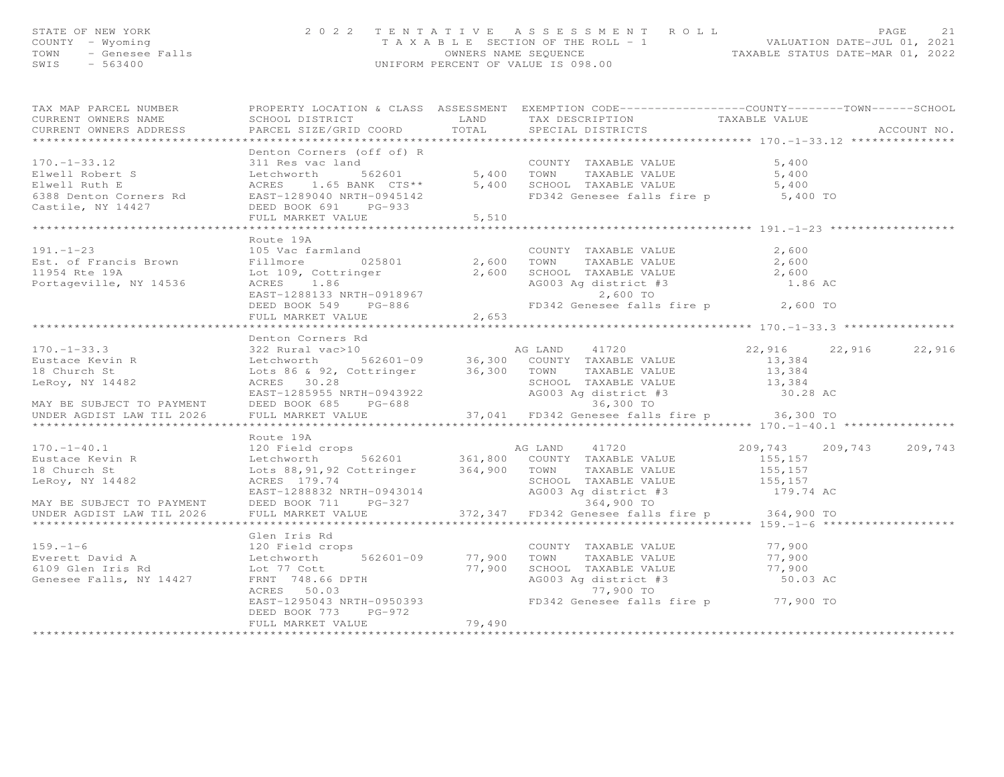| STATE OF NEW YORK<br>COUNTY - Wyoming<br>TOWN<br>SWIS - 563400                                                                                                                                                                                                                                                                                                                             | Y - Wyoming<br>- Genesee Falls<br>- 563400<br>- 563400 | PAGE 21 7 ENTATIVE ASSESSMENT ROLL PALUATION DATE-JUL 01, 2021<br>TAXABLE SECTION OF THE ROLL - 1 CONVERS NAME SEQUENCE TAXABLE STATUS DATE-MAR 01, 2022 |        |  |
|--------------------------------------------------------------------------------------------------------------------------------------------------------------------------------------------------------------------------------------------------------------------------------------------------------------------------------------------------------------------------------------------|--------------------------------------------------------|----------------------------------------------------------------------------------------------------------------------------------------------------------|--------|--|
| TAX MAP PARCEL NUMBER FROPERTY LOCATION & CLASS ASSESSMENT EXEMPTION CODE------------------COUNTY--------TOWN------SCHOOL                                                                                                                                                                                                                                                                  |                                                        |                                                                                                                                                          |        |  |
|                                                                                                                                                                                                                                                                                                                                                                                            |                                                        |                                                                                                                                                          |        |  |
|                                                                                                                                                                                                                                                                                                                                                                                            |                                                        |                                                                                                                                                          |        |  |
| $\begin{array}{lllllllllllllllllllll} \text{170.-1--33.12} & \text{Derton Conners (off of) R} & \text{COUNTY TAXABLE VALUE} & \text{5,400} & \text{5,400} & \text{5,400} & \text{6,400} & \text{7,400} & \text{7,400} & \text{8,400} & \text{9,400} & \text{100} & \text{100} & \text{100} & \text{100} & \text{100} & \text{100} & \text{100} & \text{100} & \text{100} & \text{100} & \$ |                                                        |                                                                                                                                                          |        |  |
|                                                                                                                                                                                                                                                                                                                                                                                            |                                                        |                                                                                                                                                          |        |  |
|                                                                                                                                                                                                                                                                                                                                                                                            |                                                        |                                                                                                                                                          |        |  |
|                                                                                                                                                                                                                                                                                                                                                                                            |                                                        |                                                                                                                                                          |        |  |
|                                                                                                                                                                                                                                                                                                                                                                                            |                                                        |                                                                                                                                                          |        |  |
|                                                                                                                                                                                                                                                                                                                                                                                            |                                                        |                                                                                                                                                          |        |  |
|                                                                                                                                                                                                                                                                                                                                                                                            |                                                        |                                                                                                                                                          |        |  |
|                                                                                                                                                                                                                                                                                                                                                                                            | Route 19A                                              |                                                                                                                                                          |        |  |
|                                                                                                                                                                                                                                                                                                                                                                                            |                                                        |                                                                                                                                                          |        |  |
|                                                                                                                                                                                                                                                                                                                                                                                            |                                                        |                                                                                                                                                          |        |  |
|                                                                                                                                                                                                                                                                                                                                                                                            |                                                        |                                                                                                                                                          |        |  |
|                                                                                                                                                                                                                                                                                                                                                                                            |                                                        |                                                                                                                                                          |        |  |
| Route 19A<br>Route 19A<br>105 Brown Filmore 025801<br>11954 Rte 19A<br>Portageville, NY 14536<br>Portageville, NY 14536<br>2,600<br>2,600<br>2,600<br>2,600<br>2,600<br>2,600<br>2,600<br>2,600<br>2,600<br>2,600<br>2,600<br>2,600<br>2,600<br>2,600<br>2,600<br>2,600<br>                                                                                                                |                                                        |                                                                                                                                                          |        |  |
|                                                                                                                                                                                                                                                                                                                                                                                            | FULL MARKET VALUE 2,653                                |                                                                                                                                                          |        |  |
|                                                                                                                                                                                                                                                                                                                                                                                            |                                                        |                                                                                                                                                          |        |  |
|                                                                                                                                                                                                                                                                                                                                                                                            | Denton Corners Rd                                      |                                                                                                                                                          |        |  |
|                                                                                                                                                                                                                                                                                                                                                                                            |                                                        |                                                                                                                                                          |        |  |
|                                                                                                                                                                                                                                                                                                                                                                                            |                                                        |                                                                                                                                                          |        |  |
|                                                                                                                                                                                                                                                                                                                                                                                            |                                                        |                                                                                                                                                          |        |  |
|                                                                                                                                                                                                                                                                                                                                                                                            |                                                        |                                                                                                                                                          |        |  |
|                                                                                                                                                                                                                                                                                                                                                                                            |                                                        |                                                                                                                                                          |        |  |
|                                                                                                                                                                                                                                                                                                                                                                                            |                                                        |                                                                                                                                                          |        |  |
| 170.–1–33.3 $\text{D}}$<br>Eustace Kevin R and S22 Rural varblo<br>Letchworth 562601–09 36,300 COUNTY TAXABLE VALUE 13,384<br>LeNoy, NY 14482 Lotter S62601–09 36,300 TOWN TAXABLE VALUE<br>LeRoy, NY 14482 Lotter BESDECT TO PAYMENT DEE                                                                                                                                                  |                                                        |                                                                                                                                                          |        |  |
|                                                                                                                                                                                                                                                                                                                                                                                            | Route 19A                                              |                                                                                                                                                          |        |  |
|                                                                                                                                                                                                                                                                                                                                                                                            |                                                        |                                                                                                                                                          |        |  |
|                                                                                                                                                                                                                                                                                                                                                                                            |                                                        |                                                                                                                                                          |        |  |
|                                                                                                                                                                                                                                                                                                                                                                                            |                                                        |                                                                                                                                                          |        |  |
|                                                                                                                                                                                                                                                                                                                                                                                            |                                                        |                                                                                                                                                          |        |  |
|                                                                                                                                                                                                                                                                                                                                                                                            |                                                        |                                                                                                                                                          |        |  |
|                                                                                                                                                                                                                                                                                                                                                                                            |                                                        |                                                                                                                                                          |        |  |
|                                                                                                                                                                                                                                                                                                                                                                                            |                                                        |                                                                                                                                                          |        |  |
|                                                                                                                                                                                                                                                                                                                                                                                            | Glen Iris Rd                                           |                                                                                                                                                          |        |  |
| $159. - 1 - 6$                                                                                                                                                                                                                                                                                                                                                                             | 120 Field crops                                        | COUNTY TAXABLE VALUE                                                                                                                                     | 77,900 |  |

Everett David A Letchworth 562601-09 77,900 TOWN TAXABLE VALUE 77,9006109 Glen Iris Rd Lot 77 Cott 77,900 SCHOOL TAXABLE VALUE 77,900Genesee Falls, NY 14427 FRNT 748.66 DPTH AG003 Ag district #3 50.03 AC

ACRES 50.03 77,900 TO<br>EAST-1295043 NRTH-0950393 77,900 FD342 Genesee falls EAST-1295043 NRTH-0950393 FD342 Genesee falls fire p 77,900 TO

FULL MARKET VALUE 79,490

DEED BOOK 773 PG-972

\*\*\*\*\*\*\*\*\*\*\*\*\*\*\*\*\*\*\*\*\*\*\*\*\*\*\*\*\*\*\*\*\*\*\*\*\*\*\*\*\*\*\*\*\*\*\*\*\*\*\*\*\*\*\*\*\*\*\*\*\*\*\*\*\*\*\*\*\*\*\*\*\*\*\*\*\*\*\*\*\*\*\*\*\*\*\*\*\*\*\*\*\*\*\*\*\*\*\*\*\*\*\*\*\*\*\*\*\*\*\*\*\*\*\*\*\*\*\*\*\*\*\*\*\*\*\*\*\*\*\*\*

77,900

77,900

50.03 AC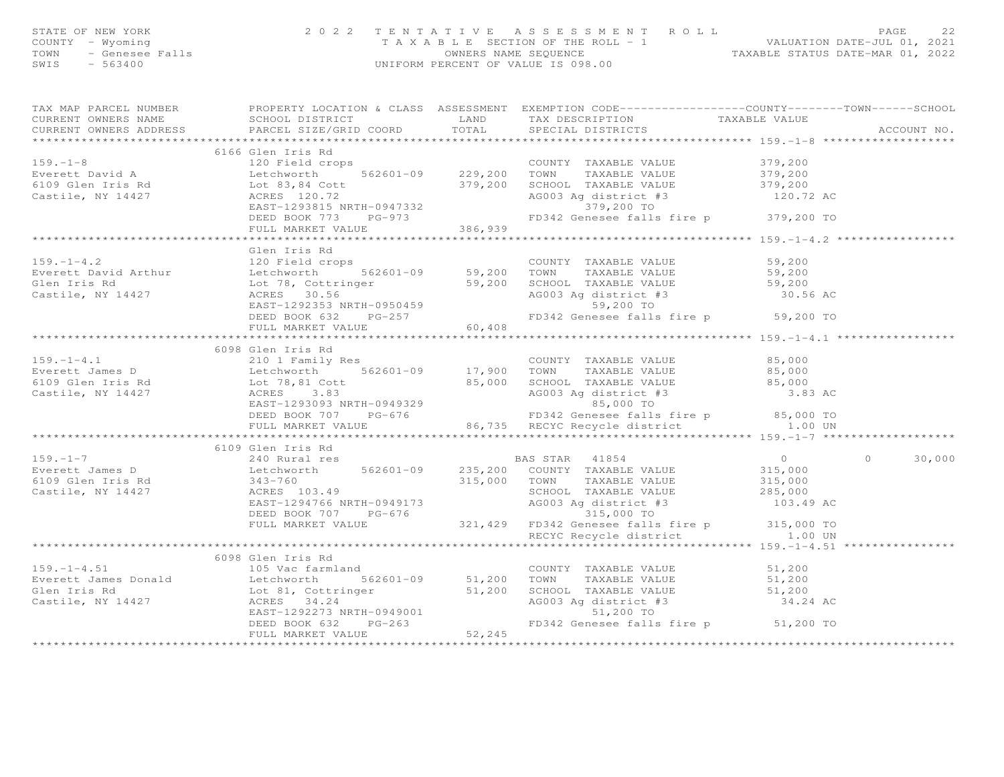| STATE OF NEW YORK<br>COUNTY - Wyoming<br>TOWN - Genesee Falls<br>SWIS - 563400                                                                                                                                                                              |                   | 2022 TENTATIVE ASSESSMENT ROLL PAGE 22<br>TAXABLE SECTION OF THE ROLL - 1<br>OWNERS NAME SEQUENCE TAXABLE STATUS DATE-JUL 01, 2021<br>UNIFORM PERCENT OF VALUE IS 098.00 |               |
|-------------------------------------------------------------------------------------------------------------------------------------------------------------------------------------------------------------------------------------------------------------|-------------------|--------------------------------------------------------------------------------------------------------------------------------------------------------------------------|---------------|
|                                                                                                                                                                                                                                                             |                   |                                                                                                                                                                          |               |
|                                                                                                                                                                                                                                                             |                   |                                                                                                                                                                          |               |
|                                                                                                                                                                                                                                                             | 6166 Glen Iris Rd |                                                                                                                                                                          |               |
|                                                                                                                                                                                                                                                             |                   |                                                                                                                                                                          |               |
|                                                                                                                                                                                                                                                             |                   |                                                                                                                                                                          |               |
|                                                                                                                                                                                                                                                             |                   |                                                                                                                                                                          |               |
|                                                                                                                                                                                                                                                             |                   |                                                                                                                                                                          |               |
|                                                                                                                                                                                                                                                             |                   |                                                                                                                                                                          |               |
| 6166 Glen Iris Rd<br>Everett David A 120 Field crops<br>Everett David A Lechworth 562601-09 229,200 TOWN TAXABLE VALUE<br>6109 Glen Iris Rd<br>Castile, NY 14427 ACRES 120.72<br>EAST-1293815 NRTH-0947332 379,200 5CHOOL TAXABLE VALUE<br>                 |                   |                                                                                                                                                                          |               |
|                                                                                                                                                                                                                                                             |                   |                                                                                                                                                                          |               |
| 159.-1-4.2<br>Clen Iris Rd<br>Clen Iris Rd<br>Everett David Arthur Letchworth 562601-09<br>Clen Iris Rd<br>Clen Iris Rd<br>Clen Iris Rd<br>Clen Iris Rd<br>Clen Iris Rd<br>Clen Iris Rd<br>Clen Iris Rd<br>Clen Iris Rd<br>Clen Iris Rd<br>Clen Iris Rd<br> |                   |                                                                                                                                                                          |               |
|                                                                                                                                                                                                                                                             |                   |                                                                                                                                                                          |               |
|                                                                                                                                                                                                                                                             |                   |                                                                                                                                                                          |               |
|                                                                                                                                                                                                                                                             |                   |                                                                                                                                                                          |               |
|                                                                                                                                                                                                                                                             |                   |                                                                                                                                                                          |               |
|                                                                                                                                                                                                                                                             |                   |                                                                                                                                                                          |               |
|                                                                                                                                                                                                                                                             |                   |                                                                                                                                                                          |               |
|                                                                                                                                                                                                                                                             |                   |                                                                                                                                                                          |               |
|                                                                                                                                                                                                                                                             | 6098 Glen Iris Rd |                                                                                                                                                                          |               |
|                                                                                                                                                                                                                                                             |                   |                                                                                                                                                                          |               |
|                                                                                                                                                                                                                                                             |                   |                                                                                                                                                                          |               |
|                                                                                                                                                                                                                                                             |                   |                                                                                                                                                                          |               |
| 159.-1-4.1<br>Everett James D<br>Everett James D<br>Etchworth 14427<br>Castile, NY 14427<br>Etchworth 14427<br>Castile, NY 14427<br>Etchworth 14427<br>Castile, NY 14427<br>Castile, NY 14427<br>Castile, NY 14427<br>Castile, NY 14427<br>Castile, N       |                   |                                                                                                                                                                          |               |
|                                                                                                                                                                                                                                                             |                   |                                                                                                                                                                          |               |
|                                                                                                                                                                                                                                                             |                   |                                                                                                                                                                          |               |
|                                                                                                                                                                                                                                                             |                   |                                                                                                                                                                          |               |
|                                                                                                                                                                                                                                                             |                   |                                                                                                                                                                          |               |
|                                                                                                                                                                                                                                                             |                   |                                                                                                                                                                          | $0 \t 30,000$ |
|                                                                                                                                                                                                                                                             |                   |                                                                                                                                                                          |               |
|                                                                                                                                                                                                                                                             |                   |                                                                                                                                                                          |               |
|                                                                                                                                                                                                                                                             |                   |                                                                                                                                                                          |               |
|                                                                                                                                                                                                                                                             |                   |                                                                                                                                                                          |               |
|                                                                                                                                                                                                                                                             |                   |                                                                                                                                                                          |               |
|                                                                                                                                                                                                                                                             |                   |                                                                                                                                                                          |               |
|                                                                                                                                                                                                                                                             |                   |                                                                                                                                                                          |               |
|                                                                                                                                                                                                                                                             |                   |                                                                                                                                                                          |               |
|                                                                                                                                                                                                                                                             | 6098 Glen Iris Rd |                                                                                                                                                                          |               |
|                                                                                                                                                                                                                                                             |                   |                                                                                                                                                                          |               |
|                                                                                                                                                                                                                                                             |                   |                                                                                                                                                                          |               |
|                                                                                                                                                                                                                                                             |                   |                                                                                                                                                                          |               |
|                                                                                                                                                                                                                                                             |                   |                                                                                                                                                                          |               |
|                                                                                                                                                                                                                                                             |                   |                                                                                                                                                                          |               |
|                                                                                                                                                                                                                                                             | FULL MARKET VALUE |                                                                                                                                                                          |               |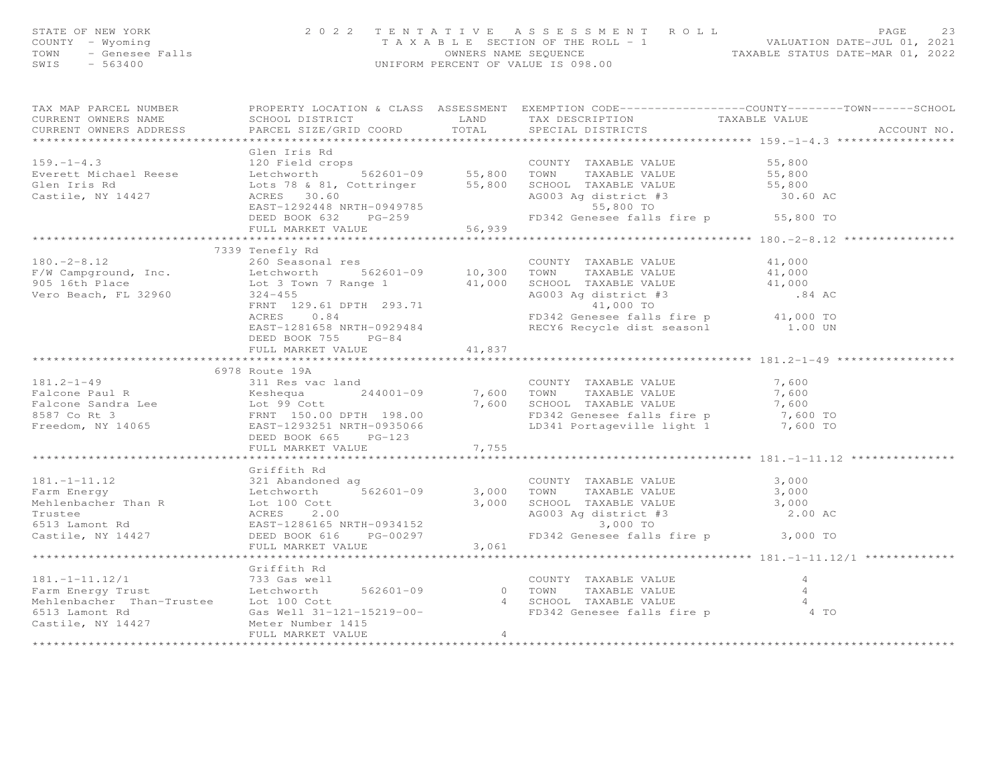| STATE OF NEW YORK 2022<br>COUNTY - Wyoming<br>TOWN - Genesee Falls<br>SWIS - 563400 |                                                                                                                                                                                                                                                       | TENTATIVE ASSESSMENT ROLL PAGE 23<br>TAXABLE SECTION OF THE ROLL - 1 VALUATION DATE-JUL 01, 2021<br>OWNERS NAME SEQUENCE TAXABLE STATUS DATE-MAR 01, 2022<br>UNIFORM PERCENT OF VALUE IS 098.00 |  |  |
|-------------------------------------------------------------------------------------|-------------------------------------------------------------------------------------------------------------------------------------------------------------------------------------------------------------------------------------------------------|-------------------------------------------------------------------------------------------------------------------------------------------------------------------------------------------------|--|--|
|                                                                                     |                                                                                                                                                                                                                                                       |                                                                                                                                                                                                 |  |  |
|                                                                                     |                                                                                                                                                                                                                                                       |                                                                                                                                                                                                 |  |  |
|                                                                                     |                                                                                                                                                                                                                                                       |                                                                                                                                                                                                 |  |  |
|                                                                                     |                                                                                                                                                                                                                                                       |                                                                                                                                                                                                 |  |  |
|                                                                                     |                                                                                                                                                                                                                                                       |                                                                                                                                                                                                 |  |  |
|                                                                                     | Calen Iris Rd<br>Country TAXABLE VALUE<br>Everett Michael Reese Letchworth 562601-09 55,800 TOWN TAXABLE VALUE 55,800<br>Glen Iris Rd<br>Castile, NY 14427 ACRES 30.60 EAST-1292448 NRTH-0949785 55,800 FOND 55,800 FOND 55,800 SCHOOL                |                                                                                                                                                                                                 |  |  |
|                                                                                     |                                                                                                                                                                                                                                                       |                                                                                                                                                                                                 |  |  |
|                                                                                     |                                                                                                                                                                                                                                                       |                                                                                                                                                                                                 |  |  |
|                                                                                     |                                                                                                                                                                                                                                                       |                                                                                                                                                                                                 |  |  |
|                                                                                     |                                                                                                                                                                                                                                                       |                                                                                                                                                                                                 |  |  |
|                                                                                     |                                                                                                                                                                                                                                                       |                                                                                                                                                                                                 |  |  |
|                                                                                     |                                                                                                                                                                                                                                                       |                                                                                                                                                                                                 |  |  |
|                                                                                     |                                                                                                                                                                                                                                                       |                                                                                                                                                                                                 |  |  |
|                                                                                     |                                                                                                                                                                                                                                                       |                                                                                                                                                                                                 |  |  |
|                                                                                     |                                                                                                                                                                                                                                                       |                                                                                                                                                                                                 |  |  |
|                                                                                     |                                                                                                                                                                                                                                                       |                                                                                                                                                                                                 |  |  |
|                                                                                     |                                                                                                                                                                                                                                                       |                                                                                                                                                                                                 |  |  |
|                                                                                     | FULL MARKET VALUE 41,837                                                                                                                                                                                                                              |                                                                                                                                                                                                 |  |  |
|                                                                                     |                                                                                                                                                                                                                                                       |                                                                                                                                                                                                 |  |  |
|                                                                                     | 6978 Route 19A                                                                                                                                                                                                                                        |                                                                                                                                                                                                 |  |  |
|                                                                                     |                                                                                                                                                                                                                                                       |                                                                                                                                                                                                 |  |  |
|                                                                                     |                                                                                                                                                                                                                                                       |                                                                                                                                                                                                 |  |  |
|                                                                                     |                                                                                                                                                                                                                                                       |                                                                                                                                                                                                 |  |  |
|                                                                                     |                                                                                                                                                                                                                                                       |                                                                                                                                                                                                 |  |  |
|                                                                                     |                                                                                                                                                                                                                                                       |                                                                                                                                                                                                 |  |  |
|                                                                                     | 181.2-1-49<br>Falcone Paul R<br>Falcone Sandra Lee<br>Ester and Taxable VALUE<br>Falcone Sandra Lee<br>Ester and Taxable VALUE<br>The COUNTY TAXABLE VALUE<br>TAXABLE VALUE<br>TAXABLE VALUE<br>TAXABLE VALUE<br>TAXABLE VALUE<br>TAXABLE VALUE<br>TA |                                                                                                                                                                                                 |  |  |
|                                                                                     |                                                                                                                                                                                                                                                       |                                                                                                                                                                                                 |  |  |
|                                                                                     | Griffith Rd                                                                                                                                                                                                                                           |                                                                                                                                                                                                 |  |  |
|                                                                                     |                                                                                                                                                                                                                                                       |                                                                                                                                                                                                 |  |  |
|                                                                                     |                                                                                                                                                                                                                                                       |                                                                                                                                                                                                 |  |  |
|                                                                                     |                                                                                                                                                                                                                                                       |                                                                                                                                                                                                 |  |  |
|                                                                                     |                                                                                                                                                                                                                                                       |                                                                                                                                                                                                 |  |  |
|                                                                                     |                                                                                                                                                                                                                                                       |                                                                                                                                                                                                 |  |  |
|                                                                                     |                                                                                                                                                                                                                                                       |                                                                                                                                                                                                 |  |  |
|                                                                                     |                                                                                                                                                                                                                                                       |                                                                                                                                                                                                 |  |  |
|                                                                                     |                                                                                                                                                                                                                                                       |                                                                                                                                                                                                 |  |  |
|                                                                                     | Griffith Rd                                                                                                                                                                                                                                           |                                                                                                                                                                                                 |  |  |
|                                                                                     |                                                                                                                                                                                                                                                       |                                                                                                                                                                                                 |  |  |
|                                                                                     |                                                                                                                                                                                                                                                       |                                                                                                                                                                                                 |  |  |
|                                                                                     |                                                                                                                                                                                                                                                       |                                                                                                                                                                                                 |  |  |
|                                                                                     | 181.-1-11.12/1<br>Farm Energy Trust 131.-33 Gas well<br>Mehlenbacher Than-Trustee Lot 100 Cott 4<br>6513 Lamont Rd Gas Well 31-121-15219-00-<br>Castile, NY 14427 Meter Number 1415<br>FULL MARKET VALUE 4<br>FULL MARKET VALUE 4<br>FULL MA          |                                                                                                                                                                                                 |  |  |
|                                                                                     |                                                                                                                                                                                                                                                       |                                                                                                                                                                                                 |  |  |
|                                                                                     | FULL MARKET VALUE                                                                                                                                                                                                                                     |                                                                                                                                                                                                 |  |  |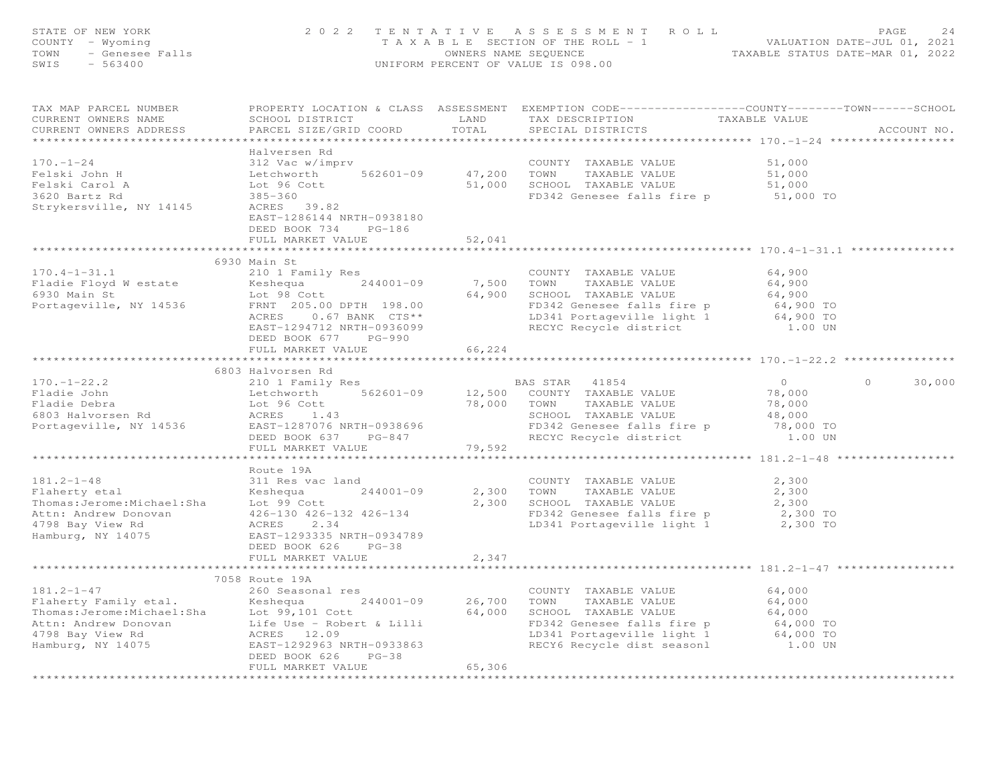| STATE OF NEW YORK<br>- Wyoming<br>- Wyoming<br>- Genesee Falls<br>COUNTY - Wyoming<br>TOWN<br>SWIS<br>$-563400$                                                                                            | UNIFORM PERCENT OF VALUE IS 098.00                                                                                                                                                                                                                                                                     | PAGE 24<br>T A X A B L E SECTION OF THE ROLL - 1<br>OWNERS NAME SEQUENCE TA X A B L E SECTION OF THE ROLL - 1<br>OWNERS NAME SEQUENCE TAXABLE STATUS DATE-MAR 01, 2022 |                                                                                                                                                                                  |                                                                      |                    |
|------------------------------------------------------------------------------------------------------------------------------------------------------------------------------------------------------------|--------------------------------------------------------------------------------------------------------------------------------------------------------------------------------------------------------------------------------------------------------------------------------------------------------|------------------------------------------------------------------------------------------------------------------------------------------------------------------------|----------------------------------------------------------------------------------------------------------------------------------------------------------------------------------|----------------------------------------------------------------------|--------------------|
| TAX MAP PARCEL NUMBER<br>CURRENT OWNERS NAME<br>CURRENT OWNERS ADDRESS                                                                                                                                     | SCHOOL DISTRICT LAND<br>PARCEL SIZE/GRID COORD                                                                                                                                                                                                                                                         | TOTAL                                                                                                                                                                  | PROPERTY LOCATION & CLASS ASSESSMENT EXEMPTION CODE-----------------COUNTY-------TOWN------SCHOOL<br>TAX DESCRIPTION<br>SPECIAL DISTRICTS                                        | TAXABLE VALUE                                                        | ACCOUNT NO.        |
| $170. - 1 - 24$<br>Felski John H<br>Felski Carol A<br>3620 Bartz Rd<br>Strykersville, NY 14145                                                                                                             | Halversen Rd<br>312 Vac w/imprv<br>Lot 96 Cott<br>EAST-1286144 NRTH-0938180<br>DEED BOOK 734 PG-186<br>FULL MARKET VALUE                                                                                                                                                                               | 52,041                                                                                                                                                                 | COUNTY TAXABLE VALUE<br>FD342 Genesee falls fire p                                                                                                                               | 51,000<br>51,000<br>51,000<br>51,000 TO                              |                    |
|                                                                                                                                                                                                            |                                                                                                                                                                                                                                                                                                        |                                                                                                                                                                        |                                                                                                                                                                                  |                                                                      |                    |
| $170.4 - 1 - 31.1$<br>Fladie Floyd W estate<br>6930 Main St<br>Portageville, NY 14536 FRNT 205.00 DPTH 198.00                                                                                              | 6930 Main St<br>210 1 Family Res<br>Keshequa 244001-09<br>Lot 98 Cott<br>$0.67$ BANK $CTS**$<br>ACRES<br>EAST-1294712 NRTH-0936099                                                                                                                                                                     | 7,500 TOWN                                                                                                                                                             | COUNTY TAXABLE VALUE<br>TAXABLE VALUE<br>64,900 SCHOOL TAXABLE VALUE<br>FD342 Genesee falls fire p 64,900 TO<br>LD341 Portageville light 1 64,900 TO<br>RECYC Recycle district   | 64,900<br>64,900<br>64,900<br>1.00 UN                                |                    |
|                                                                                                                                                                                                            | DEED BOOK 677 PG-990<br>FULL MARKET VALUE                                                                                                                                                                                                                                                              | 66,224                                                                                                                                                                 |                                                                                                                                                                                  |                                                                      |                    |
|                                                                                                                                                                                                            |                                                                                                                                                                                                                                                                                                        |                                                                                                                                                                        |                                                                                                                                                                                  |                                                                      |                    |
|                                                                                                                                                                                                            | 6803 Halvorsen Rd                                                                                                                                                                                                                                                                                      |                                                                                                                                                                        |                                                                                                                                                                                  |                                                                      |                    |
| $170. - 1 - 22.2$<br>Fladie John<br>Fladie Debra<br>6803 Halvorsen Rd<br>Portageville, NY 14536                                                                                                            | 210 1 Family Res<br>Example to the technology of the technology of the technology of the technology of the technology of the technology of technology of technology of technology of the technology of technology of the technology of technology<br>EAST-1287076 NRTH-0938696<br>DEED BOOK 637 PG-847 |                                                                                                                                                                        | BAS STAR 41854<br>TAXABLE VALUE<br>SCHOOL TAXABLE VALUE<br>FD342 Genesee falls fire p<br>RECYC Recycle district                                                                  | $\overline{0}$<br>78,000<br>78,000<br>48,000<br>78,000 TO<br>1.00 UN | $\Omega$<br>30,000 |
|                                                                                                                                                                                                            | FULL MARKET VALUE                                                                                                                                                                                                                                                                                      | 79,592                                                                                                                                                                 |                                                                                                                                                                                  |                                                                      |                    |
| $181.2 - 1 - 48$<br>Flaherty etal<br>Flaherty etal<br>Thomas:Jerome:Michael:Sha Lot 99 Cott<br>Attn: Andrew Donovan 426-130 426-13<br>4798 Bay View Rd ACRES 2.34<br>4798 Bay View Rd<br>Hamburg, NY 14075 | Route 19A<br>311 Res vac land<br>$244001 - 09$<br>Keshequa<br>426-130 426-132 426-134<br>EAST-1293335 NRTH-0934789<br>DEED BOOK 626 PG-38<br>FULL MARKET VALUE                                                                                                                                         | 2,347                                                                                                                                                                  | COUNTY TAXABLE VALUE<br>2,300 TOWN<br>TAXABLE VALUE<br>2,300 SCHOOL TAXABLE VALUE<br>FD342 Genesee falls fire p<br>LD341 Portageville light 1 2,300 TO                           | 2,300<br>2,300<br>2,300                                              |                    |
|                                                                                                                                                                                                            |                                                                                                                                                                                                                                                                                                        |                                                                                                                                                                        |                                                                                                                                                                                  |                                                                      |                    |
|                                                                                                                                                                                                            | 7058 Route 19A<br>DEED BOOK 626<br>$PG-38$<br>FULL MARKET VALUE                                                                                                                                                                                                                                        | 244001-09 26,700 TOWN<br>65,306                                                                                                                                        | COUNTY TAXABLE VALUE<br>TAXABLE VALUE<br>64,000 SCHOOL TAXABLE VALUE<br>FD342 Genesee falls fire p<br>LD341 Portageville light 1 64,000 TO<br>RECY6 Recycle dist seasonl 1.00 UN | 64,000<br>64,000<br>64,000<br>64,000 TO                              |                    |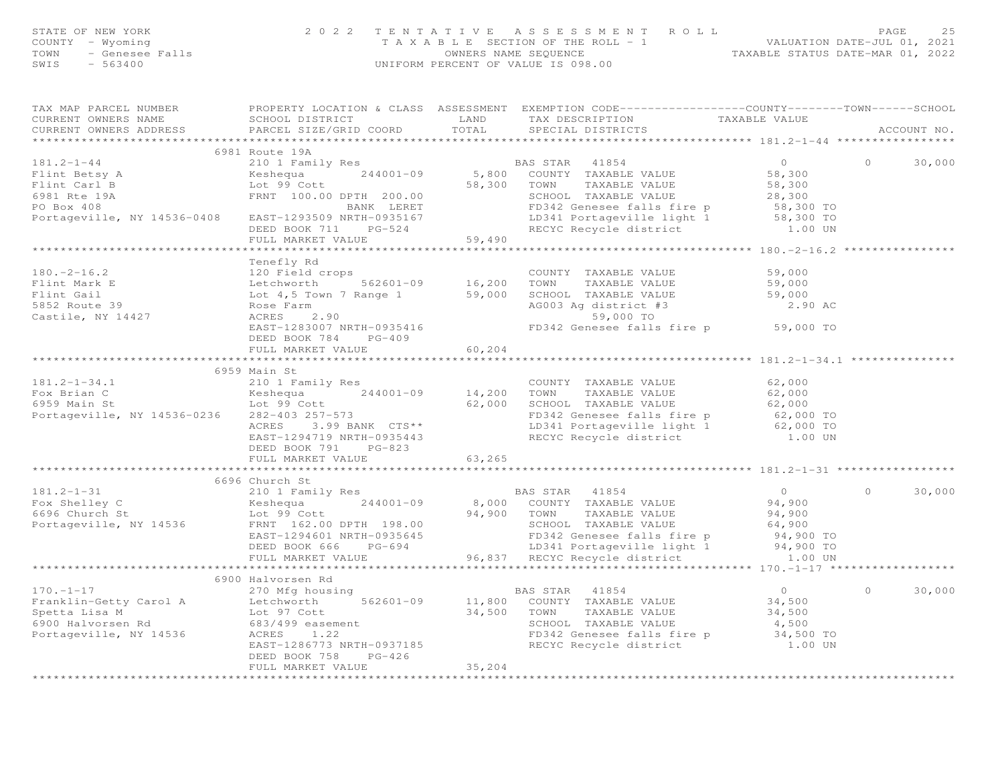| STATE OF NEW YORK<br>COUNTY - Wyoming<br>TOWN - Genesee Falls<br>SWIS - 563400 |                 |        | 2022 TENTATIVE ASSESSMENT ROLL<br>T A X A B L E SECTION OF THE ROLL - 1<br>OWNERS NAME SEOUENCE<br>UNIFORM PERCENT OF VALUE IS 098.00 | VALUATION DATE-JUL 01, 2021<br>TAXABLE STATUS DATE-MAR 01, 2022 | PAGE | 25 |
|--------------------------------------------------------------------------------|-----------------|--------|---------------------------------------------------------------------------------------------------------------------------------------|-----------------------------------------------------------------|------|----|
| TAX MAP PARCEL NUMBER<br>CURRENT OWNERS NAME                                   | SCHOOL DISTRICT | T.AND. | PROPERTY LOCATION & CLASS ASSESSMENT EXEMPTION CODE----------------COUNTY-------TOWN------SCHOOL<br>TAX DESCRIPTION                   | TAXABLE VALUE                                                   |      |    |

| CURRENT OWNERS ADDRESS | PARCEL SIZE/GRID COORD | TOTAL   | SPECIAL DISTRICTS                                                                                                                                                                                                                          | ACCOUNT NO.         |
|------------------------|------------------------|---------|--------------------------------------------------------------------------------------------------------------------------------------------------------------------------------------------------------------------------------------------|---------------------|
|                        |                        |         |                                                                                                                                                                                                                                            |                     |
|                        | 6981 Route 19A         |         |                                                                                                                                                                                                                                            |                     |
|                        |                        |         |                                                                                                                                                                                                                                            |                     |
|                        |                        |         |                                                                                                                                                                                                                                            |                     |
|                        |                        |         |                                                                                                                                                                                                                                            |                     |
|                        |                        |         |                                                                                                                                                                                                                                            |                     |
|                        |                        |         |                                                                                                                                                                                                                                            |                     |
|                        |                        |         |                                                                                                                                                                                                                                            |                     |
|                        |                        |         |                                                                                                                                                                                                                                            |                     |
|                        |                        |         | $**********************180.-2-16.2*$                                                                                                                                                                                                       |                     |
|                        |                        |         |                                                                                                                                                                                                                                            |                     |
|                        | Tenefly Rd             |         |                                                                                                                                                                                                                                            |                     |
|                        |                        |         |                                                                                                                                                                                                                                            |                     |
|                        |                        |         |                                                                                                                                                                                                                                            |                     |
|                        |                        |         |                                                                                                                                                                                                                                            |                     |
|                        |                        |         |                                                                                                                                                                                                                                            |                     |
|                        |                        |         | 180.-2-16.2<br>Flint Mark E<br>Etchworth 562601-09 16,200 TOWN TAXABLE VALUE<br>Flint Gail Lot 4,5 Town 7 Range 1 59,000 SCHOOL TAXABLE VALUE 59,000<br>5852 Route 39 Rose Farm AGRES 2.90<br>Castile, NY 14427 AGRES 2.90<br>EAST-1283007 |                     |
|                        |                        |         |                                                                                                                                                                                                                                            |                     |
|                        | DEED BOOK 784 PG-409   |         |                                                                                                                                                                                                                                            |                     |
|                        |                        |         | **************************************181.2-1-34.1                                                                                                                                                                                         |                     |
|                        |                        |         |                                                                                                                                                                                                                                            |                     |
|                        |                        |         |                                                                                                                                                                                                                                            |                     |
|                        |                        |         |                                                                                                                                                                                                                                            |                     |
|                        |                        |         |                                                                                                                                                                                                                                            |                     |
|                        |                        |         |                                                                                                                                                                                                                                            |                     |
|                        |                        |         |                                                                                                                                                                                                                                            |                     |
|                        |                        |         |                                                                                                                                                                                                                                            |                     |
|                        |                        |         |                                                                                                                                                                                                                                            |                     |
|                        |                        |         |                                                                                                                                                                                                                                            |                     |
|                        |                        |         |                                                                                                                                                                                                                                            |                     |
|                        |                        |         |                                                                                                                                                                                                                                            |                     |
|                        | 6696 Church St         |         |                                                                                                                                                                                                                                            | 30,000<br>$\Omega$  |
|                        |                        |         |                                                                                                                                                                                                                                            |                     |
|                        |                        |         |                                                                                                                                                                                                                                            |                     |
|                        |                        |         |                                                                                                                                                                                                                                            |                     |
|                        |                        |         |                                                                                                                                                                                                                                            |                     |
|                        |                        |         |                                                                                                                                                                                                                                            |                     |
|                        |                        |         |                                                                                                                                                                                                                                            |                     |
|                        |                        |         |                                                                                                                                                                                                                                            |                     |
|                        |                        |         |                                                                                                                                                                                                                                            |                     |
|                        |                        |         |                                                                                                                                                                                                                                            | $\bigcap$<br>30,000 |
|                        |                        |         |                                                                                                                                                                                                                                            |                     |
|                        |                        |         |                                                                                                                                                                                                                                            |                     |
|                        |                        |         |                                                                                                                                                                                                                                            |                     |
|                        |                        |         |                                                                                                                                                                                                                                            |                     |
|                        |                        |         |                                                                                                                                                                                                                                            |                     |
|                        | DEED BOOK 758 PG-426   |         |                                                                                                                                                                                                                                            |                     |
|                        | FULL MARKET VALUE      | 35, 204 |                                                                                                                                                                                                                                            |                     |
|                        |                        |         |                                                                                                                                                                                                                                            |                     |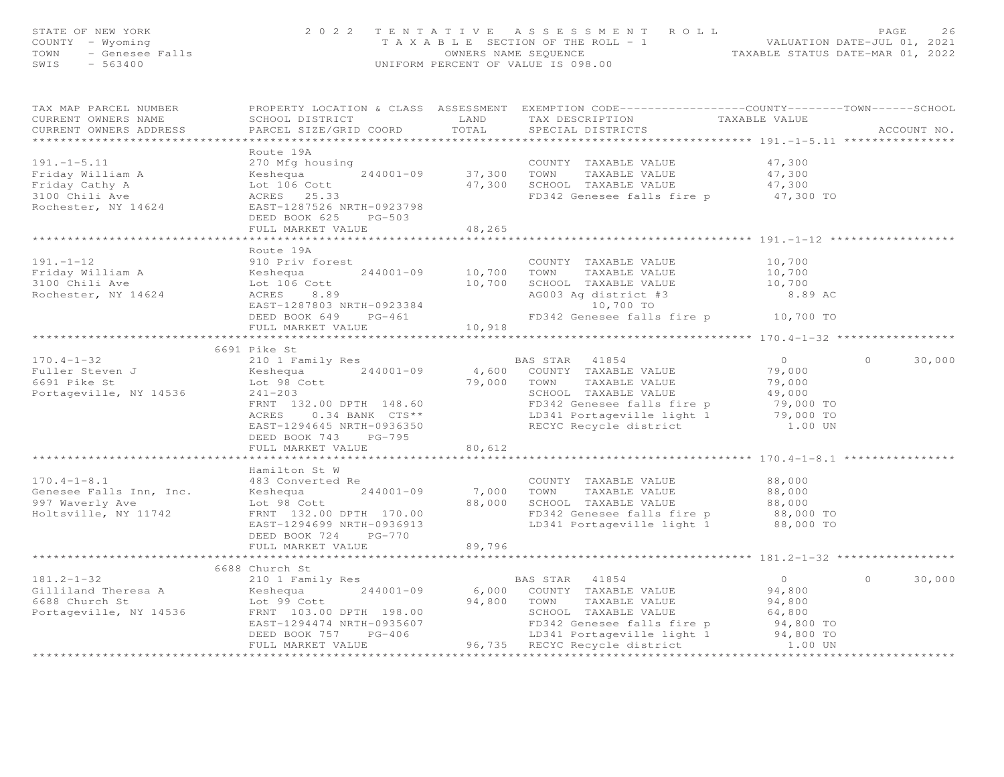| STATE OF NEW YORK<br>COUNTY - Wyoming                                                              | 2 0 2 2                                                | TENTATIVE                                                  | A S S E S S M E N T A O L L<br>T A X A B L E SECTION OF THE ROLL - 1                                                                     | 26 PAGE 26<br>VALUATION DATE-JUL 01, 2021<br>TAXABLE STATUS DATE-MAR 01, 2022 |                    |  |  |
|----------------------------------------------------------------------------------------------------|--------------------------------------------------------|------------------------------------------------------------|------------------------------------------------------------------------------------------------------------------------------------------|-------------------------------------------------------------------------------|--------------------|--|--|
| TOWN<br>- Genesee Falls<br>SWIS<br>$-563400$                                                       |                                                        | OWNERS NAME SEQUENCE<br>UNIFORM PERCENT OF VALUE IS 098.00 |                                                                                                                                          |                                                                               |                    |  |  |
| TAX MAP PARCEL NUMBER<br>CURRENT OWNERS NAME<br>CURRENT OWNERS ADDRESS<br>************************ | SCHOOL DISTRICT<br>PARCEL SIZE/GRID COORD              | LAND<br>TOTAL                                              | PROPERTY LOCATION & CLASS ASSESSMENT EXEMPTION CODE----------------COUNTY-------TOWN------SCHOOL<br>TAX DESCRIPTION<br>SPECIAL DISTRICTS | TAXABLE VALUE                                                                 | ACCOUNT NO.        |  |  |
|                                                                                                    | Route 19A                                              |                                                            |                                                                                                                                          |                                                                               |                    |  |  |
| $191. - 1 - 5.11$                                                                                  | 270 Mfg housing                                        |                                                            | COUNTY TAXABLE VALUE                                                                                                                     | 47,300                                                                        |                    |  |  |
| Friday William A                                                                                   | Keshequa<br>244001-09                                  | 37,300 TOWN                                                | TAXABLE VALUE                                                                                                                            | 47,300                                                                        |                    |  |  |
| Friday Cathy A                                                                                     | Keshequa<br>Lot 106 Cott<br>ACRES 25.33                |                                                            | 47,300 SCHOOL TAXABLE VALUE                                                                                                              | 47,300                                                                        |                    |  |  |
| 3100 Chili Ave                                                                                     | ACRES 25.33                                            |                                                            | FD342 Genesee falls fire p 47,300 TO                                                                                                     |                                                                               |                    |  |  |
| Rochester, NY 14624                                                                                | EAST-1287526 NRTH-0923798<br>DEED BOOK 625<br>$PG-503$ |                                                            |                                                                                                                                          |                                                                               |                    |  |  |
|                                                                                                    | FULL MARKET VALUE                                      | 48,265                                                     |                                                                                                                                          |                                                                               |                    |  |  |
|                                                                                                    |                                                        | *********                                                  |                                                                                                                                          | ******************** 191. -1-12 ******************                            |                    |  |  |
|                                                                                                    | Route 19A                                              |                                                            |                                                                                                                                          |                                                                               |                    |  |  |
| $191. - 1 - 12$                                                                                    | 910 Priv forest                                        |                                                            | COUNTY TAXABLE VALUE                                                                                                                     | 10,700                                                                        |                    |  |  |
| Friday William A                                                                                   | Keshequa<br>$244001 - 09$                              | 10,700                                                     | TOWN<br>TAXABLE VALUE                                                                                                                    | 10,700                                                                        |                    |  |  |
| 3100 Chili Ave                                                                                     | Lot 106 Cott                                           | 10,700                                                     | SCHOOL TAXABLE VALUE                                                                                                                     | 10,700                                                                        |                    |  |  |
| Rochester, NY 14624                                                                                | ACRES<br>8.89<br>EAST-1287803 NRTH-0923384             |                                                            | AG003 Ag district #3<br>10,700 TO                                                                                                        | 8.89 AC                                                                       |                    |  |  |
|                                                                                                    | DEED BOOK 649 PG-461                                   |                                                            | FD342 Genesee falls fire p                                                                                                               | 10,700 TO                                                                     |                    |  |  |
|                                                                                                    | FULL MARKET VALUE                                      | 10,918                                                     |                                                                                                                                          |                                                                               |                    |  |  |
|                                                                                                    |                                                        | **********                                                 |                                                                                                                                          |                                                                               |                    |  |  |
|                                                                                                    | 6691 Pike St                                           |                                                            |                                                                                                                                          |                                                                               |                    |  |  |
| $170.4 - 1 - 32$                                                                                   | 210 1 Family Res                                       |                                                            | BAS STAR<br>41854                                                                                                                        | $\overline{0}$                                                                | $\Omega$<br>30,000 |  |  |
| Fuller Steven J<br>6691 Pike St                                                                    | $244001 - 09$<br>Keshequa                              | 79,000 TOWN                                                | 4,600 COUNTY TAXABLE VALUE                                                                                                               | 79,000                                                                        |                    |  |  |
| Portageville, NY 14536                                                                             | Lot 98 Cott<br>$241 - 203$                             |                                                            | TAXABLE VALUE<br>SCHOOL TAXABLE VALUE                                                                                                    | 79,000<br>49,000                                                              |                    |  |  |
|                                                                                                    | FRNT 132.00 DPTH 148.60                                |                                                            | FD342 Genesee falls fire p                                                                                                               | 79,000 TO                                                                     |                    |  |  |
|                                                                                                    | ACRES<br>$0.34$ BANK $CTS**$                           |                                                            | LD341 Portageville light 1                                                                                                               | 79,000 TO                                                                     |                    |  |  |
|                                                                                                    | EAST-1294645 NRTH-0936350                              |                                                            | RECYC Recycle district                                                                                                                   | 1.00 UN                                                                       |                    |  |  |
|                                                                                                    | DEED BOOK 743 PG-795                                   |                                                            |                                                                                                                                          |                                                                               |                    |  |  |
|                                                                                                    | FULL MARKET VALUE                                      | 80,612                                                     |                                                                                                                                          |                                                                               |                    |  |  |
|                                                                                                    |                                                        |                                                            | ************************************* 170.4–1–8.1 *****************                                                                      |                                                                               |                    |  |  |
| $170.4 - 1 - 8.1$                                                                                  | Hamilton St W<br>483 Converted Re                      |                                                            | COUNTY TAXABLE VALUE                                                                                                                     | 88,000                                                                        |                    |  |  |
| Genesee Falls Inn, Inc.                                                                            | Keshequa<br>244001-09                                  | 7,000 TOWN                                                 | TAXABLE VALUE                                                                                                                            | 88,000                                                                        |                    |  |  |
| 997 Waverly Ave                                                                                    | Lot 98 Cott                                            | 88,000                                                     | SCHOOL TAXABLE VALUE                                                                                                                     | 88,000                                                                        |                    |  |  |
| Holtsville, NY 11742                                                                               | FRNT 132.00 DPTH 170.00                                |                                                            | FD342 Genesee falls fire p                                                                                                               | 88,000 TO                                                                     |                    |  |  |
|                                                                                                    | EAST-1294699 NRTH-0936913                              |                                                            | LD341 Portageville light 1                                                                                                               | 88,000 TO                                                                     |                    |  |  |
|                                                                                                    | PG-770<br>DEED BOOK 724                                |                                                            |                                                                                                                                          |                                                                               |                    |  |  |
|                                                                                                    | FULL MARKET VALUE                                      | 89,796                                                     |                                                                                                                                          | ***************** 181.2-1-32 *                                                |                    |  |  |
|                                                                                                    | 6688 Church St                                         |                                                            |                                                                                                                                          |                                                                               |                    |  |  |
| $181.2 - 1 - 32$                                                                                   | 210 1 Family Res                                       |                                                            | BAS STAR<br>41854                                                                                                                        | $\overline{0}$                                                                | $\circ$<br>30,000  |  |  |
| Gilliland Theresa A                                                                                | $244001 - 09$<br>Keshequa                              |                                                            | 6,000 COUNTY TAXABLE VALUE                                                                                                               | 94,800                                                                        |                    |  |  |
| 6688 Church St                                                                                     | Lot 99 Cott                                            | 94,800 TOWN                                                | TAXABLE VALUE                                                                                                                            | 94,800                                                                        |                    |  |  |
| Portageville, NY 14536                                                                             | FRNT 103.00 DPTH 198.00                                |                                                            | SCHOOL TAXABLE VALUE                                                                                                                     | 64,800                                                                        |                    |  |  |
|                                                                                                    | EAST-1294474 NRTH-0935607                              |                                                            | FD342 Genesee falls fire p                                                                                                               | 94,800 TO                                                                     |                    |  |  |
|                                                                                                    | DEED BOOK 757<br>PG-406<br>FULL MARKET VALUE           | 96,735                                                     | LD341 Portageville light 1<br>RECYC Recycle district                                                                                     | 94,800 TO<br>1.00 UN                                                          |                    |  |  |
|                                                                                                    |                                                        |                                                            |                                                                                                                                          |                                                                               |                    |  |  |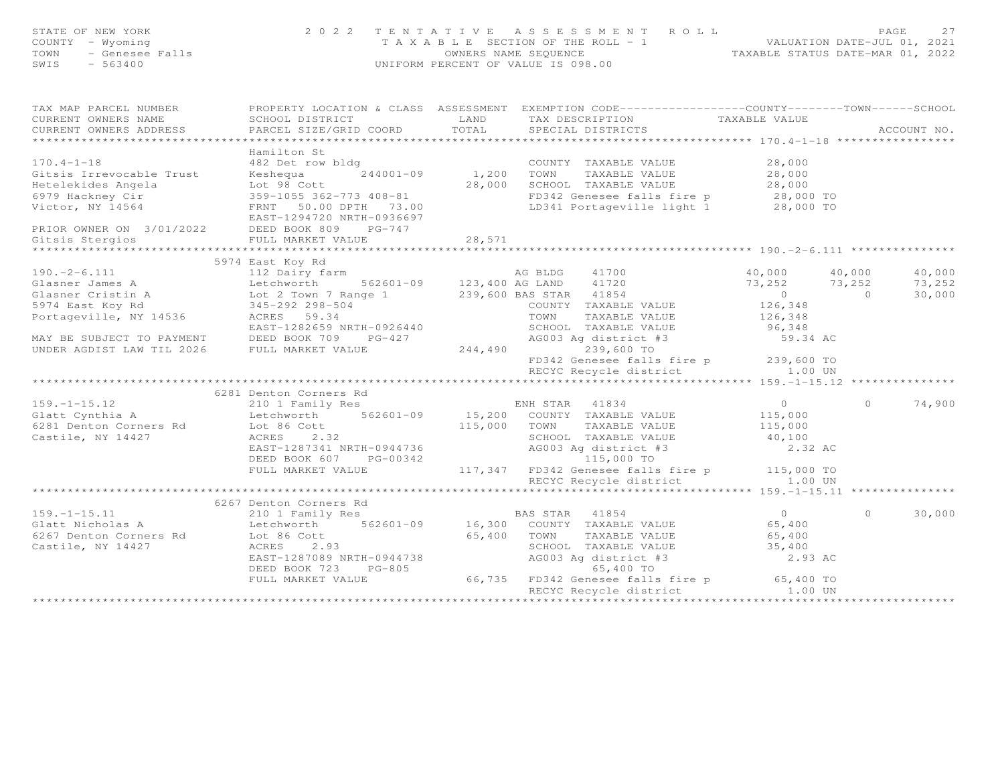| STATE OF NEW YORK<br>COUNTY - Wyoming<br>TOWN - Genesee Falls<br>CWITS - 563400 |                                                                                                                                                                                                                                                                                                      | 2022 TENTATIVE ASSESSMENT ROLL<br>PAGE 27<br>TAXABLE SECTION OF THE ROLL - 1 VALUATION DATE-JUL 01, 2021<br>OWNERS NAME SEQUENCE TAXABLE STATUS DATE-MAR 01, 2022 |                                                                                                                                                                                                                                                                                                                        |                                                                                    |          |                                      |  |
|---------------------------------------------------------------------------------|------------------------------------------------------------------------------------------------------------------------------------------------------------------------------------------------------------------------------------------------------------------------------------------------------|-------------------------------------------------------------------------------------------------------------------------------------------------------------------|------------------------------------------------------------------------------------------------------------------------------------------------------------------------------------------------------------------------------------------------------------------------------------------------------------------------|------------------------------------------------------------------------------------|----------|--------------------------------------|--|
| CURRENT OWNERS NAME<br>CURRENT OWNERS ADDRESS<br>****************************** | TAX MAP PARCEL NUMBER THE PROPERTY LOCATION & CLASS ASSESSMENT EXEMPTION CODE----------------COUNTY-------TOWN------SCHOOL<br>SCHOOL DISTRICT<br>PARCEL SIZE/GRID COORD TOTAL SPECIAL DISTRICTS                                                                                                      |                                                                                                                                                                   | LAND TAX DESCRIPTION                                                                                                                                                                                                                                                                                                   | TAXABLE VALUE                                                                      |          | ACCOUNT NO.                          |  |
| PRIOR OWNER ON 3/01/2022 DEED BOOK 809 PG-747<br>Gitsis Stergios                | Hamilton St<br>170.4-1-18<br>38,000 Example Trust and the Magnus and the Magnus and the Magnus 244001-09<br>359-1055 362-773 408-81<br>28,000 Example 28,000 EXABLE VALUE 28,000 EXABLE VALUE 28,000 EXABLE VALUE 28,000 EXABLE VALUE 28,000 CHOOL<br>EAST-1294720 NRTH-0936697<br>FULL MARKET VALUE | 28,571                                                                                                                                                            |                                                                                                                                                                                                                                                                                                                        |                                                                                    |          |                                      |  |
| *******************                                                             | **********************************                                                                                                                                                                                                                                                                   | *************                                                                                                                                                     |                                                                                                                                                                                                                                                                                                                        |                                                                                    |          |                                      |  |
| 159.-1-15.12<br>Glatt Cynthia A<br>Castile, NY 14427                            | 3974 Extra 190.-2-6.111 5974 Extra 190.-2-6.111 5974 Extra 190.-2-6.111 12 Dairy farm<br>3974 Extra 190.-2-6.111 12 Dairy farm<br>362601-09 123,400 AG LAND 41720 73,252<br>36974 East Koy Rd 1452-292 298-504 239,600 BAS STAR 4185<br>6281 Denton Corners Rd                                       |                                                                                                                                                                   | FD342 Genesee falls fire p 239,600 TO<br>RECYC Recycle district 1.00 UN<br>EAST-1287341 NRTH-0944736<br>DEED BOOK 607 PG-00342 AG003 Ag district #3<br>FULL MARKET VALUE 117,347 FD342 Genesee falls fire p 115,000 TO                                                                                                 | 40,000 40,000<br>$73,252$ $73,252$<br>0 0<br>126,348<br>59.34 AC<br>$0$<br>115,000 | $\Omega$ | 40,000<br>73,252<br>30,000<br>74,900 |  |
|                                                                                 |                                                                                                                                                                                                                                                                                                      |                                                                                                                                                                   |                                                                                                                                                                                                                                                                                                                        |                                                                                    |          |                                      |  |
|                                                                                 | 6267 Denton Corners Rd                                                                                                                                                                                                                                                                               |                                                                                                                                                                   |                                                                                                                                                                                                                                                                                                                        |                                                                                    |          |                                      |  |
| $159. - 1 - 15.11$<br>Glatt Nicholas A                                          | 210 1 Family Res<br>210 1 Family Res BAS STAR 41854<br>Letchworth 562601-09 16,300 COUNTY TAXABLE VALUE                                                                                                                                                                                              |                                                                                                                                                                   | 65,400 TOWN TAXABLE VALUE 65,400<br>SCHOOL TAXABLE VALUE 35,400<br>SCHOOL TAXABLE VALUE 35,400<br>AG003 Ag district #3 2.93 AC<br>65,400 TO 2.93 AC<br>EAST-1287089 NRTH-0944738<br>DEED BOOK 723 PG-805 (66,735 FD342 Genesee falls fire p 65,400 TO<br>FULL MARKET VALUE 66,735 FD342 Genesee falls fire p 65,400 TO | $0$<br>65,400                                                                      | $\Omega$ | 30,000                               |  |
|                                                                                 |                                                                                                                                                                                                                                                                                                      |                                                                                                                                                                   | RECYC Recycle district 1.00 UN                                                                                                                                                                                                                                                                                         |                                                                                    |          |                                      |  |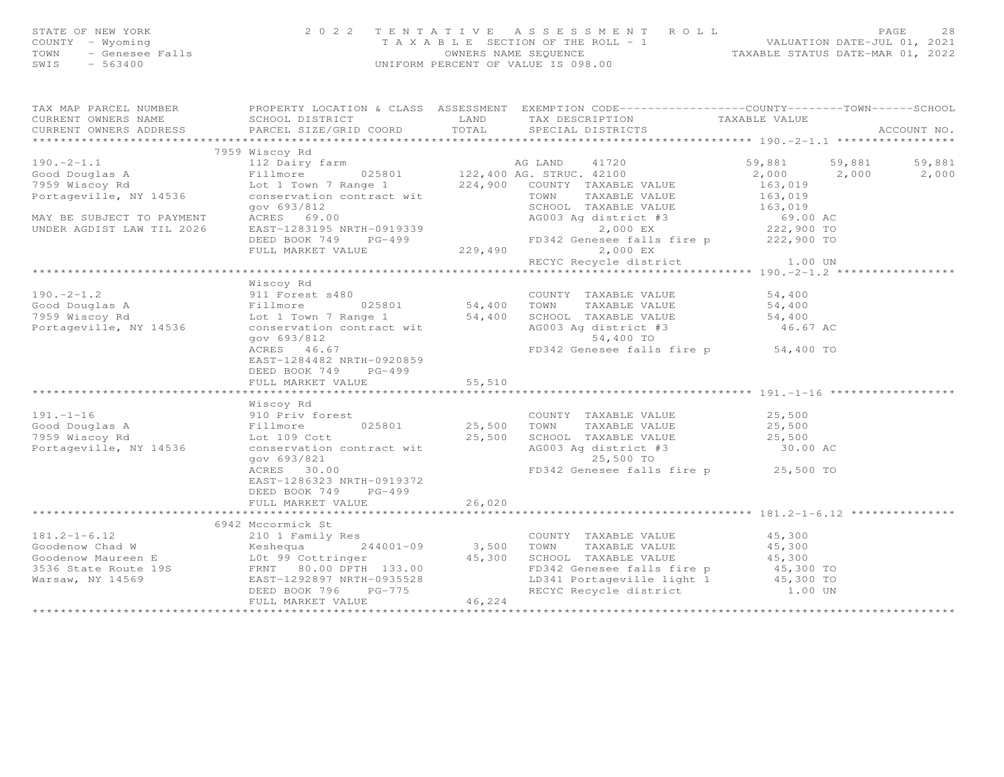| STATE OF NEW YORK<br>COUNTY - Wyoming<br>$\frac{m_{\text{y}}}{2}$ Genesee Falls<br>- 563400<br>TOWN<br>$-563400$<br>SWIS | 2 0 2 2<br>TENTATIVE<br>UNIFORM PERCENT OF VALUE IS 098.00                                                                                                                                                                     | ASSESSMENT ROLL<br>PAGE<br>-28<br>T A X A B L E SECTION OF THE ROLL - 1 VALUATION DATE-JUL 01, 2021<br>OWNERS NAME SEQUENCE TAXABLE STATUS DATE-MAR 01, 2022 |                                                                                                                                                   |                                                                               |  |                 |
|--------------------------------------------------------------------------------------------------------------------------|--------------------------------------------------------------------------------------------------------------------------------------------------------------------------------------------------------------------------------|--------------------------------------------------------------------------------------------------------------------------------------------------------------|---------------------------------------------------------------------------------------------------------------------------------------------------|-------------------------------------------------------------------------------|--|-----------------|
|                                                                                                                          | TAX MAP PARCEL NUMBER THE PROPERTY LOCATION & CLASS ASSESSMENT EXEMPTION CODE----------------COUNTY-------TOWN------SCHOOL                                                                                                     |                                                                                                                                                              |                                                                                                                                                   |                                                                               |  | ACCOUNT NO.     |
|                                                                                                                          |                                                                                                                                                                                                                                |                                                                                                                                                              |                                                                                                                                                   |                                                                               |  |                 |
|                                                                                                                          |                                                                                                                                                                                                                                |                                                                                                                                                              |                                                                                                                                                   |                                                                               |  |                 |
|                                                                                                                          | 190.-2-1.1 12 Dairy farm and the Magnetics of the Magnetics of the Magnetics of the Magnetics of the Magnetics of the Magnetics of the Magnetics of the Magnetics of the Magnetics of the Magnetics of the Magnetics of the Ma |                                                                                                                                                              |                                                                                                                                                   | 59,881 59,881<br>$2,000$ $2,000$<br>163,019<br>163,019<br>163,019<br>69.00 AC |  | 59,881<br>2,000 |
|                                                                                                                          | FULL MARKET VALUE                                                                                                                                                                                                              |                                                                                                                                                              | EAST-1283195 NRTH-0919339<br>DEED BOOK 749 PO-499 FD342 Genesee falls fire p 222,900 TO<br>229,490 2,000 EX<br>RECYC Recycle district 1.00 UN     |                                                                               |  |                 |
|                                                                                                                          |                                                                                                                                                                                                                                |                                                                                                                                                              |                                                                                                                                                   |                                                                               |  |                 |
| Portageville, NY 14536                                                                                                   | Wiscoy Rd<br>COUNT<br>025801 54,400 TOWN<br>7 Range 1 54,400 TOWN<br>Lot 1 Town 7 Range 1 54,400 SCHOOL TAXABLE VALUE<br>conservation contract wit AG003 Ag district #3<br>gov 693/812<br>ACRES 46.67                          |                                                                                                                                                              | COUNTY TAXABLE VALUE<br>TAXABLE VALUE<br>AG003 Ag district #3<br>54,400 TO<br>FD342 Genesee falls fire p 54,400 TO                                | 54,400<br>54,400<br>54,400<br>46.67 AC                                        |  |                 |
|                                                                                                                          | EAST-1284482 NRTH-0920859<br>DEED BOOK 749 PG-499<br>FULL MARKET VALUE                                                                                                                                                         | 55,510                                                                                                                                                       |                                                                                                                                                   |                                                                               |  |                 |
|                                                                                                                          |                                                                                                                                                                                                                                |                                                                                                                                                              |                                                                                                                                                   |                                                                               |  |                 |
| $191. - 1 - 16$<br>Good Douglas A<br>7959 Wiscoy Rd<br>7959 Wiscoy Rd<br>Portageville, NY 14536                          | Wiscoy Rd<br>910 Priv forest<br>Fillmore 025801<br>Lot 109 Cott<br>conservation contract wi<br>025801<br>conservation contract wit<br>qov 693/821<br>ACRES 30.00                                                               | COUNT<br>25,500 TOWN                                                                                                                                         | COUNTY TAXABLE VALUE<br>TAXABLE VALUE<br>25,500 SCHOOL TAXABLE VALUE<br>AG003 Ag district #3<br>25,500 TO<br>FD342 Genesee falls fire p 25,500 TO | 25,500<br>25,500<br>25,500<br>30.00 AC                                        |  |                 |
|                                                                                                                          | EAST-1286323 NRTH-0919372<br>DEED BOOK 749 PG-499<br>FULL MARKET VALUE<br>************************************                                                                                                                 | 26,020<br>************                                                                                                                                       |                                                                                                                                                   |                                                                               |  |                 |
|                                                                                                                          | 6942 Mccormick St                                                                                                                                                                                                              |                                                                                                                                                              |                                                                                                                                                   |                                                                               |  |                 |
| Warsaw, NY 14569                                                                                                         | 210 1 Family Res<br>EAST-1292897 NRTH-0935528                                                                                                                                                                                  |                                                                                                                                                              | COUNTY TAXABLE VALUE 45,300<br>FD342 Genesee falls fire p<br>LD341 Portageville light 1                                                           | 45,300<br>45,300<br>45,300 TO<br>45,300 TO                                    |  |                 |

 $1.00$  UN

DEED BOOK 796 PG-775 RECYC Recycle district 1.00 UN

\*\*\*\*\*\*\*\*\*\*\*\*\*\*\*\*\*\*\*\*\*\*\*\*\*\*\*\*\*\*\*\*\*\*\*\*\*\*\*\*\*\*\*\*\*\*\*\*\*\*\*\*\*\*\*\*\*\*\*\*\*\*\*\*\*\*\*\*\*\*\*\*\*\*\*\*\*\*\*\*\*\*\*\*\*\*\*\*\*\*\*\*\*\*\*\*\*\*\*\*\*\*\*\*\*\*\*\*\*\*\*\*\*\*\*\*\*\*\*\*\*\*\*\*\*\*\*\*\*\*\*\*

FULL MARKET VALUE 46,224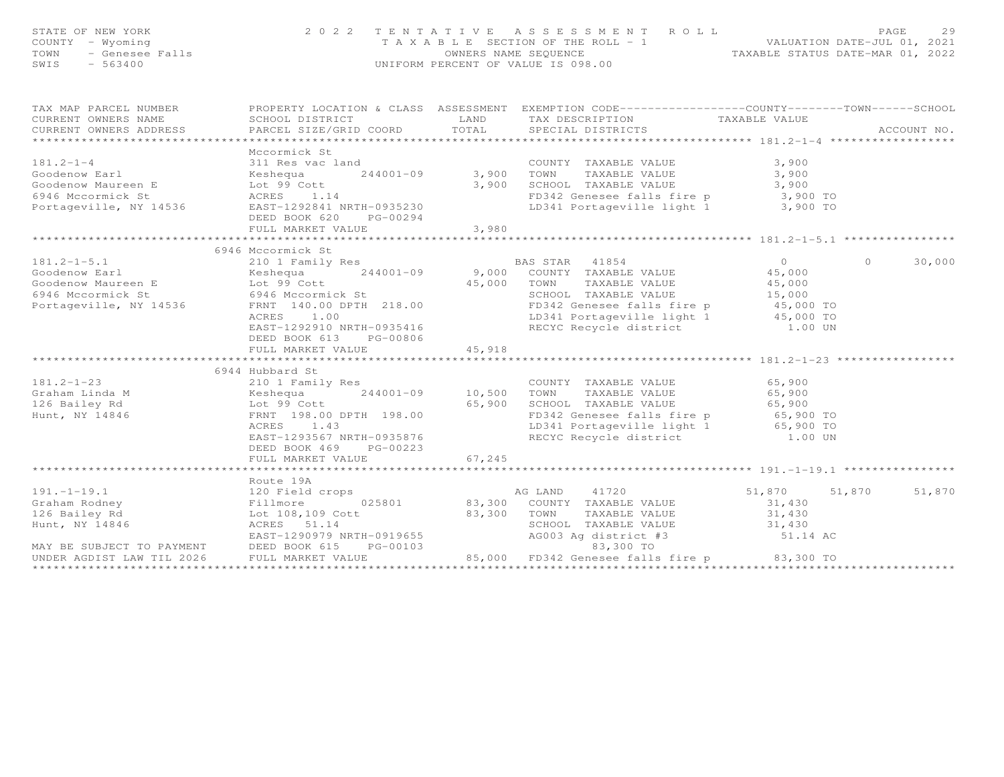| STATE OF NEW YORK<br>COUNTY - Wyoming<br>TOWN - Genesee Falls<br>SWIS - 563400                                                                                                                                                                                        | 2022 TENTATIVE ASSESSMENT ROLL                                                         | PAGE<br>2 <sup>o</sup><br>PAGE 29<br>TAXABLE SECTION OF THE ROLL - 1 VALUATION DATE-JUL 01, 2021<br>OWNERS NAME SEQUENCE TAXABLE STATUS DATE-MAR 01, 2022 |                                                                                                                                                                                                                                                    |                                             |                          |
|-----------------------------------------------------------------------------------------------------------------------------------------------------------------------------------------------------------------------------------------------------------------------|----------------------------------------------------------------------------------------|-----------------------------------------------------------------------------------------------------------------------------------------------------------|----------------------------------------------------------------------------------------------------------------------------------------------------------------------------------------------------------------------------------------------------|---------------------------------------------|--------------------------|
| TAX MAP PARCEL NUMBER FOROPERTY LOCATION & CLASS ASSESSMENT EXEMPTION CODE----------------COUNTY-------TOWN------SCHOOL<br>CURRENT OWNERS NAME<br>CURRENI OWNERS NAME<br>CURRENT OWNERS ADDRESS                                                                       | PARCEL SIZE/GRID COORD TOTAL SPECIAL DISTRICTS                                         |                                                                                                                                                           |                                                                                                                                                                                                                                                    |                                             | ACCOUNT NO.              |
|                                                                                                                                                                                                                                                                       |                                                                                        |                                                                                                                                                           |                                                                                                                                                                                                                                                    |                                             |                          |
| 181.2-1-4 Coodenow Earl 311 Res vac land COUNT<br>Goodenow Maureen E Lot 99 Cott 3,900 SCHOO!<br>6946 Mccormick St ACRES 1.14 FD342<br>Portageville, NY 14536 EAST-1292841 NRTH-0935230 DEED ROOK 620 PG-00294                                                        | Mccormick St<br>DEED BOOK 620 PG-00294<br>FULL MARKET VALUE                            | 3,980                                                                                                                                                     | COUNTY TAXABLE VALUE<br>TOWN     TAXABLE VALUE<br>3,900 IONN INANDER VIEWS<br>3,900 SCHOOL TAXABLE VALUE 3,900 TO<br>ED342 Genesee falls fire p 3,900 TO<br>LD341 Portageville light 1 3,900 TO                                                    | 3,900<br>3,900                              |                          |
|                                                                                                                                                                                                                                                                       |                                                                                        |                                                                                                                                                           |                                                                                                                                                                                                                                                    |                                             |                          |
| $181.2 - 1 - 5.1$<br>COORNER CORRES<br>Coordenow Maureen E<br>Coordenow Maureen E<br>Examely Assetting and 244001-09<br>Soldenow Maureen E<br>Examely Associate and 244001-09<br>Soldenow Maureen E<br>Coordenow Maureen E<br>Coordenow Maureen E<br>Coordenow Mauree | 6946 Mccormick St<br>210 1 Family Res<br>DEED BOOK 613 PG-00806<br>FULL MARKET VALUE   | 45,918                                                                                                                                                    | BAS STAR 41854                                                                                                                                                                                                                                     | $\overline{0}$                              | $\overline{0}$<br>30,000 |
|                                                                                                                                                                                                                                                                       | 6944 Hubbard St                                                                        |                                                                                                                                                           |                                                                                                                                                                                                                                                    |                                             |                          |
| 10 1 Family Res<br>COUNTY TAXABLE VALUE<br>Craham Linda M<br>126 Bailey Rd<br>126 Bailey Rd<br>126 Bailey Rd<br>126 Bailey Rd<br>126 Bailey Rd<br>126 Bailey Rd<br>126 Bailey Rd<br>126 Bailey Rd<br>126 Bailey Rd<br>126 Bailey Rd<br>126 Bailey Rd<br>1             | ACRES 1.43<br>EAST-1293567 NRTH-0935876<br>DEED BOOK 469 PG-00223<br>FULL MARKET VALUE | 67,245                                                                                                                                                    | COUNTY TAXABLE VALUE 65,900<br>TOWN TAXABLE VALUE 65,900<br>65,900 SCHOOL TAXABLE VALUE<br>65,900 SCHOOL TAXABLE VALUE 65,900 TO<br>FD342 Genesee falls fire p 65,900 TO<br>LD341 Portageville light 1 65,900 TO<br>RECYC Recycle district 1.00 UN |                                             |                          |
|                                                                                                                                                                                                                                                                       | ************************                                                               |                                                                                                                                                           |                                                                                                                                                                                                                                                    |                                             |                          |
| 191.-1-19.1<br>Graham Rodney<br>126 Bailey Rd<br>126 Bailey Rd<br>126 Bailey Rd<br>126 Bailey Rd<br>126 Bailey Rd<br>126 Bailey Rd<br>126 Bailey Rd<br>126 Bailey Rd<br>126 Bailey Rd<br>126 Bailey Rd<br>126 Bailey Rd<br>126 Bailey Rd<br>126 Bailey Rd<br>         | Route 19A                                                                              |                                                                                                                                                           | TAXABLE VALUE                                                                                                                                                                                                                                      | 51,870 51,870<br>31,430<br>31,430<br>31,430 | 51,870                   |
|                                                                                                                                                                                                                                                                       |                                                                                        |                                                                                                                                                           |                                                                                                                                                                                                                                                    |                                             |                          |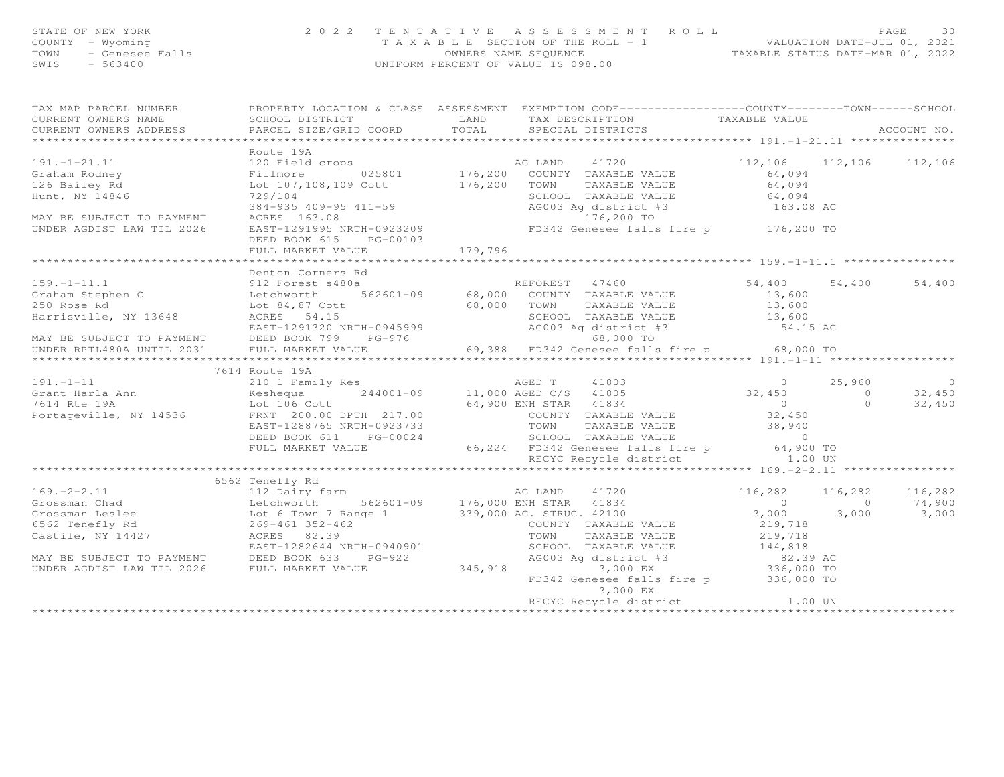| STATE OF NEW YORK<br>- Wyoming<br>COUNTY<br>- Genesee Falls<br>TOWN<br>SWIS<br>$-563400$ | 2 0 2 2                                                | TENTATIVE  | A S S E S S M E N T A O L L<br>T A X A B L E SECTION OF THE ROLL - 1<br>OWNERS NAME SEQUENCE TAXABLE STATUS DATE-MAR 01, 2022<br>UNIFORM PERCENT OF VALUE IS 098.00 |                 | 30<br>PAGE<br>VALUATION DATE-JUL 01, 2021 |
|------------------------------------------------------------------------------------------|--------------------------------------------------------|------------|---------------------------------------------------------------------------------------------------------------------------------------------------------------------|-----------------|-------------------------------------------|
| TAX MAP PARCEL NUMBER                                                                    | PROPERTY LOCATION & CLASS                              | ASSESSMENT | EXEMPTION CODE-----------------COUNTY-------TOWN------SCHOOL                                                                                                        |                 |                                           |
| CURRENT OWNERS NAME                                                                      | SCHOOL DISTRICT                                        | LAND       | TAX DESCRIPTION                                                                                                                                                     | TAXABLE VALUE   |                                           |
| CURRENT OWNERS ADDRESS 6 PARCEL SIZE/GRID COORD 6 TOTAL 6 SPECIAL DISTRICTS              |                                                        |            |                                                                                                                                                                     |                 | ACCOUNT NO.                               |
|                                                                                          |                                                        |            |                                                                                                                                                                     |                 |                                           |
|                                                                                          | Route 19A                                              |            |                                                                                                                                                                     |                 |                                           |
| 191.-1-21.11 120 Field crops                                                             |                                                        |            | 41720<br>AG LAND                                                                                                                                                    | 112,106 112,106 | 112,106                                   |
| Graham Rodney                                                                            | Fillmore 025801 176,200                                |            | COUNTY<br>TAXABLE VALUE                                                                                                                                             | 64,094          |                                           |
| 126 Bailey Rd                                                                            | Lot 107, 108, 109 Cott 176, 200                        |            | TOWN<br>TAXABLE VALUE                                                                                                                                               | 64,094          |                                           |
| Hunt, NY 14846                                                                           | 729/184                                                |            | SCHOOL<br>TAXABLE VALUE                                                                                                                                             | 64,094          |                                           |
|                                                                                          | 384-935 409-95 411-59                                  |            | AG003 Aq district #3 163.08 AC                                                                                                                                      |                 |                                           |
| MAY BE SUBJECT TO PAYMENT                                                                | ACRES 163.08                                           |            | 176,200 TO                                                                                                                                                          |                 |                                           |
| UNDER AGDIST LAW TIL 2026                                                                | EAST-1291995 NRTH-0923209<br>BBBB BOOT CIF<br>na ansan |            | FD342 Genesee falls fire p                                                                                                                                          | 176,200 TO      |                                           |

159.-1-11.1 912 Forest s480a REFOREST 47460 54,400 54,400 54,400

\*\*\*\*\*\*\*\*\*\*\*\*\*\*\*\*\*\*\*\*\*\*\*\*\*\*\*\*\*\*\*\*\*\*\*\*\*\*\*\*\*\*\*\*\*\*\*\*\*\*\*\*\*\*\*\*\*\*\*\*\*\*\*\*\*\*\*\*\*\*\*\*\*\*\*\*\*\*\*\*\*\*\*\*\*\*\*\*\*\*\*\*\*\*\*\*\*\*\*\*\*\*\* 191.-1-11 \*\*\*\*\*\*\*\*\*\*\*\*\*\*\*\*\*\*

191.-1-11 210 1 Family Res AGED T 41803 0 25,960 0Grant Harla Ann Keshequa 244001-09 11,000 AGED C/S 41805 32,450 0 32,4507614 Rte 19A Lot 106 Cott 64,900 ENH STAR 41834 0 0 32,450

\*\*\*\*\*\*\*\*\*\*\*\*\*\*\*\*\*\*\*\*\*\*\*\*\*\*\*\*\*\*\*\*\*\*\*\*\*\*\*\*\*\*\*\*\*\*\*\*\*\*\*\*\*\*\*\*\*\*\*\*\*\*\*\*\*\*\*\*\*\*\*\*\*\*\*\*\*\*\*\*\*\*\*\*\*\*\*\*\*\*\*\*\*\*\*\*\*\*\*\*\*\*\* 169.-2-2.11 \*\*\*\*\*\*\*\*\*\*\*\*\*\*\*\*

169.-2-2.11 112 Dairy farm AG LAND 41720 116,282 116,282 116,282 Grossman Chad Letchworth 562601-09 176,000 ENH STAR 41834 0 0 74,900 Grossman Leslee Lot 6 Town 7 Range 1 339,000 AG. STRUC. 42100 3,000 3,000 3,000

\*\*\*\*\*\*\*\*\*\*\*\*\*\*\*\*\*\*\*\*\*\*\*\*\*\*\*\*\*\*\*\*\*\*\*\*\*\*\*\*\*\*\*\*\*\*\*\*\*\*\*\*\*\*\*\*\*\*\*\*\*\*\*\*\*\*\*\*\*\*\*\*\*\*\*\*\*\*\*\*\*\*\*\*\*\*\*\*\*\*\*\*\*\*\*\*\*\*\*\*\*\*\*\*\*\*\*\*\*\*\*\*\*\*\*\*\*\*\*\*\*\*\*\*\*\*\*\*\*\*\*\*

 FD342 Genesee falls fire p 336,000 TO 3,000 EXRECYC Recycle district 1.00 UN

EAST-1291320 NRTH-0945999 AG003 Ag district #3 54.15 AC

13,600

219,718

144,818

82.39 AC

336,000 TO

54.15 AC

Graham Stephen C Letchworth 562601-09 68,000 COUNTY TAXABLE VALUE 13,600250 Rose Rd Lot 84,87 Cott 68,000 TOWN TAXABLE VALUE 13,600

Harrisville, NY 13648 ACRES 54.15 SCHOOL TAXABLE VALUE 13,600

MAY BE SUBJECT TO PAYMENT DEED BOOK 799 PG-976 68,000 TO UNDER RPTL480A UNTIL 2031 FULL MARKET VALUE 69,388 FD342 Genesee falls fire p 68,000 TO

Portageville, NY 14536 FRNT 200.00 DPTH 217.00 COUNTY TAXABLE VALUE 32,450<br>EAST-1288765 NRTH-0923733 TOWN TAXABLE VALUE 38,940<br>DEED BOOK 611 PG-00024 SCHOOL TAXABLE VALUE 66,224 SCHOOL TAXABLE VALUE 0<br>FULL MARKET VALUE 66,

6562 Tenefly Rd 269-461 352-462 COUNTY TAXABLE VALUE 219,718

MAY BE SUBJECT TO PAYMENT DEED BOOK 633 PG-922 AG003 Ag district #3 82.39 AC

UNDER AGDIST LAW TIL 2026 FULL MARKET VALUE 345,918 3,000 EX 336,000 TO

EAST-1282644 NRTH-0940901 SCHOOL TAXABLE VALUE 144,818

DEED BOOK 615 PG-00103

Denton Corners Rd

FULL MARKET VALUE 179,796

7614 Route 19A

6562 Tenefly Rd

210 1 Family Res

112 Dairy farm

Castile, NY 14427 ACRES 82.39 TOWN TAXABLE VALUE 219,718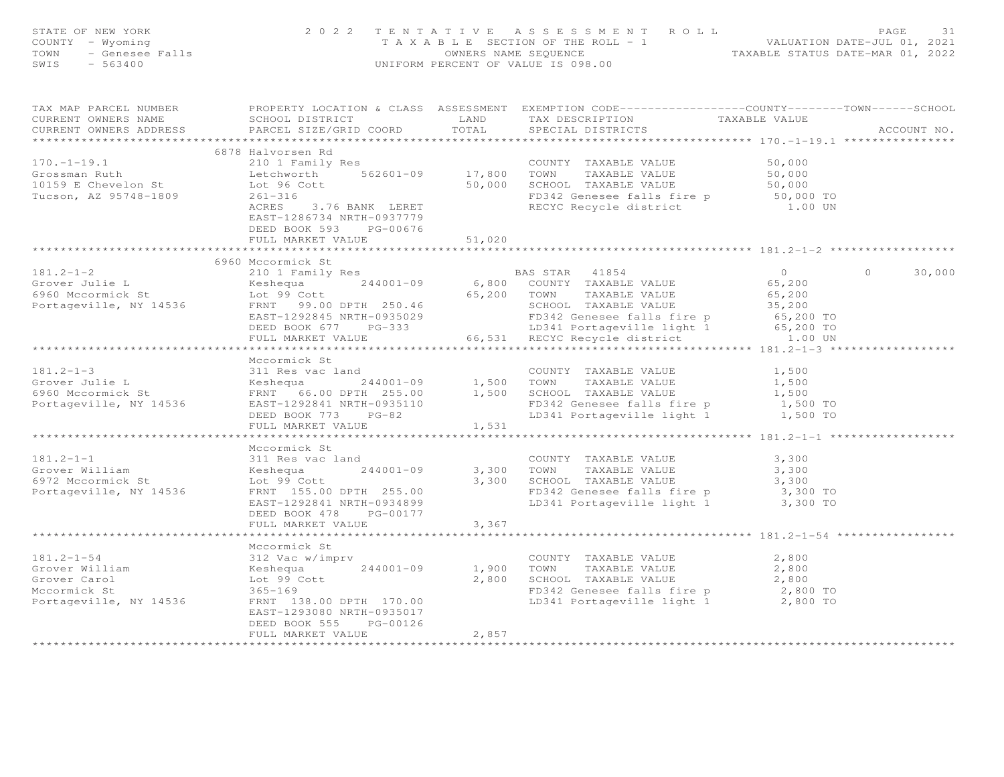| STATE OF NEW YORK<br>COUNTY - Wyoming<br>- Genesee Falls<br>- 563400<br>TOWN<br>SWIS<br>$-563400$ |                                                                                                                                                                                                              |                         | 2022 TENTATIVE ASSESSMENT ROLL<br>TAXABLE SECTION OF THE ROLL - 1<br>TAXABLE SECTION OF THE ROLL - 1<br>OWNERS NAME SEQUENCE TAXABLE STATUS DATE-MAR 01, 2022<br>UNIFORM PERCENT OF VALUE IS 098.00                           |                                                                | PAGE<br>31        |
|---------------------------------------------------------------------------------------------------|--------------------------------------------------------------------------------------------------------------------------------------------------------------------------------------------------------------|-------------------------|-------------------------------------------------------------------------------------------------------------------------------------------------------------------------------------------------------------------------------|----------------------------------------------------------------|-------------------|
| TAX MAP PARCEL NUMBER<br>CURRENT OWNERS NAME<br>CURRENT OWNERS ADDRESS                            | SCHOOL DISTRICT LAND<br>PARCEL SIZE/GRID COORD                                                                                                                                                               | TOTAL<br>***********    | PROPERTY LOCATION & CLASS ASSESSMENT EXEMPTION CODE----------------COUNTY-------TOWN------SCHOOL<br>TAX DESCRIPTION TAXABLE VALUE<br>SPECIAL DISTRICTS                                                                        | ****************** 170.-1-19.1 ******                          | ACCOUNT NO.       |
| $170. - 1 - 19.1$<br>Grossman Ruth<br>10159 E Chevelon St<br>Tucson, AZ 95748-1809                | 6878 Halvorsen Rd<br>210 1 Family Res<br>Letchworth 562601-09 17,800 TOWN<br>Lot 96 Cott<br>$261 - 316$<br>ACRES 3.76 BANK LERET<br>EAST-1286734 NRTH-0937779<br>DEED BOOK 593 PG-00676<br>FULL MARKET VALUE | 51,020                  | COUNTY TAXABLE VALUE<br>17,800    TOWN      TAXABLE VALUE<br>50,000    SCHOOL   TAXABLE VALUE<br>FD342 Genesee falls fire p<br>RECYC Recycle district                                                                         | 50,000<br>50,000<br>50,000<br>50,000 TO<br>1.00 UN             |                   |
|                                                                                                   | **************************                                                                                                                                                                                   | * * * * * * * * * * * * |                                                                                                                                                                                                                               | ******************* 181.2-1-2 *******                          |                   |
| $181.2 - 1 - 2$<br>Grover Julie L<br>6960 Mccormick St<br>Portageville, NY 14536                  | 6960 Mccormick St<br>210 1 Family Res<br>Keshequa<br>$244001 - 09$<br>Lot 99 Cott<br>FRNT 99.00 DPTH 250.46<br>EAST-1292845 NRTH-0935029<br>DEED BOOK 677 PG-333<br>FULL MARKET VALUE                        |                         | BAS STAR 41854<br>6,800 COUNTY TAXABLE VALUE<br>65,200 TOWN<br>TAXABLE VALUE<br>50,200<br>SCHOOL TAXABLE VALUE<br>FD342 Genesee falls fire p<br>LD341 Portageville light 1 65,200 TO<br>66,531 RECYC Recycle district 1.00 UN | $\overline{0}$<br>65,200<br>65,200                             | $\circ$<br>30,000 |
|                                                                                                   |                                                                                                                                                                                                              |                         |                                                                                                                                                                                                                               |                                                                |                   |
| $181.2 - 1 - 3$<br>Grover Julie L<br>6960 Mccormick St<br>Portageville, NY 14536                  | Mccormick St<br>311 Res vac land<br>EAST-1292841 NRTH-0935110<br>DEED BOOK 773 PG-82<br>FULL MARKET VALUE                                                                                                    | 1,531                   | COUNTY TAXABLE VALUE<br>FD342 Genesee falls fire p 1,500 TO<br>LD341 Portageville light 1 1,500 TO                                                                                                                            | 1,500<br>1,500<br>1,500                                        |                   |
|                                                                                                   |                                                                                                                                                                                                              |                         |                                                                                                                                                                                                                               |                                                                |                   |
| $181.2 - 1 - 1$<br>Grover William<br>6972 Mccormick St<br>Portageville, NY 14536                  | Mccormick St<br>311 Res vac land<br>Keshequa<br>244001-09<br>Lot 99 Cott<br>FRNT 155.00 DPTH 255.00<br>EAST-1292841 NRTH-0934899<br>DEED BOOK 478 PG-00177                                                   |                         | COUNTY TAXABLE VALUE<br>3,300 TOWN<br>TAXABLE VALUE<br>3,300 IOMA INMEDIA VILLE<br>3,300 SCHOOL TAXABLE VALUE 3,300<br>FD342 Genesee falls fire p 3,300 TO<br>LD341 Portageville light 1                                      | 3,300<br>3,300<br>3,300 TO                                     |                   |
|                                                                                                   | FULL MARKET VALUE<br>*********************                                                                                                                                                                   | 3,367                   |                                                                                                                                                                                                                               |                                                                |                   |
| $181.2 - 1 - 54$<br>Grover William<br>Grover Carol<br>Mccormick St                                | Mccormick St<br>312 Vac w/imprv<br>Keshequa 244001-09<br>Lot 99 Cott<br>$365 - 169$                                                                                                                          | 1,900 TOWN              | COUNTY TAXABLE VALUE<br>TAXABLE VALUE<br>2,800 SCHOOL TAXABLE VALUE<br>FD342 Genesee falls fire p 2,800 TO                                                                                                                    | ************************ 181.2-1-54<br>2,800<br>2,800<br>2,800 |                   |
| Portageville, NY 14536                                                                            | FRNT 138.00 DPTH 170.00<br>EAST-1293080 NRTH-0935017<br>DEED BOOK 555<br>PG-00126<br>FULL MARKET VALUE                                                                                                       | 2,857                   | LD341 Portageville light 1                                                                                                                                                                                                    | 2,800 TO                                                       |                   |
|                                                                                                   | ********************                                                                                                                                                                                         | ***************         |                                                                                                                                                                                                                               |                                                                |                   |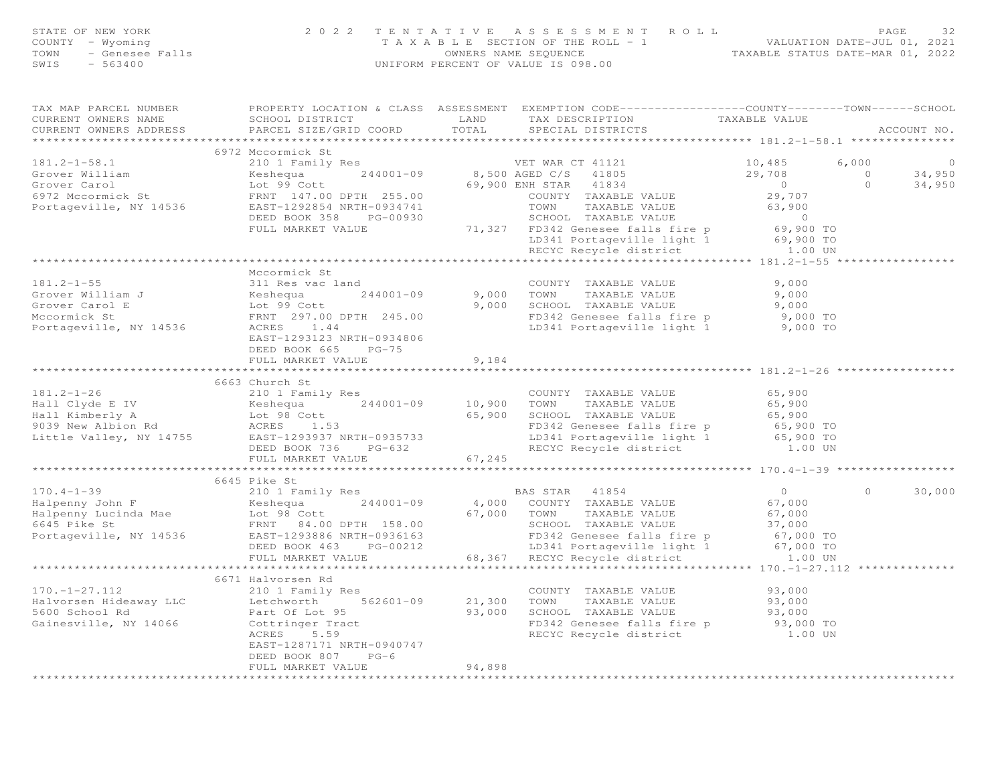| STATE OF NEW YORK |  |                 |  |  |  |  |
|-------------------|--|-----------------|--|--|--|--|
| COUNTY            |  | – Wyoming       |  |  |  |  |
| TOWN              |  | - Genesee Falls |  |  |  |  |

## STATE OF NEW YORK AS EXAMPLE TO A SINCE THE ROLL PAGE OF NEW YORK AND RAGE A SUBSER AND RESOUNTY - Wyoming the section of the section of the ROLL - 1 the Myoming the SECTION OF THE ROLL - 1 the SECTION OF THE ROLL - 1 the

| CURRENT OWNERS ADDRESS PARCEL SIZE/GRID COORD TOTAL SPECIAL DISTRICTS<br>6972 Mccormick St<br>181.2-1-58.1 $^{6972}$ Mccormick st<br>Grover William Reshequa 240001-09 8,500 AGED C/S 41805 29,708 6,000 0<br>Grover Carol Islam Reshequa 240001-09 8,500 AGED C/S 41805 29,708 6 29,708<br>Grover Carol Islam Reshequa 244001-09<br>Mccormick St<br>9,000 COUNTY TAXABLE VALUE<br>Grover William J<br>Grover Carol E (14001-09 9,000 TOWN TAXABLE VALUE 9,000<br>Mccormick St FRNT 297.00 DPTH 245.00 PTH 245.00 FD342 Genesee falls fire p 9,000 TO<br>Portageville, NY 14536 ACRES 1.44<br>EAST-1293123 NRTH-0934806<br>DEED BOOK 665 PG-75<br>9,184<br>FULL MARKET VALUE<br>6663 Church St<br>181.2-1-26<br>Hall Clyde E IV 244001-09 244001-09 10,900 TOWNTY TAXABLE VALUE<br>Hall Kimberly A Keshequa 244001-09 10,900 TOWN TAXABLE VALUE 65,900<br>Hall Kimberly A ACRES 1.53 FD342 Genesee falls fire p 65,900 TO<br>LD341 Port<br>FULL MARKET VALUE 67,245<br>6645 Pike St<br>$0 \t 30,000$<br>6671 Halvorsen Rd | TAX MAP PARCEL NUMBER<br>CURRENT OWNERS NAME |  | PROPERTY LOCATION & CLASS ASSESSMENT EXEMPTION CODE----------------COUNTY-------TOWN------SCHOOL<br>SCHOOL DISTRICT                      LAND        TAX DESCRIPTION                   TAXABLE VALUE |  | ACCOUNT NO. |
|---------------------------------------------------------------------------------------------------------------------------------------------------------------------------------------------------------------------------------------------------------------------------------------------------------------------------------------------------------------------------------------------------------------------------------------------------------------------------------------------------------------------------------------------------------------------------------------------------------------------------------------------------------------------------------------------------------------------------------------------------------------------------------------------------------------------------------------------------------------------------------------------------------------------------------------------------------------------------------------------------------------------------|----------------------------------------------|--|------------------------------------------------------------------------------------------------------------------------------------------------------------------------------------------------------|--|-------------|
|                                                                                                                                                                                                                                                                                                                                                                                                                                                                                                                                                                                                                                                                                                                                                                                                                                                                                                                                                                                                                           |                                              |  |                                                                                                                                                                                                      |  |             |
|                                                                                                                                                                                                                                                                                                                                                                                                                                                                                                                                                                                                                                                                                                                                                                                                                                                                                                                                                                                                                           |                                              |  |                                                                                                                                                                                                      |  |             |
|                                                                                                                                                                                                                                                                                                                                                                                                                                                                                                                                                                                                                                                                                                                                                                                                                                                                                                                                                                                                                           |                                              |  |                                                                                                                                                                                                      |  |             |
|                                                                                                                                                                                                                                                                                                                                                                                                                                                                                                                                                                                                                                                                                                                                                                                                                                                                                                                                                                                                                           |                                              |  |                                                                                                                                                                                                      |  |             |
|                                                                                                                                                                                                                                                                                                                                                                                                                                                                                                                                                                                                                                                                                                                                                                                                                                                                                                                                                                                                                           |                                              |  |                                                                                                                                                                                                      |  |             |
|                                                                                                                                                                                                                                                                                                                                                                                                                                                                                                                                                                                                                                                                                                                                                                                                                                                                                                                                                                                                                           |                                              |  |                                                                                                                                                                                                      |  |             |
|                                                                                                                                                                                                                                                                                                                                                                                                                                                                                                                                                                                                                                                                                                                                                                                                                                                                                                                                                                                                                           |                                              |  |                                                                                                                                                                                                      |  |             |
|                                                                                                                                                                                                                                                                                                                                                                                                                                                                                                                                                                                                                                                                                                                                                                                                                                                                                                                                                                                                                           |                                              |  |                                                                                                                                                                                                      |  |             |
|                                                                                                                                                                                                                                                                                                                                                                                                                                                                                                                                                                                                                                                                                                                                                                                                                                                                                                                                                                                                                           |                                              |  |                                                                                                                                                                                                      |  |             |
|                                                                                                                                                                                                                                                                                                                                                                                                                                                                                                                                                                                                                                                                                                                                                                                                                                                                                                                                                                                                                           |                                              |  |                                                                                                                                                                                                      |  |             |
|                                                                                                                                                                                                                                                                                                                                                                                                                                                                                                                                                                                                                                                                                                                                                                                                                                                                                                                                                                                                                           |                                              |  |                                                                                                                                                                                                      |  |             |
|                                                                                                                                                                                                                                                                                                                                                                                                                                                                                                                                                                                                                                                                                                                                                                                                                                                                                                                                                                                                                           |                                              |  |                                                                                                                                                                                                      |  |             |
|                                                                                                                                                                                                                                                                                                                                                                                                                                                                                                                                                                                                                                                                                                                                                                                                                                                                                                                                                                                                                           |                                              |  |                                                                                                                                                                                                      |  |             |
|                                                                                                                                                                                                                                                                                                                                                                                                                                                                                                                                                                                                                                                                                                                                                                                                                                                                                                                                                                                                                           |                                              |  |                                                                                                                                                                                                      |  |             |
|                                                                                                                                                                                                                                                                                                                                                                                                                                                                                                                                                                                                                                                                                                                                                                                                                                                                                                                                                                                                                           |                                              |  |                                                                                                                                                                                                      |  |             |
|                                                                                                                                                                                                                                                                                                                                                                                                                                                                                                                                                                                                                                                                                                                                                                                                                                                                                                                                                                                                                           |                                              |  |                                                                                                                                                                                                      |  |             |
|                                                                                                                                                                                                                                                                                                                                                                                                                                                                                                                                                                                                                                                                                                                                                                                                                                                                                                                                                                                                                           |                                              |  |                                                                                                                                                                                                      |  |             |
|                                                                                                                                                                                                                                                                                                                                                                                                                                                                                                                                                                                                                                                                                                                                                                                                                                                                                                                                                                                                                           |                                              |  |                                                                                                                                                                                                      |  |             |
|                                                                                                                                                                                                                                                                                                                                                                                                                                                                                                                                                                                                                                                                                                                                                                                                                                                                                                                                                                                                                           |                                              |  |                                                                                                                                                                                                      |  |             |
|                                                                                                                                                                                                                                                                                                                                                                                                                                                                                                                                                                                                                                                                                                                                                                                                                                                                                                                                                                                                                           |                                              |  |                                                                                                                                                                                                      |  |             |
|                                                                                                                                                                                                                                                                                                                                                                                                                                                                                                                                                                                                                                                                                                                                                                                                                                                                                                                                                                                                                           |                                              |  |                                                                                                                                                                                                      |  |             |
|                                                                                                                                                                                                                                                                                                                                                                                                                                                                                                                                                                                                                                                                                                                                                                                                                                                                                                                                                                                                                           |                                              |  |                                                                                                                                                                                                      |  |             |
|                                                                                                                                                                                                                                                                                                                                                                                                                                                                                                                                                                                                                                                                                                                                                                                                                                                                                                                                                                                                                           |                                              |  |                                                                                                                                                                                                      |  |             |
|                                                                                                                                                                                                                                                                                                                                                                                                                                                                                                                                                                                                                                                                                                                                                                                                                                                                                                                                                                                                                           |                                              |  |                                                                                                                                                                                                      |  |             |
|                                                                                                                                                                                                                                                                                                                                                                                                                                                                                                                                                                                                                                                                                                                                                                                                                                                                                                                                                                                                                           |                                              |  |                                                                                                                                                                                                      |  |             |
|                                                                                                                                                                                                                                                                                                                                                                                                                                                                                                                                                                                                                                                                                                                                                                                                                                                                                                                                                                                                                           |                                              |  |                                                                                                                                                                                                      |  |             |
|                                                                                                                                                                                                                                                                                                                                                                                                                                                                                                                                                                                                                                                                                                                                                                                                                                                                                                                                                                                                                           |                                              |  |                                                                                                                                                                                                      |  |             |
|                                                                                                                                                                                                                                                                                                                                                                                                                                                                                                                                                                                                                                                                                                                                                                                                                                                                                                                                                                                                                           |                                              |  |                                                                                                                                                                                                      |  |             |
|                                                                                                                                                                                                                                                                                                                                                                                                                                                                                                                                                                                                                                                                                                                                                                                                                                                                                                                                                                                                                           |                                              |  |                                                                                                                                                                                                      |  |             |
|                                                                                                                                                                                                                                                                                                                                                                                                                                                                                                                                                                                                                                                                                                                                                                                                                                                                                                                                                                                                                           |                                              |  |                                                                                                                                                                                                      |  |             |
|                                                                                                                                                                                                                                                                                                                                                                                                                                                                                                                                                                                                                                                                                                                                                                                                                                                                                                                                                                                                                           |                                              |  |                                                                                                                                                                                                      |  |             |
|                                                                                                                                                                                                                                                                                                                                                                                                                                                                                                                                                                                                                                                                                                                                                                                                                                                                                                                                                                                                                           |                                              |  |                                                                                                                                                                                                      |  |             |
|                                                                                                                                                                                                                                                                                                                                                                                                                                                                                                                                                                                                                                                                                                                                                                                                                                                                                                                                                                                                                           |                                              |  |                                                                                                                                                                                                      |  |             |
|                                                                                                                                                                                                                                                                                                                                                                                                                                                                                                                                                                                                                                                                                                                                                                                                                                                                                                                                                                                                                           |                                              |  |                                                                                                                                                                                                      |  |             |
|                                                                                                                                                                                                                                                                                                                                                                                                                                                                                                                                                                                                                                                                                                                                                                                                                                                                                                                                                                                                                           |                                              |  |                                                                                                                                                                                                      |  |             |
|                                                                                                                                                                                                                                                                                                                                                                                                                                                                                                                                                                                                                                                                                                                                                                                                                                                                                                                                                                                                                           |                                              |  |                                                                                                                                                                                                      |  |             |
|                                                                                                                                                                                                                                                                                                                                                                                                                                                                                                                                                                                                                                                                                                                                                                                                                                                                                                                                                                                                                           |                                              |  |                                                                                                                                                                                                      |  |             |
|                                                                                                                                                                                                                                                                                                                                                                                                                                                                                                                                                                                                                                                                                                                                                                                                                                                                                                                                                                                                                           |                                              |  |                                                                                                                                                                                                      |  |             |
|                                                                                                                                                                                                                                                                                                                                                                                                                                                                                                                                                                                                                                                                                                                                                                                                                                                                                                                                                                                                                           |                                              |  |                                                                                                                                                                                                      |  |             |
|                                                                                                                                                                                                                                                                                                                                                                                                                                                                                                                                                                                                                                                                                                                                                                                                                                                                                                                                                                                                                           |                                              |  |                                                                                                                                                                                                      |  |             |
|                                                                                                                                                                                                                                                                                                                                                                                                                                                                                                                                                                                                                                                                                                                                                                                                                                                                                                                                                                                                                           |                                              |  |                                                                                                                                                                                                      |  |             |
|                                                                                                                                                                                                                                                                                                                                                                                                                                                                                                                                                                                                                                                                                                                                                                                                                                                                                                                                                                                                                           |                                              |  |                                                                                                                                                                                                      |  |             |
|                                                                                                                                                                                                                                                                                                                                                                                                                                                                                                                                                                                                                                                                                                                                                                                                                                                                                                                                                                                                                           |                                              |  |                                                                                                                                                                                                      |  |             |
|                                                                                                                                                                                                                                                                                                                                                                                                                                                                                                                                                                                                                                                                                                                                                                                                                                                                                                                                                                                                                           |                                              |  |                                                                                                                                                                                                      |  |             |
|                                                                                                                                                                                                                                                                                                                                                                                                                                                                                                                                                                                                                                                                                                                                                                                                                                                                                                                                                                                                                           |                                              |  |                                                                                                                                                                                                      |  |             |
|                                                                                                                                                                                                                                                                                                                                                                                                                                                                                                                                                                                                                                                                                                                                                                                                                                                                                                                                                                                                                           |                                              |  |                                                                                                                                                                                                      |  |             |
| EAST-1287171 NRTH-0940747                                                                                                                                                                                                                                                                                                                                                                                                                                                                                                                                                                                                                                                                                                                                                                                                                                                                                                                                                                                                 |                                              |  |                                                                                                                                                                                                      |  |             |
| DEED BOOK 807 PG-6                                                                                                                                                                                                                                                                                                                                                                                                                                                                                                                                                                                                                                                                                                                                                                                                                                                                                                                                                                                                        |                                              |  |                                                                                                                                                                                                      |  |             |
| 94,898<br>*********************                                                                                                                                                                                                                                                                                                                                                                                                                                                                                                                                                                                                                                                                                                                                                                                                                                                                                                                                                                                           |                                              |  |                                                                                                                                                                                                      |  |             |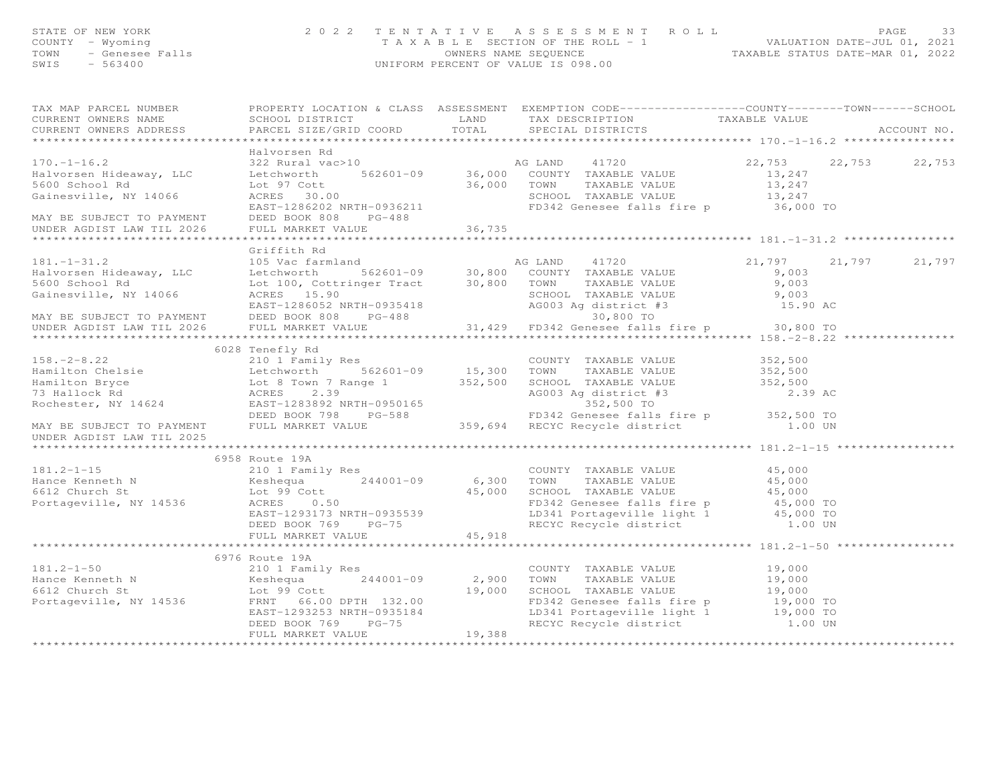| STATE OF NEW YORK<br>COUNTY - Wyoming<br>TOWN<br>SWIS - 563400                                                                                                                                                                                                                                                                                                                                                                                                                                                                                | OF NEW YORK PAGE 33<br>TAXABLE SECTION OF THE ROLL - 1 PAGE 132 TENTATIVE ASSESSMENT ROLL VALUATION DATE-JUL 01, 2021<br>- Genesee Falls – S63400 – 563400 – 563400 – 563400 – 563400 – 563400 – 563400 – 563400 – 563400 – 563400 |                                    |  |             |
|-----------------------------------------------------------------------------------------------------------------------------------------------------------------------------------------------------------------------------------------------------------------------------------------------------------------------------------------------------------------------------------------------------------------------------------------------------------------------------------------------------------------------------------------------|------------------------------------------------------------------------------------------------------------------------------------------------------------------------------------------------------------------------------------|------------------------------------|--|-------------|
| TAX MAP PARCEL NUMBER FROPERTY LOCATION & CLASS ASSESSMENT EXEMPTION CODE----------------COUNTY-------TOWN------SCHOOL                                                                                                                                                                                                                                                                                                                                                                                                                        |                                                                                                                                                                                                                                    |                                    |  |             |
| CURRENT OWNERS NAME<br>$\begin{minipage}{.45\textwidth} \begin{minipage}{.45\textwidth} \begin{minipage}{.45\textwidth} \begin{minipage}{.45\textwidth} \begin{minipage}{.45\textwidth} \begin{minipage}{.45\textwidth} \begin{minipage}{.45\textwidth} \begin{minipage}{.45\textwidth} \begin{minipage}{.45\textwidth} \begin{minipage}{.45\textwidth} \begin{minipage}{.45\textwidth} \begin{minipage}{.45\textwidth} \begin{minipage}{.45\textwidth} \begin{minipage}{.45\textwidth} \begin{minipage}{.45\textwidth} \begin{minipage}{.45$ | SCHOOL DISTRICT                                                                                                                                                                                                                    | LAND TAX DESCRIPTION TAXABLE VALUE |  | ACCOUNT NO. |
|                                                                                                                                                                                                                                                                                                                                                                                                                                                                                                                                               | Halvorsen Rd                                                                                                                                                                                                                       |                                    |  |             |
| Halvorsen Rd<br>Halvorsen Hideaway, LLC 322 Rural vac>10<br>Halvorsen Hideaway, LLC Lechworth 562601-09 36,000 COUNTY TAXABLE VALUE 13,247<br>5600 School Rd Lechworth 562601-09 36,000 COUNTY TAXABLE VALUE 13,247<br>Gainesville, NY                                                                                                                                                                                                                                                                                                        |                                                                                                                                                                                                                                    |                                    |  |             |
|                                                                                                                                                                                                                                                                                                                                                                                                                                                                                                                                               |                                                                                                                                                                                                                                    |                                    |  |             |
|                                                                                                                                                                                                                                                                                                                                                                                                                                                                                                                                               |                                                                                                                                                                                                                                    |                                    |  |             |
|                                                                                                                                                                                                                                                                                                                                                                                                                                                                                                                                               |                                                                                                                                                                                                                                    |                                    |  |             |
|                                                                                                                                                                                                                                                                                                                                                                                                                                                                                                                                               |                                                                                                                                                                                                                                    |                                    |  |             |
| MAY BE SUBJECT TO PAYMENT DEED BOOK 808                                                                                                                                                                                                                                                                                                                                                                                                                                                                                                       | $PG-488$                                                                                                                                                                                                                           |                                    |  |             |
|                                                                                                                                                                                                                                                                                                                                                                                                                                                                                                                                               |                                                                                                                                                                                                                                    |                                    |  |             |
|                                                                                                                                                                                                                                                                                                                                                                                                                                                                                                                                               |                                                                                                                                                                                                                                    |                                    |  |             |
|                                                                                                                                                                                                                                                                                                                                                                                                                                                                                                                                               | Griffith Rd                                                                                                                                                                                                                        |                                    |  |             |
|                                                                                                                                                                                                                                                                                                                                                                                                                                                                                                                                               |                                                                                                                                                                                                                                    |                                    |  |             |
|                                                                                                                                                                                                                                                                                                                                                                                                                                                                                                                                               |                                                                                                                                                                                                                                    |                                    |  |             |
|                                                                                                                                                                                                                                                                                                                                                                                                                                                                                                                                               |                                                                                                                                                                                                                                    |                                    |  |             |
|                                                                                                                                                                                                                                                                                                                                                                                                                                                                                                                                               |                                                                                                                                                                                                                                    |                                    |  |             |
|                                                                                                                                                                                                                                                                                                                                                                                                                                                                                                                                               |                                                                                                                                                                                                                                    |                                    |  |             |
|                                                                                                                                                                                                                                                                                                                                                                                                                                                                                                                                               |                                                                                                                                                                                                                                    |                                    |  |             |
|                                                                                                                                                                                                                                                                                                                                                                                                                                                                                                                                               |                                                                                                                                                                                                                                    |                                    |  |             |
|                                                                                                                                                                                                                                                                                                                                                                                                                                                                                                                                               |                                                                                                                                                                                                                                    |                                    |  |             |
|                                                                                                                                                                                                                                                                                                                                                                                                                                                                                                                                               |                                                                                                                                                                                                                                    |                                    |  |             |
|                                                                                                                                                                                                                                                                                                                                                                                                                                                                                                                                               |                                                                                                                                                                                                                                    |                                    |  |             |
|                                                                                                                                                                                                                                                                                                                                                                                                                                                                                                                                               |                                                                                                                                                                                                                                    |                                    |  |             |
|                                                                                                                                                                                                                                                                                                                                                                                                                                                                                                                                               |                                                                                                                                                                                                                                    |                                    |  |             |
| 6028 Tenefly Rd<br>6028 Tenefly Rd<br>210 1 Family Res<br>Hamilton Chelsie Letchworth 562601-09 15,300 TOWN TAXABLE VALUE 352,500<br>4003 Ag district #3 2.39<br>8003 Ag district #3 2.39<br>8003 Ag district #3 2.39<br>8003 Ag district #3                                                                                                                                                                                                                                                                                                  |                                                                                                                                                                                                                                    |                                    |  |             |
|                                                                                                                                                                                                                                                                                                                                                                                                                                                                                                                                               |                                                                                                                                                                                                                                    |                                    |  |             |
|                                                                                                                                                                                                                                                                                                                                                                                                                                                                                                                                               |                                                                                                                                                                                                                                    |                                    |  |             |
|                                                                                                                                                                                                                                                                                                                                                                                                                                                                                                                                               |                                                                                                                                                                                                                                    |                                    |  |             |

UNDER AGDIST LAW TIL 2025 \*\*\*\*\*\*\*\*\*\*\*\*\*\*\*\*\*\*\*\*\*\*\*\*\*\*\*\*\*\*\*\*\*\*\*\*\*\*\*\*\*\*\*\*\*\*\*\*\*\*\*\*\*\*\*\*\*\*\*\*\*\*\*\*\*\*\*\*\*\*\*\*\*\*\*\*\*\*\*\*\*\*\*\*\*\*\*\*\*\*\*\*\*\*\*\*\*\*\*\*\*\*\* 181.2-1-15 \*\*\*\*\*\*\*\*\*\*\*\*\*\*\*\*\* 6958 Route 19A181.2-1-15 210 1 Family Res COUNTY TAXABLE VALUE 45,000<br>
Hance Kenneth N Keshequa 244001-09 6,300 TOWN TAXABLE VALUE 45,000<br>
6612 Church St Lot 99 Cott 45,000 SCHOOL TAXABLE VALUE 45,000<br>
Portageville, NY 14536 ACRES 0.50 EAST-1293173 NALL 33.<br>DEED BOOK 769 PG-75 45,918 \*\*\*\*\*\*\*\*\*\*\*\*\*\*\*\*\*\*\*\*\*\*\*\*\*\*\*\*\*\*\*\*\*\*\*\*\*\*\*\*\*\*\*\*\*\*\*\*\*\*\*\*\*\*\*\*\*\*\*\*\*\*\*\*\*\*\*\*\*\*\*\*\*\*\*\*\*\*\*\*\*\*\*\*\*\*\*\*\*\*\*\*\*\*\*\*\*\*\*\*\*\*\* 181.2-1-50 \*\*\*\*\*\*\*\*\*\*\*\*\*\*\*\*\* 6976 Route 19A181.2-1-50 210 1 Family Res COUNTY TAXABLE VALUE 19,000<br>
Hance Kenneth N Keshequa 244001-09 2,900 TOWN TAXABLE VALUE 19,000<br>
6612 Church St Lot 99 Cott 19,000 SCHOOL TAXABLE VALUE 19,000<br>
Portageville, NY 14536 FRNT 66.00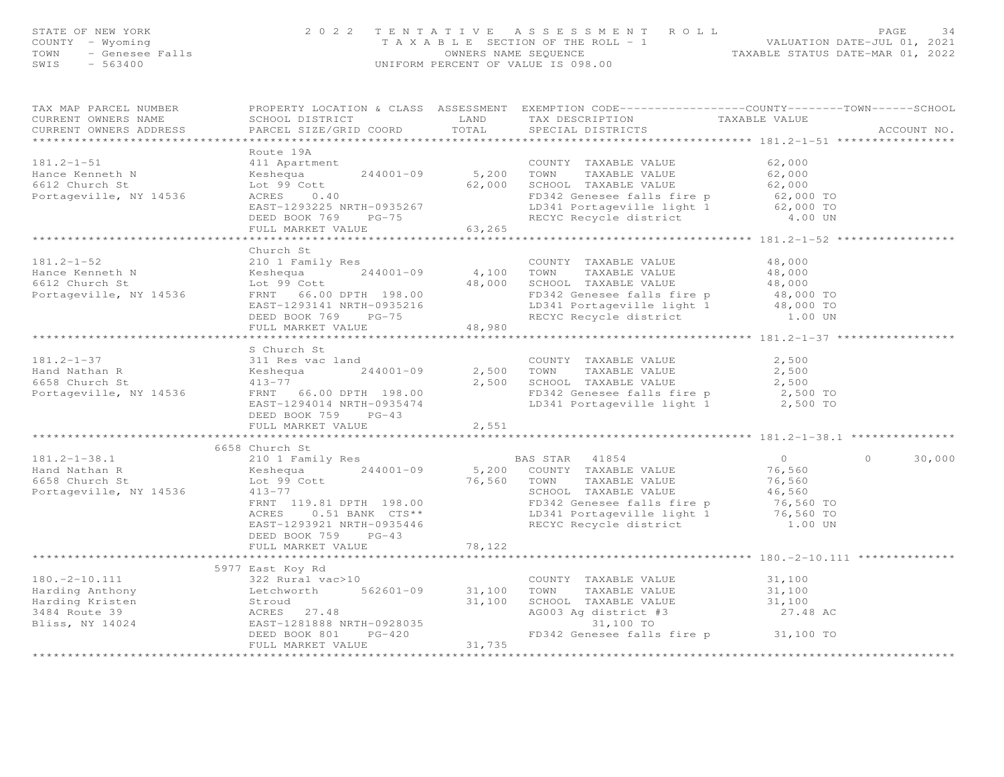| STATE OF NEW YORK<br>COUNTY - Wyoming<br>TOWN<br>SWIS                                     | FNEW YORK - Wyoming<br>- Wyoming - Genesee Falls<br>- 563400 - 563400 - 563400 - 563400 - 563400 - 563400 - 563400 - 563400 - 563400 - 563400 - 563400 - 563400 - 563400 - 563400 - 563400 - 563400 - 563400 - 563400 - 563400 - 5                                                   |                                | TENTATIVE ASSESSMENT ROLL PAGE 34<br>TAXABLE SECTION OF THE ROLL - 1 VALUATION DATE-JUL 01, 2021<br>OWNERS NAME SEQUENCE TAXABLE STATUS DATE-MAR 01, 2022<br>UNIFORM PERCENT OF VALUE IS 098.00                                                     |                                                    |                      |
|-------------------------------------------------------------------------------------------|--------------------------------------------------------------------------------------------------------------------------------------------------------------------------------------------------------------------------------------------------------------------------------------|--------------------------------|-----------------------------------------------------------------------------------------------------------------------------------------------------------------------------------------------------------------------------------------------------|----------------------------------------------------|----------------------|
| TAX MAP PARCEL NUMBER<br>CURRENT OWNERS NAME<br>CURRENT OWNERS ADDRESS                    |                                                                                                                                                                                                                                                                                      |                                | PROPERTY LOCATION & CLASS ASSESSMENT EXEMPTION CODE---------------COUNTY-------TOWN------SCHOOL<br>TAX DESCRIPTION<br>SPECIAL DISTRICTS                                                                                                             | TAXABLE VALUE                                      | ACCOUNT NO.          |
|                                                                                           | Route 19A                                                                                                                                                                                                                                                                            |                                |                                                                                                                                                                                                                                                     |                                                    |                      |
| $181.2 - 1 - 51$<br>Hance Kenneth N<br>6612 Church St                                     | 411 Apartment<br>Keshequa<br>Lot 99 Cott<br>ACRES<br>0.40                                                                                                                                                                                                                            | COUNTY<br>244001-09 5,200 TOWN | COUNTY TAXABLE VALUE<br>TAXABLE VALUE<br>244001-09 5,200 IOMN IGAMBLE VALUE 62,000<br>62,000 SCHOOL TAXABLE VALUE 62,000 TO<br>FD342 Genesee falls fire p 62,000 TO                                                                                 | 62,000<br>62,000                                   |                      |
| Portageville, NY 14536                                                                    | EAST-1293225 NRTH-0935267<br>DEED BOOK 769 PG-75<br>FULL MARKET VALUE                                                                                                                                                                                                                | 63,265                         | LD341 Portageville light 1 62,000 TO<br>RECYC Recycle district 4.00 UN                                                                                                                                                                              |                                                    |                      |
|                                                                                           |                                                                                                                                                                                                                                                                                      |                                |                                                                                                                                                                                                                                                     |                                                    |                      |
| $181.2 - 1 - 52$<br>Hance Kenneth N<br>6612 Church St<br>Portageville, NY 14536           | Church St<br>∠⊥∪ 1 Family Res<br>Keshequa 244001-09 4,100 TOWN<br>Lot 99 Cott 244001-09 400000 TOWN<br>DUC 33 COLORET 198.00<br>EAST-1293141 NRTH-0935216<br>DEED BOOK 769 PG-75                                                                                                     |                                | COUNTY TAXABLE VALUE<br>TAXABLE VALUE<br>48,000 SCHOOL TAXABLE VALUE<br>FD342 Genesee falls fire p 48,000 TO<br>LD341 Portageville light 1<br>RECYC Recycle district                                                                                | 48,000<br>48,000<br>48,000<br>48,000 TO<br>1.00 UN |                      |
|                                                                                           | FULL MARKET VALUE                                                                                                                                                                                                                                                                    | 48,980                         |                                                                                                                                                                                                                                                     |                                                    |                      |
|                                                                                           |                                                                                                                                                                                                                                                                                      |                                |                                                                                                                                                                                                                                                     |                                                    |                      |
|                                                                                           | S Church St                                                                                                                                                                                                                                                                          |                                |                                                                                                                                                                                                                                                     |                                                    |                      |
|                                                                                           |                                                                                                                                                                                                                                                                                      |                                | COUNTY TAXABLE VALUE                                                                                                                                                                                                                                | 2,500                                              |                      |
|                                                                                           | $244001 - 09$                                                                                                                                                                                                                                                                        |                                | TAXABLE VALUE<br>2,500 TOWN                                                                                                                                                                                                                         | 2,500                                              |                      |
|                                                                                           | 181.2-1-37<br>Hand Nathan R<br>6658 Church St<br>Portageville, NY 14536<br>FRNT 66.00 DPTH 198.00<br>EAST-1294014 NRTH-0935474<br>DEED BOOK 759 PG-43                                                                                                                                |                                | 2,500 SCHOOL TAXABLE VALUE 2,500<br>FD342 Genesee falls fire p 2,500 TO<br>LD341 Portageville light 1 2,500 TO                                                                                                                                      |                                                    |                      |
|                                                                                           | FULL MARKET VALUE                                                                                                                                                                                                                                                                    | 2,551<br>***********           |                                                                                                                                                                                                                                                     |                                                    |                      |
|                                                                                           | 6658 Church St                                                                                                                                                                                                                                                                       |                                |                                                                                                                                                                                                                                                     |                                                    |                      |
| $181.2 - 1 - 38.1$<br>nang Nathan R<br>6658 Church St<br>Porter<br>Portageville, NY 14536 | 210 1 Family Res<br>Keshequa 244001-09<br>Lot 99 Cott<br>$413 - 77$<br>FRNT 119.81 DPTH 198.00<br>ACRES 0.51 BANK CTS**<br>DEED BOOK 759 PG-43                                                                                                                                       |                                | BAS STAR 41854<br>5,200 COUNTY TAXABLE VALUE<br>76,560 TOWN<br>TAXABLE VALUE<br>SCHOOL TAXABLE VALUE<br>FD342 Genesee falls fire p 76,560 TO<br>LD341 Portageville light 1 76,560 TO<br>1.00 UN<br>EAST-1293921 NRTH-0935446 RECYC Recycle district | $\overline{0}$<br>76,560<br>76,560<br>1.00 UN      | $\bigcirc$<br>30,000 |
|                                                                                           | FULL MARKET VALUE                                                                                                                                                                                                                                                                    | 78,122                         |                                                                                                                                                                                                                                                     |                                                    |                      |
|                                                                                           | *********************************                                                                                                                                                                                                                                                    |                                |                                                                                                                                                                                                                                                     |                                                    |                      |
|                                                                                           | 5977 East Koy Rd<br>180.-2-10.111<br>Harding Anthony<br>Harding Kristen<br>180.-2-10.111<br>Harding Anthony<br>180.-2-10.111<br>180.-2-10.111<br>1822 Rural vac>10<br>1822 Rural vac>10<br>562601-09<br>562601-09<br>31,100<br>31,100<br>31,100<br>31,100<br>31,100<br>27.48<br>EAST |                                | COUNTY TAXABLE VALUE 31,100<br>TOWN<br>TAXABLE VALUE<br>SCHOOL TAXABLE VALUE<br>AG003 Ag district #3                                                                                                                                                | 31,100<br>31,100<br>27.48 AC                       |                      |
|                                                                                           | $PG-420$<br>DEED BOOK 801<br>FULL MARKET VALUE                                                                                                                                                                                                                                       | 31,735                         | 31,100 TO<br>FD342 Genesee falls fire p 31,100 TO                                                                                                                                                                                                   |                                                    |                      |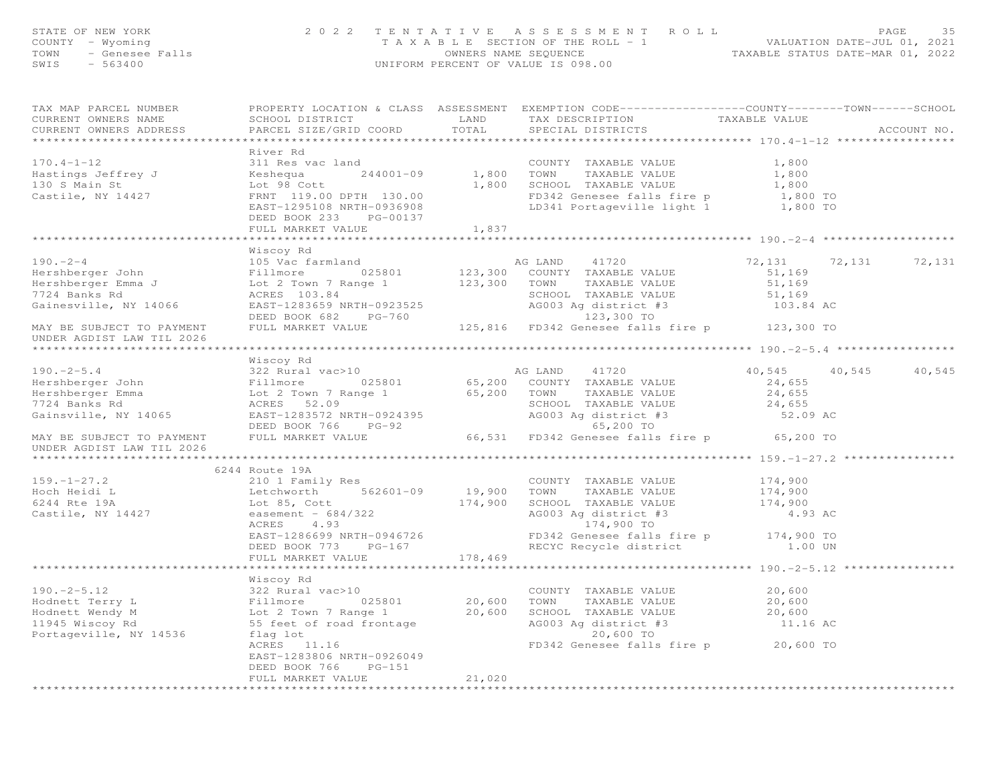| STATE OF NEW YORK<br>COUNTY - Wyoming<br>TOWN - Genesee Falls<br>SWIS - 563400 | 2 0 2 2                                                                                                                                                                                                                                                                    | TENTATIVE ASSESSMENT ROLL PACE 35<br>TAXABLE SECTION OF THE ROLL - 1 WALUATION DATE-JUL 01, 2021<br>OWNERS NAME SEQUENCE TAXABLE STATUS DATE-MAR 01, 2022<br>UNIFORM PERCENT OF VALUE IS 098.00 |                      |
|--------------------------------------------------------------------------------|----------------------------------------------------------------------------------------------------------------------------------------------------------------------------------------------------------------------------------------------------------------------------|-------------------------------------------------------------------------------------------------------------------------------------------------------------------------------------------------|----------------------|
|                                                                                |                                                                                                                                                                                                                                                                            |                                                                                                                                                                                                 |                      |
|                                                                                |                                                                                                                                                                                                                                                                            |                                                                                                                                                                                                 |                      |
|                                                                                |                                                                                                                                                                                                                                                                            |                                                                                                                                                                                                 |                      |
|                                                                                |                                                                                                                                                                                                                                                                            |                                                                                                                                                                                                 |                      |
|                                                                                |                                                                                                                                                                                                                                                                            |                                                                                                                                                                                                 |                      |
| CURRENT OWNERS ADDRESS                                                         | PARCEL SIZE/GRID COORD TOTAL SPECIAL DISTRICTS                                                                                                                                                                                                                             |                                                                                                                                                                                                 | ACCOUNT NO.          |
|                                                                                | River Rd                                                                                                                                                                                                                                                                   |                                                                                                                                                                                                 |                      |
|                                                                                | 170.4-1-12<br>Hastings Jeffrey J<br>Hastings Jeffrey J<br>Hastings Jeffrey J<br>Castile, NY 14427<br>Castile, NY 14427<br>Castile, NY 14427<br>Castile, NY 14427<br>Castile, NY 14427<br>Castile, NY 14427<br>Castile, NY 14427<br>Castile, NY 1442                        |                                                                                                                                                                                                 |                      |
|                                                                                |                                                                                                                                                                                                                                                                            |                                                                                                                                                                                                 |                      |
|                                                                                |                                                                                                                                                                                                                                                                            |                                                                                                                                                                                                 |                      |
|                                                                                |                                                                                                                                                                                                                                                                            |                                                                                                                                                                                                 |                      |
|                                                                                |                                                                                                                                                                                                                                                                            |                                                                                                                                                                                                 |                      |
|                                                                                |                                                                                                                                                                                                                                                                            |                                                                                                                                                                                                 |                      |
|                                                                                | FULL MARKET VALUE 1,837                                                                                                                                                                                                                                                    |                                                                                                                                                                                                 |                      |
|                                                                                |                                                                                                                                                                                                                                                                            |                                                                                                                                                                                                 |                      |
|                                                                                | 190.-2-4<br>190.-2-4<br>190.-2-4<br>190.-2-4<br>190.-2-4<br>190.-2-4<br>190.-2-4<br>190.-2-4<br>190.-2-4<br>190.-2-4<br>190.-2-4<br>190.-2-4<br>190.-2-4<br>190.-2-4<br>190.-2-4<br>190.-2-4<br>190.-2-4<br>190.-2-4<br>190.-2-4<br>190.-2-4<br>190.-2-4<br>190.-2-4<br>19 |                                                                                                                                                                                                 |                      |
|                                                                                |                                                                                                                                                                                                                                                                            |                                                                                                                                                                                                 | 72,131 72,131 72,131 |
|                                                                                |                                                                                                                                                                                                                                                                            |                                                                                                                                                                                                 |                      |
|                                                                                |                                                                                                                                                                                                                                                                            |                                                                                                                                                                                                 |                      |
|                                                                                |                                                                                                                                                                                                                                                                            |                                                                                                                                                                                                 |                      |
|                                                                                |                                                                                                                                                                                                                                                                            |                                                                                                                                                                                                 |                      |
|                                                                                |                                                                                                                                                                                                                                                                            |                                                                                                                                                                                                 |                      |
|                                                                                |                                                                                                                                                                                                                                                                            |                                                                                                                                                                                                 |                      |
|                                                                                |                                                                                                                                                                                                                                                                            |                                                                                                                                                                                                 |                      |
|                                                                                |                                                                                                                                                                                                                                                                            |                                                                                                                                                                                                 |                      |
|                                                                                |                                                                                                                                                                                                                                                                            |                                                                                                                                                                                                 | 40,545 40,545 40,545 |
|                                                                                |                                                                                                                                                                                                                                                                            |                                                                                                                                                                                                 |                      |
|                                                                                |                                                                                                                                                                                                                                                                            |                                                                                                                                                                                                 |                      |
|                                                                                |                                                                                                                                                                                                                                                                            |                                                                                                                                                                                                 |                      |
|                                                                                |                                                                                                                                                                                                                                                                            |                                                                                                                                                                                                 |                      |
|                                                                                |                                                                                                                                                                                                                                                                            |                                                                                                                                                                                                 |                      |
| UNDER AGDIST LAW TIL 2026                                                      | 190.-2-5.4<br>Miscoy Rd and Miscos Rampha (1720 and 1720 40,545 40<br>Hershberger John Fillmore 025801 65,200 COUNTY TAXABLE VALUE 24,655<br>Hershberger John Fillmore 025801 65,200 COUNTY TAXABLE VALUE 24,655<br>Hershberger John                                       |                                                                                                                                                                                                 |                      |
|                                                                                |                                                                                                                                                                                                                                                                            |                                                                                                                                                                                                 |                      |
|                                                                                | 6244 Route 19A                                                                                                                                                                                                                                                             |                                                                                                                                                                                                 |                      |
|                                                                                |                                                                                                                                                                                                                                                                            |                                                                                                                                                                                                 |                      |
|                                                                                |                                                                                                                                                                                                                                                                            |                                                                                                                                                                                                 |                      |
|                                                                                |                                                                                                                                                                                                                                                                            |                                                                                                                                                                                                 |                      |
|                                                                                | 159.-1-27.2<br>Hoch Heidi L<br>Hoch Heidi L<br>Echworth 562601-09 19,900 TOWN TAXABLE VALUE 174,900<br>6244 Rte 19A Lot 85, Cott 174,900 SCHOOL TAXABLE VALUE 174,900<br>Castile, NY 14427 easement - 684/322<br>EAST-1286699 NRTH-094672                                  |                                                                                                                                                                                                 |                      |
|                                                                                |                                                                                                                                                                                                                                                                            |                                                                                                                                                                                                 |                      |
|                                                                                |                                                                                                                                                                                                                                                                            |                                                                                                                                                                                                 |                      |
|                                                                                |                                                                                                                                                                                                                                                                            |                                                                                                                                                                                                 |                      |
|                                                                                |                                                                                                                                                                                                                                                                            |                                                                                                                                                                                                 |                      |
|                                                                                |                                                                                                                                                                                                                                                                            |                                                                                                                                                                                                 |                      |
|                                                                                |                                                                                                                                                                                                                                                                            |                                                                                                                                                                                                 |                      |
|                                                                                |                                                                                                                                                                                                                                                                            |                                                                                                                                                                                                 |                      |
|                                                                                |                                                                                                                                                                                                                                                                            |                                                                                                                                                                                                 |                      |
|                                                                                |                                                                                                                                                                                                                                                                            |                                                                                                                                                                                                 |                      |
|                                                                                |                                                                                                                                                                                                                                                                            |                                                                                                                                                                                                 |                      |
|                                                                                | 190.-2-5.12<br>Hodnett Terry L<br>Hodnett Wendy M<br>Hodnett Wendy M<br>1945 Wiscoy Rd<br>1945 Wiscoy Rd<br>196.-2-5.12<br>20,600<br>Fillmore<br>Lot 20,600<br>1945 Wiscoy Rd<br>55 feet of road frontage<br>55 feet of road frontage<br>11.16 AC<br>20,60                 |                                                                                                                                                                                                 |                      |
|                                                                                | EAST-1283806 NRTH-0926049                                                                                                                                                                                                                                                  |                                                                                                                                                                                                 |                      |
|                                                                                | DEED BOOK 766 PG-151                                                                                                                                                                                                                                                       |                                                                                                                                                                                                 |                      |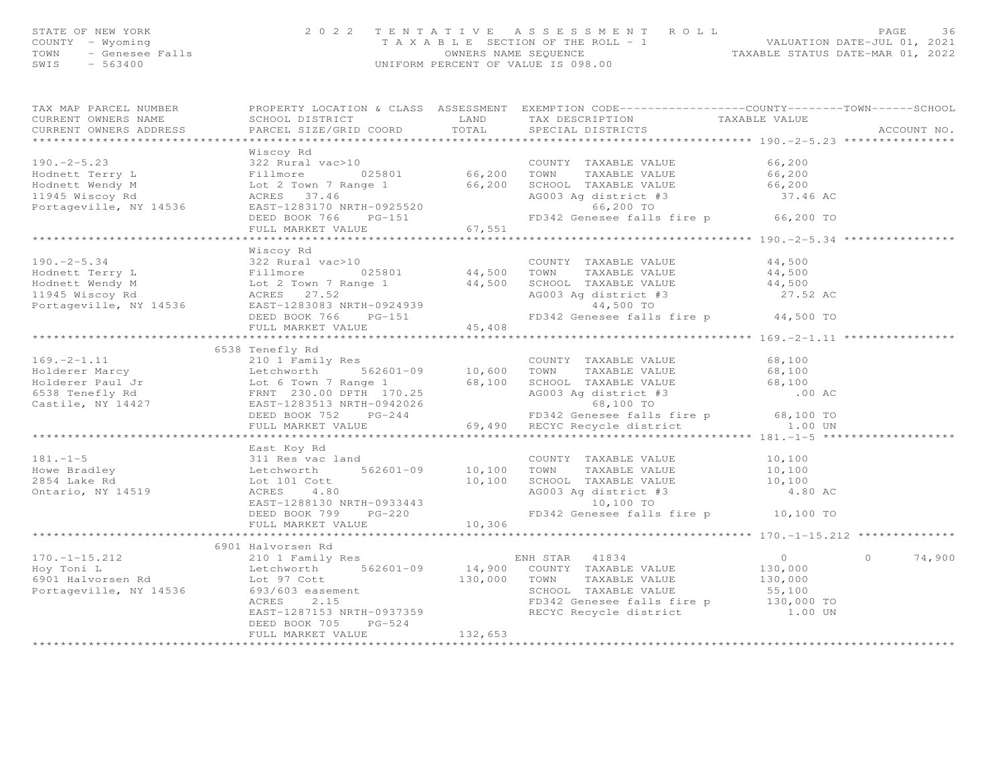| STATE OF NEW YORK                         | 2022 TENTATIVE ASSESSMENT ROLL                             |                                  | <b>PAGE</b> | 36 |
|-------------------------------------------|------------------------------------------------------------|----------------------------------|-------------|----|
| COUNTY – Wyoming                          | T A X A B L E SECTION OF THE ROLL - 1                      | VALUATION DATE-JUL 01, 2021      |             |    |
| TOWN - Genesee Falls<br>$-563400$<br>SWIS | OWNERS NAME SEOUENCE<br>UNIFORM PERCENT OF VALUE IS 098.00 | TAXABLE STATUS DATE-MAR 01, 2022 |             |    |
|                                           |                                                            |                                  |             |    |

TAX MAP PARCEL NUMBER PROPERTY LOCATION & CLASS ASSESSMENT EXEMPTION CODE------------------COUNTY--------TOWN------SCHOOL

| CURRENT OWNERS NAME                                                                                                                                                                                                                                 | SCHOOL DISTRICT LAND                           |         | TAX DESCRIPTION                   | TAXABLE VALUE                         |                    |
|-----------------------------------------------------------------------------------------------------------------------------------------------------------------------------------------------------------------------------------------------------|------------------------------------------------|---------|-----------------------------------|---------------------------------------|--------------------|
| CURRENT OWNERS ADDRESS                                                                                                                                                                                                                              | PARCEL SIZE/GRID COORD TOTAL SPECIAL DISTRICTS |         |                                   |                                       | ACCOUNT NO.        |
|                                                                                                                                                                                                                                                     |                                                |         | ********************************* | ****************** 190.-2-5.23 ****** |                    |
|                                                                                                                                                                                                                                                     | Wiscoy Rd                                      |         |                                   |                                       |                    |
| Viscoy Rd Wiscoy Rd 22 Rural vac>10<br>Hodnett Terry L 322 Rural vac>10<br>Hodnett Wendy M 522 Rural vac>10<br>EAST-1283170 NRTH-0925520<br>Portageville, NY 14536<br>Portageville, NY 14536<br>EAST-1283170 NRTH-0925520<br>ELED BOOK 76,20        |                                                |         |                                   |                                       |                    |
|                                                                                                                                                                                                                                                     |                                                |         |                                   |                                       |                    |
|                                                                                                                                                                                                                                                     |                                                |         |                                   |                                       |                    |
|                                                                                                                                                                                                                                                     |                                                |         |                                   |                                       |                    |
|                                                                                                                                                                                                                                                     |                                                |         |                                   |                                       |                    |
|                                                                                                                                                                                                                                                     |                                                |         |                                   |                                       |                    |
|                                                                                                                                                                                                                                                     | FULL MARKET VALUE                              | 67, 551 |                                   |                                       |                    |
|                                                                                                                                                                                                                                                     |                                                |         |                                   |                                       |                    |
|                                                                                                                                                                                                                                                     | Wiscoy Rd                                      |         |                                   |                                       |                    |
|                                                                                                                                                                                                                                                     |                                                |         |                                   |                                       |                    |
|                                                                                                                                                                                                                                                     |                                                |         |                                   |                                       |                    |
|                                                                                                                                                                                                                                                     |                                                |         |                                   |                                       |                    |
|                                                                                                                                                                                                                                                     |                                                |         |                                   |                                       |                    |
|                                                                                                                                                                                                                                                     |                                                |         |                                   |                                       |                    |
|                                                                                                                                                                                                                                                     |                                                |         |                                   |                                       |                    |
|                                                                                                                                                                                                                                                     |                                                |         |                                   |                                       |                    |
|                                                                                                                                                                                                                                                     |                                                |         |                                   |                                       |                    |
|                                                                                                                                                                                                                                                     |                                                |         |                                   |                                       |                    |
|                                                                                                                                                                                                                                                     |                                                |         |                                   |                                       |                    |
|                                                                                                                                                                                                                                                     |                                                |         |                                   |                                       |                    |
|                                                                                                                                                                                                                                                     |                                                |         |                                   |                                       |                    |
|                                                                                                                                                                                                                                                     |                                                |         |                                   |                                       |                    |
|                                                                                                                                                                                                                                                     |                                                |         |                                   |                                       |                    |
|                                                                                                                                                                                                                                                     |                                                |         |                                   |                                       |                    |
|                                                                                                                                                                                                                                                     |                                                |         |                                   |                                       |                    |
|                                                                                                                                                                                                                                                     |                                                |         |                                   |                                       |                    |
| 6538 Tenefity Rd 6538 Tenefity Rd 6538 Tenefity Rd 6678 Tenefity Rd 6678001-09 10,600 TOWN TAXABLE VALUE<br>Holderer Marcy Letchworth 562601-09 10,600 TOWN TAXABLE VALUE<br>Holderer Paul Jr Lot 6 Town 7 Range 1 68,100<br>Holders                |                                                |         |                                   |                                       |                    |
|                                                                                                                                                                                                                                                     |                                                |         |                                   |                                       |                    |
|                                                                                                                                                                                                                                                     |                                                |         |                                   |                                       |                    |
|                                                                                                                                                                                                                                                     |                                                |         |                                   |                                       |                    |
|                                                                                                                                                                                                                                                     |                                                |         |                                   |                                       |                    |
|                                                                                                                                                                                                                                                     |                                                |         |                                   |                                       |                    |
|                                                                                                                                                                                                                                                     |                                                |         |                                   |                                       |                    |
| 181.-1-5<br>Hast Koy Round (OUNTY TAXABLE VALUE 10,100<br>Howe Bradley 10,100<br>2854 Lake Rd Lot 101 Cott 100<br>Ontario, NY 14519 ACRES 4.80<br>EACRES 4.80<br>EACRES 4.80<br>EACRES 4.80<br>DEED BOOK 799 PG-220<br>FULL MARKET VALUE 10,306<br> |                                                |         |                                   |                                       |                    |
|                                                                                                                                                                                                                                                     |                                                |         |                                   |                                       |                    |
|                                                                                                                                                                                                                                                     |                                                |         |                                   |                                       |                    |
|                                                                                                                                                                                                                                                     |                                                |         |                                   |                                       |                    |
|                                                                                                                                                                                                                                                     | 6901 Halvorsen Rd                              |         |                                   |                                       |                    |
|                                                                                                                                                                                                                                                     |                                                |         |                                   |                                       | 74,900<br>$\Omega$ |
|                                                                                                                                                                                                                                                     |                                                |         |                                   |                                       |                    |
|                                                                                                                                                                                                                                                     |                                                |         |                                   |                                       |                    |
|                                                                                                                                                                                                                                                     |                                                |         |                                   |                                       |                    |
|                                                                                                                                                                                                                                                     |                                                |         |                                   |                                       |                    |
| 6901 Halvorsen Kd (2010 Finally Res (2011 Finally Res (2011 Finally Res (2011 Finally Res (2011 Finally Res (2011 Finally Res (2011 Finally Res (2011 Finally Res (2011 Finally Res (2011 Finally Res (2011 Finally Res (2011                       |                                                |         |                                   |                                       |                    |
|                                                                                                                                                                                                                                                     | DEED BOOK 705<br>$PG-524$                      |         |                                   |                                       |                    |
|                                                                                                                                                                                                                                                     | FULL MARKET VALUE                              | 132,653 |                                   |                                       |                    |
|                                                                                                                                                                                                                                                     |                                                |         |                                   |                                       |                    |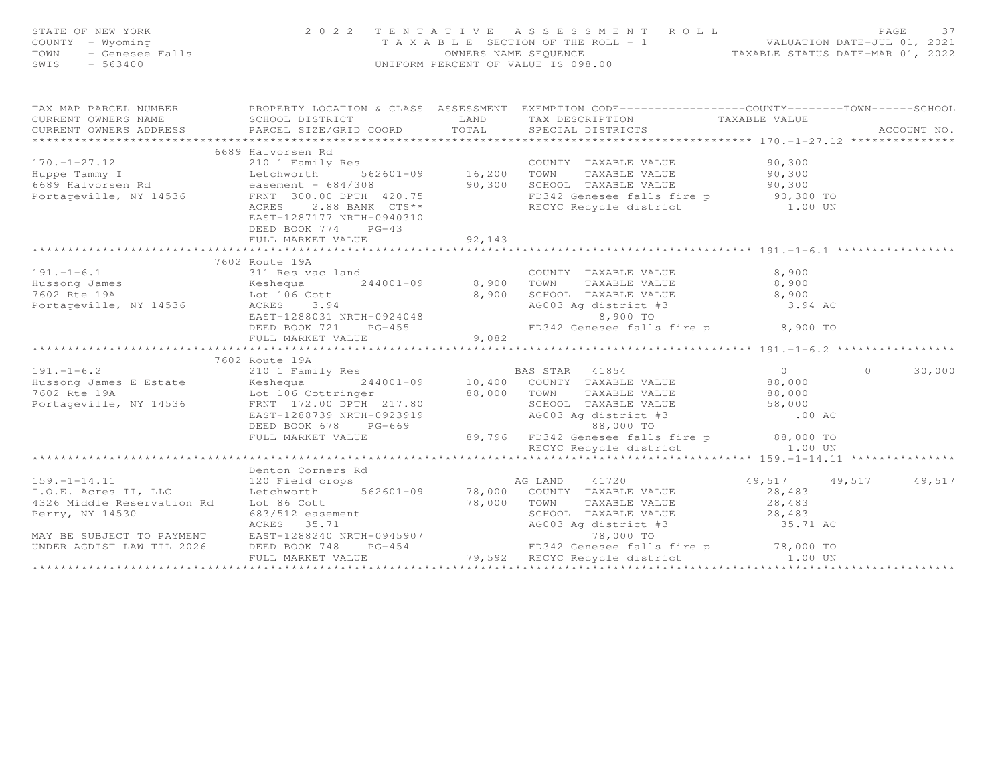| FAGE 37<br>COUNTY - Wyoming and the state of the state of NEW YORK (NOW THE ROLL PASS ESSIMENT ROLL PASS ESSIME NEW WALUATION<br>TAXABLE SECTION OF THE ROLL - 1<br>TOWN - Genesee Falls (NOW DERCENT OF VALUE IS 098.00<br>SWIS - 563400        |                                                  |        |                      |                     |
|--------------------------------------------------------------------------------------------------------------------------------------------------------------------------------------------------------------------------------------------------|--------------------------------------------------|--------|----------------------|---------------------|
| TAX MAP PARCEL NUMBER FOROPERTY LOCATION & CLASS ASSESSMENT EXEMPTION CODE----------------COUNTY-------TOWN-----SCHOOL                                                                                                                           |                                                  |        |                      |                     |
|                                                                                                                                                                                                                                                  |                                                  |        |                      |                     |
|                                                                                                                                                                                                                                                  |                                                  |        |                      |                     |
|                                                                                                                                                                                                                                                  |                                                  |        |                      |                     |
|                                                                                                                                                                                                                                                  |                                                  |        |                      |                     |
|                                                                                                                                                                                                                                                  |                                                  |        |                      |                     |
| 6689 Halvorsen Rd 210 1 Family Res 2000 1 Family Res 2001-09 2000 16,200 2000 16,200 2000 16,200 2000 16,200 2000 16,200 2000 16,200 2000 16,200 2000 16,200 2000 16,200 2000 16,200 2000 16,200 2000 16,200 2000 16,200 2000                    | EAST-1287177 NRTH-0940310<br>DEED BOOK 774 PG-43 | 92,143 |                      |                     |
|                                                                                                                                                                                                                                                  | FULL MARKET VALUE                                |        |                      |                     |
|                                                                                                                                                                                                                                                  | 7602 Route 19A                                   |        |                      |                     |
|                                                                                                                                                                                                                                                  |                                                  |        |                      |                     |
|                                                                                                                                                                                                                                                  |                                                  |        |                      |                     |
| 191.-1-6.1<br>Hussong James<br>The Mussong James<br>Teshequa<br>244001-09 8,900 TOWN TAXABLE VALUE<br>244001-09 8,900 TOWN TAXABLE VALUE<br>8,900 SCHOOL TAXABLE VALUE<br>26,900 SCHOOL TAXABLE VALUE<br>26,900 SCHOOL TAXABLE VALUE<br>26,900 S |                                                  |        |                      |                     |
|                                                                                                                                                                                                                                                  | FULL MARKET VALUE                                | 9,082  |                      |                     |
|                                                                                                                                                                                                                                                  |                                                  |        |                      |                     |
|                                                                                                                                                                                                                                                  | 7602 Route 19A                                   |        |                      |                     |
|                                                                                                                                                                                                                                                  |                                                  |        |                      | 30,000<br>$\bigcap$ |
|                                                                                                                                                                                                                                                  |                                                  |        |                      |                     |
|                                                                                                                                                                                                                                                  |                                                  |        |                      |                     |
| 191.-1-6.2<br>Hussong James E Estate (198. 2010 Family Res (189.000 For TAXABLE VALUE)<br>7602 Rte 19A (19536 FRNT 172.00 DPTH 217.80 88,000 TOWN TAXABLE VALUE)<br>7602 Rte 19A (19536 FRNT 172.00 DPTH 217.80 88,000 TOWN TAXABLE              |                                                  |        |                      |                     |
|                                                                                                                                                                                                                                                  |                                                  |        |                      |                     |
|                                                                                                                                                                                                                                                  |                                                  |        |                      |                     |
|                                                                                                                                                                                                                                                  |                                                  |        |                      |                     |
|                                                                                                                                                                                                                                                  |                                                  |        |                      |                     |
|                                                                                                                                                                                                                                                  |                                                  |        | 49,517 49,517 49,517 |                     |
|                                                                                                                                                                                                                                                  |                                                  |        |                      |                     |
|                                                                                                                                                                                                                                                  |                                                  |        |                      |                     |
|                                                                                                                                                                                                                                                  |                                                  |        |                      |                     |
|                                                                                                                                                                                                                                                  |                                                  |        |                      |                     |
|                                                                                                                                                                                                                                                  |                                                  |        |                      |                     |
|                                                                                                                                                                                                                                                  |                                                  |        |                      |                     |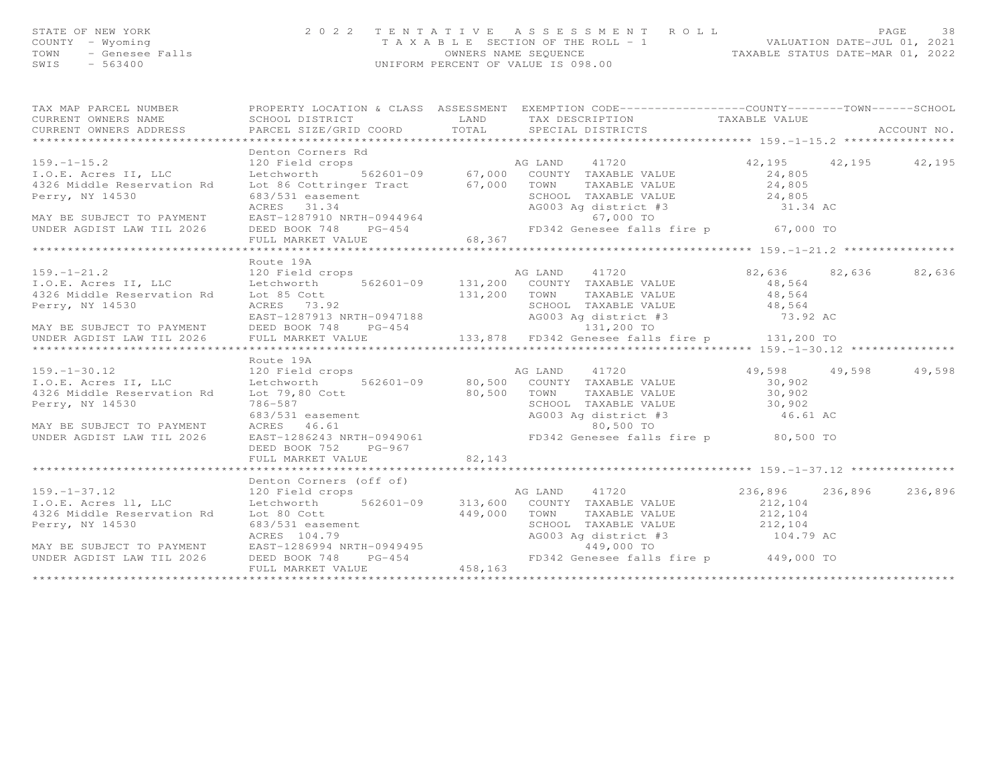## STATE OF NEW YORK ON BAGE 2022 TENTATIVE ASSESSMENT ROLL PACEMENT PAGE 38<br>COUNTY - Wyoming - Wyoming - TAXABLE SECTION OF THE ROLL - 1 WALUATION DATE-JUL 01, 2021<br>TAXABLE STATUS DATE-MAR 01, 2022<br>SWIS - 563400 - UNIFORM PE

|                      | TAX MAP PARCEL NUMBER FROPERTY LOCATION & CLASS ASSESSMENT EXEMPTION CODE----------------COUNTY-------TOWN-----SCHOOL                                                                                                                                                                                                                                                                                                                                                            |                      |  |
|----------------------|----------------------------------------------------------------------------------------------------------------------------------------------------------------------------------------------------------------------------------------------------------------------------------------------------------------------------------------------------------------------------------------------------------------------------------------------------------------------------------|----------------------|--|
| Denton Corners Rd    | 159.-1-15.2<br>1.0.E. Acres II, LLC 120 Field crops<br>1.0.E. Acres II, LLC Letchworth 562601-09 67,000 COUNTY TAXABLE VALUE 24,805<br>4326 Middle Reservation Rd Lot 86 Cottringer Tract 67,000 TOWN TAXABLE VALUE 24,805<br>Perry, N                                                                                                                                                                                                                                           |                      |  |
|                      |                                                                                                                                                                                                                                                                                                                                                                                                                                                                                  |                      |  |
|                      |                                                                                                                                                                                                                                                                                                                                                                                                                                                                                  |                      |  |
| Route 19A            | $\begin{tabular}{lllllllllllll} \multicolumn{3}{l}{} & \multicolumn{3}{l}{} & \multicolumn{3}{l}{} & \multicolumn{3}{l}{} & \multicolumn{3}{l}{} & \multicolumn{3}{l}{} & \multicolumn{3}{l}{} & \multicolumn{3}{l}{} & \multicolumn{3}{l}{} & \multicolumn{3}{l}{} & \multicolumn{3}{l}{} & \multicolumn{3}{l}{} & \multicolumn{3}{l}{} & \multicolumn{3}{l}{} & \multicolumn{3}{l}{} & \multicolumn{3}{l}{} & \multicolumn{3}{l}{} & \multicolumn{3}{l}{} & \multicolumn{3}{l$ | 82,636 82,636 82,636 |  |
|                      |                                                                                                                                                                                                                                                                                                                                                                                                                                                                                  |                      |  |
| Route 19A            |                                                                                                                                                                                                                                                                                                                                                                                                                                                                                  |                      |  |
| DEED BOOK 752 PG-967 | 159.–1–30.12<br>169.–1–30.12<br>169. Except 1.0. E. Acres II, LLC Later and the servation Rd Lot 79,80 Cott<br>269. Except 1.0. Except 1.0. Except 1.0. Except 1.0. E. Acres II, LLC Letchworth 562601–09<br>26. Except 1.0. Except 1.                                                                                                                                                                                                                                           |                      |  |
| FULL MARKET VALUE    | 82,143                                                                                                                                                                                                                                                                                                                                                                                                                                                                           |                      |  |
|                      |                                                                                                                                                                                                                                                                                                                                                                                                                                                                                  |                      |  |
|                      | 199.-1-37.12<br>199.-1-37.12<br>120 Ield cropes (off of)<br>120 Field crops and the server of the server of the server of the server of the server of the server of the server of the server of the server of the server of the serv                                                                                                                                                                                                                                             |                      |  |
|                      |                                                                                                                                                                                                                                                                                                                                                                                                                                                                                  |                      |  |
|                      |                                                                                                                                                                                                                                                                                                                                                                                                                                                                                  |                      |  |
|                      |                                                                                                                                                                                                                                                                                                                                                                                                                                                                                  |                      |  |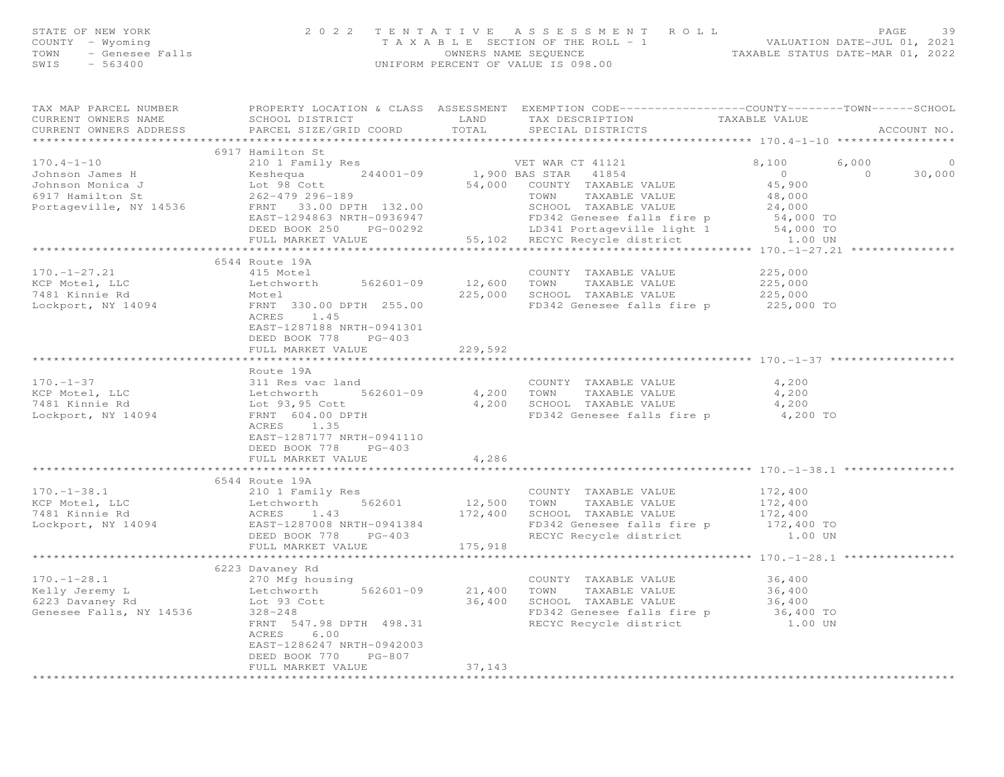| 6917 Hamilton St                                                                                                                                                                                                                                                                        |        |  |  |
|-----------------------------------------------------------------------------------------------------------------------------------------------------------------------------------------------------------------------------------------------------------------------------------------|--------|--|--|
|                                                                                                                                                                                                                                                                                         |        |  |  |
|                                                                                                                                                                                                                                                                                         |        |  |  |
|                                                                                                                                                                                                                                                                                         |        |  |  |
|                                                                                                                                                                                                                                                                                         |        |  |  |
| 170.4-1-10<br>3917 Hamilton St<br>3917 Hamilton St<br>3917 Hamilton St<br>3917 Hamilton St<br>3917 Hamilton St<br>39.000 COUNTY TAXABLE VALUE<br>39.000 COUNTY TAXABLE VALUE<br>39.000 COUNTY TAXABLE VALUE<br>39.000 COUNTY TAXABLE VALUE<br>39.                                       |        |  |  |
|                                                                                                                                                                                                                                                                                         |        |  |  |
|                                                                                                                                                                                                                                                                                         |        |  |  |
|                                                                                                                                                                                                                                                                                         |        |  |  |
|                                                                                                                                                                                                                                                                                         |        |  |  |
|                                                                                                                                                                                                                                                                                         |        |  |  |
|                                                                                                                                                                                                                                                                                         |        |  |  |
|                                                                                                                                                                                                                                                                                         |        |  |  |
| 170.-1-27.21<br>EXERIBLE VALUE<br>COUNTY TAXABLE VALUE<br>COUNTY TAXABLE VALUE<br>COUNTY TAXABLE VALUE<br>COUNTY TAXABLE VALUE<br>225,000<br>225,000<br>225,000<br>225,000<br>225,000<br>ERNI 330.00 DPTH 255.00<br>FRNI 330.00 DPTH 255.00<br>225,000<br><br>EAST-1287188 NRTH-0941301 |        |  |  |
| DEED BOOK 778 PG-403                                                                                                                                                                                                                                                                    |        |  |  |
| FULL MARKET VALUE 229,592                                                                                                                                                                                                                                                               |        |  |  |
|                                                                                                                                                                                                                                                                                         |        |  |  |
| Route 19A                                                                                                                                                                                                                                                                               |        |  |  |
|                                                                                                                                                                                                                                                                                         |        |  |  |
|                                                                                                                                                                                                                                                                                         |        |  |  |
| 170.-1-37<br>COUNTY TAXABLE VALUE 4,200<br>COUNTY TAXABLE VALUE 4,200<br>COUNTY TAXABLE VALUE 4,200<br>TOWN TAXABLE VALUE 4,200<br>4,200<br>TAXABLE VALUE 4,200<br>4,200<br>TAXABLE VALUE 4,200<br>4,200<br>TOWN TAXABLE VALUE 4,200<br>SCHOOL TAXAB                                    |        |  |  |
|                                                                                                                                                                                                                                                                                         |        |  |  |
| EAST-1287177 NRTH-0941110                                                                                                                                                                                                                                                               |        |  |  |
| DEED BOOK 778 PG-403                                                                                                                                                                                                                                                                    |        |  |  |
| FULL MARKET VALUE                                                                                                                                                                                                                                                                       | 4,286  |  |  |
|                                                                                                                                                                                                                                                                                         |        |  |  |
| 6544 Route 19A<br>6544 Route 19A<br>EXERCISE 172,400<br>EXERCISE 1.43<br>Lechworth 562601<br>ACRES 1.43<br>Lechwort, NY 14094<br>Lechwort, NY 14094<br>Lechwort, NY 14094<br>Lechwort, NY 14094<br>EXERCISE 1287008 NRTH-0941384<br>Lechwort, NY 14094<br>EXERCISE 128                  |        |  |  |
|                                                                                                                                                                                                                                                                                         |        |  |  |
|                                                                                                                                                                                                                                                                                         |        |  |  |
|                                                                                                                                                                                                                                                                                         |        |  |  |
|                                                                                                                                                                                                                                                                                         |        |  |  |
|                                                                                                                                                                                                                                                                                         |        |  |  |
|                                                                                                                                                                                                                                                                                         |        |  |  |
| 6223 Davaney Rd                                                                                                                                                                                                                                                                         |        |  |  |
|                                                                                                                                                                                                                                                                                         |        |  |  |
|                                                                                                                                                                                                                                                                                         |        |  |  |
|                                                                                                                                                                                                                                                                                         |        |  |  |
|                                                                                                                                                                                                                                                                                         |        |  |  |
| 6223 Davaney Rd 270 Mfg housing<br>Etchworth 562601-09 21,400 TOWN TAXABLE VALUE 36,400<br>6223 Davaney Rd 1623 Davaney Rd 16223 Davaney Rd 16223 Davaney Rd 16223 Davaney Rd 16223 Davaney Rd 16223 Davaney Rd 16223 Davaney Rd 1<br>6.00<br>ACRES                                     |        |  |  |
| EAST-1286247 NRTH-0942003                                                                                                                                                                                                                                                               |        |  |  |
| DEED BOOK 770 PG-807                                                                                                                                                                                                                                                                    |        |  |  |
| FULL MARKET VALUE                                                                                                                                                                                                                                                                       | 37,143 |  |  |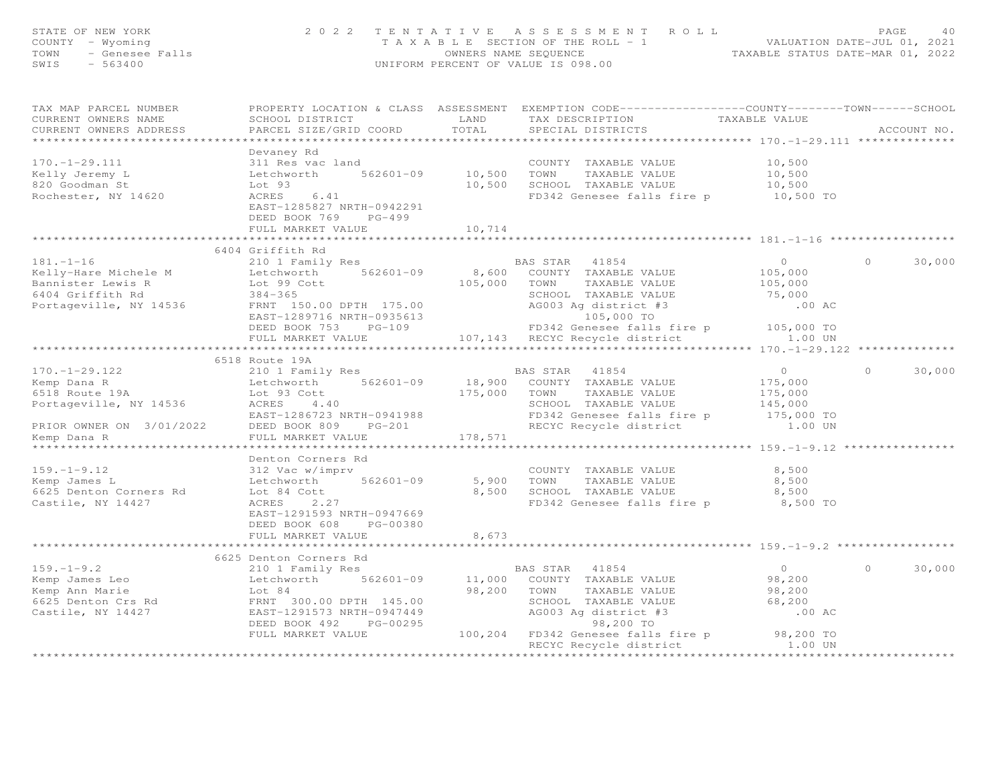|                                                                        | STATE OF NEW YORK 2022 TENTATIVE ASSESSMENT ROLL PAGE 40<br>COUNTY - Wyoming 2022 TENTATIVE ASSESSMENT ROLL WALUATION DATE-JUL 01, 2021<br>TOWN - Genesee Falls 2022 UNIFORM PERCENT OF VALUE IS 098.00<br>SWIS - 563400                                                            |                       |                                                                                                                                                                             |                              |                     |
|------------------------------------------------------------------------|-------------------------------------------------------------------------------------------------------------------------------------------------------------------------------------------------------------------------------------------------------------------------------------|-----------------------|-----------------------------------------------------------------------------------------------------------------------------------------------------------------------------|------------------------------|---------------------|
| TAX MAP PARCEL NUMBER<br>CURRENT OWNERS NAME<br>CURRENT OWNERS ADDRESS |                                                                                                                                                                                                                                                                                     |                       |                                                                                                                                                                             |                              |                     |
|                                                                        | Devaney Rd                                                                                                                                                                                                                                                                          |                       |                                                                                                                                                                             |                              |                     |
|                                                                        |                                                                                                                                                                                                                                                                                     |                       |                                                                                                                                                                             |                              |                     |
|                                                                        |                                                                                                                                                                                                                                                                                     |                       |                                                                                                                                                                             | 10,500<br>10,500<br>10,500   |                     |
|                                                                        |                                                                                                                                                                                                                                                                                     |                       |                                                                                                                                                                             |                              |                     |
|                                                                        | The country of the country of the country of the country of the same country of the same country of the same country of the same country of the same country of the same country of the same country of the same country of th<br>EAST-1285827 NRTH-0942291<br>DEED BOOK 769 PG-499 |                       | FD342 Genesee falls fire p 10,500 TO                                                                                                                                        |                              |                     |
|                                                                        | FULL MARKET VALUE                                                                                                                                                                                                                                                                   | 10,714<br>*********** |                                                                                                                                                                             |                              |                     |
|                                                                        | 6404 Griffith Rd                                                                                                                                                                                                                                                                    |                       |                                                                                                                                                                             |                              |                     |
| $181. - 1 - 16$                                                        | 210 1 Family Res                                                                                                                                                                                                                                                                    |                       | BAS STAR 41854                                                                                                                                                              | $\overline{0}$               | $\circ$<br>30,000   |
| Kelly-Hare Michele M                                                   |                                                                                                                                                                                                                                                                                     |                       | 8,600 COUNTY TAXABLE VALUE                                                                                                                                                  |                              |                     |
|                                                                        | Letchworth $562601-09$                                                                                                                                                                                                                                                              |                       |                                                                                                                                                                             | 105,000<br>105,000<br>75,000 |                     |
|                                                                        |                                                                                                                                                                                                                                                                                     |                       |                                                                                                                                                                             |                              |                     |
|                                                                        |                                                                                                                                                                                                                                                                                     |                       |                                                                                                                                                                             |                              |                     |
|                                                                        |                                                                                                                                                                                                                                                                                     |                       |                                                                                                                                                                             |                              |                     |
|                                                                        |                                                                                                                                                                                                                                                                                     |                       |                                                                                                                                                                             |                              |                     |
|                                                                        | EXAMBLE VALUE<br>BAT ANABLE VALUE<br>EAST-1289716 NRTH-0935613<br>EAST-1289716 NRTH-0935613<br>FULL MARKET VALUE<br>EAST-1289716 NRTH-0935613<br>FULL MARKET VALUE<br>EAST-1289716 NRTH-0935613<br>FULL MARKET VALUE<br>FULL MARKET VALUE<br>FULL                                   |                       |                                                                                                                                                                             |                              |                     |
|                                                                        |                                                                                                                                                                                                                                                                                     |                       |                                                                                                                                                                             |                              |                     |
|                                                                        | 6518 Route 19A                                                                                                                                                                                                                                                                      |                       |                                                                                                                                                                             |                              |                     |
|                                                                        |                                                                                                                                                                                                                                                                                     |                       |                                                                                                                                                                             |                              | $\Omega$<br>30,000  |
|                                                                        |                                                                                                                                                                                                                                                                                     |                       |                                                                                                                                                                             |                              |                     |
|                                                                        |                                                                                                                                                                                                                                                                                     |                       |                                                                                                                                                                             |                              |                     |
|                                                                        |                                                                                                                                                                                                                                                                                     |                       |                                                                                                                                                                             |                              |                     |
|                                                                        |                                                                                                                                                                                                                                                                                     |                       |                                                                                                                                                                             |                              |                     |
|                                                                        |                                                                                                                                                                                                                                                                                     |                       |                                                                                                                                                                             |                              |                     |
|                                                                        | 170.-1-29.122 $P = 101$ Family Res<br>Kemp Dana R<br>Echworth 562601-09 18,900 COUNTY TAXABLE VALUE 175,000<br>6518 Route 19A Lot 93 Cott<br>Portageville, NY 14536 ACRES 4.40 175,000 SCHOL TAXABLE VALUE 175,000<br>FRIOR OWNER ON 3/0                                            |                       |                                                                                                                                                                             |                              |                     |
|                                                                        |                                                                                                                                                                                                                                                                                     |                       |                                                                                                                                                                             |                              |                     |
|                                                                        |                                                                                                                                                                                                                                                                                     |                       |                                                                                                                                                                             | 8,500                        |                     |
|                                                                        |                                                                                                                                                                                                                                                                                     |                       |                                                                                                                                                                             | 8,500                        |                     |
|                                                                        |                                                                                                                                                                                                                                                                                     |                       |                                                                                                                                                                             | 8,500                        |                     |
|                                                                        |                                                                                                                                                                                                                                                                                     |                       |                                                                                                                                                                             | 8,500 TO                     |                     |
|                                                                        | EAST-1291593 NRTH-0947669                                                                                                                                                                                                                                                           |                       |                                                                                                                                                                             |                              |                     |
|                                                                        | DEED BOOK 608 PG-00380                                                                                                                                                                                                                                                              |                       |                                                                                                                                                                             |                              |                     |
|                                                                        | FULL MARKET VALUE                                                                                                                                                                                                                                                                   | 8,673                 |                                                                                                                                                                             |                              |                     |
|                                                                        |                                                                                                                                                                                                                                                                                     |                       |                                                                                                                                                                             |                              |                     |
|                                                                        |                                                                                                                                                                                                                                                                                     |                       |                                                                                                                                                                             |                              |                     |
|                                                                        |                                                                                                                                                                                                                                                                                     |                       |                                                                                                                                                                             |                              | $\bigcap$<br>30,000 |
|                                                                        |                                                                                                                                                                                                                                                                                     |                       |                                                                                                                                                                             |                              |                     |
|                                                                        |                                                                                                                                                                                                                                                                                     |                       |                                                                                                                                                                             |                              |                     |
|                                                                        | 159.-1-9.2<br>EXAMPLE VALUE<br>EXAMPLE VALUE<br>EXAMPLE VALUE<br>EXAMPLE VALUE<br>EXAMPLE VALUE<br>EXAMPLE VALUE<br>SEAS STAR 41854<br>CASTER AND TAXABLE VALUE<br>SEAS TAR 41854<br>ON TAXABLE VALUE<br>SEAS TAR 41854<br>ON TAXABLE VALUE<br>98,200<br>E                          |                       |                                                                                                                                                                             |                              |                     |
|                                                                        |                                                                                                                                                                                                                                                                                     |                       |                                                                                                                                                                             | .00 AC                       |                     |
|                                                                        |                                                                                                                                                                                                                                                                                     |                       |                                                                                                                                                                             |                              |                     |
|                                                                        |                                                                                                                                                                                                                                                                                     |                       | 98,200 IO<br>DEED BOOK 492 PG-00295 98,200 PG-00295 98,200 FULL MARKET VALUE 100,204 PD342 Genesee falls fire p<br>RECYC Recycle district 1.00 UN<br>RECYC Recycle district |                              |                     |
|                                                                        |                                                                                                                                                                                                                                                                                     |                       |                                                                                                                                                                             |                              |                     |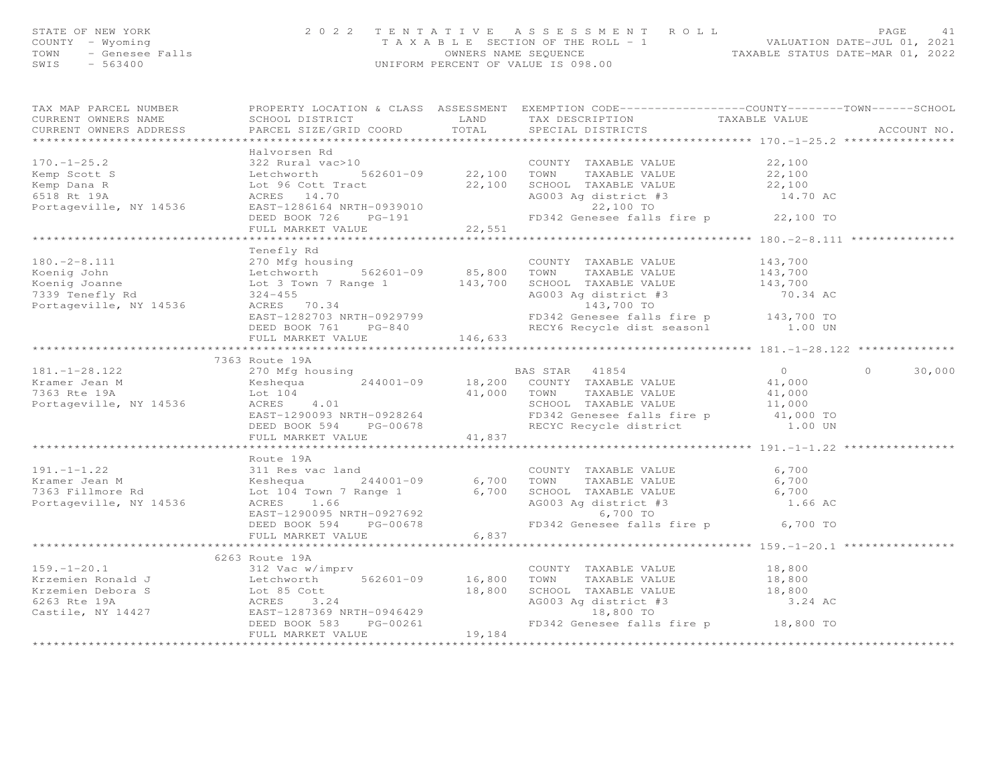| STATE OF NEW YORK    | 2022 TENTATIVE ASSESSMENT ROLL        | PAGE.                            |
|----------------------|---------------------------------------|----------------------------------|
| COUNTY – Wyoming     | T A X A B L E SECTION OF THE ROLL - 1 | VALUATION DATE-JUL 01, 2021      |
| TOWN - Genesee Falls | OWNERS NAME SEOUENCE                  | TAXABLE STATUS DATE-MAR 01, 2022 |
| SWIS<br>- 563400     | UNIFORM PERCENT OF VALUE IS 098.00    |                                  |
|                      |                                       |                                  |

| TAX MAP PARCEL NUMBER          PROPERTY LOCATION & CLASS  ASSESSMENT  EXEMPTION CODE---------------COUNTY-------TOWN------SCHOOL                                                                                                                                                                                                                                                                                                                                                    |  |             |
|-------------------------------------------------------------------------------------------------------------------------------------------------------------------------------------------------------------------------------------------------------------------------------------------------------------------------------------------------------------------------------------------------------------------------------------------------------------------------------------|--|-------------|
|                                                                                                                                                                                                                                                                                                                                                                                                                                                                                     |  |             |
|                                                                                                                                                                                                                                                                                                                                                                                                                                                                                     |  | ACCOUNT NO. |
|                                                                                                                                                                                                                                                                                                                                                                                                                                                                                     |  |             |
| Halvorsen Rd                                                                                                                                                                                                                                                                                                                                                                                                                                                                        |  |             |
|                                                                                                                                                                                                                                                                                                                                                                                                                                                                                     |  |             |
|                                                                                                                                                                                                                                                                                                                                                                                                                                                                                     |  |             |
|                                                                                                                                                                                                                                                                                                                                                                                                                                                                                     |  |             |
|                                                                                                                                                                                                                                                                                                                                                                                                                                                                                     |  |             |
|                                                                                                                                                                                                                                                                                                                                                                                                                                                                                     |  |             |
|                                                                                                                                                                                                                                                                                                                                                                                                                                                                                     |  |             |
|                                                                                                                                                                                                                                                                                                                                                                                                                                                                                     |  |             |
|                                                                                                                                                                                                                                                                                                                                                                                                                                                                                     |  |             |
|                                                                                                                                                                                                                                                                                                                                                                                                                                                                                     |  |             |
| Tenefly Rd                                                                                                                                                                                                                                                                                                                                                                                                                                                                          |  |             |
|                                                                                                                                                                                                                                                                                                                                                                                                                                                                                     |  |             |
|                                                                                                                                                                                                                                                                                                                                                                                                                                                                                     |  |             |
|                                                                                                                                                                                                                                                                                                                                                                                                                                                                                     |  |             |
|                                                                                                                                                                                                                                                                                                                                                                                                                                                                                     |  |             |
|                                                                                                                                                                                                                                                                                                                                                                                                                                                                                     |  |             |
|                                                                                                                                                                                                                                                                                                                                                                                                                                                                                     |  |             |
|                                                                                                                                                                                                                                                                                                                                                                                                                                                                                     |  |             |
|                                                                                                                                                                                                                                                                                                                                                                                                                                                                                     |  |             |
|                                                                                                                                                                                                                                                                                                                                                                                                                                                                                     |  |             |
| $\begin{tabular}{l c c c c c} \hline & \multicolumn{3}{c}{\textbf{Ten}} & \multicolumn{3}{c}{\textbf{Ten}} & \multicolumn{3}{c}{\textbf{Ten}} & \multicolumn{3}{c}{\textbf{Ten}} & \multicolumn{3}{c}{\textbf{Ten}} & \multicolumn{3}{c}{\textbf{One} & \multicolumn{3}{c}{\textbf{One} & \multicolumn{3}{c}{\textbf{One} & \multicolumn{3}{c}{\textbf{One} & \multicolumn{3}{c}{\textbf{One} & \multicolumn{3}{c}{\textbf{One} & \multicolumn{3}{c}{\textbf{One} & \multicolumn{3$ |  |             |
| 7363 Route 19A                                                                                                                                                                                                                                                                                                                                                                                                                                                                      |  |             |
|                                                                                                                                                                                                                                                                                                                                                                                                                                                                                     |  |             |
|                                                                                                                                                                                                                                                                                                                                                                                                                                                                                     |  |             |
|                                                                                                                                                                                                                                                                                                                                                                                                                                                                                     |  |             |
|                                                                                                                                                                                                                                                                                                                                                                                                                                                                                     |  |             |
|                                                                                                                                                                                                                                                                                                                                                                                                                                                                                     |  |             |
|                                                                                                                                                                                                                                                                                                                                                                                                                                                                                     |  |             |
|                                                                                                                                                                                                                                                                                                                                                                                                                                                                                     |  |             |
|                                                                                                                                                                                                                                                                                                                                                                                                                                                                                     |  |             |
| $\begin{array}{cccccccc} \text{181. -1-28.122} & \text{7363 Route 19A} & \text{BAS STAR} & \text{41854} & 0 & 0 & 30,000 \\ \text{Kramer Jean M} & \text{Kember Jean M} & \text{Keshequal} & 244001-09 & 18,200 & \text{COUNTY} & \text{TAXABLE VALUE} & 41,000 \\ \text{Total A} & \text{Ker, D} & \text{D} & \text{D} & \text{D} & \text{D} & \text{D} & \text{D} & \text{D} \\ \text{201. -104} & \text{A} & \text{$                                                             |  |             |
| Route 19A                                                                                                                                                                                                                                                                                                                                                                                                                                                                           |  |             |
|                                                                                                                                                                                                                                                                                                                                                                                                                                                                                     |  |             |
|                                                                                                                                                                                                                                                                                                                                                                                                                                                                                     |  |             |
|                                                                                                                                                                                                                                                                                                                                                                                                                                                                                     |  |             |
|                                                                                                                                                                                                                                                                                                                                                                                                                                                                                     |  |             |
|                                                                                                                                                                                                                                                                                                                                                                                                                                                                                     |  |             |
|                                                                                                                                                                                                                                                                                                                                                                                                                                                                                     |  |             |
| 191.-1-1.22<br>Route 19A<br>Examer Jean M<br>TAXABLE VALUE<br>7363 Fillmore Rd<br>Portageville, NY 14536<br>Portageville, NY 14536<br>EAST-1290095 NRTH-0927692<br>FULL MARKET VALUE<br>FULL MARKET VALUE<br>FULL MARKET VALUE<br>FULL MARKET VALUE<br>                                                                                                                                                                                                                             |  |             |
|                                                                                                                                                                                                                                                                                                                                                                                                                                                                                     |  |             |
| 6263 Route 19A                                                                                                                                                                                                                                                                                                                                                                                                                                                                      |  |             |
|                                                                                                                                                                                                                                                                                                                                                                                                                                                                                     |  |             |
|                                                                                                                                                                                                                                                                                                                                                                                                                                                                                     |  |             |
|                                                                                                                                                                                                                                                                                                                                                                                                                                                                                     |  |             |
|                                                                                                                                                                                                                                                                                                                                                                                                                                                                                     |  |             |
|                                                                                                                                                                                                                                                                                                                                                                                                                                                                                     |  |             |
|                                                                                                                                                                                                                                                                                                                                                                                                                                                                                     |  |             |
|                                                                                                                                                                                                                                                                                                                                                                                                                                                                                     |  |             |
| 159.–1–20.1<br>Externien Ronald J<br>Externien Ronald J<br>Externien Debora S<br>Externien Debora S<br>Lot 85 Cott<br>Castile, NY 14427<br>Castile, NY 14427<br>Castile, NY 14427<br>Castile, NY 14427<br>Castile, NY 14427<br>Castile, NY 14427<br>C                                                                                                                                                                                                                               |  |             |
|                                                                                                                                                                                                                                                                                                                                                                                                                                                                                     |  |             |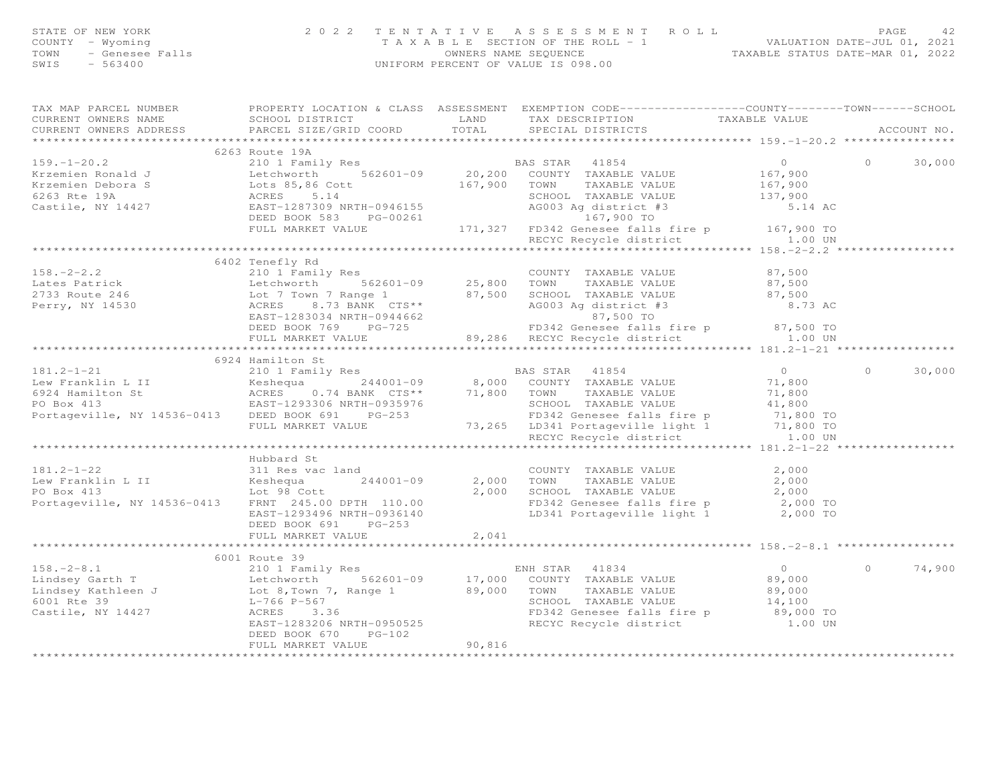| STATE OF NEW YORK<br>COUNTY - Wyoming<br>TOWN<br>SWIS                                                                                                                                                                                                                                                                                                                                                                                                                    |                      | OF NEW YORK 2022 TENTATIVE ASSESSMENT ROLL VALUATION TAXABLE SECTION OF THE ROLL - 1<br>- Genesee Falls TAXABLE SECTION OF THE ROLL - 1<br>- Senesee Falls (UNIFORM PERCENT OF VALUE IS 098.00<br>- 563400<br>T A X A B L E SECTION OF THE ROLL - 1<br>OWNERS NAME SEQUENCE<br>UNIFORM PERCENT OF VALUE IS 098.00<br>UNIFORM PERCENT OF VALUE IS 098.00 |                                                                                                  |       | PAGE<br>42 |             |  |
|--------------------------------------------------------------------------------------------------------------------------------------------------------------------------------------------------------------------------------------------------------------------------------------------------------------------------------------------------------------------------------------------------------------------------------------------------------------------------|----------------------|---------------------------------------------------------------------------------------------------------------------------------------------------------------------------------------------------------------------------------------------------------------------------------------------------------------------------------------------------------|--------------------------------------------------------------------------------------------------|-------|------------|-------------|--|
| TAX MAP PARCEL NUMBER<br>CURRENT OWNERS NAME<br>CURRENT OWNERS ADDRESS                                                                                                                                                                                                                                                                                                                                                                                                   |                      |                                                                                                                                                                                                                                                                                                                                                         | PROPERTY LOCATION & CLASS ASSESSMENT EXEMPTION CODE----------------COUNTY-------TOWN------SCHOOL |       |            | ACCOUNT NO. |  |
|                                                                                                                                                                                                                                                                                                                                                                                                                                                                          | 6263 Route 19A       |                                                                                                                                                                                                                                                                                                                                                         |                                                                                                  |       |            |             |  |
|                                                                                                                                                                                                                                                                                                                                                                                                                                                                          |                      |                                                                                                                                                                                                                                                                                                                                                         |                                                                                                  |       | $\bigcirc$ | 30,000      |  |
|                                                                                                                                                                                                                                                                                                                                                                                                                                                                          |                      |                                                                                                                                                                                                                                                                                                                                                         |                                                                                                  |       |            |             |  |
|                                                                                                                                                                                                                                                                                                                                                                                                                                                                          |                      |                                                                                                                                                                                                                                                                                                                                                         |                                                                                                  |       |            |             |  |
|                                                                                                                                                                                                                                                                                                                                                                                                                                                                          |                      |                                                                                                                                                                                                                                                                                                                                                         |                                                                                                  |       |            |             |  |
|                                                                                                                                                                                                                                                                                                                                                                                                                                                                          |                      |                                                                                                                                                                                                                                                                                                                                                         |                                                                                                  |       |            |             |  |
|                                                                                                                                                                                                                                                                                                                                                                                                                                                                          |                      |                                                                                                                                                                                                                                                                                                                                                         |                                                                                                  |       |            |             |  |
|                                                                                                                                                                                                                                                                                                                                                                                                                                                                          |                      |                                                                                                                                                                                                                                                                                                                                                         |                                                                                                  |       |            |             |  |
|                                                                                                                                                                                                                                                                                                                                                                                                                                                                          |                      |                                                                                                                                                                                                                                                                                                                                                         |                                                                                                  |       |            |             |  |
|                                                                                                                                                                                                                                                                                                                                                                                                                                                                          | 6402 Tenefly Rd      |                                                                                                                                                                                                                                                                                                                                                         |                                                                                                  |       |            |             |  |
|                                                                                                                                                                                                                                                                                                                                                                                                                                                                          |                      |                                                                                                                                                                                                                                                                                                                                                         |                                                                                                  |       |            |             |  |
|                                                                                                                                                                                                                                                                                                                                                                                                                                                                          |                      |                                                                                                                                                                                                                                                                                                                                                         |                                                                                                  |       |            |             |  |
|                                                                                                                                                                                                                                                                                                                                                                                                                                                                          |                      |                                                                                                                                                                                                                                                                                                                                                         |                                                                                                  |       |            |             |  |
|                                                                                                                                                                                                                                                                                                                                                                                                                                                                          |                      |                                                                                                                                                                                                                                                                                                                                                         |                                                                                                  |       |            |             |  |
|                                                                                                                                                                                                                                                                                                                                                                                                                                                                          |                      |                                                                                                                                                                                                                                                                                                                                                         |                                                                                                  |       |            |             |  |
|                                                                                                                                                                                                                                                                                                                                                                                                                                                                          |                      |                                                                                                                                                                                                                                                                                                                                                         |                                                                                                  |       |            |             |  |
| 158.-2-2.2<br>Lates Patrick and the country that is a country that the value of the state of the state of the state of the state of the state of the state of the state of the state of the state of the state of the state of<br>181.2-1-21 6924 Hamilton St<br>Lew Franklin L II 6924 Hamilton St<br>Lew Franklin L II Keshequa 244001-09 8,000 COUNTY TAXABLE VALUE 71,800<br>ERS 0.74 BANK CTS** 71,800 TOWN TAXABLE VALUE 71,800<br>PO Box 413 EAST-1293306 NRTH-09 |                      |                                                                                                                                                                                                                                                                                                                                                         |                                                                                                  |       |            |             |  |
|                                                                                                                                                                                                                                                                                                                                                                                                                                                                          |                      |                                                                                                                                                                                                                                                                                                                                                         |                                                                                                  |       |            |             |  |
|                                                                                                                                                                                                                                                                                                                                                                                                                                                                          |                      |                                                                                                                                                                                                                                                                                                                                                         |                                                                                                  |       | $\Omega$   | 30,000      |  |
|                                                                                                                                                                                                                                                                                                                                                                                                                                                                          |                      |                                                                                                                                                                                                                                                                                                                                                         |                                                                                                  |       |            |             |  |
|                                                                                                                                                                                                                                                                                                                                                                                                                                                                          |                      |                                                                                                                                                                                                                                                                                                                                                         |                                                                                                  |       |            |             |  |
|                                                                                                                                                                                                                                                                                                                                                                                                                                                                          |                      |                                                                                                                                                                                                                                                                                                                                                         |                                                                                                  |       |            |             |  |
|                                                                                                                                                                                                                                                                                                                                                                                                                                                                          |                      |                                                                                                                                                                                                                                                                                                                                                         |                                                                                                  |       |            |             |  |
|                                                                                                                                                                                                                                                                                                                                                                                                                                                                          |                      |                                                                                                                                                                                                                                                                                                                                                         |                                                                                                  |       |            |             |  |
|                                                                                                                                                                                                                                                                                                                                                                                                                                                                          |                      |                                                                                                                                                                                                                                                                                                                                                         |                                                                                                  |       |            |             |  |
|                                                                                                                                                                                                                                                                                                                                                                                                                                                                          | Hubbard St           |                                                                                                                                                                                                                                                                                                                                                         |                                                                                                  |       |            |             |  |
| $181.2 - 1 - 22$                                                                                                                                                                                                                                                                                                                                                                                                                                                         | 311 Res vac land     |                                                                                                                                                                                                                                                                                                                                                         | COUNTY TAXABLE VALUE                                                                             | 2,000 |            |             |  |
|                                                                                                                                                                                                                                                                                                                                                                                                                                                                          |                      |                                                                                                                                                                                                                                                                                                                                                         |                                                                                                  |       |            |             |  |
|                                                                                                                                                                                                                                                                                                                                                                                                                                                                          |                      |                                                                                                                                                                                                                                                                                                                                                         |                                                                                                  |       |            |             |  |
| 181.2-1-22 311 Res vac land<br>Lew Franklin L II (1998)<br>EVERE VALUE 2,000<br>PO Box 413 Lot 98 Cott 2,000 DPTH 110.00<br>Portageville, NY 14536-0413 FRNT 245.00 DPTH 110.00<br>EXABLE VALUE 2,000<br>EXABLE VALUE 2,000<br>EXABLE VALUE                                                                                                                                                                                                                              |                      |                                                                                                                                                                                                                                                                                                                                                         |                                                                                                  |       |            |             |  |
|                                                                                                                                                                                                                                                                                                                                                                                                                                                                          |                      |                                                                                                                                                                                                                                                                                                                                                         |                                                                                                  |       |            |             |  |
|                                                                                                                                                                                                                                                                                                                                                                                                                                                                          | DEED BOOK 691 PG-253 |                                                                                                                                                                                                                                                                                                                                                         |                                                                                                  |       |            |             |  |
|                                                                                                                                                                                                                                                                                                                                                                                                                                                                          | FULL MARKET VALUE    | 2,041                                                                                                                                                                                                                                                                                                                                                   |                                                                                                  |       |            |             |  |
|                                                                                                                                                                                                                                                                                                                                                                                                                                                                          | 6001 Route 39        |                                                                                                                                                                                                                                                                                                                                                         |                                                                                                  |       |            |             |  |
|                                                                                                                                                                                                                                                                                                                                                                                                                                                                          |                      |                                                                                                                                                                                                                                                                                                                                                         |                                                                                                  |       | $\Omega$   | 74,900      |  |
|                                                                                                                                                                                                                                                                                                                                                                                                                                                                          |                      |                                                                                                                                                                                                                                                                                                                                                         |                                                                                                  |       |            |             |  |
|                                                                                                                                                                                                                                                                                                                                                                                                                                                                          |                      |                                                                                                                                                                                                                                                                                                                                                         |                                                                                                  |       |            |             |  |
|                                                                                                                                                                                                                                                                                                                                                                                                                                                                          |                      |                                                                                                                                                                                                                                                                                                                                                         |                                                                                                  |       |            |             |  |
|                                                                                                                                                                                                                                                                                                                                                                                                                                                                          |                      |                                                                                                                                                                                                                                                                                                                                                         |                                                                                                  |       |            |             |  |
| $\begin{array}{lllllllllllllllll} \text{158.}-2-8.1 & 6001 \text{ Route } 39 & \text{ENH STAR} & 41834 & 0 \\ \text{Lindsey Garth T} & \text{Litchworth} & 562601-09 & 17,000 & \text{COUNTY TAXABLE VALUE} & 89,000 \\ \text{Lindsey Kathleen J} & \text{Lot 8, Town 7, Range 1} & 89,000 & \text{TOWN} & \text{TAXABLE VALUE} & 89,000 \\ \text{6001 Rte 39} & \text{L-766 P-567} & \text{SCHOOL TAXABLE VALUE} &$                                                     |                      |                                                                                                                                                                                                                                                                                                                                                         |                                                                                                  |       |            |             |  |
|                                                                                                                                                                                                                                                                                                                                                                                                                                                                          | DEED BOOK 670 PG-102 | 90,816                                                                                                                                                                                                                                                                                                                                                  |                                                                                                  |       |            |             |  |
|                                                                                                                                                                                                                                                                                                                                                                                                                                                                          | FULL MARKET VALUE    |                                                                                                                                                                                                                                                                                                                                                         |                                                                                                  |       |            |             |  |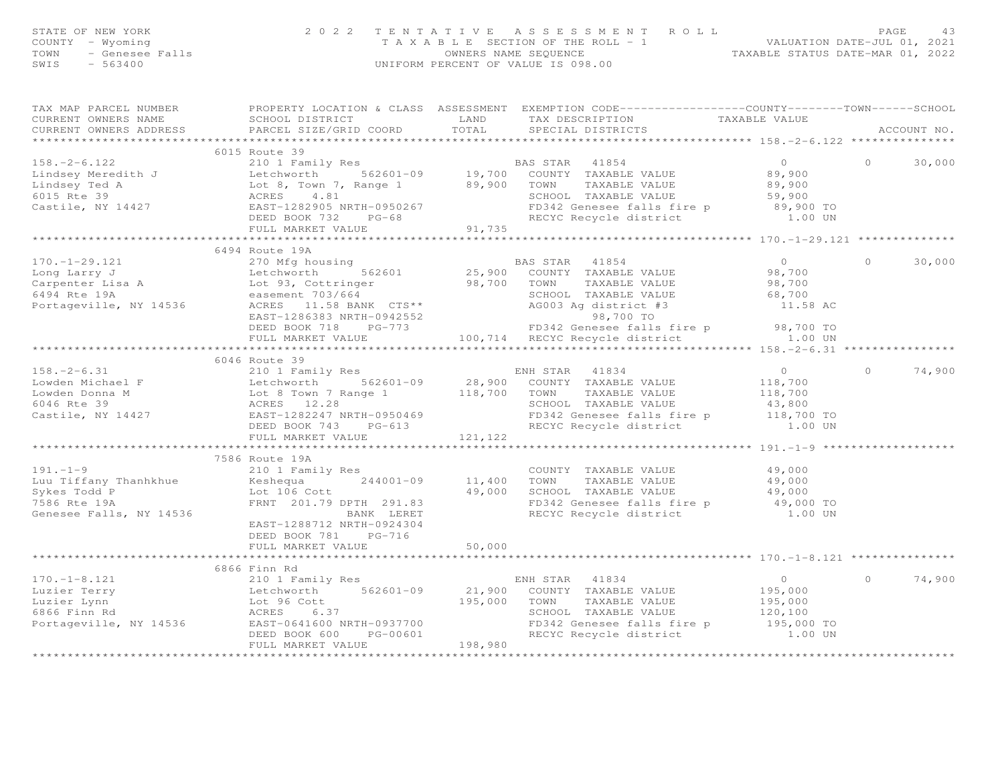| STATE OF NEW YORK<br>COUNTY - Wyoming<br>- Genesee Falls<br>TOWN<br>$-563400$<br>SWIS | 2 0 2 2                                                                     | TENTATIVE            | ASSESSMENT ROLL<br>T A X A B L E SECTION OF THE ROLL - 1 VALUATION DATE-JUL 01, 2021<br>OWNERS NAME SEQUENCE<br>UNIFORM PERCENT OF VALUE IS 098.00 | TAXABLE STATUS DATE-MAR 01, 2022 | PAGE           | 43     |
|---------------------------------------------------------------------------------------|-----------------------------------------------------------------------------|----------------------|----------------------------------------------------------------------------------------------------------------------------------------------------|----------------------------------|----------------|--------|
| TAX MAP PARCEL NUMBER                                                                 |                                                                             |                      | PROPERTY LOCATION & CLASS ASSESSMENT EXEMPTION CODE----------------COUNTY-------TOWN-----SCHOOL                                                    |                                  |                |        |
| CURRENT OWNERS NAME                                                                   | SCHOOL DISTRICT                                                             | LAND                 | TAX DESCRIPTION                                                                                                                                    | TAXABLE VALUE                    |                |        |
|                                                                                       | CURRENT OWNERS ADDRESS 6 PARCEL SIZE/GRID COORD 6 TOTAL 6 SPECIAL DISTRICTS |                      |                                                                                                                                                    |                                  | ACCOUNT NO.    |        |
|                                                                                       | 6015 Route 39                                                               |                      |                                                                                                                                                    |                                  |                |        |
| $158 - 2 - 6.122$                                                                     | 210 1 Family Res                                                            |                      | BAS STAR 41854                                                                                                                                     | $\overline{0}$                   | $\overline{O}$ | 30,000 |
|                                                                                       | Lindsey Meredith J Letchworth 562601-09 19,700 COUNTY TAXABLE VALUE         |                      |                                                                                                                                                    | 89,900                           |                |        |
| Lindsey Ted A                                                                         | Lot 8, Town 7, Range 1 89,900                                               |                      | TOWN<br>TAXABLE VALUE                                                                                                                              | 89,900                           |                |        |
| 6015 Rte 39                                                                           | ACRES 4.81                                                                  |                      | SCHOOL TAXABLE VALUE                                                                                                                               | 59,900                           |                |        |
| Castile, NY 14427                                                                     | EAST-1282905 NRTH-0950267                                                   |                      | FD342 Genesee falls fire p 89,900 TO                                                                                                               |                                  |                |        |
|                                                                                       | DEED BOOK 732<br>$PG-68$                                                    |                      | RECYC Recycle district 1.00 UN                                                                                                                     |                                  |                |        |
|                                                                                       | FULL MARKET VALUE                                                           | 91,735               |                                                                                                                                                    |                                  |                |        |
|                                                                                       |                                                                             |                      |                                                                                                                                                    |                                  |                |        |
|                                                                                       | 6494 Route 19A                                                              |                      |                                                                                                                                                    |                                  |                |        |
| $170. - 1 - 29.121$                                                                   | 270 Mfg housing and the manufacturer                                        |                      | BAS STAR 41854                                                                                                                                     | $\circ$                          | $\circ$        | 30,000 |
| Long Larry J                                                                          | Letchworth                                                                  | 562601 25,900 COUNTY | TAXABLE VALUE                                                                                                                                      | 98,700                           |                |        |
| Carpenter Lisa A Lot 93, Cottringer                                                   |                                                                             | 98,700               | TOWN<br>TAXABLE VALUE                                                                                                                              | 98,700                           |                |        |
| 6494 Rte 19A                                                                          | easement 703/664                                                            |                      | SCHOOL<br>TAXABLE VALUE                                                                                                                            | 68,700                           |                |        |
| Portageville, NY 14536                                                                | ACRES 11.58 BANK CTS**<br>EAST-1286383 NRTH-0942552                         |                      | AG003 Ag district #3<br>98,700 TO                                                                                                                  | 11.58 AC                         |                |        |
|                                                                                       | DEED BOOK 718<br>$PG-773$                                                   |                      | FD342 Genesee falls fire p                                                                                                                         | 98,700 TO                        |                |        |

|                         | 6046 Route 39                                            |                                                                               |                            |        |
|-------------------------|----------------------------------------------------------|-------------------------------------------------------------------------------|----------------------------|--------|
| $158. - 2 - 6.31$       | 210 1 Family Res                                         | ENH STAR 41834                                                                | $\overline{0}$<br>$\circ$  | 74,900 |
|                         |                                                          |                                                                               |                            |        |
|                         |                                                          |                                                                               |                            |        |
| 6046 Rte 39             | ACRES 12.28                                              | SCHOOL TAXABLE VALUE                                                          | 43,800                     |        |
|                         |                                                          | FD342 Genesee falls fire p 118,700 TO                                         |                            |        |
|                         | DEED BOOK 743 PG-613                                     | RECYC Recycle district 1.00 UN                                                |                            |        |
|                         | FULL MARKET VALUE                                        | 121, 122                                                                      |                            |        |
|                         |                                                          |                                                                               |                            |        |
|                         | 7586 Route 19A                                           |                                                                               |                            |        |
| $191. -1 - 9$           | 210 1 Family Res                                         | COUNTY TAXABLE VALUE 49,000                                                   |                            |        |
|                         | Luu Tiffany Thanhkhue $\sim$ Keshequa $244001-09$ 11,400 | TAXABLE VALUE 49,000<br>TOWN                                                  |                            |        |
| Sykes Todd P            | Lot 106 Cott 49,000<br>FRNT 201.79 DPTH 291.83           | 49,000<br>SCHOOL TAXABLE VALUE 49,000                                         |                            |        |
| 7586 Rte 19A            |                                                          | FD342 Genesee falls fire p 49,000 TO                                          |                            |        |
| Genesee Falls, NY 14536 | BANK LERET                                               | RECYC Recycle district 1.00 UN                                                |                            |        |
|                         | EAST-1288712 NRTH-0924304                                |                                                                               |                            |        |
|                         | DEED BOOK 781 PG-716                                     |                                                                               |                            |        |
|                         | FULL MARKET VALUE                                        | 50,000                                                                        |                            |        |
|                         |                                                          |                                                                               |                            |        |
|                         | 6866 Finn Rd                                             |                                                                               |                            |        |
| $170. -1 - 8.121$       | 210 1 Family Res                                         | ENH STAR 41834                                                                | $\overline{0}$<br>$\Omega$ | 74,900 |
|                         |                                                          | Luzier Terry Charles Letchworth 562601-09 21,900 COUNTY TAXABLE VALUE 195,000 |                            |        |
|                         | Luzier Lynn and Lot 96 Cott and 195,000                  | TOWN<br>TAXABLE VALUE 195,000                                                 |                            |        |
| 6866 Finn Rd            | ACRES 6.37                                               | TAXABLE VALUE 120,100<br>SCHOOL                                               |                            |        |
| Portageville, NY 14536  | EAST-0641600 NRTH-0937700                                | FD342 Genesee falls fire p 195,000 TO                                         |                            |        |
|                         | $PG-00601$<br>DEED BOOK 600                              | RECYC Recycle district 1.00 UN                                                |                            |        |
|                         | FULL MARKET VALUE                                        | 198.980                                                                       |                            |        |
|                         |                                                          |                                                                               |                            |        |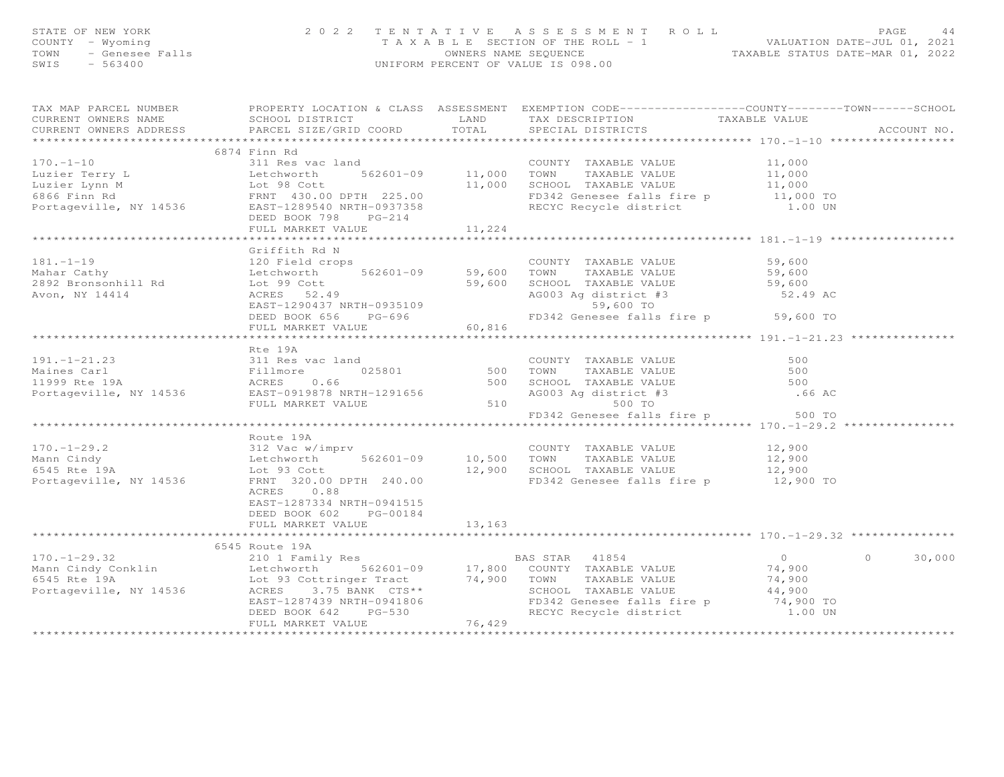| STATE OF NEW YORK<br>COUNTY - Wyoming<br>TOWN - Genesee Falls<br>SWITS - 563400 | 2022 TENTATIVE                                                                                                                                                                                                                                        |        | TENTATIVE ASSESSMENT ROLL<br>TAXABLE SECTION OF THE ROLL - 1<br>OWNERS NAME SEQUENCE<br>INIFORM PERCENT OF VALUE TO 2022<br>UNIFORM PERCENT OF VALUE IS 098.00 |        |                    |
|---------------------------------------------------------------------------------|-------------------------------------------------------------------------------------------------------------------------------------------------------------------------------------------------------------------------------------------------------|--------|----------------------------------------------------------------------------------------------------------------------------------------------------------------|--------|--------------------|
| CURRENT OWNERS NAME                                                             | TAX MAP PARCEL NUMBER FROPERTY LOCATION & CLASS ASSESSMENT EXEMPTION CODE----------------COUNTY-------TOWN------SCHOOL                                                                                                                                |        |                                                                                                                                                                |        |                    |
|                                                                                 | CURRENT OWNERS ADDRESS PARCEL SIZE/GRID COORD TOTAL                                                                                                                                                                                                   |        |                                                                                                                                                                |        | ACCOUNT NO.        |
|                                                                                 | 6874 Finn Rd                                                                                                                                                                                                                                          |        |                                                                                                                                                                |        |                    |
|                                                                                 |                                                                                                                                                                                                                                                       |        |                                                                                                                                                                |        |                    |
|                                                                                 |                                                                                                                                                                                                                                                       |        |                                                                                                                                                                |        |                    |
|                                                                                 |                                                                                                                                                                                                                                                       |        |                                                                                                                                                                |        |                    |
|                                                                                 |                                                                                                                                                                                                                                                       |        |                                                                                                                                                                |        |                    |
|                                                                                 | 170.-1-10<br>Luzier Terry L<br>Luzier Lynn M<br>Luzier Lynn M<br>Sold Detchworth 562601-09<br>Luzier Lynn M<br>Lot 98 Cott<br>FRNT 430.00 DPTH 225.00<br>Portageville, NY 14536<br>DEED BOOK 798 PC-214<br>DEED NARKET VALUE<br>FULL MARKET VALUE<br> |        |                                                                                                                                                                |        |                    |
|                                                                                 | FULL MARKET VALUE                                                                                                                                                                                                                                     | 11,224 |                                                                                                                                                                |        |                    |
|                                                                                 |                                                                                                                                                                                                                                                       |        |                                                                                                                                                                |        |                    |
| $181. - 1 - 19$                                                                 | Griffith Rd N                                                                                                                                                                                                                                         |        |                                                                                                                                                                |        |                    |
|                                                                                 |                                                                                                                                                                                                                                                       |        |                                                                                                                                                                |        |                    |
|                                                                                 |                                                                                                                                                                                                                                                       |        |                                                                                                                                                                |        |                    |
| rori<br>2892 Bronsonhill Rd<br>Avon, NY 14414                                   |                                                                                                                                                                                                                                                       |        |                                                                                                                                                                |        |                    |
|                                                                                 |                                                                                                                                                                                                                                                       |        |                                                                                                                                                                |        |                    |
|                                                                                 | 3120 Field crops<br>Letchworth 562601-09 59,600 TOWN TAXABLE VALUE 59,600<br>Letchworth 562601-09 59,600 TOWN TAXABLE VALUE 59,600<br>Lot 99 Cott 59,600 SCHOOL TAXABLE VALUE 59,600<br>ACRES 52.49 AG003 Ag district #3 52.49 AC<br>EAS              |        |                                                                                                                                                                |        |                    |
|                                                                                 | FULL MARKET VALUE 60,816                                                                                                                                                                                                                              |        |                                                                                                                                                                |        |                    |
|                                                                                 |                                                                                                                                                                                                                                                       |        |                                                                                                                                                                |        |                    |
|                                                                                 | Rte 19A                                                                                                                                                                                                                                               |        |                                                                                                                                                                |        |                    |
|                                                                                 |                                                                                                                                                                                                                                                       |        |                                                                                                                                                                | 500    |                    |
|                                                                                 |                                                                                                                                                                                                                                                       |        |                                                                                                                                                                | 500    |                    |
|                                                                                 |                                                                                                                                                                                                                                                       |        |                                                                                                                                                                | 500    |                    |
|                                                                                 | XTE 19A<br>Maines Carl 311 Res vac land<br>Maines Carl Fillmore 025801 500 TOWN TAXABLE VALUE<br>11999 Rte 19A<br>Portageville, NY 14536 EAST-0919878 NRTH-1291656 500 SCHOOL TAXABLE VALUE<br>FULL MARKET VALUE<br>FULL MARKET VALUE 510<br>         |        |                                                                                                                                                                | .66 AC |                    |
|                                                                                 |                                                                                                                                                                                                                                                       |        |                                                                                                                                                                |        |                    |
|                                                                                 |                                                                                                                                                                                                                                                       |        | FD342 Genesee falls fire p 500 TO                                                                                                                              |        |                    |
|                                                                                 |                                                                                                                                                                                                                                                       |        |                                                                                                                                                                |        |                    |
|                                                                                 | Route 19A                                                                                                                                                                                                                                             |        |                                                                                                                                                                |        |                    |
|                                                                                 |                                                                                                                                                                                                                                                       |        |                                                                                                                                                                |        |                    |
|                                                                                 |                                                                                                                                                                                                                                                       |        |                                                                                                                                                                |        |                    |
|                                                                                 |                                                                                                                                                                                                                                                       |        |                                                                                                                                                                |        |                    |
|                                                                                 | 170.-1-29.2<br>Mann Cindy 312 Vac w/imprv<br>Eetchworth 562601-09 10,500 TOWN TAXABLE VALUE 12,900<br>5645 Rte 19A Lot 93 Cott 12,900 SCHOOL TAXABLE VALUE 12,900<br>Portageville, NY 14536 FRNT 320.00 DPTH 240.00 FD342 Genesee fall<br>ACRES 0.88  |        |                                                                                                                                                                |        |                    |
|                                                                                 | EAST-1287334 NRTH-0941515                                                                                                                                                                                                                             |        |                                                                                                                                                                |        |                    |
|                                                                                 | DEED BOOK 602 PG-00184                                                                                                                                                                                                                                |        |                                                                                                                                                                |        |                    |
|                                                                                 | FULL MARKET VALUE                                                                                                                                                                                                                                     | 13,163 |                                                                                                                                                                |        |                    |
|                                                                                 |                                                                                                                                                                                                                                                       |        |                                                                                                                                                                |        |                    |
|                                                                                 | 6545 Route 19A                                                                                                                                                                                                                                        |        |                                                                                                                                                                |        |                    |
|                                                                                 |                                                                                                                                                                                                                                                       |        |                                                                                                                                                                |        | $0 \t 0 \t 30,000$ |
|                                                                                 |                                                                                                                                                                                                                                                       |        |                                                                                                                                                                |        |                    |
|                                                                                 |                                                                                                                                                                                                                                                       |        |                                                                                                                                                                |        |                    |
|                                                                                 |                                                                                                                                                                                                                                                       |        |                                                                                                                                                                |        |                    |
|                                                                                 |                                                                                                                                                                                                                                                       |        |                                                                                                                                                                |        |                    |
|                                                                                 | 6545 Route 19A<br>Mann Cindy Conklin (1984)<br>Mann Cindy Conklin (1984)<br>Exchworth 562601-09 17,800 COUNTY TAXABLE VALUE 74,900<br>Let Monday Contringer Tract 74,900 TOWN TAXABLE VALUE 74,900<br>Rortageville, NY 14536 (1985)<br>EXS            |        |                                                                                                                                                                |        |                    |
|                                                                                 |                                                                                                                                                                                                                                                       |        |                                                                                                                                                                |        |                    |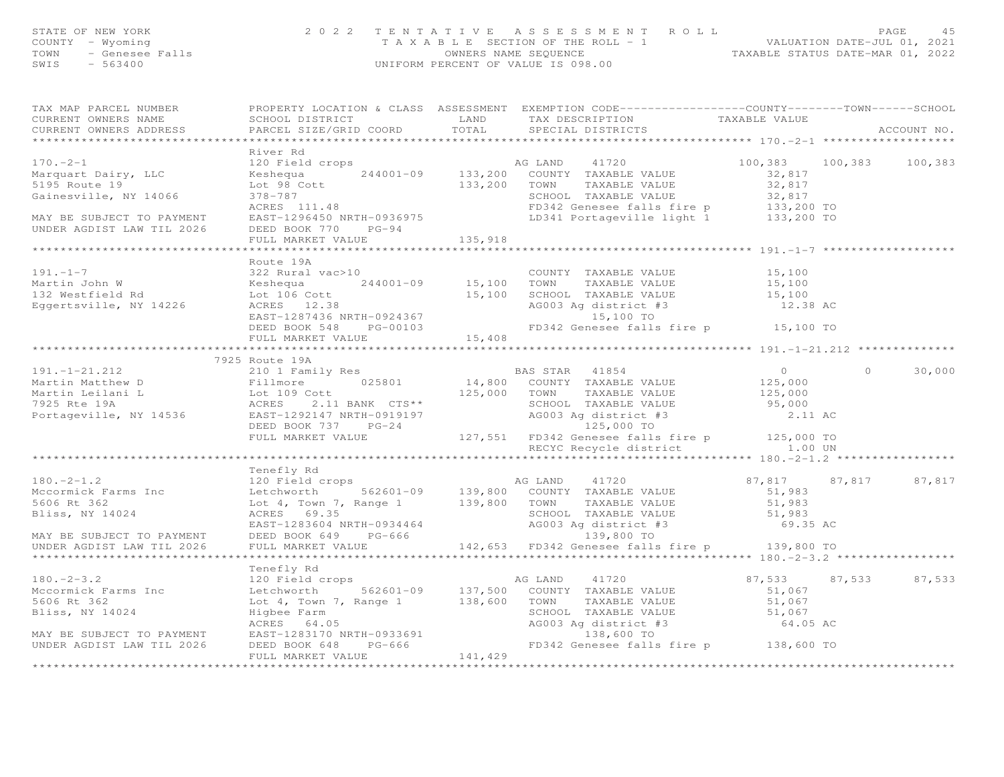| STATE OF NEW YORK<br>COUNTY – Wyoming<br>TOWN - Genesee Falls<br>$-563400$<br>SWIS | 2022 TENTATIVE ASSESSMENT ROLL<br>T A X A B L E SECTION OF THE ROLL - 1<br>OWNERS NAME SEQUENCE<br>UNIFORM PERCENT OF VALUE IS 098.00 | 4.5<br>PAGE<br>VALUATION DATE-JUL 01, 2021<br>TAXABLE STATUS DATE-MAR 01, 2022 |
|------------------------------------------------------------------------------------|---------------------------------------------------------------------------------------------------------------------------------------|--------------------------------------------------------------------------------|
|                                                                                    |                                                                                                                                       |                                                                                |

TAX MAP PARCEL NUMBER PROPERTY LOCATION & CLASS ASSESSMENT EXEMPTION CODE------------------COUNTY--------TOWN------SCHOOL

| CURRENT OWNERS NAME SCHOOL DISTRICT TAN LAND TAX DESCRIPTION TAXABLE VALUE                                                                                                                                                                                                                                                                                                                                           |                                                |  |                      |          |             |
|----------------------------------------------------------------------------------------------------------------------------------------------------------------------------------------------------------------------------------------------------------------------------------------------------------------------------------------------------------------------------------------------------------------------|------------------------------------------------|--|----------------------|----------|-------------|
| CURRENT OWNERS ADDRESS                                                                                                                                                                                                                                                                                                                                                                                               | PARCEL SIZE/GRID COORD TOTAL SPECIAL DISTRICTS |  |                      |          | ACCOUNT NO. |
|                                                                                                                                                                                                                                                                                                                                                                                                                      |                                                |  |                      |          |             |
|                                                                                                                                                                                                                                                                                                                                                                                                                      | River Rd                                       |  |                      |          |             |
| 170.-2-1<br>Marquart Dairy, LLC 120 Feld crops<br>Marquart Dairy, LLC Reshequa<br>5195 Route 19 Lot 98 Cott 133,200 COUNTY TAXABLE VALUE 32,817<br>5195 Route 19 Lot 98 Cott 133,200 TOWN TAXABLE VALUE 32,817<br>Gainesville, NY 14066                                                                                                                                                                              |                                                |  |                      |          |             |
|                                                                                                                                                                                                                                                                                                                                                                                                                      |                                                |  |                      |          |             |
|                                                                                                                                                                                                                                                                                                                                                                                                                      |                                                |  |                      |          |             |
|                                                                                                                                                                                                                                                                                                                                                                                                                      |                                                |  |                      |          |             |
|                                                                                                                                                                                                                                                                                                                                                                                                                      |                                                |  |                      |          |             |
|                                                                                                                                                                                                                                                                                                                                                                                                                      |                                                |  |                      |          |             |
|                                                                                                                                                                                                                                                                                                                                                                                                                      |                                                |  |                      |          |             |
|                                                                                                                                                                                                                                                                                                                                                                                                                      |                                                |  |                      |          |             |
|                                                                                                                                                                                                                                                                                                                                                                                                                      |                                                |  |                      |          |             |
|                                                                                                                                                                                                                                                                                                                                                                                                                      | Route 19A                                      |  |                      |          |             |
|                                                                                                                                                                                                                                                                                                                                                                                                                      |                                                |  |                      |          |             |
|                                                                                                                                                                                                                                                                                                                                                                                                                      |                                                |  |                      |          |             |
|                                                                                                                                                                                                                                                                                                                                                                                                                      |                                                |  |                      |          |             |
|                                                                                                                                                                                                                                                                                                                                                                                                                      |                                                |  |                      |          |             |
|                                                                                                                                                                                                                                                                                                                                                                                                                      |                                                |  |                      |          |             |
|                                                                                                                                                                                                                                                                                                                                                                                                                      |                                                |  |                      |          |             |
|                                                                                                                                                                                                                                                                                                                                                                                                                      |                                                |  |                      |          |             |
| 191.-1-7<br>Martin John W 322 Rural vac>10<br>Martin John W 15,100<br>15,100<br>15,100<br>15,100<br>15,100<br>15,100<br>15,100<br>15,100<br>15,100<br>15,100<br>15,100<br>244001-09<br>15,100<br>15,100<br>15,100<br>26HOOL<br>26HOOL<br>26HOOL<br>26HOOL<br>26HOOL<br>26H                                                                                                                                           |                                                |  |                      |          |             |
| $\begin{array}{cccccccc} \text{7925 Route 19A} & \text{7925 Route 19A} & \text{868 STR} & \text{41854} & 0 \\ & \text{210 1 Family Res} & \text{868 STR} & \text{41854} & 0 \\ \text{Martin Mathew D} & \text{Fillmore} & 025801 & 14,800 & \text{COUNTY TAXABLE VALUE} & 125,000 \\ \text{Martin Leilani L} & \text{Lot 109 Cott} & 125,000 & \text{TOWN} & \text{TXABLE VALUE} & 125,000 \\ \text{7925 Rte 19A} &$ | 7925 Route 19A                                 |  |                      |          |             |
|                                                                                                                                                                                                                                                                                                                                                                                                                      |                                                |  |                      | $\Omega$ | 30,000      |
|                                                                                                                                                                                                                                                                                                                                                                                                                      |                                                |  |                      |          |             |
|                                                                                                                                                                                                                                                                                                                                                                                                                      |                                                |  |                      |          |             |
|                                                                                                                                                                                                                                                                                                                                                                                                                      |                                                |  |                      |          |             |
|                                                                                                                                                                                                                                                                                                                                                                                                                      |                                                |  |                      |          |             |
|                                                                                                                                                                                                                                                                                                                                                                                                                      |                                                |  |                      |          |             |
|                                                                                                                                                                                                                                                                                                                                                                                                                      |                                                |  |                      |          |             |
|                                                                                                                                                                                                                                                                                                                                                                                                                      |                                                |  |                      |          |             |
|                                                                                                                                                                                                                                                                                                                                                                                                                      |                                                |  |                      |          |             |
|                                                                                                                                                                                                                                                                                                                                                                                                                      | Tenefly Rd                                     |  |                      |          |             |
|                                                                                                                                                                                                                                                                                                                                                                                                                      |                                                |  |                      |          |             |
|                                                                                                                                                                                                                                                                                                                                                                                                                      |                                                |  |                      |          |             |
|                                                                                                                                                                                                                                                                                                                                                                                                                      |                                                |  |                      |          |             |
|                                                                                                                                                                                                                                                                                                                                                                                                                      |                                                |  |                      |          |             |
|                                                                                                                                                                                                                                                                                                                                                                                                                      |                                                |  |                      |          |             |
|                                                                                                                                                                                                                                                                                                                                                                                                                      |                                                |  |                      |          |             |
|                                                                                                                                                                                                                                                                                                                                                                                                                      |                                                |  |                      |          |             |
|                                                                                                                                                                                                                                                                                                                                                                                                                      |                                                |  |                      |          |             |
|                                                                                                                                                                                                                                                                                                                                                                                                                      |                                                |  |                      |          |             |
|                                                                                                                                                                                                                                                                                                                                                                                                                      |                                                |  | 87,533 87,533 87,533 |          |             |
|                                                                                                                                                                                                                                                                                                                                                                                                                      |                                                |  |                      |          |             |
|                                                                                                                                                                                                                                                                                                                                                                                                                      |                                                |  |                      |          |             |
|                                                                                                                                                                                                                                                                                                                                                                                                                      |                                                |  |                      |          |             |
|                                                                                                                                                                                                                                                                                                                                                                                                                      |                                                |  |                      |          |             |
|                                                                                                                                                                                                                                                                                                                                                                                                                      |                                                |  |                      |          |             |
|                                                                                                                                                                                                                                                                                                                                                                                                                      |                                                |  |                      |          |             |
| 180.-2-3.2 Tenefly Rd Correspondent Mathematic Correspondent Mathematic Correspondent Correspondent Correspondent Correspondent Correspondent Correspondent Correspondent Correspondent Correspondent Correspondent Correspond                                                                                                                                                                                       |                                                |  |                      |          |             |
|                                                                                                                                                                                                                                                                                                                                                                                                                      |                                                |  |                      |          |             |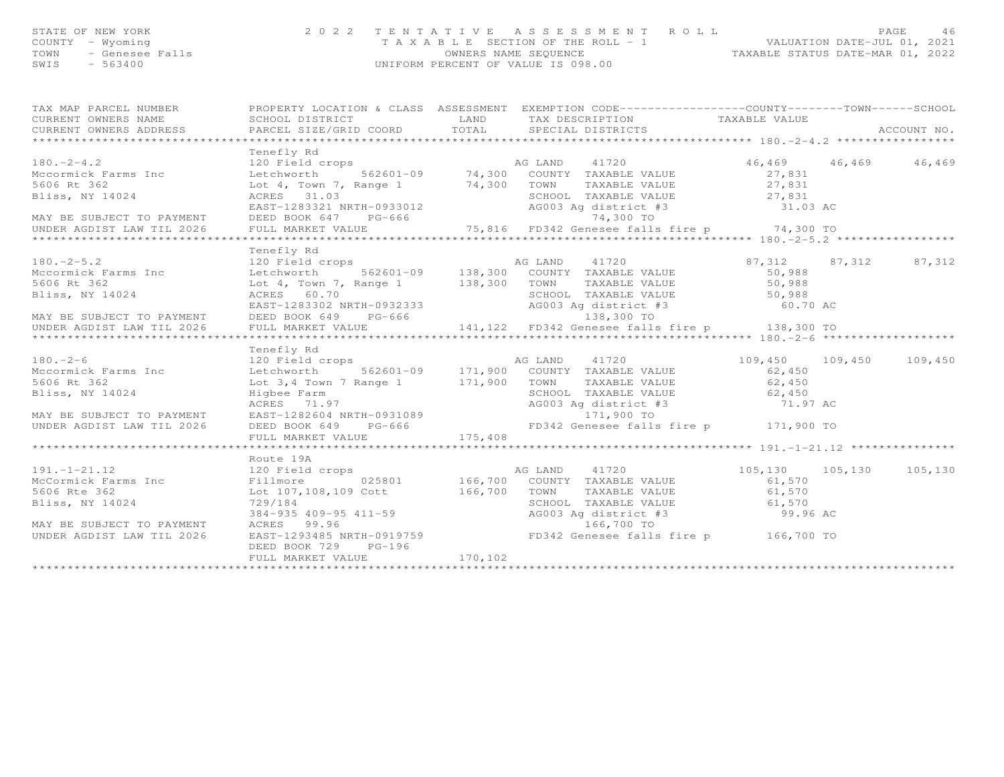| STATE OF NEW YORK    | 2022 TENTATIVE ASSESSMENT ROLL                                       | PAGE | 46 |
|----------------------|----------------------------------------------------------------------|------|----|
| COUNTY - Wyoming     | VALUATION DATE-JUL 01, 2021<br>T A X A B L E SECTION OF THE ROLL - 1 |      |    |
| TOWN - Genesee Falls | TAXABLE STATUS DATE-MAR 01, 2022<br>OWNERS NAME SEOUENCE             |      |    |
| SWIS<br>- 563400     | UNIFORM PERCENT OF VALUE IS 098.00                                   |      |    |
|                      |                                                                      |      |    |
|                      |                                                                      |      |    |
|                      |                                                                      |      |    |

|             |                                                 | TAX MAP PARCEL NUMBER          PROPERTY LOCATION & CLASS ASSESSMENT EXEMPTION CODE--------------COUNTY-------TOWN------SCHOOL                                                                                                            |                               |         |
|-------------|-------------------------------------------------|------------------------------------------------------------------------------------------------------------------------------------------------------------------------------------------------------------------------------------------|-------------------------------|---------|
|             |                                                 |                                                                                                                                                                                                                                          |                               |         |
|             | Tenefly Rd                                      |                                                                                                                                                                                                                                          | $46, 469$ $46, 469$ $46, 469$ |         |
|             |                                                 |                                                                                                                                                                                                                                          |                               |         |
|             |                                                 |                                                                                                                                                                                                                                          |                               |         |
|             |                                                 |                                                                                                                                                                                                                                          |                               |         |
|             |                                                 |                                                                                                                                                                                                                                          |                               |         |
|             |                                                 |                                                                                                                                                                                                                                          |                               |         |
|             |                                                 |                                                                                                                                                                                                                                          |                               |         |
|             | Tenefly Rd                                      |                                                                                                                                                                                                                                          |                               |         |
|             |                                                 |                                                                                                                                                                                                                                          |                               |         |
|             |                                                 |                                                                                                                                                                                                                                          |                               |         |
| 5606 Rt 362 |                                                 | Lot 4, Town 7, Range 1 138,300 TOWN TAXABLE VALUE 50,988                                                                                                                                                                                 |                               |         |
|             |                                                 |                                                                                                                                                                                                                                          |                               |         |
|             |                                                 |                                                                                                                                                                                                                                          |                               |         |
|             |                                                 |                                                                                                                                                                                                                                          |                               |         |
|             |                                                 | Bliss, NY 14024<br>BRES 60.70<br>EAST-1283302 NRTH-0932333<br>MAY BE SUBJECT TO PAYMENT DEED BOOK 649 PG-666 138,300 TO<br>UNDER AGDIST LAW TIL 2026 FULL MARKET VALUE 141,122 FD342 Genesee falls fire p 138,300 TO<br>**************** |                               |         |
|             | Tenefly Rd                                      |                                                                                                                                                                                                                                          |                               |         |
|             |                                                 | 180.-2-6<br>120 Field crops<br>120 Field crops<br>562601-09 171,900 COUNTY TAXABLE VALUE 109,450 109,450<br>62,450 62,450                                                                                                                |                               | 109,450 |
|             |                                                 |                                                                                                                                                                                                                                          |                               |         |
| 5606 Rt 362 |                                                 | Lot 3, 4 Town 7 Range 1 171, 900 TOWN TAXABLE VALUE 62, 450                                                                                                                                                                              |                               |         |
|             |                                                 |                                                                                                                                                                                                                                          |                               |         |
|             |                                                 |                                                                                                                                                                                                                                          |                               |         |
|             |                                                 |                                                                                                                                                                                                                                          |                               |         |
|             |                                                 |                                                                                                                                                                                                                                          |                               |         |
|             |                                                 | Bliss, NY 14024<br>Higher Farm (Allison SCHOOL TAXABLE VALUE 62,450<br>MAY BE SUBJECT TO PAYMENT EAST-1282604 NRTH-0931089<br>UNDER AGDIST LAW TIL 2026 DEED BOOK 649 PG-666 FD342 Genesee falls fire p 171,900 TO<br>FULL MARKET VALU   |                               |         |
|             |                                                 |                                                                                                                                                                                                                                          |                               |         |
|             | Route 19A                                       |                                                                                                                                                                                                                                          |                               |         |
|             |                                                 |                                                                                                                                                                                                                                          |                               |         |
|             |                                                 |                                                                                                                                                                                                                                          |                               |         |
|             |                                                 |                                                                                                                                                                                                                                          |                               |         |
|             | 729/184<br>384–935 409–95 411–59<br>ACRES 99.96 | AG003 Ag district #3 99.96 AC                                                                                                                                                                                                            |                               |         |
|             |                                                 |                                                                                                                                                                                                                                          |                               |         |
|             |                                                 |                                                                                                                                                                                                                                          |                               |         |
|             | DEED BOOK 729 PG-196                            |                                                                                                                                                                                                                                          |                               |         |
|             |                                                 |                                                                                                                                                                                                                                          |                               |         |
|             |                                                 |                                                                                                                                                                                                                                          |                               |         |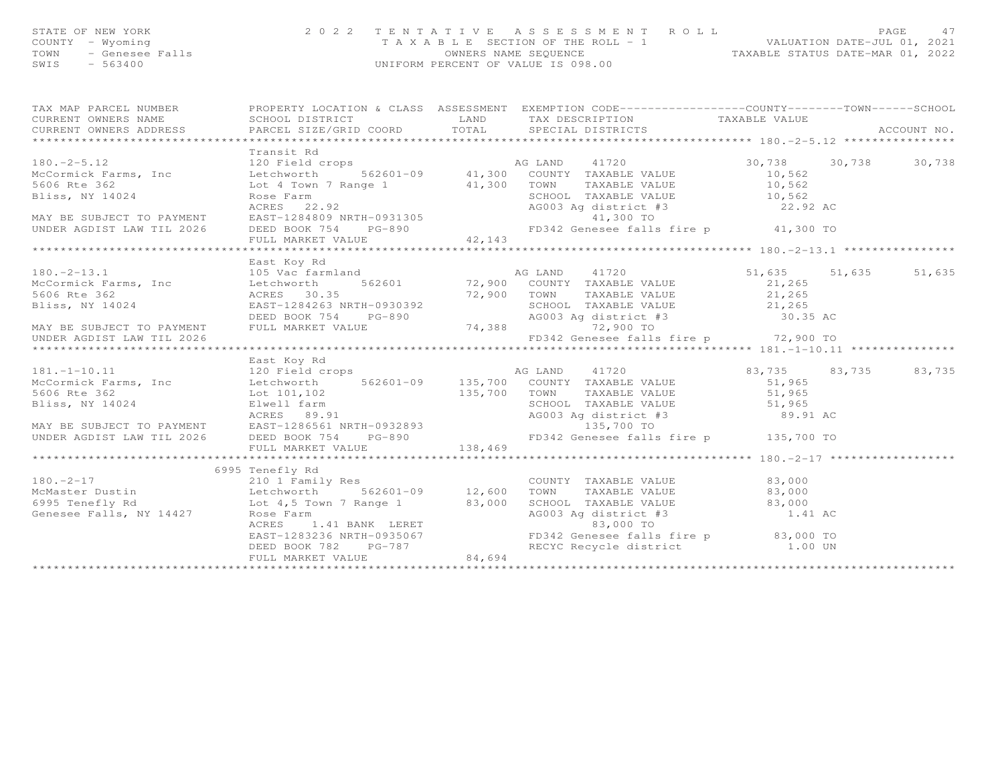## STATE OF NEW YORK 2 0 2 2 T E N T A T I V E A S S E S S M E N T R O L L PAGE 47 COUNTY - Wyoming T A X A B L E SECTION OF THE ROLL - 1 VALUATION DATE-JUL 01, 2021 TOWN - Genesee Falls OWNERS NAME SEQUENCE TAXABLE STATUS DATE-MAR 01, 2022 SWIS - 563400 UNIFORM PERCENT OF VALUE IS 098.00

| TAX MAP PARCEL NUMBER FROPERTY LOCATION & CLASS ASSESSMENT EXEMPTION CODE----------------COUNTY-------TOWN------SCHOOL                                                                                                                                                                                                                                                                                                                 |                                                                                                    |  | ACCOUNT NO. |
|----------------------------------------------------------------------------------------------------------------------------------------------------------------------------------------------------------------------------------------------------------------------------------------------------------------------------------------------------------------------------------------------------------------------------------------|----------------------------------------------------------------------------------------------------|--|-------------|
| Transit Rd                                                                                                                                                                                                                                                                                                                                                                                                                             |                                                                                                    |  |             |
|                                                                                                                                                                                                                                                                                                                                                                                                                                        |                                                                                                    |  |             |
| East Koy Rd                                                                                                                                                                                                                                                                                                                                                                                                                            |                                                                                                    |  |             |
|                                                                                                                                                                                                                                                                                                                                                                                                                                        |                                                                                                    |  |             |
| East Koy Rd                                                                                                                                                                                                                                                                                                                                                                                                                            |                                                                                                    |  |             |
|                                                                                                                                                                                                                                                                                                                                                                                                                                        |                                                                                                    |  |             |
| 6995 Tenefly Rd<br>180.-2-17 210 1 Family Res<br>McMaster Dustin                                   Letchworth           562601-09         12,600<br>CONSERVERED NATURE ON THE PRODUCED SERIOR PRODUCED AND TRANSPORT ON THE PRODUCED OF THE PRODUCED ON THE PRODUCED ON THE PRODUCED ON THE PRODUCED ON THE PRODUCED ON THE PRODUCED ON THE PRODUCED ON THE PRODUCED ON THE PRODUC<br>DEED BOOK 782 PG-787<br>FULL MARKET VALUE 84,694 | COUNTY TAXABLE VALUE 83,000<br>TOWN TAXABLE VALUE 83,000<br>TOWN<br>RECYC Recycle district 1.00 UN |  |             |
|                                                                                                                                                                                                                                                                                                                                                                                                                                        |                                                                                                    |  |             |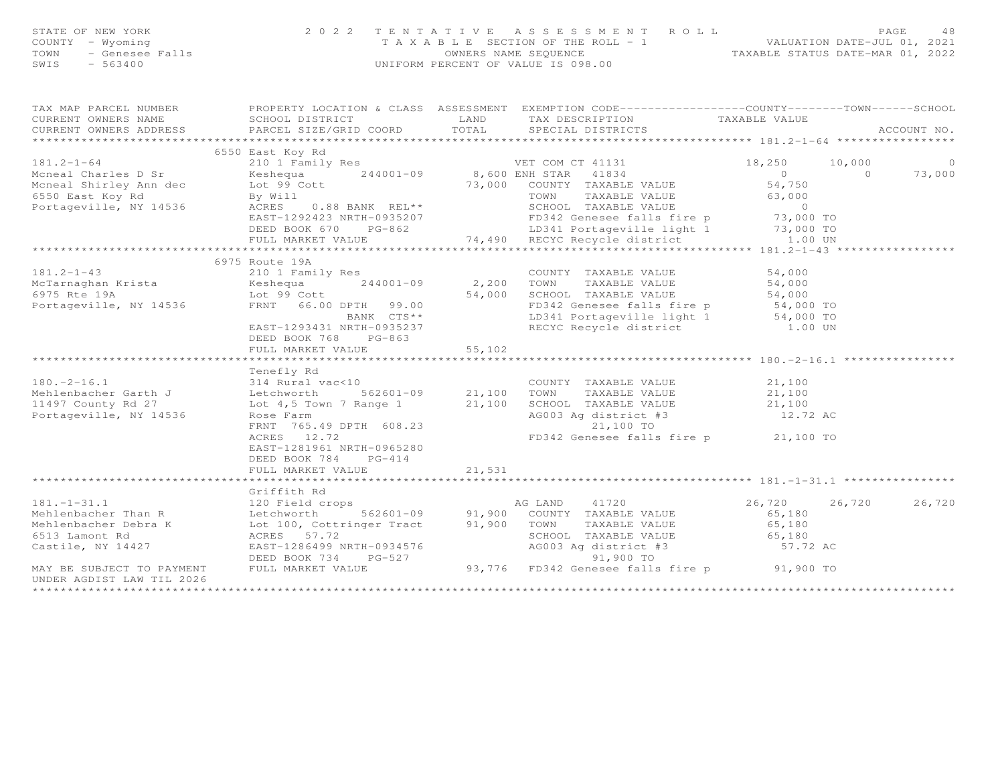| STATE OF NEW YORK<br>COUNTY - Wyoming<br>TOWN<br>$-563400$<br>SWIS | 2 0 2 2<br>- Wyoming<br>- Genesee Falls<br>- 563400                                                                      |        |                                                                                                                                                         |                         |  | TENTATIVE ASSESSMENT ROLL<br>PAGE<br>TAXABLE SECTION OF THE ROLL - 1 VALUATION DATE-JUL 01, 2021<br>OWNERS NAME SEQUENCE TAXABLE STATUS DATE-MAR 01, 2022<br>UNIFORM PERCENT OF VALUE IS 098.00 |  | - 48 |
|--------------------------------------------------------------------|--------------------------------------------------------------------------------------------------------------------------|--------|---------------------------------------------------------------------------------------------------------------------------------------------------------|-------------------------|--|-------------------------------------------------------------------------------------------------------------------------------------------------------------------------------------------------|--|------|
| CURRENT OWNERS NAME                                                | TAX MAP PARCEL NUMBER FROPERTY LOCATION & CLASS ASSESSMENT EXEMPTION CODE-----------------COUNTY--------TOWN------SCHOOL |        | SCHOOL DISTRICT                       LAND         TAX DESCRIPTION                 TAXABLE VALUE                                                        |                         |  |                                                                                                                                                                                                 |  |      |
| CURRENT OWNERS ADDRESS                                             | PARCEL SIZE/GRID COORD TOTAL                                                                                             |        | SPECIAL DISTRICTS                                                                                                                                       |                         |  | ACCOUNT NO.                                                                                                                                                                                     |  |      |
|                                                                    |                                                                                                                          |        |                                                                                                                                                         |                         |  |                                                                                                                                                                                                 |  |      |
|                                                                    |                                                                                                                          |        |                                                                                                                                                         | 18,250 10,000           |  | $\circ$                                                                                                                                                                                         |  |      |
|                                                                    |                                                                                                                          |        |                                                                                                                                                         |                         |  | 73,000                                                                                                                                                                                          |  |      |
|                                                                    |                                                                                                                          |        |                                                                                                                                                         | $0$ 0<br>54,750         |  |                                                                                                                                                                                                 |  |      |
|                                                                    |                                                                                                                          |        |                                                                                                                                                         |                         |  |                                                                                                                                                                                                 |  |      |
|                                                                    |                                                                                                                          |        | Lot 99 Cott<br>By Will 23,000 COUNTY TAXABLE VALUE 54,750<br>By Will TOWN TAXABLE VALUE 63,000<br>ACRES 0.88 BANK REL** SCHOOL TAXABLE VALUE 63,000     |                         |  |                                                                                                                                                                                                 |  |      |
|                                                                    |                                                                                                                          |        |                                                                                                                                                         |                         |  |                                                                                                                                                                                                 |  |      |
|                                                                    |                                                                                                                          |        |                                                                                                                                                         |                         |  |                                                                                                                                                                                                 |  |      |
|                                                                    | ***********************************                                                                                      |        | EAST-1292423 NRTH-0935207<br>DEED BOOK 670 PG-862 LD341 Portageville light 1 73,000 TO<br>TULL MARKET VALUE 74,490 RECYC Recycle district 1.00 UN       |                         |  |                                                                                                                                                                                                 |  |      |
|                                                                    |                                                                                                                          |        |                                                                                                                                                         |                         |  |                                                                                                                                                                                                 |  |      |
| $181.2 - 1 - 43$                                                   | 6975 Route 19A<br>210 1 Family Res                                                                                       |        | COUNTY TAXABLE VALUE 54,000                                                                                                                             |                         |  |                                                                                                                                                                                                 |  |      |
|                                                                    |                                                                                                                          |        | 244001-09 2,200 TOWN TAXABLE VALUE                                                                                                                      | 54,000                  |  |                                                                                                                                                                                                 |  |      |
|                                                                    |                                                                                                                          |        |                                                                                                                                                         |                         |  |                                                                                                                                                                                                 |  |      |
| Portageville, NY 14536                                             | FRNT 66.00 DPTH 99.00                                                                                                    |        | 54,000 SCHOOL TAXABLE VALUE 54,000<br>FD342 Genesee falls fire p 54,000 TO<br>LD341 Portageville light 1 54,000 TO<br>RECYC Recycle district 1.00 UN    |                         |  |                                                                                                                                                                                                 |  |      |
|                                                                    | BANK CTS**                                                                                                               |        |                                                                                                                                                         |                         |  |                                                                                                                                                                                                 |  |      |
|                                                                    | EAST-1293431 NRTH-0935237                                                                                                |        |                                                                                                                                                         |                         |  |                                                                                                                                                                                                 |  |      |
|                                                                    | DEED BOOK 768 PG-863                                                                                                     |        |                                                                                                                                                         |                         |  |                                                                                                                                                                                                 |  |      |
|                                                                    | FULL MARKET VALUE                                                                                                        | 55,102 |                                                                                                                                                         |                         |  |                                                                                                                                                                                                 |  |      |
|                                                                    |                                                                                                                          |        |                                                                                                                                                         |                         |  |                                                                                                                                                                                                 |  |      |
|                                                                    | Tenefly Rd<br>314 Rural vac<10                                                                                           |        |                                                                                                                                                         |                         |  |                                                                                                                                                                                                 |  |      |
|                                                                    |                                                                                                                          |        |                                                                                                                                                         |                         |  |                                                                                                                                                                                                 |  |      |
|                                                                    |                                                                                                                          |        |                                                                                                                                                         |                         |  |                                                                                                                                                                                                 |  |      |
|                                                                    |                                                                                                                          |        |                                                                                                                                                         |                         |  |                                                                                                                                                                                                 |  |      |
|                                                                    | FRNT 765.49 DPTH 608.23                                                                                                  |        | 21,100 TO                                                                                                                                               |                         |  |                                                                                                                                                                                                 |  |      |
|                                                                    | ACRES 12.72                                                                                                              |        | FD342 Genesee falls fire p 21,100 TO                                                                                                                    |                         |  |                                                                                                                                                                                                 |  |      |
|                                                                    | EAST-1281961 NRTH-0965280                                                                                                |        |                                                                                                                                                         |                         |  |                                                                                                                                                                                                 |  |      |
|                                                                    | DEED BOOK 784<br>$PG-414$                                                                                                |        |                                                                                                                                                         |                         |  |                                                                                                                                                                                                 |  |      |
|                                                                    | FULL MARKET VALUE                                                                                                        | 21,531 |                                                                                                                                                         |                         |  |                                                                                                                                                                                                 |  |      |
|                                                                    |                                                                                                                          |        |                                                                                                                                                         |                         |  |                                                                                                                                                                                                 |  |      |
|                                                                    | Griffith Rd                                                                                                              |        |                                                                                                                                                         |                         |  |                                                                                                                                                                                                 |  |      |
| $181. - 1 - 31.1$                                                  | 120 Field crops                                                                                                          |        | 91,900 COUNTY TAXABLE VALUE<br>191,900 COUNTY TAXABLE VALUE                                                                                             | 26,720 26,720<br>65,180 |  | 26,720                                                                                                                                                                                          |  |      |
| Mehlenbacher Than R<br>Mehlenbacher Debra K                        | L20 Field Crops<br>Letchworth 562601-09 91,900 COUNTY<br>Lot 100, Cottringer Tract 91,900 TOWN<br>ACRES 57.72            |        | TAXABLE VALUE                                                                                                                                           | 65,180                  |  |                                                                                                                                                                                                 |  |      |
| 6513 Lamont Rd                                                     | ACRES 57.72                                                                                                              |        | SCHOOL TAXABLE VALUE 65,180                                                                                                                             |                         |  |                                                                                                                                                                                                 |  |      |
| Castile, NY 14427                                                  |                                                                                                                          |        |                                                                                                                                                         |                         |  |                                                                                                                                                                                                 |  |      |
|                                                                    |                                                                                                                          |        | AG003 Ag district #3<br>91,900 TO                                                                                                                       |                         |  |                                                                                                                                                                                                 |  |      |
| MAY BE SUBJECT TO PAYMENT                                          |                                                                                                                          |        | EAST-1286499 NRTH-0934576<br>DEED BOOK 734 PG-527 93,776 FD342 Genesee falls fire p<br>FULL MARKET VALUE 93,776 FD342 Genesee falls fire p<br>91,900 TO |                         |  |                                                                                                                                                                                                 |  |      |
| UNDER AGDIST LAW TIL 2026                                          |                                                                                                                          |        |                                                                                                                                                         |                         |  |                                                                                                                                                                                                 |  |      |
| ********************                                               |                                                                                                                          |        |                                                                                                                                                         |                         |  |                                                                                                                                                                                                 |  |      |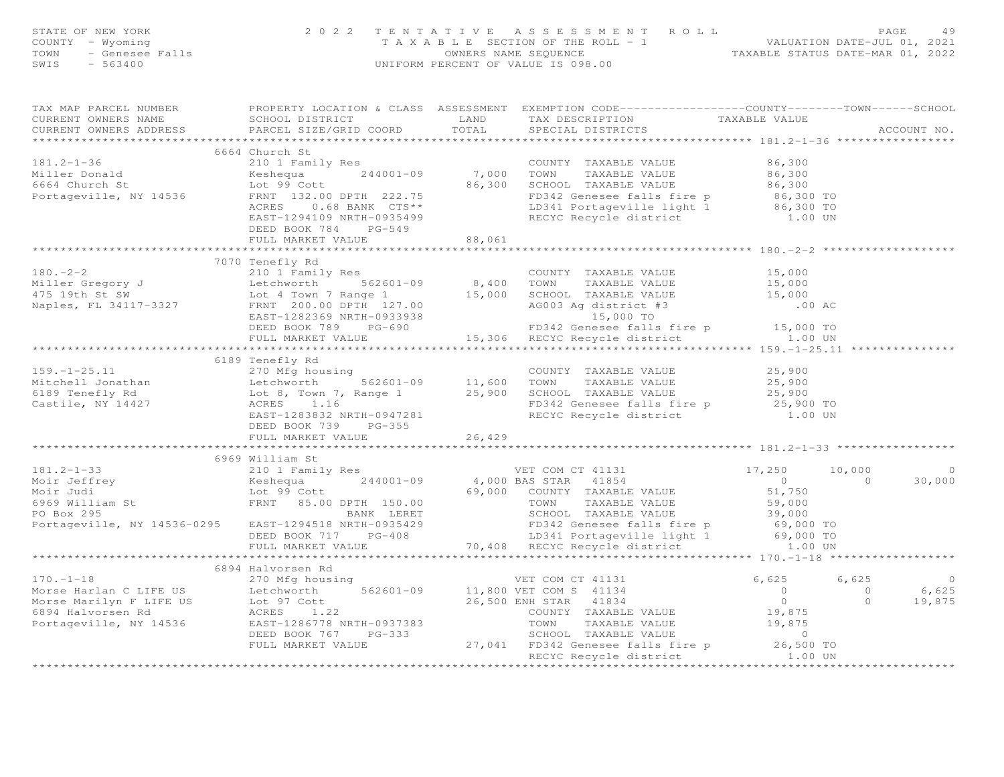| FAGE 49<br>COUNTY - Wyoming and the section of the ROLL - 1<br>TAXABLE SECTION OF THE ROLL - 1<br>TOWN - Genesee Falls Talls (MIFORM PERCENT OF VALUE IS 098.00<br>SWIS - 563400<br>SWIS - 563400                                     |                          |  |  |         |
|---------------------------------------------------------------------------------------------------------------------------------------------------------------------------------------------------------------------------------------|--------------------------|--|--|---------|
|                                                                                                                                                                                                                                       |                          |  |  |         |
| 181.2-1-36<br>6664 Church St 210 1 Family Res<br>Miller Donald Keshequa 244001-09 7,000 TOWN TAXABLE VALUE 86,300<br>Fortageville, NY 14536<br>FRNT 132.00 DPTH 222.75 FD342 Genesee falls fire p 86,300 TO<br>ACRES 0.68 BANK CTS**  |                          |  |  |         |
|                                                                                                                                                                                                                                       |                          |  |  |         |
|                                                                                                                                                                                                                                       |                          |  |  |         |
|                                                                                                                                                                                                                                       |                          |  |  |         |
|                                                                                                                                                                                                                                       |                          |  |  |         |
|                                                                                                                                                                                                                                       |                          |  |  |         |
|                                                                                                                                                                                                                                       |                          |  |  |         |
|                                                                                                                                                                                                                                       |                          |  |  |         |
|                                                                                                                                                                                                                                       |                          |  |  |         |
|                                                                                                                                                                                                                                       |                          |  |  |         |
|                                                                                                                                                                                                                                       |                          |  |  |         |
|                                                                                                                                                                                                                                       |                          |  |  |         |
|                                                                                                                                                                                                                                       |                          |  |  |         |
|                                                                                                                                                                                                                                       |                          |  |  |         |
|                                                                                                                                                                                                                                       |                          |  |  |         |
|                                                                                                                                                                                                                                       |                          |  |  |         |
| DLED DUUR וט. נ. ב. ב. ב. 15,306 RECYC Recycle district<br>FULL MARKET VALUE 1.00 15,306 RECYC Recycle district<br>the the set of the set of the set of the set of the set of the set of the set of the set of the set of the set o   |                          |  |  |         |
| 6189 Tenefly Rd 6189 Tenefly Rd 6189 Tenefly Rd 270 Mfg housing 25,900<br>Mitchell Jonathan Letchworth 562601-09<br>6189 Tenefly Rd 160 TOWN TAXABLE VALUE 25,900<br>6189 Tenefly Rd 160 TOWN TAXABLE VALUE 25,900<br>6189 Tenefly Rd |                          |  |  |         |
|                                                                                                                                                                                                                                       |                          |  |  |         |
|                                                                                                                                                                                                                                       |                          |  |  |         |
|                                                                                                                                                                                                                                       |                          |  |  |         |
|                                                                                                                                                                                                                                       |                          |  |  |         |
|                                                                                                                                                                                                                                       | DEED BOOK 739 PG-355     |  |  |         |
|                                                                                                                                                                                                                                       | FULL MARKET VALUE 26,429 |  |  |         |
|                                                                                                                                                                                                                                       |                          |  |  |         |
|                                                                                                                                                                                                                                       |                          |  |  |         |
|                                                                                                                                                                                                                                       |                          |  |  | $\circ$ |
|                                                                                                                                                                                                                                       |                          |  |  | 30,000  |
|                                                                                                                                                                                                                                       |                          |  |  |         |
|                                                                                                                                                                                                                                       |                          |  |  |         |
|                                                                                                                                                                                                                                       |                          |  |  |         |
|                                                                                                                                                                                                                                       |                          |  |  |         |
|                                                                                                                                                                                                                                       |                          |  |  |         |
|                                                                                                                                                                                                                                       |                          |  |  |         |
|                                                                                                                                                                                                                                       |                          |  |  |         |
|                                                                                                                                                                                                                                       |                          |  |  |         |
|                                                                                                                                                                                                                                       |                          |  |  |         |
|                                                                                                                                                                                                                                       |                          |  |  |         |
|                                                                                                                                                                                                                                       |                          |  |  |         |
|                                                                                                                                                                                                                                       |                          |  |  |         |
|                                                                                                                                                                                                                                       |                          |  |  |         |
|                                                                                                                                                                                                                                       |                          |  |  |         |
|                                                                                                                                                                                                                                       |                          |  |  |         |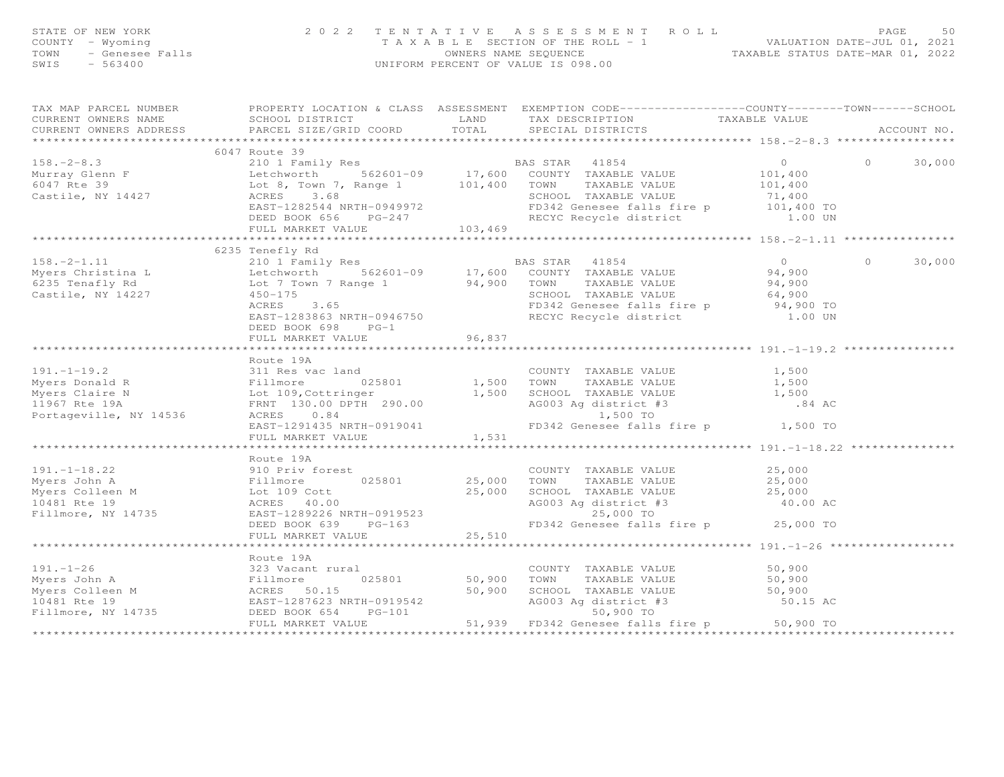| STATE OF NEW YORK 2022<br>COUNTY - Wyoming<br>TOWN - Genesee Falls<br>SWIS - 563400 | 2022 TENTATIVE                                                                                                                                                                                                                                                      |        | TENTATIVE ASSESSMENT ROLL PACE 50<br>TAXABLE SECTION OF THE ROLL - 1 VALUATION DATE-JUL 01, 2021<br>OWNERS NAME SEQUENCE TAXABLE STATUS DATE-MAR 01, 2022<br>UNIFORM PERCENT OF VALUE IS 098.00 |                |        |
|-------------------------------------------------------------------------------------|---------------------------------------------------------------------------------------------------------------------------------------------------------------------------------------------------------------------------------------------------------------------|--------|-------------------------------------------------------------------------------------------------------------------------------------------------------------------------------------------------|----------------|--------|
| CURRENT OWNERS ADDRESS                                                              |                                                                                                                                                                                                                                                                     |        |                                                                                                                                                                                                 |                |        |
|                                                                                     | 6047 Route 39                                                                                                                                                                                                                                                       |        |                                                                                                                                                                                                 |                |        |
|                                                                                     | 6047 Route 39<br>Murray Glenn F 101,400<br>Eetchworth 562601-09 17,600 COUNTY TAXABLE VALUE<br>6047 Rte 39 Letchworth 562601-09 17,600 COUNTY TAXABLE VALUE<br>Castile, NY 14427 ACRES 3.68<br>EASS TAR 41854<br>Castile, NY 14427 ACRES 3                          |        |                                                                                                                                                                                                 |                | 30,000 |
|                                                                                     |                                                                                                                                                                                                                                                                     |        |                                                                                                                                                                                                 |                |        |
|                                                                                     | 6235 Tenefly Rd<br>DEED BOOK 698 PG-1<br>FULL MARKET VALUE                                                                                                                                                                                                          | 96,837 |                                                                                                                                                                                                 | $\overline{0}$ | 30,000 |
|                                                                                     |                                                                                                                                                                                                                                                                     |        |                                                                                                                                                                                                 |                |        |
|                                                                                     | Route 19A<br>Route 19A<br>Myers Donald R<br>Myers Claire N<br>Myers Claire N<br>Myers Claire N<br>Myers Claire N<br>Example 290.00<br>Myers Claire N<br>Let 109, Cottringer<br>1,500 TOWN TAXABLE VALUE<br>1,500 TOWN TAXABLE VALUE<br>1,500 TOWN TAXABLE VALUE<br> |        |                                                                                                                                                                                                 |                |        |
|                                                                                     |                                                                                                                                                                                                                                                                     |        |                                                                                                                                                                                                 |                |        |
|                                                                                     |                                                                                                                                                                                                                                                                     |        |                                                                                                                                                                                                 |                |        |
|                                                                                     |                                                                                                                                                                                                                                                                     |        |                                                                                                                                                                                                 |                |        |
|                                                                                     |                                                                                                                                                                                                                                                                     |        |                                                                                                                                                                                                 |                |        |
|                                                                                     |                                                                                                                                                                                                                                                                     |        |                                                                                                                                                                                                 |                |        |
|                                                                                     |                                                                                                                                                                                                                                                                     |        |                                                                                                                                                                                                 |                |        |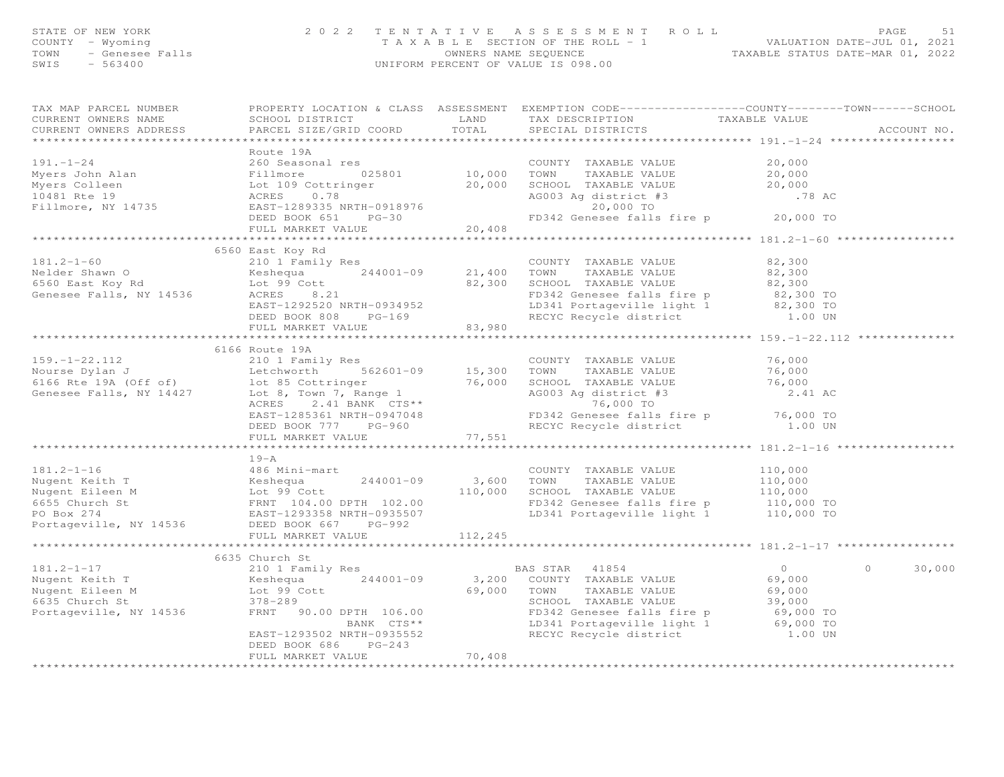|                           |                                                                                                                                                                                                                                                                            |                           | STATE OF NEW YORK 2022 TENTATIVE ASSESSMENT ROLL PAGE 51<br>COUNTY - Wyoming 2022 TENTATIVE ASSESSMENT ROLL -1<br>TAXABLE SECTION OF THE ROLL -1<br>OWNERS NAME SEQUENCE TAXABLE STATUS DATE-MAR 01, 2022<br>SWIS - 563400<br>SWIS - 563 |
|---------------------------|----------------------------------------------------------------------------------------------------------------------------------------------------------------------------------------------------------------------------------------------------------------------------|---------------------------|------------------------------------------------------------------------------------------------------------------------------------------------------------------------------------------------------------------------------------------|
| TAX MAP PARCEL NUMBER     | CURRENT OWNERS NAME SCHOOL DISTRICT TAND TAX DESCRIPTION TAXABLE VALUE<br>CURRENT OWNERS ADDRESS PARCEL SIZE/GRID COORD TOTAL SPECIAL DISTRICTS                                                                                                                            |                           | PROPERTY LOCATION & CLASS ASSESSMENT EXEMPTION CODE----------------COUNTY-------TOWN------SCHOOL<br>ACCOUNT NO.                                                                                                                          |
|                           | Route 19A                                                                                                                                                                                                                                                                  |                           |                                                                                                                                                                                                                                          |
|                           |                                                                                                                                                                                                                                                                            |                           |                                                                                                                                                                                                                                          |
|                           | 6560 East Koy Rd<br>181.2-1-60<br>Nelder Shawn O<br>Melder Shawn O<br>East Koy Rd<br>Genesee Falls, NY 14536<br>Nelder Shawn O<br>Countre TAXABLE VALUE<br>Countre TAXABLE VALUE<br>Countre TAXABLE VALUE<br>2.300<br>SCHOOL TAXABLE VALUE<br>2.300<br>SCHOOL TAXABLE VALU |                           |                                                                                                                                                                                                                                          |
|                           |                                                                                                                                                                                                                                                                            |                           |                                                                                                                                                                                                                                          |
|                           | 4189.-1-22.112<br>159.-1-22.112<br>210 1 Family Res<br>Nourse Dylan J<br>Nourse Dylan J<br>Examples 15,300 TOWN TAXABLE VALUE<br>6166 Route 19A<br>210 1 Family Res<br>562601-09 15,300 TOWN TAXABLE VALUE<br>76,000 TOWN TAXABLE VALUE<br>2.41 AC                         |                           |                                                                                                                                                                                                                                          |
|                           | FULL MARKET VALUE                                                                                                                                                                                                                                                          | 77,551                    |                                                                                                                                                                                                                                          |
|                           | $19 - A$<br>181.2-1-16<br>Nugent Keith T<br>Nugent Eileen M<br>Nugent Eileen M<br>Lot 99 Cott<br>FRNT 102.00<br>FRNT 102.00<br>FRNT 102.00<br>FO Box 274<br>FRNT 104.00 DPTH 102.00<br>FO Box 274<br>FRNT 104.00 DPTH 102.00<br>FO Box 274<br>PO Box 274<br>PO Box 27      | * * * * * * * * * * * * * |                                                                                                                                                                                                                                          |
|                           |                                                                                                                                                                                                                                                                            |                           |                                                                                                                                                                                                                                          |
|                           | 6635 Church St<br>DEED BOOK 686 PG-243<br>FULL MARKET VALUE 70,408                                                                                                                                                                                                         |                           | $\circ$<br>30,000                                                                                                                                                                                                                        |
| ************************* |                                                                                                                                                                                                                                                                            |                           |                                                                                                                                                                                                                                          |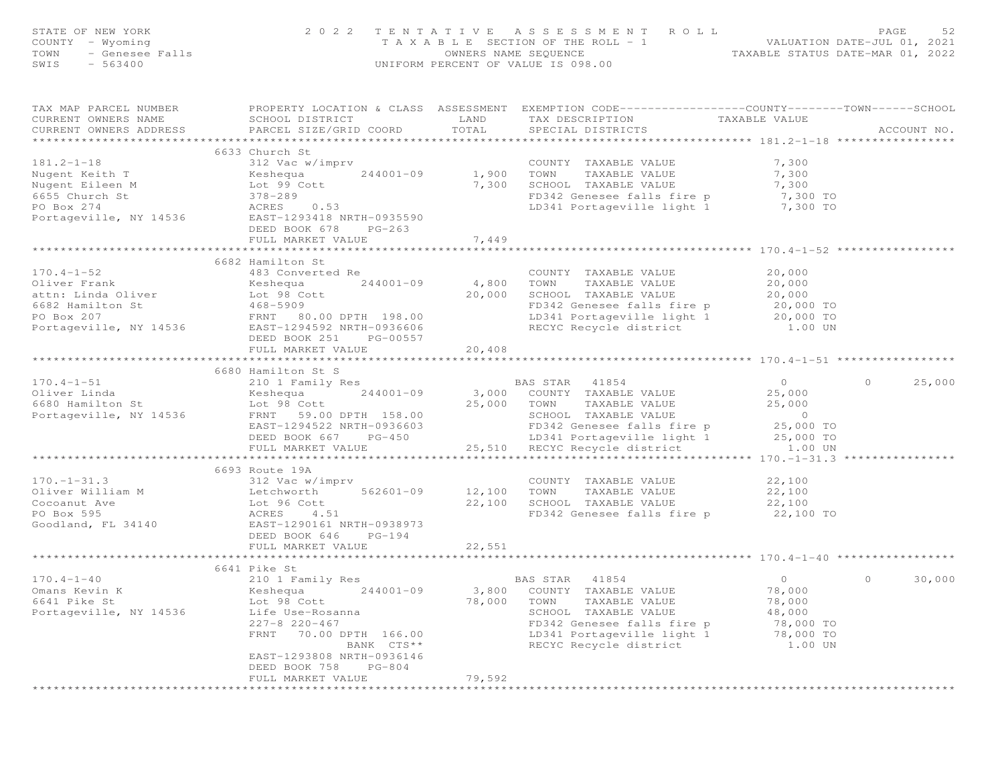| STATE OF NEW YORK<br>OF NEW YORK<br>$Y - Wyoming$<br>- Genesee Falls<br>- 563400<br>COUNTY - Wyoming<br>TOWN<br>SWIS |                                                                                                                                                                                                                                                                                                                         |                            | 2022 TENTATIVE ASSESSMENT ROLL<br>TAXABLE SECTION OF THE ROLL - 1<br>TAXABLE SECTION OF THE ROLL - 1<br>OWNERS NAME SEQUENCE CONSTRAINE STATUS DATE-MAR 01, 2022<br>OWNERS NAME SEQUENCE<br>UNIFORM PERCENT OF VALUE IS 098.00 |                                                                            | PAGE<br>52        |
|----------------------------------------------------------------------------------------------------------------------|-------------------------------------------------------------------------------------------------------------------------------------------------------------------------------------------------------------------------------------------------------------------------------------------------------------------------|----------------------------|--------------------------------------------------------------------------------------------------------------------------------------------------------------------------------------------------------------------------------|----------------------------------------------------------------------------|-------------------|
| TAX MAP PARCEL NUMBER<br>CURRENT OWNERS NAME<br>CURRENT OWNERS ADDRESS                                               | PROPERTY LOCATION & CLASS ASSESSMENT EXEMPTION CODE------------------COUNTY-------TOWN------SCHOOL<br>SCHOOL DISTRICT<br>PARCEL SIZE/GRID COORD                                                                                                                                                                         | LAND<br>TOTAL              | TAX DESCRIPTION<br>SPECIAL DISTRICTS                                                                                                                                                                                           | TAXABLE VALUE                                                              | ACCOUNT NO.       |
|                                                                                                                      | 6633 Church St                                                                                                                                                                                                                                                                                                          |                            |                                                                                                                                                                                                                                |                                                                            |                   |
|                                                                                                                      | 181.2-1-18<br>Nugent Keith T<br>Nugent Eileen M<br>Nugent Eileen M<br>Eileen M<br>Salte Country TAXABLE VALUE<br>Nugent Eileen M<br>TataBLE VALUE<br>TataBLE VALUE<br>TataBLE VALUE<br>TataBLE VALUE<br>TataBLE VALUE<br>TataBLE VALUE<br>TataBLE VALUE<br><br>DEED BOOK 678 PG-263                                     |                            | 1,900 TOWN TAXABLE VALUE<br>7,300 SCHOOL TAXABLE VALUE 7,300 TO<br>1,300 TO 10 CARAGOO falls fire p 7,300 TO<br>FD342 Genesee falls fire p 3,300 TO<br>LD341 Portageville light 1 3,300 TO                                     |                                                                            |                   |
|                                                                                                                      | FULL MARKET VALUE                                                                                                                                                                                                                                                                                                       | 7,449                      |                                                                                                                                                                                                                                |                                                                            |                   |
| $170.4 - 1 - 52$<br>Oliver Frank<br>attn: Linda Oliver                                                               | 6682 Hamilton St<br>483 Converted Re<br>Keshequa<br>Lot 98 Cott                                                                                                                                                                                                                                                         | $244001 - 09$ $4,800$ TOWN | COUNTY TAXABLE VALUE<br>4,800    TOWN      TAXABLE VALUE<br>20,000    SCHOOL   TAXABLE VALUE<br>FD342 Genesee falls fire p 20,000 TO<br>LD341 Portageville light 1 20,000 TO                                                   | 20,000<br>20,000<br>20,000                                                 |                   |
|                                                                                                                      | DEED BOOK 251 PG-00557                                                                                                                                                                                                                                                                                                  |                            | RECYC Recycle district                                                                                                                                                                                                         | 1.00 UN                                                                    |                   |
|                                                                                                                      |                                                                                                                                                                                                                                                                                                                         |                            |                                                                                                                                                                                                                                |                                                                            |                   |
|                                                                                                                      | 6680 Hamilton St S                                                                                                                                                                                                                                                                                                      |                            |                                                                                                                                                                                                                                |                                                                            |                   |
| $170.4 - 1 - 51$                                                                                                     | 210 1 Family Res<br>1/0.4-1-51<br>Oliver Linda<br>6680 Hamilton St<br>FRNT 59.00 DPTH 158.00 COUNTY TAXABLE VALUE<br>25,000 TOWN TAXABLE VALUE<br>25,000 TOWN TAXABLE VALUE<br>25,000 TOWN TAXABLE VALUE<br>25,000 TOWN TAXABLE VALUE<br>25,000 TOWN TAXABLE VALUE<br>EAST-1294522 NRTH-0936603<br>DEED BOOK 667 PG-450 |                            | <b>BAS STAR</b> 41854<br>SCHOOL TAXABLE VALUE<br>FD342 Genesee falls fire p 25,000 TO<br>LD341 Portageville light 1 25,000 TO<br>25,510 RECYC Recycle district 1.00 UN                                                         | $\overline{0}$<br>25,000<br>25,000                                         | $\circ$<br>25,000 |
|                                                                                                                      | FULL MARKET VALUE                                                                                                                                                                                                                                                                                                       |                            |                                                                                                                                                                                                                                |                                                                            |                   |
| $170. - 1 - 31.3$<br>Oliver William M                                                                                | 6693 Route 19A<br>DEED BOOK 646 PG-194                                                                                                                                                                                                                                                                                  |                            | 22,100 SCHOOL TAXABLE VALUE<br>22,100 SCHOOL TAXABLE VALUE<br>FD342 Genesee falls fire                                                                                                                                         | $22,100$<br>22.100<br>22,100                                               |                   |
|                                                                                                                      | FULL MARKET VALUE                                                                                                                                                                                                                                                                                                       | 22,551                     |                                                                                                                                                                                                                                |                                                                            |                   |
|                                                                                                                      | ****************************                                                                                                                                                                                                                                                                                            |                            |                                                                                                                                                                                                                                |                                                                            |                   |
| $170.4 - 1 - 40$<br>Omans Kevin K<br>6641 Pike St<br>Portageville, NY 14536                                          | 6641 Pike St<br>210 1 Family Res<br>Kashawa 244001 00<br>Lot 98 Cott<br>Life Use-Rosanna<br>$227 - 8$ $220 - 467$<br>FRNT 70.00 DPTH 166.00<br>BANK CTS**<br>EAST-1293808 NRTH-0936146<br>DEED BOOK 758 PG-804<br>FULL MARKET VALUE                                                                                     | 78,000<br>79,592           | BAS STAR<br>41854<br>TOWN TAXABLE VALUE<br>SCHOOL TAXABLE VALUE<br>FD342 Genesee falls fire p<br>LD341 Portageville light 1<br>RECYC Recycle district                                                                          | $\circ$<br>78,000<br>78,000<br>48,000<br>78,000 TO<br>78,000 TO<br>1.00 UN | $\circ$<br>30,000 |
|                                                                                                                      |                                                                                                                                                                                                                                                                                                                         |                            |                                                                                                                                                                                                                                |                                                                            |                   |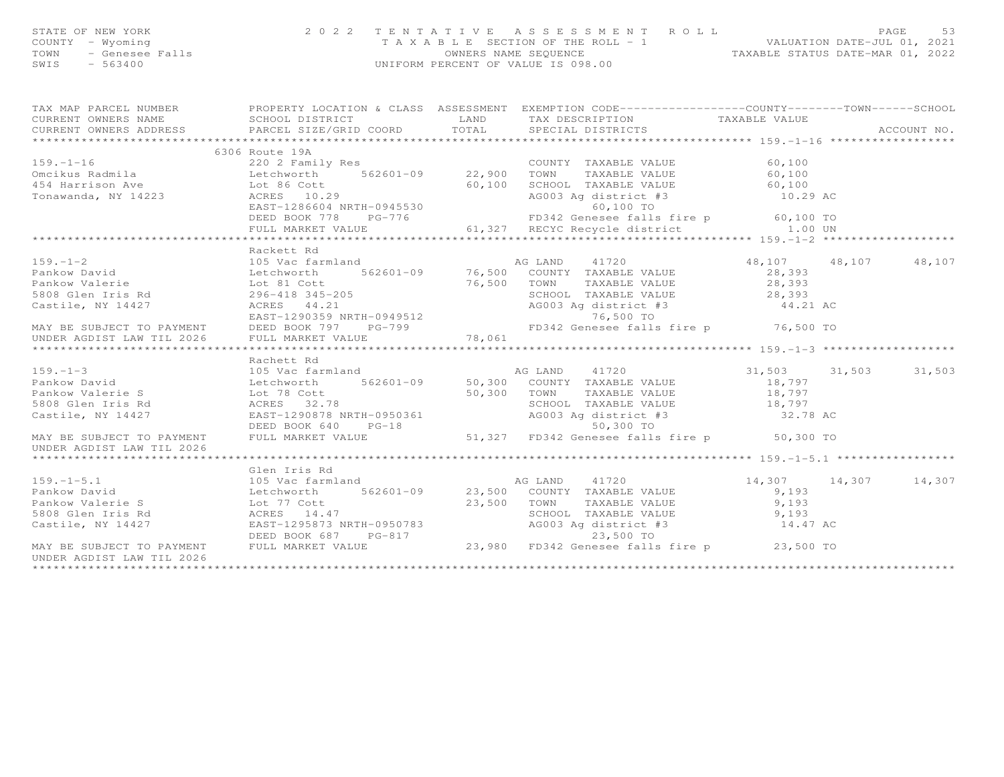| STATE OF NEW YORK<br>COUNTY - Wyoming<br>TOWN - Genesee Falls<br>$SWIS = 563400$ |                                                                                                                                        |      | 2022 TENTATIVE ASSESSMENT ROLL<br>T A X A B L E SECTION OF THE ROLL - 1<br>OWNERS NAME SEOUENCE<br>UNIFORM PERCENT OF VALUE IS 098.00 |               | VALUATION DATE-JUL 01, 2021<br>TAXABLE STATUS DATE-MAR 01, 2022 | PAGE        | 53 |
|----------------------------------------------------------------------------------|----------------------------------------------------------------------------------------------------------------------------------------|------|---------------------------------------------------------------------------------------------------------------------------------------|---------------|-----------------------------------------------------------------|-------------|----|
| TAX MAP PARCEL NUMBER<br>CURRENT OWNERS NAME                                     | PROPERTY LOCATION & CLASS ASSESSMENT<br>SCHOOL DISTRICT<br>CURRENT OWNERS ADDRESS 6 PARCEL SIZE/GRID COORD 6 TOTAL 6 SPECIAL DISTRICTS | LAND | EXEMPTION CODE-----------------COUNTY-------TOWN------SCHOOL<br>TAX DESCRIPTION                                                       | TAXABLE VALUE |                                                                 | ACCOUNT NO. |    |

159.-1-16 220 2 Family Res COUNTY TAXABLE VALUE 60,100

6306 Route 19A

| Omcikus Radmila                     | Letchworth 562601-09 22,900 | TOWN TAXABLE VALUE                                                                                                                                                                                                                                 | 60,100 |
|-------------------------------------|-----------------------------|----------------------------------------------------------------------------------------------------------------------------------------------------------------------------------------------------------------------------------------------------|--------|
|                                     |                             |                                                                                                                                                                                                                                                    |        |
|                                     |                             |                                                                                                                                                                                                                                                    |        |
|                                     |                             |                                                                                                                                                                                                                                                    |        |
|                                     |                             |                                                                                                                                                                                                                                                    |        |
|                                     | Rackett Rd                  |                                                                                                                                                                                                                                                    |        |
|                                     |                             | 159.-1-2<br>Pankow David<br>Pankow Malerie 105 Vac farmland<br>28,107 18,107 18,107<br>Pankow Valerie Lot and Selection to the Selection of the Selection of the Selection of the Selection of the Selection of the Selection of the S             |        |
|                                     |                             |                                                                                                                                                                                                                                                    |        |
|                                     |                             |                                                                                                                                                                                                                                                    |        |
|                                     |                             |                                                                                                                                                                                                                                                    |        |
|                                     |                             |                                                                                                                                                                                                                                                    |        |
|                                     |                             |                                                                                                                                                                                                                                                    |        |
|                                     |                             |                                                                                                                                                                                                                                                    |        |
|                                     |                             |                                                                                                                                                                                                                                                    |        |
|                                     |                             |                                                                                                                                                                                                                                                    |        |
|                                     | Rachett Rd                  |                                                                                                                                                                                                                                                    |        |
|                                     |                             | 159.-1-3<br>16,503 11,503 11,503 11,503 11,503 11,503 Letchworth 562601-09 50,300 COUNTY TAXABLE VALUE 18,797                                                                                                                                      |        |
|                                     |                             |                                                                                                                                                                                                                                                    |        |
|                                     |                             |                                                                                                                                                                                                                                                    |        |
|                                     |                             |                                                                                                                                                                                                                                                    |        |
|                                     |                             |                                                                                                                                                                                                                                                    |        |
|                                     |                             |                                                                                                                                                                                                                                                    |        |
| UNDER AGDIST LAW TIL 2026           |                             | 5808 Glen Iris Rd<br>Castile, NY 14427 EAST-1290878 NRTH-0950361<br>DEED BOOK 640 PG-18<br>MAY BE SUBJECT TO PAYMENT FULL MARKET VALUE<br>MAY BE SUBJECT TO PAYMENT FULL MARKET VALUE<br>THE SOLUTER SOLUTER SOLUTER SOLUTER SOLUTER SO            |        |
|                                     |                             |                                                                                                                                                                                                                                                    |        |
|                                     | Glen Iris Rd                |                                                                                                                                                                                                                                                    |        |
|                                     |                             | 159.-1-5.1 14,307 14,307 14,307 14,307 14,307 14,307 14,307 14,307 14,307 14,307 14,307 14,307 14,307 14,307 14,307 14,307 14,307 14,307 14,307 14,307 14,307 14,307 14,307 14,307 14,307 14,307 14,307 14,307 14,307 14,307 1                     |        |
|                                     |                             |                                                                                                                                                                                                                                                    |        |
|                                     |                             |                                                                                                                                                                                                                                                    |        |
|                                     |                             |                                                                                                                                                                                                                                                    |        |
|                                     |                             |                                                                                                                                                                                                                                                    |        |
|                                     |                             |                                                                                                                                                                                                                                                    |        |
| UNDER AGDIST LAW TIL 2026           |                             | Pankow David<br>Pankow Valerie S<br>Pankow Valerie S<br>Detchworth 562601-09<br>Detchworth 562601-09<br>Detchworth 562601-09<br>23,500 TOWN TAXABLE VALUE<br>23,500 TOWN TAXABLE VALUE<br>SCHOOL TAXABLE VALUE<br>23,500 TOWN TAXABLE VALUE<br>23, |        |
| *********************************** |                             |                                                                                                                                                                                                                                                    |        |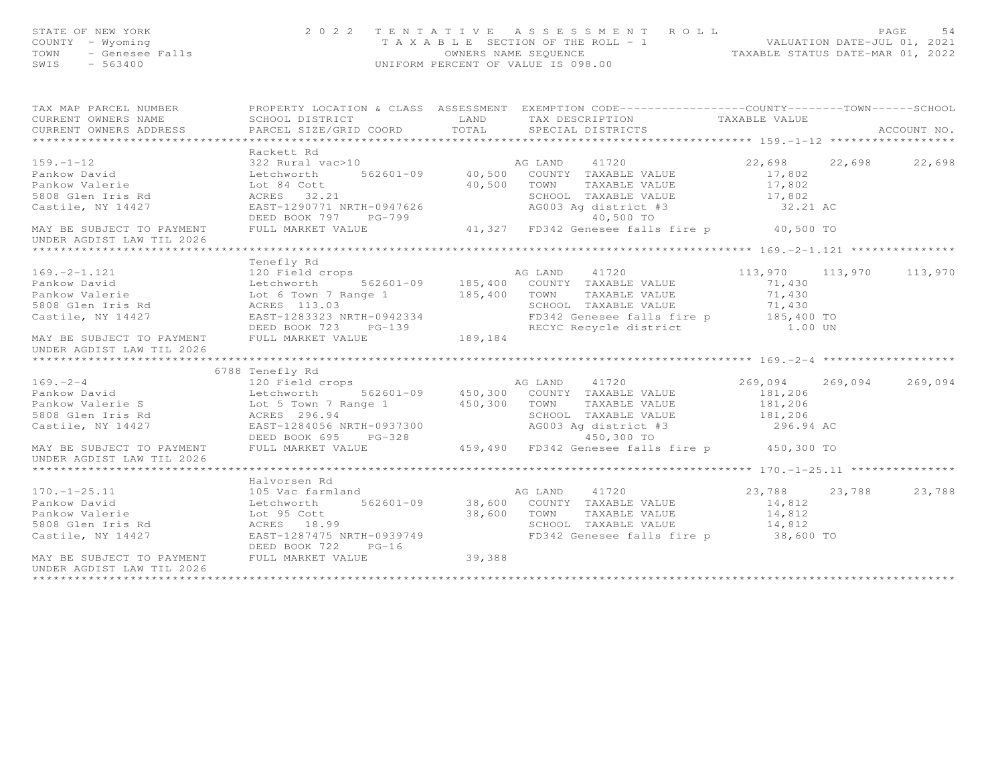| STATE OF NEW YORK<br>COUNTY - Wyoming<br>– Wyoming<br>– Genesee Falls<br>– 563400<br>TOWN<br>SWIS<br>$-563400$ | 2 0 2 2                                                                                                                                                                                                                                          | TENTATIVE   | A S S E S S M E N T A O L L<br>T A X A B L E SECTION OF THE ROLL - 1 VALUATION DATE-JUL 01, 2021<br>OWNERS NAME SEQUENCE TAXABLE STATUS DATE-MAR 01, 2022<br>UNIFORM PERCENT OF VALUE IS 098.00 |                    | PAGE<br>54              |
|----------------------------------------------------------------------------------------------------------------|--------------------------------------------------------------------------------------------------------------------------------------------------------------------------------------------------------------------------------------------------|-------------|-------------------------------------------------------------------------------------------------------------------------------------------------------------------------------------------------|--------------------|-------------------------|
|                                                                                                                | TAX MAP PARCEL NUMBER FOROPERTY LOCATION & CLASS ASSESSMENT EXEMPTION CODE---------------COUNTY-------TOWN------SCHOOL                                                                                                                           |             |                                                                                                                                                                                                 |                    |                         |
| CURRENT OWNERS NAME                                                                                            | SCHOOL DISTRICT                                                                                                                                                                                                                                  | LAND        | TAX DESCRIPTION TAXABLE VALUE                                                                                                                                                                   |                    |                         |
| CURRENT OWNERS ADDRESS                                                                                         | PARCEL SIZE/GRID COORD                                                                                                                                                                                                                           | TOTAL       | SPECIAL DISTRICTS                                                                                                                                                                               |                    | ACCOUNT NO.             |
|                                                                                                                | Rackett Rd                                                                                                                                                                                                                                       |             |                                                                                                                                                                                                 |                    |                         |
| $159. - 1 - 12$                                                                                                |                                                                                                                                                                                                                                                  |             | 322 Rural vac>10 and AG LAND 41720                                                                                                                                                              | 22,698             | 22,698 22,698           |
|                                                                                                                |                                                                                                                                                                                                                                                  |             |                                                                                                                                                                                                 |                    |                         |
|                                                                                                                |                                                                                                                                                                                                                                                  |             |                                                                                                                                                                                                 | 17,802<br>17,802   |                         |
|                                                                                                                |                                                                                                                                                                                                                                                  |             |                                                                                                                                                                                                 |                    |                         |
|                                                                                                                | Pankow David<br>Pankow Valerie (1999)<br>Pankow Valerie (1999)<br>Letchworth 562601-09 40,500 COUNTY TAXABLE VALUE<br>Fankow Valerie (19947626 40,500 TOWN TAXABLE VALUE<br>SCHOOL TAXABLE VALUE<br>Castile, NY 14427 EAST-1290771 NRTH-09       |             | SCHOOL TAXABLE VALUE<br>AG003 Ag district #3                                                                                                                                                    | 17,802<br>32.21 AC |                         |
|                                                                                                                |                                                                                                                                                                                                                                                  |             | DEED BOOK 797 PG-799<br>FULL MARKET VALUE 41,327 FD342 Genesee falls fire p 40,500 TO                                                                                                           |                    |                         |
| MAY BE SUBJECT TO PAYMENT FULL MARKET VALUE                                                                    |                                                                                                                                                                                                                                                  |             |                                                                                                                                                                                                 |                    |                         |
| UNDER AGDIST LAW TIL 2026                                                                                      |                                                                                                                                                                                                                                                  |             |                                                                                                                                                                                                 |                    |                         |
|                                                                                                                |                                                                                                                                                                                                                                                  |             |                                                                                                                                                                                                 |                    |                         |
|                                                                                                                | Tenefly Rd                                                                                                                                                                                                                                       |             |                                                                                                                                                                                                 |                    |                         |
|                                                                                                                |                                                                                                                                                                                                                                                  |             |                                                                                                                                                                                                 |                    | 113,970 113,970 113,970 |
|                                                                                                                |                                                                                                                                                                                                                                                  |             |                                                                                                                                                                                                 |                    |                         |
|                                                                                                                |                                                                                                                                                                                                                                                  |             |                                                                                                                                                                                                 |                    |                         |
|                                                                                                                |                                                                                                                                                                                                                                                  |             |                                                                                                                                                                                                 |                    |                         |
|                                                                                                                |                                                                                                                                                                                                                                                  |             | SCHOOL TAXABLE VALUE<br>FD342 Genesee falls fire p 185,400 TO<br>RECYC Recycle district 1.00 UN                                                                                                 |                    |                         |
|                                                                                                                | DEED BOOK 723 PG-139<br>MAY BE SUBJECT TO PAYMENT FULL MARKET VALUE 189,184                                                                                                                                                                      |             |                                                                                                                                                                                                 |                    |                         |
| UNDER AGDIST LAW TIL 2026                                                                                      |                                                                                                                                                                                                                                                  |             |                                                                                                                                                                                                 |                    |                         |
|                                                                                                                |                                                                                                                                                                                                                                                  |             |                                                                                                                                                                                                 |                    |                         |
|                                                                                                                | 6788 Tenefly Rd                                                                                                                                                                                                                                  |             |                                                                                                                                                                                                 |                    |                         |
| $169. - 2 - 4$                                                                                                 |                                                                                                                                                                                                                                                  |             |                                                                                                                                                                                                 | 269,094            | 269,094 269,094         |
|                                                                                                                |                                                                                                                                                                                                                                                  |             |                                                                                                                                                                                                 |                    |                         |
|                                                                                                                |                                                                                                                                                                                                                                                  |             |                                                                                                                                                                                                 |                    |                         |
|                                                                                                                |                                                                                                                                                                                                                                                  |             |                                                                                                                                                                                                 |                    |                         |
|                                                                                                                |                                                                                                                                                                                                                                                  |             |                                                                                                                                                                                                 | 296.94 AC          |                         |
|                                                                                                                | 9.2-4<br>Pankow David<br>Pankow Valerie S<br>20.206 (181,206 Letchworth 562601-09 450,300 COUNTY TAXABLE VALUE<br>20.300 EARLE VALUE<br>20.300 EARLE VALUE<br>20.300 EARLE VALUE<br>20.300 EARLE VALUE<br>20.300 EARLE VALUE<br>20.300 EARLE VAL |             |                                                                                                                                                                                                 |                    |                         |
| MAY BE SUBJECT TO PAYMENT FULL MARKET VALUE                                                                    |                                                                                                                                                                                                                                                  |             | 459,490 FD342 Genesee falls fire p 450,300 TO                                                                                                                                                   |                    |                         |
| UNDER AGDIST LAW TIL 2026                                                                                      |                                                                                                                                                                                                                                                  |             |                                                                                                                                                                                                 |                    |                         |
|                                                                                                                | Halvorsen Rd                                                                                                                                                                                                                                     |             |                                                                                                                                                                                                 |                    |                         |
|                                                                                                                |                                                                                                                                                                                                                                                  |             | 41720                                                                                                                                                                                           |                    | 23,788 23,788 23,788    |
| 170.-1-25.11<br>Pankow David                                                                                   |                                                                                                                                                                                                                                                  |             |                                                                                                                                                                                                 | 14,812             |                         |
|                                                                                                                |                                                                                                                                                                                                                                                  | 38,600 TOWN |                                                                                                                                                                                                 | 14,812             |                         |
| Pankow Valerie<br>5808 Glen Iris Rd                         ACRES     18.99                                    |                                                                                                                                                                                                                                                  |             | TOWN      TAXABLE VALUE<br>SCHOOL   TAXABLE VALUE                                                                                                                                               | 14,812             |                         |
| Castile, NY 14427                                                                                              | EAST-1287475 NRTH-0939749                                                                                                                                                                                                                        |             | FD342 Genesee falls fire p 38,600 TO                                                                                                                                                            |                    |                         |
|                                                                                                                | DEED BOOK 722<br>$PG-16$                                                                                                                                                                                                                         |             |                                                                                                                                                                                                 |                    |                         |
| MAY BE SUBJECT TO PAYMENT                                                                                      | FULL MARKET VALUE                                                                                                                                                                                                                                | 39,388      |                                                                                                                                                                                                 |                    |                         |
| IINDER ACDIST IAM TII 2026                                                                                     |                                                                                                                                                                                                                                                  |             |                                                                                                                                                                                                 |                    |                         |

UNDER AGDIST LAW TIL 2026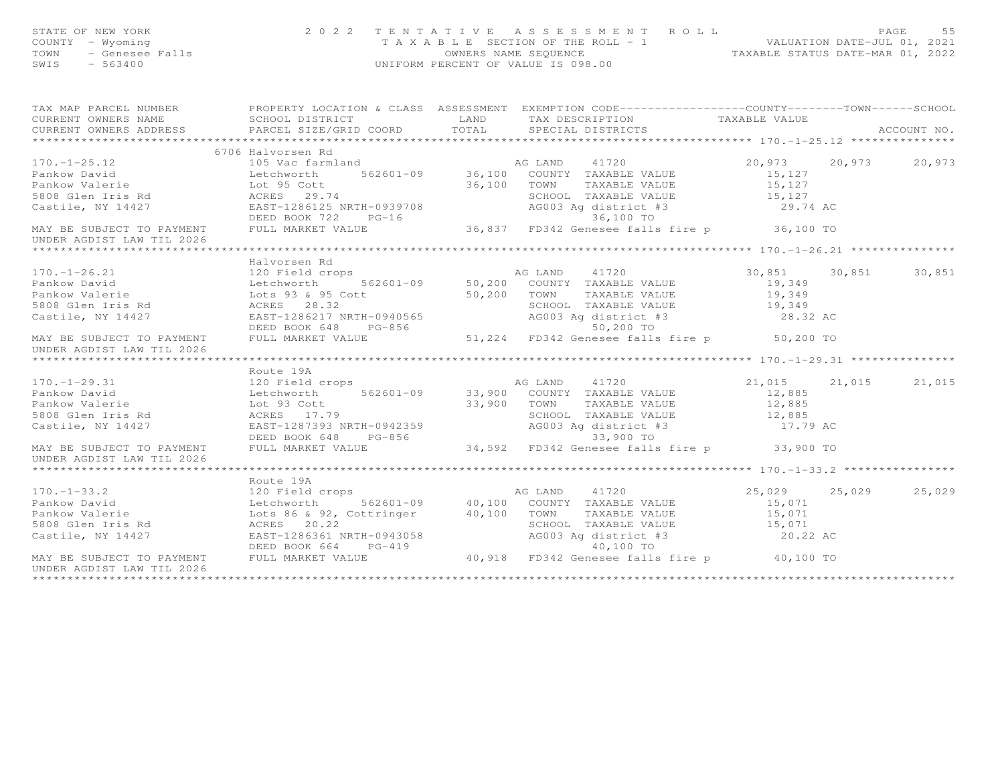| STATE OF NEW YORK<br>STATE OF NEW YORK<br>COUNTY – Wyoming<br>TOWN – Genesee Falls<br>TAXAD LL COUNTY – Wyoming<br>OWNERS NAME SEQUENCE<br>OWNERS NAME SEQUENCE<br>OWNERS NAME SEQUENCE<br>OWNERS NAME SEQUENCE<br>OWNERS NAME SEQUENCE |                   | 2022 TENTATIVE ASSESSMENT ROLL PAGE 55<br>TAXABLE SECTION OF THE ROLL - 1 VALUATION DATE-JUL 01, 2021<br>OWNERS NAME SEQUENCE TAXABLE STATUS DATE-MAR 01, 2022 |  |
|-----------------------------------------------------------------------------------------------------------------------------------------------------------------------------------------------------------------------------------------|-------------------|----------------------------------------------------------------------------------------------------------------------------------------------------------------|--|
|                                                                                                                                                                                                                                         |                   |                                                                                                                                                                |  |
|                                                                                                                                                                                                                                         |                   |                                                                                                                                                                |  |
| .CURRENT OWNERS ADDRESS PARCEL SIZE/GRID COORD TOTAL SPECIAL DISTRICTS ACCOUNT NO ACCOUNT NO ACCOUNT NO ACCOUNT                                                                                                                         |                   |                                                                                                                                                                |  |
|                                                                                                                                                                                                                                         |                   |                                                                                                                                                                |  |
|                                                                                                                                                                                                                                         | 6706 Halvorsen Rd |                                                                                                                                                                |  |
|                                                                                                                                                                                                                                         |                   |                                                                                                                                                                |  |
|                                                                                                                                                                                                                                         |                   |                                                                                                                                                                |  |
|                                                                                                                                                                                                                                         |                   |                                                                                                                                                                |  |
|                                                                                                                                                                                                                                         |                   |                                                                                                                                                                |  |
| Castile, NY 14427<br>Castile, NY 14427 EAST-1286125 NRTH-0939708<br>DEED BOOK 722 PG-16 36,837 FD342 Genesee falls fire p 36,100 TO<br>MAY BE SUBJECT TO PAYMENT FULL MARKET VALUE 36,837 FD342 Genesee falls fire p 36,100 TO          |                   |                                                                                                                                                                |  |
|                                                                                                                                                                                                                                         |                   |                                                                                                                                                                |  |
| UNDER AGDIST LAW TIL 2026                                                                                                                                                                                                               |                   |                                                                                                                                                                |  |
|                                                                                                                                                                                                                                         |                   |                                                                                                                                                                |  |
|                                                                                                                                                                                                                                         | Halvorsen Rd      |                                                                                                                                                                |  |
| 170.-1-26.21 Halvorsen Kd<br>Pankow David 120 Field crops<br>Pankow Valerie Letchworth 562601-09 50,200 COUNTY TAXABLE VALUE 19,349<br>Pankow Valerie Lots 93 & 95 Cott 50,200 TOWN TAXABLE VALUE 19,349<br>5808 Glen Iris Rd ACRES 28  |                   |                                                                                                                                                                |  |
|                                                                                                                                                                                                                                         |                   |                                                                                                                                                                |  |
|                                                                                                                                                                                                                                         |                   |                                                                                                                                                                |  |
|                                                                                                                                                                                                                                         |                   |                                                                                                                                                                |  |
|                                                                                                                                                                                                                                         |                   |                                                                                                                                                                |  |
|                                                                                                                                                                                                                                         |                   |                                                                                                                                                                |  |
|                                                                                                                                                                                                                                         |                   |                                                                                                                                                                |  |
| UNDER AGDIST LAW TIL 2026                                                                                                                                                                                                               |                   |                                                                                                                                                                |  |
|                                                                                                                                                                                                                                         |                   |                                                                                                                                                                |  |
|                                                                                                                                                                                                                                         | Route 19A         |                                                                                                                                                                |  |

|                                                        | NUULE I <i>JH</i>         |                                      |                  |        |
|--------------------------------------------------------|---------------------------|--------------------------------------|------------------|--------|
| $170. - 1 - 29.31$                                     | 120 Field crops           | 41720<br>AG LAND                     | 21,015 21,015    | 21,015 |
| Pankow David                                           | Letchworth<br>562601-09   | 33,900<br>COUNTY<br>TAXABLE VALUE    | 12,885           |        |
| Pankow Valerie                                         | Lot 93 Cott               | 33,900<br>TAXABLE VALUE<br>TOWN      | 12,885           |        |
| 5808 Glen Iris Rd                                      | ACRES 17.79               | TAXABLE VALUE<br>SCHOOL              | 12,885           |        |
| Castile, NY 14427                                      | EAST-1287393 NRTH-0942359 | AG003 Ag district #3                 | 17.79 AC         |        |
|                                                        | DEED BOOK 648<br>PG-856   | 33,900 TO                            |                  |        |
| MAY BE SUBJECT TO PAYMENT<br>UNDER AGDIST LAW TIL 2026 | FULL MARKET VALUE         | FD342 Genesee falls fire p<br>34,592 | 33,900 TO        |        |
|                                                        |                           |                                      |                  |        |
|                                                        | Route 19A                 |                                      |                  |        |
| $170. - 1 - 33.2$                                      | 120 Field crops           | 41720<br>AG LAND                     | 25,029<br>25,029 | 25,029 |
| Pankow David                                           | 562601-09<br>Letchworth   | 40,100<br>COUNTY<br>TAXABLE VALUE    | 15,071           |        |
| Pankow Valerie                                         | Lots 86 & 92, Cottringer  | 40,100<br>TOWN<br>TAXABLE VALUE      | 15,071           |        |
| 5808 Glen Iris Rd                                      | ACRES 20.22               | SCHOOL<br>TAXABLE VALUE              | 15,071           |        |
| Castile, NY 14427                                      | EAST-1286361 NRTH-0943058 | AG003 Ag district #3                 | 20.22 AC         |        |
|                                                        | DEED BOOK 664<br>$PG-419$ | 40,100 TO                            |                  |        |
| MAY BE SUBJECT TO PAYMENT                              | FULL MARKET VALUE         | FD342 Genesee falls fire p<br>40,918 | 40,100 TO        |        |
| UNDER AGDIST LAW TIL 2026                              |                           |                                      |                  |        |
|                                                        |                           |                                      |                  |        |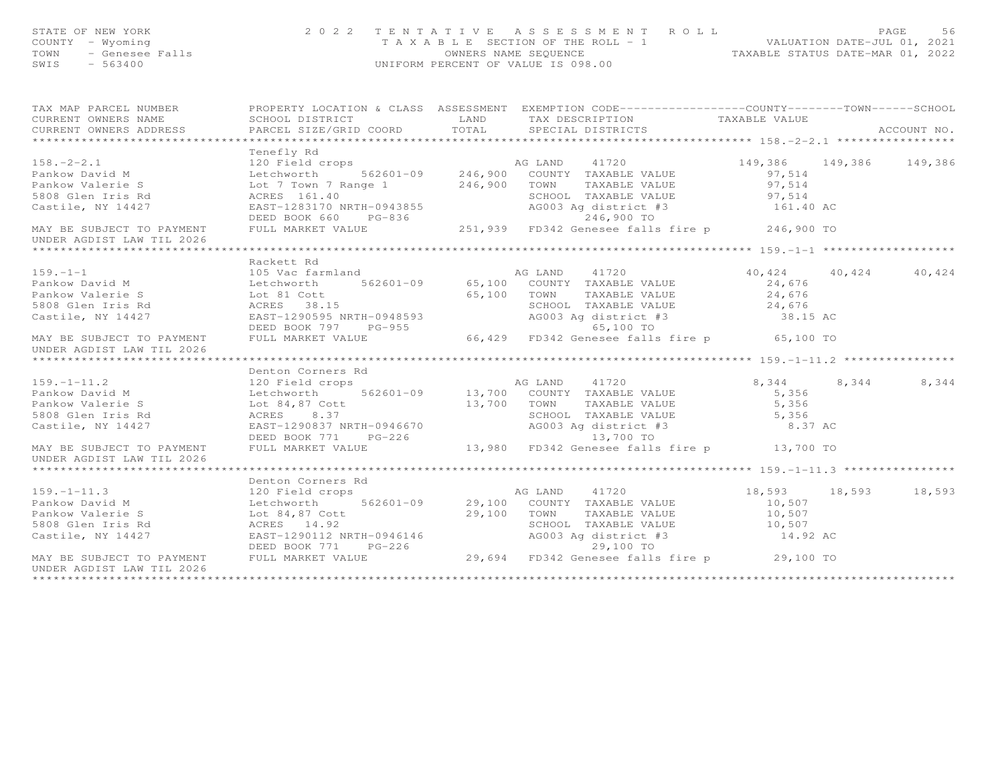| STATE OF NEW YORK<br>COUNTY - Wyoming<br>? – Wyoming<br>– Genesee Falls<br>– 563400<br>TOWN<br>SWIS<br>$-563400$ | 2 0 2 2                                                                                                                                                                                                                                              | TENTATIVE<br>A S S E S S M E N T A O L L<br>T A X A B L E SECTION OF THE ROLL - 1 VALUATION DATE-JUL 01, 2021<br>OWNERS NAME SEQUENCE<br>UNIFORM PERCENT OF VALUE IS 098.00 |                                                            |                      |  |             |
|------------------------------------------------------------------------------------------------------------------|------------------------------------------------------------------------------------------------------------------------------------------------------------------------------------------------------------------------------------------------------|-----------------------------------------------------------------------------------------------------------------------------------------------------------------------------|------------------------------------------------------------|----------------------|--|-------------|
|                                                                                                                  |                                                                                                                                                                                                                                                      |                                                                                                                                                                             |                                                            |                      |  |             |
| CURRENT OWNERS NAME                                                                                              |                                                                                                                                                                                                                                                      |                                                                                                                                                                             |                                                            |                      |  |             |
| CURRENT OWNERS ADDRESS                                                                                           | PARCEL SIZE/GRID COORD TOTAL                                                                                                                                                                                                                         |                                                                                                                                                                             | SPECIAL DISTRICTS                                          |                      |  | ACCOUNT NO. |
|                                                                                                                  |                                                                                                                                                                                                                                                      |                                                                                                                                                                             |                                                            |                      |  |             |
|                                                                                                                  | Tenefly Rd                                                                                                                                                                                                                                           |                                                                                                                                                                             |                                                            |                      |  |             |
|                                                                                                                  |                                                                                                                                                                                                                                                      |                                                                                                                                                                             |                                                            |                      |  |             |
|                                                                                                                  |                                                                                                                                                                                                                                                      |                                                                                                                                                                             |                                                            |                      |  |             |
|                                                                                                                  |                                                                                                                                                                                                                                                      |                                                                                                                                                                             |                                                            |                      |  |             |
|                                                                                                                  |                                                                                                                                                                                                                                                      |                                                                                                                                                                             |                                                            |                      |  |             |
|                                                                                                                  |                                                                                                                                                                                                                                                      |                                                                                                                                                                             |                                                            |                      |  |             |
|                                                                                                                  | 158.-2-2.1<br>Pankow David M 120 Field crops<br>Pankow David M 149,386<br>Pankow Valerie S Let Town 7 Range 1<br>562601-09 246,900 COUNTY TAXABLE VALUE<br>5808 Glen Iris Rd ACRES 161.40<br>Castile, NY 14427 EAST-1283170 NRTH-0943855<br>         |                                                                                                                                                                             |                                                            |                      |  |             |
|                                                                                                                  |                                                                                                                                                                                                                                                      |                                                                                                                                                                             |                                                            |                      |  |             |
|                                                                                                                  |                                                                                                                                                                                                                                                      |                                                                                                                                                                             |                                                            |                      |  |             |
|                                                                                                                  | Rackett Rd                                                                                                                                                                                                                                           |                                                                                                                                                                             |                                                            |                      |  |             |
|                                                                                                                  |                                                                                                                                                                                                                                                      |                                                                                                                                                                             |                                                            | 40,424 40,424 40,424 |  |             |
|                                                                                                                  |                                                                                                                                                                                                                                                      |                                                                                                                                                                             |                                                            |                      |  |             |
|                                                                                                                  |                                                                                                                                                                                                                                                      |                                                                                                                                                                             |                                                            |                      |  |             |
|                                                                                                                  |                                                                                                                                                                                                                                                      |                                                                                                                                                                             |                                                            |                      |  |             |
|                                                                                                                  |                                                                                                                                                                                                                                                      |                                                                                                                                                                             |                                                            |                      |  |             |
|                                                                                                                  |                                                                                                                                                                                                                                                      |                                                                                                                                                                             |                                                            |                      |  |             |
| UNDER AGDIST LAW TIL 2026                                                                                        | 159.-1-1<br>Pankow David M<br>Pankow Valerie S<br>Exchange of Sales and AG LAND 41720<br>Pankow Valerie S<br>105 Vac farmland<br>105 Vac farmland<br>562601-09<br>565,100 COUNTY TAXABLE VALUE<br>65,100 TOWN TAXABLE VALUE<br>24,676<br>SCHOOL TAXA |                                                                                                                                                                             |                                                            |                      |  |             |
|                                                                                                                  |                                                                                                                                                                                                                                                      |                                                                                                                                                                             |                                                            |                      |  |             |
|                                                                                                                  | Denton Corners Rd                                                                                                                                                                                                                                    |                                                                                                                                                                             |                                                            |                      |  |             |
|                                                                                                                  | 159.-1-11.2<br>Pankow David M<br>Pankow Valerie S<br>Pankow Valerie S<br>Section both and the state of the Magnetic State of the Magnetic State of the State of the State of the Magnetic State of the Magnetic State of the Magnetic                |                                                                                                                                                                             |                                                            | 8, 344 8, 344 8, 344 |  |             |
|                                                                                                                  |                                                                                                                                                                                                                                                      |                                                                                                                                                                             |                                                            | 5,356                |  |             |
|                                                                                                                  |                                                                                                                                                                                                                                                      |                                                                                                                                                                             |                                                            | $5,356$<br>$5,356$   |  |             |
|                                                                                                                  |                                                                                                                                                                                                                                                      |                                                                                                                                                                             |                                                            |                      |  |             |
| Castile, NY 14427                                                                                                |                                                                                                                                                                                                                                                      |                                                                                                                                                                             | SCHOOL TAXABLE VALUE 5,356<br>AG003 Ag district #3 6.37 AC |                      |  |             |
|                                                                                                                  |                                                                                                                                                                                                                                                      |                                                                                                                                                                             |                                                            |                      |  |             |
| MAY BE SUBJECT TO PAYMENT FULL MARKET VALUE                                                                      |                                                                                                                                                                                                                                                      |                                                                                                                                                                             | 13,980 FD342 Genesee falls fire p 13,700 TO                |                      |  |             |
| UNDER AGDIST LAW TIL 2026                                                                                        |                                                                                                                                                                                                                                                      |                                                                                                                                                                             |                                                            |                      |  |             |
|                                                                                                                  |                                                                                                                                                                                                                                                      |                                                                                                                                                                             |                                                            |                      |  |             |
|                                                                                                                  |                                                                                                                                                                                                                                                      |                                                                                                                                                                             |                                                            |                      |  |             |
|                                                                                                                  |                                                                                                                                                                                                                                                      |                                                                                                                                                                             |                                                            |                      |  |             |
|                                                                                                                  |                                                                                                                                                                                                                                                      |                                                                                                                                                                             |                                                            |                      |  |             |
|                                                                                                                  |                                                                                                                                                                                                                                                      |                                                                                                                                                                             |                                                            |                      |  |             |
|                                                                                                                  |                                                                                                                                                                                                                                                      |                                                                                                                                                                             |                                                            |                      |  |             |
|                                                                                                                  |                                                                                                                                                                                                                                                      |                                                                                                                                                                             |                                                            |                      |  |             |
|                                                                                                                  |                                                                                                                                                                                                                                                      |                                                                                                                                                                             |                                                            |                      |  |             |
|                                                                                                                  |                                                                                                                                                                                                                                                      |                                                                                                                                                                             |                                                            |                      |  |             |

UNDER AGDIST LAW TIL 2026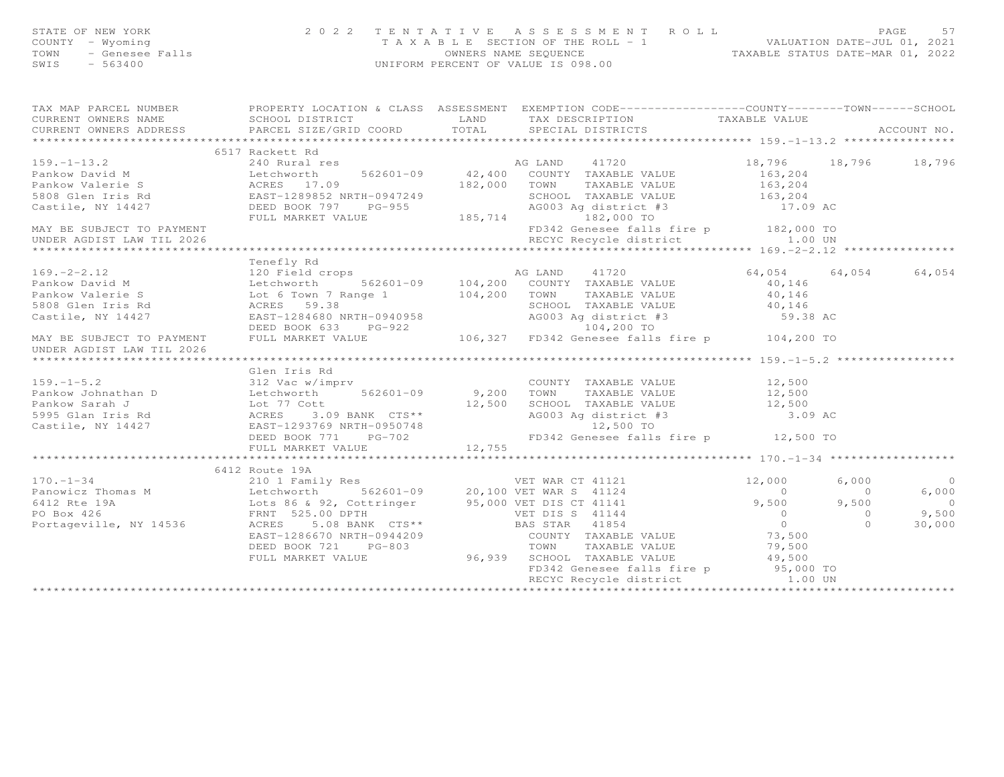| STATE OF NEW YORK<br>STATE OF NEW IONS<br>COUNTY - Wyoming<br>TOWN - Genesee Falls<br>SWIS - 563400 | 2 0 2 2 TENTATIVE ASSESSMENT ROLL PACE 57<br>TAXABLE SECTION OF THE ROLL - 1 WALUATION DATE-JUL 01, 2021<br>OWNERS NAME SEQUENCE TAXABLE STATUS DATE-MAR 01, 2022<br>UNIFORM PERCENT OF VALUE IS 098.00                                                    |  |  |                |
|-----------------------------------------------------------------------------------------------------|------------------------------------------------------------------------------------------------------------------------------------------------------------------------------------------------------------------------------------------------------------|--|--|----------------|
|                                                                                                     |                                                                                                                                                                                                                                                            |  |  |                |
|                                                                                                     |                                                                                                                                                                                                                                                            |  |  |                |
|                                                                                                     |                                                                                                                                                                                                                                                            |  |  |                |
|                                                                                                     | 199.-1-13.2<br>199.-1-13.2<br>199.-1-13.2<br>240 Rural res<br>Pankow David M<br>240 Rural res<br>240 Rural res<br>240 Rural res<br>240 Rural 199.<br>240 Rural res<br>240 Rural 199.<br>240 Rural 199.<br>240 Rural 199.<br>240 Rural 199.<br>240 Rural 19 |  |  |                |
|                                                                                                     |                                                                                                                                                                                                                                                            |  |  |                |
|                                                                                                     |                                                                                                                                                                                                                                                            |  |  |                |
|                                                                                                     |                                                                                                                                                                                                                                                            |  |  |                |
|                                                                                                     |                                                                                                                                                                                                                                                            |  |  |                |
|                                                                                                     |                                                                                                                                                                                                                                                            |  |  |                |
|                                                                                                     |                                                                                                                                                                                                                                                            |  |  |                |
|                                                                                                     |                                                                                                                                                                                                                                                            |  |  |                |
|                                                                                                     |                                                                                                                                                                                                                                                            |  |  |                |
|                                                                                                     |                                                                                                                                                                                                                                                            |  |  |                |
|                                                                                                     | Tenefly Rd                                                                                                                                                                                                                                                 |  |  |                |
|                                                                                                     |                                                                                                                                                                                                                                                            |  |  |                |
|                                                                                                     |                                                                                                                                                                                                                                                            |  |  |                |
|                                                                                                     |                                                                                                                                                                                                                                                            |  |  |                |
|                                                                                                     |                                                                                                                                                                                                                                                            |  |  |                |
|                                                                                                     |                                                                                                                                                                                                                                                            |  |  |                |
| UNDER AGDIST LAW TIL 2026                                                                           | 169.-2-2.12<br>Pankow David M<br>Pankow David M<br>Pankow Valerie S<br>Section of the Matter of Country TAXABLE VALUE<br>Pankow Valerie S<br>Section of the Matter of Country 1002<br>Castile, NY 14427<br>MAY BE SUBJECT TO PAYMENT<br>DEED BOO           |  |  |                |
|                                                                                                     |                                                                                                                                                                                                                                                            |  |  |                |
|                                                                                                     |                                                                                                                                                                                                                                                            |  |  |                |
|                                                                                                     |                                                                                                                                                                                                                                                            |  |  |                |
|                                                                                                     |                                                                                                                                                                                                                                                            |  |  |                |
|                                                                                                     |                                                                                                                                                                                                                                                            |  |  |                |
|                                                                                                     |                                                                                                                                                                                                                                                            |  |  |                |
|                                                                                                     |                                                                                                                                                                                                                                                            |  |  |                |
|                                                                                                     |                                                                                                                                                                                                                                                            |  |  |                |
|                                                                                                     |                                                                                                                                                                                                                                                            |  |  |                |
|                                                                                                     |                                                                                                                                                                                                                                                            |  |  |                |
|                                                                                                     | 6412 Route 19A                                                                                                                                                                                                                                             |  |  | $\overline{0}$ |
|                                                                                                     |                                                                                                                                                                                                                                                            |  |  | 6,000          |
|                                                                                                     |                                                                                                                                                                                                                                                            |  |  | $\overline{0}$ |
|                                                                                                     |                                                                                                                                                                                                                                                            |  |  | 9,500          |
|                                                                                                     |                                                                                                                                                                                                                                                            |  |  | 30,000         |
|                                                                                                     |                                                                                                                                                                                                                                                            |  |  |                |
|                                                                                                     |                                                                                                                                                                                                                                                            |  |  |                |
|                                                                                                     |                                                                                                                                                                                                                                                            |  |  |                |

FD342 Genesee falls fire p 95,000 TO RECYC Recycle district 1.00 UN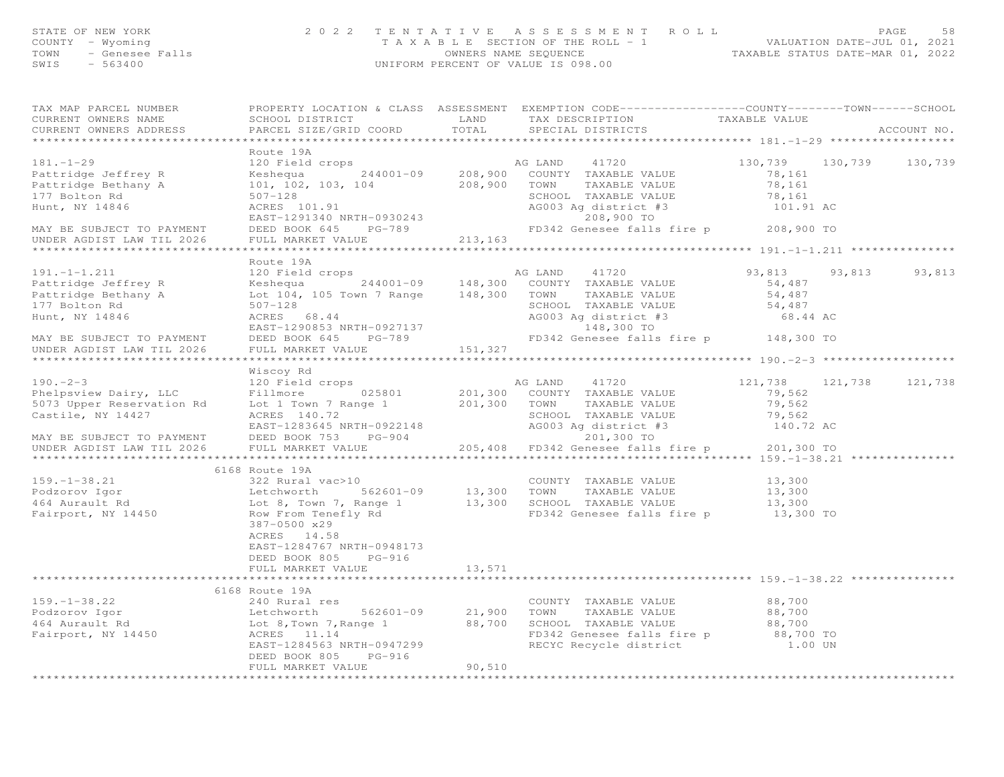| STATE OF NEW YORK<br>COUNTY – Wyoming<br>TOWN - Genesee Falls<br>$-563400$<br>SWIS | UNIFORM PERCENT OF VALUE IS 098.00 | 2022 TENTATIVE ASSESSMENT ROLL<br>T A X A B L E SECTION OF THE ROLL - 1<br>OWNERS NAME SEOUENCE  | TAXABLE STATUS DATE-MAR 01, 2022 | PAGE<br>VALUATION DATE-JUL 01, 2021 | 58 |
|------------------------------------------------------------------------------------|------------------------------------|--------------------------------------------------------------------------------------------------|----------------------------------|-------------------------------------|----|
| TAX MAP PARCEI NUMBER                                                              |                                    | PROPERTY LOCATION & CLASS ASSESSMENT EXEMPTION CODE----------------COUNTY-------TOWN------SCHOOL |                                  |                                     |    |

CURRENT OWNERS NAME SCHOOL DISTRICT LAND TAX DESCRIPTION TAXABLE VALUE

| CURRENT OWNERS ADDRESS                      | PARCEL SIZE/GRID COORD                                                                           | TOTAL         |               | SPECIAL DISTRICTS                                           |                 |        | ACCOUNT NO. |
|---------------------------------------------|--------------------------------------------------------------------------------------------------|---------------|---------------|-------------------------------------------------------------|-----------------|--------|-------------|
|                                             | Route 19A                                                                                        |               |               |                                                             |                 |        |             |
| $181. - 1 - 29$                             | 120 Field crops                                                                                  |               |               |                                                             | 130,739 130,739 |        | 130,739     |
|                                             | Keshequa                                                                                         |               |               | AG LAND 41720<br>244001-09 208,900 COUNTY TAXABLE VALUE     | 78,161          |        |             |
| Pattridge Jeffrey R                         |                                                                                                  |               |               |                                                             |                 |        |             |
| Pattridge Bethany A                         | 101, 102, 103, 104 208, 900 TOWN                                                                 |               |               | TAXABLE VALUE                                               | 78,161          |        |             |
| 177 Bolton Rd                               | $507 - 128$                                                                                      |               |               | SCHOOL TAXABLE VALUE                                        | 78,161          |        |             |
| Hunt, NY 14846                              | ACRES 101.91                                                                                     |               |               | AG003 Ag district #3                                        | 101.91 AC       |        |             |
|                                             | EAST-1291340 NRTH-0930243                                                                        |               |               | 208,900 TO                                                  |                 |        |             |
| MAY BE SUBJECT TO PAYMENT                   | DEED BOOK 645 PG-789                                                                             |               |               | FD342 Genesee falls fire p 208,900 TO                       |                 |        |             |
| UNDER AGDIST LAW TIL 2026                   | FULL MARKET VALUE                                                                                | 213,163       |               |                                                             |                 |        |             |
|                                             |                                                                                                  |               |               |                                                             |                 |        |             |
|                                             | Route 19A                                                                                        |               |               |                                                             |                 |        |             |
| $191. -1 - 1.211$                           | 120 Field crops                                                                                  |               | AG LAND       | 41720                                                       | 93,813          | 93,813 | 93,813      |
| Pattridge Jeffrey R                         |                                                                                                  |               |               |                                                             | 54,487          |        |             |
| Pattridge Bethany A                         | Lot 104, 105 Town 7 Range 148,300                                                                |               | TOWN          | TAXABLE VALUE                                               | 54,487          |        |             |
| 177 Bolton Rd                               | $507 - 128$                                                                                      |               |               | SCHOOL TAXABLE VALUE                                        | 54,487          |        |             |
| Hunt, NY 14846                              | ACRES 68.44                                                                                      |               |               | AG003 Ag district #3                                        | 68.44 AC        |        |             |
|                                             | EAST-1290853 NRTH-0927137                                                                        |               |               | 148,300 TO                                                  |                 |        |             |
| MAY BE SUBJECT TO PAYMENT                   | DEED BOOK 645 PG-789                                                                             |               |               | FD342 Genesee falls fire p 148,300 TO                       |                 |        |             |
| UNDER AGDIST LAW TIL 2026                   | FULL MARKET VALUE                                                                                | 151,327       |               |                                                             |                 |        |             |
|                                             |                                                                                                  |               |               |                                                             |                 |        |             |
|                                             | Wiscoy Rd                                                                                        |               |               |                                                             |                 |        |             |
| $190 - 2 - 3$                               | 120 Field crops                                                                                  |               | AG LAND 41720 |                                                             | 121,738 121,738 |        | 121,738     |
| Phelpsview Dairy, LLC                       | Fillmore 025801 201,300 COUNTY TAXABLE VALUE                                                     |               |               |                                                             | 79,562          |        |             |
| 5073 Upper Reservation Rd                   | Lot 1 Town 7 Range 1                                                                             |               |               | 201,300 TOWN TAXABLE VALUE                                  | 79,562          |        |             |
| Castile, NY 14427                           | ACRES 140.72                                                                                     |               |               | SCHOOL TAXABLE VALUE                                        | 79,562          |        |             |
|                                             | EAST-1283645 NRTH-0922148                                                                        |               |               | AG003 Ag district #3                                        | 140.72 AC       |        |             |
|                                             |                                                                                                  |               |               | 201,300 TO                                                  |                 |        |             |
| MAY BE SUBJECT TO PAYMENT                   | DEED BOOK 753 PG-904                                                                             |               |               |                                                             |                 |        |             |
| UNDER AGDIST LAW TIL 2026                   | FULL MARKET VALUE                                                                                |               |               | 205,408 FD342 Genesee falls fire p 201,300 TO               |                 |        |             |
|                                             |                                                                                                  |               |               |                                                             |                 |        |             |
|                                             | 6168 Route 19A                                                                                   |               |               |                                                             |                 |        |             |
| $159. - 1 - 38.21$                          | 322 Rural vac>10                                                                                 |               |               | COUNTY TAXABLE VALUE                                        | 13,300          |        |             |
| Podzorov Igor                               | Letchworth                                                                                       |               |               | TAXABLE VALUE                                               | 13,300          |        |             |
| 464 Aurault Rd                              | Lot 8, Town 7, Range 1 13,300 SCHOOL TAXABLE VALUE<br>Row From Tenefly Rd 6D342 Genesee falls fi |               |               |                                                             | 13,300          |        |             |
| Fairport, NY 14450                          |                                                                                                  |               |               | FD342 Genesee falls fire p                                  | $13,300$ TO     |        |             |
|                                             | 387-0500 x29                                                                                     |               |               |                                                             |                 |        |             |
|                                             | ACRES 14.58                                                                                      |               |               |                                                             |                 |        |             |
|                                             | EAST-1284767 NRTH-0948173                                                                        |               |               |                                                             |                 |        |             |
|                                             | DEED BOOK 805 PG-916                                                                             |               |               |                                                             |                 |        |             |
|                                             | FULL MARKET VALUE                                                                                | 13,571        |               |                                                             |                 |        |             |
|                                             | *******************************                                                                  | ************* |               | *********************************** 159. -1-38.22 ***       |                 |        |             |
|                                             | 6168 Route 19A                                                                                   |               |               |                                                             |                 |        |             |
| $159. - 1 - 38.22$                          | 240 Rural res                                                                                    |               |               |                                                             | 88,700          |        |             |
| 199. 1 -<br>Podzorov Igor<br>164 Aurault Rd |                                                                                                  |               |               | COUNTY TAXABLE VALUE<br>562601-09 21,900 TOWN TAXABLE VALUE | 88,700          |        |             |
|                                             |                                                                                                  |               |               | SCHOOL TAXABLE VALUE                                        | 88,700          |        |             |
| Fairport, NY 14450                          | ACRES 11.14                                                                                      |               |               | FD342 Genesee falls fire p                                  | 88,700 TO       |        |             |
|                                             | EAST-1284563 NRTH-0947299                                                                        |               |               | RECYC Recycle district                                      | 1.00 UN         |        |             |
|                                             |                                                                                                  |               |               |                                                             |                 |        |             |
|                                             | DEED BOOK 805 PG-916                                                                             |               |               |                                                             |                 |        |             |
|                                             | FULL MARKET VALUE                                                                                | 90,510        |               |                                                             |                 |        |             |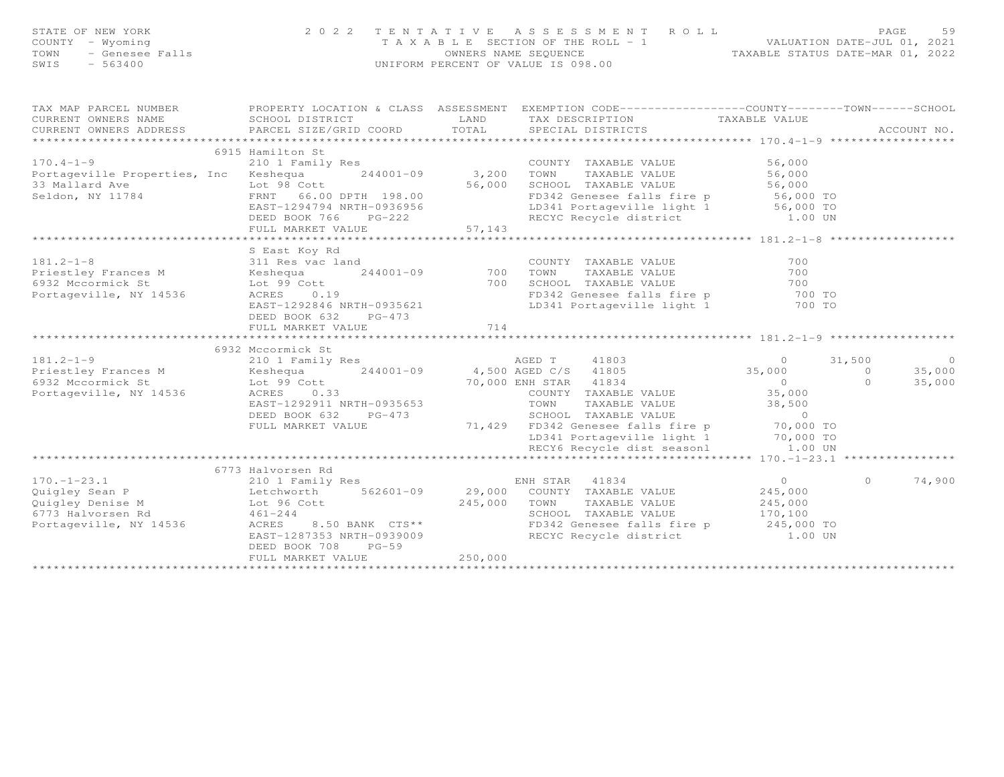| STATE OF NEW YORK<br>COUNTY - Wyoming<br>NEW YORK<br>- Wyoming<br>- Genesee Falls<br>- Corton<br>TOWN<br>SWIS<br>$-563400$                                                                                                                     | 2 0 2 2<br>TENTATIVE                                          |                | ASSESSMENT ROLL<br>T A X A B L E SECTION OF THE ROLL - 1 VALUATION DATE-JUL 01, 2021<br>OWNERS NAME SEQUENCE TAXABLE STATUS DATE-MAR 01, 2022<br>UNIFORM PERCENT OF VALUE IS 098.00 |                                     | PAGE<br>59                         |
|------------------------------------------------------------------------------------------------------------------------------------------------------------------------------------------------------------------------------------------------|---------------------------------------------------------------|----------------|-------------------------------------------------------------------------------------------------------------------------------------------------------------------------------------|-------------------------------------|------------------------------------|
| TAX MAP PARCEL NUMBER<br>SCHOOL SUPPLY ACTION & CLASS ASSESSMENT EXEMPTION CODE---------------COUNTY-------TOWN------SCHOOL                                                                                                                    |                                                               |                |                                                                                                                                                                                     |                                     |                                    |
| CURRENT OWNERS NAME                                                                                                                                                                                                                            | SCHOOL DISTRICT<br><b>EXAMPLE AND</b>                         |                | TAX DESCRIPTION                                                                                                                                                                     | TAXABLE VALUE                       |                                    |
| CURRENT OWNERS ADDRESS                                                                                                                                                                                                                         | PARCEL SIZE/GRID COORD TOTAL                                  |                | SPECIAL DISTRICTS                                                                                                                                                                   |                                     | ACCOUNT NO.                        |
|                                                                                                                                                                                                                                                |                                                               |                |                                                                                                                                                                                     |                                     |                                    |
| $170.4 - 1 - 9$                                                                                                                                                                                                                                | 6915 Hamilton St<br>210 1 Family Res                          |                | COUNTY TAXABLE VALUE 6,000                                                                                                                                                          |                                     |                                    |
| Portageville Properties, Inc Keshequa                                                                                                                                                                                                          |                                                               |                |                                                                                                                                                                                     |                                     |                                    |
|                                                                                                                                                                                                                                                |                                                               |                | 244001-09 3,200 TOWN TAXABLE VALUE 56,000<br>56,000 SCHOOL TAXABLE VALUE 56,000                                                                                                     |                                     |                                    |
| 33 Mallard Ave Lot 98 Cott<br>Seldon, NY 11784 FRNT 66.00 DPTH 198.00                                                                                                                                                                          |                                                               |                |                                                                                                                                                                                     |                                     |                                    |
|                                                                                                                                                                                                                                                | EAST-1294794 NRTH-0936956                                     |                | FD342 Genesee falls fire p 56,000 TO<br>LD341 Portageville light 1 56,000 TO                                                                                                        |                                     |                                    |
|                                                                                                                                                                                                                                                | DEED BOOK 766 PG-222                                          |                | RECYC Recycle district 1.00 UN                                                                                                                                                      |                                     |                                    |
|                                                                                                                                                                                                                                                | FULL MARKET VALUE                                             | 57, 143        |                                                                                                                                                                                     |                                     |                                    |
|                                                                                                                                                                                                                                                | *************************                                     | ************** |                                                                                                                                                                                     | ********************** 181.2-1-8 ** |                                    |
|                                                                                                                                                                                                                                                | S East Koy Rd                                                 |                |                                                                                                                                                                                     |                                     |                                    |
| $181.2 - 1 - 8$                                                                                                                                                                                                                                |                                                               |                | COUNTY TAXABLE VALUE                                                                                                                                                                | 700                                 |                                    |
| Priestley Frances M                                                                                                                                                                                                                            | 311 Res vac land<br>Keshequa 244001-09 700<br>Lot 99 Cott 700 |                | 700    TOWN      TAXABLE VALUE<br>700    SCHOOL   TAXABLE VALUE<br>TAXABLE VALL<br>TAXABLE VALUE<br>-- TALUE                                                                        | 700                                 |                                    |
| 6932 Mccormick St                                                                                                                                                                                                                              |                                                               |                |                                                                                                                                                                                     | 700<br>700 TO                       |                                    |
| Portageville, NY 14536                                                                                                                                                                                                                         | ACRES 0.19                                                    |                | FD342 Genesee falls fire p<br>LD341 Portageville light 1 700 TO                                                                                                                     |                                     |                                    |
|                                                                                                                                                                                                                                                | EAST-1292846 NRTH-0935621<br>DEED BOOK 632 PG-473             |                |                                                                                                                                                                                     |                                     |                                    |
|                                                                                                                                                                                                                                                | FULL MARKET VALUE                                             | 714            |                                                                                                                                                                                     |                                     |                                    |
|                                                                                                                                                                                                                                                |                                                               |                |                                                                                                                                                                                     |                                     |                                    |
|                                                                                                                                                                                                                                                | 6932 Mccormick St                                             |                |                                                                                                                                                                                     |                                     |                                    |
| $181.2 - 1 - 9$                                                                                                                                                                                                                                | 210 1 Family Res                                              |                | AGED T 41803                                                                                                                                                                        | $\sim$ 0                            | 31,500<br>$\overline{\phantom{0}}$ |
|                                                                                                                                                                                                                                                |                                                               |                |                                                                                                                                                                                     | 35,000 0                            | 35,000                             |
|                                                                                                                                                                                                                                                |                                                               |                | 70,000 ENH STAR 41834<br>COUNTY TAXABLE                                                                                                                                             | $\overline{0}$                      | 35,000<br>$\Omega$                 |
| Portageville, NY 14536                                                                                                                                                                                                                         | ACRES 0.33                                                    |                | COUNTY TAXABLE VALUE                                                                                                                                                                | 35,000                              |                                    |
|                                                                                                                                                                                                                                                | EAST-1292911 NRTH-0935653                                     |                | TOWN<br>-<br>TAXABLE VALUE<br>TAXABLE VALUE                                                                                                                                         | 38,500                              |                                    |
|                                                                                                                                                                                                                                                | DEED BOOK 632 PG-473                                          |                | SCHOOL TAXABLE VALUE                                                                                                                                                                | $\sim$ 0                            |                                    |
|                                                                                                                                                                                                                                                | FULL MARKET VALUE                                             |                | 71,429 FD342 Genesee falls fire p                                                                                                                                                   |                                     |                                    |
|                                                                                                                                                                                                                                                |                                                               |                | FD342 Genesee falls fire p<br>LD341 Portageville light 1 70,000 TO<br>RECY6 Recycle dist seasonl 1.00 UN                                                                            |                                     |                                    |
|                                                                                                                                                                                                                                                |                                                               |                |                                                                                                                                                                                     |                                     |                                    |
|                                                                                                                                                                                                                                                |                                                               |                |                                                                                                                                                                                     |                                     |                                    |
|                                                                                                                                                                                                                                                |                                                               |                |                                                                                                                                                                                     | $\overline{0}$                      | 74,900<br>$\circ$                  |
|                                                                                                                                                                                                                                                |                                                               |                |                                                                                                                                                                                     |                                     |                                    |
| 170.-1-23.1 (1993)<br>210 1 Family Res<br>210 1 Family Res<br>29,000 COUNTY TAXABLE VALUE<br>29,000 COUNTY TAXABLE VALUE<br>245,000 TOWN TAXABLE VALUE<br>245,000 TOWN TAXABLE VALUE<br>245,000 TOWN TAXABLE VALUE<br>245,000 TOWN TAXABLE VAL |                                                               |                |                                                                                                                                                                                     | 245,000<br>245,000                  |                                    |
|                                                                                                                                                                                                                                                |                                                               |                | SCHOOL TAXABLE VALUE 170,100<br>FD342 Genesee falls fire p 245,000 TO                                                                                                               |                                     |                                    |
|                                                                                                                                                                                                                                                |                                                               |                |                                                                                                                                                                                     |                                     |                                    |
|                                                                                                                                                                                                                                                | EAST-1287353 NRTH-0939009                                     |                | RECYC Recycle district                                                                                                                                                              | 1.00 UN                             |                                    |
|                                                                                                                                                                                                                                                | $PG-59$<br>DEED BOOK 708                                      |                |                                                                                                                                                                                     |                                     |                                    |
|                                                                                                                                                                                                                                                | FULL MARKET VALUE                                             | 250,000        |                                                                                                                                                                                     |                                     |                                    |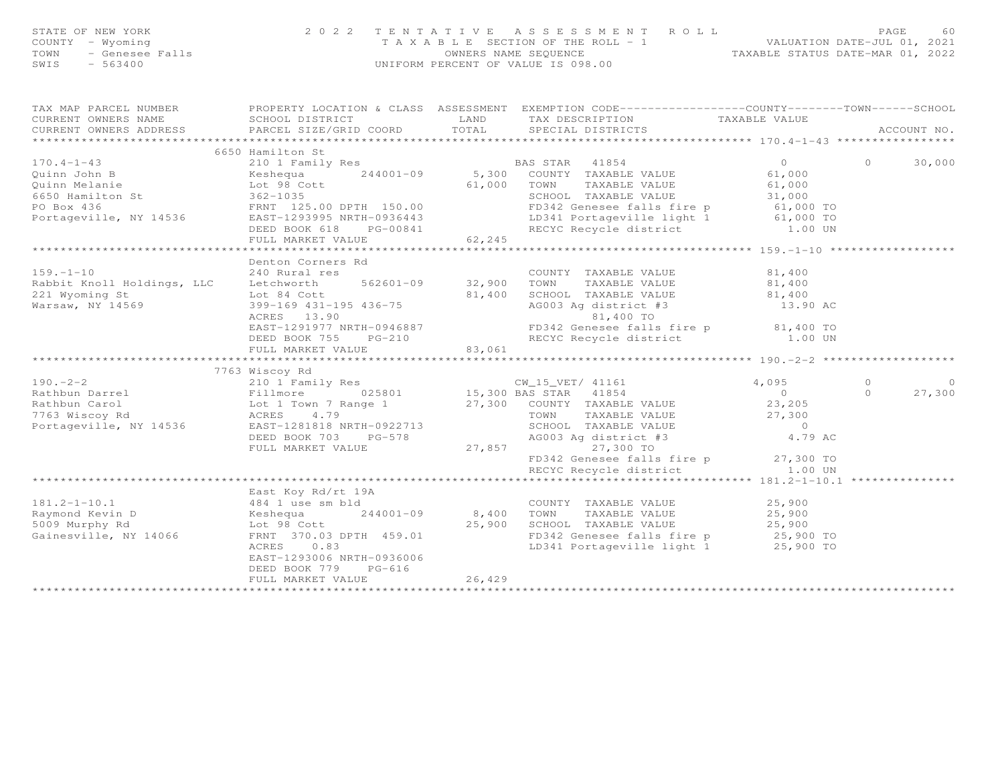| STATE OF NEW YORK<br>COUNTY - Wyoming<br>TOWN - Genesee Falls<br>SWIS - 563400 |                 |       | 2022 TENTATIVE ASSESSMENT ROLL<br>T A X A B L E SECTION OF THE ROLL - 1<br>OWNERS NAME SEOUENCE<br>UNIFORM PERCENT OF VALUE IS 098.00 | VALUATION DATE-JUL 01, 2021<br>TAXABLE STATUS DATE-MAR 01, 2022 | PAGE | 60 |
|--------------------------------------------------------------------------------|-----------------|-------|---------------------------------------------------------------------------------------------------------------------------------------|-----------------------------------------------------------------|------|----|
| TAX MAP PARCEL NUMBER<br>CURRENT OWNERS NAME                                   | SCHOOL DISTRICT | T.AND | PROPERTY LOCATION & CLASS ASSESSMENT EXEMPTION CODE----------------COUNTY-------TOWN-----SCHOOL<br>TAX DESCRIPTION                    | TAXABLE VALUE                                                   |      |    |

| CURRENT OWNERS ADDRESS                                                                                                                                                                                                                                          | PARCEL SIZE/GRID COORD                                                 |        | $\begin{minipage}{.35\textwidth} \begin{minipage}{.45\textwidth} \begin{minipage}{.45\textwidth} \begin{minipage}{.45\textwidth} \begin{minipage}{.45\textwidth} \begin{minipage}{.45\textwidth} \begin{minipage}{.45\textwidth} \begin{minipage}{.45\textwidth} \begin{minipage}{.45\textwidth} \begin{minipage}{.45\textwidth} \begin{minipage}{.45\textwidth} \begin{minipage}{.45\textwidth} \begin{minipage}{.45\textwidth} \begin{minipage}{.45\textwidth} \begin{minipage}{.45\textwidth} \begin{minipage}{.45$ |        | ACCOUNT NO.                  |
|-----------------------------------------------------------------------------------------------------------------------------------------------------------------------------------------------------------------------------------------------------------------|------------------------------------------------------------------------|--------|------------------------------------------------------------------------------------------------------------------------------------------------------------------------------------------------------------------------------------------------------------------------------------------------------------------------------------------------------------------------------------------------------------------------------------------------------------------------------------------------------------------------|--------|------------------------------|
|                                                                                                                                                                                                                                                                 |                                                                        |        |                                                                                                                                                                                                                                                                                                                                                                                                                                                                                                                        |        |                              |
|                                                                                                                                                                                                                                                                 | 6650 Hamilton St                                                       |        | 170.4-1-43<br>Quinn John B<br>Cuinn Melanie<br>Cuinn Melanie<br>Exhibit State of the State of the State of the State of the State of the State of the State of the State of the State of the State of the State of the State of the St                                                                                                                                                                                                                                                                                 |        | $\circ$<br>30,000            |
|                                                                                                                                                                                                                                                                 | DEED BOOK 618 PG-00841<br>FULL MARKET VALUE 62,245                     |        | FD342 Genesee falls fire p 61,000 TO<br>LD341 Portageville light 1 61,000 TO<br>RECYC Recycle district 1.00 UN                                                                                                                                                                                                                                                                                                                                                                                                         |        |                              |
|                                                                                                                                                                                                                                                                 |                                                                        |        |                                                                                                                                                                                                                                                                                                                                                                                                                                                                                                                        |        |                              |
|                                                                                                                                                                                                                                                                 | Denton Corners Rd                                                      |        |                                                                                                                                                                                                                                                                                                                                                                                                                                                                                                                        |        |                              |
| Rabbit Knoll Holdings, LLC and Letchworth 562601-09 32,900<br>221 Wyoming St 1. 1. 24 Cott 562601-09 32,900<br>Rabbit Knoll Holdings, LLC (2008)<br>221 Wyoming St (2018)<br>Warsaw, NY 14569 (2018)<br>2008 (2018) 2018 (2018)<br>2008 (2018) 2018 (2018) 2018 |                                                                        |        | COUNTY TAXABLE VALUE<br>TAXABLE VALUE 81,400<br>TOWN<br>1.400 SCHOOL TAXABLE VALUE 81,400 SCHOOL TAXABLE VALUE 81,400<br>399-169 431-195 436-75 81,400 AG003 Ag district #3 13.90 ACRES<br>ACRES 13.90 81,400 70 81,400 70 81,400 70 FD342 Genesee falls fire p 81,400 70                                                                                                                                                                                                                                              | 81,400 |                              |
|                                                                                                                                                                                                                                                                 |                                                                        |        | DEED BOOK 755 PG-210 RECYC Recycle district 1.00 UN FULL MARKET VALUE 83,061                                                                                                                                                                                                                                                                                                                                                                                                                                           |        |                              |
|                                                                                                                                                                                                                                                                 |                                                                        |        |                                                                                                                                                                                                                                                                                                                                                                                                                                                                                                                        |        |                              |
|                                                                                                                                                                                                                                                                 |                                                                        |        |                                                                                                                                                                                                                                                                                                                                                                                                                                                                                                                        |        |                              |
|                                                                                                                                                                                                                                                                 |                                                                        |        |                                                                                                                                                                                                                                                                                                                                                                                                                                                                                                                        |        | $\bigcirc$<br>$\overline{0}$ |
|                                                                                                                                                                                                                                                                 |                                                                        |        |                                                                                                                                                                                                                                                                                                                                                                                                                                                                                                                        |        | $\Omega$<br>27,300           |
|                                                                                                                                                                                                                                                                 |                                                                        |        | 7763 Wiscoy Rd (190.-2-2<br>Rathbun Darrel 210 1 Family Res (190.-2-2<br>Rathbun Darrel 210 1 Family Res (190.-2-2<br>Rathbun Carol Iot 1 Town 7 Range 1<br>Lot 1 Town 7 Range 1<br>27,300 BAS STAR (1854 41854 27,300 TOWN TAXABLE VALU                                                                                                                                                                                                                                                                               |        |                              |
|                                                                                                                                                                                                                                                                 |                                                                        |        | FD342 Genesee falls fire p 27,300 TO<br>RECYC Recycle district 1.00 UN                                                                                                                                                                                                                                                                                                                                                                                                                                                 |        |                              |
|                                                                                                                                                                                                                                                                 |                                                                        |        |                                                                                                                                                                                                                                                                                                                                                                                                                                                                                                                        |        |                              |
| $181.2 - 1 - 10.1$                                                                                                                                                                                                                                              | East Koy Rd/rt 19A<br>484 1 use sm bld<br>ACRES 0.83                   |        | COUNTY TAXABLE VALUE 25,900<br>LD341 Portageville light 1 25,900 TO                                                                                                                                                                                                                                                                                                                                                                                                                                                    |        |                              |
|                                                                                                                                                                                                                                                                 | EAST-1293006 NRTH-0936006<br>DEED BOOK 779 PG-616<br>FULL MARKET VALUE | 26,429 |                                                                                                                                                                                                                                                                                                                                                                                                                                                                                                                        |        |                              |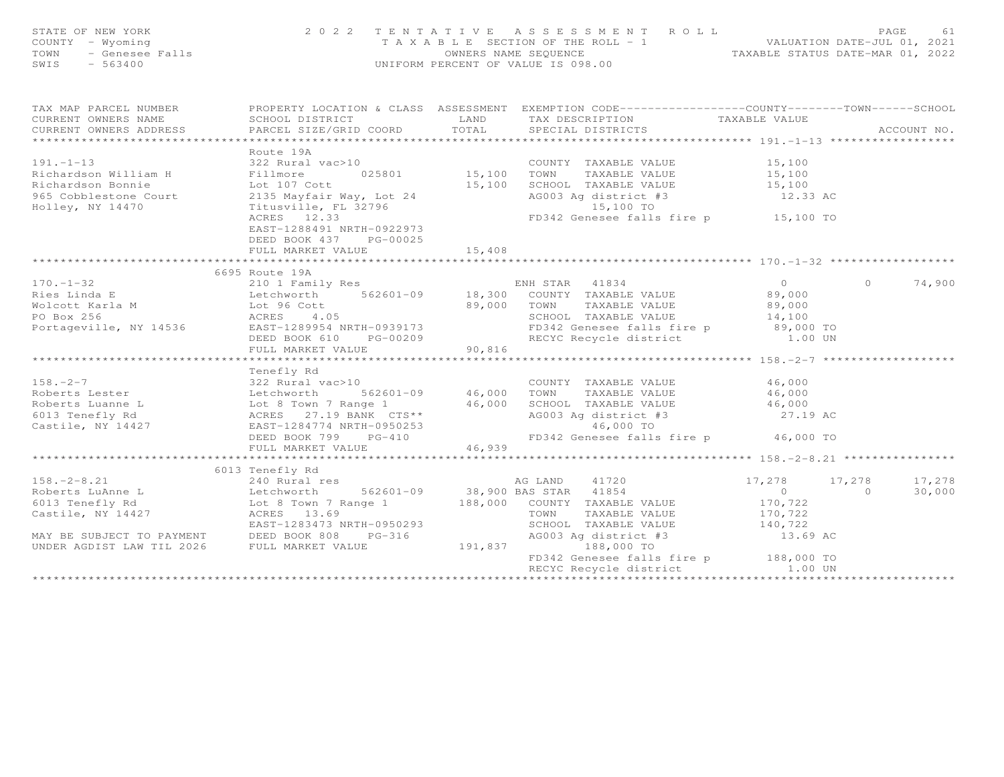| STATE OF NEW YORK<br>OF NEW YORK<br>! - Wyoming<br>- Genesee Falls<br>= 43400<br>COUNTY - Wyoming<br>TOWN<br>SWIS                                                                                                                                                                                                                                                                                                                                                                                             | 2022 TENTATIVE ASSESSMENT ROLL<br>TAXABLE SECTION OF THE ROLL - 1 WALUATION DATE-JUL 01, 2021<br>UNIFORM PERCENT OF VALUE IS 098.00 |        |                                                                                                                                 |                                                |                | PAGE<br>61  |
|---------------------------------------------------------------------------------------------------------------------------------------------------------------------------------------------------------------------------------------------------------------------------------------------------------------------------------------------------------------------------------------------------------------------------------------------------------------------------------------------------------------|-------------------------------------------------------------------------------------------------------------------------------------|--------|---------------------------------------------------------------------------------------------------------------------------------|------------------------------------------------|----------------|-------------|
| TAX MAP PARCEL NUMBER<br>series are a conservation & CLASS ASSESSMENT EXEMPTION CODE---------------COUNTY-------TOWN------SCHOOL                                                                                                                                                                                                                                                                                                                                                                              |                                                                                                                                     |        |                                                                                                                                 | TAXABLE VALUE                                  |                |             |
| CURRENT OWNERS NAME<br>CURRENT OWNERS ADDRESS                                                                                                                                                                                                                                                                                                                                                                                                                                                                 | SCHOOL DISTRICT TAND TAX DESCRIPTION<br>PARCEL SIZE/GRID COORD TOTAL SPECIAL DISTRICTS                                              |        |                                                                                                                                 |                                                |                | ACCOUNT NO. |
|                                                                                                                                                                                                                                                                                                                                                                                                                                                                                                               |                                                                                                                                     |        |                                                                                                                                 |                                                |                |             |
| $191. -1 - 13$                                                                                                                                                                                                                                                                                                                                                                                                                                                                                                | Route 19A                                                                                                                           |        |                                                                                                                                 |                                                |                |             |
|                                                                                                                                                                                                                                                                                                                                                                                                                                                                                                               |                                                                                                                                     |        |                                                                                                                                 |                                                |                |             |
|                                                                                                                                                                                                                                                                                                                                                                                                                                                                                                               |                                                                                                                                     |        |                                                                                                                                 |                                                |                |             |
| Richardson William H Fillmore<br>Richardson Bonnie Lot 107 Cott<br>965 Cobblestone Court 2135 Mayfair<br>Holley, NY 14470 Titusville, F<br>Holley, NY 14470                                                                                                                                                                                                                                                                                                                                                   |                                                                                                                                     |        | 2135 Mayfair Way, Lot 24 (12.33 AC AG003 Ag district #3 (12.33 AC Titusville, FL 32796 (15,100 TO 16,100 TO 16,100 TO 16,100 TO |                                                |                |             |
|                                                                                                                                                                                                                                                                                                                                                                                                                                                                                                               | EAST-1288491 NRTH-0922973<br>DEED BOOK 437 PG-00025                                                                                 |        |                                                                                                                                 |                                                |                |             |
|                                                                                                                                                                                                                                                                                                                                                                                                                                                                                                               | FULL MARKET VALUE                                                                                                                   | 15,408 |                                                                                                                                 |                                                |                |             |
|                                                                                                                                                                                                                                                                                                                                                                                                                                                                                                               |                                                                                                                                     |        |                                                                                                                                 |                                                |                |             |
|                                                                                                                                                                                                                                                                                                                                                                                                                                                                                                               |                                                                                                                                     |        |                                                                                                                                 |                                                |                |             |
|                                                                                                                                                                                                                                                                                                                                                                                                                                                                                                               |                                                                                                                                     |        |                                                                                                                                 |                                                | $\bigcap$      | 74,900      |
|                                                                                                                                                                                                                                                                                                                                                                                                                                                                                                               |                                                                                                                                     |        |                                                                                                                                 |                                                |                |             |
|                                                                                                                                                                                                                                                                                                                                                                                                                                                                                                               |                                                                                                                                     |        |                                                                                                                                 |                                                |                |             |
|                                                                                                                                                                                                                                                                                                                                                                                                                                                                                                               |                                                                                                                                     |        |                                                                                                                                 |                                                |                |             |
| $\begin{tabular}{lllllllllllllllllll} \multicolumn{3}{c}{\begin{tabular}{l} \multicolumn{3}{c}{\begin{tabular}{l} \multicolumn{3}{c}{\begin{tabular}{l} \multicolumn{3}{c}{\begin{tabular}{l} \multicolumn{3}{c}{\begin{tabular}{l} \multicolumn{3}{c}{\begin{tabular}{l} \multicolumn{3}{c}{\begin{tabular}{c} \multicolumn{3}{c}{\begin{tabular}{c} \multicolumn{3}{c}{\begin{tabular}{c} \multicolumn{3}{c}{\begin{tabular}{c} \multicolumn{3}{c}{\begin{tabular}{c} \multicolumn{3}{c}{\begin{tabular}{c$ |                                                                                                                                     |        |                                                                                                                                 |                                                |                |             |
|                                                                                                                                                                                                                                                                                                                                                                                                                                                                                                               |                                                                                                                                     |        |                                                                                                                                 | ********************* 158. -2-7 ************** |                |             |
|                                                                                                                                                                                                                                                                                                                                                                                                                                                                                                               | Tenefly Rd                                                                                                                          |        |                                                                                                                                 |                                                |                |             |
|                                                                                                                                                                                                                                                                                                                                                                                                                                                                                                               |                                                                                                                                     |        |                                                                                                                                 |                                                |                |             |
|                                                                                                                                                                                                                                                                                                                                                                                                                                                                                                               |                                                                                                                                     |        |                                                                                                                                 |                                                |                |             |
|                                                                                                                                                                                                                                                                                                                                                                                                                                                                                                               |                                                                                                                                     |        |                                                                                                                                 |                                                |                |             |
| 158.-2-7<br>Roberts Lester and the state of the set of the set of the set of the set of the set of the set of the set of the set of the set of the set of the set of the set of the set of the set of the set of the set of the                                                                                                                                                                                                                                                                               |                                                                                                                                     |        |                                                                                                                                 |                                                |                |             |
|                                                                                                                                                                                                                                                                                                                                                                                                                                                                                                               |                                                                                                                                     |        |                                                                                                                                 |                                                |                |             |
|                                                                                                                                                                                                                                                                                                                                                                                                                                                                                                               |                                                                                                                                     |        |                                                                                                                                 |                                                |                |             |
|                                                                                                                                                                                                                                                                                                                                                                                                                                                                                                               |                                                                                                                                     |        |                                                                                                                                 |                                                |                |             |
|                                                                                                                                                                                                                                                                                                                                                                                                                                                                                                               |                                                                                                                                     |        |                                                                                                                                 |                                                |                |             |
|                                                                                                                                                                                                                                                                                                                                                                                                                                                                                                               |                                                                                                                                     |        |                                                                                                                                 |                                                | 17,278         | 17,278      |
|                                                                                                                                                                                                                                                                                                                                                                                                                                                                                                               |                                                                                                                                     |        |                                                                                                                                 |                                                | $\overline{a}$ | 30,000      |
|                                                                                                                                                                                                                                                                                                                                                                                                                                                                                                               |                                                                                                                                     |        |                                                                                                                                 |                                                |                |             |
| 158.-2-8.21<br>240 Rural res<br>Roberts LuAnne L<br>6013 Tenefly Rd 17,278<br>Castile, NY 14427<br>240 Rural res<br>240 Rural res<br>562601-09 38,900 BAS STAR 41854<br>38,000 COUNTY TAXABLE VALUE<br>270,722<br>270,722<br>28,000 COUNTY TAXABLE V                                                                                                                                                                                                                                                          |                                                                                                                                     |        |                                                                                                                                 |                                                |                |             |
|                                                                                                                                                                                                                                                                                                                                                                                                                                                                                                               | EAST-1283473 NRTH-0950293                                                                                                           |        | SCHOOL TAXABLE VALUE 140,722                                                                                                    |                                                |                |             |
| MAY BE SUBJECT TO PAYMENT<br>UNDER AGDIST LAW TIL 2026 FULL MARKET VALUE                                                                                                                                                                                                                                                                                                                                                                                                                                      |                                                                                                                                     |        | AG003 Ag district #3<br>188.000 TO                                                                                              | 13.69 AC                                       |                |             |
|                                                                                                                                                                                                                                                                                                                                                                                                                                                                                                               |                                                                                                                                     |        | 191,837 188,000 TO                                                                                                              |                                                |                |             |
|                                                                                                                                                                                                                                                                                                                                                                                                                                                                                                               |                                                                                                                                     |        | FD342 Genesee falls fire p 188,000 TO                                                                                           |                                                |                |             |
|                                                                                                                                                                                                                                                                                                                                                                                                                                                                                                               |                                                                                                                                     |        | RECYC Recycle district 1.00 UN                                                                                                  |                                                |                |             |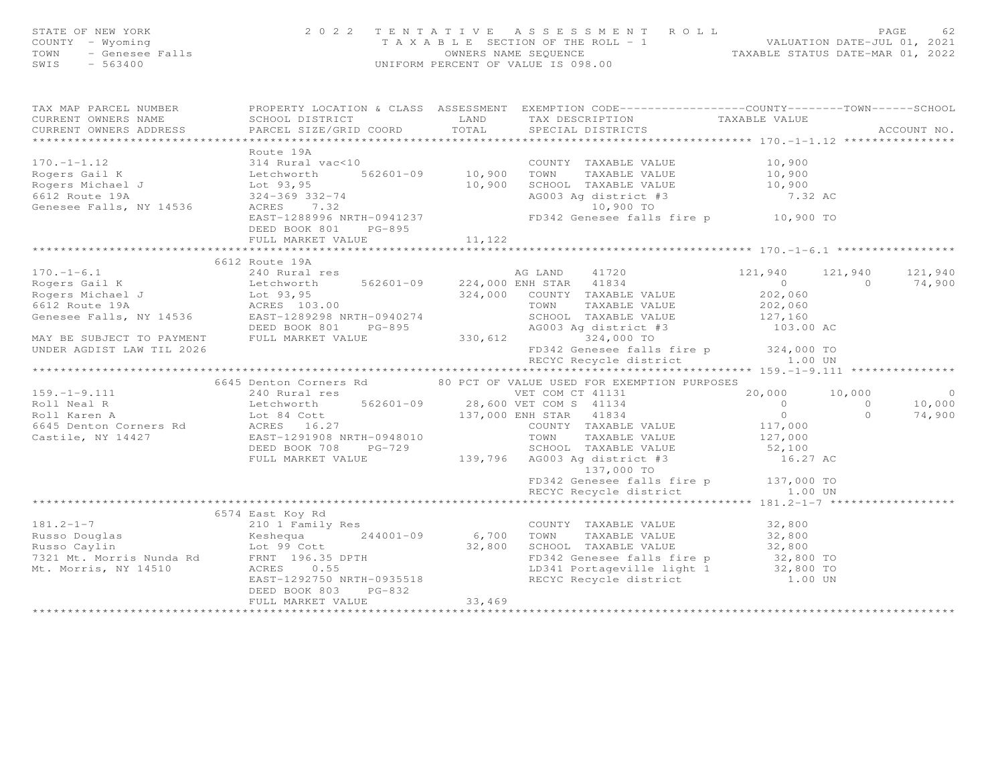| STATE OF NEW YORK<br>STATE OF NEW YORK<br>COUNTY - Wyoming<br>TOWN - Genesee Falls<br>SWIS - 563400                                                                                                                                                        |                      |        | 2022 TENTATIVE ASSESSMENT ROLL<br>PAGE 62<br>TAXABLE SECTION OF THE ROLL - 1 VALUATION DATE-JUL 01, 2021<br>OWNERS NAME SEQUENCE TAXABLE STATUS DATE-MAR 01, 2022<br>UNIFORM PERCENT OF VALUE IS 098.00 |                                                           | PAGE<br>62        |
|------------------------------------------------------------------------------------------------------------------------------------------------------------------------------------------------------------------------------------------------------------|----------------------|--------|---------------------------------------------------------------------------------------------------------------------------------------------------------------------------------------------------------|-----------------------------------------------------------|-------------------|
| TAX MAP PARCEL NUMBER FROPERTY LOCATION & CLASS ASSESSMENT EXEMPTION CODE----------------COUNTY-------TOWN------SCHOOL                                                                                                                                     |                      |        |                                                                                                                                                                                                         |                                                           | ACCOUNT NO.       |
| 170.-1-1.12<br>Rogers Gail K<br>Rogers Michael J<br>Echworth Monday (10,900 100)<br>Let (193,95 10,900 5CHOOL TAXABLE VALUE 10,900<br>10,900 5CHOOL TAXABLE VALUE 10,900<br>SCROS 10,900 5CHOOL TAXABLE VALUE 10,900<br>SCROS 10,900 5CHOOL                | Route 19A            |        |                                                                                                                                                                                                         |                                                           |                   |
|                                                                                                                                                                                                                                                            | FULL MARKET VALUE    | 11,122 |                                                                                                                                                                                                         |                                                           |                   |
|                                                                                                                                                                                                                                                            |                      |        |                                                                                                                                                                                                         |                                                           |                   |
|                                                                                                                                                                                                                                                            | 6612 Route 19A       |        |                                                                                                                                                                                                         |                                                           |                   |
|                                                                                                                                                                                                                                                            |                      |        |                                                                                                                                                                                                         | 121,940 121,940 121,940<br>0 0 74,900<br>202,060 0 74,900 |                   |
|                                                                                                                                                                                                                                                            |                      |        | RECYC Recycle district                                                                                                                                                                                  | 1.00 UN                                                   |                   |
|                                                                                                                                                                                                                                                            |                      |        |                                                                                                                                                                                                         |                                                           |                   |
|                                                                                                                                                                                                                                                            |                      |        | 6645 Denton Corners Rd 80 PCT OF VALUE USED FOR EXEMPTION PURPOSES                                                                                                                                      |                                                           |                   |
|                                                                                                                                                                                                                                                            |                      |        |                                                                                                                                                                                                         |                                                           | $\circ$<br>10,000 |
|                                                                                                                                                                                                                                                            |                      |        |                                                                                                                                                                                                         |                                                           | 74,900            |
|                                                                                                                                                                                                                                                            |                      |        |                                                                                                                                                                                                         |                                                           |                   |
|                                                                                                                                                                                                                                                            |                      |        | FD342 Genesee falls fire p 137,000 TO<br>RECYC Recycle district 1.00 UN                                                                                                                                 |                                                           |                   |
|                                                                                                                                                                                                                                                            |                      |        |                                                                                                                                                                                                         |                                                           |                   |
|                                                                                                                                                                                                                                                            | 6574 East Koy Rd     |        |                                                                                                                                                                                                         |                                                           |                   |
|                                                                                                                                                                                                                                                            |                      |        |                                                                                                                                                                                                         |                                                           |                   |
|                                                                                                                                                                                                                                                            |                      |        |                                                                                                                                                                                                         |                                                           |                   |
|                                                                                                                                                                                                                                                            |                      |        |                                                                                                                                                                                                         |                                                           |                   |
|                                                                                                                                                                                                                                                            |                      |        |                                                                                                                                                                                                         |                                                           |                   |
|                                                                                                                                                                                                                                                            |                      |        |                                                                                                                                                                                                         |                                                           |                   |
| 181.2-1-7<br>Russo Douglas<br>Russo Caylin<br>E VALUE<br>Russo Caylin<br>E Sale of Musso Caylin<br>E Sale of Musso Caylin<br>E Sale of Musso Caylin<br>E Sale of Musso Caylin<br>2,800<br>TO 32,800<br>Musso Caylin<br>2,800<br>TO 32,800<br>E Sale of Mus | DEED BOOK 803 PG-832 | 33,469 |                                                                                                                                                                                                         |                                                           |                   |
|                                                                                                                                                                                                                                                            | FULL MARKET VALUE    |        |                                                                                                                                                                                                         |                                                           |                   |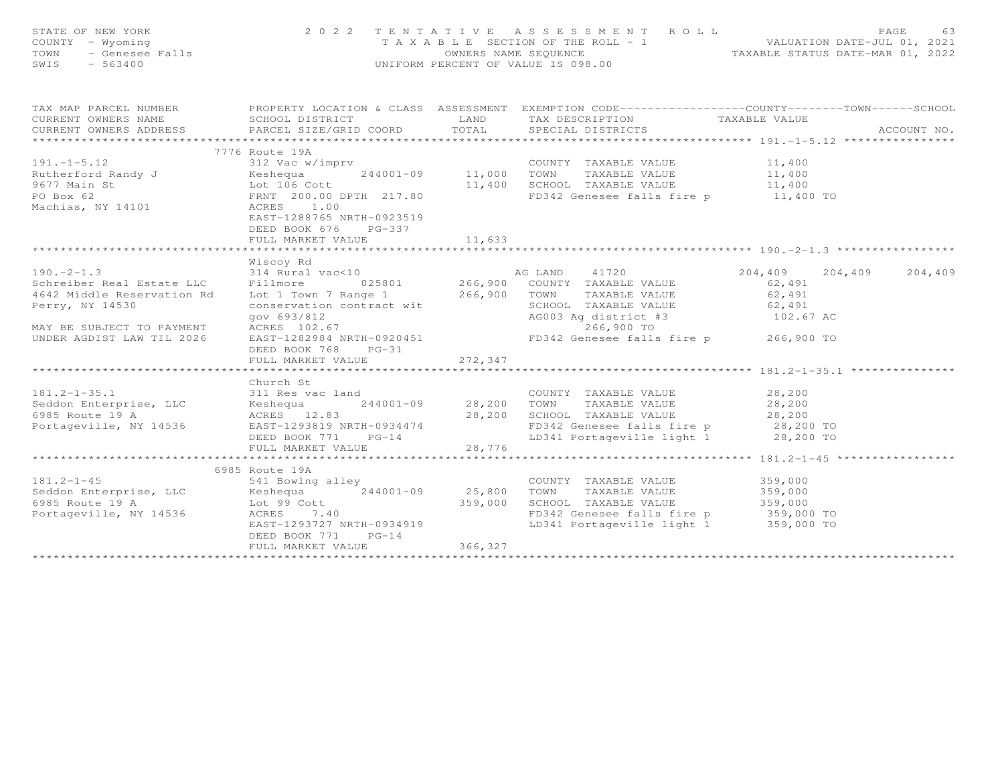| STATE OF NEW YORK<br>COUNTY - Wyoming<br>TOWN - Genesee Falls<br>SWIS - 563400                                                                                                                                                                                 | 2022 TENTATIVE ASSESSMENT ROLL PAGE 63<br>TAXABLE SECTION OF THE ROLL - 1 VALUATION DATE-JUL 01, 2021<br>OWNERS NAME SEQUENCE TAXABLE STATUS DATE-MAR 01, 2022<br>UNIFORM PERCENT OF VALUE IS 098.00 |          |                                                    |  |                         |
|----------------------------------------------------------------------------------------------------------------------------------------------------------------------------------------------------------------------------------------------------------------|------------------------------------------------------------------------------------------------------------------------------------------------------------------------------------------------------|----------|----------------------------------------------------|--|-------------------------|
| TAX MAP PARCEL NUMBER FOROPERTY LOCATION & CLASS ASSESSMENT EXEMPTION CODE----------------COUNTY-------TOWN-----SCHOOL<br>CURRENT OWNERS NAME<br>CURRENT OWNERS ADDRESS <b>PARCEL SIZE/GRID COORD</b> TOTAL SPECIAL DISTRICTS                                  |                                                                                                                                                                                                      |          | SCHOOL DISTRICT TAND TAX DESCRIPTION TAXABLE VALUE |  | ACCOUNT NO.             |
| 191.-1-5.12 (1999)<br>Number Example Value 194<br>Number Example Value 194<br>244001-09 11,000 TOWN TAXABLE VALUE 11,400<br>9677 Main St Lot 106 Cott 11,400 SCHOOL TAXABLE VALUE 11,400<br>PO Box 62 FRNT 200.00 DPTH 217.80 FD342 Gene                       | 7776 Route 19A<br>EAST-1288765 NRTH-0923519<br>DEED BOOK 676 PG-337<br>FULL MARKET VALUE                                                                                                             | 11,633   |                                                    |  |                         |
|                                                                                                                                                                                                                                                                | FULL MARKET VALUE 272, 347                                                                                                                                                                           |          |                                                    |  | 204,409 204,409 204,409 |
| 311 Res vac land<br>311 Res vac land<br>311 Res vac land<br>311 Res vac land<br>311 Res vac land<br>28,200 TOWN TAXABLE VALUE<br>28,200<br>28,200 TOWN TAXABLE VALUE<br>28,200<br>28,200<br>28,200<br>28,200<br>28,200<br>28,200<br>28,200<br>28,200<br>28,200 | Church St                                                                                                                                                                                            |          |                                                    |  |                         |
|                                                                                                                                                                                                                                                                | 6985 Route 19A<br>DEED BOOK 771 PG-14<br>FULL MARKET VALUE                                                                                                                                           | 366, 327 |                                                    |  |                         |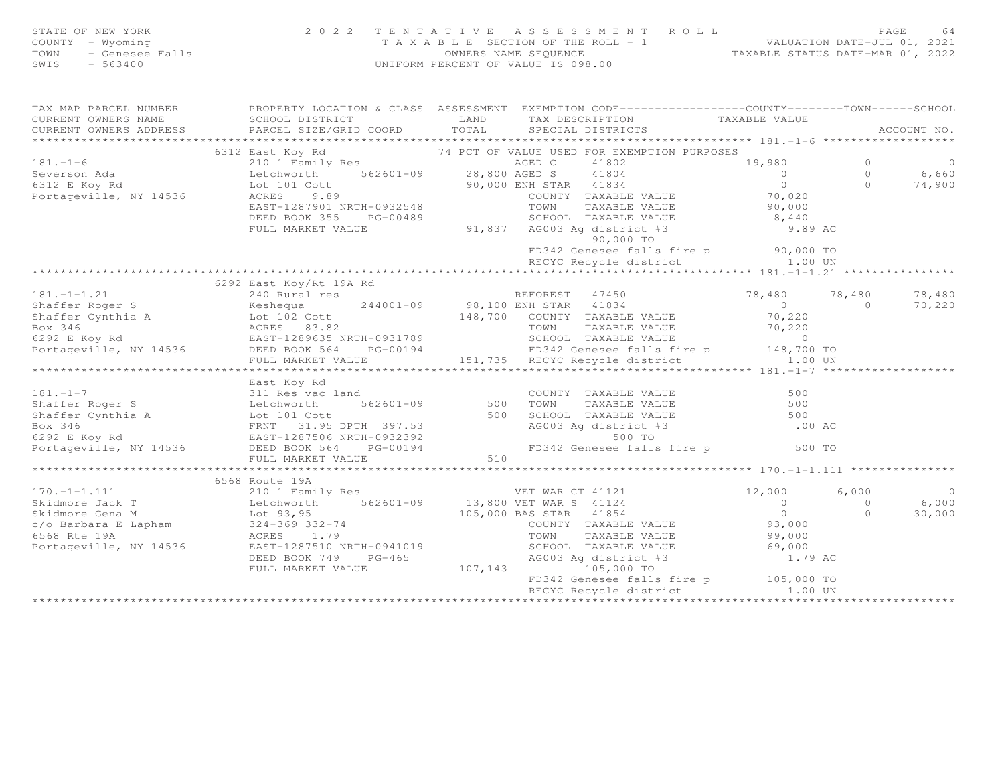| STATE OF NEW YORK |                 | 2022 TENTATIVE ASSESSMENT ROLL                                       | PAGE |  |
|-------------------|-----------------|----------------------------------------------------------------------|------|--|
| COUNTY – Wyoming  |                 | VALUATION DATE-JUL 01, 2021<br>T A X A B L E SECTION OF THE ROLL - 1 |      |  |
| TOWN              | - Genesee Falls | TAXABLE STATUS DATE-MAR 01, 2022<br>OWNERS NAME SEOUENCE             |      |  |
| SWIS              | $-563400$       | UNIFORM PERCENT OF VALUE IS 098.00                                   |      |  |

|  | TAX MAP PARCEL NUMBER FROPERTY LOCATION & CLASS ASSESSMENT EXEMPTION CODE----------------COUNTY-------TOWN-----SCHOOL                                                                                                                                    |  |                |
|--|----------------------------------------------------------------------------------------------------------------------------------------------------------------------------------------------------------------------------------------------------------|--|----------------|
|  |                                                                                                                                                                                                                                                          |  |                |
|  |                                                                                                                                                                                                                                                          |  |                |
|  | 181.-1-6<br>181.-1-6<br>181.-1-6<br>6312 East Koy Rd<br>2010 Family Res<br>2010 Family Res<br>210 1 Family Res<br>210 1 Family Res<br>210 1 Family Res<br>210 1 Family Res<br>312 E Koy Rd<br>19.00 TO 28,800 AGBED C 41802<br>28,800 AGBED C 41802<br>2 |  |                |
|  |                                                                                                                                                                                                                                                          |  |                |
|  |                                                                                                                                                                                                                                                          |  |                |
|  |                                                                                                                                                                                                                                                          |  |                |
|  |                                                                                                                                                                                                                                                          |  |                |
|  |                                                                                                                                                                                                                                                          |  |                |
|  |                                                                                                                                                                                                                                                          |  |                |
|  |                                                                                                                                                                                                                                                          |  |                |
|  |                                                                                                                                                                                                                                                          |  |                |
|  |                                                                                                                                                                                                                                                          |  |                |
|  |                                                                                                                                                                                                                                                          |  |                |
|  |                                                                                                                                                                                                                                                          |  |                |
|  |                                                                                                                                                                                                                                                          |  |                |
|  |                                                                                                                                                                                                                                                          |  |                |
|  |                                                                                                                                                                                                                                                          |  |                |
|  |                                                                                                                                                                                                                                                          |  |                |
|  |                                                                                                                                                                                                                                                          |  |                |
|  |                                                                                                                                                                                                                                                          |  |                |
|  |                                                                                                                                                                                                                                                          |  |                |
|  |                                                                                                                                                                                                                                                          |  |                |
|  |                                                                                                                                                                                                                                                          |  |                |
|  |                                                                                                                                                                                                                                                          |  |                |
|  |                                                                                                                                                                                                                                                          |  |                |
|  |                                                                                                                                                                                                                                                          |  |                |
|  |                                                                                                                                                                                                                                                          |  |                |
|  |                                                                                                                                                                                                                                                          |  |                |
|  |                                                                                                                                                                                                                                                          |  |                |
|  |                                                                                                                                                                                                                                                          |  |                |
|  |                                                                                                                                                                                                                                                          |  |                |
|  |                                                                                                                                                                                                                                                          |  |                |
|  | East Koy Rd<br>Main-1-7<br>311 Res vac land<br>500 TOWN TAXABLE VALUE<br>Shaffer Cynthia A Lot 101 Cott<br>Box 346<br>FRNT 31.95 DPTH 397.53<br>6292 E Koy Rd<br>EAST-1287506 NRTH-0932392<br>Portageville, NY 14536 DEED BOR 564 PG-00194<br>FOR        |  |                |
|  |                                                                                                                                                                                                                                                          |  |                |
|  |                                                                                                                                                                                                                                                          |  | $\overline{0}$ |
|  |                                                                                                                                                                                                                                                          |  | 6,000          |
|  |                                                                                                                                                                                                                                                          |  | 30,000         |
|  |                                                                                                                                                                                                                                                          |  |                |
|  |                                                                                                                                                                                                                                                          |  |                |
|  |                                                                                                                                                                                                                                                          |  |                |
|  |                                                                                                                                                                                                                                                          |  |                |
|  |                                                                                                                                                                                                                                                          |  |                |
|  |                                                                                                                                                                                                                                                          |  |                |
|  |                                                                                                                                                                                                                                                          |  |                |
|  |                                                                                                                                                                                                                                                          |  |                |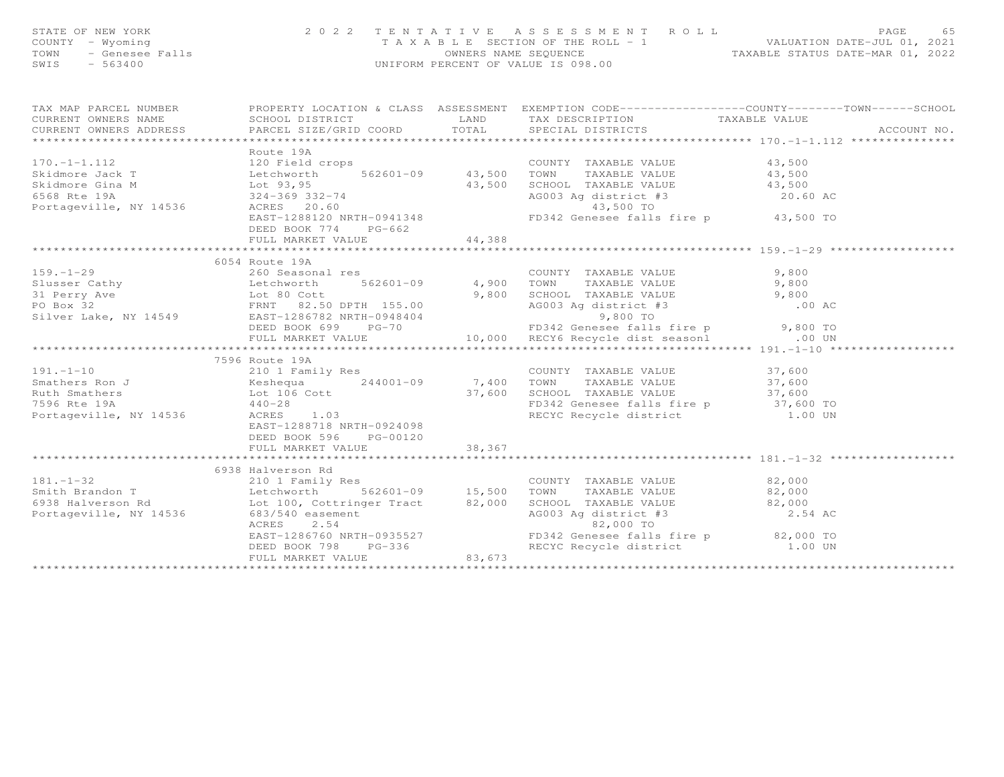| TAX MAP PARCEL NUMBER<br>COURCEL NUMBER<br>COURCE PROPERTY LOCATION & CLASS ASSESSMENT EXEMPTION CODE---------------COUNTY-------TOWN------SCHOOL<br>CURRENT OWNERS ADDRESS<br>Route 19A<br>Route 19A<br>Route 19A<br>Skidmore Jack T<br>Skidmore Gina M<br>External Halo COUNTY TAXABLE VALUE<br>Skidmore Gina M<br>Lot 93,95<br>120 Field crops<br>562601-09<br>562601-09<br>43,500 TOWN TAXABLE VALUE<br>43,500 TOWN TAXABLE VALUE<br>43,500<br>S<br>DEED BOOK 774 PG-662<br>44,388<br>FULL MARKET VALUE<br>6054 Route 19A<br>7596 Route 19A<br>191.-1-10<br>Smathers Ron J<br>Ruth Smathers Not 106 Cott<br>The COUNTY TAXABLE VALUE<br>244001-09<br>244001-09<br>244001-09<br>244001-09<br>7,400 TOWN TAXABLE VALUE<br>7,400 TOWN TAXABLE VALUE<br>27,600<br>SCHOOL TAXABLE VALUE<br>37,600<br>37,600<br><br>EAST-1288718 NRTH-0924098<br>DEED BOOK 596 PG-00120<br>6938 Halverson Rd 210 1 Family Res 210 1 Family Res 210 1 Family Res 210 1 Family Res 210 1 Family Res 210 1 Family Res 210 1 Family Res 210 1 Family Res 210 1 Family Res 210 1 Family Res 21.500 TOWN TAXABLE VALUE 22,000 T<br>2.54<br>EAST-1286760 NRTH-0935527<br>DEED BOOK 798 PG-336<br>PG-336<br>FD342 Genesee falls fire painting the same section of the same section of the same section of the same section of the same section of the same section of the s | STATE OF NEW YORK<br>COUNTY - Wyoming<br>TOWN - Genesee Falls<br>CWTS - 563400 |  | 2022 TENTATIVE ASSESSMENT ROLL<br>TAXABLE SECTION OF THE ROLL - 1<br>OWNERS NAME SEQUENCE<br>TAXABLE STATUS DATE-MAR 01, 2022<br>UNIFORM PERCENT OF VALUE IS 098.00 | PAGE<br>65 |
|---------------------------------------------------------------------------------------------------------------------------------------------------------------------------------------------------------------------------------------------------------------------------------------------------------------------------------------------------------------------------------------------------------------------------------------------------------------------------------------------------------------------------------------------------------------------------------------------------------------------------------------------------------------------------------------------------------------------------------------------------------------------------------------------------------------------------------------------------------------------------------------------------------------------------------------------------------------------------------------------------------------------------------------------------------------------------------------------------------------------------------------------------------------------------------------------------------------------------------------------------------------------------------------------------------------------------------------------------|--------------------------------------------------------------------------------|--|---------------------------------------------------------------------------------------------------------------------------------------------------------------------|------------|
|                                                                                                                                                                                                                                                                                                                                                                                                                                                                                                                                                                                                                                                                                                                                                                                                                                                                                                                                                                                                                                                                                                                                                                                                                                                                                                                                                   |                                                                                |  |                                                                                                                                                                     |            |
|                                                                                                                                                                                                                                                                                                                                                                                                                                                                                                                                                                                                                                                                                                                                                                                                                                                                                                                                                                                                                                                                                                                                                                                                                                                                                                                                                   |                                                                                |  |                                                                                                                                                                     |            |
|                                                                                                                                                                                                                                                                                                                                                                                                                                                                                                                                                                                                                                                                                                                                                                                                                                                                                                                                                                                                                                                                                                                                                                                                                                                                                                                                                   |                                                                                |  |                                                                                                                                                                     |            |
|                                                                                                                                                                                                                                                                                                                                                                                                                                                                                                                                                                                                                                                                                                                                                                                                                                                                                                                                                                                                                                                                                                                                                                                                                                                                                                                                                   |                                                                                |  |                                                                                                                                                                     |            |
|                                                                                                                                                                                                                                                                                                                                                                                                                                                                                                                                                                                                                                                                                                                                                                                                                                                                                                                                                                                                                                                                                                                                                                                                                                                                                                                                                   |                                                                                |  |                                                                                                                                                                     |            |
|                                                                                                                                                                                                                                                                                                                                                                                                                                                                                                                                                                                                                                                                                                                                                                                                                                                                                                                                                                                                                                                                                                                                                                                                                                                                                                                                                   |                                                                                |  |                                                                                                                                                                     |            |
|                                                                                                                                                                                                                                                                                                                                                                                                                                                                                                                                                                                                                                                                                                                                                                                                                                                                                                                                                                                                                                                                                                                                                                                                                                                                                                                                                   |                                                                                |  |                                                                                                                                                                     |            |
|                                                                                                                                                                                                                                                                                                                                                                                                                                                                                                                                                                                                                                                                                                                                                                                                                                                                                                                                                                                                                                                                                                                                                                                                                                                                                                                                                   |                                                                                |  |                                                                                                                                                                     |            |
|                                                                                                                                                                                                                                                                                                                                                                                                                                                                                                                                                                                                                                                                                                                                                                                                                                                                                                                                                                                                                                                                                                                                                                                                                                                                                                                                                   |                                                                                |  |                                                                                                                                                                     |            |
|                                                                                                                                                                                                                                                                                                                                                                                                                                                                                                                                                                                                                                                                                                                                                                                                                                                                                                                                                                                                                                                                                                                                                                                                                                                                                                                                                   |                                                                                |  |                                                                                                                                                                     |            |
|                                                                                                                                                                                                                                                                                                                                                                                                                                                                                                                                                                                                                                                                                                                                                                                                                                                                                                                                                                                                                                                                                                                                                                                                                                                                                                                                                   |                                                                                |  |                                                                                                                                                                     |            |
|                                                                                                                                                                                                                                                                                                                                                                                                                                                                                                                                                                                                                                                                                                                                                                                                                                                                                                                                                                                                                                                                                                                                                                                                                                                                                                                                                   |                                                                                |  |                                                                                                                                                                     |            |
|                                                                                                                                                                                                                                                                                                                                                                                                                                                                                                                                                                                                                                                                                                                                                                                                                                                                                                                                                                                                                                                                                                                                                                                                                                                                                                                                                   |                                                                                |  |                                                                                                                                                                     |            |
|                                                                                                                                                                                                                                                                                                                                                                                                                                                                                                                                                                                                                                                                                                                                                                                                                                                                                                                                                                                                                                                                                                                                                                                                                                                                                                                                                   |                                                                                |  |                                                                                                                                                                     |            |
|                                                                                                                                                                                                                                                                                                                                                                                                                                                                                                                                                                                                                                                                                                                                                                                                                                                                                                                                                                                                                                                                                                                                                                                                                                                                                                                                                   |                                                                                |  |                                                                                                                                                                     |            |
|                                                                                                                                                                                                                                                                                                                                                                                                                                                                                                                                                                                                                                                                                                                                                                                                                                                                                                                                                                                                                                                                                                                                                                                                                                                                                                                                                   |                                                                                |  |                                                                                                                                                                     |            |
|                                                                                                                                                                                                                                                                                                                                                                                                                                                                                                                                                                                                                                                                                                                                                                                                                                                                                                                                                                                                                                                                                                                                                                                                                                                                                                                                                   |                                                                                |  |                                                                                                                                                                     |            |
|                                                                                                                                                                                                                                                                                                                                                                                                                                                                                                                                                                                                                                                                                                                                                                                                                                                                                                                                                                                                                                                                                                                                                                                                                                                                                                                                                   |                                                                                |  |                                                                                                                                                                     |            |
|                                                                                                                                                                                                                                                                                                                                                                                                                                                                                                                                                                                                                                                                                                                                                                                                                                                                                                                                                                                                                                                                                                                                                                                                                                                                                                                                                   |                                                                                |  |                                                                                                                                                                     |            |
|                                                                                                                                                                                                                                                                                                                                                                                                                                                                                                                                                                                                                                                                                                                                                                                                                                                                                                                                                                                                                                                                                                                                                                                                                                                                                                                                                   |                                                                                |  |                                                                                                                                                                     |            |
|                                                                                                                                                                                                                                                                                                                                                                                                                                                                                                                                                                                                                                                                                                                                                                                                                                                                                                                                                                                                                                                                                                                                                                                                                                                                                                                                                   |                                                                                |  |                                                                                                                                                                     |            |
|                                                                                                                                                                                                                                                                                                                                                                                                                                                                                                                                                                                                                                                                                                                                                                                                                                                                                                                                                                                                                                                                                                                                                                                                                                                                                                                                                   |                                                                                |  |                                                                                                                                                                     |            |
|                                                                                                                                                                                                                                                                                                                                                                                                                                                                                                                                                                                                                                                                                                                                                                                                                                                                                                                                                                                                                                                                                                                                                                                                                                                                                                                                                   |                                                                                |  |                                                                                                                                                                     |            |
|                                                                                                                                                                                                                                                                                                                                                                                                                                                                                                                                                                                                                                                                                                                                                                                                                                                                                                                                                                                                                                                                                                                                                                                                                                                                                                                                                   |                                                                                |  |                                                                                                                                                                     |            |
|                                                                                                                                                                                                                                                                                                                                                                                                                                                                                                                                                                                                                                                                                                                                                                                                                                                                                                                                                                                                                                                                                                                                                                                                                                                                                                                                                   |                                                                                |  |                                                                                                                                                                     |            |
|                                                                                                                                                                                                                                                                                                                                                                                                                                                                                                                                                                                                                                                                                                                                                                                                                                                                                                                                                                                                                                                                                                                                                                                                                                                                                                                                                   |                                                                                |  |                                                                                                                                                                     |            |
|                                                                                                                                                                                                                                                                                                                                                                                                                                                                                                                                                                                                                                                                                                                                                                                                                                                                                                                                                                                                                                                                                                                                                                                                                                                                                                                                                   |                                                                                |  |                                                                                                                                                                     |            |
|                                                                                                                                                                                                                                                                                                                                                                                                                                                                                                                                                                                                                                                                                                                                                                                                                                                                                                                                                                                                                                                                                                                                                                                                                                                                                                                                                   |                                                                                |  |                                                                                                                                                                     |            |
|                                                                                                                                                                                                                                                                                                                                                                                                                                                                                                                                                                                                                                                                                                                                                                                                                                                                                                                                                                                                                                                                                                                                                                                                                                                                                                                                                   |                                                                                |  |                                                                                                                                                                     |            |
|                                                                                                                                                                                                                                                                                                                                                                                                                                                                                                                                                                                                                                                                                                                                                                                                                                                                                                                                                                                                                                                                                                                                                                                                                                                                                                                                                   |                                                                                |  |                                                                                                                                                                     |            |
|                                                                                                                                                                                                                                                                                                                                                                                                                                                                                                                                                                                                                                                                                                                                                                                                                                                                                                                                                                                                                                                                                                                                                                                                                                                                                                                                                   |                                                                                |  |                                                                                                                                                                     |            |
|                                                                                                                                                                                                                                                                                                                                                                                                                                                                                                                                                                                                                                                                                                                                                                                                                                                                                                                                                                                                                                                                                                                                                                                                                                                                                                                                                   |                                                                                |  |                                                                                                                                                                     |            |
|                                                                                                                                                                                                                                                                                                                                                                                                                                                                                                                                                                                                                                                                                                                                                                                                                                                                                                                                                                                                                                                                                                                                                                                                                                                                                                                                                   |                                                                                |  |                                                                                                                                                                     |            |
|                                                                                                                                                                                                                                                                                                                                                                                                                                                                                                                                                                                                                                                                                                                                                                                                                                                                                                                                                                                                                                                                                                                                                                                                                                                                                                                                                   |                                                                                |  |                                                                                                                                                                     |            |
|                                                                                                                                                                                                                                                                                                                                                                                                                                                                                                                                                                                                                                                                                                                                                                                                                                                                                                                                                                                                                                                                                                                                                                                                                                                                                                                                                   |                                                                                |  |                                                                                                                                                                     |            |
|                                                                                                                                                                                                                                                                                                                                                                                                                                                                                                                                                                                                                                                                                                                                                                                                                                                                                                                                                                                                                                                                                                                                                                                                                                                                                                                                                   |                                                                                |  |                                                                                                                                                                     |            |
|                                                                                                                                                                                                                                                                                                                                                                                                                                                                                                                                                                                                                                                                                                                                                                                                                                                                                                                                                                                                                                                                                                                                                                                                                                                                                                                                                   |                                                                                |  |                                                                                                                                                                     |            |
|                                                                                                                                                                                                                                                                                                                                                                                                                                                                                                                                                                                                                                                                                                                                                                                                                                                                                                                                                                                                                                                                                                                                                                                                                                                                                                                                                   |                                                                                |  |                                                                                                                                                                     |            |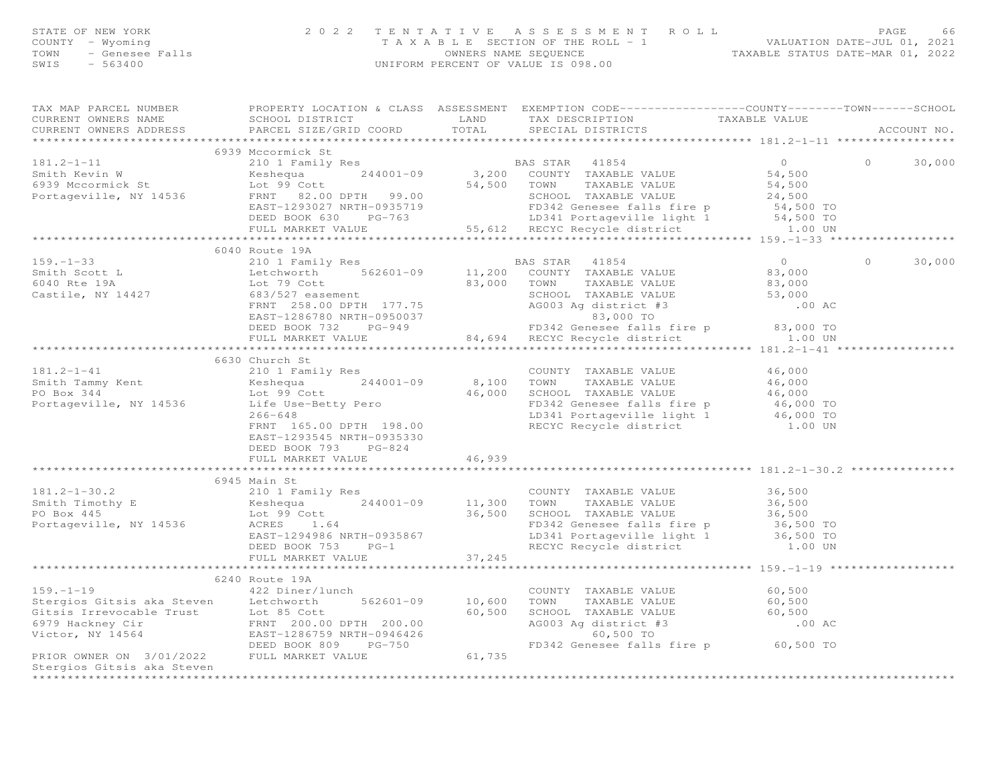|                                     | STATE OF NEW YORK 2022 TENTATIVE ASSESSMENT<br>COUNTY - Wyoming<br>TAXABLE SECTION OF THE ROLL - 1<br>TOWN - Genesee Falls<br>SWIS - 563400<br>TAXABLE SECTION OF THE ROLL - 1<br>OWNERS NAME SEQUENCE<br>UNIFORM PERCENT OF VALUE IS 098.00 |      | 2022 TENTATIVE ASSESSMENT ROLL PAGE 66<br>TAXABLE SECTION OF THE ROLL - 1 VALUATION DATE-JUL 01, 2021<br>OWNERS NAME SEQUENCE TAXABLE STATUS DATE-MAR 01, 2022 |                                 |             |
|-------------------------------------|----------------------------------------------------------------------------------------------------------------------------------------------------------------------------------------------------------------------------------------------|------|----------------------------------------------------------------------------------------------------------------------------------------------------------------|---------------------------------|-------------|
|                                     | TAX MAP PARCEL NUMBER THE PROPERTY LOCATION & CLASS ASSESSMENT EXEMPTION CODE---------------COUNTY-------TOWN------SCHOOL                                                                                                                    |      |                                                                                                                                                                |                                 |             |
| CURRENT OWNERS NAME SCHOOL DISTRICT |                                                                                                                                                                                                                                              | LAND | TAX DESCRIPTION TAXABLE VALUE                                                                                                                                  |                                 |             |
|                                     | .CURRENT OWNERS ADDRESS PARCEL SIZE/GRID COORD TOTAL SPECIAL DISTRICTS ACCOUNT NO ACCOUNT NO ACCOUNT NO ACCOUNT                                                                                                                              |      |                                                                                                                                                                |                                 | ACCOUNT NO. |
|                                     |                                                                                                                                                                                                                                              |      |                                                                                                                                                                |                                 |             |
| $181.2 - 1 - 11$                    | 6939 Mccormick St                                                                                                                                                                                                                            |      |                                                                                                                                                                |                                 |             |
|                                     |                                                                                                                                                                                                                                              |      |                                                                                                                                                                |                                 |             |
|                                     |                                                                                                                                                                                                                                              |      |                                                                                                                                                                |                                 |             |
|                                     | 93,200 COUNTY TAXABLE VALUE 54,500 FOR SALUE 54,500 COUNTY TAXABLE VALUE 54,500 FOR SALUE 54,500 COUNTY TAXABLE VALUE 54,500 FOR SALUE 54,500 FOR SALUE 54,500 FOR SALUE 54,500 FOR SCHOOL TAXABLE VALUE 54,500 FOR SCHOOL TA                |      |                                                                                                                                                                |                                 |             |
|                                     |                                                                                                                                                                                                                                              |      | EAST-1293027 NRTH-0935719 FD342 Genesee falls fire p 54,500 TO                                                                                                 |                                 |             |
|                                     |                                                                                                                                                                                                                                              |      |                                                                                                                                                                |                                 |             |
|                                     |                                                                                                                                                                                                                                              |      | DEED BOOK 630 PG-763 LD341 Portageville light 1 54,500 TO<br>FULL MARKET VALUE 55,612 RECYC Recycle district 1.00 UN                                           |                                 |             |
|                                     |                                                                                                                                                                                                                                              |      |                                                                                                                                                                |                                 |             |
|                                     | 6040 Route 19A                                                                                                                                                                                                                               |      |                                                                                                                                                                |                                 |             |
| $159. - 1 - 33$                     |                                                                                                                                                                                                                                              |      | 210 1 Family Res BAS STAR 41854                                                                                                                                | $\begin{matrix}0&0\end{matrix}$ | 30,000      |
|                                     | Smith Scott Land Smith Solem in the United Sole of the United Sole of the Sole of the Sole of the Sole of the S<br>Bot 79 Cott and Sole of Sole of the Sole of Town Taxable Value                                                            |      |                                                                                                                                                                | 83,000                          |             |
|                                     |                                                                                                                                                                                                                                              |      | TAXABLE VALUE 83,000                                                                                                                                           |                                 |             |
|                                     | Castile, NY 14427 683/527 easement                                                                                                                                                                                                           |      |                                                                                                                                                                |                                 |             |
|                                     | FRNT 258.00 DPTH 177.75                                                                                                                                                                                                                      |      | SCHOOL TAXABLE VALUE 53,000<br>AG003 Ag district #3 .00 AC                                                                                                     |                                 |             |
|                                     |                                                                                                                                                                                                                                              |      |                                                                                                                                                                |                                 |             |
|                                     |                                                                                                                                                                                                                                              |      |                                                                                                                                                                |                                 |             |
|                                     |                                                                                                                                                                                                                                              |      | FULL MARKET VALUE 64,694 RECYC Recycle district 1.00 UN                                                                                                        |                                 |             |

\*\*\*\*\*\*\*\*\*\*\*\*\*\*\*\*\*\*\*\*\*\*\*\*\*\*\*\*\*\*\*\*\*\*\*\*\*\*\*\*\*\*\*\*\*\*\*\*\*\*\*\*\*\*\*\*\*\*\*\*\*\*\*\*\*\*\*\*\*\*\*\*\*\*\*\*\*\*\*\*\*\*\*\*\*\*\*\*\*\*\*\*\*\*\*\*\*\*\*\*\*\*\* 181.2-1-30.2 \*\*\*\*\*\*\*\*\*\*\*\*\*\*\*

\*\*\*\*\*\*\*\*\*\*\*\*\*\*\*\*\*\*\*\*\*\*\*\*\*\*\*\*\*\*\*\*\*\*\*\*\*\*\*\*\*\*\*\*\*\*\*\*\*\*\*\*\*\*\*\*\*\*\*\*\*\*\*\*\*\*\*\*\*\*\*\*\*\*\*\*\*\*\*\*\*\*\*\*\*\*\*\*\*\*\*\*\*\*\*\*\*\*\*\*\*\*\* 159.-1-19 \*\*\*\*\*\*\*\*\*\*\*\*\*\*\*\*\*\*

\*\*\*\*\*\*\*\*\*\*\*\*\*\*\*\*\*\*\*\*\*\*\*\*\*\*\*\*\*\*\*\*\*\*\*\*\*\*\*\*\*\*\*\*\*\*\*\*\*\*\*\*\*\*\*\*\*\*\*\*\*\*\*\*\*\*\*\*\*\*\*\*\*\*\*\*\*\*\*\*\*\*\*\*\*\*\*\*\*\*\*\*\*\*\*\*\*\*\*\*\*\*\*\*\*\*\*\*\*\*\*\*\*\*\*\*\*\*\*\*\*\*\*\*\*\*\*\*\*\*\*\*

46,000

 $46,000$ 

36,500 TO

1.00 UN

181.2-1-41 210 1 Family Res COUNTY TAXABLE VALUE 46,000

Smith Tammy Kent Keshequa 244001-09 8,100 TOWN TAXABLE VALUE 46,000

PO Box 344 Lot 99 Cott 46,000 SCHOOL TAXABLE VALUE 46,000Portageville, NY 14536 Life Use-Betty Pero FD342 Genesee falls fire p 46,000 TO266-648 LD341 Portageville light 1 46,000 TO<br>FRNT 165.00 DPTH 198.00 RECYC Recycle district 1.00 UN<br>RECYC Recycle district

5945 Main St. (181.2-1-30.2)<br>Smith Timothy E (210 1 Family Res (244001-09 (244001-09 TOWN TAXABLE VALUE 36,500<br>PO Box 445 (244001-09 11,300 TOWN TAXABLE VALUE 36,500 (36,500 Lot 9)<br>Portageville, NY 14536 (2005 1.64 1.64 FD

EAST-1294986 NRTH-0935867 LD341 Portageville light 1 36,500 TO

DEED BOOK 753 PG-1 RECYC Recycle district 1.00 UN

159.-1-19  $^{422}$  Diner/lunch<br>
Stergios Gitsis aka Steven Letchworth 562601-09 10,600 TOWN TAXABLE VALUE 60,500<br>
Gitsis Irrevocable Trust Lot 85 Cott 60,500 SCHOOL TAXABLE VALUE 60,500<br>
6979 Hackney Cir FRIOR FRNT 200.00 D

6630 Church St

FULL MARKET VALUE 46,939

FULL MARKET VALUE 37,245

Stergios Gitsis aka Steven

6240 Route 19A<br>422 Diner/lunch

DEED BOOK 793 PG-824

6240 Route 19A

EAST-1293545 NRTH-0935330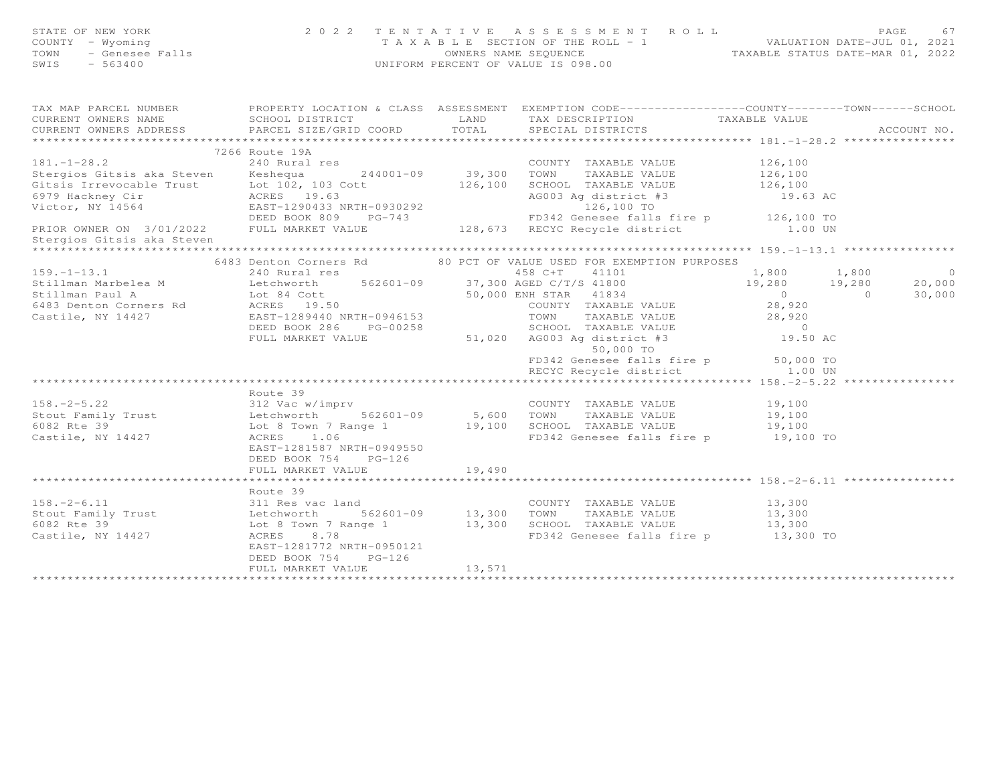| FATE OF NEW YORK 2022 TENTATIVE ASSESSMENT ROLL PAGE 67<br>COUNTY - Wyoming<br>TAXABLE SECTION OF THE ROLL - 1<br>TOWN - Genesee Falls (Intervaluation and the countries of the security of the SEQUENCE<br>SWIS - 563400<br>SWIS - 5634                                    |                                           |        |  |             |
|-----------------------------------------------------------------------------------------------------------------------------------------------------------------------------------------------------------------------------------------------------------------------------|-------------------------------------------|--------|--|-------------|
| TAX MAP PARCEL NUMBER PROPERTY LOCATION & CLASS ASSESSMENT EXEMPTION CODE------------------COUNTY--------TOWN-----SCHOOL<br>CURRENT OWNERS NAME SCHOOL DISTRICT LAND TAX DESCRIPTION TAXABLE VALUE<br>CURRENT OWNERS ADDRESS PARCEL SIZE/GRID COORD TOTAL SPECIAL DISTRICTS |                                           |        |  |             |
|                                                                                                                                                                                                                                                                             |                                           |        |  | ACCOUNT NO. |
|                                                                                                                                                                                                                                                                             |                                           |        |  |             |
| 181.-1-28.2<br>181.-1-28.2<br>240 Rural res<br>Stergios Gitsis aka Steven<br>240 Rural res<br>244001-09<br>244001-09<br>39,300 TOWNT TAXABLE VALUE<br>COUNTY TAXABLE VALUE<br>COUNTY TAXABLE VALUE<br>26,100<br>26,100<br>26,100<br>26,100<br>26,100<br>26,1                |                                           |        |  |             |
| Stergios Gitsis aka Steven                                                                                                                                                                                                                                                  |                                           |        |  |             |
| *********************                                                                                                                                                                                                                                                       |                                           |        |  |             |
| 199.-1-13.1 6483 Detail of Ormers Rd and Correspondent of the CREMETION PURPOSES (199.10 1,800 1,800 1,800 1,800 0<br>Stillman Paul A Letchworth 562601-09 37,300 ABB CHT 41101 199.91<br>Stillman Paul A Letchworth 562601-09 37,                                          |                                           |        |  |             |
|                                                                                                                                                                                                                                                                             |                                           |        |  |             |
|                                                                                                                                                                                                                                                                             |                                           |        |  |             |
| Route 39<br>Route 39<br>Stout Family Trust<br>Etchworth 562601-09<br>Let 8 Town 7 Range 1<br>Castile, NY 14427<br>Castile, NY 14427<br>Castile, NY 14427<br>Castile, NY 14427<br>Castile, NY 14427<br>Castile, NY 14427<br>Castile, NY 14427<br>Castil                      | DEED BOOK 754 PG-126                      |        |  |             |
|                                                                                                                                                                                                                                                                             |                                           |        |  |             |
| Route 39<br>158.-2-6.11 311 Res vac land<br>Stout Family Trust Letchworth 562601-09 13,300 TOWN TAXABLE VALUE 13,300<br>6082 Rte 39 Lot 8 Town 7 Range 1 13,300 SCHOOL TAXABLE VALUE 13,300<br>Castile, NY 14427 ACRES 8.78 FD342 Gene                                      | DEED BOOK 754 PG-126<br>FULL MARKET VALUE | 13,571 |  |             |
|                                                                                                                                                                                                                                                                             |                                           |        |  |             |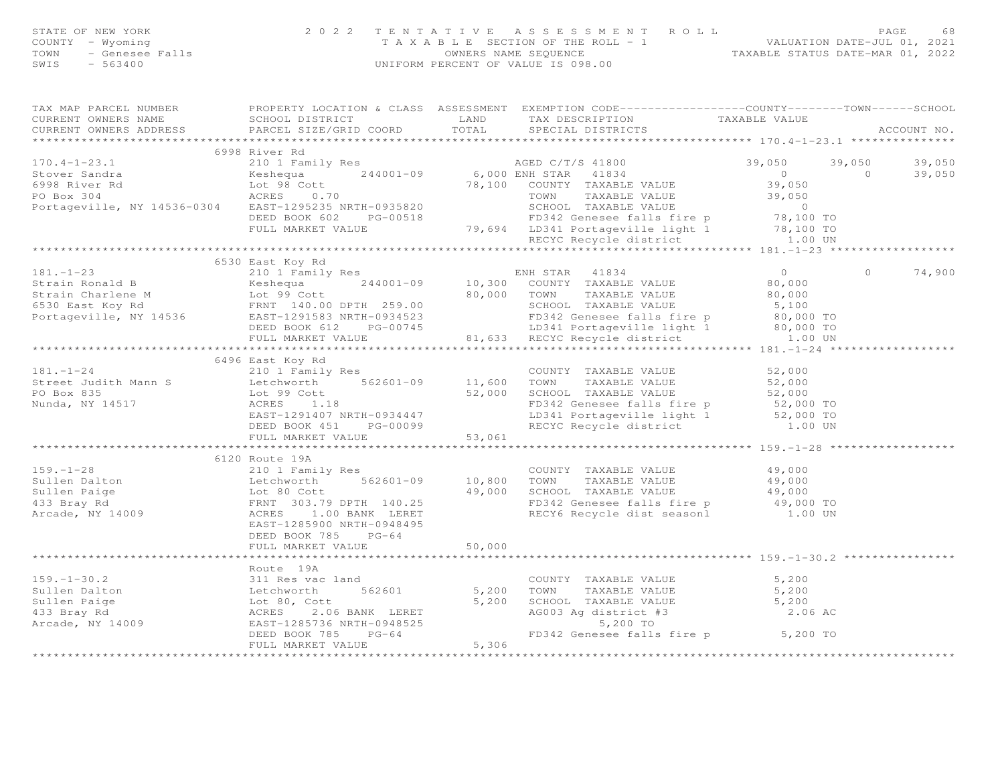| STATE OF NEW YORK<br>- Wyoming<br>- Genesee Falls<br>- 563400<br>COUNTY - Wyoming<br>TOWN<br>$-563400$<br>SWIS                                                                                                                                                                                                                                                                                                                                                                |                           |        | 2022 TENTATIVE ASSESSMENT ROLL PAGE 68<br>TAXABLE SECTION OF THE ROLL - 1 VALUATION DATE-JUL 01, 2021<br>OWNERS NAME SEQUENCE TAXABLE STATUS DATE-MAR 01, 2022<br>UNIFORM PERCENT OF VALUE IS 098.00                |         |                |             |
|-------------------------------------------------------------------------------------------------------------------------------------------------------------------------------------------------------------------------------------------------------------------------------------------------------------------------------------------------------------------------------------------------------------------------------------------------------------------------------|---------------------------|--------|---------------------------------------------------------------------------------------------------------------------------------------------------------------------------------------------------------------------|---------|----------------|-------------|
| TAX MAP PARCEL NUMBER THE PROPERTY LOCATION & CLASS ASSESSMENT EXEMPTION CODE--------------COUNTY-------TOWN------SCHOOL<br>CURRENT OWNERS NAME                                                                                                                                                                                                                                                                                                                               | SCHOOL DISTRICT           | LAND   | TAX DESCRIPTION TAXABLE VALUE                                                                                                                                                                                       |         |                |             |
| $\begin{minipage}{.4cm} \begin{minipage}{.4cm} \begin{minipage}{.4cm} \begin{minipage}{.4cm} \begin{minipage}{.4cm} \begin{minipage}{.4cm} \begin{minipage}{.4cm} \begin{minipage}{.4cm} \begin{minipage}{.4cm} \begin{minipage}{.4cm} \begin{minipage}{.4cm} \begin{minipage}{.4cm} \begin{minipage}{.4cm} \begin{minipage}{.4cm} \begin{minipage}{.4cm} \begin{minipage}{.4cm} \begin{minipage}{.4cm} \begin{minipage}{.4cm} \begin{minipage}{.4cm} \begin{minipage}{.4cm}$ |                           |        |                                                                                                                                                                                                                     |         |                | ACCOUNT NO. |
|                                                                                                                                                                                                                                                                                                                                                                                                                                                                               | 6998 River Rd             |        |                                                                                                                                                                                                                     |         |                |             |
| $170.4 - 1 - 23.1$                                                                                                                                                                                                                                                                                                                                                                                                                                                            |                           |        | 210 1 Family Res 69,050 C/T/S 41800 39,050 39,050 39,050 39,050                                                                                                                                                     |         |                |             |
|                                                                                                                                                                                                                                                                                                                                                                                                                                                                               |                           |        |                                                                                                                                                                                                                     |         |                | 39,050      |
| 6998 River Rd                      Lot 98 Cott                      78,100 COUNTY TAXABLE VALUE                    39,050<br>PO Box 304                  ACRES     0.70                        TOWN     TAXABLE VALUE                                                                                                                                                                                                                                                         |                           |        |                                                                                                                                                                                                                     |         |                |             |
|                                                                                                                                                                                                                                                                                                                                                                                                                                                                               |                           |        |                                                                                                                                                                                                                     |         |                |             |
| Portageville, NY 14536-0304 EAST-1295235 NRTH-0935820                                                                                                                                                                                                                                                                                                                                                                                                                         |                           |        |                                                                                                                                                                                                                     |         |                |             |
|                                                                                                                                                                                                                                                                                                                                                                                                                                                                               |                           |        |                                                                                                                                                                                                                     |         |                |             |
|                                                                                                                                                                                                                                                                                                                                                                                                                                                                               |                           |        |                                                                                                                                                                                                                     |         |                |             |
|                                                                                                                                                                                                                                                                                                                                                                                                                                                                               |                           |        | EAST-1295235 NRTH-0935820<br>DEED BOOK 602 PG-00518 FD342 Genesee falls tire p<br>FULL MARKET VALUE 79,694 LD341 Portageville light 1 78,100 TO<br>RECYC Recycle district 1.00 UN<br>RECYC Recycle district 1.00 UN |         |                |             |
|                                                                                                                                                                                                                                                                                                                                                                                                                                                                               |                           |        |                                                                                                                                                                                                                     |         |                |             |
|                                                                                                                                                                                                                                                                                                                                                                                                                                                                               | 6530 East Koy Rd          |        |                                                                                                                                                                                                                     |         |                |             |
|                                                                                                                                                                                                                                                                                                                                                                                                                                                                               |                           |        |                                                                                                                                                                                                                     |         | $\overline{0}$ | 74,900      |
|                                                                                                                                                                                                                                                                                                                                                                                                                                                                               |                           |        |                                                                                                                                                                                                                     |         |                |             |
|                                                                                                                                                                                                                                                                                                                                                                                                                                                                               |                           |        |                                                                                                                                                                                                                     |         |                |             |
|                                                                                                                                                                                                                                                                                                                                                                                                                                                                               |                           |        |                                                                                                                                                                                                                     |         |                |             |
|                                                                                                                                                                                                                                                                                                                                                                                                                                                                               |                           |        |                                                                                                                                                                                                                     |         |                |             |
|                                                                                                                                                                                                                                                                                                                                                                                                                                                                               |                           |        |                                                                                                                                                                                                                     |         |                |             |
| 6530 East Koy Rd<br>ENH STAR 41834 0<br>Strain Ronald B (10 1 Family Res<br>Strain Charlene M (10,300 COUNTY TAXABLE VALUE 80,000<br>Strain Charlene M (10,00 DPTH 259.00 80,000 TOWN TAXABLE VALUE 80,000<br>FRNT 140.00 DPTH 259.00 SC                                                                                                                                                                                                                                      |                           |        |                                                                                                                                                                                                                     |         |                |             |
|                                                                                                                                                                                                                                                                                                                                                                                                                                                                               | 6496 East Koy Rd          |        |                                                                                                                                                                                                                     |         |                |             |
|                                                                                                                                                                                                                                                                                                                                                                                                                                                                               |                           |        |                                                                                                                                                                                                                     |         |                |             |
| 181.-1-24 210 1 Family Res<br>Street Judith Mann S 10.1 Family Res<br>No Pope 2015                                                                                                                                                                                                                                                                                                                                                                                            |                           |        |                                                                                                                                                                                                                     |         |                |             |
|                                                                                                                                                                                                                                                                                                                                                                                                                                                                               |                           | 52,000 |                                                                                                                                                                                                                     |         |                |             |
|                                                                                                                                                                                                                                                                                                                                                                                                                                                                               | ACRES 1.18                |        | COUNTY TAXABLE VALUE 52,000<br>TOWN TAXABLE VALUE 52,000<br>SCHOOL TAXABLE VALUE 52,000<br>FD342 Genesee falls fire p 52,000 TO<br>FD342 Genesee falls fire p 52,000 TO                                             |         |                |             |
|                                                                                                                                                                                                                                                                                                                                                                                                                                                                               | EAST-1291407 NRTH-0934447 |        | LD341 Portageville light 1 52,000 TO                                                                                                                                                                                |         |                |             |
|                                                                                                                                                                                                                                                                                                                                                                                                                                                                               | DEED BOOK 451<br>PG-00099 |        | RECYC Recycle district                                                                                                                                                                                              | 1.00 UN |                |             |

|                |                                              |       | DEED BOOK 451 PG-00099 RECYC Recycle district 1.00 UN |        |
|----------------|----------------------------------------------|-------|-------------------------------------------------------|--------|
|                | FULL MARKET VALUE 53,061                     |       |                                                       |        |
|                |                                              |       |                                                       |        |
|                | 6120 Route 19A                               |       |                                                       |        |
| $159 - 1 - 28$ | 210 1 Family Res                             |       | COUNTY TAXABLE VALUE                                  | 49,000 |
| Sullen Dalton  | Letchworth 562601-09 10,800                  |       | TAXABLE VALUE<br>TOWN                                 | 49,000 |
|                |                                              |       |                                                       | 49,000 |
|                |                                              |       | FD342 Genesee falls fire p 49,000 TO                  |        |
|                | Arcade, NY 14009 600 ACRES 1.00 BANK LERET   |       | RECY6 Recycle dist season1 1.00 UN                    |        |
|                | EAST-1285900 NRTH-0948495                    |       |                                                       |        |
|                | DEED BOOK 785 PG-64                          |       |                                                       |        |
|                | FULL MARKET VALUE 50,000                     |       |                                                       |        |
|                |                                              |       |                                                       |        |
|                | Route 19A                                    |       |                                                       |        |
|                | 159. – 1 – 30. 2 <sup>311</sup> Res vac land |       | COUNTY TAXABLE VALUE                                  | 5,200  |
| Sullen Dalton  | Letchworth 562601 5,200 TOWN                 |       | TAXABLE VALUE                                         | 5,200  |
|                | Sullen Paige Contract Lot 80, Cott           | 5,200 | SCHOOL TAXABLE VALUE                                  | 5,200  |
|                | 433 Bray Rd 6 2.06 BANK LERET                |       | AG003 Aq district #3 2.06 AC                          |        |
|                | Arcade, NY 14009 EAST-1285736 NRTH-0948525   |       | 5,200 TO                                              |        |
|                | DEED BOOK 785 PG-64                          |       | FD342 Genesee falls fire p 5,200 TO                   |        |
|                | FULL MARKET VALUE                            | 5,306 |                                                       |        |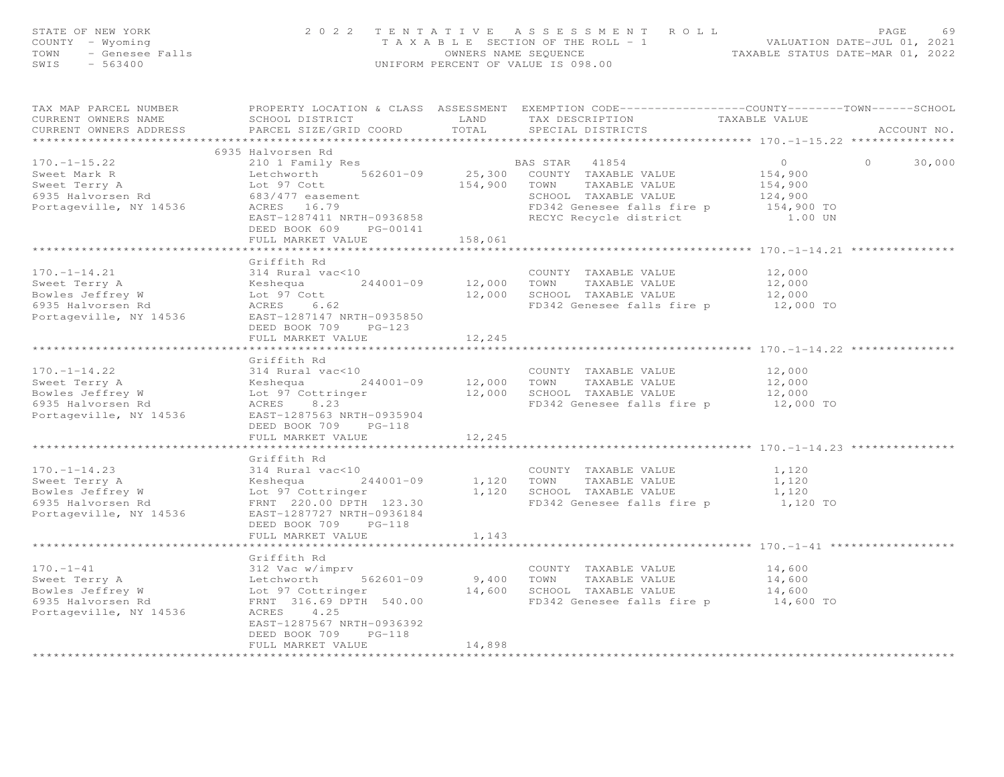| STATE OF NEW YORK<br>COUNTY - Wyoming<br>$-$ Genesee Falls<br>TOWN<br>$-563400$<br>SWIS                | 2022 TENTATIVE                                                                                                                                                                                                                         |                             | ASSESSMENT ROLL<br>TAXABLE SECTION OF THE ROLL - 1<br>OWNERS NAME SEQUENCE<br>UNIFORM PERCENT OF VALUE IS 098.00                                     | VALUATION DATE-JUL 01, 2021<br>TAXABLE STATUS DATE-MAR 01, 2022 | PAGE<br>69        |
|--------------------------------------------------------------------------------------------------------|----------------------------------------------------------------------------------------------------------------------------------------------------------------------------------------------------------------------------------------|-----------------------------|------------------------------------------------------------------------------------------------------------------------------------------------------|-----------------------------------------------------------------|-------------------|
| TAX MAP PARCEL NUMBER<br>CURRENT OWNERS NAME<br>CURRENT OWNERS ADDRESS<br>***********************      | SCHOOL DISTRICT<br>PARCEL SIZE/GRID COORD TOTAL                                                                                                                                                                                        | LAND                        | PROPERTY LOCATION & CLASS ASSESSMENT EXEMPTION CODE----------------COUNTY-------TOWN------SCHOOL<br>TAX DESCRIPTION<br>SPECIAL DISTRICTS             | TAXABLE VALUE                                                   | ACCOUNT NO.       |
|                                                                                                        | 6935 Halvorsen Rd                                                                                                                                                                                                                      |                             |                                                                                                                                                      |                                                                 |                   |
| $170. - 1 - 15.22$                                                                                     | 210 1 Family Res                                                                                                                                                                                                                       |                             | BAS STAR<br>41854                                                                                                                                    | $\overline{0}$                                                  | $\circ$<br>30,000 |
| Sweet Mark R<br>Sweet Terry A<br>6935 Halvorsen Rd<br>Portageville, NY 14536                           | Letchworth 562601-09<br>Lot 97 Cott<br>683/477 easement<br>ACRES 16.79<br>EAST-1287411 NRTH-0936858<br>DEED BOOK 609 PG-00141                                                                                                          |                             | 25,300 COUNTY TAXABLE VALUE<br>154,900 TOWN TAXABLE VALUE<br>SCHOOL TAXABLE VALUE<br>FD342 Genesee falls fire p 154,900 TO<br>RECYC Recycle district | 154,900<br>154,900<br>124,900<br>1.00 UN                        |                   |
|                                                                                                        | FULL MARKET VALUE                                                                                                                                                                                                                      | 158,061                     |                                                                                                                                                      |                                                                 |                   |
|                                                                                                        | Griffith Rd                                                                                                                                                                                                                            |                             |                                                                                                                                                      |                                                                 |                   |
| $170. - 1 - 14.21$<br>Sweet Terry A<br>Bowles Jeffrey W<br>6935 Halvorsen Rd<br>Portageville, NY 14536 | 314 Rural vac<10<br>Keshequa<br>Lot 97 Cott<br>ACRES 6.62<br>EAST-1287147 NRTH-0935850<br>DEED BOOK 709 PG-123                                                                                                                         | $244001 - 09$ $12,000$ TOWN | COUNTY TAXABLE VALUE<br>TAXABLE VALUE<br>12,000 SCHOOL TAXABLE VALUE<br>FD342 Genesee falls fire p                                                   | 12,000<br>12,000<br>12,000<br>12,000 TO                         |                   |
|                                                                                                        | FULL MARKET VALUE                                                                                                                                                                                                                      | 12,245                      |                                                                                                                                                      |                                                                 |                   |
|                                                                                                        |                                                                                                                                                                                                                                        |                             | ********************************** 170.-1-14.22                                                                                                      |                                                                 |                   |
| $170. - 1 - 14.22$<br>Sweet Terry A<br>Bowles Jeffrey W<br>6935 Halvorsen Rd<br>Portageville, NY 14536 | Griffith Rd<br>314 Rural vac<10<br>Extra details<br>Keshequa 244001-09<br>Lot 97 Cottringer<br>ACRES 8.23<br>EAST-1287563 NRTH-0935904<br>DEED BOOK 709 PG-118                                                                         |                             | COUNTY TAXABLE VALUE<br>$244001-09$ $12,000$ TOWN TAXABLE VALUE<br>er $12,000$ SCHOOL TAXABLE VALUE<br>FD342 Genesee falls fire p                    | 12,000<br>12,000<br>12,000<br>12,000 TO                         |                   |
|                                                                                                        | FULL MARKET VALUE                                                                                                                                                                                                                      | 12,245                      |                                                                                                                                                      |                                                                 |                   |
|                                                                                                        |                                                                                                                                                                                                                                        |                             |                                                                                                                                                      |                                                                 |                   |
| $170. - 1 - 14.23$<br>Sweet Terry A<br>Bowles Jeffrey W<br>6935 Halvorsen Rd<br>Portageville, NY 14536 | Griffith Rd<br>314 Rural vac<10<br>Extractive Capacity<br>Extra Capacity<br>State Contringer<br>State Contringer<br>$244001 - 09$<br>FRNT 220.00 DPTH 123.30<br>EAST-1287727 NRTH-0936184<br>DEED BOOK 709 PG-118<br>FULL MARKET VALUE | 1,143                       | COUNTY TAXABLE VALUE<br>1,120 TOWN<br>TAXABLE VALUE<br>1,120 SCHOOL TAXABLE VALUE<br>FD342 Genesee falls fire p                                      | 1,120<br>1,120<br>1,120<br>1,120 TO                             |                   |
|                                                                                                        |                                                                                                                                                                                                                                        |                             | ******************************* 170.-1-41 **                                                                                                         |                                                                 |                   |
| $170. - 1 - 41$<br>Sweet Terry A<br>Bowles Jeffrey W<br>6935 Halvorsen Rd<br>Portageville, NY 14536    | Griffith Rd<br>312 Vac w/imprv<br>Letchworth 562601-09<br>Lot 97 Cottringer<br>FRNT 316.69 DPTH 540.00<br>ACRES<br>4.25<br>EAST-1287567 NRTH-0936392<br>DEED BOOK 709<br>$PG-118$                                                      | 9,400 TOWN                  | COUNTY TAXABLE VALUE<br>TAXABLE VALUE<br>14,600 SCHOOL TAXABLE VALUE<br>FD342 Genesee falls fire p 14,600 TO                                         | 14,600<br>14,600<br>14,600                                      |                   |
|                                                                                                        | FULL MARKET VALUE                                                                                                                                                                                                                      | 14,898<br>*************     |                                                                                                                                                      |                                                                 |                   |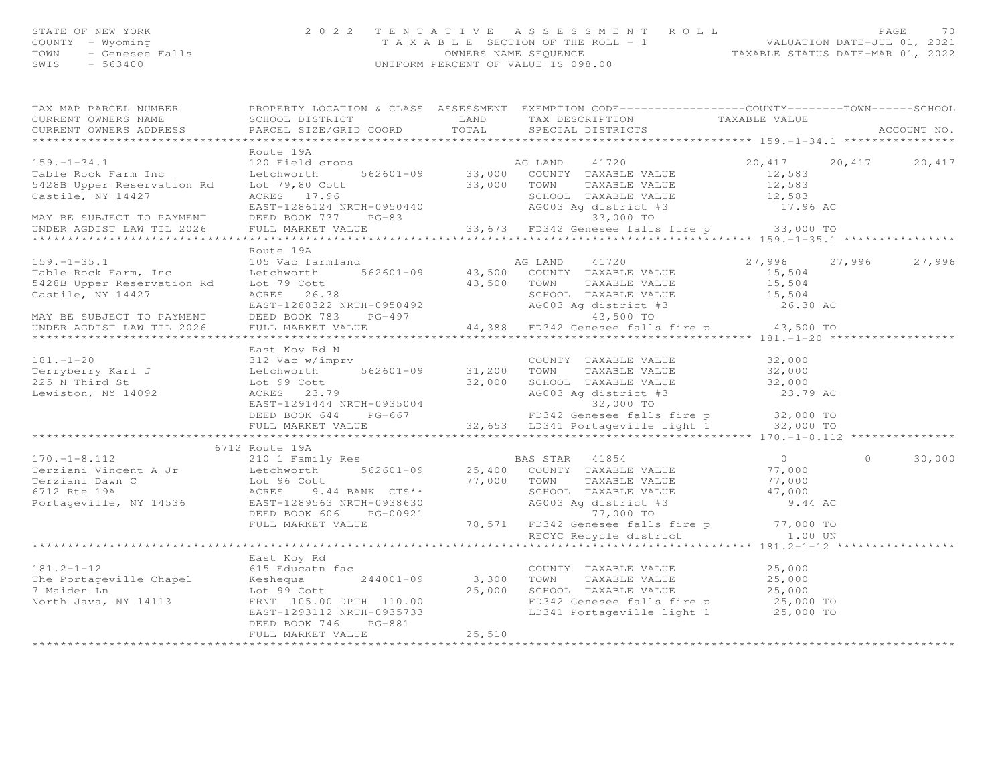| STATE OF NEW YORK | 2022 TENTATIVE ASSESSMENT ROLL        |                                  | <b>PAGE</b>                 | 7 C |
|-------------------|---------------------------------------|----------------------------------|-----------------------------|-----|
| COUNTY – Wyoming  | T A X A B L E SECTION OF THE ROLL - 1 |                                  | VALUATION DATE-JUL 01, 2021 |     |
|                   | OWNERS NAME SEQUENCE                  | TAXABLE STATUS DATE-MAR 01, 2022 |                             |     |
| SWIS<br>$-563400$ | UNIFORM PERCENT OF VALUE IS 098.00    |                                  |                             |     |
|                   |                                       |                                  |                             |     |

|                                                                                                                                                                                                                                                                                                                                                                                                     | TAX MAP PARCEL NUMBER          PROPERTY LOCATION & CLASS  ASSESSMENT  EXEMPTION CODE---------------COUNTY-------TOWN------SCHOOL |        |                                |                      |                    |
|-----------------------------------------------------------------------------------------------------------------------------------------------------------------------------------------------------------------------------------------------------------------------------------------------------------------------------------------------------------------------------------------------------|----------------------------------------------------------------------------------------------------------------------------------|--------|--------------------------------|----------------------|--------------------|
| CURRENT OWNERS NAME                                                                                                                                                                                                                                                                                                                                                                                 |                                                                                                                                  |        |                                |                      |                    |
| CURRENT OWNERS ADDRESS                                                                                                                                                                                                                                                                                                                                                                              |                                                                                                                                  |        |                                |                      | ACCOUNT NO.        |
|                                                                                                                                                                                                                                                                                                                                                                                                     |                                                                                                                                  |        |                                |                      |                    |
|                                                                                                                                                                                                                                                                                                                                                                                                     | Route 19A                                                                                                                        |        |                                |                      |                    |
|                                                                                                                                                                                                                                                                                                                                                                                                     |                                                                                                                                  |        |                                | 20,417 20,417 20,417 |                    |
|                                                                                                                                                                                                                                                                                                                                                                                                     |                                                                                                                                  |        |                                |                      |                    |
|                                                                                                                                                                                                                                                                                                                                                                                                     |                                                                                                                                  |        |                                |                      |                    |
|                                                                                                                                                                                                                                                                                                                                                                                                     |                                                                                                                                  |        |                                |                      |                    |
|                                                                                                                                                                                                                                                                                                                                                                                                     |                                                                                                                                  |        |                                |                      |                    |
|                                                                                                                                                                                                                                                                                                                                                                                                     |                                                                                                                                  |        |                                |                      |                    |
|                                                                                                                                                                                                                                                                                                                                                                                                     |                                                                                                                                  |        |                                |                      |                    |
|                                                                                                                                                                                                                                                                                                                                                                                                     |                                                                                                                                  |        |                                |                      |                    |
|                                                                                                                                                                                                                                                                                                                                                                                                     |                                                                                                                                  |        |                                |                      |                    |
|                                                                                                                                                                                                                                                                                                                                                                                                     | Route 19A                                                                                                                        |        |                                |                      |                    |
|                                                                                                                                                                                                                                                                                                                                                                                                     |                                                                                                                                  |        |                                |                      |                    |
| Table Rock Farm, Inc<br>5428B Upper Reservation Rd                                                                                                                                                                                                                                                                                                                                                  |                                                                                                                                  |        |                                |                      |                    |
|                                                                                                                                                                                                                                                                                                                                                                                                     |                                                                                                                                  |        |                                |                      |                    |
|                                                                                                                                                                                                                                                                                                                                                                                                     |                                                                                                                                  |        |                                |                      |                    |
|                                                                                                                                                                                                                                                                                                                                                                                                     |                                                                                                                                  |        |                                |                      |                    |
|                                                                                                                                                                                                                                                                                                                                                                                                     |                                                                                                                                  |        |                                |                      |                    |
| $\begin{tabular}{lllllllllllllllllllll} \textsc{159.1-35.1} & \textsc{Rout} & \textsc{159.1-35.1} & \textsc{Rout} & \textsc{159.1-35.1} & \textsc{159.1-35.1} & \textsc{159.1-35.1} & \textsc{159.1-35.1} & \textsc{159.1-35.1} & \textsc{159.1-35.1} & \textsc{159.1-35.1} & \textsc{159.1-35.1} & \textsc{159.1-35.1} & \textsc{159.1-$<br>MAY BE SUBJECT TO PAYMENT<br>UNDER AGDIST LAW TIL 2026 |                                                                                                                                  |        |                                |                      |                    |
|                                                                                                                                                                                                                                                                                                                                                                                                     |                                                                                                                                  |        |                                |                      |                    |
|                                                                                                                                                                                                                                                                                                                                                                                                     |                                                                                                                                  |        |                                |                      |                    |
|                                                                                                                                                                                                                                                                                                                                                                                                     | East Koy Rd N                                                                                                                    |        |                                |                      |                    |
|                                                                                                                                                                                                                                                                                                                                                                                                     |                                                                                                                                  |        |                                |                      |                    |
|                                                                                                                                                                                                                                                                                                                                                                                                     |                                                                                                                                  |        |                                |                      |                    |
|                                                                                                                                                                                                                                                                                                                                                                                                     |                                                                                                                                  |        |                                |                      |                    |
|                                                                                                                                                                                                                                                                                                                                                                                                     |                                                                                                                                  |        |                                |                      |                    |
|                                                                                                                                                                                                                                                                                                                                                                                                     |                                                                                                                                  |        |                                |                      |                    |
|                                                                                                                                                                                                                                                                                                                                                                                                     |                                                                                                                                  |        |                                |                      |                    |
|                                                                                                                                                                                                                                                                                                                                                                                                     |                                                                                                                                  |        |                                |                      |                    |
|                                                                                                                                                                                                                                                                                                                                                                                                     |                                                                                                                                  |        |                                |                      |                    |
| East Koy Rd N<br>31200 COUNTY TAXABLE VALUE 32,000<br>Terryberry Karl J Letchworth 562601-09 31,200 TOWN TAXABLE VALUE 32,000<br>225 N Third St Lot 99 Cott 32,000 SCHOOL TAXABLE VALUE 32,000<br>Lewiston, NY 14092 ACRES 23.79<br>EAST                                                                                                                                                            |                                                                                                                                  |        |                                |                      |                    |
| $\begin{tabular}{lllllllllllll} 170.-1-8.112 & 6712 \mbox{\small Rex} & 210 \mbox{\small I}-1-8.112 & 210 \mbox{\small I}-1-8.112 & 210 \mbox{\small I}-1-8.112 & 210 \mbox{\small I}-1-8.112 & 210 \mbox{\small I}-1-8.112 & 210 \mbox{\small I}-1-8.112 & 210 \mbox{\small I}-1-8.112 & 210 \mbox{\small I}-1-8.112 & 210 \mbox{\small I}-1-8.112 & 210 \mbox{\$                                  | 6712 Route 19A                                                                                                                   |        |                                |                      |                    |
|                                                                                                                                                                                                                                                                                                                                                                                                     |                                                                                                                                  |        |                                |                      | $\Omega$<br>30,000 |
|                                                                                                                                                                                                                                                                                                                                                                                                     |                                                                                                                                  |        |                                |                      |                    |
|                                                                                                                                                                                                                                                                                                                                                                                                     |                                                                                                                                  |        |                                |                      |                    |
|                                                                                                                                                                                                                                                                                                                                                                                                     |                                                                                                                                  |        |                                |                      |                    |
|                                                                                                                                                                                                                                                                                                                                                                                                     |                                                                                                                                  |        |                                |                      |                    |
|                                                                                                                                                                                                                                                                                                                                                                                                     |                                                                                                                                  |        |                                |                      |                    |
|                                                                                                                                                                                                                                                                                                                                                                                                     |                                                                                                                                  |        |                                |                      |                    |
|                                                                                                                                                                                                                                                                                                                                                                                                     |                                                                                                                                  |        |                                |                      |                    |
|                                                                                                                                                                                                                                                                                                                                                                                                     |                                                                                                                                  |        | RECYC Recycle district 1.00 UN |                      |                    |
|                                                                                                                                                                                                                                                                                                                                                                                                     |                                                                                                                                  |        |                                |                      |                    |
|                                                                                                                                                                                                                                                                                                                                                                                                     | East Koy Rd                                                                                                                      |        |                                |                      |                    |
|                                                                                                                                                                                                                                                                                                                                                                                                     |                                                                                                                                  |        |                                |                      |                    |
|                                                                                                                                                                                                                                                                                                                                                                                                     |                                                                                                                                  |        |                                |                      |                    |
|                                                                                                                                                                                                                                                                                                                                                                                                     |                                                                                                                                  |        |                                |                      |                    |
|                                                                                                                                                                                                                                                                                                                                                                                                     |                                                                                                                                  |        |                                |                      |                    |
|                                                                                                                                                                                                                                                                                                                                                                                                     |                                                                                                                                  |        |                                |                      |                    |
|                                                                                                                                                                                                                                                                                                                                                                                                     |                                                                                                                                  |        |                                |                      |                    |
|                                                                                                                                                                                                                                                                                                                                                                                                     | FULL MARKET VALUE                                                                                                                | 25,510 |                                |                      |                    |
|                                                                                                                                                                                                                                                                                                                                                                                                     |                                                                                                                                  |        |                                |                      |                    |
|                                                                                                                                                                                                                                                                                                                                                                                                     |                                                                                                                                  |        |                                |                      |                    |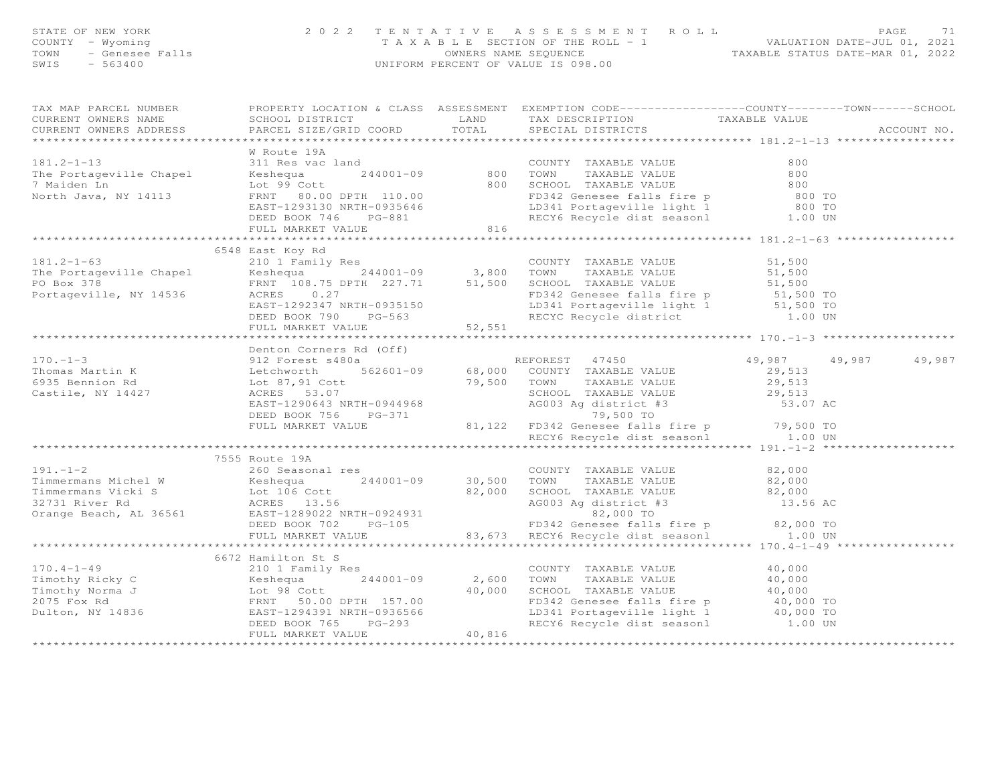| STATE OF NEW YORK<br>COUNTY - Wyoming<br>TOWN - Genesee Falls<br>TOWN - 563400 |                                                                                                                                                                                                                                                                                                                                                       |        | 2022 TENTATIVE ASSESSMENT ROLL PAGE 71<br>TAXABLE SECTION OF THE ROLL - 1<br>OWNERS NAME SEQUENCE TAXABLE STATUS DATE-MAR 01, 2022<br>UNIFORM PERCENT OF VALUE IS 098.00 |                      |             |
|--------------------------------------------------------------------------------|-------------------------------------------------------------------------------------------------------------------------------------------------------------------------------------------------------------------------------------------------------------------------------------------------------------------------------------------------------|--------|--------------------------------------------------------------------------------------------------------------------------------------------------------------------------|----------------------|-------------|
|                                                                                | TAX MAP PARCEL NUMBER BROPERTY LOCATION & CLASS ASSESSMENT EXEMPTION CODE------------------COUNTY--------TOWN------SCHOOL CURRENT OWNERS NAME SCHOOL DISTRICT LAND TAX DESCRIPTION TAXABLE VALUE<br>CURRENT OWNERS NAME SCHOOL DISTRICT TRANSFORM TAX DESCRIPTION TAXABLE VALUE CURRENT OWNERS ADDRESS PARCEL SIZE/GRID COORD TOTAL SPECIAL DISTRICTS |        |                                                                                                                                                                          |                      | ACCOUNT NO. |
|                                                                                |                                                                                                                                                                                                                                                                                                                                                       |        |                                                                                                                                                                          |                      |             |
|                                                                                | W Route 19A                                                                                                                                                                                                                                                                                                                                           |        |                                                                                                                                                                          |                      |             |
|                                                                                |                                                                                                                                                                                                                                                                                                                                                       |        |                                                                                                                                                                          |                      |             |
|                                                                                | 6548 East Koy Rd<br>6548 East Koy Rd<br>210 1 Family Res<br>210 1 Family Res<br>244001-09<br>244001-09<br>244001-09<br>244001-09<br>26 3,800 TOWN TAXABLE VALUE<br>3,800 TOWN TAXABLE VALUE<br>51,500<br>251,500<br>27 51,500<br>27 51,500<br>27 51,500<br>2685T-1292347 NRTH-                                                                        |        |                                                                                                                                                                          |                      |             |
|                                                                                |                                                                                                                                                                                                                                                                                                                                                       |        |                                                                                                                                                                          |                      |             |
|                                                                                |                                                                                                                                                                                                                                                                                                                                                       |        |                                                                                                                                                                          |                      |             |
|                                                                                |                                                                                                                                                                                                                                                                                                                                                       |        |                                                                                                                                                                          | 49,987 49,987 49,987 |             |
|                                                                                |                                                                                                                                                                                                                                                                                                                                                       |        |                                                                                                                                                                          |                      |             |
|                                                                                | 7555 Route 19A<br>$\footnotesize$ 191.-1-2<br>Timmermans Michel W<br>Timmermans Michel W<br>Timmermans Vicki S<br>32731 River Rd<br>Conny RAXABLE VALUE<br>32731 River Rd<br>Conny RAXABLE VALUE<br>32,000<br>TOWN TAXABLE VALUE<br>32,000<br>TAXABLE VALUE<br>82,000<br>SCHOOL TAX                                                                   |        |                                                                                                                                                                          |                      |             |
|                                                                                |                                                                                                                                                                                                                                                                                                                                                       |        |                                                                                                                                                                          |                      |             |
|                                                                                | 6672 Hamilton St S                                                                                                                                                                                                                                                                                                                                    |        |                                                                                                                                                                          |                      |             |
|                                                                                | 170.4-1-49<br>Timothy Ricky C 2101 Family Res<br>Timothy Ricky C 244001-09<br>275 Fox Rd FRNT 50.00 DPTH 157.00<br>Dulton, NY 14836<br>EAST-1294391 NRTH-0936566<br>FECT6 Recycle dist seasonl<br>ENET VALUE<br>FULL MARKET VALUE<br>THE MARKET                                                                                                       |        |                                                                                                                                                                          |                      |             |
|                                                                                | FULL MARKET VALUE                                                                                                                                                                                                                                                                                                                                     | 40,816 |                                                                                                                                                                          |                      |             |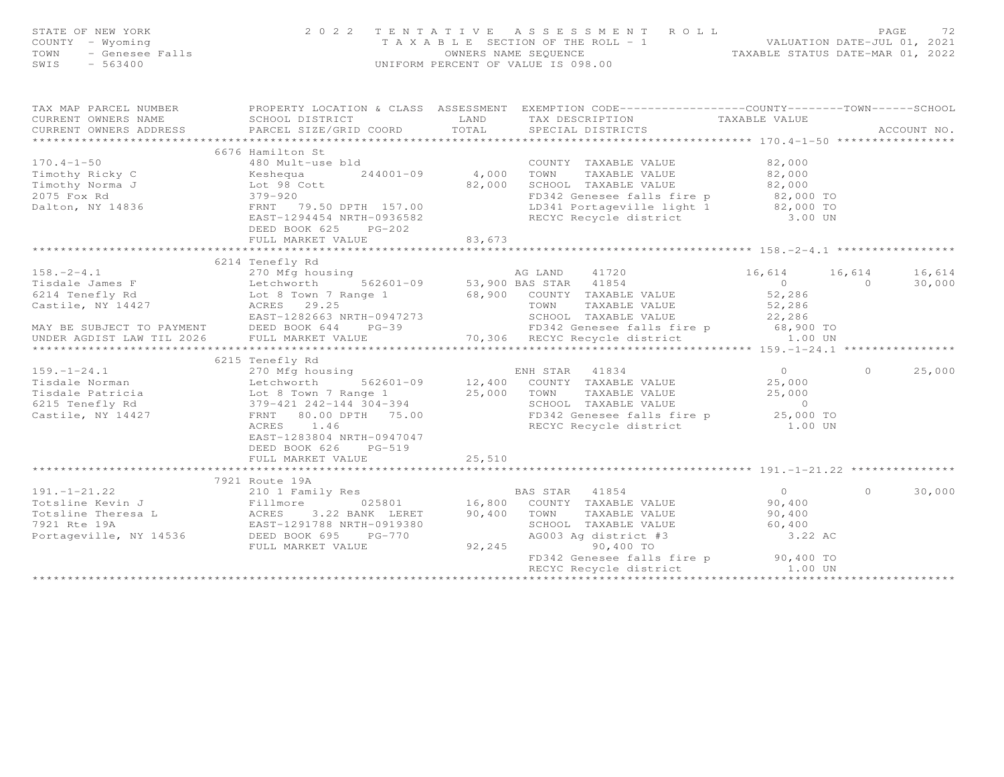| FAGE 72<br>COUNTY - Wyoming and the section of the ROLL - 1<br>TAXABLE SECTION OF THE ROLL - 1<br>TOWN - Genesee Falls ownERS NAME SEQUENCE . TAXABLE STATUS DATE-MAR 01, 2022<br>SWIS - 563400                                                                                                             |                                                   |  |          |          |
|-------------------------------------------------------------------------------------------------------------------------------------------------------------------------------------------------------------------------------------------------------------------------------------------------------------|---------------------------------------------------|--|----------|----------|
| TAX MAP PARCEL NUMBER FROPERTY LOCATION & CLASS ASSESSMENT EXEMPTION CODE-----------------COUNTY-------TOWN------SCHOOL<br>CURRENT OWNERS ADDRESS                                                                                                                                                           |                                                   |  |          |          |
|                                                                                                                                                                                                                                                                                                             | 6676 Hamilton St                                  |  |          |          |
|                                                                                                                                                                                                                                                                                                             | 6214 Tenefly Rd                                   |  |          |          |
| $\begin{tabular}{lllllllllllllllllll} \textbf{158.}-2-4.1 & 270\text{ Mg} \text{ housing} & \text{AG} \text{ LAND} & 41720 & 16,614 & 16,614 & 16,614 & 16,614 & 16,614 & 16,614 & 16,614 & 16,614 & 16,614 & 16,614 & 16,614 & 16,614 & 16,614 & 16,614 & 16,614 & 16,614 & 16,614 & 16,614 & 16,614 & 16$ |                                                   |  |          |          |
|                                                                                                                                                                                                                                                                                                             |                                                   |  |          |          |
| 6215 Tenefly Rd 270 Mfg housing 270 Mfg housing 270 Mfg housing 270 Mfg housing 270 Mfg housing 270 Mfg housing 270 Mfg housing 270 Mfg housing 270 Mfg housing 270 Mfg housing 270 Mfg housing 270 Mfg housing 270 Mfg housin                                                                              | EAST-1283804 NRTH-0947047<br>DEED BOOK 626 PG-519 |  |          | 0 25,000 |
|                                                                                                                                                                                                                                                                                                             |                                                   |  |          |          |
| 191.-1-21.22<br>1921 Route 19A<br>1921 Route 19A<br>210 1 Family Res<br>210 1 Family Res<br>210 1 Family Res<br>210 1 Family Res<br>210 1 Family Res<br>210 1 Family Res<br>216 25801<br>216,800 TOWNTY TAXABLE VALUE<br>290,400<br>22,400<br>22,400<br>22                                                  |                                                   |  | $\Omega$ | 30,000   |
|                                                                                                                                                                                                                                                                                                             |                                                   |  |          |          |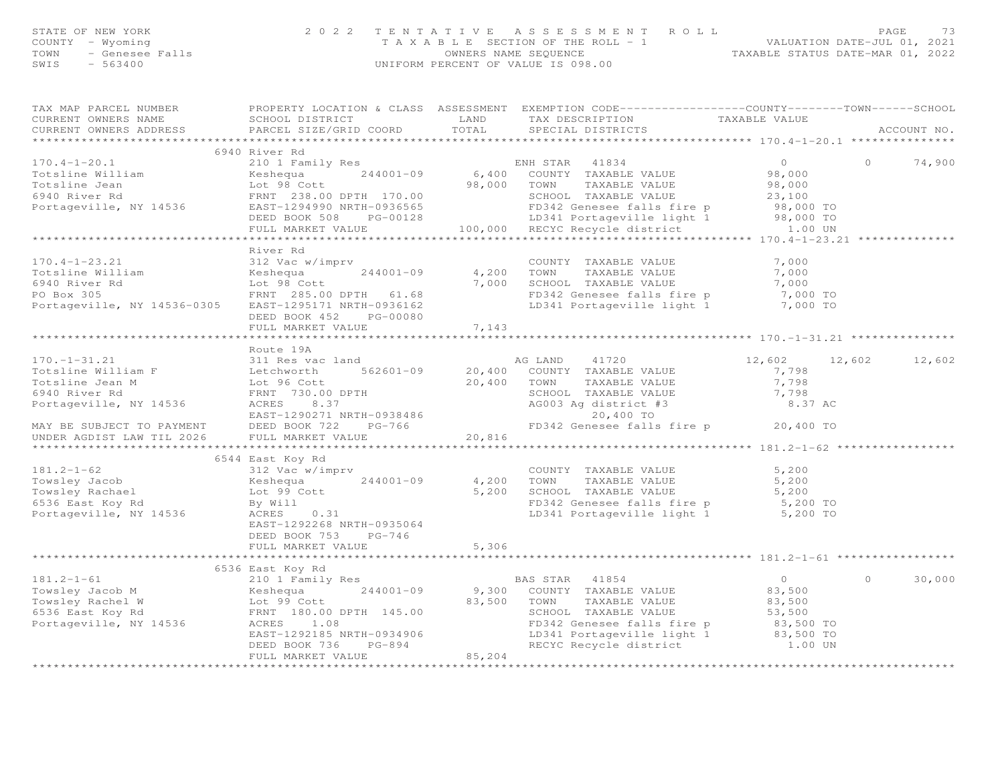| STATE OF NEW YORK | 2022 TENTATIVE ASSESSMENT ROLL        |                                  | PAGE                        | 73 |
|-------------------|---------------------------------------|----------------------------------|-----------------------------|----|
| COUNTY – Wyoming  | T A X A B L E SECTION OF THE ROLL - 1 |                                  | VALUATION DATE-JUL 01, 2021 |    |
|                   | OWNERS NAME SEQUENCE                  | TAXABLE STATUS DATE-MAR 01, 2022 |                             |    |
| SWIS<br>- 563400  | UNIFORM PERCENT OF VALUE IS 098.00    |                                  |                             |    |
|                   |                                       |                                  |                             |    |
|                   |                                       |                                  |                             |    |

| TAX MAP PARCEL NUMBER<br>CURRENT OWNERS NAME<br>.CURRENT OWNERS ADDRESS PARCEL SIZE/GRID COORD TOTAL SPECIAL DISTRICTS ACCOUNT NO ACCOUNT NO ACCOUNT NO ARRENT                                                                                     |                                                                      |        | PROPERTY LOCATION & CLASS ASSESSMENT EXEMPTION CODE----------------COUNTY-------TOWN-----SCHOOL |               |          |        |
|----------------------------------------------------------------------------------------------------------------------------------------------------------------------------------------------------------------------------------------------------|----------------------------------------------------------------------|--------|-------------------------------------------------------------------------------------------------|---------------|----------|--------|
|                                                                                                                                                                                                                                                    |                                                                      |        |                                                                                                 |               |          |        |
|                                                                                                                                                                                                                                                    | 6940 River Rd                                                        |        |                                                                                                 |               | $\Omega$ | 74,900 |
|                                                                                                                                                                                                                                                    |                                                                      |        |                                                                                                 |               |          |        |
| River Rd<br>Totsline William (170.4-1-23.21 312 Vac w/imprv<br>Totsline William (17.000 Keshequa 244001-09 4,200 TOWN TAXABLE VALUE 7,000<br>6940 River Rd Lot 98 Cott 7,000 SCHOOL TAXABLE VALUE 7,000 TO<br>PO BOX 305 FRNT 285.00 D             | River Rd<br>DEED BOOK 452 PG-00080                                   |        |                                                                                                 |               |          |        |
|                                                                                                                                                                                                                                                    | FULL MARKET VALUE                                                    | 7,143  |                                                                                                 |               |          |        |
|                                                                                                                                                                                                                                                    |                                                                      |        |                                                                                                 |               |          |        |
|                                                                                                                                                                                                                                                    | Route 19A                                                            |        |                                                                                                 | 12,602 12,602 |          | 12,602 |
|                                                                                                                                                                                                                                                    | 6544 East Koy Rd                                                     |        |                                                                                                 |               |          |        |
| $181.2 - 1 - 62$<br>Towsley Jacob (199 Cott (199 Cott 199 Cott 199 Cott 199 Cott 199 Cott 199 Cott 199 Cott 199 Cott 199 Cott 199 Cott 199 Cott 199 Cott 199 Cott 199 Cott 199 Cott 199 Cott 199 Cott 199 Cott 199 Cott 199 Cott 199 Cott 199 Cott | 312 Vac w/imprv<br>EAST-1292268 NRTH-0935064<br>DEED BOOK 753 PG-746 |        | COUNTY TAXABLE VALUE 5,200                                                                      |               |          |        |
|                                                                                                                                                                                                                                                    | FULL MARKET VALUE                                                    | 5,306  |                                                                                                 |               |          |        |
|                                                                                                                                                                                                                                                    |                                                                      |        |                                                                                                 |               |          |        |
|                                                                                                                                                                                                                                                    |                                                                      |        |                                                                                                 |               | $\Omega$ | 30,000 |
|                                                                                                                                                                                                                                                    |                                                                      | 85,204 |                                                                                                 |               |          |        |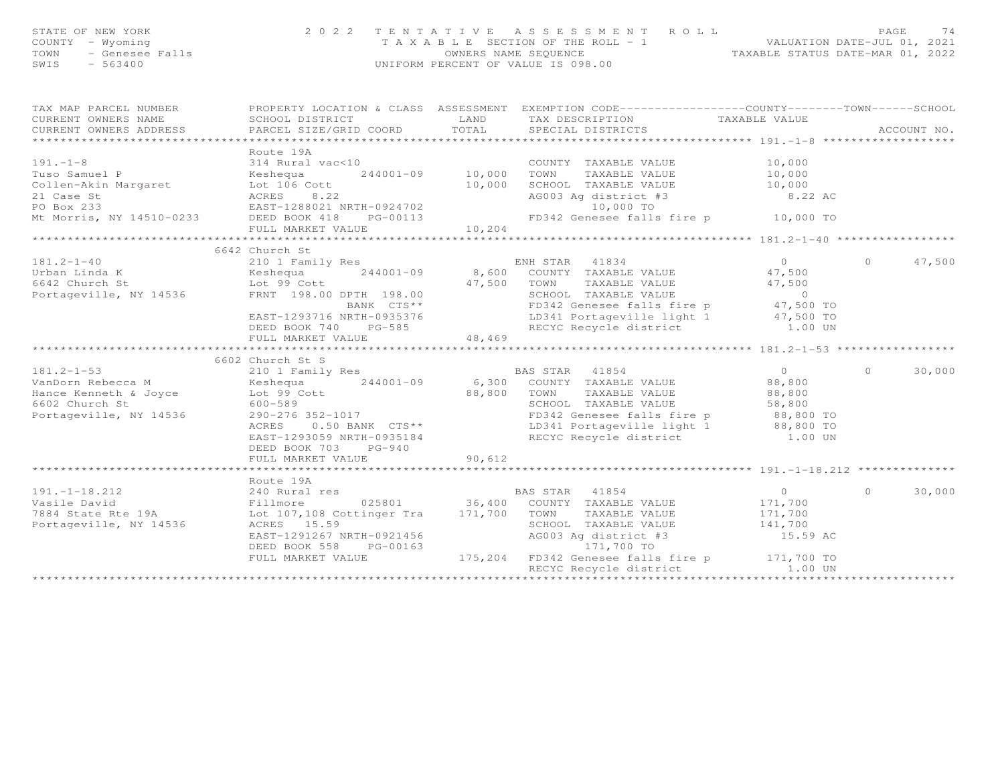| STATE OF NEW YORK<br>OF NEW YORK 202<br>7 - Wyoming<br>- Genesee Falls<br>- 563400<br>COUNTY - Wyoming<br>TOWN<br>SWIS - 563400 | 2 0 2 2                                                                                                                                                                                                                                                                                                                                                                    |        | TENTATIVE ASSESSMENT ROLL<br>TAXABLE SECTION OF THE ROLL - 1<br>OWNERS NAME SEQUENCE<br>UNIFORM PERCENT OF VALUE IS 098.00<br>UNIFORM PERCENT OF VALUE IS 098.00 |                                         |
|---------------------------------------------------------------------------------------------------------------------------------|----------------------------------------------------------------------------------------------------------------------------------------------------------------------------------------------------------------------------------------------------------------------------------------------------------------------------------------------------------------------------|--------|------------------------------------------------------------------------------------------------------------------------------------------------------------------|-----------------------------------------|
| CURRENT OWNERS NAME                                                                                                             | TAX MAP PARCEL NUMBER FROPERTY LOCATION & CLASS ASSESSMENT EXEMPTION CODE---------------COUNTY-------TOWN------SCHOOL<br>SCHOOL DISTRICT<br>.CURRENT OWNERS ADDRESS PARCEL SIZE/GRID COORD TOTAL SPECIAL DISTRICTS ACCOUNT NO ACCOUNT NO ARCOUNT NO ARE THE SERVER AND HER ASSESS THAT A THE SERVER SERVER AND THE SERVER OF THE SERVER ASSESSED ON THE SERVER OF THE SERV |        | LAND TAX DESCRIPTION TAXABLE VALUE                                                                                                                               | ACCOUNT NO.                             |
|                                                                                                                                 | Route 19A<br>191.-1-8<br>Tuso Samuel P<br>Collen-Akin Margaret<br>Collen-Akin Margaret<br>Collen-Akin Margaret<br>Collen-Akin Margaret<br>Collen-Akin Margaret<br>Collen-Akin Margaret<br>Collen-Akin Margaret<br>Collen-Akin Margaret<br>Collen-Akin Margaret                                                                                                             |        |                                                                                                                                                                  |                                         |
|                                                                                                                                 | 6642 Church St                                                                                                                                                                                                                                                                                                                                                             |        |                                                                                                                                                                  |                                         |
|                                                                                                                                 | 6602 Church St S<br>6602 Church St 21001-09<br>ManDorn Rebecca M<br>Hance Kenneth & Joyce Lot 99 Cott 6602 Church St 500-589<br>Portageville, NY 14536 290-276 352-1017<br>ManDorn St 500-589<br>Portageville, NY 14536 290-276 352-1017<br>ManDorn St 500-589<br>DEED BOOK 703 PG-940<br>FULL MARKET VALUE                                                                | 90,612 |                                                                                                                                                                  | $\Omega$<br>47,500<br>30,000<br>$\circ$ |
|                                                                                                                                 |                                                                                                                                                                                                                                                                                                                                                                            |        |                                                                                                                                                                  |                                         |
|                                                                                                                                 | Route 19A<br>Route 19A<br>Vasile David<br>7884 State Rte 19A<br>Portageville, NY 14536<br>Fortageville, NY 14536<br>Fortageville, NY 14536<br>Portageville, NY 14536<br>EAST-1291267 NRTH-0921456<br>DEED BOOK 558<br>PC-00163<br>PC-00163<br>PC-00163<br>PC-00163<br><br>FULL MARKET VALUE                                                                                |        | 175,204 FD342 Genesee falls fire p 171,700 TO<br>RECYC Recycle district 1.00 UN                                                                                  | $\cap$<br>30,000                        |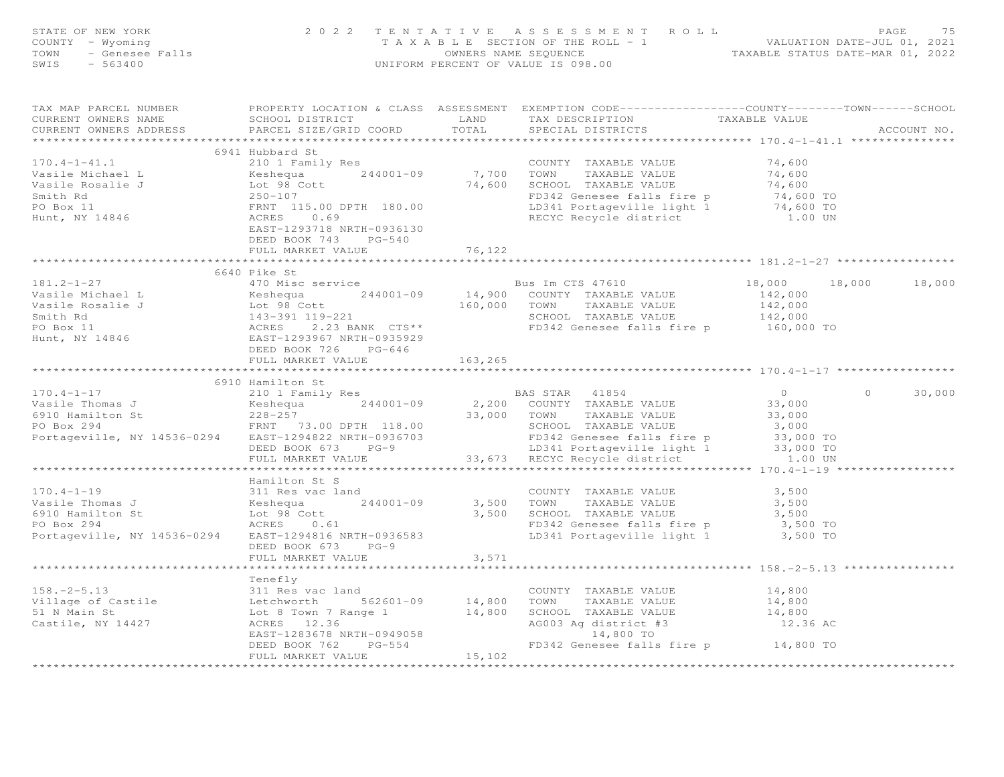| STATE OF NEW YORK<br>$-$ Wew TOKK<br>$-$ Wyoming<br>$-$ Genesee Falls<br>$-$ 563400<br>COUNTY - Wyoming<br>TOWN<br>SWIS                                                                                                                 |                                                                                                         |            | 2022 TENTATIVE ASSESSMENT ROLL PAGE 75<br>TAXABLE SECTION OF THE ROLL - 1<br>OWNERS NAME SEQUENCE TAXABLE STATUS DATE-MAR 01, 2022<br>INIFORM PERCENT OF VALUE TO 98 00<br>UNIFORM PERCENT OF VALUE IS 098.00                  |                                       |         |             |
|-----------------------------------------------------------------------------------------------------------------------------------------------------------------------------------------------------------------------------------------|---------------------------------------------------------------------------------------------------------|------------|--------------------------------------------------------------------------------------------------------------------------------------------------------------------------------------------------------------------------------|---------------------------------------|---------|-------------|
| TAX MAP PARCEL NUMBER<br>CURRENT OWNERS NAME<br>CURRENT OWNERS ADDRESS                                                                                                                                                                  |                                                                                                         |            | PROPERTY LOCATION & CLASS ASSESSMENT EXEMPTION CODE----------------COUNTY-------TOWN------SCHOOL<br>SCHOOL DISTRICT<br>PARCEL SIZE/GRID COORD TOTAL SPECIAL DISTRICTS TAXABLE VALUE                                            |                                       |         | ACCOUNT NO. |
|                                                                                                                                                                                                                                         | 6941 Hubbard St                                                                                         |            |                                                                                                                                                                                                                                |                                       |         |             |
| $170.4 - 1 - 41.1$                                                                                                                                                                                                                      | 210 1 Family Res                                                                                        |            | COUNTY TAXABLE VALUE                                                                                                                                                                                                           | 74,600                                |         |             |
|                                                                                                                                                                                                                                         |                                                                                                         | 7,700 TOWN | TAXABLE VALUE                                                                                                                                                                                                                  | 74,600<br>74,600                      |         |             |
|                                                                                                                                                                                                                                         |                                                                                                         |            |                                                                                                                                                                                                                                |                                       |         |             |
|                                                                                                                                                                                                                                         |                                                                                                         |            |                                                                                                                                                                                                                                |                                       |         |             |
|                                                                                                                                                                                                                                         |                                                                                                         |            |                                                                                                                                                                                                                                |                                       |         |             |
| Vasile Michael L<br>Vasile Michael L<br>Vasile Rosalie J<br>Vasile Rosalie J<br>Smith Rd<br>244001-09<br>Lot 98 Cott<br>Smith Rd<br>250-107<br>FRNT 115.00 DPTH 180.00<br>Hunt, NY 14846<br>ACRES<br>26.69<br>EAST-1293718 NRTH-0936130 | EAST-1293718 NRTH-0936130                                                                               |            | The 1997 Control of the Captain of the Control of the Control of the Control of the Control of the Control of the Control of the Control of the Control of the Control of the Control of the Control of the Control of the Con |                                       |         |             |
|                                                                                                                                                                                                                                         | DEED BOOK 743 PG-540                                                                                    |            |                                                                                                                                                                                                                                |                                       |         |             |
|                                                                                                                                                                                                                                         | FULL MARKET VALUE                                                                                       | 76,122     |                                                                                                                                                                                                                                |                                       |         |             |
|                                                                                                                                                                                                                                         |                                                                                                         |            |                                                                                                                                                                                                                                |                                       |         |             |
|                                                                                                                                                                                                                                         | 6640 Pike St                                                                                            |            |                                                                                                                                                                                                                                |                                       |         |             |
|                                                                                                                                                                                                                                         |                                                                                                         |            |                                                                                                                                                                                                                                | 18,000 18,000 18,000                  |         |             |
|                                                                                                                                                                                                                                         |                                                                                                         |            |                                                                                                                                                                                                                                |                                       |         |             |
|                                                                                                                                                                                                                                         |                                                                                                         |            |                                                                                                                                                                                                                                |                                       |         |             |
|                                                                                                                                                                                                                                         |                                                                                                         |            |                                                                                                                                                                                                                                |                                       |         |             |
|                                                                                                                                                                                                                                         |                                                                                                         |            |                                                                                                                                                                                                                                |                                       |         |             |
| Vasile Michael L (4/0 M1sc service bus Im CTS 47610 18,000 18<br>Vasile Michael L (4/0 M1sc service bus In CTS 47610 142,000 18<br>Vasile Rosalie J Lot 98 Cott 160,000 TOWN TAXABLE VALUE 142,000<br>Smith Rd 143-391 119-221 Smith    | DEED BOOK 726 PG-646                                                                                    |            |                                                                                                                                                                                                                                |                                       |         |             |
|                                                                                                                                                                                                                                         | FULL MARKET VALUE                                                                                       | 163, 265   |                                                                                                                                                                                                                                |                                       |         |             |
|                                                                                                                                                                                                                                         |                                                                                                         |            |                                                                                                                                                                                                                                |                                       |         |             |
|                                                                                                                                                                                                                                         | 6910 Hamilton St                                                                                        |            |                                                                                                                                                                                                                                |                                       |         |             |
|                                                                                                                                                                                                                                         | 210 1 Family Res                                                                                        |            |                                                                                                                                                                                                                                |                                       | $\circ$ | 30,000      |
|                                                                                                                                                                                                                                         |                                                                                                         |            |                                                                                                                                                                                                                                |                                       |         |             |
|                                                                                                                                                                                                                                         |                                                                                                         |            |                                                                                                                                                                                                                                |                                       |         |             |
|                                                                                                                                                                                                                                         |                                                                                                         |            |                                                                                                                                                                                                                                |                                       |         |             |
|                                                                                                                                                                                                                                         |                                                                                                         |            |                                                                                                                                                                                                                                |                                       |         |             |
|                                                                                                                                                                                                                                         |                                                                                                         |            |                                                                                                                                                                                                                                |                                       |         |             |
|                                                                                                                                                                                                                                         |                                                                                                         |            |                                                                                                                                                                                                                                |                                       |         |             |
|                                                                                                                                                                                                                                         |                                                                                                         |            |                                                                                                                                                                                                                                |                                       |         |             |
| $170.4 - 1 - 19$                                                                                                                                                                                                                        | Hamilton St S<br>311 Res vac land                                                                       |            | COUNTY TAXABLE VALUE 3,500                                                                                                                                                                                                     |                                       |         |             |
| Vasile Thomas J                                                                                                                                                                                                                         |                                                                                                         |            | 3,500 TOWN TAXABLE VALUE                                                                                                                                                                                                       |                                       |         |             |
| 6910 Hamilton St                                                                                                                                                                                                                        |                                                                                                         |            |                                                                                                                                                                                                                                | 3,500                                 |         |             |
| PO Box 294                                                                                                                                                                                                                              | as J<br>$X \neq 244001-09$<br>$X \neq 244001-09$<br>$X \neq 0.61$<br>$X \neq 0.61$<br>$X \neq 0.225503$ |            |                                                                                                                                                                                                                                |                                       |         |             |
| Portageville, NY 14536-0294                                                                                                                                                                                                             | EAST-1294816 NRTH-0936583                                                                               |            | 3,500 SCHOOL TAXABLE VALUE 3,500<br>TD342 Genesee falls fire p 3,500 TO<br>LD341 Portageville light 1 3,500 TO                                                                                                                 |                                       |         |             |
|                                                                                                                                                                                                                                         | DEED BOOK 673 PG-9                                                                                      |            |                                                                                                                                                                                                                                |                                       |         |             |
|                                                                                                                                                                                                                                         | FULL MARKET VALUE                                                                                       | 3,571      |                                                                                                                                                                                                                                |                                       |         |             |
|                                                                                                                                                                                                                                         | ********************                                                                                    | ********** |                                                                                                                                                                                                                                | ********************** 158.-2-5.13 ** |         |             |
|                                                                                                                                                                                                                                         | Tenefly                                                                                                 |            |                                                                                                                                                                                                                                |                                       |         |             |
|                                                                                                                                                                                                                                         | 311 Res vac land                                                                                        |            |                                                                                                                                                                                                                                | 14,800                                |         |             |
|                                                                                                                                                                                                                                         |                                                                                                         |            |                                                                                                                                                                                                                                | 14,800<br>14,800                      |         |             |
|                                                                                                                                                                                                                                         |                                                                                                         |            |                                                                                                                                                                                                                                |                                       |         |             |
|                                                                                                                                                                                                                                         |                                                                                                         |            |                                                                                                                                                                                                                                |                                       |         |             |
|                                                                                                                                                                                                                                         | EAST-1283678 NRTH-0949058                                                                               |            |                                                                                                                                                                                                                                |                                       |         |             |
|                                                                                                                                                                                                                                         | $PG-554$<br>DEED BOOK 762                                                                               |            | AG003 Ag district #3<br>19058 14,800 TO<br>54 FD342 Genesee falls fire p 14,800 TO<br>15,102                                                                                                                                   |                                       |         |             |
|                                                                                                                                                                                                                                         | FULL MARKET VALUE                                                                                       |            |                                                                                                                                                                                                                                |                                       |         |             |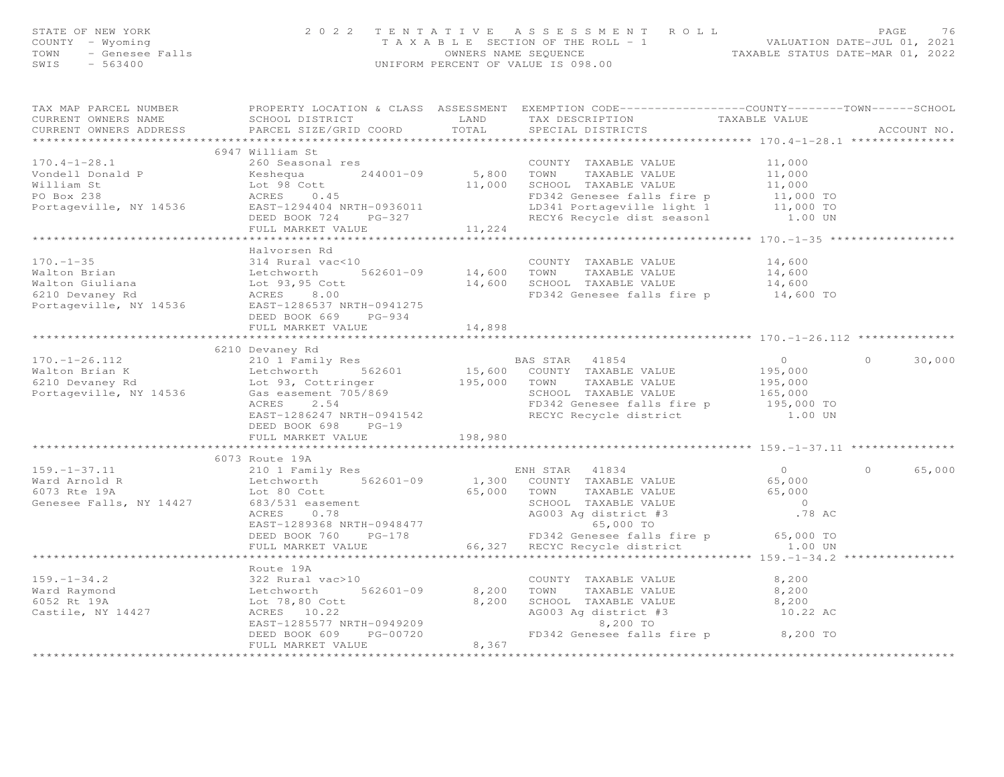| STATE OF NEW YORK<br>COUNTY<br>- Wyoming<br>- Genesee Falls<br>TOWN<br>$-563400$<br>SWIS | Falls Falls CWIFORM PERCENT OF VALUE IS 098.00                            |      | 2022 TENTATIVE ASSESSMENT ROLL<br>T A X A B L E SECTION OF THE ROLL - 1 VALUATION DATE-JUL 01, 2021<br>OWNERS NAME SEQUENCE TAXABLE STATUS DATE-MAR 01, 2022 |        | PAGE<br>76  |
|------------------------------------------------------------------------------------------|---------------------------------------------------------------------------|------|--------------------------------------------------------------------------------------------------------------------------------------------------------------|--------|-------------|
|                                                                                          | TAX MAP PARCEL NUMBER TROPERTY LOCATION & CLASS ASSESSMENT                |      | EXEMPTION CODE-----------------COUNTY-------TOWN------SCHOOL                                                                                                 |        |             |
| CURRENT OWNERS NAME                                                                      | SCHOOL DISTRICT                                                           | LAND | TAX DESCRIPTION TAXABLE VALUE                                                                                                                                |        |             |
|                                                                                          | CURRENT OWNERS ADDRESS 6 PARCEL SIZE/GRID COORD 6 TOTAL 5PECIAL DISTRICTS |      |                                                                                                                                                              |        | ACCOUNT NO. |
|                                                                                          |                                                                           |      |                                                                                                                                                              |        |             |
|                                                                                          | 6947 William St                                                           |      |                                                                                                                                                              |        |             |
| $170.4 - 1 - 28.1$                                                                       | 260 Seasonal res                                                          |      | COUNTY TAXABLE VALUE                                                                                                                                         | 11,000 |             |
|                                                                                          | Vondell Donald P $\overline{K}$ Reshequa $244001-09$ 5,800                |      | TOWN<br>TAXABLE VALUE                                                                                                                                        | 11,000 |             |
| William St                                                                               | Lot 98 Cott 11,000                                                        |      | SCHOOL TAXABLE VALUE 11,000                                                                                                                                  |        |             |
|                                                                                          |                                                                           |      | FD342 Genesee falls fire p 11,000 TO                                                                                                                         |        |             |
|                                                                                          | PO Box 238<br>Portageville, NY 14536<br>EAST-1294404 NRTH-0936011         |      | LD341 Portageville light 1 11,000 TO                                                                                                                         |        |             |
|                                                                                          | DEED BOOK 724 PG-327                                                      |      | RECY6 Recycle dist seasonl 1.00 UN                                                                                                                           |        |             |
|                                                                                          | FULL MARKET VALUE 11,224                                                  |      |                                                                                                                                                              |        |             |
|                                                                                          |                                                                           |      |                                                                                                                                                              |        |             |
|                                                                                          | Halvorsen Rd                                                              |      |                                                                                                                                                              |        |             |
| $170. -1 - 35$                                                                           | 314 Rural vac<10                                                          |      | COUNTY<br>TAXABLE VALUE                                                                                                                                      | 14,600 |             |
|                                                                                          | Walton Brian Charles Letchworth 562601-09 14,600                          |      | TOWN<br>TAXABLE VALUE                                                                                                                                        | 14,600 |             |
| Walton Giuliana                                                                          | $Lot$ 93,95 Cott $14,600$                                                 |      | SCHOOL TAXABLE VALUE                                                                                                                                         | 14,600 |             |
| 6210 Devaney Rd                                                                          | ACRES 8.00                                                                |      | FD342 Genesee falls fire p 14,600 TO                                                                                                                         |        |             |
| Portageville, NY 14536                                                                   | EAST-1286537 NRTH-0941275                                                 |      |                                                                                                                                                              |        |             |

FULL MARKET VALUE 14,898 \*\*\*\*\*\*\*\*\*\*\*\*\*\*\*\*\*\*\*\*\*\*\*\*\*\*\*\*\*\*\*\*\*\*\*\*\*\*\*\*\*\*\*\*\*\*\*\*\*\*\*\*\*\*\*\*\*\*\*\*\*\*\*\*\*\*\*\*\*\*\*\*\*\*\*\*\*\*\*\*\*\*\*\*\*\*\*\*\*\*\*\*\*\*\*\*\*\*\*\*\*\*\* 170.-1-26.112 \*\*\*\*\*\*\*\*\*\*\*\*\*\*

170.-1-26.112 210 1 Family Res BAS STAR 41854 0 0 30,000

\*\*\*\*\*\*\*\*\*\*\*\*\*\*\*\*\*\*\*\*\*\*\*\*\*\*\*\*\*\*\*\*\*\*\*\*\*\*\*\*\*\*\*\*\*\*\*\*\*\*\*\*\*\*\*\*\*\*\*\*\*\*\*\*\*\*\*\*\*\*\*\*\*\*\*\*\*\*\*\*\*\*\*\*\*\*\*\*\*\*\*\*\*\*\*\*\*\*\*\*\*\*\* 159.-1-37.11 \*\*\*\*\*\*\*\*\*\*\*\*\*\*\*

159.-1-37.11 210 1 Family Res ENH STAR 41834 0 0 65,000

\*\*\*\*\*\*\*\*\*\*\*\*\*\*\*\*\*\*\*\*\*\*\*\*\*\*\*\*\*\*\*\*\*\*\*\*\*\*\*\*\*\*\*\*\*\*\*\*\*\*\*\*\*\*\*\*\*\*\*\*\*\*\*\*\*\*\*\*\*\*\*\*\*\*\*\*\*\*\*\*\*\*\*\*\*\*\*\*\*\*\*\*\*\*\*\*\*\*\*\*\*\*\* 159.-1-34.2 \*\*\*\*\*\*\*\*\*\*\*\*\*\*\*\*

\*\*\*\*\*\*\*\*\*\*\*\*\*\*\*\*\*\*\*\*\*\*\*\*\*\*\*\*\*\*\*\*\*\*\*\*\*\*\*\*\*\*\*\*\*\*\*\*\*\*\*\*\*\*\*\*\*\*\*\*\*\*\*\*\*\*\*\*\*\*\*\*\*\*\*\*\*\*\*\*\*\*\*\*\*\*\*\*\*\*\*\*\*\*\*\*\*\*\*\*\*\*\*\*\*\*\*\*\*\*\*\*\*\*\*\*\*\*\*\*\*\*\*\*\*\*\*\*\*\*\*\*

8,200

8,200

Walton Brian K Letchworth 562601 15,600 COUNTY TAXABLE VALUE 195,000 6210 Devaney Rd Lot 93, Cottringer 195,000 TOWN TAXABLE VALUE 195,000 Portageville, NY 14536 Gas easement 705/869 SCHOOL TAXABLE VALUE 165,000 ACRES 2.54 FD342 Genesee falls fire p 195,000 TO EAST-1286247 NRTH-0941542 RECYC Recycle district 1.00 UN DEED BOOK 698 PG-19

Ward Arnold R Letchworth 562601-09 1,300 COUNTY TAXABLE VALUE 65,000 6073 Rte 19A Lot 80 Cott 65,000 TOWN TAXABLE VALUE 65,000 Genesee Falls, NY 14427 683/531 easement SCHOOL TAXABLE VALUE 0 ACRES 0.78 AG003 Ag district #3 .78 AC EAST-1289368 NRTH-0948477 65,000 TO DEED BOOK 760 PG-178 FD342 Genesee falls fire p 65,000 TO FULL MARKET VALUE 66,327 RECYC Recycle district 1.00 UN

159.-1-34.2 322 Rural vac>10 COUNTY TAXABLE VALUE 8,200

Ward Raymond Letchworth 562601-09 8,200 TOWN TAXABLE VALUE 8,200

6052 Rt 19A Lot 78,80 Cott 8,200 SCHOOL TAXABLE VALUE 8,200

Castile, NY 14427 ACRES 10.22 AG003 Ag district #3 10.22 AC EAST-1285577 NRTH-0949209 8,200 TO DEED BOOK 609 PG-00720 FD342 Genesee falls fire p 8,200 TO FULL MARKET VALUE 8,367

DEED BOOK 669 PG-934

FULL MARKET VALUE

6210 Devaney Rd

FULL MARKET VALUE 198,980

Route 19A

6073 Route 19A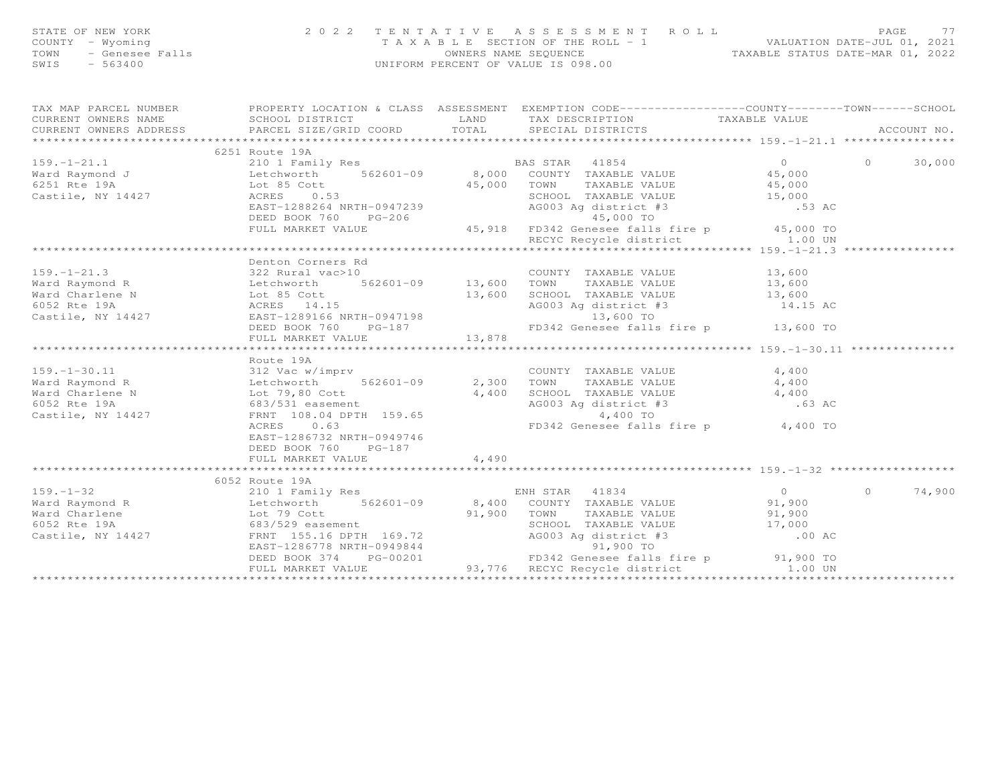| STATE OF NEW YORK<br>COUNTY - Wyoming<br>- Wyoming<br>- Genesee Falls<br>- 563400<br>TOWN<br>$-563400$<br>SWIS | 2 0 2 2<br>TENTATIVE                                                                                                                                                                                                                                                                                                                             |             | ASSESSMENT ROLL<br>T A X A B L E SECTION OF THE ROLL - 1 VALUATION DATE-JUL 01, 2021<br>OWNERS NAME SEQUENCE TAXABLE STATUS DATE-MAR 01, 2022<br>UNIFORM PERCENT OF VALUE IS 098.00                                                                                                                  |                                                            | PAGE<br>77               |
|----------------------------------------------------------------------------------------------------------------|--------------------------------------------------------------------------------------------------------------------------------------------------------------------------------------------------------------------------------------------------------------------------------------------------------------------------------------------------|-------------|------------------------------------------------------------------------------------------------------------------------------------------------------------------------------------------------------------------------------------------------------------------------------------------------------|------------------------------------------------------------|--------------------------|
| CURRENT OWNERS NAME<br>CURRENT OWNERS ADDRESS                                                                  | TAX MAP PARCEL NUMBER THE PROPERTY LOCATION & CLASS ASSESSMENT EXEMPTION CODE----------------COUNTY-------TOWN-----SCHOOL                                                                                                                                                                                                                        |             | TAX DESCRIPTION<br>SPECIAL DISTRICTS                                                                                                                                                                                                                                                                 | TAXABLE VALUE                                              | ACCOUNT NO.              |
|                                                                                                                | 6251 Route 19A                                                                                                                                                                                                                                                                                                                                   |             |                                                                                                                                                                                                                                                                                                      |                                                            |                          |
| $159. - 1 - 21.1$<br>Ward Raymond J<br>6251 Rte 19A<br>Castile, NY 14427                                       | 210 1 Family Res BAS STAR 41854<br>Letchworth 562601-09 8,000 COUNTY TAXABLE VALUE<br>Lot 85 Cott 45,000 TOWN TAXABLE VALUE<br>ACRES 0.53 SCHOOL TAXABLE VALUE<br>EAST-1288264 NRTH-0947239<br>DEED BOOK 760 PG-206<br>FULL MARKET VALUE                                                                                                         |             | AG003 Ag district #3<br>45 000 TO<br>$-206$<br>45,918 FD342 Genesee falls fire p 45,000 TO<br>RECYC Recycle district 1.00 UN<br>RECYC Recycle district 159.-1-21.3                                                                                                                                   | $\overline{0}$<br>45,000<br>$45,000$<br>$15,000$<br>.53 AC | $\circ$<br>30,000        |
|                                                                                                                |                                                                                                                                                                                                                                                                                                                                                  |             |                                                                                                                                                                                                                                                                                                      |                                                            |                          |
|                                                                                                                | Denton Corners Rd<br>159.-1-21.3<br>Ward Raymond R<br>Ward Charlene N<br>6052 Rte 19A<br>Castile, NY 14427<br>Castile, NY 14427<br>Castile, NY 14427<br>Castile, NY 14427<br>Castile, NY 14427<br>Castile, NY 14427<br>Castile, NY 14427<br>Castile, NY 14427<br>Castile, N<br>DEED BOOK 760 PG-187<br>FULL MARKET VALUE                         | 13,878      | COUNTY TAXABLE VALUE<br>TAXABLE VALUE<br>13,600 SCHOOL TAXABLE VALUE<br>AG003 Ag district #3<br>13,600 TO<br>FD342 Genesee falls fire p 13,600 TO                                                                                                                                                    | $13,600$<br>$13,600$<br>$13,600$<br>14.15 AC               |                          |
|                                                                                                                | Route 19A                                                                                                                                                                                                                                                                                                                                        |             |                                                                                                                                                                                                                                                                                                      |                                                            |                          |
|                                                                                                                | 159.–1–30.11<br>Ward Raymond R<br>Ward Charlene N<br>6052 Rte 19A<br>Castile, NY 14427<br>Castile, NY 14427<br>Castile, NY 14427<br>Castile, NY 14427<br>Castile, NY 14427<br>Castile, NY 14427<br>Castile, NY 14427<br>Castile, NY 14427<br>Castile,<br>562601-09 2,300 TOWN<br>ACRES 0.63<br>EAST-1286732 NRTH-0949746<br>DEED BOOK 760 PG-187 |             | COUNTY TAXABLE VALUE 4,400<br>2,300 TOWN TAXABLE VALUE 4,400<br>4,400 SCHOOL TAXABLE VALUE 4,400<br>AG003 Ag district #3<br>4,400 TO<br>FD342 Genesee falls fire p 4,400 TO                                                                                                                          | .63 AC                                                     |                          |
|                                                                                                                | FULL MARKET VALUE                                                                                                                                                                                                                                                                                                                                | 4,490       |                                                                                                                                                                                                                                                                                                      |                                                            |                          |
|                                                                                                                |                                                                                                                                                                                                                                                                                                                                                  |             |                                                                                                                                                                                                                                                                                                      |                                                            |                          |
| $159. - 1 - 32$                                                                                                | 6052 Route 19A<br>210 1 Family Res<br>Vard Raymond R<br>Ward Charlene Letchworth 562601-09<br>Ward Charlene Lot 79 Cott<br>6052 Rte 19A 683/529 easement<br>Castile, NY 14427 FRNT 155.16 DPTH 169.72                                                                                                                                            | 91,900 TOWN | ENH STAR 41834<br>562601-09 8,400 COUNTY TAXABLE VALUE<br>TAXABLE VALUE<br>SCHOOL TAXABLE VALUE 17,000<br>AG003 Ag district #3<br>01 900 TO<br>EAST-1286778 NRTH-0949844<br>DEED BOOK 374 PG-00201 FD342 Genesee falls fire p<br>FD342 Genesee falls fire p<br>93,776 RECYC Recycle district 1.00 UN | $\overline{0}$<br>91,900<br>91,900<br>.00 AC               | $\overline{0}$<br>74,900 |
|                                                                                                                |                                                                                                                                                                                                                                                                                                                                                  |             |                                                                                                                                                                                                                                                                                                      |                                                            |                          |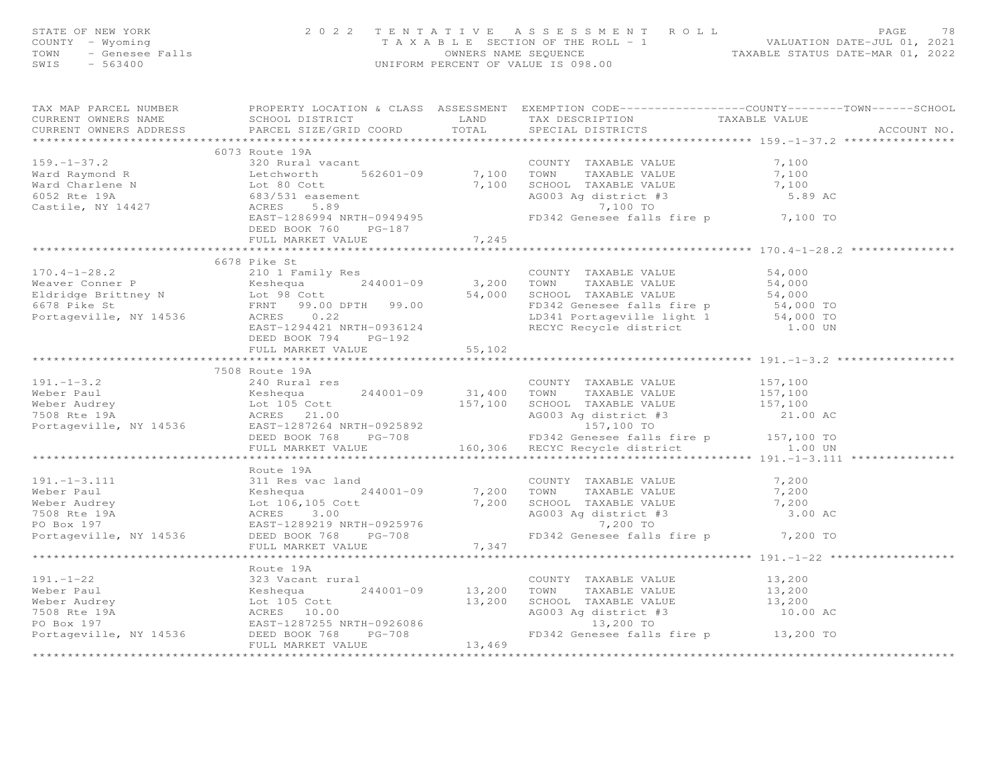| FAGE 78<br>COUNTY - Wyoming and the section of the ROLL - 1<br>TAXABLE SECTION OF THE ROLL - 1<br>TOWN - Genesee Falls COUNTY - Sensee Falls (2022)<br>SWIS - 563400<br>SWIS - 563400                                                                                                                                                                                                                                          |  |             |
|--------------------------------------------------------------------------------------------------------------------------------------------------------------------------------------------------------------------------------------------------------------------------------------------------------------------------------------------------------------------------------------------------------------------------------|--|-------------|
| TAX MAP PARCEL NUMBER THE PROPERTY LOCATION & CLASS ASSESSMENT EXEMPTION CODE----------------COUNTY-------TOWN-----SCHOOL<br>CURRENT OWNERS NAME<br>CURRENT OWNERS NAME SCHOOL DISTRICT LAND TAX DESCRIPTION TAXABLE VALUE<br>CURRENT OWNERS ADDRESS PARCEL SIZE/GRID COORD TOTAL SPECIAL DISTRICTS                                                                                                                            |  | ACCOUNT NO. |
|                                                                                                                                                                                                                                                                                                                                                                                                                                |  |             |
| 6073 Route 19A<br>320 Rural                                                                                                                                                                                                                                                                                                                                                                                                    |  |             |
|                                                                                                                                                                                                                                                                                                                                                                                                                                |  |             |
|                                                                                                                                                                                                                                                                                                                                                                                                                                |  |             |
|                                                                                                                                                                                                                                                                                                                                                                                                                                |  |             |
|                                                                                                                                                                                                                                                                                                                                                                                                                                |  |             |
| 159.-1-37.2<br>Ward Raymond R<br>Ward Charlene N<br>Ward Charlene N<br>Consider the S62601-09<br>Consider the S62601-09<br>Consider the S62601-09<br>Consider the S62601-09<br>Consider the S62601-09<br>Consider the S62601-09<br>Consider the S                                                                                                                                                                              |  |             |
|                                                                                                                                                                                                                                                                                                                                                                                                                                |  |             |
|                                                                                                                                                                                                                                                                                                                                                                                                                                |  |             |
| 6678 Pike St                                                                                                                                                                                                                                                                                                                                                                                                                   |  |             |
|                                                                                                                                                                                                                                                                                                                                                                                                                                |  |             |
|                                                                                                                                                                                                                                                                                                                                                                                                                                |  |             |
|                                                                                                                                                                                                                                                                                                                                                                                                                                |  |             |
|                                                                                                                                                                                                                                                                                                                                                                                                                                |  |             |
| $\begin{array}{cccccc} \text{170.4--1--28.2} & \text{6678 Pike St} & \text{COUNTY TAXABLE VALUE} & \text{54,000} \\ \text{Weaver Conner P} & \text{Keshequa} & 244001-09 & 3,200 TOWN & \text{TXABLE VALUE} & 54,000 \\ \text{Eldridge Eritney N} & \text{Lot 98 Cott} & 54,000 & \text{SCHOOL TAXABLE VALUE} & 54,000 \\ \text{6678 Pike St} & \text{Lot 98 Cott} & 54,000 & \text{SCHOOL TAXABLE VALUE} & 54,000 \\ \text{6$ |  |             |
| DEED BOOK 794 PG-192                                                                                                                                                                                                                                                                                                                                                                                                           |  |             |
| DEED BOOK 794 PG-192<br>FULL MARKET VALUE 55,102                                                                                                                                                                                                                                                                                                                                                                               |  |             |
| 191.-1-3.2<br>191.-1-3.2<br>191.-1-3.2<br>200 Rural res<br>Weber Paul<br>Example VALUE<br>200 Rural res<br>20001-09<br>204001-09<br>20001-09<br>31,400 TOWN TAXABLE VALUE<br>TAXABLE VALUE<br>157,100<br>TAXABLE VALUE<br>157,100<br>157,100<br>21.00 ACRES<br>2                                                                                                                                                               |  |             |
|                                                                                                                                                                                                                                                                                                                                                                                                                                |  |             |
|                                                                                                                                                                                                                                                                                                                                                                                                                                |  |             |
|                                                                                                                                                                                                                                                                                                                                                                                                                                |  |             |
|                                                                                                                                                                                                                                                                                                                                                                                                                                |  |             |
|                                                                                                                                                                                                                                                                                                                                                                                                                                |  |             |
|                                                                                                                                                                                                                                                                                                                                                                                                                                |  |             |
|                                                                                                                                                                                                                                                                                                                                                                                                                                |  |             |
|                                                                                                                                                                                                                                                                                                                                                                                                                                |  |             |
|                                                                                                                                                                                                                                                                                                                                                                                                                                |  |             |
|                                                                                                                                                                                                                                                                                                                                                                                                                                |  |             |
|                                                                                                                                                                                                                                                                                                                                                                                                                                |  |             |
|                                                                                                                                                                                                                                                                                                                                                                                                                                |  |             |
|                                                                                                                                                                                                                                                                                                                                                                                                                                |  |             |
|                                                                                                                                                                                                                                                                                                                                                                                                                                |  |             |
|                                                                                                                                                                                                                                                                                                                                                                                                                                |  |             |
|                                                                                                                                                                                                                                                                                                                                                                                                                                |  |             |
|                                                                                                                                                                                                                                                                                                                                                                                                                                |  |             |
|                                                                                                                                                                                                                                                                                                                                                                                                                                |  |             |
|                                                                                                                                                                                                                                                                                                                                                                                                                                |  |             |
|                                                                                                                                                                                                                                                                                                                                                                                                                                |  |             |
|                                                                                                                                                                                                                                                                                                                                                                                                                                |  |             |
|                                                                                                                                                                                                                                                                                                                                                                                                                                |  |             |
|                                                                                                                                                                                                                                                                                                                                                                                                                                |  |             |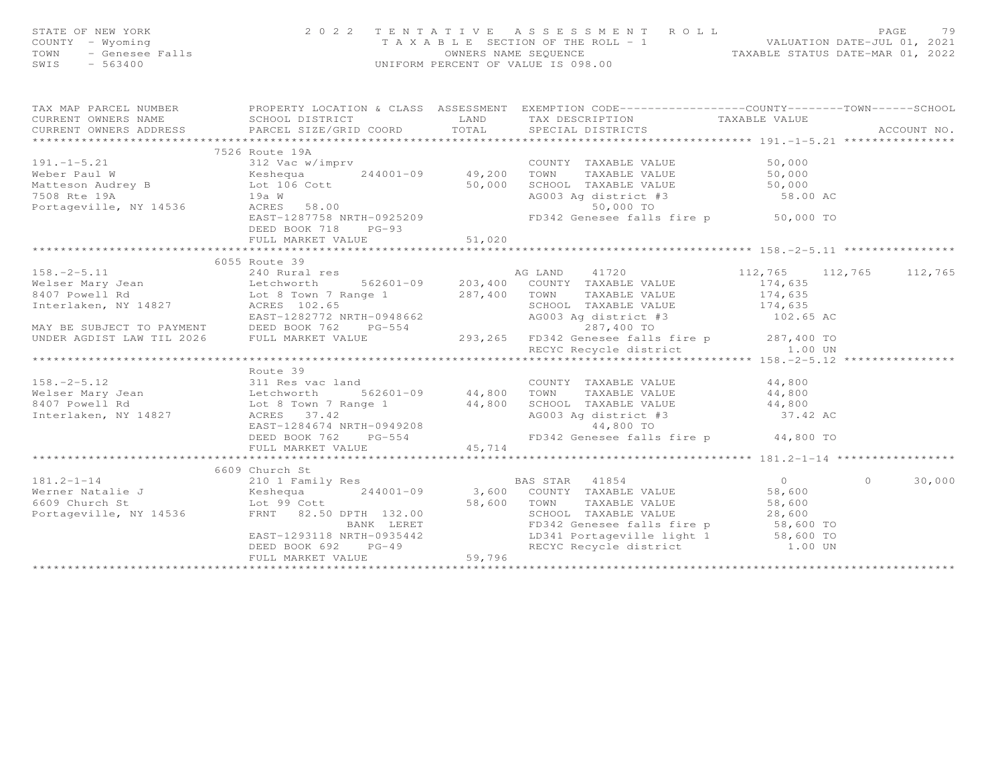| STATE OF NEW YORK<br>COUNTY - Wyoming<br>TOWN - Genesee Falls<br>SWIS - 563400                                                                                                                                                                                                                                                                                                  |                     |                                                    | 2 0 2 2 TENTATIVE ASSESSMENT ROLL PAGE 79<br>TAXABLE SECTION OF THE ROLL - 1 VALUATION DATE-JUL 01, 2021<br>OWNERS NAME SEQUENCE TAXABLE STATUS DATE-MAR 01, 2022<br>UNIFORM PERCENT OF VALUE IS 098.00 |        |
|---------------------------------------------------------------------------------------------------------------------------------------------------------------------------------------------------------------------------------------------------------------------------------------------------------------------------------------------------------------------------------|---------------------|----------------------------------------------------|---------------------------------------------------------------------------------------------------------------------------------------------------------------------------------------------------------|--------|
| TAX MAP PARCEL NUMBER FOROPERTY LOCATION & CLASS ASSESSMENT EXEMPTION CODE----------------COUNTY-------TOWN-----SCHOOL                                                                                                                                                                                                                                                          |                     |                                                    |                                                                                                                                                                                                         |        |
|                                                                                                                                                                                                                                                                                                                                                                                 |                     |                                                    |                                                                                                                                                                                                         |        |
|                                                                                                                                                                                                                                                                                                                                                                                 | 7526 Route 19A      |                                                    |                                                                                                                                                                                                         |        |
|                                                                                                                                                                                                                                                                                                                                                                                 |                     |                                                    |                                                                                                                                                                                                         |        |
|                                                                                                                                                                                                                                                                                                                                                                                 |                     |                                                    |                                                                                                                                                                                                         |        |
|                                                                                                                                                                                                                                                                                                                                                                                 |                     |                                                    |                                                                                                                                                                                                         |        |
|                                                                                                                                                                                                                                                                                                                                                                                 |                     |                                                    |                                                                                                                                                                                                         |        |
|                                                                                                                                                                                                                                                                                                                                                                                 |                     |                                                    |                                                                                                                                                                                                         |        |
| 191.-1-5.21<br>Weber Paul W 312 Vac w/imprv<br>Meteson Audrey B Keshequa and the Cott of Cott of Cott of Matteson Audrey B 194<br>Matteson Audrey B 194 W 19536<br>T508 Rte 19A 194 W 19536<br>Portageville, NY 14536 ACRES 58.00<br>EAST-                                                                                                                                      | DEED BOOK 718 PG-93 |                                                    |                                                                                                                                                                                                         |        |
|                                                                                                                                                                                                                                                                                                                                                                                 | FULL MARKET VALUE   | - <sub>53</sub><br>51,020<br>********************* |                                                                                                                                                                                                         |        |
|                                                                                                                                                                                                                                                                                                                                                                                 |                     |                                                    |                                                                                                                                                                                                         |        |
|                                                                                                                                                                                                                                                                                                                                                                                 | 6055 Route 39       |                                                    |                                                                                                                                                                                                         |        |
|                                                                                                                                                                                                                                                                                                                                                                                 |                     |                                                    |                                                                                                                                                                                                         |        |
|                                                                                                                                                                                                                                                                                                                                                                                 |                     |                                                    |                                                                                                                                                                                                         |        |
|                                                                                                                                                                                                                                                                                                                                                                                 |                     |                                                    |                                                                                                                                                                                                         |        |
|                                                                                                                                                                                                                                                                                                                                                                                 |                     |                                                    |                                                                                                                                                                                                         |        |
|                                                                                                                                                                                                                                                                                                                                                                                 |                     |                                                    |                                                                                                                                                                                                         |        |
|                                                                                                                                                                                                                                                                                                                                                                                 |                     |                                                    |                                                                                                                                                                                                         |        |
| $\begin{tabular}{lllllllllllll} 158.-2-5.11 & 6055 \mbox{\textit{Rou}} & 112,765 & 112,765 & 112,765 & 112,765 \\ \hline \texttt{Welser Mary Jean} & 140 \mbox{\textit{New}} & 140 \mbox{\textit{New}} & 140 \mbox{\textit{New}} & 140 \mbox{\textit{New}} & 140 \mbox{\textit{New}} \\ \hline \texttt{Melser Mary Jean} & 14827 & 14827 & 14827 & 14827 & 14827 & 14827 \\ \h$ |                     |                                                    |                                                                                                                                                                                                         |        |
|                                                                                                                                                                                                                                                                                                                                                                                 |                     |                                                    |                                                                                                                                                                                                         |        |
|                                                                                                                                                                                                                                                                                                                                                                                 | Route 39            |                                                    |                                                                                                                                                                                                         |        |
|                                                                                                                                                                                                                                                                                                                                                                                 |                     |                                                    |                                                                                                                                                                                                         |        |
|                                                                                                                                                                                                                                                                                                                                                                                 |                     |                                                    |                                                                                                                                                                                                         |        |
|                                                                                                                                                                                                                                                                                                                                                                                 |                     |                                                    |                                                                                                                                                                                                         |        |
| Route 39<br>Route 39<br>Melser Mary Jean 1912 Res vac land<br>Melser Mary Jean 1912 Res vac land<br>1927 ACRES 37.42<br>EAST-12<br>Interlaken, NY 14827 ACRES 37.42<br>EAST-12<br>EAST-12<br>EAST-12<br>EAST-12<br>EAST-12<br>EAST-12<br>EAST-12<br>EAST-1                                                                                                                      |                     |                                                    |                                                                                                                                                                                                         |        |
|                                                                                                                                                                                                                                                                                                                                                                                 |                     |                                                    |                                                                                                                                                                                                         |        |
|                                                                                                                                                                                                                                                                                                                                                                                 |                     |                                                    |                                                                                                                                                                                                         |        |
|                                                                                                                                                                                                                                                                                                                                                                                 |                     |                                                    |                                                                                                                                                                                                         |        |
|                                                                                                                                                                                                                                                                                                                                                                                 |                     |                                                    |                                                                                                                                                                                                         |        |
|                                                                                                                                                                                                                                                                                                                                                                                 |                     |                                                    |                                                                                                                                                                                                         | 30,000 |
|                                                                                                                                                                                                                                                                                                                                                                                 |                     |                                                    |                                                                                                                                                                                                         |        |
|                                                                                                                                                                                                                                                                                                                                                                                 |                     |                                                    |                                                                                                                                                                                                         |        |
|                                                                                                                                                                                                                                                                                                                                                                                 |                     |                                                    |                                                                                                                                                                                                         |        |
|                                                                                                                                                                                                                                                                                                                                                                                 |                     |                                                    |                                                                                                                                                                                                         |        |
|                                                                                                                                                                                                                                                                                                                                                                                 |                     |                                                    |                                                                                                                                                                                                         |        |
|                                                                                                                                                                                                                                                                                                                                                                                 |                     |                                                    |                                                                                                                                                                                                         |        |
|                                                                                                                                                                                                                                                                                                                                                                                 |                     |                                                    |                                                                                                                                                                                                         |        |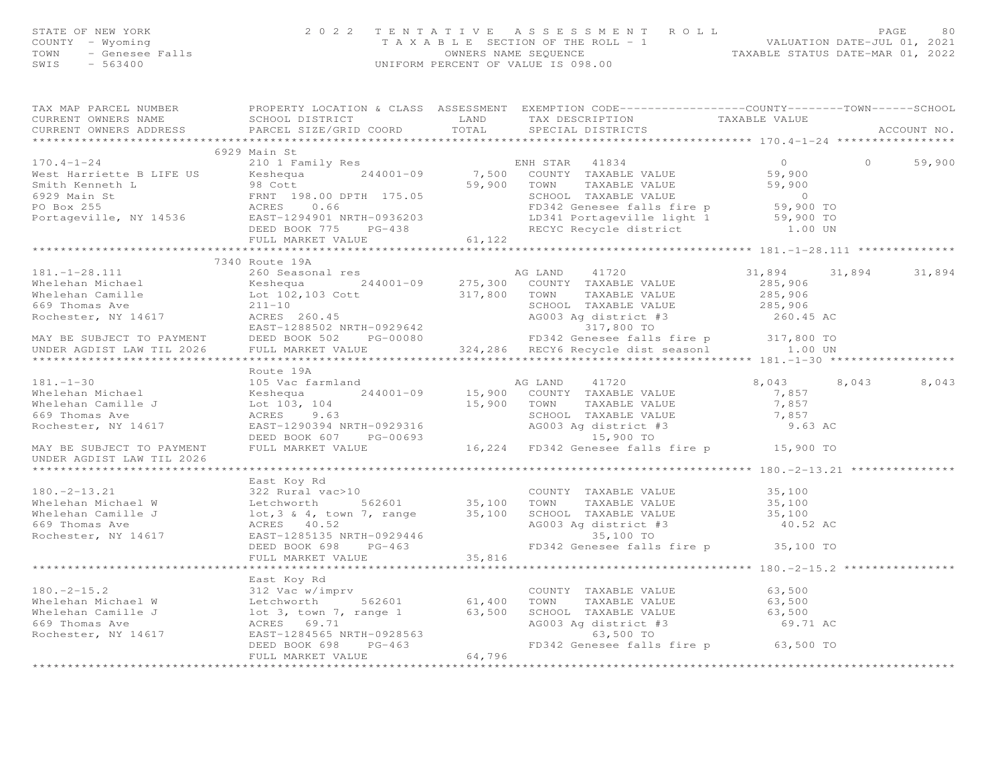|                           | FAGE 80 2 3 3 3 3 4 5 5 6 6 6 7 2 4 4 5 6 7 2 4 5 6 7 2 4 5 6 7 2 4 5 6 7 2 4 5 6 7 2 3 4 5 7 2 3 4 6 7 2 3 4 5 7 2 4 5 6 7 2 3 4 5 7 2 3 4 6 7 2 3 4 6 7 2 3 4 7 2 3 4 6 7 2 3 4 7 2 3 4 5 5 7 2 3 4 5 5 7 2 3 4 5 7 2 3 4 5                               |  |  |  |
|---------------------------|-------------------------------------------------------------------------------------------------------------------------------------------------------------------------------------------------------------------------------------------------------------|--|--|--|
|                           |                                                                                                                                                                                                                                                             |  |  |  |
|                           |                                                                                                                                                                                                                                                             |  |  |  |
|                           |                                                                                                                                                                                                                                                             |  |  |  |
|                           |                                                                                                                                                                                                                                                             |  |  |  |
|                           |                                                                                                                                                                                                                                                             |  |  |  |
|                           | 6929 Main St                                                                                                                                                                                                                                                |  |  |  |
|                           |                                                                                                                                                                                                                                                             |  |  |  |
|                           |                                                                                                                                                                                                                                                             |  |  |  |
|                           |                                                                                                                                                                                                                                                             |  |  |  |
|                           |                                                                                                                                                                                                                                                             |  |  |  |
|                           |                                                                                                                                                                                                                                                             |  |  |  |
|                           |                                                                                                                                                                                                                                                             |  |  |  |
|                           |                                                                                                                                                                                                                                                             |  |  |  |
|                           | 170.4-1-24<br>West Harriette BLIFE US<br>Mest Harriette BLIFE US<br>Smith Kenneth L<br>SMISS SERIE ALUE<br>SMISS SERIE VALUE<br>SP.900<br>SMISS SERIE VALUE<br>SP.900<br>TO BOX 255<br>POTA 255<br>POTA 255<br>POTA 255<br>POTA 255<br>POTA 25, 900 TO<br>E |  |  |  |
|                           |                                                                                                                                                                                                                                                             |  |  |  |
|                           | 7340 Route 19A                                                                                                                                                                                                                                              |  |  |  |
|                           |                                                                                                                                                                                                                                                             |  |  |  |
|                           |                                                                                                                                                                                                                                                             |  |  |  |
|                           |                                                                                                                                                                                                                                                             |  |  |  |
|                           |                                                                                                                                                                                                                                                             |  |  |  |
|                           |                                                                                                                                                                                                                                                             |  |  |  |
|                           |                                                                                                                                                                                                                                                             |  |  |  |
|                           |                                                                                                                                                                                                                                                             |  |  |  |
|                           |                                                                                                                                                                                                                                                             |  |  |  |
|                           |                                                                                                                                                                                                                                                             |  |  |  |
|                           | 181.-1-30<br>24001-09<br>24001-09<br>24001-09<br>24001-09<br>25,900 CONNTY TAXABLE VALUE<br>24001-09<br>25,900 CONNTY TAXABLE VALUE<br>25,900 CONNTY TAXABLE VALUE<br>25,900 TOWN TAXABLE VALUE<br>25,900 TOWN TAXABLE VALUE<br>25,900 TOWN TAXABLE         |  |  |  |
|                           |                                                                                                                                                                                                                                                             |  |  |  |
|                           |                                                                                                                                                                                                                                                             |  |  |  |
|                           |                                                                                                                                                                                                                                                             |  |  |  |
|                           |                                                                                                                                                                                                                                                             |  |  |  |
|                           |                                                                                                                                                                                                                                                             |  |  |  |
|                           |                                                                                                                                                                                                                                                             |  |  |  |
|                           |                                                                                                                                                                                                                                                             |  |  |  |
| UNDER AGDIST LAW TIL 2026 |                                                                                                                                                                                                                                                             |  |  |  |
|                           |                                                                                                                                                                                                                                                             |  |  |  |
|                           |                                                                                                                                                                                                                                                             |  |  |  |
|                           |                                                                                                                                                                                                                                                             |  |  |  |
|                           |                                                                                                                                                                                                                                                             |  |  |  |
|                           |                                                                                                                                                                                                                                                             |  |  |  |
|                           |                                                                                                                                                                                                                                                             |  |  |  |
|                           |                                                                                                                                                                                                                                                             |  |  |  |
|                           |                                                                                                                                                                                                                                                             |  |  |  |
|                           |                                                                                                                                                                                                                                                             |  |  |  |
|                           |                                                                                                                                                                                                                                                             |  |  |  |
|                           |                                                                                                                                                                                                                                                             |  |  |  |
|                           |                                                                                                                                                                                                                                                             |  |  |  |
|                           |                                                                                                                                                                                                                                                             |  |  |  |
|                           |                                                                                                                                                                                                                                                             |  |  |  |
|                           |                                                                                                                                                                                                                                                             |  |  |  |
|                           |                                                                                                                                                                                                                                                             |  |  |  |
|                           |                                                                                                                                                                                                                                                             |  |  |  |
|                           |                                                                                                                                                                                                                                                             |  |  |  |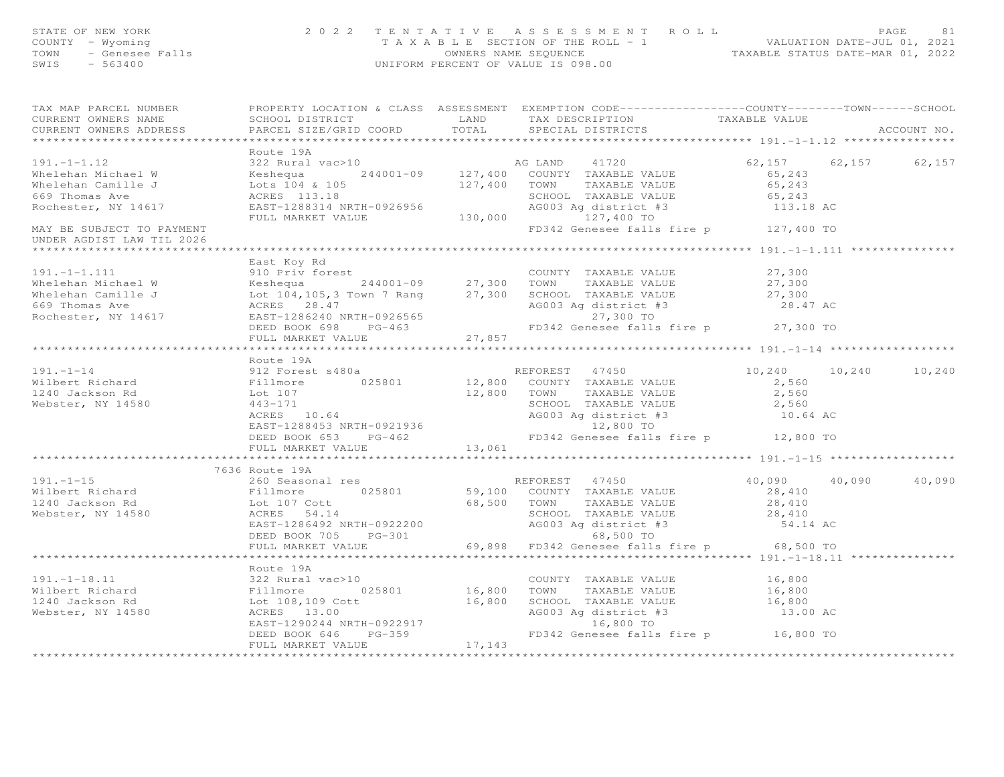| STATE OF NEW YORK 2022 TENTATIVE ASSESSMENT ROLL PAGE 81<br>COUNTY - Wyoming 2022 TENTATIVE ASSESSMENT ROLL -1<br>TAXABLE SECTION OF THE ROLL -1<br>OWNERS NAME SEQUENCE TAXABLE STATUS DATE-MAR 01, 2022<br>SWIS - 563400<br>SWIS - 563                                                                                                                                                                                           |                |                                                                                                  |                               |             |
|------------------------------------------------------------------------------------------------------------------------------------------------------------------------------------------------------------------------------------------------------------------------------------------------------------------------------------------------------------------------------------------------------------------------------------|----------------|--------------------------------------------------------------------------------------------------|-------------------------------|-------------|
| TAX MAP PARCEL NUMBER<br>CURRENT OWNERS NAME<br>CURRENT OWNERS ADDRESS                                                                                                                                                                                                                                                                                                                                                             |                | PROPERTY LOCATION & CLASS ASSESSMENT EXEMPTION CODE----------------COUNTY-------TOWN------SCHOOL |                               | ACCOUNT NO. |
|                                                                                                                                                                                                                                                                                                                                                                                                                                    |                |                                                                                                  |                               |             |
| 191.-1-1.12<br>Whelehan Michael W 322 Rural vac>10<br>Whelehan Camille J 244001-09 127,400 COUNTY TAXABLE VALUE<br>Whelehan Camille J Lots 104 & 105<br>Rochester, NY 14617 EAST-1288314 NRTH-0926956 50243<br>Rochester, NY 14617 EAST                                                                                                                                                                                            | Route 19A      |                                                                                                  |                               |             |
| UNDER AGDIST LAW TIL 2026                                                                                                                                                                                                                                                                                                                                                                                                          |                |                                                                                                  |                               |             |
| 191.-1-1.111 $\begin{array}{l} \text{LasC NOy KA} \\ \text{Nhelehan Michael W} \\ \text{Whelehan Camille J} \\ \text{Whelehan Camille J} \\ \text{Nhelehan Camille J} \\ \text{Kebshen Camille J} \\ \text{Kebshen Camil: J} \\ \text{Rochester, NY 14617} \\ \text{Rochester, NY 14617} \\ \text{Rohester, NY 14617} \\ \text{Lot 104,105,3 Town 7 Rang} \\ \text{RCFES} \\ \text{RCFES} \\ \text{RST-1286240 NRTH-0926565} \\ \$ | East Koy Rd    |                                                                                                  |                               |             |
|                                                                                                                                                                                                                                                                                                                                                                                                                                    | Route 19A      |                                                                                                  |                               |             |
|                                                                                                                                                                                                                                                                                                                                                                                                                                    |                |                                                                                                  | $10, 240$ $10, 240$ $10, 240$ |             |
|                                                                                                                                                                                                                                                                                                                                                                                                                                    | 7636 Route 19A |                                                                                                  |                               |             |
|                                                                                                                                                                                                                                                                                                                                                                                                                                    |                |                                                                                                  | 40,090 40,090 40,090          |             |
|                                                                                                                                                                                                                                                                                                                                                                                                                                    |                |                                                                                                  |                               |             |
|                                                                                                                                                                                                                                                                                                                                                                                                                                    |                |                                                                                                  |                               |             |
|                                                                                                                                                                                                                                                                                                                                                                                                                                    |                |                                                                                                  |                               |             |
|                                                                                                                                                                                                                                                                                                                                                                                                                                    |                |                                                                                                  |                               |             |

\*\*\*\*\*\*\*\*\*\*\*\*\*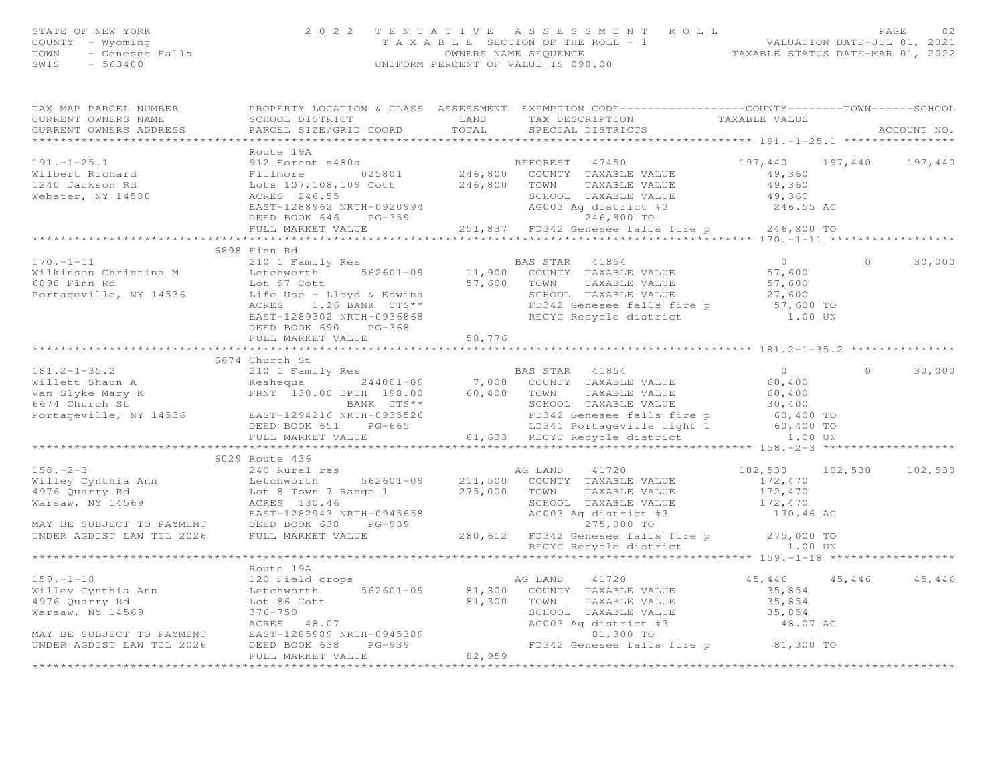|                                                                                                                                                                                                                                                    | 2 0 2 2                           |        |                                                                                                                                                                  |                                            |        |               |
|----------------------------------------------------------------------------------------------------------------------------------------------------------------------------------------------------------------------------------------------------|-----------------------------------|--------|------------------------------------------------------------------------------------------------------------------------------------------------------------------|--------------------------------------------|--------|---------------|
|                                                                                                                                                                                                                                                    |                                   |        |                                                                                                                                                                  |                                            |        |               |
|                                                                                                                                                                                                                                                    |                                   |        |                                                                                                                                                                  |                                            |        |               |
| STATE OF NEW YORK<br>COUNTY - Wyoming<br>TOWN - Genesee Falls<br>SWIS - 563400                                                                                                                                                                     |                                   |        | TENTATIVE ASSESSMENT ROLL<br>TAXABLE SECTION OF THE ROLL - 1<br>OWNERS NAME SEQUENCE<br>UNIFORM PERCENT OF VALUE IS 098.00<br>UNIFORM PERCENT OF VALUE IS 098.00 |                                            |        |               |
|                                                                                                                                                                                                                                                    |                                   |        |                                                                                                                                                                  |                                            |        |               |
| TAX MAP PARCEL NUMBER                                                                                                                                                                                                                              |                                   |        | PROPERTY LOCATION & CLASS ASSESSMENT EXEMPTION CODE-----------------COUNTY-------TOWN------SCHOOL                                                                |                                            |        |               |
| CURRENT OWNERS NAME                                                                                                                                                                                                                                | SCHOOL DISTRICT LAND              |        | TAX DESCRIPTION TAXABLE VALUE                                                                                                                                    |                                            |        |               |
| CURRENT OWNERS ADDRESS                                                                                                                                                                                                                             | PARCEL SIZE/GRID COORD            | TOTAL  | SPECIAL DISTRICTS                                                                                                                                                |                                            |        | ACCOUNT NO.   |
|                                                                                                                                                                                                                                                    | ********************************* |        |                                                                                                                                                                  | ******************** 191.-1-25.1 ********* |        |               |
|                                                                                                                                                                                                                                                    | Route 19A                         |        |                                                                                                                                                                  |                                            |        |               |
|                                                                                                                                                                                                                                                    |                                   |        |                                                                                                                                                                  | 197,440 197,440 197,440                    |        |               |
|                                                                                                                                                                                                                                                    |                                   |        |                                                                                                                                                                  |                                            |        |               |
|                                                                                                                                                                                                                                                    |                                   |        |                                                                                                                                                                  |                                            |        |               |
|                                                                                                                                                                                                                                                    |                                   |        |                                                                                                                                                                  |                                            |        |               |
|                                                                                                                                                                                                                                                    |                                   |        |                                                                                                                                                                  |                                            |        |               |
|                                                                                                                                                                                                                                                    |                                   |        |                                                                                                                                                                  |                                            |        |               |
|                                                                                                                                                                                                                                                    |                                   |        |                                                                                                                                                                  |                                            |        |               |
| 191.-1-25.1<br>Wilbert Richard Pillmore 1.6 205801 REFOREST 47450 197,440 197<br>Milbert Richard Fillmore 025801 246,800 COUNTY TAXABLE VALUE 49,360<br>TOWN TAXABLE VALUE 49,360<br>Webster, NY 14580 ACRES 246.55 SCHOOL TAXABLE VA              |                                   |        |                                                                                                                                                                  |                                            |        |               |
|                                                                                                                                                                                                                                                    | 6898 Finn Rd                      |        |                                                                                                                                                                  |                                            |        |               |
| $170. - 1 - 11$                                                                                                                                                                                                                                    | 210 1 Family Res                  |        | <b>BAS STAR</b> 41854                                                                                                                                            | $\overline{0}$                             | $\cap$ | 30,000        |
|                                                                                                                                                                                                                                                    |                                   |        |                                                                                                                                                                  |                                            |        |               |
|                                                                                                                                                                                                                                                    |                                   |        |                                                                                                                                                                  |                                            |        |               |
| 170.-1-11 210 1 Family Res<br>Wilkinson Christina M Letchworth 562601-09 11,900 COUNTY TAXABLE VALUE 57,600<br>6898 Finn Rd Lot 97 Cott 57,600 TOWN TAXABLE VALUE 57,600 57,600<br>Portageville, NY 14536 Life Use - Lloyd & Edwina                |                                   |        |                                                                                                                                                                  |                                            |        |               |
|                                                                                                                                                                                                                                                    |                                   |        |                                                                                                                                                                  |                                            |        |               |
|                                                                                                                                                                                                                                                    |                                   |        |                                                                                                                                                                  |                                            |        |               |
|                                                                                                                                                                                                                                                    |                                   |        |                                                                                                                                                                  |                                            |        |               |
|                                                                                                                                                                                                                                                    | DEED BOOK 690 PG-368              |        |                                                                                                                                                                  |                                            |        |               |
|                                                                                                                                                                                                                                                    | FULL MARKET VALUE                 | 58,776 |                                                                                                                                                                  |                                            |        |               |
|                                                                                                                                                                                                                                                    |                                   |        |                                                                                                                                                                  |                                            |        |               |
| 181.2-1-35.2<br>Willett Shaun A<br>Wan Slyke Mary K<br>ERNT 130.00 DPTH 198.00<br>ERNT 130.00 DPTH 198.00<br>ERNT 130.00 DPTH 198.00<br>ERNE CTS**<br>ERNT 130.00 DPTH 198.00<br>ERS STAR 41854<br>TAXABLE VALUE<br>SCHOOL TAXABLE VALUE<br>SCHOOL | 6674 Church St                    |        |                                                                                                                                                                  |                                            |        |               |
|                                                                                                                                                                                                                                                    |                                   |        |                                                                                                                                                                  |                                            |        | $0 \t 30,000$ |
|                                                                                                                                                                                                                                                    |                                   |        |                                                                                                                                                                  |                                            |        |               |
|                                                                                                                                                                                                                                                    |                                   |        |                                                                                                                                                                  |                                            |        |               |
|                                                                                                                                                                                                                                                    |                                   |        |                                                                                                                                                                  |                                            |        |               |
|                                                                                                                                                                                                                                                    |                                   |        |                                                                                                                                                                  |                                            |        |               |
|                                                                                                                                                                                                                                                    |                                   |        |                                                                                                                                                                  |                                            |        |               |
|                                                                                                                                                                                                                                                    |                                   |        |                                                                                                                                                                  |                                            |        |               |
|                                                                                                                                                                                                                                                    |                                   |        |                                                                                                                                                                  |                                            |        |               |
|                                                                                                                                                                                                                                                    | 6029 Route 436                    |        |                                                                                                                                                                  |                                            |        |               |
|                                                                                                                                                                                                                                                    |                                   |        |                                                                                                                                                                  | 102,530 102,530 102,530                    |        |               |
|                                                                                                                                                                                                                                                    |                                   |        |                                                                                                                                                                  | 172,470                                    |        |               |
|                                                                                                                                                                                                                                                    |                                   |        |                                                                                                                                                                  |                                            |        |               |
|                                                                                                                                                                                                                                                    |                                   |        |                                                                                                                                                                  |                                            |        |               |
|                                                                                                                                                                                                                                                    |                                   |        |                                                                                                                                                                  |                                            |        |               |
|                                                                                                                                                                                                                                                    |                                   |        |                                                                                                                                                                  |                                            |        |               |
|                                                                                                                                                                                                                                                    |                                   |        | 1, IAXABLE VALUE<br>SCHOOL TAXABLE VALUE<br>AG003 Ag district #3<br>275,000 TO<br>FD342 Genesee falle fi<br>280,612 FD342 Genesee falls fire p 275,000 TO        |                                            |        |               |
|                                                                                                                                                                                                                                                    |                                   |        | RECYC Recycle district 1.00 UN                                                                                                                                   |                                            |        |               |
|                                                                                                                                                                                                                                                    |                                   |        |                                                                                                                                                                  |                                            |        |               |
|                                                                                                                                                                                                                                                    | Route 19A                         |        |                                                                                                                                                                  |                                            |        |               |
|                                                                                                                                                                                                                                                    |                                   |        |                                                                                                                                                                  | 45,446                                     |        | 45,446 45,446 |
|                                                                                                                                                                                                                                                    |                                   |        |                                                                                                                                                                  | 35,854                                     |        |               |
|                                                                                                                                                                                                                                                    |                                   |        |                                                                                                                                                                  | 35,854                                     |        |               |
|                                                                                                                                                                                                                                                    |                                   |        |                                                                                                                                                                  | 35,854                                     |        |               |
|                                                                                                                                                                                                                                                    |                                   |        | SCHOOL TAXABLE VALUE<br>AG003 Ag district #3                                                                                                                     | 48.07 AC                                   |        |               |
|                                                                                                                                                                                                                                                    |                                   |        |                                                                                                                                                                  |                                            |        |               |
| 159.-1-18<br>Willey Cynthia Ann 120 Feld crops<br>Willey Cynthia Ann Letchworth 562601-09<br>4976 Quarry Rd Lot 86 Cott<br>Marsaw, NY 14569 376-750<br>MAY BE SUBJECT TO PAYMENT EAST-1285989 NRTH-0945389<br>UNDER AGDIST LAW TIL 2026 DE         |                                   |        | FD342 Genesee falls fire p 81,300 TO                                                                                                                             |                                            |        |               |
|                                                                                                                                                                                                                                                    | FULL MARKET VALUE                 | 82,959 |                                                                                                                                                                  |                                            |        |               |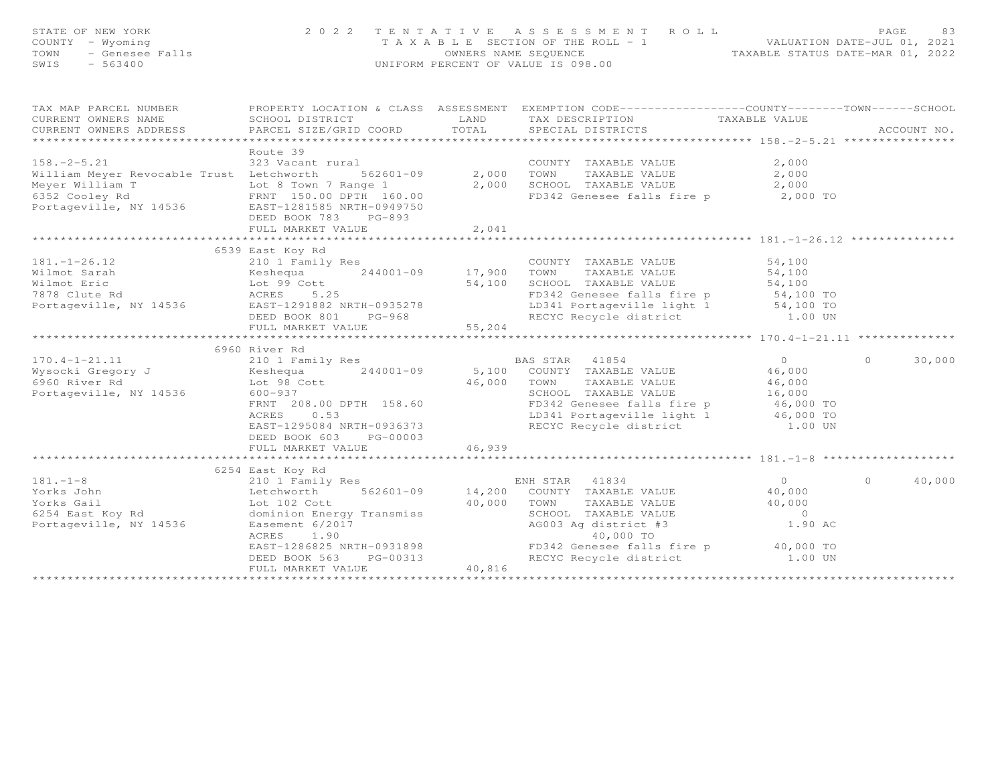| STATE OF NEW YORK<br>P NEW YORK<br>- Wyoming<br>- Genesee Falls<br>- Codeo<br>COUNTY - Wyoming<br>TOWN<br>SWIS<br>$-563400$                                                                                                                                                                                                                                                                                                                                 | 2022 TENTATIVE                                                                                                                                                                                                                                                                                                                                                                                                                                                                                                       |                                      | A S S E S S M E N T R O L L<br>T A X A B L E SECTION OF THE ROLL - 1 WALUATION DATE-JUL 01, 2021<br>OWNERS NAME SEQUENCE TAXABLE STATUS DATE-MAR 01, 2022<br>UNIFORM PERCENT OF VALUE IS 098.00                                                   |                                                                                       | PAGE<br>83         |
|-------------------------------------------------------------------------------------------------------------------------------------------------------------------------------------------------------------------------------------------------------------------------------------------------------------------------------------------------------------------------------------------------------------------------------------------------------------|----------------------------------------------------------------------------------------------------------------------------------------------------------------------------------------------------------------------------------------------------------------------------------------------------------------------------------------------------------------------------------------------------------------------------------------------------------------------------------------------------------------------|--------------------------------------|---------------------------------------------------------------------------------------------------------------------------------------------------------------------------------------------------------------------------------------------------|---------------------------------------------------------------------------------------|--------------------|
| TAX MAP PARCEL NUMBER<br>CURRENT OWNERS NAME<br>CURRENT OWNERS ADDRESS<br>**************************                                                                                                                                                                                                                                                                                                                                                        | SCHOOL DISTRICT<br>PARCEL SIZE/GRID COORD                                                                                                                                                                                                                                                                                                                                                                                                                                                                            | LAND<br>TOTAL                        | PROPERTY LOCATION & CLASS ASSESSMENT EXEMPTION CODE----------------COUNTY-------TOWN------SCHOOL<br>TAX DESCRIPTION<br>SPECIAL DISTRICTS                                                                                                          | TAXABLE VALUE                                                                         | ACCOUNT NO.        |
| $158. - 2 - 5.21$<br>William Meyer Revocable Trust Letchworth<br>Meyer William T Lot 8 Town 7 Range 1<br>6352 Cooley Rd FRNT 150.00 DPTH 160.00<br>Portageville, NY 14536 EAST-1281585 NRTH-0949750                                                                                                                                                                                                                                                         | Route 39<br>Lural<br>562601-09 2,000<br>323 Vacant rural<br>DEED BOOK 783 PG-893<br>FULL MARKET VALUE<br>*********************************                                                                                                                                                                                                                                                                                                                                                                           | 2,041                                | COUNTY TAXABLE VALUE<br>2,000 TOWN<br>TAXABLE VALUE<br>2,000 SCHOOL TAXABLE VALUE<br>FD342 Genesee falls fire p 2,000 TO                                                                                                                          | 2,000<br>2,000<br>2,000                                                               |                    |
|                                                                                                                                                                                                                                                                                                                                                                                                                                                             |                                                                                                                                                                                                                                                                                                                                                                                                                                                                                                                      |                                      |                                                                                                                                                                                                                                                   |                                                                                       |                    |
| $181. - 1 - 26.12$<br>Wilmot Sarah<br>Wilmot Eric<br>7878 Clute Rd<br>Portageville, NY 14536<br>$170.4 - 1 - 21.11$<br>170.4-1-21.11 $\angle$ 10 $\angle$ 10 $\angle$ 10 $\angle$ 10 $\angle$ 10 $\angle$ 14001-09 $\angle$ 5,100 $\angle$ 00NTY TAXABLE VALUE<br>16960 River Rd Example 16960 River Rd Example 16.000 $\angle$ 16.000 $\angle$ 16.000 $\angle$ 16.000 $\angle$ 16.000 $\angle$ 16.000 $\angle$ 16.000 $\angle$ 1<br>Portageville, NY 14536 | 6539 East Koy Rd<br>210 1 Family Res<br>Expanding the Media of the Media of the Magnetic Section of the Magnetic Section 1990<br>Magnetic Section of the Magnetic Section 19935278<br>Magnetic Magnetic Section 19935278<br>Magnetic Section 19935278<br>DEED BOOK 801<br>$PG-968$<br>FULL MARKET VALUE<br>**************************<br>6960 River Rd<br>210 1 Family Res<br>$600 - 937$<br>FRNT 208.00 DPTH 158.60<br>0.53<br>ACRES<br>EAST-1295084 NRTH-0936373<br>DEED BOOK 603<br>PG-00003<br>FULL MARKET VALUE | 17,900<br>54,100<br>55,204<br>46,939 | COUNTY TAXABLE VALUE<br>TOWN<br>TAXABLE VALUE<br>SCHOOL TAXABLE VALUE<br>FD342 Genesee falls fire p<br>LD341 Portageville light 1 54,100 TO<br>RECYC Recycle district 1.00 UN<br>BAS STAR 41854<br>SCHOOL TAXABLE VALUE<br>RECYC Recycle district | 54,100<br>54,100<br>54,100<br>$\overline{0}$<br>46,000<br>46,000<br>16,000<br>1.00 UN | 30,000<br>$\Omega$ |
|                                                                                                                                                                                                                                                                                                                                                                                                                                                             |                                                                                                                                                                                                                                                                                                                                                                                                                                                                                                                      |                                      |                                                                                                                                                                                                                                                   |                                                                                       |                    |
| $\begin{array}{lllllllllllll} 181.-1-8 & 0254\ \text{Last} & \text{noy}\ \text{in} & \text{EN} & \text{EN} \\ \text{Yorks John} & \text{Letchworth} & 562601-09 & 14,200 \\ \text{Yorks Gail} & \text{Lot} & 102\ \text{Cott} & 40,000 \\ 6254\ \text{East Key Rd} & \text{dominion Energy Transmiss} & & & & \\ \text{Portageville, NY} & 14536 & \text{Easement} & 6/2017 & & \\ & & & & & \\ \text{ACRES} & 1.90 & & & & \\ \end$                        | 6254 East Koy Rd<br>EAST-1286825 NRTH-0931898<br>DEED BOOK 563<br>PG-00313<br>FULL MARKET VALUE                                                                                                                                                                                                                                                                                                                                                                                                                      | 40,816                               | ENH STAR 41834<br>COUNTY TAXABLE VALUE<br>TOWN<br>TAXABLE VALUE<br>SCHOOL TAXABLE VALUE<br>AG003 Ag district #3<br>40,000 TO<br>FD342 Genesee falls fire p 40,000 TO<br>RECYC Recycle district                                                    | $\overline{0}$<br>40,000<br>40,000<br>$\overline{O}$<br>1.90 AC<br>1.00 UN            | 40,000<br>$\Omega$ |
|                                                                                                                                                                                                                                                                                                                                                                                                                                                             |                                                                                                                                                                                                                                                                                                                                                                                                                                                                                                                      |                                      |                                                                                                                                                                                                                                                   |                                                                                       |                    |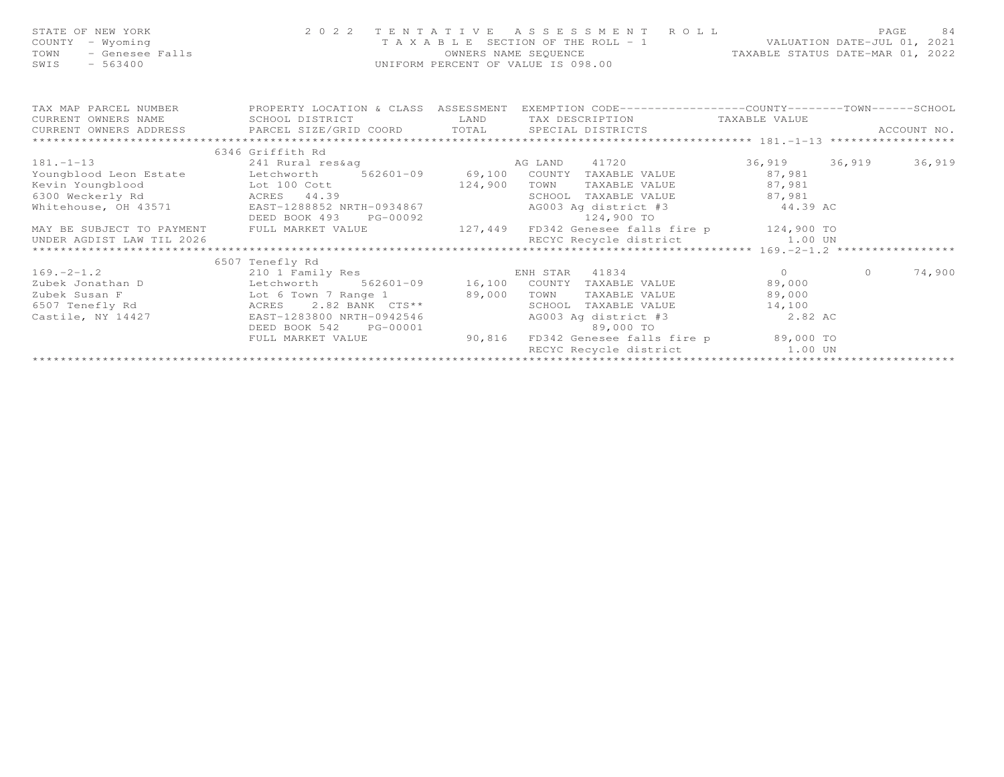| STATE OF NEW YORK<br>COUNTY - Wyoming<br>- Genesee Falls<br>TOWN<br>SWIS - 563400                                                                                                                                                                                                  | T A X A B L E SECTION OF THE ROLL - 1<br>OWNERS NAME SEQUENCE<br>UNIFORM PERCENT OF VALUE IS 098.00 | 2022 TENTATIVE ASSESSMENT ROLL<br>T A X A B L E SECTION OF THE ROLL - 1 VALUATION DATE-JUL 01, 2021<br>OWNERS NAME SEQUENCE TAXABLE STATUS DATE-MAR 01, 2022 |            | 84<br>PAGE |
|------------------------------------------------------------------------------------------------------------------------------------------------------------------------------------------------------------------------------------------------------------------------------------|-----------------------------------------------------------------------------------------------------|--------------------------------------------------------------------------------------------------------------------------------------------------------------|------------|------------|
| TAX MAP PARCEL NUMBER FROPERTY LOCATION & CLASS ASSESSMENT EXEMPTION CODE---------------COUNTY-------TOWN------SCHOOL<br>CURRENT OWNERS NAME                                                                                                                                       | SCHOOL DISTRICT                                                                                     | LAND TAX DESCRIPTION TAXABLE VALUE                                                                                                                           |            |            |
|                                                                                                                                                                                                                                                                                    |                                                                                                     |                                                                                                                                                              |            |            |
|                                                                                                                                                                                                                                                                                    |                                                                                                     |                                                                                                                                                              |            |            |
|                                                                                                                                                                                                                                                                                    | 6346 Griffith Rd                                                                                    |                                                                                                                                                              |            |            |
| $181. -1 - 13$                                                                                                                                                                                                                                                                     |                                                                                                     | 241 Rural res&ag (36,919 36,919 36,919 36,919 36,919 36,919 36,919 36,919 36,919 36,919 36,919 36,919 36,919 20                                              |            |            |
| Youngblood Leon Estate Letchworth 562601-09 69,100 COUNTY TAXABLE VALUE 87,981                                                                                                                                                                                                     |                                                                                                     |                                                                                                                                                              |            |            |
| Examples and the contract of the contract of the contract of the contract of the contract of the contract of the contract of the contract of the contract of the contract of the contract of the contract of the contract of t                                                     |                                                                                                     |                                                                                                                                                              |            |            |
| 6300 Weckerly Rd               ACRES     44.39                                                                                                                                                                                                                                     |                                                                                                     | SCHOOL TAXABLE VALUE 87,981                                                                                                                                  |            |            |
| Whitehouse, OH 43571 EAST-1288852 NRTH-0934867 AG003 A                                                                                                                                                                                                                             |                                                                                                     | AG003 Ag district #3 44.39 AC                                                                                                                                |            |            |
|                                                                                                                                                                                                                                                                                    |                                                                                                     | 124,900 TO                                                                                                                                                   |            |            |
| MAY BE SUBJECT TO PAYMENT FULL MARKET VALUE 127,449 FD342 Genesee falls fire p 124,900 TO                                                                                                                                                                                          |                                                                                                     |                                                                                                                                                              |            |            |
| UNDER AGDIST LAW TIL 2026                                                                                                                                                                                                                                                          |                                                                                                     |                                                                                                                                                              |            |            |
|                                                                                                                                                                                                                                                                                    |                                                                                                     |                                                                                                                                                              |            |            |
|                                                                                                                                                                                                                                                                                    | 6507 Tenefly Rd                                                                                     |                                                                                                                                                              |            |            |
| $169. -2 - 1.2$                                                                                                                                                                                                                                                                    |                                                                                                     | ENH STAR 41834 0                                                                                                                                             | $\bigcirc$ | 74,900     |
| Zubek Jonathan D                                                                                                                                                                                                                                                                   |                                                                                                     |                                                                                                                                                              |            |            |
| Zubek Susan F $A$ Lot 6 Town 7 Range 1 89,000 1<br>6507 Tenefly Rd<br>ACRES 2.82 BANK 1.25** 1.25** 1.25** 1.25** 1.25** 1.25** 1.25** 1.25** 1.25** 1.25** 1.25** 1.25** 1.25** 1.25** 1.25** 1.25** 1.25** 1.25** 1.25** 1.25** 1.25** 1.25** 1.25** 1.25** 1.25** 1.25** 1.25** |                                                                                                     | TAXABLE VALUE 89,000<br>TOWN                                                                                                                                 |            |            |
| Castile, NY 14427                                                                                                                                                                                                                                                                  |                                                                                                     | SCHOOL TAXABLE VALUE 14,100<br>AG003 Ag district #3 2.82 AC                                                                                                  |            |            |
|                                                                                                                                                                                                                                                                                    | EAST-1283800 NRTH-0942546                                                                           |                                                                                                                                                              |            |            |
|                                                                                                                                                                                                                                                                                    |                                                                                                     | DEED BOOK 542 PG-00001 89,000 TO<br>FULL MARKET VALUE 90,816 FD342 Genesee falls fire p 89,000 TO                                                            |            |            |
|                                                                                                                                                                                                                                                                                    |                                                                                                     | RECYC Recycle district 1.00 UN                                                                                                                               |            |            |
|                                                                                                                                                                                                                                                                                    |                                                                                                     |                                                                                                                                                              |            |            |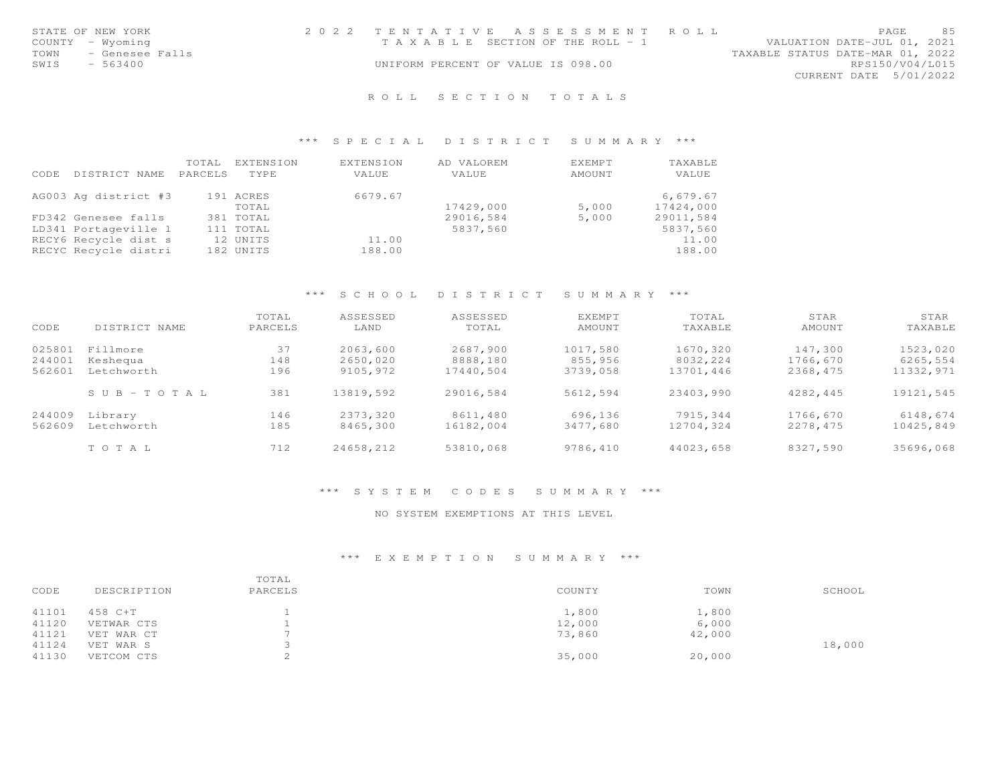| STATE OF NEW YORK       | 2022 TENTATIVE ASSESSMENT ROLL        |  |                                  |                        | PAGE | -85 |
|-------------------------|---------------------------------------|--|----------------------------------|------------------------|------|-----|
| COUNTY - Wyoming        | T A X A B L E SECTION OF THE ROLL - 1 |  | VALUATION DATE-JUL 01, 2021      |                        |      |     |
| TOWN<br>- Genesee Falls |                                       |  | TAXABLE STATUS DATE-MAR 01, 2022 |                        |      |     |
| SWIS<br>- 563400        | UNIFORM PERCENT OF VALUE IS 098.00    |  |                                  | RPS150/V04/L015        |      |     |
|                         |                                       |  |                                  | CURRENT DATE 5/01/2022 |      |     |
|                         |                                       |  |                                  |                        |      |     |

## \*\*\* S P E C I A L D I S T R I C T S U M M A R Y \*\*\*

| CODE | DISTRICT NAME        | TOTAL<br>PARCELS | EXTENSION<br>TYPE. | EXTENSION<br>VALUE | AD VALOREM<br>VALUE | EXEMPT<br>AMOUNT | TAXABLE<br><b>VALUE</b> |
|------|----------------------|------------------|--------------------|--------------------|---------------------|------------------|-------------------------|
|      | AG003 Ag district #3 |                  | 191 ACRES<br>TOTAL | 6679.67            | 17429,000           | 5,000            | 6,679.67<br>17424,000   |
|      | FD342 Genesee falls  |                  | 381 TOTAL          |                    | 29016,584           | 5,000            | 29011,584               |
|      | LD341 Portageville 1 |                  | 111 TOTAL          |                    | 5837,560            |                  | 5837,560                |
|      | RECY6 Recycle dist s |                  | 12 UNITS           | 11.00              |                     |                  | 11.00                   |
|      | RECYC Recycle distri |                  | 182 UNITS          | 188.00             |                     |                  | 188.00                  |

## \*\*\* S C H O O L D I S T R I C T S U M M A R Y \*\*\*

| CODE                       | DISTRICT NAME                      | TOTAL<br>PARCELS | ASSESSED<br>LAND                 | ASSESSED<br>TOTAL                 | <b>EXEMPT</b><br>AMOUNT         | TOTAL<br>TAXABLE                  | STAR<br>AMOUNT                  | STAR<br>TAXABLE                   |
|----------------------------|------------------------------------|------------------|----------------------------------|-----------------------------------|---------------------------------|-----------------------------------|---------------------------------|-----------------------------------|
| 025801<br>244001<br>562601 | Fillmore<br>Keshequa<br>Letchworth | 37<br>148<br>196 | 2063,600<br>2650,020<br>9105,972 | 2687,900<br>8888,180<br>17440,504 | 1017,580<br>855,956<br>3739,058 | 1670,320<br>8032,224<br>13701,446 | 147,300<br>1766,670<br>2368,475 | 1523,020<br>6265,554<br>11332,971 |
|                            | $S \cup B - T \cup T A$            | 381              | 13819,592                        | 29016,584                         | 5612,594                        | 23403,990                         | 4282,445                        | 19121,545                         |
| 244009<br>562609           | Library<br>Letchworth              | 146<br>185       | 2373,320<br>8465,300             | 8611,480<br>16182,004             | 696,136<br>3477,680             | 7915.344<br>12704,324             | 1766,670<br>2278.475            | 6148,674<br>10425,849             |
|                            | TOTAL                              | 712              | 24658,212                        | 53810,068                         | 9786,410                        | 44023,658                         | 8327,590                        | 35696,068                         |

## \*\*\* S Y S T E M C O D E S S U M M A R Y \*\*\*

#### NO SYSTEM EXEMPTIONS AT THIS LEVEL

#### \*\*\* E X E M P T I O N S U M M A R Y \*\*\*

| CODE  | DESCRIPTION | TOTAL<br>PARCELS | COUNTY | TOWN   | SCHOOL |
|-------|-------------|------------------|--------|--------|--------|
| 41101 | 458 C+T     |                  | 1,800  | 1,800  |        |
| 41120 | VETWAR CTS  |                  | 12,000 | 6,000  |        |
| 41121 | VET WAR CT  |                  | 73,860 | 42,000 |        |
| 41124 | VET WAR S   |                  |        |        | 18,000 |
| 41130 | VETCOM CTS  |                  | 35,000 | 20,000 |        |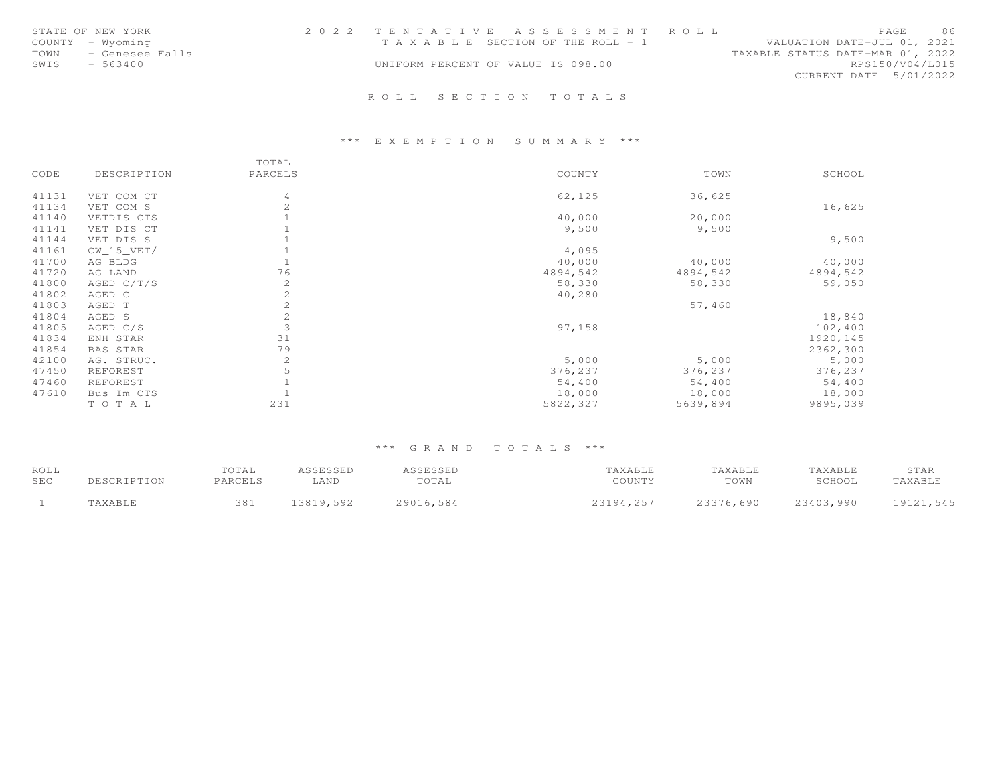| STATE OF NEW YORK<br>COUNTY - Wyoming<br>TOWN - Genesee Falls<br>SWIS<br>- 563400 | 2022 TENTATIVE ASSESSMENT ROLL<br>T A X A B L E SECTION OF THE ROLL - 1<br>UNIFORM PERCENT OF VALUE IS 098.00 | PAGE<br>VALUATION DATE-JUL 01, 2021<br>TAXABLE STATUS DATE-MAR 01, 2022<br>CURRENT DATE 5/01/2022 | 86<br>RPS150/V04/L015 |
|-----------------------------------------------------------------------------------|---------------------------------------------------------------------------------------------------------------|---------------------------------------------------------------------------------------------------|-----------------------|
|                                                                                   | ROLL SECTION TOTALS                                                                                           |                                                                                                   |                       |

# \*\*\* E X E M P T I O N S U M M A R Y \*\*\*

|       |              | TOTAL          |          |          |           |
|-------|--------------|----------------|----------|----------|-----------|
| CODE  | DESCRIPTION  | PARCELS        | COUNTY   | TOWN     | SCHOOL    |
| 41131 | VET COM CT   | $\overline{4}$ | 62,125   | 36,625   |           |
| 41134 | VET COM S    | $\mathbf{2}$   |          |          | 16,625    |
| 41140 | VETDIS CTS   |                | 40,000   | 20,000   |           |
| 41141 | VET DIS CT   |                | 9,500    | 9,500    |           |
| 41144 | VET DIS S    |                |          |          | 9,500     |
| 41161 | $CW_15_VET/$ |                | 4,095    |          |           |
| 41700 | AG BLDG      |                | 40,000   | 40,000   | 40,000    |
| 41720 | AG LAND      | 76             | 4894,542 | 4894,542 | 4894,542  |
| 41800 | AGED C/T/S   | $\mathbf{2}$   | 58,330   | 58,330   | 59,050    |
| 41802 | AGED C       | 2              | 40,280   |          |           |
| 41803 | AGED T       | 2              |          | 57,460   |           |
| 41804 | AGED S       | 2              |          |          | 18,840    |
| 41805 | AGED C/S     | 3              | 97,158   |          | 102,400   |
| 41834 | ENH STAR     | 31             |          |          | 1920, 145 |
| 41854 | BAS STAR     | 79             |          |          | 2362,300  |
| 42100 | AG. STRUC.   | 2              | 5,000    | 5,000    | 5,000     |
| 47450 | REFOREST     | 5              | 376,237  | 376,237  | 376,237   |
| 47460 | REFOREST     |                | 54,400   | 54,400   | 54,400    |
| 47610 | Bus Im CTS   |                | 18,000   | 18,000   | 18,000    |
|       | TO TAL       | 231            | 5822,327 | 5639,894 | 9895,039  |

| ROLL | DESCRIPTION | TOTAL   | ASSESSED  | ASSESSED  | TAXABLE   | TAXABLE   | TAXABLE   | STAR      |
|------|-------------|---------|-----------|-----------|-----------|-----------|-----------|-----------|
| SEC  |             | PARCELS | LAND      | TOTAL     | COUNTY    | TOWN      | SCHOOL    | TAXABLE   |
|      | TAXABLE     | 381     | 13819,592 | 29016,584 | 23194.257 | 23376,690 | 23403,990 | 19121,545 |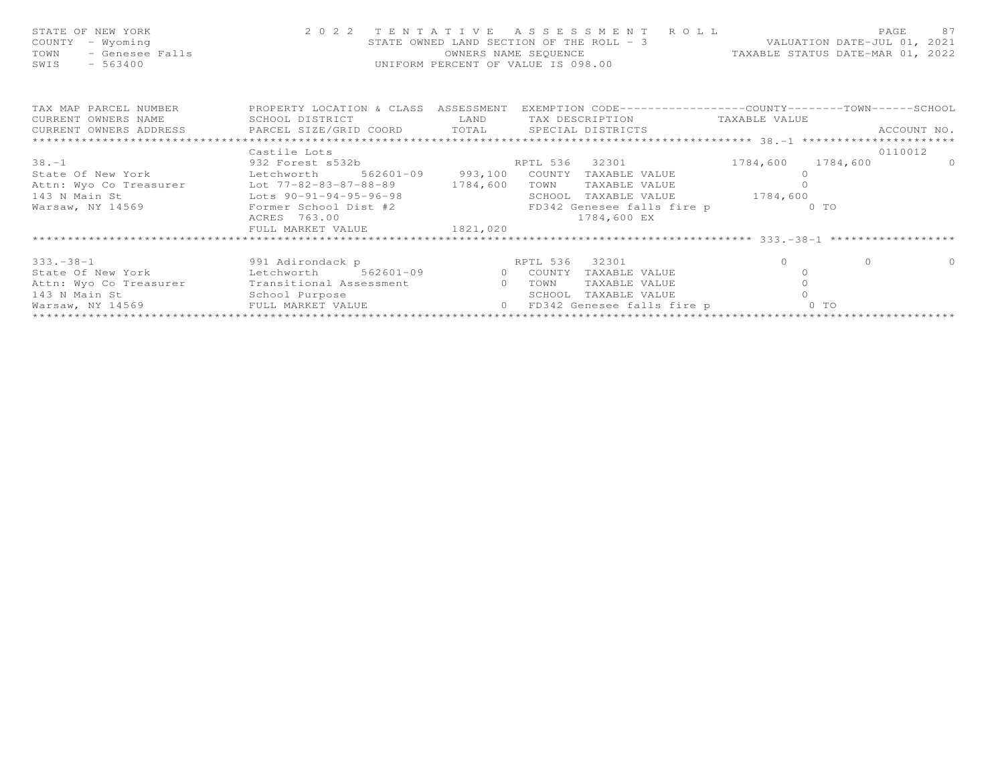| FAGE 87<br>COUNTY - Wyoming<br>TOWN - Genesee Falls 2022 TENTATIVE ASSESSMENT ROLL PACE 87<br>TOWN - Genesee Falls 2021<br>TOWN - Genesee Falls 2022<br>TAXABLE STATUS DATE-MAR 01, 2022<br>SWIS - 563400<br>TAXABLE STATUS DATE-MAR 01, 202 |              |  |                               |         |          |
|----------------------------------------------------------------------------------------------------------------------------------------------------------------------------------------------------------------------------------------------|--------------|--|-------------------------------|---------|----------|
| TAX MAP PARCEL NUMBER THE PROPERTY LOCATION & CLASS ASSESSMENT EXEMPTION CODE---------------COUNTY-------TOWN------SCHOOL<br>CURRENT OWNERS NAME SCHOOL DISTRICT TAN LAND TAX DESCRIPTION TAXABLE VALUE                                      |              |  |                               |         |          |
|                                                                                                                                                                                                                                              |              |  |                               |         |          |
|                                                                                                                                                                                                                                              | Castile Lots |  |                               |         | 0110012  |
| 38.-1 932 Forest s532b RPTL 536 32301 1784,600 1784,600 0                                                                                                                                                                                    |              |  |                               |         |          |
|                                                                                                                                                                                                                                              |              |  |                               |         |          |
|                                                                                                                                                                                                                                              |              |  |                               |         |          |
| 143 N Main St Lots 90-91-94-95-96-98                                                                                                                                                                                                         |              |  | SCHOOL TAXABLE VALUE 1784,600 |         |          |
|                                                                                                                                                                                                                                              |              |  |                               |         |          |
|                                                                                                                                                                                                                                              |              |  |                               |         |          |
| Warsaw, NY 14569 Former School Dist #2 FD342 Genesee falls fire p 6 TO<br>ACRES 763.00 1784,600 EX<br>FULL MARKET VALUE 1821,020                                                                                                             |              |  |                               |         |          |
|                                                                                                                                                                                                                                              |              |  |                               |         |          |
|                                                                                                                                                                                                                                              |              |  |                               | $\circ$ | $\Omega$ |
| 333.-38-1           991 Adirondack p            RPTL 536  32301              0<br>State Of New York        Letchworth   562601-09       0  COUNTY TAXABLE VALUE           0                                                                  |              |  |                               |         |          |
|                                                                                                                                                                                                                                              |              |  |                               |         |          |
|                                                                                                                                                                                                                                              |              |  |                               |         |          |
|                                                                                                                                                                                                                                              |              |  |                               |         |          |
|                                                                                                                                                                                                                                              |              |  |                               |         |          |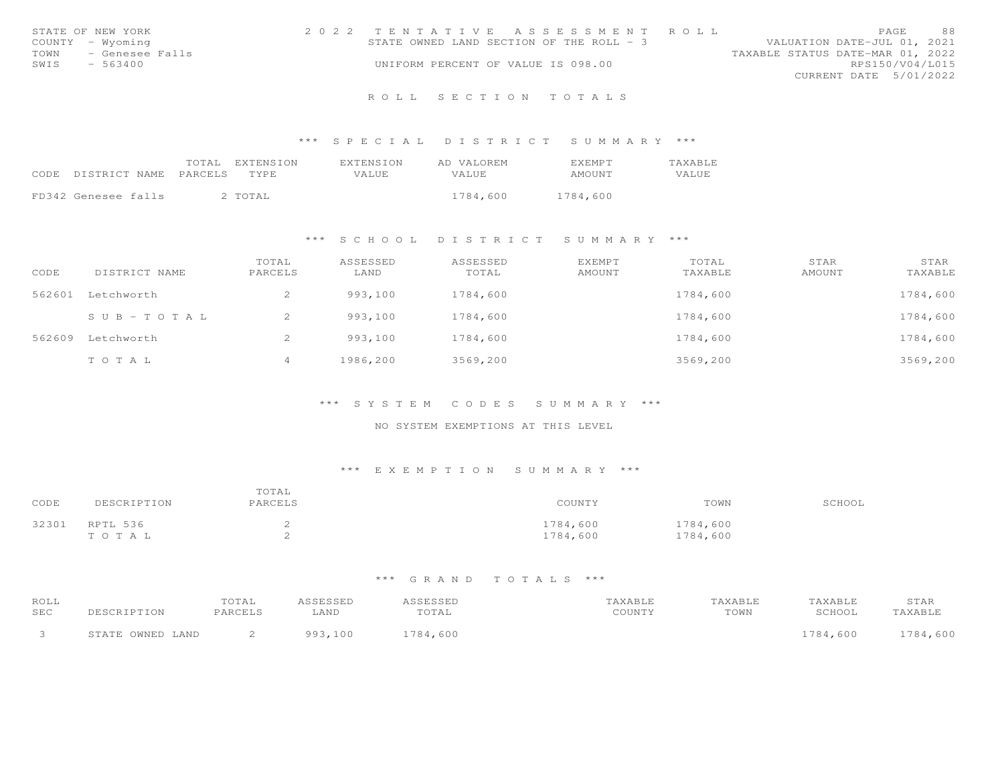|      | STATE OF NEW YORK | 2022 TENTATIVE ASSESSMENT ROLL           |  |  |                                  |                        | PAGE. | 88 |
|------|-------------------|------------------------------------------|--|--|----------------------------------|------------------------|-------|----|
|      | COUNTY - Wyoming  | STATE OWNED LAND SECTION OF THE ROLL - 3 |  |  | VALUATION DATE-JUL 01, 2021      |                        |       |    |
| TOWN | - Genesee Falls   |                                          |  |  | TAXABLE STATUS DATE-MAR 01, 2022 |                        |       |    |
| SWIS | - 563400          | UNIFORM PERCENT OF VALUE IS 098.00       |  |  |                                  | RPS150/V04/L015        |       |    |
|      |                   |                                          |  |  |                                  | CURRENT DATE 5/01/2022 |       |    |
|      |                   |                                          |  |  |                                  |                        |       |    |

## \*\*\* S P E C I A L D I S T R I C T S U M M A R Y \*\*\*

|                     | TOTAL   | EXTENSION   | EXTENSION | AD VALOREM   | <b>EXEMPT</b> | TAXABLE |
|---------------------|---------|-------------|-----------|--------------|---------------|---------|
| CODE DISTRICT NAME  | PARCELS | <b>TYPE</b> | VALUE     | <b>VALUE</b> | AMOUNT        | VALUE   |
|                     |         |             |           |              |               |         |
| FD342 Genesee falls |         | 2 TOTAL     |           | 1784,600     | 1784,600      |         |

## \*\*\* S C H O O L D I S T R I C T S U M M A R Y \*\*\*

| CODE   | DISTRICT NAME | TOTAL<br>PARCELS | ASSESSED<br>LAND | ASSESSED<br>TOTAL | <b>EXEMPT</b><br>AMOUNT | TOTAL<br>TAXABLE | STAR<br>AMOUNT | STAR<br>TAXABLE |
|--------|---------------|------------------|------------------|-------------------|-------------------------|------------------|----------------|-----------------|
| 562601 | Letchworth    | 2                | 993,100          | 1784,600          |                         | 1784,600         |                | 1784,600        |
|        | SUB-TOTAL     | 2                | 993,100          | 1784,600          |                         | 1784,600         |                | 1784,600        |
| 562609 | Letchworth    |                  | 993,100          | 1784,600          |                         | 1784,600         |                | 1784,600        |
|        | TOTAL         | 4                | 1986,200         | 3569,200          |                         | 3569,200         |                | 3569,200        |

#### \*\*\* S Y S T E M C O D E S S U M M A R Y \*\*\*

#### NO SYSTEM EXEMPTIONS AT THIS LEVEL

## \*\*\* E X E M P T I O N S U M M A R Y \*\*\*

| CODE  | DESCRIPTION       | TOTAL<br>PARCELS | COUNTY               | TOWN                 | SCHOOL |
|-------|-------------------|------------------|----------------------|----------------------|--------|
| 32301 | RPTL 536<br>тотаь |                  | 1784,600<br>1784,600 | 1784,600<br>1784,600 |        |

| ROLL       |                  | TOTAL   | ASSESSED | ASSESSED | TAXABLE | TAXABLE | TAXABLE  | STAR     |
|------------|------------------|---------|----------|----------|---------|---------|----------|----------|
| <b>SEC</b> | DESCRIPTION      | PARCELS | LAND     | TOTAL    | COUNTY  | TOWN    | SCHOOL   | TAXABLE  |
|            | STATE OWNED LAND |         | 993,100  | 1784,600 |         |         | 1784,600 | 1784,600 |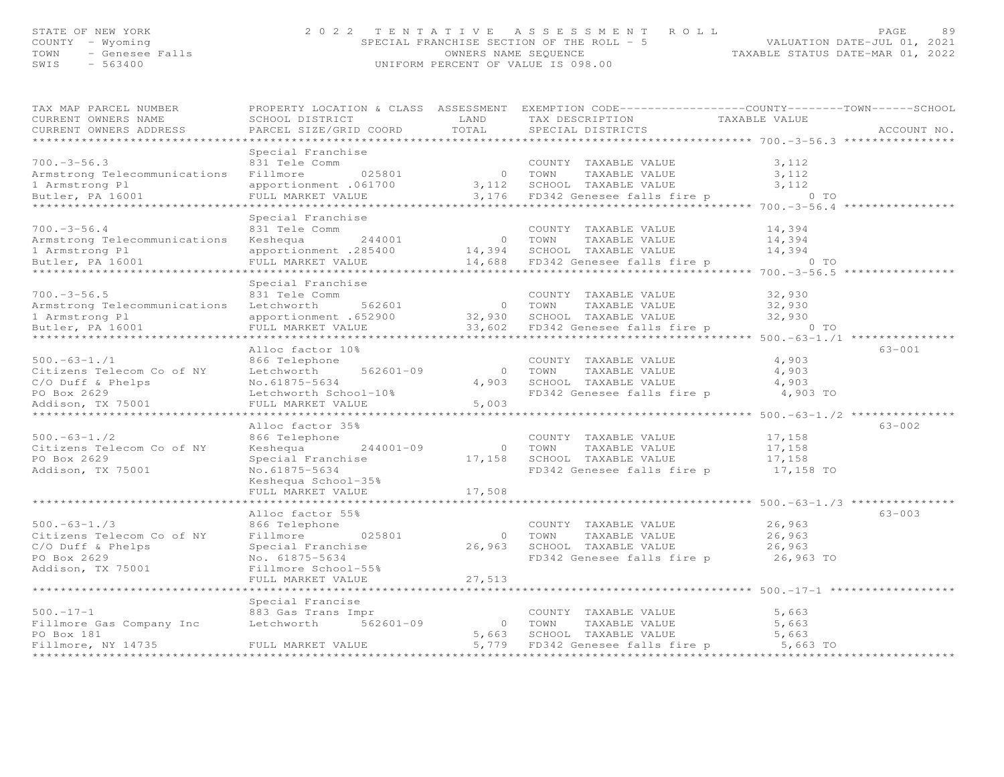# STATE OF NEW YORK AGE A SUBAGE AND RAGE A SUBAGE AND RAGE A SUBAGE AND RAGE AND RAGE AND RAGE AND SPECIAL FRANCHISE SECTION OF THE ROLL AND THE ROLL THE WORLD PATE-JUL 01, 2021<br>2021 TOWN THE ROLL - 5

| TAX MAP PARCEL NUMBER                   | PROPERTY LOCATION & CLASS ASSESSMENT |                | EXEMPTION CODE-----------------COUNTY-------TOWN------SCHOOL |                                                             |             |
|-----------------------------------------|--------------------------------------|----------------|--------------------------------------------------------------|-------------------------------------------------------------|-------------|
| CURRENT OWNERS NAME                     | SCHOOL DISTRICT                      | LAND           | TAX DESCRIPTION                                              | TAXABLE VALUE                                               |             |
| CURRENT OWNERS ADDRESS                  | PARCEL SIZE/GRID COORD               | TOTAL          | SPECIAL DISTRICTS                                            |                                                             | ACCOUNT NO. |
|                                         |                                      | ***********    |                                                              |                                                             |             |
|                                         | Special Franchise                    |                |                                                              |                                                             |             |
| $700. -3 - 56.3$                        | 831 Tele Comm                        |                | COUNTY TAXABLE VALUE                                         | 3,112                                                       |             |
| Armstrong Telecommunications Fillmore   | 025801                               |                | 0 TOWN<br>TAXABLE VALUE                                      | 3,112                                                       |             |
| 1 Armstrong Pl                          | apportionment .061700                | 3,112          | SCHOOL TAXABLE VALUE                                         | 3,112                                                       |             |
| Butler, PA 16001                        | FULL MARKET VALUE                    |                | 3,176 FD342 Genesee falls fire p                             | $0$ TO                                                      |             |
|                                         | *********************                |                |                                                              | $************700.-3-56.4$                                   |             |
|                                         | Special Franchise                    |                |                                                              |                                                             |             |
| $700. - 3 - 56.4$                       | 831 Tele Comm                        |                | COUNTY TAXABLE VALUE                                         | 14,394                                                      |             |
| Armstrong Telecommunications            | Keshequa<br>244001                   |                | 0 TOWN<br>TAXABLE VALUE                                      | 14,394                                                      |             |
| 1 Armstrong Pl                          | apportionment .285400                |                | 14,394 SCHOOL TAXABLE VALUE                                  | 14,394                                                      |             |
| Butler, PA 16001                        | FULL MARKET VALUE                    | 14,688         | FD342 Genesee falls fire p                                   | $0$ TO                                                      |             |
|                                         | *******************                  |                |                                                              |                                                             |             |
|                                         | Special Franchise                    |                |                                                              |                                                             |             |
| $700. -3 - 56.5$                        | 831 Tele Comm                        |                | COUNTY TAXABLE VALUE                                         | 32,930                                                      |             |
| Armstrong Telecommunications Letchworth | 562601                               |                | 0 TOWN<br>TAXABLE VALUE                                      | 32,930                                                      |             |
| 1 Armstrong Pl                          | apportionment .652900                | 32,930         | SCHOOL TAXABLE VALUE                                         | 32,930                                                      |             |
| Butler, PA 16001                        | FULL MARKET VALUE                    | 33,602         | FD342 Genesee falls fire p                                   | $0$ TO                                                      |             |
|                                         | ******************                   |                |                                                              | ********************************* 500.-63-1./1 ***          |             |
|                                         | Alloc factor 10%                     |                |                                                              |                                                             | $63 - 001$  |
| $500. -63 - 1. / 1$                     | 866 Telephone                        |                | COUNTY TAXABLE VALUE                                         | 4,903                                                       |             |
| Citizens Telecom Co of NY               | 562601-09<br>Letchworth              | $\circ$        | TOWN<br>TAXABLE VALUE                                        | 4,903                                                       |             |
| C/O Duff & Phelps                       | No.61875-5634                        | 4,903          | SCHOOL TAXABLE VALUE                                         | 4,903                                                       |             |
| PO Box 2629                             | Letchworth School-10%                |                | FD342 Genesee falls fire p                                   | 4,903 TO                                                    |             |
| Addison, TX 75001                       | FULL MARKET VALUE                    | 5,003          |                                                              |                                                             |             |
|                                         |                                      |                |                                                              | ********** 500. -63-1. /2 *********                         |             |
|                                         | Alloc factor 35%                     |                |                                                              |                                                             | $63 - 002$  |
| $500. -63 - 1. / 2$                     | 866 Telephone                        |                | COUNTY TAXABLE VALUE                                         | 17,158                                                      |             |
| Citizens Telecom Co of NY               | Keshequa<br>244001-09                | $\overline{O}$ | TOWN<br>TAXABLE VALUE                                        | 17,158                                                      |             |
| PO Box 2629                             | Special Franchise                    | 17,158         | SCHOOL TAXABLE VALUE                                         | 17,158                                                      |             |
| Addison, TX 75001                       | No.61875-5634                        |                | FD342 Genesee falls fire p                                   | 17,158 TO                                                   |             |
|                                         | Keshequa School-35%                  |                |                                                              |                                                             |             |
|                                         | FULL MARKET VALUE                    | 17,508         |                                                              |                                                             |             |
|                                         |                                      |                |                                                              | *************************** 500. -63-1. /3 **************** |             |
|                                         | Alloc factor 55%                     |                |                                                              |                                                             | $63 - 003$  |
| $500. -63 - 1.73$                       | 866 Telephone                        |                | COUNTY TAXABLE VALUE                                         | 26,963                                                      |             |
| Citizens Telecom Co of NY               | Fillmore<br>025801                   | $\circ$        | TOWN<br>TAXABLE VALUE                                        | 26,963                                                      |             |
| $C/O$ Duff & Phelps                     | Special Franchise                    | 26,963         | SCHOOL TAXABLE VALUE                                         | 26,963                                                      |             |
| PO Box 2629                             | No. 61875-5634                       |                | FD342 Genesee falls fire p                                   | 26,963 TO                                                   |             |
| Addison, TX 75001                       | Fillmore School-55%                  |                |                                                              |                                                             |             |
|                                         | FULL MARKET VALUE                    | 27,513         |                                                              |                                                             |             |
|                                         |                                      |                |                                                              | *************** 500.-17-1 **                                |             |
|                                         | Special Francise                     |                |                                                              |                                                             |             |
| $500. - 17 - 1$                         | 883 Gas Trans Impr                   |                | COUNTY TAXABLE VALUE                                         | 5,663                                                       |             |
| Fillmore Gas Company Inc                | 562601-09<br>Letchworth              | $\overline{0}$ | TOWN<br>TAXABLE VALUE                                        | 5,663                                                       |             |
| PO Box 181                              |                                      | 5,663          | SCHOOL TAXABLE VALUE                                         | 5,663                                                       |             |
| Fillmore, NY 14735                      | FULL MARKET VALUE                    |                | 5,779 FD342 Genesee falls fire p                             | 5,663 TO                                                    |             |
|                                         |                                      |                |                                                              |                                                             |             |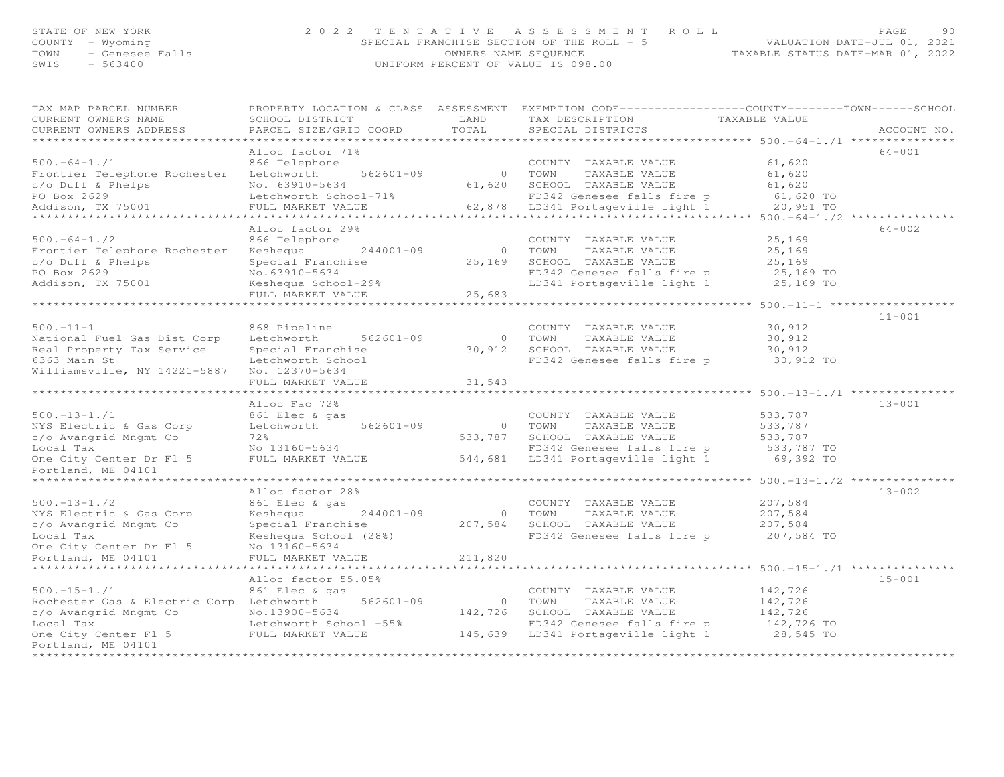# STATE OF NEW YORK ON MAGE 2022 TENTATIVE ASSESSMENT ROLL PAGE 90<br>COUNTY - Wyoming - Wyoming - SPECIAL FRANCHISE SECTION OF THE ROLL - 5 (VALUATION DATE-JUL 01, 2021<br>TAXABLE STATUS DATE-MAR 01, 2022<br>WIFORM PERCENT OF VALUE

| TAX MAP PARCEL NUMBER<br>CURRENT OWNERS NAME<br>CURRENT OWNERS ADDRESS | PROPERTY LOCATION & CLASS ASSESSMENT<br>SCHOOL DISTRICT<br>PARCEL SIZE/GRID COORD | LAND<br>TOTAL         | EXEMPTION CODE-----------------COUNTY-------TOWN------SCHOOL<br>TAX DESCRIPTION<br>SPECIAL DISTRICTS | TAXABLE VALUE                                | ACCOUNT NO. |
|------------------------------------------------------------------------|-----------------------------------------------------------------------------------|-----------------------|------------------------------------------------------------------------------------------------------|----------------------------------------------|-------------|
|                                                                        |                                                                                   |                       |                                                                                                      | *********** 500.-64-1./1 ********            |             |
| $500. -64 - 1.71$                                                      | Alloc factor 71%<br>866 Telephone                                                 |                       | COUNTY TAXABLE VALUE                                                                                 | 61,620                                       | $64 - 001$  |
| Frontier Telephone Rochester                                           | 562601-09<br>Letchworth                                                           | $\circ$               | TOWN<br>TAXABLE VALUE                                                                                | 61,620                                       |             |
| $c$ /o Duff & Phelps                                                   | No. 63910-5634                                                                    | 61,620                | SCHOOL TAXABLE VALUE                                                                                 | 61,620                                       |             |
| PO Box 2629                                                            | Letchworth School-71%                                                             |                       | FD342 Genesee falls fire p                                                                           | 61,620 TO                                    |             |
| Addison, TX 75001                                                      | FULL MARKET VALUE                                                                 | 62,878                | LD341 Portageville light 1                                                                           | 20,951 TO                                    |             |
|                                                                        | **************                                                                    |                       |                                                                                                      | **** $500. -64 - 1. / 2$ ***                 |             |
|                                                                        | Alloc factor 29%                                                                  |                       |                                                                                                      |                                              | $64 - 002$  |
| $500. -64 - 1. / 2$                                                    | 866 Telephone                                                                     |                       | COUNTY TAXABLE VALUE                                                                                 | 25,169                                       |             |
| Frontier Telephone Rochester                                           | $244001 - 09$<br>Keshequa                                                         | $\circ$               | TOWN<br>TAXABLE VALUE                                                                                | 25,169                                       |             |
| c/o Duff & Phelps                                                      | Special Franchise                                                                 | 25,169                | SCHOOL TAXABLE VALUE                                                                                 | 25,169                                       |             |
| PO Box 2629                                                            | No.63910-5634                                                                     |                       | FD342 Genesee falls fire p                                                                           | 25,169 TO                                    |             |
| Addison, TX 75001                                                      | Keshequa School-29%                                                               |                       | LD341 Portageville light 1                                                                           | 25,169 TO                                    |             |
|                                                                        | FULL MARKET VALUE                                                                 | 25,683                |                                                                                                      |                                              |             |
|                                                                        |                                                                                   |                       |                                                                                                      | $500. -11 - 1$ **                            |             |
|                                                                        |                                                                                   |                       |                                                                                                      |                                              | $11 - 001$  |
| $500. -11 -1$                                                          | 868 Pipeline                                                                      |                       | COUNTY TAXABLE VALUE                                                                                 | 30,912                                       |             |
| National Fuel Gas Dist Corp                                            | Letchworth<br>562601-09                                                           | $\circ$               | TOWN<br>TAXABLE VALUE                                                                                | 30,912                                       |             |
| Real Property Tax Service                                              | Special Franchise                                                                 | 30,912                | SCHOOL TAXABLE VALUE                                                                                 | 30,912                                       |             |
| 6363 Main St                                                           | Letchworth School                                                                 |                       | FD342 Genesee falls fire p                                                                           | 30,912 TO                                    |             |
| Williamsville, NY 14221-5887                                           | No. 12370-5634                                                                    |                       |                                                                                                      |                                              |             |
|                                                                        | FULL MARKET VALUE                                                                 | 31,543                |                                                                                                      |                                              |             |
|                                                                        |                                                                                   |                       |                                                                                                      | $500, -13 - 1, 1$ ***********                |             |
|                                                                        | Alloc Fac 72%                                                                     |                       |                                                                                                      |                                              | $13 - 001$  |
| $500. -13 - 1. / 1$                                                    | 861 Elec & gas                                                                    |                       | COUNTY TAXABLE VALUE                                                                                 | 533,787                                      |             |
| NYS Electric & Gas Corp                                                | Letchworth<br>562601-09                                                           | $\overline{O}$        | TOWN<br>TAXABLE VALUE                                                                                | 533,787                                      |             |
| c/o Avangrid Mngmt Co                                                  | 72%                                                                               | 533,787               | SCHOOL TAXABLE VALUE                                                                                 | 533,787                                      |             |
| Local Tax                                                              | No 13160-5634                                                                     |                       | FD342 Genesee falls fire p                                                                           | 533,787 TO                                   |             |
| One City Center Dr Fl 5                                                | FULL MARKET VALUE                                                                 | 544,681               | LD341 Portageville light 1                                                                           | 69,392 TO                                    |             |
| Portland, ME 04101                                                     |                                                                                   |                       |                                                                                                      |                                              |             |
|                                                                        | Alloc factor 28%                                                                  |                       |                                                                                                      | *** 500.-13-1./2 ******                      | $13 - 002$  |
| $500. - 13 - 1. / 2$                                                   | 861 Elec & gas                                                                    |                       | COUNTY TAXABLE VALUE                                                                                 | 207,584                                      |             |
| NYS Electric & Gas Corp                                                | Keshequa<br>244001-09                                                             | $\overline{0}$        | TAXABLE VALUE<br>TOWN                                                                                | 207,584                                      |             |
| c/o Avangrid Mngmt Co                                                  | Special Franchise                                                                 | 207,584               | SCHOOL TAXABLE VALUE                                                                                 | 207,584                                      |             |
| Local Tax                                                              | Keshequa School (28%)                                                             |                       | FD342 Genesee falls fire p                                                                           | 207,584 TO                                   |             |
| One City Center Dr Fl 5                                                | No 13160-5634                                                                     |                       |                                                                                                      |                                              |             |
| Portland, ME 04101                                                     | FULL MARKET VALUE                                                                 | 211,820               |                                                                                                      |                                              |             |
| *******************                                                    | *********************                                                             | * * * * * * * * * * * |                                                                                                      | ******************* 500.-15-1./1 *********** |             |
|                                                                        | Alloc factor 55.05%                                                               |                       |                                                                                                      |                                              | $15 - 001$  |
| $500. - 15 - 1. / 1$                                                   | 861 Elec & gas                                                                    |                       | COUNTY TAXABLE VALUE                                                                                 | 142,726                                      |             |
| Rochester Gas & Electric Corp Letchworth                               | $562601 - 09$                                                                     | $\overline{0}$        | TOWN<br>TAXABLE VALUE                                                                                | 142,726                                      |             |
| c/o Avangrid Mngmt Co                                                  | No.13900-5634                                                                     | 142,726               | SCHOOL TAXABLE VALUE                                                                                 | 142,726                                      |             |
| Local Tax                                                              | Letchworth School -55%                                                            |                       | FD342 Genesee falls fire p                                                                           | 142,726 TO                                   |             |
| One City Center Fl 5                                                   | FULL MARKET VALUE                                                                 |                       | 145,639 LD341 Portageville light 1                                                                   | 28,545 TO                                    |             |
| Portland, ME 04101                                                     |                                                                                   |                       |                                                                                                      |                                              |             |
| *********************                                                  |                                                                                   |                       |                                                                                                      |                                              |             |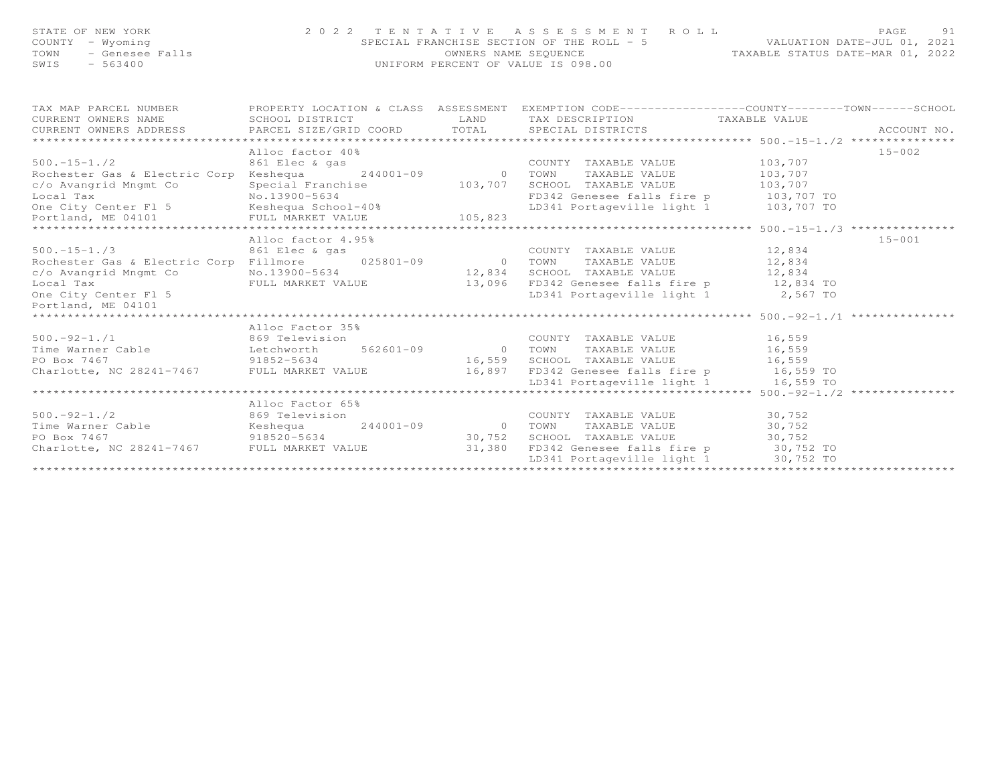# STATE OF NEW YORK (PAGE ) 91 2022 TENTATIVE ASSESSMENT ROLL (PAGE 2022)<br>COUNTY - Wyoming (SPECIAL FRANCHISE SECTION OF THE ROLL - 5 (VALUATION DATE-JUL 01, 2021<br>TAXABLE STATUS DATE-MAR 01, 2022<br>SWIS - 563400 (UNIFORM PERC

| TAX MAP PARCEL NUMBER<br>CURRENT OWNERS NAME<br>$\begin{minipage}{.45\textwidth} \begin{minipage}{.45\textwidth} \begin{minipage}{.45\textwidth} \begin{minipage}{.45\textwidth} \begin{minipage}{.45\textwidth} \begin{minipage}{.45\textwidth} \begin{minipage}{.45\textwidth} \begin{minipage}{.45\textwidth} \begin{minipage}{.45\textwidth} \begin{minipage}{.45\textwidth} \begin{minipage}{.45\textwidth} \begin{minipage}{.45\textwidth} \begin{minipage}{.45\textwidth} \begin{minipage}{.45\textwidth} \begin{minipage}{.45\textwidth} \begin{minipage}{.45$ | PROPERTY LOCATION & CLASS ASSESSMENT<br>SCHOOL DISTRICT | LAND           | EXEMPTION CODE-----------------COUNTY-------TOWN-----SCHOOL<br>TAX DESCRIPTION TAXABLE VALUE |         |            |
|------------------------------------------------------------------------------------------------------------------------------------------------------------------------------------------------------------------------------------------------------------------------------------------------------------------------------------------------------------------------------------------------------------------------------------------------------------------------------------------------------------------------------------------------------------------------|---------------------------------------------------------|----------------|----------------------------------------------------------------------------------------------|---------|------------|
|                                                                                                                                                                                                                                                                                                                                                                                                                                                                                                                                                                        |                                                         |                |                                                                                              |         |            |
|                                                                                                                                                                                                                                                                                                                                                                                                                                                                                                                                                                        | Alloc factor 40%                                        |                |                                                                                              |         | $15 - 002$ |
| $500. - 15 - 1.72$                                                                                                                                                                                                                                                                                                                                                                                                                                                                                                                                                     | 861 Elec & gas                                          |                | COUNTY TAXABLE VALUE                                                                         | 103,707 |            |
| Rochester Gas & Electric Corp                                                                                                                                                                                                                                                                                                                                                                                                                                                                                                                                          | $Keshequa$ $244001-09$                                  | $\overline{0}$ | TOWN<br>TAXABLE VALUE                                                                        | 103,707 |            |
| c/o Avangrid Mngmt Co                                                                                                                                                                                                                                                                                                                                                                                                                                                                                                                                                  | Special Franchise                                       | 103,707        | SCHOOL TAXABLE VALUE                                                                         | 103,707 |            |
|                                                                                                                                                                                                                                                                                                                                                                                                                                                                                                                                                                        |                                                         |                |                                                                                              |         |            |
|                                                                                                                                                                                                                                                                                                                                                                                                                                                                                                                                                                        |                                                         |                |                                                                                              |         |            |
|                                                                                                                                                                                                                                                                                                                                                                                                                                                                                                                                                                        |                                                         |                |                                                                                              |         |            |
|                                                                                                                                                                                                                                                                                                                                                                                                                                                                                                                                                                        |                                                         |                |                                                                                              |         |            |
|                                                                                                                                                                                                                                                                                                                                                                                                                                                                                                                                                                        | Alloc factor 4.95%                                      |                |                                                                                              |         | $15 - 001$ |
| $500. - 15 - 1.73$                                                                                                                                                                                                                                                                                                                                                                                                                                                                                                                                                     | 861 Elec & gas                                          |                | COUNTY TAXABLE VALUE 12,834                                                                  |         |            |
| Rochester Gas & Electric Corp                                                                                                                                                                                                                                                                                                                                                                                                                                                                                                                                          | Fillmore 025801-09 0                                    |                | TAXABLE VALUE<br>TOWN                                                                        | 12,834  |            |
| c/o Avangrid Mngmt Co                                                                                                                                                                                                                                                                                                                                                                                                                                                                                                                                                  | No.13900-5634                                           | 12,834         | SCHOOL TAXABLE VALUE 12,834                                                                  |         |            |
| Local Tax                                                                                                                                                                                                                                                                                                                                                                                                                                                                                                                                                              | FULL MARKET VALUE 13,096                                |                | FD342 Genesee falls fire p 12,834 TO                                                         |         |            |
| One City Center Fl 5                                                                                                                                                                                                                                                                                                                                                                                                                                                                                                                                                   |                                                         |                | LD341 Portageville light 1 2,567 TO                                                          |         |            |
| Portland, ME 04101                                                                                                                                                                                                                                                                                                                                                                                                                                                                                                                                                     |                                                         |                |                                                                                              |         |            |
| *******************************                                                                                                                                                                                                                                                                                                                                                                                                                                                                                                                                        |                                                         |                |                                                                                              |         |            |
|                                                                                                                                                                                                                                                                                                                                                                                                                                                                                                                                                                        | Alloc Factor 35%                                        |                |                                                                                              |         |            |
| $500. -92 - 1.71$<br>869 Television                                                                                                                                                                                                                                                                                                                                                                                                                                                                                                                                    |                                                         |                | COUNTY TAXABLE VALUE 16,559                                                                  |         |            |
| Time Warner Cable $L$ Letchworth 562601-09 0 TOWN                                                                                                                                                                                                                                                                                                                                                                                                                                                                                                                      |                                                         |                | TAXABLE VALUE                                                                                | 16,559  |            |
|                                                                                                                                                                                                                                                                                                                                                                                                                                                                                                                                                                        |                                                         | 16,559         | SCHOOL TAXABLE VALUE                                                                         | 16,559  |            |
| PO Box 7467<br>Charlotte, NC 28241-7467 FULL MARKET VALUE                                                                                                                                                                                                                                                                                                                                                                                                                                                                                                              |                                                         |                | 16,897 FD342 Genesee falls fire p 16,559 TO                                                  |         |            |
|                                                                                                                                                                                                                                                                                                                                                                                                                                                                                                                                                                        |                                                         |                | LD341 Portageville light 1 16,559 TO                                                         |         |            |
|                                                                                                                                                                                                                                                                                                                                                                                                                                                                                                                                                                        |                                                         |                | **************************************500.-92-1./2 ***************                           |         |            |
|                                                                                                                                                                                                                                                                                                                                                                                                                                                                                                                                                                        | Alloc Factor 65%                                        |                |                                                                                              |         |            |
|                                                                                                                                                                                                                                                                                                                                                                                                                                                                                                                                                                        |                                                         |                | COUNTY TAXABLE VALUE                                                                         | 30,752  |            |
|                                                                                                                                                                                                                                                                                                                                                                                                                                                                                                                                                                        |                                                         |                | TAXABLE VALUE 30,752<br>TOWN                                                                 |         |            |
| PO Box 7467                                                                                                                                                                                                                                                                                                                                                                                                                                                                                                                                                            | $918520 - 5634$                                         | 30,752         | SCHOOL TAXABLE VALUE 30,752                                                                  |         |            |
| Charlotte, NC 28241-7467 FULL MARKET VALUE 31,380                                                                                                                                                                                                                                                                                                                                                                                                                                                                                                                      |                                                         |                | FD342 Genesee falls fire p 30,752 TO                                                         |         |            |
|                                                                                                                                                                                                                                                                                                                                                                                                                                                                                                                                                                        |                                                         |                | LD341 Portageville light 1 30,752 TO                                                         |         |            |
|                                                                                                                                                                                                                                                                                                                                                                                                                                                                                                                                                                        |                                                         |                |                                                                                              |         |            |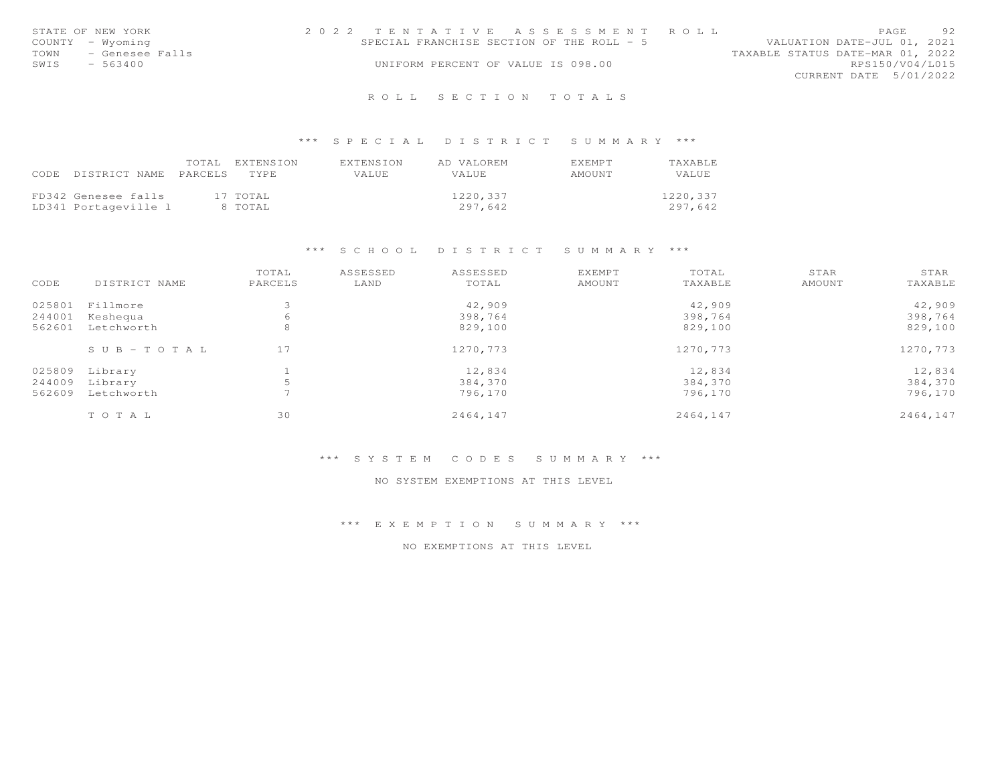|      | STATE OF NEW YORK | 2022 TENTATIVE ASSESSMENT ROLL            |  |  |                                  |                        | PAGE. | 92 |
|------|-------------------|-------------------------------------------|--|--|----------------------------------|------------------------|-------|----|
|      | COUNTY - Wyoming  | SPECIAL FRANCHISE SECTION OF THE ROLL - 5 |  |  | VALUATION DATE-JUL 01, 2021      |                        |       |    |
| TOWN | - Genesee Falls   |                                           |  |  | TAXABLE STATUS DATE-MAR 01, 2022 |                        |       |    |
| SWIS | - 563400          | UNIFORM PERCENT OF VALUE IS 098.00        |  |  |                                  | RPS150/V04/L015        |       |    |
|      |                   |                                           |  |  |                                  | CURRENT DATE 5/01/2022 |       |    |
|      |                   |                                           |  |  |                                  |                        |       |    |

## \*\*\* S P E C I A L D I S T R I C T S U M M A R Y \*\*\*

|      |                       | TOTAL EXTENSION | EXTENSION | AD VALOREM   | <b>FXFMPT</b> | TAXABLE  |
|------|-----------------------|-----------------|-----------|--------------|---------------|----------|
| CODE | DISTRICT NAME PARCELS | TYPE            | VALUE     | <b>VALUE</b> | AMOUNT        | VALUE    |
|      |                       |                 |           |              |               |          |
|      | FD342 Genesee falls   | 17 TOTAL        |           | 1220,337     |               | 1220,337 |
|      | LD341 Portageville 1  | 8 TOTAL         |           | 297.642      |               | 297.642  |

#### \*\*\* S C H O O L D I S T R I C T S U M M A R Y \*\*\*

| CODE   | DISTRICT NAME         | TOTAL<br>PARCELS | ASSESSED<br>LAND | ASSESSED<br>TOTAL | <b>EXEMPT</b><br>AMOUNT | TOTAL<br>TAXABLE | STAR<br>AMOUNT | STAR<br>TAXABLE |
|--------|-----------------------|------------------|------------------|-------------------|-------------------------|------------------|----------------|-----------------|
|        |                       |                  |                  |                   |                         |                  |                |                 |
|        | 025801 Fillmore       |                  |                  | 42,909            |                         | 42,909           |                | 42,909          |
| 244001 | Keshequa              | 6                |                  | 398,764           |                         | 398,764          |                | 398,764         |
| 562601 | Letchworth            | 8                |                  | 829,100           |                         | 829,100          |                | 829,100         |
|        | $S \cup B - TO T A L$ | 17               |                  | 1270,773          |                         | 1270,773         |                | 1270,773        |
| 025809 | Library               |                  |                  | 12,834            |                         | 12,834           |                | 12,834          |
| 244009 | Library               |                  |                  | 384,370           |                         | 384,370          |                | 384,370         |
| 562609 | Letchworth            |                  |                  | 796,170           |                         | 796,170          |                | 796,170         |
|        | TOTAL                 | 30               |                  | 2464,147          |                         | 2464,147         |                | 2464,147        |

#### \*\*\* S Y S T E M C O D E S S U M M A R Y \*\*\*

#### NO SYSTEM EXEMPTIONS AT THIS LEVEL

\*\*\* E X E M P T I O N S U M M A R Y \*\*\*

NO EXEMPTIONS AT THIS LEVEL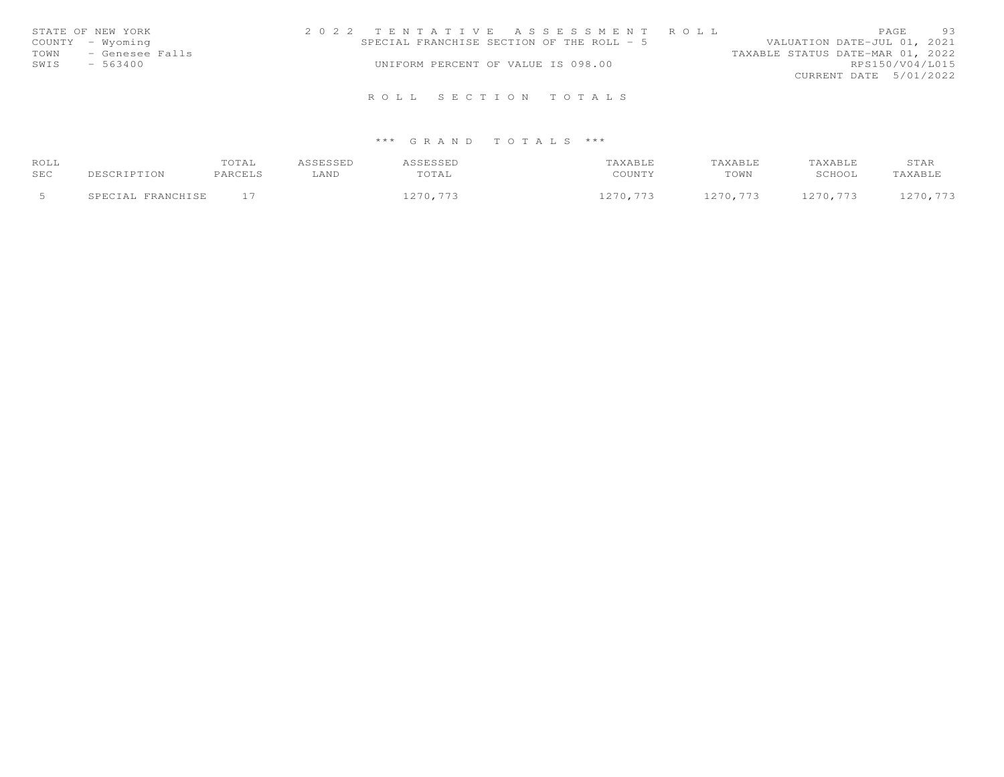| STATE OF NEW YORK    | 2022 TENTATIVE ASSESSMENT ROLL            | 93<br>PAGE                       |
|----------------------|-------------------------------------------|----------------------------------|
| COUNTY - Wyoming     | SPECIAL FRANCHISE SECTION OF THE ROLL - 5 | VALUATION DATE-JUL 01, 2021      |
| TOWN - Genesee Falls |                                           | TAXABLE STATUS DATE-MAR 01, 2022 |
| SWIS<br>$-563400$    | UNIFORM PERCENT OF VALUE IS 098.00        | RPS150/V04/L015                  |
|                      |                                           | CURRENT DATE 5/01/2022           |
|                      | ROLL SECTION TOTALS                       |                                  |

| ROLL |                   | TOTAL   | ASSESSED | ASSESSED | <b>AXABLE</b> | TAXABLE  | TAXABLE  | STAR     |
|------|-------------------|---------|----------|----------|---------------|----------|----------|----------|
| SEC  | DESCRIPTION       | PARCELS | LAND     | TOTAL    | COUNTY        | TOWN     | SCHOOL   | TAXABLE  |
|      |                   |         |          |          |               |          |          |          |
|      | SPECIAL FRANCHISE |         |          | 1270,773 | 1270.773      | 1270.773 | 1270.773 | 1270.773 |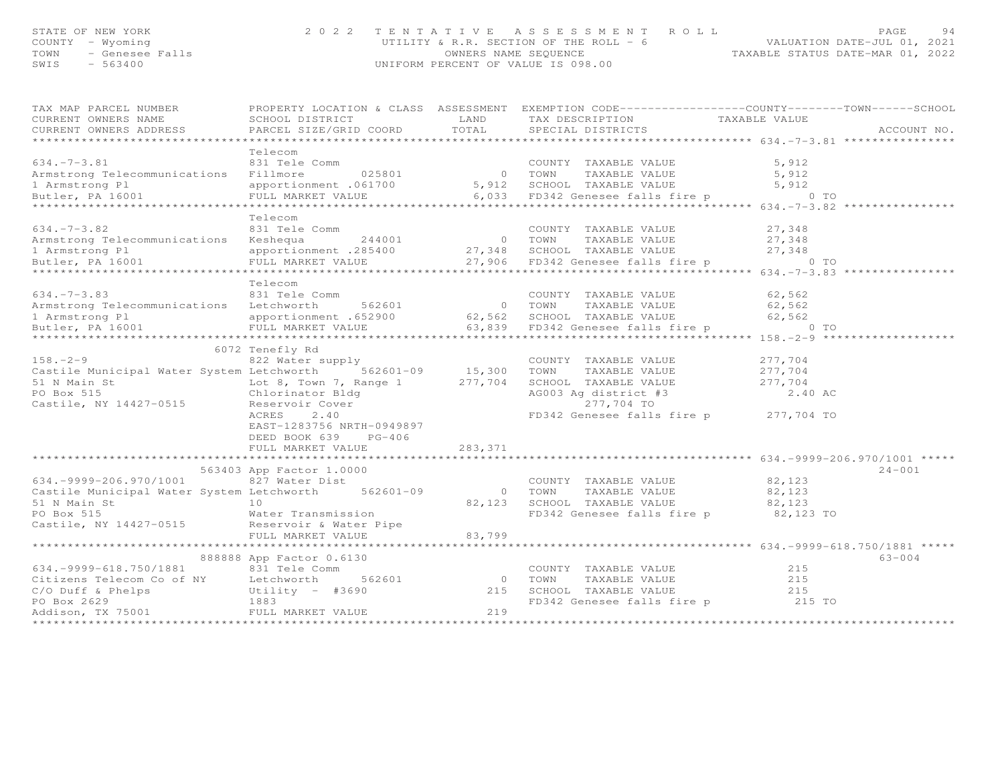# STATE OF NEW YORK ON MAGE the second of the Magnus of the Magnus of the Magnus of the Magnus of the Magnus of the Ma<br>COUNTY – Wyoming – when the second of the ROLL – 6 (COUNTY – WALUATION DATE–JUL 01, 2021<br>TAXABLE STATUS D

| TAX MAP PARCEL NUMBER                                                                                                                             |                                                   |         | PROPERTY LOCATION & CLASS ASSESSMENT EXEMPTION CODE---------------COUNTY-------TOWN------SCHOOL |                                              |             |
|---------------------------------------------------------------------------------------------------------------------------------------------------|---------------------------------------------------|---------|-------------------------------------------------------------------------------------------------|----------------------------------------------|-------------|
| CURRENT OWNERS NAME                                                                                                                               | SCHOOL DISTRICT                                   | LAND    | TAX DESCRIPTION                                                                                 | TAXABLE VALUE                                |             |
| CURRENT OWNERS ADDRESS                                                                                                                            | PARCEL SIZE/GRID COORD TOTAL                      |         | SPECIAL DISTRICTS                                                                               |                                              | ACCOUNT NO. |
|                                                                                                                                                   |                                                   |         |                                                                                                 |                                              |             |
|                                                                                                                                                   | Telecom                                           |         |                                                                                                 |                                              |             |
| $634. -7 - 3.81$                                                                                                                                  | 831 Tele Comm<br>COMM COUNTY<br>025801 0 TOWN     |         | COUNTY TAXABLE VALUE                                                                            | 5,912                                        |             |
| Armstrong Telecommunications Fillmore                                                                                                             |                                                   |         | TAXABLE VALUE                                                                                   | 5,912                                        |             |
|                                                                                                                                                   |                                                   |         |                                                                                                 |                                              |             |
|                                                                                                                                                   |                                                   |         |                                                                                                 |                                              |             |
|                                                                                                                                                   |                                                   |         |                                                                                                 |                                              |             |
|                                                                                                                                                   | Telecom                                           |         |                                                                                                 |                                              |             |
| $634. -7 - 3.82$                                                                                                                                  | 831 Tele Comm                                     |         | COUNTY TAXABLE VALUE                                                                            | 27,348                                       |             |
| Armstrong Telecommunications Keshequa                                                                                                             | 244001 0 TOWN<br>201600 0 TOWN                    |         | TAXABLE VALUE 27,348                                                                            |                                              |             |
|                                                                                                                                                   |                                                   |         |                                                                                                 |                                              |             |
|                                                                                                                                                   |                                                   |         |                                                                                                 |                                              |             |
|                                                                                                                                                   |                                                   |         |                                                                                                 |                                              |             |
|                                                                                                                                                   | Telecom                                           |         |                                                                                                 |                                              |             |
| $634. -7 - 3.83$                                                                                                                                  | 831 Tele Comm                                     |         | COUNTY TAXABLE VALUE                                                                            | 62,562                                       |             |
| Armstrong Telecommunications Letchworth 562601                                                                                                    |                                                   |         | 0 TOWN TAXABLE VALUE                                                                            | 62,562                                       |             |
|                                                                                                                                                   |                                                   |         |                                                                                                 |                                              |             |
| 62,562 1 Armstrong Pl<br>Butler, PA 16001 182,562 FULL MARKET VALUE 1652900 62,562 SCHOOL TAXABLE VALUE<br>است 162,562 FD342 Genesee falls fire n |                                                   |         | FULL MARKET VALUE 63,839 FD342 Genesee falls fire p 6 0 TO                                      |                                              |             |
|                                                                                                                                                   |                                                   |         |                                                                                                 |                                              |             |
|                                                                                                                                                   | 6072 Tenefly Rd                                   |         |                                                                                                 |                                              |             |
| $158 - 2 - 9$                                                                                                                                     | 822 Water supply                                  |         | COUNTY TAXABLE VALUE                                                                            | 277,704                                      |             |
| Castile Municipal Water System Letchworth 562601-09 15,300 TOWN TAXABLE VALUE 277,704                                                             |                                                   |         |                                                                                                 |                                              |             |
| 51 N Main St                                                                                                                                      |                                                   |         |                                                                                                 |                                              |             |
| PO Box 515                                                                                                                                        |                                                   |         |                                                                                                 | 277,704<br>2.40 AC                           |             |
| Castile, NY 14427-0515 Reservoir Cover                                                                                                            |                                                   |         | 277,704 TO                                                                                      |                                              |             |
|                                                                                                                                                   | ACRES<br>2.40                                     |         | FD342 Genesee falls fire p 277,704 TO                                                           |                                              |             |
|                                                                                                                                                   | EAST-1283756 NRTH-0949897                         |         |                                                                                                 |                                              |             |
|                                                                                                                                                   | DEED BOOK 639 PG-406                              |         |                                                                                                 |                                              |             |
|                                                                                                                                                   | FULL MARKET VALUE                                 | 283,371 |                                                                                                 |                                              |             |
|                                                                                                                                                   |                                                   |         |                                                                                                 |                                              |             |
|                                                                                                                                                   | 563403 App Factor 1.0000                          |         |                                                                                                 |                                              | $24 - 001$  |
| 634. - 9999 - 206. 970/1001                                                                                                                       | 827 Water Dist                                    |         |                                                                                                 |                                              |             |
| Castile Municipal Water System Letchworth 562601-09                                                                                               |                                                   |         | COUNTY TAXABLE VALUE 82,123<br>0 TOWN TAXABLE VALUE                                             | 82,123                                       |             |
|                                                                                                                                                   |                                                   |         | 82,123 SCHOOL TAXABLE VALUE 82,123                                                              |                                              |             |
|                                                                                                                                                   |                                                   |         |                                                                                                 | 82,123 TO                                    |             |
|                                                                                                                                                   |                                                   |         | FD342 Genesee falls fire p                                                                      |                                              |             |
|                                                                                                                                                   |                                                   |         |                                                                                                 |                                              |             |
|                                                                                                                                                   | FULL MARKET VALUE<br>**************************** | 83,799  |                                                                                                 |                                              |             |
|                                                                                                                                                   |                                                   |         |                                                                                                 | *************** 634.-9999-618.750/1881 ***** |             |
|                                                                                                                                                   | 888888 App Factor 0.6130                          |         |                                                                                                 |                                              | $63 - 004$  |
| 634. - 9999 - 618. 750/1881                                                                                                                       | 831 Tele Comm                                     |         | COUNTY TAXABLE VALUE                                                                            | 215                                          |             |
|                                                                                                                                                   |                                                   |         |                                                                                                 |                                              |             |
|                                                                                                                                                   |                                                   |         |                                                                                                 |                                              |             |
|                                                                                                                                                   |                                                   |         |                                                                                                 |                                              |             |
|                                                                                                                                                   |                                                   |         |                                                                                                 |                                              |             |
|                                                                                                                                                   |                                                   |         |                                                                                                 |                                              |             |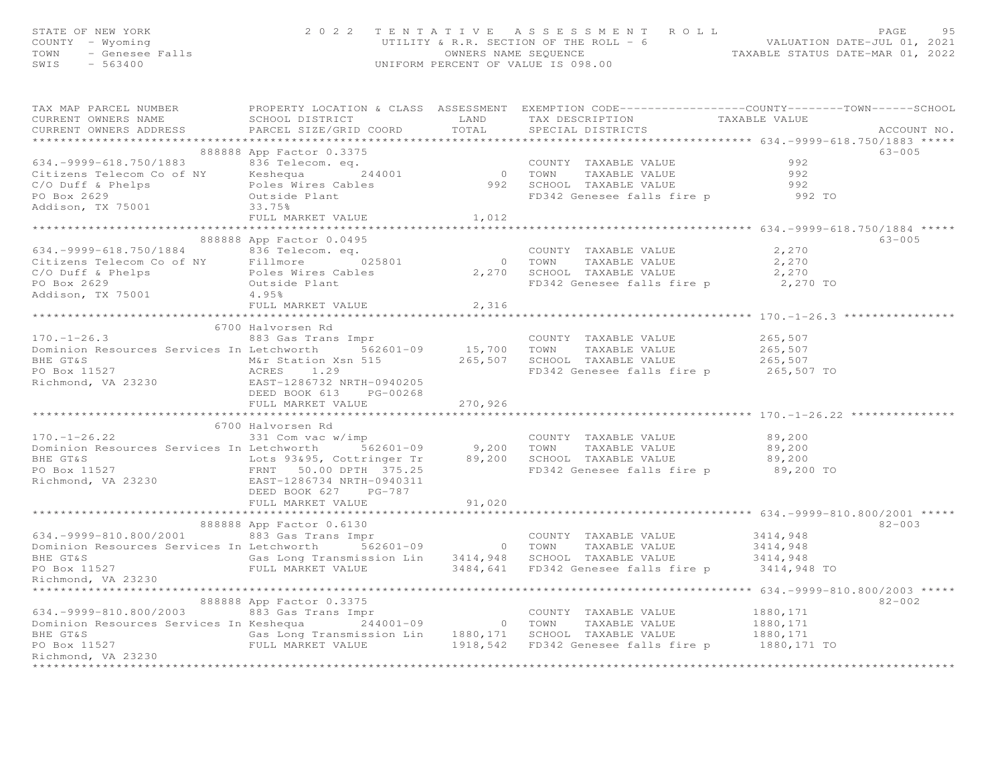| STATE OF NEW YORK       | 2022 TENTATIVE ASSESSMENT ROLL         | PAGE                             | 95 |
|-------------------------|----------------------------------------|----------------------------------|----|
| COUNTY - Wyoming        | UTILITY & R.R. SECTION OF THE ROLL - 6 | VALUATION DATE-JUL 01, 2021      |    |
| TOWN<br>- Genesee Falls | OWNERS NAME SEOUENCE                   | TAXABLE STATUS DATE-MAR 01, 2022 |    |
| SWIS<br>- 563400        | UNIFORM PERCENT OF VALUE IS 098.00     |                                  |    |
|                         |                                        |                                  |    |

| TAX MAP PARCEL NUMBER FROPERTY LOCATION & CLASS ASSESSMENT EXEMPTION CODE----------------COUNTY--------TOWN------SCHOOL<br>CURRENT OWNERS ADDRESS PARCEL SIZE/GRID COORD TOTAL SPECIAL DISTRICTS                                                            |                           |        |                                                           | ACCOUNT NO. |
|-------------------------------------------------------------------------------------------------------------------------------------------------------------------------------------------------------------------------------------------------------------|---------------------------|--------|-----------------------------------------------------------|-------------|
| 8888888 App Factor U.3375<br>8888888 App Factor U.3375<br>CoUNTY TAXABLE VALUE<br>Citizens Telecom Co of NY Reshequand 244001<br>Countral Countral CALUE<br>PO Box 2629<br>PO Box 2629<br>292 Outside Plant<br>293.75%<br>Redison, TX 75001<br>292          | 888888 App Factor 0.3375  |        |                                                           | 63-005      |
|                                                                                                                                                                                                                                                             |                           |        |                                                           |             |
| 634.-9999-618.750/1884<br>Citizens Telecom Co of NY Fillmore 025801 0 TOWN TAXABLE VALUE 2,270<br>C/O Duff & Phelps Poles Wires Cables 2,270<br>PO Box 2629 0utside Plant 4.95% PO Box 2629 0utside Plant<br>Addison, TX 75001 4.95% P                      | 888888 App Factor 0.0495  |        | COUNTY TAXABLE VALUE 2,270                                | $63 - 005$  |
|                                                                                                                                                                                                                                                             |                           |        |                                                           |             |
|                                                                                                                                                                                                                                                             | FULL MARKET VALUE 2,316   |        |                                                           |             |
| 170.-1-26.3<br>883 Gas Trans Impr<br>Dominion Resources Services In Letchworth<br>BHE GT&S<br>PO Box 11527<br>Richmond, VA 23230<br>EAST-128673 NKTH-0940205<br>EAST-128673 NKTH-0940205<br>DEED BOOK 613 PG-00268<br>FD342 Genesee falls fire p            | FULL MARKET VALUE 270,926 |        | ************************************ 170.-1-26.22 ******* |             |
|                                                                                                                                                                                                                                                             | 6700 Halvorsen Rd         |        |                                                           |             |
| 6/00 Halvorsen Rd<br>331 COUNTY TAXABLE VALUE<br>Dominion Resources Services In Letchworth 562601-09 9,200 TOWN TAXABLE VALUE 89,200<br>BHE GT&<br>PO Box 11527 FRNT 50.00 DPTH 375.25<br>Richmond, VA 23230 EAST-1286734 NRTH-0940311<br>                  |                           |        |                                                           |             |
|                                                                                                                                                                                                                                                             | FULL MARKET VALUE         | 91,020 |                                                           |             |
| 634.-9999-810.800/2001 683 Gas Trans Impr COUNTY TAXABLE VALUE 3414,948<br>Dominion Resources Services In Letchworth 562601-09 0 TOWN TAXABLE VALUE 3414,948<br>BHE GT&S Gas Long Transmission Lin 3414,948 SCHOOL TAXABLE VALUE 3<br>Richmond, VA 23230    | 888888 App Factor 0.6130  |        |                                                           | $82 - 003$  |
|                                                                                                                                                                                                                                                             | 888888 App Factor 0.3375  |        |                                                           |             |
| 634.-9999-810.800/2003 (1992) - 1999-810.800/2003 (1999) - 1999-810.800/2003 (1999) - 1999-810.800/2003 (1999<br>Dominion Resources Services In Keshequa (1999) - 244001-09 (1999) - 1999-810<br>EHE GT&S (1999) - 1999-81527 (199<br>********************* |                           |        |                                                           | $82 - 002$  |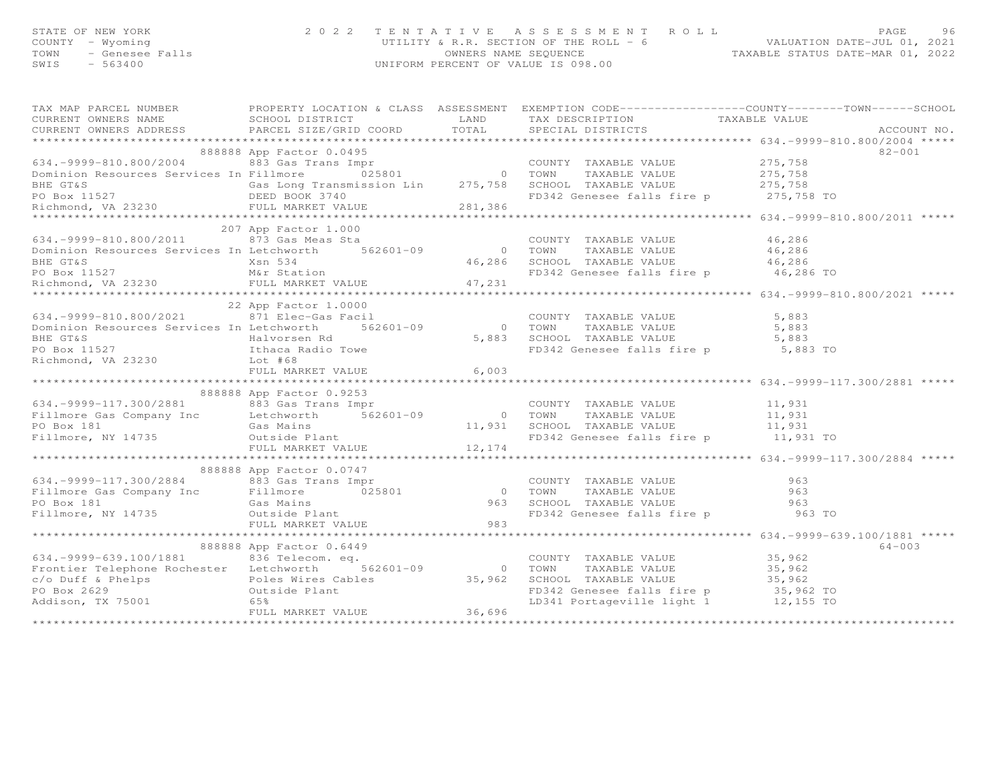| STATE OF NEW YORK    | 2022 TENTATIVE ASSESSMENT ROLL         | PAGE                             | 96 |
|----------------------|----------------------------------------|----------------------------------|----|
| COUNTY – Wyoming     | UTILITY & R.R. SECTION OF THE ROLL - 6 | VALUATION DATE-JUL 01, 2021      |    |
| TOWN - Genesee Falls | OWNERS NAME SEQUENCE                   | TAXABLE STATUS DATE-MAR 01, 2022 |    |
| SWIS<br>$-563400$    | UNIFORM PERCENT OF VALUE IS 098.00     |                                  |    |
|                      |                                        |                                  |    |

|                                                                                                                                                                                                                                                                                                                                                                                                                             |                          |  | $82 - 001$ |
|-----------------------------------------------------------------------------------------------------------------------------------------------------------------------------------------------------------------------------------------------------------------------------------------------------------------------------------------------------------------------------------------------------------------------------|--------------------------|--|------------|
| 1.1527 Microsoft MARKET VALUE (1.000 COUNTY TAXABLE VALUE 46,286<br>207 App Factor 1.000 COUNTY TAXABLE VALUE 46,286<br>207 App Factor 1.000 COUNTY TAXABLE VALUE 46,286<br>208 Microsoft Mar 541<br>208 Microsoft Mar Station FO342 G                                                                                                                                                                                      |                          |  |            |
|                                                                                                                                                                                                                                                                                                                                                                                                                             |                          |  |            |
| 634.–9999–117.300/2881 – 600000 App ractus 0.32.5<br>Fillmore Gas Company Inc and B83 Gas Trans Impresses and the Same of the MARE VALUE of the MARE VALUE<br>Fillmore, NY 14735 (as Mains and FULL MARKET VALUE 12,174<br>FILLMARKE                                                                                                                                                                                        | 888888 App Factor 0.9253 |  |            |
| 888888 App Factor 0.0747<br>888888 App Factor 0.0747<br>Fillmore Gas Company Inc Fillmore Fillmore Gas Company Inc Fillmore Gas Mains<br>FILLMORE VALUE 963<br>FILLMORE VALUE 963<br>FILLMORE VALUE 963<br>FILLMORE VALUE 983<br>FILLMORE VA                                                                                                                                                                                | 888888 App Factor 0.0747 |  |            |
| $\begin{array}{lllllllllllll} \text{634.}-9999-639.100/1881 & 8000000\text{ App reduction 0.0447} & \text{COUNTY TAXABLE VALUE} & 35,962\\ \text{Frontier Telephone Rochester} & 836 & \text{Telecom. eq.} & 562601-09 & 0 & \text{TOWN} & \text{TAXABLE VALUE} & 35,962\\ \text{c/o Duff & Phelps} & \text{Poles Wires Cables} & 35,962 & \text{SCHOOL TAXABLE VALUE} & 35,962\\ \text{PO Box 2629} & 0 & \text{TOKN} & \$ | 888888 App Factor 0.6449 |  | $64 - 003$ |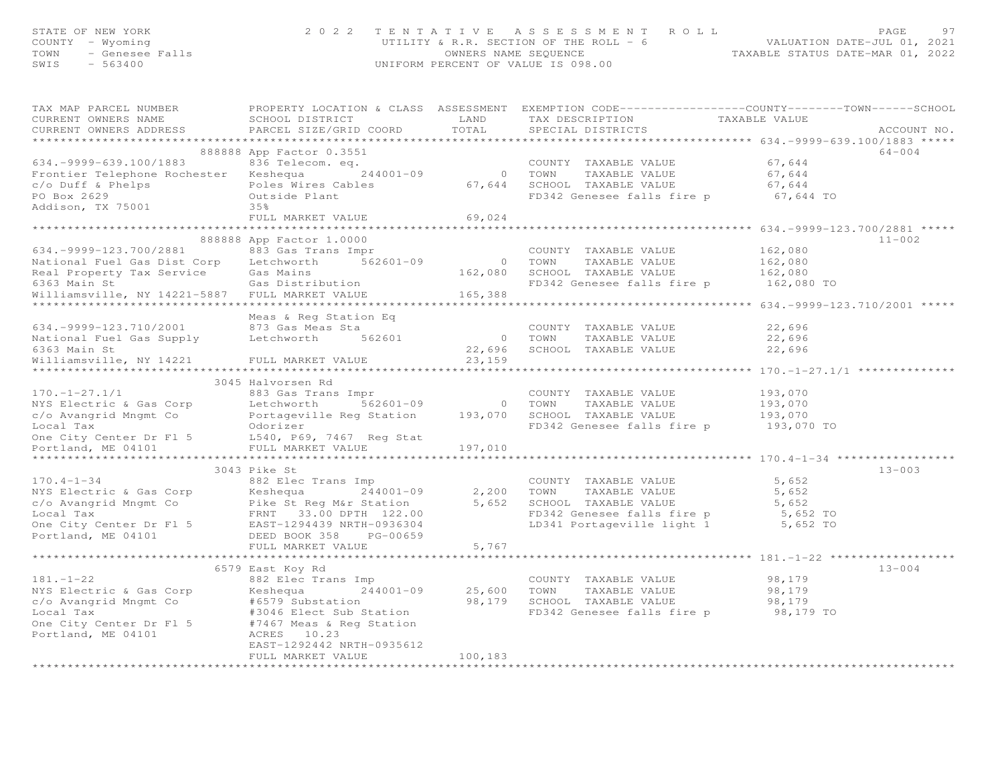|      | STATE OF NEW YORK | 2022 TENTATIVE ASSESSMENT ROLL         |                                  | <b>PAGE</b> | 97 |
|------|-------------------|----------------------------------------|----------------------------------|-------------|----|
|      | COUNTY – Wyoming  | UTILITY & R.R. SECTION OF THE ROLL - 6 | VALUATION DATE-JUL 01, 2021      |             |    |
|      |                   | OWNERS NAME SEOUENCE                   | TAXABLE STATUS DATE-MAR 01, 2022 |             |    |
| SWIS | $-563400$         | UNIFORM PERCENT OF VALUE IS 098.00     |                                  |             |    |
|      |                   |                                        |                                  |             |    |
|      |                   |                                        |                                  |             |    |

| TAX MAP PARCEL NUMBER<br>CURRENT OWNERS NAME<br>CURRENT OWNERS ADDRESS                                                                                                                                                                                | PROPERTY LOCATION & CLASS ASSESSMENT EXEMPTION CODE----------------COUNTY-------TOWN------SCHOOL<br>SCHOOL DISTRICT<br>PARCEL SIZE/GRID COORD TOTAL SPECIAL DISTRICTS |         | LAND TAX DESCRIPTION                                                 | TAXABLE VALUE                               | ACCOUNT NO. |
|-------------------------------------------------------------------------------------------------------------------------------------------------------------------------------------------------------------------------------------------------------|-----------------------------------------------------------------------------------------------------------------------------------------------------------------------|---------|----------------------------------------------------------------------|---------------------------------------------|-------------|
|                                                                                                                                                                                                                                                       |                                                                                                                                                                       |         |                                                                      |                                             |             |
|                                                                                                                                                                                                                                                       | 888888 App Factor 0.3551                                                                                                                                              |         |                                                                      |                                             | 64-004      |
| 634.-9999-639.100/1883<br>Frontier Telephone Rochester Keshequa 244001-09 COUNTY TAXABLE VALUE 67,644<br>c/o Duff & Phelps Poles Wires Cables 67,644<br>Poles Wires Cables 67,644<br>Poles Wires Cables 67,644<br>Poles Wires Cables 67,              |                                                                                                                                                                       |         |                                                                      |                                             |             |
|                                                                                                                                                                                                                                                       |                                                                                                                                                                       |         |                                                                      |                                             |             |
|                                                                                                                                                                                                                                                       |                                                                                                                                                                       |         |                                                                      |                                             |             |
|                                                                                                                                                                                                                                                       |                                                                                                                                                                       |         |                                                                      |                                             |             |
| Addison, TX 75001                                                                                                                                                                                                                                     | 35%                                                                                                                                                                   |         |                                                                      |                                             |             |
|                                                                                                                                                                                                                                                       | FULL MARKET VALUE                                                                                                                                                     | 69,024  |                                                                      |                                             |             |
|                                                                                                                                                                                                                                                       |                                                                                                                                                                       |         |                                                                      |                                             |             |
|                                                                                                                                                                                                                                                       | 888888 App Factor 1.0000                                                                                                                                              |         |                                                                      |                                             | $11 - 002$  |
| 634.-9999-123.700/2881 883 Gas Trans Impr                                                                                                                                                                                                             |                                                                                                                                                                       |         | COUNTY TAXABLE VALUE                                                 | 162,080                                     |             |
|                                                                                                                                                                                                                                                       |                                                                                                                                                                       |         |                                                                      |                                             |             |
|                                                                                                                                                                                                                                                       |                                                                                                                                                                       |         |                                                                      |                                             |             |
|                                                                                                                                                                                                                                                       |                                                                                                                                                                       |         | FD342 Genesee falls fire p 162,080 TO                                |                                             |             |
|                                                                                                                                                                                                                                                       |                                                                                                                                                                       |         |                                                                      |                                             |             |
|                                                                                                                                                                                                                                                       |                                                                                                                                                                       |         |                                                                      | ************** 634.-9999-123.710/2001 ***** |             |
| Meas & Reg Station Eq<br>634.-9999-123.710/2001 873 Gas Meas Sta<br>National Fuel Gas Supply Letchworth 562601                                                                                                                                        | Meas & Reg Station Eq                                                                                                                                                 |         |                                                                      |                                             |             |
|                                                                                                                                                                                                                                                       |                                                                                                                                                                       |         | COUNTY TAXABLE VALUE                                                 | 22,696                                      |             |
|                                                                                                                                                                                                                                                       |                                                                                                                                                                       |         | 0 TOWN TAXABLE VALUE<br>22,696 SCHOOL TAXABLE VALUE<br>TAXABLE VALUE | 22,696<br>22,696                            |             |
| 6363 Main St                                                                                                                                                                                                                                          |                                                                                                                                                                       |         |                                                                      |                                             |             |
| Williamsville, NY 14221 FULL MARKET VALUE                                                                                                                                                                                                             |                                                                                                                                                                       | 23,159  |                                                                      |                                             |             |
|                                                                                                                                                                                                                                                       | 3045 Halvorsen Rd                                                                                                                                                     |         |                                                                      |                                             |             |
|                                                                                                                                                                                                                                                       |                                                                                                                                                                       |         |                                                                      |                                             |             |
|                                                                                                                                                                                                                                                       |                                                                                                                                                                       |         |                                                                      |                                             |             |
|                                                                                                                                                                                                                                                       |                                                                                                                                                                       |         |                                                                      |                                             |             |
|                                                                                                                                                                                                                                                       |                                                                                                                                                                       |         |                                                                      |                                             |             |
|                                                                                                                                                                                                                                                       |                                                                                                                                                                       |         |                                                                      |                                             |             |
|                                                                                                                                                                                                                                                       |                                                                                                                                                                       |         |                                                                      |                                             |             |
|                                                                                                                                                                                                                                                       |                                                                                                                                                                       |         |                                                                      |                                             |             |
|                                                                                                                                                                                                                                                       | 3043 Pike St                                                                                                                                                          |         |                                                                      |                                             | $13 - 003$  |
| $170.4 - 1 - 34$                                                                                                                                                                                                                                      | 882 Elec Trans Imp                                                                                                                                                    |         | COUNTY TAXABLE VALUE                                                 | 5,652                                       |             |
|                                                                                                                                                                                                                                                       |                                                                                                                                                                       |         |                                                                      |                                             |             |
|                                                                                                                                                                                                                                                       |                                                                                                                                                                       |         |                                                                      |                                             |             |
|                                                                                                                                                                                                                                                       |                                                                                                                                                                       |         |                                                                      |                                             |             |
|                                                                                                                                                                                                                                                       |                                                                                                                                                                       |         |                                                                      |                                             |             |
| NYS Electric & Gas Corp<br>NYS Electric & Gas Corp<br>C/o Avangrid Mngmt Co<br>Local Tax<br>Decity Center Dr F1 5<br>Corporation<br>DEED BOOK 35,652<br>One City Center Dr F1 5<br>EAST-1294439 NRTH-0936304<br>POTLANA ME 04101<br>DEED BOOK 358<br> |                                                                                                                                                                       |         |                                                                      |                                             |             |
|                                                                                                                                                                                                                                                       | FULL MARKET VALUE 5,767                                                                                                                                               |         |                                                                      |                                             |             |
|                                                                                                                                                                                                                                                       |                                                                                                                                                                       |         |                                                                      |                                             |             |
|                                                                                                                                                                                                                                                       | 6579 East Koy Rd                                                                                                                                                      |         |                                                                      |                                             | $13 - 004$  |
| $181. - 1 - 22$                                                                                                                                                                                                                                       | 882 Elec Trans Imp                                                                                                                                                    |         | COUNTY TAXABLE VALUE                                                 | 98,179                                      |             |
|                                                                                                                                                                                                                                                       |                                                                                                                                                                       |         |                                                                      |                                             |             |
| NYS Electric & Gas Corp<br>C/O Avangrid Mngmt Co = +6579 Substation<br>Co Avangrid Mngmt Co = +6579 Substation<br>Cocal Tax = +3046 Elect Sub Station<br>One City Center Dr F1 5 +7467 Meas & Reg Station<br>Portland, ME 04101 = +7467               |                                                                                                                                                                       |         |                                                                      |                                             |             |
|                                                                                                                                                                                                                                                       |                                                                                                                                                                       |         |                                                                      |                                             |             |
|                                                                                                                                                                                                                                                       |                                                                                                                                                                       |         |                                                                      |                                             |             |
|                                                                                                                                                                                                                                                       |                                                                                                                                                                       |         |                                                                      |                                             |             |
|                                                                                                                                                                                                                                                       | EAST-1292442 NRTH-0935612                                                                                                                                             |         |                                                                      |                                             |             |
|                                                                                                                                                                                                                                                       | FULL MARKET VALUE                                                                                                                                                     | 100,183 |                                                                      |                                             |             |
|                                                                                                                                                                                                                                                       |                                                                                                                                                                       |         |                                                                      |                                             |             |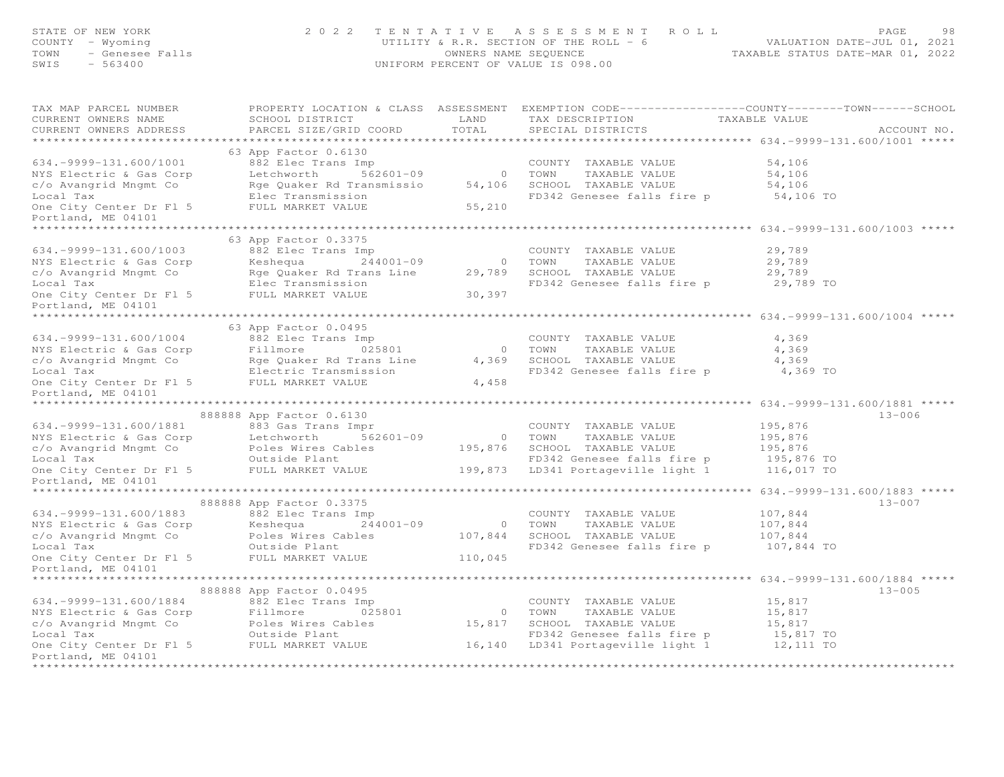| STATE OF NEW YORK<br>$V = W$<br>$V = W$ $V = W$<br>$V = W$<br>$V = W$<br>$V = W$<br>$V = W$<br>$V = W$<br>$V = W$<br>$V = W$<br>$V = W$<br>$V = W$<br>$V = W$<br>$V = W$<br>$V = W$<br>$V = W$<br>$V = W$<br>$V = W$<br>$V = W$<br>$V = W$<br>$V = W$<br>$V = W$<br>$V = W$<br>$V = W$<br>$V = W$<br>$V = W$<br>$V = W$<br>$V = W$<br>$V = W$<br>$V = W$<br>$V = W$<br>$V = W$<br>COUNTY - Wyoming<br>TOWN<br>SWIS |                                                 |       | PAGE 98 7 ENTATIVE ASSESSMENT ROLL PAGE 98<br>UTILITY & R.R. SECTION OF THE ROLL - 6 VALUATION DATE-JUL 01, 2021<br>OWNERS NAME SEQUENCE TAXABLE STATUS DATE-MAR 01, 2022<br>UNIFORM PERCENT OF VALUE IS 098.00 |          |             |
|--------------------------------------------------------------------------------------------------------------------------------------------------------------------------------------------------------------------------------------------------------------------------------------------------------------------------------------------------------------------------------------------------------------------|-------------------------------------------------|-------|-----------------------------------------------------------------------------------------------------------------------------------------------------------------------------------------------------------------|----------|-------------|
| TAX MAP PARCEL NUMBER<br>CURRENT OWNERS NAME<br>CURRENT OWNERS ADDRESS                                                                                                                                                                                                                                                                                                                                             | SCHOOL DISTRICT<br>PARCEL SIZE/GRID COORD TOTAL |       | PROPERTY LOCATION & CLASS ASSESSMENT EXEMPTION CODE----------------COUNTY-------TOWN------SCHOOL<br>LAND TAX DESCRIPTION TAXABLE VALUE<br>SPECIAL DISTRICTS                                                     |          | ACCOUNT NO. |
|                                                                                                                                                                                                                                                                                                                                                                                                                    | 63 App Factor 0.6130                            |       |                                                                                                                                                                                                                 |          |             |
|                                                                                                                                                                                                                                                                                                                                                                                                                    |                                                 |       |                                                                                                                                                                                                                 |          |             |
|                                                                                                                                                                                                                                                                                                                                                                                                                    |                                                 |       |                                                                                                                                                                                                                 |          |             |
|                                                                                                                                                                                                                                                                                                                                                                                                                    |                                                 |       |                                                                                                                                                                                                                 |          |             |
|                                                                                                                                                                                                                                                                                                                                                                                                                    |                                                 |       |                                                                                                                                                                                                                 |          |             |
|                                                                                                                                                                                                                                                                                                                                                                                                                    |                                                 |       |                                                                                                                                                                                                                 |          |             |
| Portland, ME 04101                                                                                                                                                                                                                                                                                                                                                                                                 |                                                 |       |                                                                                                                                                                                                                 |          |             |
|                                                                                                                                                                                                                                                                                                                                                                                                                    | 63 App Factor 0.3375                            |       |                                                                                                                                                                                                                 |          |             |
| 634.-9999-131.600/1003<br>882 Elec Trans Imp<br>NYS Electric & Gas Corp<br>County TAXABLE VALUE<br>COUNTY TAXABLE VALUE<br>29,789<br>COUNTY TAXABLE VALUE<br>COUNTY TAXABLE VALUE<br>TAXABLE VALUE<br>29,789<br>COUNTY TAXABLE VALUE<br>COUNTY TAXAB                                                                                                                                                               |                                                 |       |                                                                                                                                                                                                                 |          |             |
|                                                                                                                                                                                                                                                                                                                                                                                                                    |                                                 |       |                                                                                                                                                                                                                 |          |             |
|                                                                                                                                                                                                                                                                                                                                                                                                                    |                                                 |       |                                                                                                                                                                                                                 |          |             |
|                                                                                                                                                                                                                                                                                                                                                                                                                    |                                                 |       |                                                                                                                                                                                                                 |          |             |
|                                                                                                                                                                                                                                                                                                                                                                                                                    |                                                 |       |                                                                                                                                                                                                                 |          |             |
| Portland, ME 04101                                                                                                                                                                                                                                                                                                                                                                                                 |                                                 |       |                                                                                                                                                                                                                 |          |             |
|                                                                                                                                                                                                                                                                                                                                                                                                                    |                                                 |       |                                                                                                                                                                                                                 |          |             |
|                                                                                                                                                                                                                                                                                                                                                                                                                    | 63 App Factor 0.0495                            |       |                                                                                                                                                                                                                 |          |             |
|                                                                                                                                                                                                                                                                                                                                                                                                                    |                                                 |       |                                                                                                                                                                                                                 | 4,369    |             |
|                                                                                                                                                                                                                                                                                                                                                                                                                    |                                                 |       | COUNTY TAXABLE VALUE<br>0 TOWN TAXABLE VALUE<br>4,369 SCHOOL TAXABLE VALUE<br>FD342 Genesee falls fire p                                                                                                        | 4,369    |             |
|                                                                                                                                                                                                                                                                                                                                                                                                                    |                                                 |       |                                                                                                                                                                                                                 | 4,369    |             |
|                                                                                                                                                                                                                                                                                                                                                                                                                    |                                                 |       |                                                                                                                                                                                                                 | 4,369 TO |             |
| 634.-9999-131.600/1004<br>NYS Electric & Gas Corp<br>c/o Avangrid Mngmt Co<br>Local Tax<br>Conter Dr F1 5<br>Conter Dr F1 5<br>Conter Pr F1 5<br>Portland MF 04101<br>Conter Pr F1 5<br>Portland MF 04101                                                                                                                                                                                                          |                                                 | 4,458 |                                                                                                                                                                                                                 |          |             |
| Portland, ME 04101<br>********************                                                                                                                                                                                                                                                                                                                                                                         |                                                 |       |                                                                                                                                                                                                                 |          |             |
|                                                                                                                                                                                                                                                                                                                                                                                                                    |                                                 |       |                                                                                                                                                                                                                 |          | $13 - 006$  |
|                                                                                                                                                                                                                                                                                                                                                                                                                    |                                                 |       |                                                                                                                                                                                                                 |          |             |
|                                                                                                                                                                                                                                                                                                                                                                                                                    |                                                 |       |                                                                                                                                                                                                                 |          |             |
|                                                                                                                                                                                                                                                                                                                                                                                                                    |                                                 |       |                                                                                                                                                                                                                 |          |             |
|                                                                                                                                                                                                                                                                                                                                                                                                                    |                                                 |       |                                                                                                                                                                                                                 |          |             |
| 888888 App Factor 0.6130<br>883 Gas Trans Impressed and COUNTY TAXABLE VALUE<br>NYS Electric & Gas Corp<br>C/O Avangrid Mngmt Contrast Colles Wires Cables<br>Local Tax<br>COUNTY TAXABLE VALUE<br>COUNTY TAXABLE VALUE<br>COUNTY TAXABLE VA                                                                                                                                                                       |                                                 |       |                                                                                                                                                                                                                 |          |             |
| Portland, ME 04101                                                                                                                                                                                                                                                                                                                                                                                                 |                                                 |       |                                                                                                                                                                                                                 |          |             |
| ********************                                                                                                                                                                                                                                                                                                                                                                                               |                                                 |       |                                                                                                                                                                                                                 |          |             |
|                                                                                                                                                                                                                                                                                                                                                                                                                    | 888888 App Factor 0.3375                        |       |                                                                                                                                                                                                                 |          | $13 - 007$  |
|                                                                                                                                                                                                                                                                                                                                                                                                                    |                                                 |       |                                                                                                                                                                                                                 | 107,844  |             |
|                                                                                                                                                                                                                                                                                                                                                                                                                    |                                                 |       |                                                                                                                                                                                                                 | 107,844  |             |
|                                                                                                                                                                                                                                                                                                                                                                                                                    |                                                 |       |                                                                                                                                                                                                                 | 107,844  |             |
|                                                                                                                                                                                                                                                                                                                                                                                                                    |                                                 |       | FD342 Genesee falls fire p 107,844 TO                                                                                                                                                                           |          |             |
| COUNTY TAXABLE VALUE<br>NYS Electric & Gas Corp<br>County TAXABLE VALUE<br>C/o Avangrid Mngmt Co<br>C/o Avangrid Mngmt Co<br>County Center & Gas Corp<br>County COUNTY TAXABLE VALUE<br>COUNTY TAXABLE VALUE<br>COUNTY TAXABLE VALUE<br>COUNTY T                                                                                                                                                                   |                                                 |       |                                                                                                                                                                                                                 |          |             |
| Portland, ME 04101<br>**********************                                                                                                                                                                                                                                                                                                                                                                       |                                                 |       |                                                                                                                                                                                                                 |          |             |
|                                                                                                                                                                                                                                                                                                                                                                                                                    | 888888 App Factor 0.0495                        |       |                                                                                                                                                                                                                 |          | $13 - 005$  |
| 15,817<br>NYS Electric & Gas Corp<br>COUNTY TAXABLE VALUE UNLUE 15,817<br>NYS Electric & Gas Corp<br>Colomic Countr County Taxable VALUE 15,817<br>COUNTY TAXABLE VALUE 15,817<br>COUNTY TAXABLE VALUE 15,817<br>COUNTY TAXABLE VALUE 15,817                                                                                                                                                                       |                                                 |       |                                                                                                                                                                                                                 |          |             |
|                                                                                                                                                                                                                                                                                                                                                                                                                    |                                                 |       |                                                                                                                                                                                                                 |          |             |
|                                                                                                                                                                                                                                                                                                                                                                                                                    |                                                 |       |                                                                                                                                                                                                                 |          |             |
|                                                                                                                                                                                                                                                                                                                                                                                                                    |                                                 |       |                                                                                                                                                                                                                 |          |             |
|                                                                                                                                                                                                                                                                                                                                                                                                                    |                                                 |       |                                                                                                                                                                                                                 |          |             |
| Portland, ME 04101                                                                                                                                                                                                                                                                                                                                                                                                 |                                                 |       |                                                                                                                                                                                                                 |          |             |
|                                                                                                                                                                                                                                                                                                                                                                                                                    |                                                 |       |                                                                                                                                                                                                                 |          |             |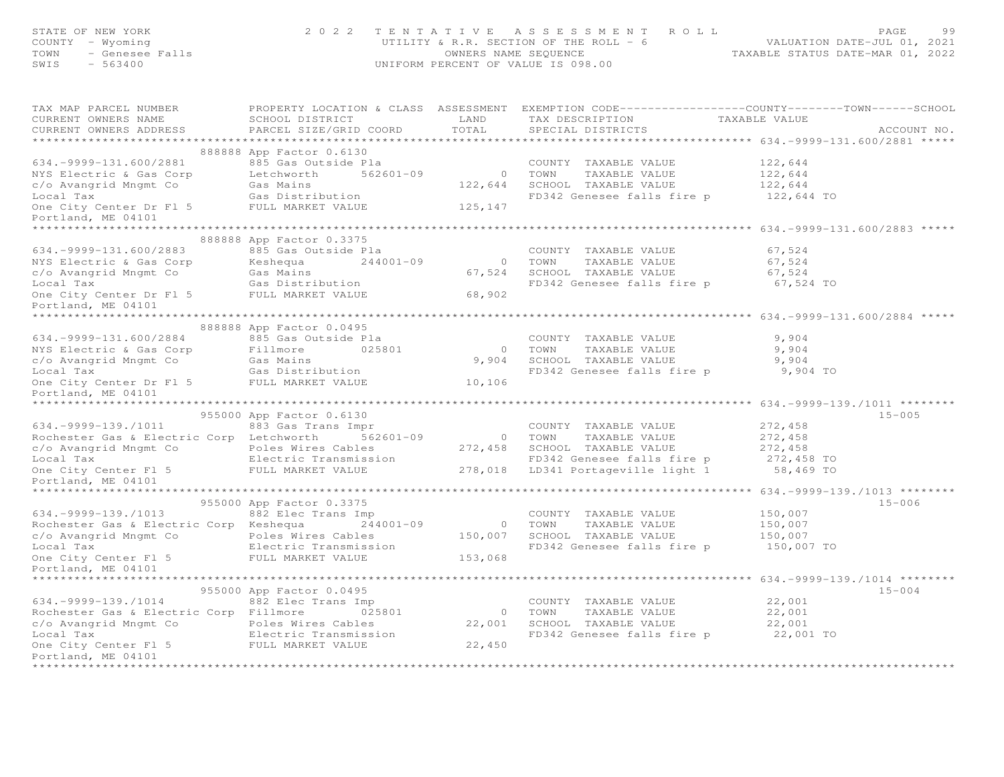| FAGE 99<br>COUNTY - Wyoming (2022 TENTATIVE ASSESSMENT ROLL PACE 99<br>COUNTY - Wyoming (2021 UTILITY & R.R. SECTION OF THE ROLL - 6<br>COUNTY - Genesee Falls (2022 UNIFORM PERCENT OF VALUE IS 098.00<br>SWIS - 563400 (UNIFORM PERCENT                              |                          |  |            |
|------------------------------------------------------------------------------------------------------------------------------------------------------------------------------------------------------------------------------------------------------------------------|--------------------------|--|------------|
| TAX MAP PARCEL NUMBER<br>CURRENT OWNERS NAME<br>CURRENT OWNERS ADDRESS                                                                                                                                                                                                 |                          |  |            |
|                                                                                                                                                                                                                                                                        | 888888 App Factor 0.6130 |  |            |
|                                                                                                                                                                                                                                                                        |                          |  |            |
|                                                                                                                                                                                                                                                                        |                          |  |            |
|                                                                                                                                                                                                                                                                        |                          |  |            |
|                                                                                                                                                                                                                                                                        |                          |  |            |
| 934.–9999–131.600/2881<br>NYS Electric & Gas Corp and Base of the Market Market Country TAXABLE VALUE<br>NYS Electric & Gas Corp Letchworth 562601–09 0 TOWN TAXABLE VALUE<br>C/O Avangrid Mngmt Co Gas Mains 122,644 SCHOOL TAXABLE                                   |                          |  |            |
|                                                                                                                                                                                                                                                                        |                          |  |            |
|                                                                                                                                                                                                                                                                        | 888888 App Factor 0.3375 |  |            |
|                                                                                                                                                                                                                                                                        |                          |  |            |
|                                                                                                                                                                                                                                                                        |                          |  |            |
|                                                                                                                                                                                                                                                                        |                          |  |            |
| 888888 App Factor 0.3375<br>888888 App Factor 0.3375<br>NYS Electric & Gas Corp<br>COUNTY TAXABLE VALUE<br>COUNTY TAXABLE VALUE<br>COUNTY TAXABLE VALUE<br>COUNTY TAXABLE VALUE<br>COUNTY TAXABLE VALUE<br>COUNTY TAXABLE VALUE<br>COUNTY TAXABL<br>Portland, ME 04101 |                          |  |            |
|                                                                                                                                                                                                                                                                        |                          |  |            |
|                                                                                                                                                                                                                                                                        |                          |  |            |
|                                                                                                                                                                                                                                                                        |                          |  |            |
|                                                                                                                                                                                                                                                                        |                          |  |            |
|                                                                                                                                                                                                                                                                        |                          |  |            |
|                                                                                                                                                                                                                                                                        |                          |  |            |
| 88888888888888888889 App Factor 0.0495<br>MYS Electric & Gas Corp Factor 0.0495<br>MYS Electric & Gas Corp Fillmore 025801<br>COUNTY TAXABLE VALUE 9,904<br>COUNTY TAXABLE VALUE 9,904<br>COUNTY TAXABLE VALUE 9,904<br>COUNTY TAXABLE VAL<br>Portland, ME 04101       |                          |  |            |
|                                                                                                                                                                                                                                                                        |                          |  |            |
| 955000 App Factor 0.6130<br>955000 App Factor 0.6130<br>833 Gas Trans Impressed and Tax<br>Country TAXABLE VALUE 272,458<br>Condester Gas & Electric Corp Letchworth 562601-09<br>Country TAXABLE VALUE 272,458<br>Condester Gas & Electri                             |                          |  | $15 - 005$ |
|                                                                                                                                                                                                                                                                        |                          |  |            |
|                                                                                                                                                                                                                                                                        |                          |  |            |
|                                                                                                                                                                                                                                                                        |                          |  |            |
|                                                                                                                                                                                                                                                                        |                          |  |            |
|                                                                                                                                                                                                                                                                        |                          |  |            |
|                                                                                                                                                                                                                                                                        |                          |  |            |
|                                                                                                                                                                                                                                                                        |                          |  | $15 - 006$ |
|                                                                                                                                                                                                                                                                        |                          |  |            |
|                                                                                                                                                                                                                                                                        |                          |  |            |
|                                                                                                                                                                                                                                                                        |                          |  |            |
|                                                                                                                                                                                                                                                                        |                          |  |            |
| 955000 App Factor 0.3375<br>955000 App Factor 0.3375<br>Rochester Gas & Electric Corp Keshequa<br>Rochester Gas & Electric Corp Keshequa<br>244001-09 0 TOWN TAXABLE VALUE<br>25,007 0 Avangrid Mngmt Co Poles Wiester Scale 244001-09<br>                             |                          |  |            |
|                                                                                                                                                                                                                                                                        |                          |  | $15 - 004$ |
|                                                                                                                                                                                                                                                                        |                          |  |            |
|                                                                                                                                                                                                                                                                        |                          |  |            |
|                                                                                                                                                                                                                                                                        |                          |  |            |
|                                                                                                                                                                                                                                                                        |                          |  |            |
| 950000 App Factor 0.0495<br>Rochester Gas & Electric Corp Fillmore 025801<br>C/O Avangrid Mngmt Co Poles Wires Cables 22,001<br>Electric Transmission<br>Com TAXABLE VALUE 22,001<br>Com TAXABLE VALUE 22,001<br>Con City Center F1.5<br>Ele                           |                          |  |            |
| Portland, ME 04101                                                                                                                                                                                                                                                     |                          |  |            |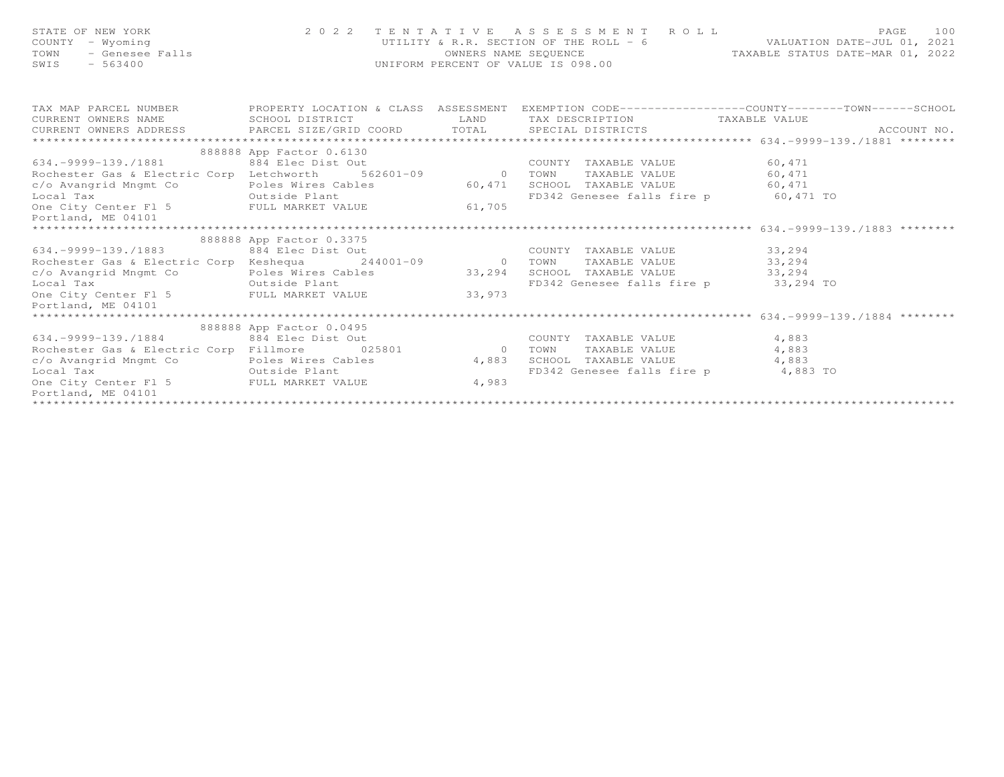| STATE OF NEW YORK<br>COUNTY - Wyoming<br>JF NEW YORA<br>- Wyoming<br>- Genesee Falls<br>- Codeo<br>TOWN<br>SWIS                                                                                                                 |                          |      | 2022 TENTATIVE ASSESSMENT ROLL PAGE 100<br>UTILITY & R.R. SECTION OF THE ROLL - 6 VALUATION DATE-JUL 01, 2021<br>OWNERS NAME SEQUENCE TAXABLE STATUS DATE-MAR 01, 2022<br>UNIFORM PERCENT OF VALUE IS 098.00 |        |  |
|---------------------------------------------------------------------------------------------------------------------------------------------------------------------------------------------------------------------------------|--------------------------|------|--------------------------------------------------------------------------------------------------------------------------------------------------------------------------------------------------------------|--------|--|
| TAX MAP PARCEL NUMBER FROPERTY LOCATION & CLASS ASSESSMENT EXEMPTION CODE-----------------COUNTY--------TOWN------SCHOOL<br>CURRENT OWNERS NAME                                                                                 | SCHOOL DISTRICT          | LAND | TAX DESCRIPTION TAXABLE VALUE                                                                                                                                                                                |        |  |
|                                                                                                                                                                                                                                 |                          |      |                                                                                                                                                                                                              |        |  |
|                                                                                                                                                                                                                                 |                          |      |                                                                                                                                                                                                              |        |  |
|                                                                                                                                                                                                                                 | 888888 App Factor 0.6130 |      |                                                                                                                                                                                                              |        |  |
|                                                                                                                                                                                                                                 |                          |      |                                                                                                                                                                                                              |        |  |
|                                                                                                                                                                                                                                 |                          |      |                                                                                                                                                                                                              |        |  |
| c/o Avangrid Mngmt Co coles Wires Cables 60,471                                                                                                                                                                                 |                          |      | SCHOOL TAXABLE VALUE 60,471                                                                                                                                                                                  |        |  |
| Local Tax conter F1 5 Contract Contract Content Content Content Content Content Content Content Content Content<br>Content Content F1 5 Content Content Content Content Content Content Content Content Content Content Content |                          |      | FD342 Genesee falls fire p 60,471 TO                                                                                                                                                                         |        |  |
|                                                                                                                                                                                                                                 |                          |      |                                                                                                                                                                                                              |        |  |
| Portland, ME 04101                                                                                                                                                                                                              |                          |      |                                                                                                                                                                                                              |        |  |
|                                                                                                                                                                                                                                 | 888888 App Factor 0.3375 |      |                                                                                                                                                                                                              |        |  |
| 634.-9999-139./1883 884 Elec Dist Out                                                                                                                                                                                           |                          |      | COUNTY TAXABLE VALUE 33,294                                                                                                                                                                                  |        |  |
| Rochester Gas & Electric Corp Keshequa 244001-09 0 TOWN                                                                                                                                                                         |                          |      | TAXABLE VALUE                                                                                                                                                                                                | 33,294 |  |
| c/o Avangrid Mngmt Co                                                                                                                                                                                                           |                          |      |                                                                                                                                                                                                              |        |  |
| Outside Plant<br>Local Tax                                                                                                                                                                                                      |                          |      | FD342 Genesee falls fire p 33,294 TO                                                                                                                                                                         |        |  |
| One City Center F1 5 FULL MARKET VALUE 33,973                                                                                                                                                                                   |                          |      |                                                                                                                                                                                                              |        |  |
| Portland, ME 04101                                                                                                                                                                                                              |                          |      |                                                                                                                                                                                                              |        |  |
| *************************                                                                                                                                                                                                       |                          |      |                                                                                                                                                                                                              |        |  |
|                                                                                                                                                                                                                                 | 888888 App Factor 0.0495 |      |                                                                                                                                                                                                              |        |  |
|                                                                                                                                                                                                                                 |                          |      | COUNTY TAXABLE VALUE 4,883                                                                                                                                                                                   |        |  |
| 0.14.-9999-139./1884 884 Elec Dist Out<br>Rochester Gas & Electric Corp Fillmore 025801 0 TOWN                                                                                                                                  |                          |      | TAXABLE VALUE 4,883                                                                                                                                                                                          |        |  |
| c/o Avangrid Mngmt Co Poles Wires Cables 4,883                                                                                                                                                                                  |                          |      | SCHOOL TAXABLE VALUE 4,883                                                                                                                                                                                   |        |  |
| Outside Plant<br>Local Tax                                                                                                                                                                                                      |                          |      | FD342 Genesee falls fire p 4,883 TO                                                                                                                                                                          |        |  |
| One City Center F1 5 FULL MARKET VALUE 4,983                                                                                                                                                                                    |                          |      |                                                                                                                                                                                                              |        |  |
| Portland, ME 04101                                                                                                                                                                                                              |                          |      |                                                                                                                                                                                                              |        |  |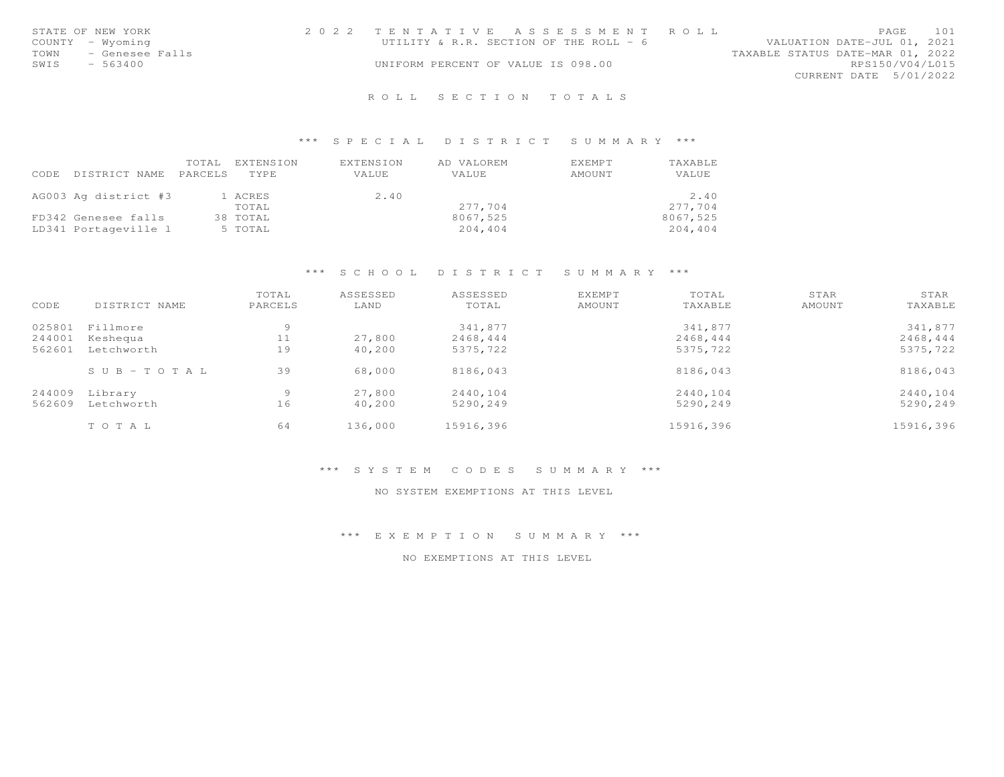|      | STATE OF NEW YORK | 2022 TENTATIVE ASSESSMENT ROLL         |  |                                  |                        | PAGE | 101 |
|------|-------------------|----------------------------------------|--|----------------------------------|------------------------|------|-----|
|      | COUNTY - Wyoming  | UTILITY & R.R. SECTION OF THE ROLL - 6 |  | VALUATION DATE-JUL 01, 2021      |                        |      |     |
| TOWN | - Genesee Falls   |                                        |  | TAXABLE STATUS DATE-MAR 01, 2022 |                        |      |     |
| SWIS | $-563400$         | UNIFORM PERCENT OF VALUE IS 098.00     |  |                                  | RPS150/V04/L015        |      |     |
|      |                   |                                        |  |                                  | CURRENT DATE 5/01/2022 |      |     |
|      |                   |                                        |  |                                  |                        |      |     |

## \*\*\* S P E C I A L D I S T R I C T S U M M A R Y \*\*\*

| CODE | DISTRICT NAME        | TOTAL.<br>PARCELS | EXTENSION<br>TYPE | EXTENSION<br>VALUE | AD VALOREM<br>VALUE | <b>EXEMPT</b><br>AMOUNT | TAXABLE<br>VALUE |
|------|----------------------|-------------------|-------------------|--------------------|---------------------|-------------------------|------------------|
|      | AG003 Ag district #3 |                   | 1 ACRES           | 2.40               |                     |                         | 2.40             |
|      |                      |                   | TOTAL             |                    | 277.704             |                         | 277,704          |
|      | FD342 Genesee falls  |                   | 38 TOTAL          |                    | 8067,525            |                         | 8067,525         |
|      | LD341 Portageville 1 |                   | 5 TOTAL           |                    | 204,404             |                         | 204,404          |

# \*\*\* S C H O O L D I S T R I C T S U M M A R Y \*\*\*

|        |                       | TOTAL   | ASSESSED | ASSESSED  | <b>EXEMPT</b> | TOTAL     | STAR   | STAR      |
|--------|-----------------------|---------|----------|-----------|---------------|-----------|--------|-----------|
| CODE   | DISTRICT NAME         | PARCELS | LAND     | TOTAL     | AMOUNT        | TAXABLE   | AMOUNT | TAXABLE   |
| 025801 | Fillmore              | 9       |          | 341,877   |               | 341,877   |        | 341,877   |
| 244001 | Keshequa              | 11      | 27,800   | 2468,444  |               | 2468,444  |        | 2468,444  |
| 562601 | Letchworth            | 19      | 40,200   | 5375,722  |               | 5375,722  |        | 5375,722  |
|        | $S \cup B - TO T A L$ | 39      | 68,000   | 8186,043  |               | 8186,043  |        | 8186,043  |
| 244009 | Library               | 9       | 27,800   | 2440,104  |               | 2440,104  |        | 2440,104  |
| 562609 | Letchworth            | 16      | 40,200   | 5290,249  |               | 5290,249  |        | 5290,249  |
|        | TOTAL                 | 64      | 136,000  | 15916,396 |               | 15916,396 |        | 15916,396 |

#### \*\*\* S Y S T E M C O D E S S U M M A R Y \*\*\*

#### NO SYSTEM EXEMPTIONS AT THIS LEVEL

\*\*\* E X E M P T I O N S U M M A R Y \*\*\*

NO EXEMPTIONS AT THIS LEVEL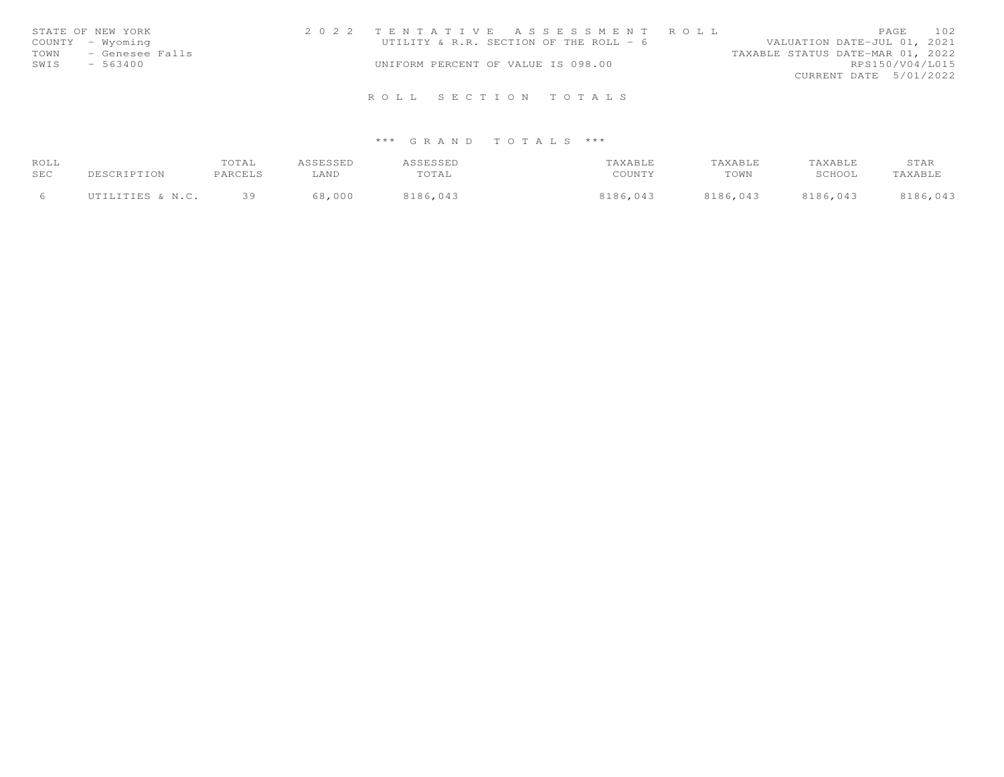| STATE OF NEW YORK    | 2022 TENTATIVE ASSESSMENT ROLL         | PAGE                             | 102 |
|----------------------|----------------------------------------|----------------------------------|-----|
| COUNTY - Wyoming     | UTILITY & R.R. SECTION OF THE ROLL - 6 | VALUATION DATE-JUL 01, 2021      |     |
| TOWN - Genesee Falls |                                        | TAXABLE STATUS DATE-MAR 01, 2022 |     |
| SWIS<br>$-563400$    | UNIFORM PERCENT OF VALUE IS 098.00     | RPS150/V04/L015                  |     |
|                      |                                        | CURRENT DATE 5/01/2022           |     |
|                      |                                        |                                  |     |
|                      | ROLL SECTION TOTALS                    |                                  |     |

| ROLL |                  | TOTAL   | ASSESSED | ASSESSED | TAXABLE  | TAXABLE  | TAXABLE  | STAR     |
|------|------------------|---------|----------|----------|----------|----------|----------|----------|
| SEC  | DESCRIPTION      | PARCELS | LAND     | TOTAL    | COUNTY   | TOWN     | SCHOOL   | TAXABLE  |
|      | UTILITIES & N.C. | 39      | 68,000   | 8186,043 | 8186,043 | 8186,043 | 8186,043 | 8186,043 |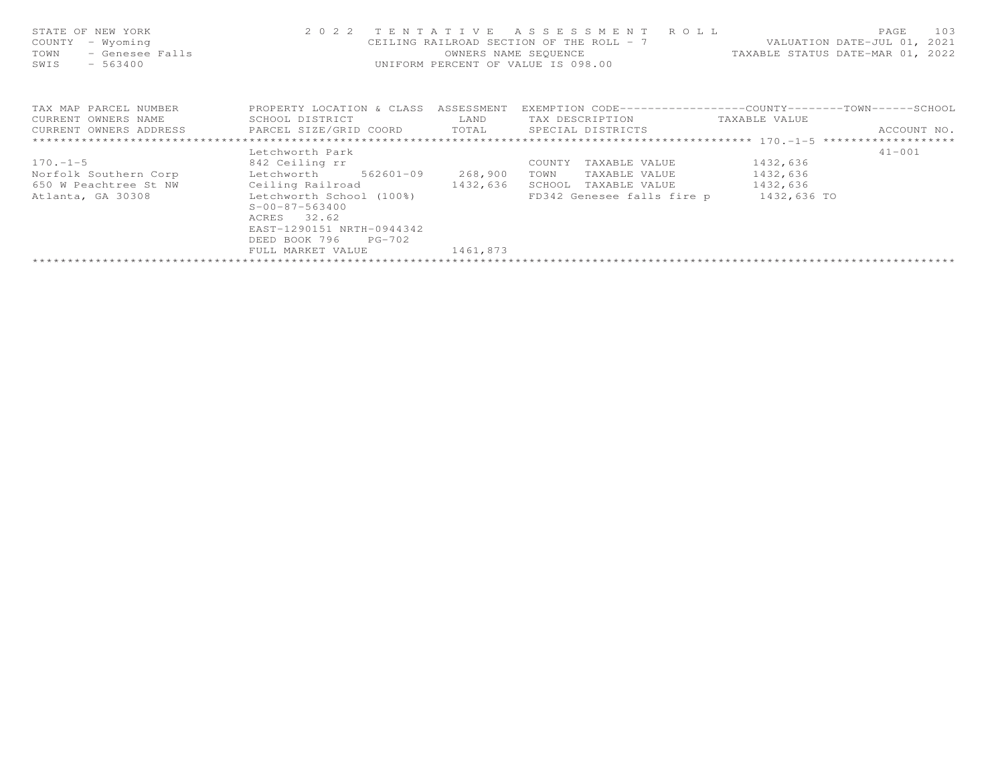| STATE OF NEW YORK<br>- Wyoming<br>COUNTY<br>- Genesee Falls<br>TOWN<br>$-563400$<br>SWIS |                                      |          | 2022 TENTATIVE ASSESSMENT ROLL<br>CEILING RAILROAD SECTION OF THE ROLL - 7 WALUATION DATE-JUL 01, 2021<br>OWNERS NAME SEQUENCE TAXABLE STATUS DATE-MAR 01, 2022<br>UNIFORM PERCENT OF VALUE IS 098.00 |               | 103<br>PAGE |
|------------------------------------------------------------------------------------------|--------------------------------------|----------|-------------------------------------------------------------------------------------------------------------------------------------------------------------------------------------------------------|---------------|-------------|
| TAX MAP PARCEL NUMBER                                                                    | PROPERTY LOCATION & CLASS ASSESSMENT |          | EXEMPTION CODE-----------------COUNTY-------TOWN------SCHOOL                                                                                                                                          |               |             |
| CURRENT OWNERS NAME                                                                      | SCHOOL DISTRICT                      | LAND     | TAX DESCRIPTION                                                                                                                                                                                       | TAXABLE VALUE |             |
| CURRENT OWNERS ADDRESS FARCEL SIZE/GRID COORD TOTAL SPECIAL DISTRICTS                    |                                      |          |                                                                                                                                                                                                       |               | ACCOUNT NO. |
|                                                                                          |                                      |          |                                                                                                                                                                                                       |               |             |
|                                                                                          | Letchworth Park                      |          |                                                                                                                                                                                                       |               | $41 - 001$  |
| $170. -1 - 5$                                                                            | 842 Ceiling rr                       |          | COUNTY<br>TAXABLE VALUE                                                                                                                                                                               | 1432,636      |             |
| Norfolk Southern Corp betchworth 562601-09 268,900                                       |                                      |          | TOWN<br>TAXABLE VALUE                                                                                                                                                                                 | 1432,636      |             |
| 650 W Peachtree St NW Ceiling Railroad 1432,636                                          |                                      |          | SCHOOL TAXABLE VALUE 1432,636                                                                                                                                                                         |               |             |
| Atlanta, GA 30308 Letchworth School (100%)                                               |                                      |          | FD342 Genesee falls fire p 1432,636 TO                                                                                                                                                                |               |             |
|                                                                                          | $S - 00 - 87 - 563400$               |          |                                                                                                                                                                                                       |               |             |
|                                                                                          | ACRES 32.62                          |          |                                                                                                                                                                                                       |               |             |
|                                                                                          | EAST-1290151 NRTH-0944342            |          |                                                                                                                                                                                                       |               |             |
|                                                                                          | DEED BOOK 796<br>$PG-702$            |          |                                                                                                                                                                                                       |               |             |
|                                                                                          | FULL MARKET VALUE                    | 1461,873 |                                                                                                                                                                                                       |               |             |
|                                                                                          |                                      |          |                                                                                                                                                                                                       |               |             |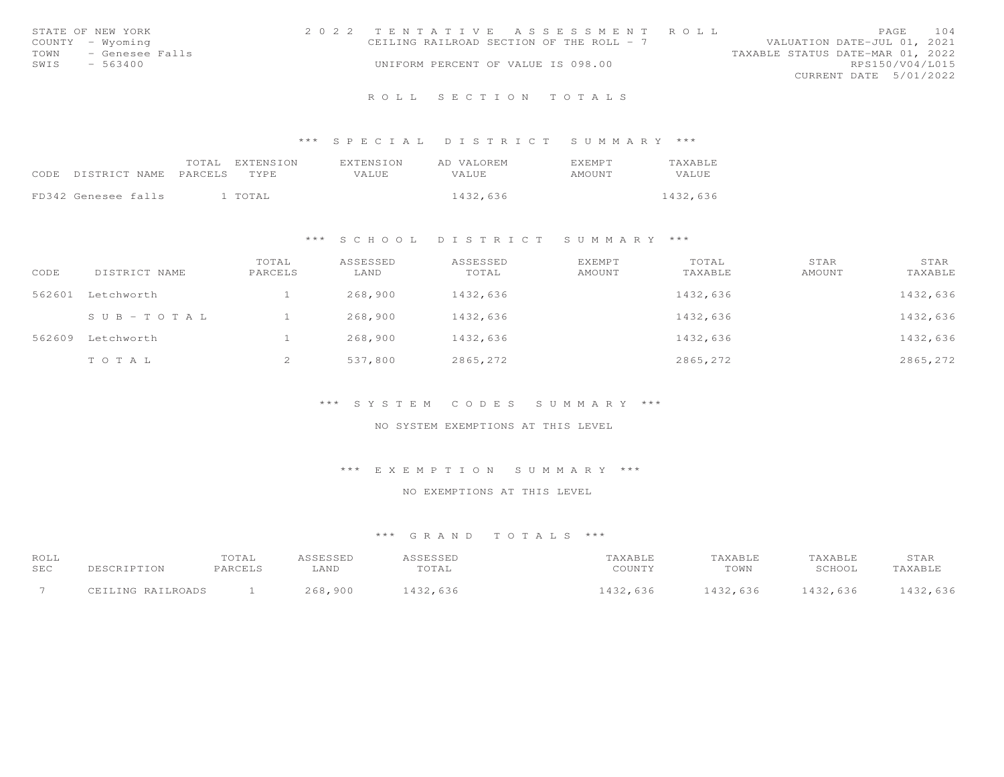|      | STATE OF NEW YORK    | 2022 TENTATIVE ASSESSMENT ROLL           |  |  |                                  |                        | PAGE | 104 |
|------|----------------------|------------------------------------------|--|--|----------------------------------|------------------------|------|-----|
|      | COUNTY - Wyoming     | CEILING RAILROAD SECTION OF THE ROLL - 7 |  |  | VALUATION DATE-JUL 01, 2021      |                        |      |     |
|      | TOWN - Genesee Falls |                                          |  |  | TAXABLE STATUS DATE-MAR 01, 2022 |                        |      |     |
| SWIS | $-563400$            | UNIFORM PERCENT OF VALUE IS 098.00       |  |  |                                  | RPS150/V04/L015        |      |     |
|      |                      |                                          |  |  |                                  | CURRENT DATE 5/01/2022 |      |     |
|      |                      |                                          |  |  |                                  |                        |      |     |

\*\*\* S P E C I A L D I S T R I C T S U M M A R Y \*\*\*

| CODE DISTRICT NAME PARCELS |  | TOTAL EXTENSION<br>TYPE | EXTENSION<br>VALUE | AD VALOREM<br><b>VALUE</b> | <b>EXEMPT</b><br>AMOUNT | <b>TAXABLE</b><br>VALUE |
|----------------------------|--|-------------------------|--------------------|----------------------------|-------------------------|-------------------------|
| FD342 Genesee falls        |  | l TOTAL                 |                    | 1432,636                   |                         | 1432,636                |

## \*\*\* S C H O O L D I S T R I C T S U M M A R Y \*\*\*

| CODE   | DISTRICT NAME         | TOTAL<br>PARCELS | ASSESSED<br>LAND | ASSESSED<br>TOTAL | <b>EXEMPT</b><br>AMOUNT | TOTAL<br>TAXABLE | STAR<br>AMOUNT | STAR<br>TAXABLE |
|--------|-----------------------|------------------|------------------|-------------------|-------------------------|------------------|----------------|-----------------|
| 562601 | Letchworth            |                  | 268,900          | 1432,636          |                         | 1432,636         |                | 1432,636        |
|        | $S \cup B - TO T A L$ |                  | 268,900          | 1432,636          |                         | 1432,636         |                | 1432,636        |
| 562609 | Letchworth            |                  | 268,900          | 1432,636          |                         | 1432,636         |                | 1432,636        |
|        | TOTAL                 | ∠                | 537,800          | 2865,272          |                         | 2865,272         |                | 2865,272        |

#### \*\*\* S Y S T E M C O D E S S U M M A R Y \*\*\*

# NO SYSTEM EXEMPTIONS AT THIS LEVEL

#### \*\*\* E X E M P T I O N S U M M A R Y \*\*\*

#### NO EXEMPTIONS AT THIS LEVEL

| ROLL | DESCRIPTION       | TOTAL   | ASSESSED | ASSESSED | TAXABLE  | TAXABLE  | TAXABLE  | STAR     |
|------|-------------------|---------|----------|----------|----------|----------|----------|----------|
| SEC  |                   | PARCELS | LAND     | TOTAL    | COUNTY   | TOWN     | SCHOOL   | TAXABLE  |
|      | CEILING RAILROADS |         | 268,900  | 1432,636 | 1432,636 | 1432,636 | 1432,636 | 1432,636 |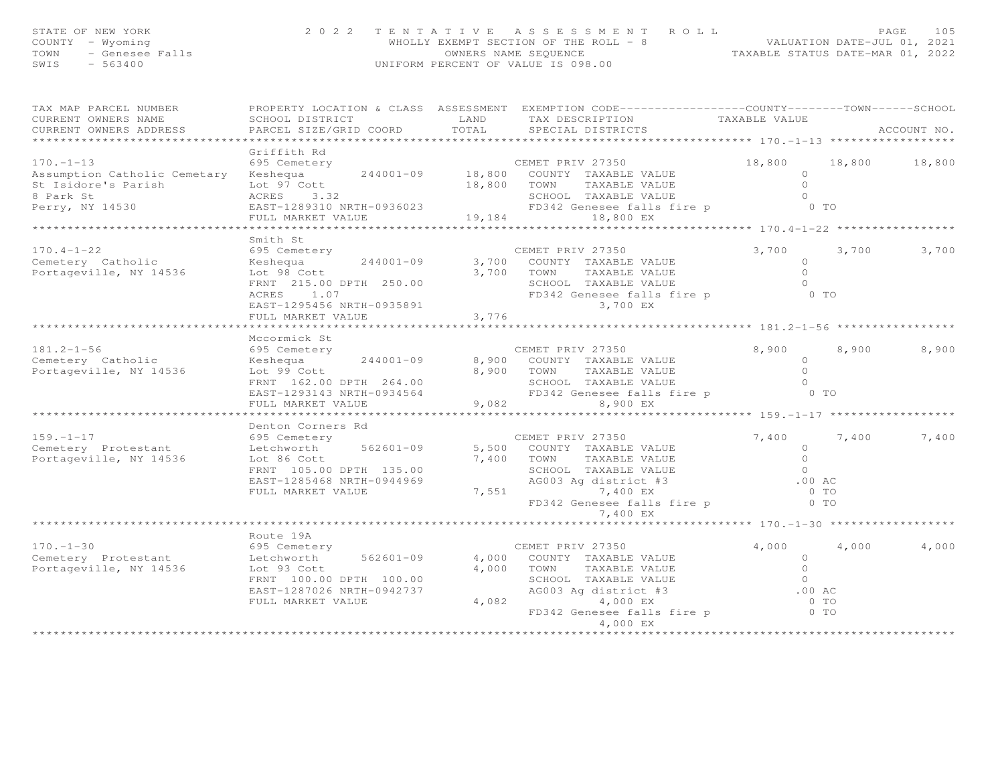| STATE OF NEW YORK<br>$\begin{array}{ll}\n& \dots & \dots & \dots \\ \text{TOWN} & - \text{Genesee Falls} \\ \text{SWIS} & - \frac{563400}{\end{array}$                                                                                                                                                                                                            | 2 0 2 2<br>TENTATIVE                                                                                                                                                       |       | TENTATIVE ASSESSMENT ROLL<br>WHOLLY EXEMPT SECTION OF THE ROLL - 8<br>OWNERS NAME SEQUENCE<br>UNIFORM PERCENT OF VALUE IS 098.00<br>UNIFORM PERCENT OF VALUE IS 098.00                            |                                                                                   |                      |
|-------------------------------------------------------------------------------------------------------------------------------------------------------------------------------------------------------------------------------------------------------------------------------------------------------------------------------------------------------------------|----------------------------------------------------------------------------------------------------------------------------------------------------------------------------|-------|---------------------------------------------------------------------------------------------------------------------------------------------------------------------------------------------------|-----------------------------------------------------------------------------------|----------------------|
| TAX MAP PARCEL NUMBER<br>CURRENT OWNERS NAME<br>CURRENT OWNERS ADDRESS                                                                                                                                                                                                                                                                                            |                                                                                                                                                                            |       | PROPERTY LOCATION & CLASS ASSESSMENT EXEMPTION CODE----------------COUNTY-------TOWN------SCHOOL                                                                                                  |                                                                                   | ACCOUNT NO.          |
|                                                                                                                                                                                                                                                                                                                                                                   | Griffith Rd                                                                                                                                                                |       |                                                                                                                                                                                                   |                                                                                   |                      |
| 170.-1-13<br>695 Cemetery<br>Assumption Catholic Cemetary Keshequa 244001-09 18,800 COUNTY TAXABLE VALUE<br>31 St Isidore's Parish Lot 97 Cott 18,800 18,800 TOWN TAXABLE VALUE                                                                                                                                                                                   |                                                                                                                                                                            |       |                                                                                                                                                                                                   |                                                                                   | 18,800 18,800 18,800 |
| St Isidore's Parish and Controller and the MCRES of the MCRES of the SCHOOL TAXABLE VALUE of the MCRES 3.32<br>Berry, NY 14530 EAST-1289310 NRTH-0936023 FD342 Genesee falls fire p 0 TO<br>FULL MARKET VALUE 19,184 18,800 EX                                                                                                                                    |                                                                                                                                                                            |       |                                                                                                                                                                                                   |                                                                                   |                      |
|                                                                                                                                                                                                                                                                                                                                                                   |                                                                                                                                                                            |       |                                                                                                                                                                                                   |                                                                                   |                      |
|                                                                                                                                                                                                                                                                                                                                                                   | Smith St                                                                                                                                                                   |       |                                                                                                                                                                                                   |                                                                                   |                      |
| $170.4 - 1 - 22$<br>Cemetery Catholic<br>Portageville, NY 14536                                                                                                                                                                                                                                                                                                   | 695 Cemetery<br>Extra to the contract of the September 244001-09<br>Lot 98 Cott<br>FRNT 215.00 DPTH 250.00<br>ACRES 1.07<br>EAST-1295456 NRTH-0935891<br>FULL MARKET VALUE | 3,776 | CEMET PRIV 27350<br>3,700 COUNTY TAXABLE VALUE<br>3,700 TOWN<br>TAXABLE VALUE<br>SCHOOL TAXABLE VALUE<br>SCHOOL IAAADDD VAD<br>FD342 Genesee falls<br>3,700 EX<br>FD342 Genesee falls fire p 0 TO | 3,700<br>$\begin{matrix} 0 \\ 0 \end{matrix}$<br>$\overline{O}$<br>$\overline{0}$ | 3,700<br>3,700       |
|                                                                                                                                                                                                                                                                                                                                                                   |                                                                                                                                                                            |       | ************************************ 181.2–1–56 ******************                                                                                                                                |                                                                                   |                      |
| 181.2-1-56 695 Cemetery<br>Cemetery Catholic (England Keshequa 244001-09<br>Portageville, NY 14536 Lot 99 Cott                                                                                                                                                                                                                                                    | Mccormick St<br>$244001 - 09$<br>FRNT 162.00 DPTH 264.00<br>EAST-1293143 NRTH-0934564<br>FULL MARKET VALUE                                                                 |       | CEMET PRIV 27350<br>8,900 COUNTY TAXABLE VALUE<br>8,900 TOWN TAXABLE VALUE 0<br>SCHOOL TAXABLE VALUE 0<br>FD342 Genesee falls fire p 0 0 TO<br>9.082<br>9,082 8,900 EX                            | 8,900<br>$\overline{0}$                                                           | 8,900<br>8,900       |
|                                                                                                                                                                                                                                                                                                                                                                   | Denton Corners Rd                                                                                                                                                          |       |                                                                                                                                                                                                   | ****************** 159.-1-17 ***************                                      |                      |
| $\begin{array}{cccccccc} \text{159.-1--17} & \text{159.-1--17} & \text{159.-1--17} & \text{159.-1--17} & \text{159--1--17} & \text{159--1--17} & \text{159--1--17} & \text{159--1--17} & \text{159--1--17} & \text{159--1--17} & \text{159--1--17} & \text{159--1--17} & \text{159--1--17} & \text{159--1--17} & \text{159--1--17} & \text{159--1--17} & \text{1$ |                                                                                                                                                                            |       | FD342 Genesee falls fire p 0 TO<br>7,400 EX                                                                                                                                                       |                                                                                   | 7,400<br>7,400       |
|                                                                                                                                                                                                                                                                                                                                                                   | Route 19A                                                                                                                                                                  |       |                                                                                                                                                                                                   |                                                                                   |                      |
| $170. - 1 - 30$<br>Cometery Protestant and the charge of the series of the community of the community of the community of the community of the community of the community of the community of the community of the community of the community of                                                                                                                  | 695 Cemetery<br>EAST-1287026 NRTH-0942737<br>FULL MARKET VALUE                                                                                                             |       | CEMET PRIV 27350<br>AG003 Ag district #3<br>4,082 FD342 Genesee falls fire p 0 TO<br>4,000 EX 0 TO<br>4,000 EX 4,000 EX                                                                           | 4,000                                                                             | 4,000<br>4,000       |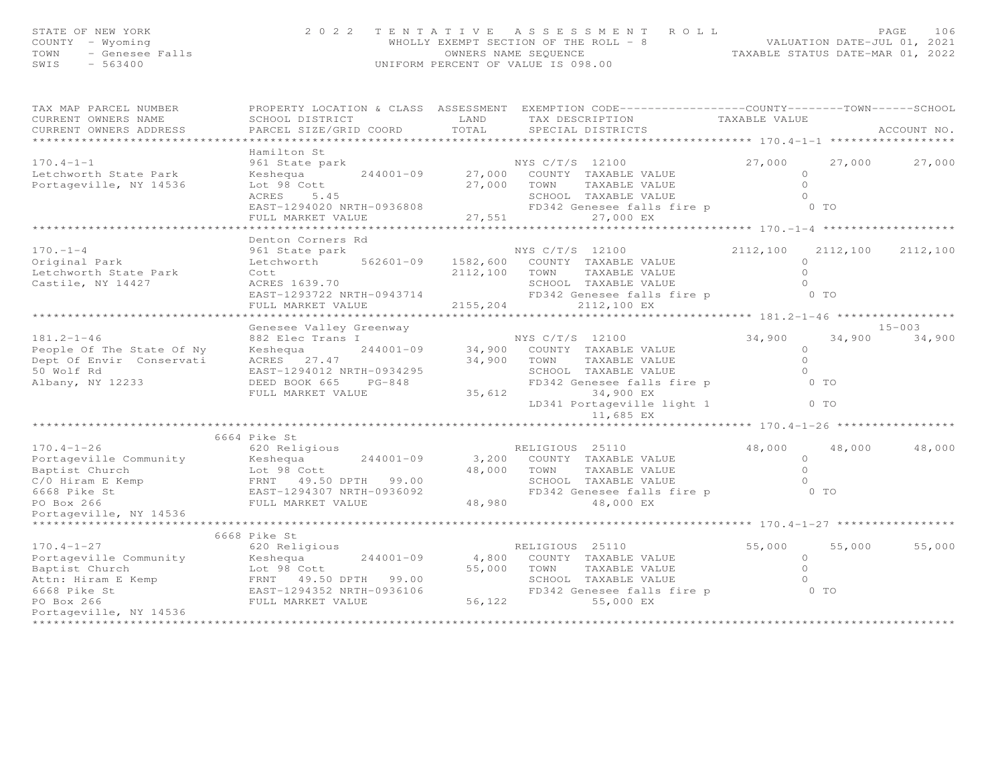| STATE OF NEW YORK<br>OF NEW YORK<br>I - Wyoming<br>- Genesee Falls<br>- Corro<br>COUNTY - Wyoming<br>TOWN<br>SWIS - 563400                                                                                                                                 |                                                                                                                                                                                                                                            | 2 0 2 2 TENTATIVE ASSESSMENT ROLL ROLL PAGE 106<br>WHOLLY EXEMPT SECTION OF THE ROLL - 8 VALUATION DATE-JUL 01, 2021<br>OWNERS NAME STATUS DATE-MAR 01, 2022<br>UNIFORM PERCENT OF VALUE IS 098.00 |        |                      |               |
|------------------------------------------------------------------------------------------------------------------------------------------------------------------------------------------------------------------------------------------------------------|--------------------------------------------------------------------------------------------------------------------------------------------------------------------------------------------------------------------------------------------|----------------------------------------------------------------------------------------------------------------------------------------------------------------------------------------------------|--------|----------------------|---------------|
| TAX MAP PARCEL NUMBER<br>CURRENT OWNERS NAME                                                                                                                                                                                                               |                                                                                                                                                                                                                                            |                                                                                                                                                                                                    |        |                      |               |
| CURRENT OWNERS ADDRESS                                                                                                                                                                                                                                     |                                                                                                                                                                                                                                            |                                                                                                                                                                                                    |        |                      |               |
|                                                                                                                                                                                                                                                            | Hamilton St                                                                                                                                                                                                                                |                                                                                                                                                                                                    |        |                      |               |
| $170.4 - 1 - 1$                                                                                                                                                                                                                                            | Hamilton St<br>961 State park<br>Eshequa 244001-09 27,000 COUNTY TAXABLE VALUE<br>Lot 98 Cott 27,000 TOWN TAXABLE VALUE 0<br>ACRES 5.45 SCHOOL TAXABLE VALUE 0<br>EAST-1294020 NRTH-0936808 27,551 PD342 Genesee falls fire p 0 TO<br>FULL |                                                                                                                                                                                                    |        |                      | 27,000 27,000 |
| Letchworth State Park                                                                                                                                                                                                                                      |                                                                                                                                                                                                                                            |                                                                                                                                                                                                    |        |                      |               |
| Portageville, NY 14536                                                                                                                                                                                                                                     |                                                                                                                                                                                                                                            |                                                                                                                                                                                                    |        |                      |               |
|                                                                                                                                                                                                                                                            |                                                                                                                                                                                                                                            |                                                                                                                                                                                                    |        |                      |               |
|                                                                                                                                                                                                                                                            |                                                                                                                                                                                                                                            |                                                                                                                                                                                                    |        |                      |               |
|                                                                                                                                                                                                                                                            |                                                                                                                                                                                                                                            |                                                                                                                                                                                                    |        |                      |               |
|                                                                                                                                                                                                                                                            | *****************                                                                                                                                                                                                                          |                                                                                                                                                                                                    |        |                      |               |
|                                                                                                                                                                                                                                                            | Denton Corners Rd                                                                                                                                                                                                                          |                                                                                                                                                                                                    |        |                      |               |
| $170. - 1 - 4$                                                                                                                                                                                                                                             | 961 State park                                                                                                                                                                                                                             | NYS C/T/S 12100                                                                                                                                                                                    |        | 2112,100 2112,100    | 2112,100      |
|                                                                                                                                                                                                                                                            | Letchworth 562601-09 1582,600 COUNTY TAXABLE VALUE                                                                                                                                                                                         |                                                                                                                                                                                                    |        | $\Omega$             |               |
| Letchworth State Park                                                                                                                                                                                                                                      |                                                                                                                                                                                                                                            | 2112,100 TOWN TAXABLE VALUE                                                                                                                                                                        |        | $\overline{0}$       |               |
| Castile, NY 14427                                                                                                                                                                                                                                          | Cott<br>ACRES 1639.70                                                                                                                                                                                                                      |                                                                                                                                                                                                    |        |                      |               |
|                                                                                                                                                                                                                                                            |                                                                                                                                                                                                                                            | ACRES 1639.70<br>EAST-1293722 NRTH-0943714<br>FD342 Genesee falls fire p<br>FULL MARKET VALUE<br>$2155,204$<br>$2112,100$ EX<br>FULL MARKET VALUE<br>$2112,100$ EX                                 |        |                      |               |
|                                                                                                                                                                                                                                                            |                                                                                                                                                                                                                                            |                                                                                                                                                                                                    |        |                      |               |
|                                                                                                                                                                                                                                                            |                                                                                                                                                                                                                                            |                                                                                                                                                                                                    |        |                      |               |
|                                                                                                                                                                                                                                                            |                                                                                                                                                                                                                                            |                                                                                                                                                                                                    |        |                      | $15 - 003$    |
|                                                                                                                                                                                                                                                            |                                                                                                                                                                                                                                            |                                                                                                                                                                                                    |        |                      | 34,900 34,900 |
|                                                                                                                                                                                                                                                            |                                                                                                                                                                                                                                            |                                                                                                                                                                                                    |        |                      |               |
|                                                                                                                                                                                                                                                            |                                                                                                                                                                                                                                            |                                                                                                                                                                                                    |        |                      |               |
|                                                                                                                                                                                                                                                            |                                                                                                                                                                                                                                            |                                                                                                                                                                                                    |        |                      |               |
|                                                                                                                                                                                                                                                            |                                                                                                                                                                                                                                            |                                                                                                                                                                                                    |        |                      |               |
|                                                                                                                                                                                                                                                            |                                                                                                                                                                                                                                            |                                                                                                                                                                                                    |        |                      |               |
|                                                                                                                                                                                                                                                            |                                                                                                                                                                                                                                            |                                                                                                                                                                                                    |        |                      |               |
|                                                                                                                                                                                                                                                            |                                                                                                                                                                                                                                            |                                                                                                                                                                                                    |        |                      |               |
|                                                                                                                                                                                                                                                            |                                                                                                                                                                                                                                            |                                                                                                                                                                                                    |        |                      |               |
|                                                                                                                                                                                                                                                            | 6664 Pike St<br>57 FIRE SU<br>620 Religious                                                                                                                                                                                                |                                                                                                                                                                                                    |        |                      |               |
| $170.4 - 1 - 26$                                                                                                                                                                                                                                           |                                                                                                                                                                                                                                            | RELIGIOUS 25110                                                                                                                                                                                    |        | 48,000 48,000 48,000 |               |
| Fortageville Community<br>Portageville Community<br>Baptist Church<br>C/O Hiram E Kemp<br>E REST 1294307 NRTH-0936092<br>PO Box 266<br>PO Box 266<br>PO Box 266<br>PO Box 266<br>PO Box 266<br>PO Box 266<br>PO Box 266<br>PO Box 266<br>PO Box 26<br>PO B |                                                                                                                                                                                                                                            |                                                                                                                                                                                                    |        |                      |               |
|                                                                                                                                                                                                                                                            |                                                                                                                                                                                                                                            |                                                                                                                                                                                                    |        |                      |               |
|                                                                                                                                                                                                                                                            |                                                                                                                                                                                                                                            |                                                                                                                                                                                                    |        |                      |               |
|                                                                                                                                                                                                                                                            |                                                                                                                                                                                                                                            |                                                                                                                                                                                                    |        |                      |               |
| Portageville, NY 14536                                                                                                                                                                                                                                     |                                                                                                                                                                                                                                            |                                                                                                                                                                                                    |        |                      |               |
| ********************                                                                                                                                                                                                                                       |                                                                                                                                                                                                                                            |                                                                                                                                                                                                    |        |                      |               |
|                                                                                                                                                                                                                                                            | 6668 Pike St                                                                                                                                                                                                                               |                                                                                                                                                                                                    |        |                      |               |
| $170.4 - 1 - 27$                                                                                                                                                                                                                                           | 620 Religious                                                                                                                                                                                                                              | RELIGIOUS 25110                                                                                                                                                                                    | 55,000 | 55,000               | 55,000        |
|                                                                                                                                                                                                                                                            |                                                                                                                                                                                                                                            |                                                                                                                                                                                                    |        |                      |               |
|                                                                                                                                                                                                                                                            |                                                                                                                                                                                                                                            |                                                                                                                                                                                                    |        |                      |               |
|                                                                                                                                                                                                                                                            |                                                                                                                                                                                                                                            |                                                                                                                                                                                                    |        |                      |               |
|                                                                                                                                                                                                                                                            |                                                                                                                                                                                                                                            |                                                                                                                                                                                                    |        |                      |               |
| 170.4-1-27<br>Portageville Community Reshequa 244001-09 4,800 COUNTY TAXABLE VALUE 0<br>Baptist Church Lot 98 Cott 55,000 TOWN TAXABLE VALUE 0<br>Attn: Hiram E Kemp FRNT 49.50 DPTH 99.00 SCHOOL TAXABLE VALUE 0<br>6668 Pike St EAST                     |                                                                                                                                                                                                                                            |                                                                                                                                                                                                    |        |                      |               |
| Portageville, NY 14536                                                                                                                                                                                                                                     |                                                                                                                                                                                                                                            |                                                                                                                                                                                                    |        |                      |               |
|                                                                                                                                                                                                                                                            |                                                                                                                                                                                                                                            |                                                                                                                                                                                                    |        |                      |               |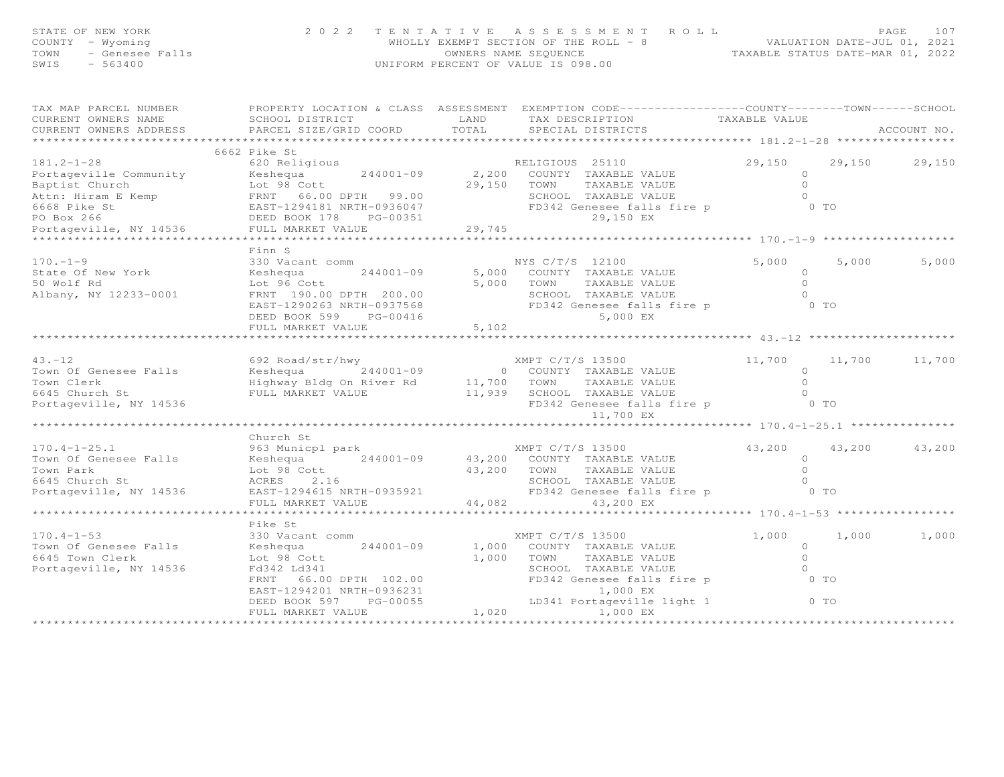| STATE OF NEW YORK<br>COUNTY - Wyoming<br>TOWN<br>- Genesee Falls<br>SWIS<br>$-563400$ | 2 0 2 2                                                                                                                                        | TENTATIVE     | ASSESSMENT ROLL<br>$\texttt{WHOLLY EXEMPT SECTION OF THE ROLL} - 8 \hspace{1.5cm} \texttt{VALUATION DATE-JUL 01, 2021} \\ \texttt{OWNERS NAME SEQUENCE} \hspace{1.5cm} \texttt{TAXABLE STATUS DATE-MAR 01, 2022} \hspace{1.5cm}$<br>UNIFORM PERCENT OF VALUE IS 098.00 |                |               | PAGE<br>107   |
|---------------------------------------------------------------------------------------|------------------------------------------------------------------------------------------------------------------------------------------------|---------------|------------------------------------------------------------------------------------------------------------------------------------------------------------------------------------------------------------------------------------------------------------------------|----------------|---------------|---------------|
| TAX MAP PARCEL NUMBER<br>CURRENT OWNERS NAME<br>CURRENT OWNERS ADDRESS                | PROPERTY LOCATION & CLASS ASSESSMENT EXEMPTION CODE-----------------COUNTY-------TOWN------SCHOOL<br>SCHOOL DISTRICT<br>PARCEL SIZE/GRID COORD | LAND<br>TOTAL | TAX DESCRIPTION TAXABLE VALUE<br>SPECIAL DISTRICTS                                                                                                                                                                                                                     |                |               | ACCOUNT NO.   |
|                                                                                       |                                                                                                                                                |               |                                                                                                                                                                                                                                                                        |                |               |               |
|                                                                                       | 6662 Pike St                                                                                                                                   |               |                                                                                                                                                                                                                                                                        |                |               |               |
| $181.2 - 1 - 28$                                                                      | 620 Religious                                                                                                                                  |               | RELIGIOUS 25110                                                                                                                                                                                                                                                        | 29,150         |               | 29,150 29,150 |
|                                                                                       | Portageville Community Keshequa $244001-09$ $2,200$ COUNTY TAXABLE VALUE                                                                       |               |                                                                                                                                                                                                                                                                        | $\circ$        |               |               |
|                                                                                       |                                                                                                                                                | 29,150 TOWN   | TAXABLE VALUE                                                                                                                                                                                                                                                          | $\bigcap$      |               |               |
|                                                                                       |                                                                                                                                                |               | SCHOOL TAXABLE VALUE                                                                                                                                                                                                                                                   | $\bigcirc$     |               |               |
|                                                                                       |                                                                                                                                                |               | FD342 Genesee falls fire p 0 TO<br>29,150 EX                                                                                                                                                                                                                           |                |               |               |
|                                                                                       |                                                                                                                                                |               |                                                                                                                                                                                                                                                                        |                |               |               |
|                                                                                       |                                                                                                                                                |               |                                                                                                                                                                                                                                                                        |                |               |               |
|                                                                                       | Finn S                                                                                                                                         |               |                                                                                                                                                                                                                                                                        |                |               |               |
| $170. - 1 - 9$                                                                        | 330 Vacant comm                                                                                                                                |               | NYS C/T/S 12100                                                                                                                                                                                                                                                        | 5,000          | 5,000         | 5,000         |
| State Of New York                                                                     |                                                                                                                                                |               | 5,000 COUNTY TAXABLE VALUE                                                                                                                                                                                                                                             | $\circ$        |               |               |
| 50 Wolf Rd                                                                            |                                                                                                                                                |               | 5,000 TOWN<br>TAXABLE VALUE                                                                                                                                                                                                                                            | $\Omega$       |               |               |
| Albany, NY 12233-0001                                                                 | Xeshequa 244001-09<br>Lot 96 Cott<br>FRNT 190.00 DPTH 200.00<br>- 190.00 NPTH 0927568                                                          |               | SCHOOL TAXABLE VALUE                                                                                                                                                                                                                                                   | $\bigcirc$     |               |               |
|                                                                                       | EAST-1290263 NRTH-0937568                                                                                                                      |               | FD342 Genesee falls fire p 0 TO                                                                                                                                                                                                                                        |                |               |               |
|                                                                                       | DEED BOOK 599 PG-00416                                                                                                                         |               | 5,000 EX                                                                                                                                                                                                                                                               |                |               |               |
|                                                                                       | FULL MARKET VALUE                                                                                                                              | 5,102         |                                                                                                                                                                                                                                                                        |                |               |               |
|                                                                                       |                                                                                                                                                |               |                                                                                                                                                                                                                                                                        |                |               |               |
| $43. - 12$                                                                            | 692 Road/str/hwy                                                                                                                               |               | XMPT C/T/S 13500                                                                                                                                                                                                                                                       | 11,700         | 11,700 11,700 |               |
| Town Of Genesee Falls                                                                 | $Keshequa$ $244001-09$                                                                                                                         |               | 0 COUNTY TAXABLE VALUE                                                                                                                                                                                                                                                 | $\circ$        |               |               |
| Town Clerk                                                                            |                                                                                                                                                |               | TAXABLE VALUE                                                                                                                                                                                                                                                          | $\bigcirc$     |               |               |
| 6645 Church St                                                                        | FULL MARKET VALUE                                                                                                                              |               | 11,939 SCHOOL TAXABLE VALUE                                                                                                                                                                                                                                            | $\overline{0}$ |               |               |
| Portageville, NY 14536                                                                |                                                                                                                                                |               | FD342 Genesee falls fire p 0 TO                                                                                                                                                                                                                                        |                |               |               |
|                                                                                       |                                                                                                                                                |               |                                                                                                                                                                                                                                                                        |                |               |               |
|                                                                                       |                                                                                                                                                |               |                                                                                                                                                                                                                                                                        |                |               |               |
| $170.4 - 1 - 25.1$                                                                    | Church St<br>963 Municpl park                                                                                                                  |               | XMPT C/T/S 13500                                                                                                                                                                                                                                                       | 43,200         |               | 43,200 43,200 |
| Town Of Genesee Falls                                                                 | Keshequa 244001-09 43,200 COUNTY TAXABLE VALUE                                                                                                 |               |                                                                                                                                                                                                                                                                        | $\overline{0}$ |               |               |
| Town Park                                                                             |                                                                                                                                                | 43,200 TOWN   | TAXABLE VALUE                                                                                                                                                                                                                                                          | $\bigcirc$     |               |               |
| 6645 Church St                                                                        | ACRES 2.16                                                                                                                                     |               | SCHOOL TAXABLE VALUE                                                                                                                                                                                                                                                   | $\Omega$       |               |               |
| Portageville, NY 14536                                                                | EAST-1294615 NRTH-0935921                                                                                                                      |               | FD342 Genesee falls fire p 0 TO                                                                                                                                                                                                                                        |                |               |               |
|                                                                                       | FULL MARKET VALUE                                                                                                                              | 44,082        | 43,200 EX                                                                                                                                                                                                                                                              |                |               |               |
|                                                                                       |                                                                                                                                                | ************* |                                                                                                                                                                                                                                                                        |                |               |               |
|                                                                                       | Pike St                                                                                                                                        |               |                                                                                                                                                                                                                                                                        |                |               |               |
| $170.4 - 1 - 53$                                                                      | 330 Vacant comm                                                                                                                                |               | XMPT C/T/S 13500                                                                                                                                                                                                                                                       | 1,000          | 1,000         | 1,000         |
| Town Of Genesee Falls                                                                 | $244001 - 09$<br>Keshequa                                                                                                                      | 1,000         | COUNTY TAXABLE VALUE                                                                                                                                                                                                                                                   | $\circ$        |               |               |
| 6645 Town Clerk                                                                       | Lot 98 Cott                                                                                                                                    | 1,000         | TOWN<br>TAXABLE VALUE                                                                                                                                                                                                                                                  | $\circ$        |               |               |
| Portageville, NY 14536                                                                | Fd342 Ld341                                                                                                                                    |               | SCHOOL TAXABLE VALUE                                                                                                                                                                                                                                                   | $\overline{0}$ |               |               |
|                                                                                       | FRNT 66.00 DPTH 102.00<br>EAST-1294201 NRTH-0936231                                                                                            |               | FD342 Genesee falls fire p 0 TO<br>1,000 EX                                                                                                                                                                                                                            |                |               |               |
|                                                                                       | DEED BOOK 597<br>PG-00055                                                                                                                      |               | LD341 Portageville light 1 0 TO                                                                                                                                                                                                                                        |                |               |               |
|                                                                                       | FULL MARKET VALUE                                                                                                                              |               | 1,020 1,000 EX                                                                                                                                                                                                                                                         |                |               |               |
| ************************                                                              |                                                                                                                                                |               |                                                                                                                                                                                                                                                                        |                |               |               |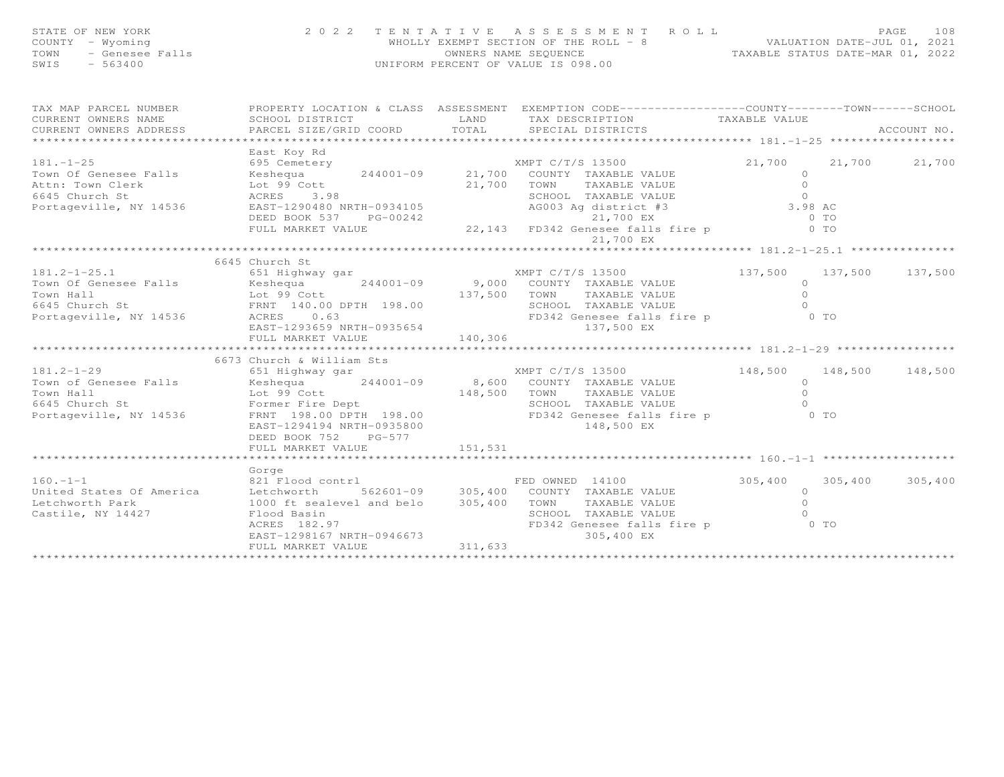| STATE OF NEW YORK<br>OF NEW YORK<br>! - Wyoming<br>- Genesee Falls<br>- 563400<br>COUNTY - Wyoming<br>TOWN<br>SWIS |                                                                                                                                                                                                                                                                                                          |             | 2022 TENTATIVE ASSESSMENT ROLL PAGE 108<br>WHOLLY EXEMPT SECTION OF THE ROLL -8 VALUATION DATE-JUL 01, 2021<br>OWNERS NAME SEQUENCE TAXABLE STATUS DATE-MAR 01, 2022<br>UNIFORM PERCENT OF VALUE IS 098.00 |          |        |             |
|--------------------------------------------------------------------------------------------------------------------|----------------------------------------------------------------------------------------------------------------------------------------------------------------------------------------------------------------------------------------------------------------------------------------------------------|-------------|------------------------------------------------------------------------------------------------------------------------------------------------------------------------------------------------------------|----------|--------|-------------|
| TAX MAP PARCEL NUMBER                                                                                              | PROPERTY LOCATION & CLASS ASSESSMENT EXEMPTION CODE------------------COUNTY--------TOWN------SCHOOL                                                                                                                                                                                                      |             |                                                                                                                                                                                                            |          |        |             |
| CURRENT OWNERS NAME SCHOOL DISTRICT<br>CURRENT OWNERS ADDRESS PARCEL SIZE/GRID                                     | PARCEL SIZE/GRID COORD TOTAL SPECIAL DISTRICTS                                                                                                                                                                                                                                                           | <b>LAND</b> | TAX DESCRIPTION TAXABLE VALUE                                                                                                                                                                              |          |        | ACCOUNT NO. |
|                                                                                                                    |                                                                                                                                                                                                                                                                                                          |             |                                                                                                                                                                                                            |          |        |             |
|                                                                                                                    | East Koy Rd                                                                                                                                                                                                                                                                                              |             |                                                                                                                                                                                                            |          | 21,700 | 21,700      |
|                                                                                                                    |                                                                                                                                                                                                                                                                                                          |             |                                                                                                                                                                                                            |          |        |             |
|                                                                                                                    |                                                                                                                                                                                                                                                                                                          |             |                                                                                                                                                                                                            |          |        |             |
|                                                                                                                    | 181.-1-25<br>Town Of Genesee Falls<br>Attn: Town Clerk<br>MPT C/T/S 13500<br>21,700<br>21,700<br>21,700<br>21,700<br>21,700<br>21,700<br>21,700<br>21,700<br>21,700<br>21,700<br>21,700<br>21,700<br>21,700<br>21,700<br>21,700<br>21,700<br>21,700<br>21,700<br>21,700<br>2                             |             |                                                                                                                                                                                                            |          |        |             |
|                                                                                                                    |                                                                                                                                                                                                                                                                                                          |             |                                                                                                                                                                                                            |          |        |             |
|                                                                                                                    | 6645 Church St                                                                                                                                                                                                                                                                                           |             |                                                                                                                                                                                                            |          |        |             |
|                                                                                                                    | 181.2-1-25.1 $\begin{array}{r} 181.2-1-25.1 \\ 651 \text{ Highway} \text{ gar} \\ 7 \text{ Com} \text{ 137,500} \\ 7 \text{ Com} \text{ Hall} \\ 6645 \text{ Church St} \\ \end{array}$ 137,500                                                                                                          |             | XMPT C/T/S 13500 137,500 137,500 137,500 137,500<br>137,500 TOWN TAXABLE VALUE 0<br>SCHOOL TAXABLE VALUE 0                                                                                                 | $\Omega$ |        |             |
|                                                                                                                    |                                                                                                                                                                                                                                                                                                          |             |                                                                                                                                                                                                            |          |        |             |
|                                                                                                                    |                                                                                                                                                                                                                                                                                                          |             |                                                                                                                                                                                                            |          |        |             |
|                                                                                                                    | 6673 Church & William Sts                                                                                                                                                                                                                                                                                |             |                                                                                                                                                                                                            |          |        |             |
|                                                                                                                    | 181.2-1-29<br>Town of Genesee Falls (551 Highway gar<br>Town Hall (199 Cott 148,500 COUNTY TAXABLE VALUE 0<br>Town Hall (199 Cott 148,500 TOWN TAXABLE VALUE 0<br>Fortageville, NY 14536 FRNT 198.00 FRNT 198.00<br>FRNT 198.00 POTTH 19<br>EAST-1294194 NRTH-0935800 148,500 EX<br>DEED BOOK 752 PG-577 |             |                                                                                                                                                                                                            |          |        |             |
|                                                                                                                    |                                                                                                                                                                                                                                                                                                          |             |                                                                                                                                                                                                            |          |        |             |
|                                                                                                                    |                                                                                                                                                                                                                                                                                                          |             |                                                                                                                                                                                                            |          |        |             |
| Castile, NY 14427                                                                                                  | Gorge<br>160.-1-1<br>United States Of America and Electron and the Case of America and Electron and Sealevel and belo<br>1000 ft sealevel and belo 305,400 TOWN TAXABLE VALUE<br>Flood Basin                                                                                                             |             | FED OWNED 14100<br>COUNTY TAXABLE VALUE 305,400 305,400 305,400<br>TOWN TAXABLE VALUE 0<br>SCHOOL TAXABLE VALUE 0<br>SCHOOL TAXABLE VALUE 0<br>FD342 Genesee falls fire p 0 TO<br>305.400 EX 0             |          |        |             |
|                                                                                                                    |                                                                                                                                                                                                                                                                                                          |             |                                                                                                                                                                                                            |          |        |             |

\*\*\*\*\*\*\*\*\*\*\*\*

\*\*\*\*\*\*\*\*\*\*\*\*\*\*\*\*\*\*\*\*\*\*\*\*\*\*\*\*\*\*\*\*\*\*\*\*\*\*\*\*\*\*\*\*\*\*\*\*\*\*\*\*\*\*\*\*\*\*\*\*\*\*\*\*\*\*\*\*\*\*\*\*\*\*\*\*\*\*\*\*\*\*\*\*\*\*\*\*\*\*\*\*\*\*\*\*\*\*\*\*\*\*\*\*\*\*\*\*\*\*\*\*\*\*\*\*\*\*\*\*\*\*\*\*\*\*\*\*\*\*\*\*

FULL MARKET VALUE 311,633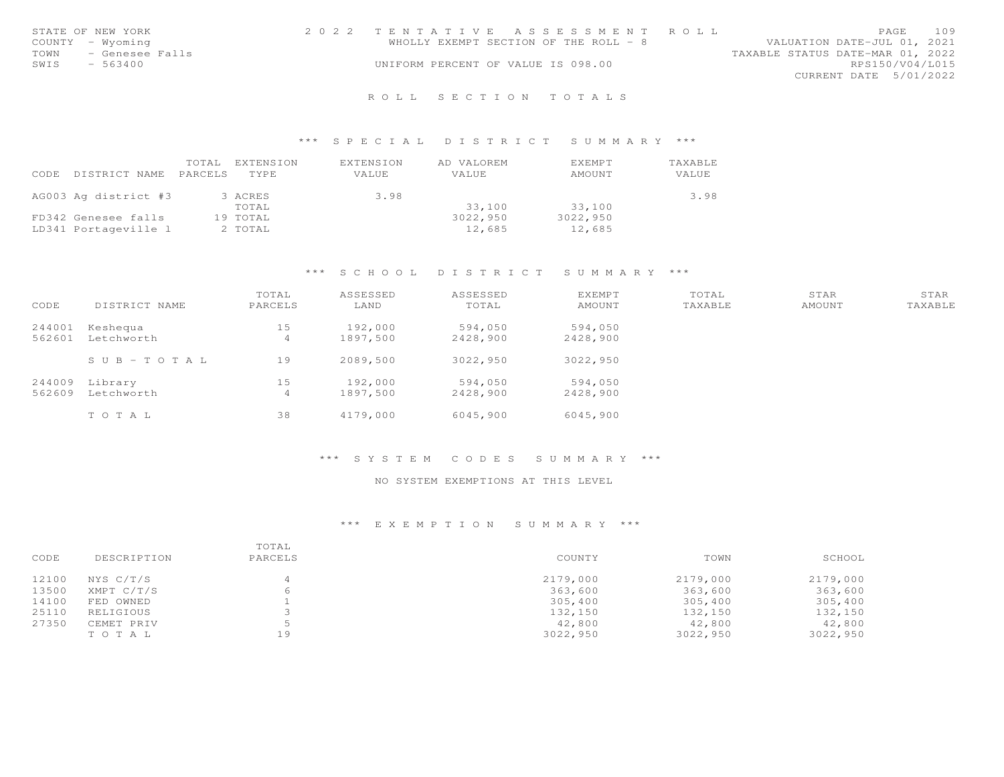|      | STATE OF NEW YORK | 2022 TENTATIVE ASSESSMENT ROLL     |                                       |                                  |                        | PAGE | 109 |
|------|-------------------|------------------------------------|---------------------------------------|----------------------------------|------------------------|------|-----|
|      | COUNTY - Wyoming  |                                    | WHOLLY EXEMPT SECTION OF THE ROLL - 8 | VALUATION DATE-JUL 01, 2021      |                        |      |     |
| TOWN | - Genesee Falls   |                                    |                                       | TAXABLE STATUS DATE-MAR 01, 2022 |                        |      |     |
| SWIS | $-563400$         | UNIFORM PERCENT OF VALUE IS 098.00 |                                       |                                  | RPS150/V04/L015        |      |     |
|      |                   |                                    |                                       |                                  | CURRENT DATE 5/01/2022 |      |     |
|      |                   |                                    |                                       |                                  |                        |      |     |

# R O L L S E C T I O N T O T A L S

## \*\*\* S P E C I A L D I S T R I C T S U M M A R Y \*\*\*

| CODE | DISTRICT NAME PARCELS | TOTAL | EXTENSION<br><b>TYPE</b> | EXTENSION<br>VALUE | AD VALOREM<br>VALUE | EXEMPT<br>AMOUNT | TAXABLE<br><b>VALUE</b> |
|------|-----------------------|-------|--------------------------|--------------------|---------------------|------------------|-------------------------|
|      | AG003 Ag district #3  |       | 3 ACRES                  | 3.98               |                     |                  | 3.98                    |
|      |                       |       | TOTAL                    |                    | 33,100              | 33,100           |                         |
|      | FD342 Genesee falls   |       | 19 TOTAL                 |                    | 3022,950            | 3022,950         |                         |
|      | LD341 Portageville 1  |       | 2 TOTAL                  |                    | 12,685              | 12,685           |                         |

## \*\*\* S C H O O L D I S T R I C T S U M M A R Y \*\*\*

| CODE             | DISTRICT NAME          | TOTAL<br>PARCELS | ASSESSED<br>LAND    | ASSESSED<br>TOTAL   | <b>EXEMPT</b><br>AMOUNT | TOTAL<br>TAXABLE | STAR<br>AMOUNT | STAR<br>TAXABLE |
|------------------|------------------------|------------------|---------------------|---------------------|-------------------------|------------------|----------------|-----------------|
| 244001<br>562601 | Keshequa<br>Letchworth | 15<br>4          | 192,000<br>1897,500 | 594,050<br>2428,900 | 594,050<br>2428,900     |                  |                |                 |
|                  | $S \cup B - TO T A L$  | 19               | 2089,500            | 3022,950            | 3022,950                |                  |                |                 |
| 244009<br>562609 | Library<br>Letchworth  | 15<br>4          | 192,000<br>1897,500 | 594,050<br>2428,900 | 594,050<br>2428,900     |                  |                |                 |
|                  | TOTAL                  | 38               | 4179,000            | 6045,900            | 6045,900                |                  |                |                 |

### \*\*\* S Y S T E M C O D E S S U M M A R Y \*\*\*

## NO SYSTEM EXEMPTIONS AT THIS LEVEL

|       |             | TOTAL   |          |          |          |
|-------|-------------|---------|----------|----------|----------|
| CODE  | DESCRIPTION | PARCELS | COUNTY   | TOWN     | SCHOOL   |
| 12100 | NYS C/T/S   | 4       | 2179,000 | 2179,000 | 2179,000 |
| 13500 | XMPT C/T/S  |         | 363,600  | 363,600  | 363,600  |
| 14100 | FED OWNED   |         | 305,400  | 305,400  | 305,400  |
| 25110 | RELIGIOUS   |         | 132,150  | 132,150  | 132,150  |
| 27350 | CEMET PRIV  |         | 42,800   | 42,800   | 42,800   |
|       | TOTAL       | 19      | 3022,950 | 3022,950 | 3022,950 |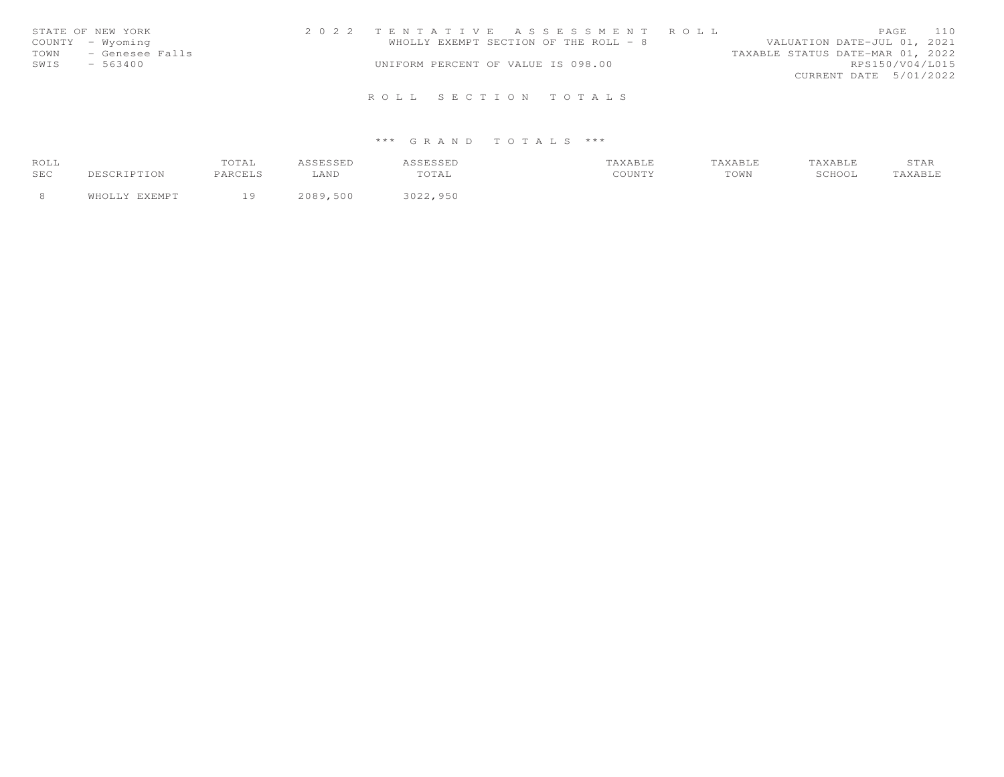| STATE OF NEW YORK       | 2022 TENTATIVE ASSESSMENT ROLL        | PAGE 110                         |
|-------------------------|---------------------------------------|----------------------------------|
| COUNTY - Wyoming        | WHOLLY EXEMPT SECTION OF THE ROLL - 8 | VALUATION DATE-JUL 01, 2021      |
| - Genesee Falls<br>TOWN |                                       | TAXABLE STATUS DATE-MAR 01, 2022 |
| SWIS<br>- 563400        | UNIFORM PERCENT OF VALUE IS 098.00    | RPS150/V04/L015                  |
|                         |                                       | CURRENT DATE 5/01/2022           |
|                         | ROLL SECTION TOTALS                   |                                  |

## \*\*\* G R A N D T O T A L S \*\*\*

| ROLL |               | TOTAL    | <b>ASSESSED</b> | ASSESSED | TAXABLE | TAXABLE | TAXABLE | STAR    |
|------|---------------|----------|-----------------|----------|---------|---------|---------|---------|
| SEC  | DESCRIPTION   | PARCELS  | LAND            | TOTAL    | COUNTY  | TOWN    | SCHOOL  | TAXABLE |
|      |               |          |                 |          |         |         |         |         |
|      | WHOLLY EXEMPT | <b>Q</b> | 2089,500        | 3022,950 |         |         |         |         |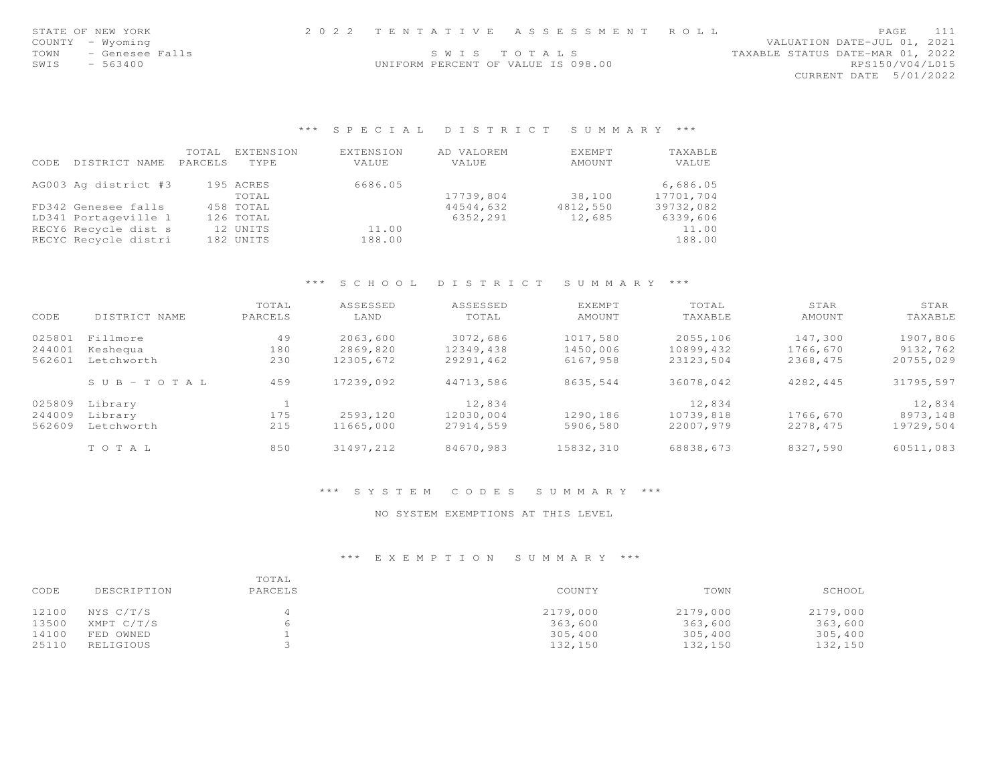| STATE OF NEW YORK       | 2022 TENTATIVE ASSESSMENT ROLL     |             |                                  | PAGE            | 111 |
|-------------------------|------------------------------------|-------------|----------------------------------|-----------------|-----|
| COUNTY – Wyoming        |                                    |             | VALUATION DATE-JUL 01, 2021      |                 |     |
| - Genesee Falls<br>TOWN |                                    | SWIS TOTALS | TAXABLE STATUS DATE-MAR 01, 2022 |                 |     |
| SWIS<br>- 563400        | UNIFORM PERCENT OF VALUE IS 098.00 |             |                                  | RPS150/V04/L015 |     |
|                         |                                    |             | CURRENT DATE 5/01/2022           |                 |     |
|                         |                                    |             |                                  |                 |     |

\*\*\* S P E C I A L D I S T R I C T S U M M A R Y \*\*\*

|      |                      | TOTAL   | EXTENSION   | EXTENSION | AD VALOREM | <b>EXEMPT</b> | TAXABLE   |
|------|----------------------|---------|-------------|-----------|------------|---------------|-----------|
| CODE | DISTRICT NAME        | PARCELS | <b>TYPE</b> | VALUE     | VALUE      | AMOUNT        | VALUE     |
|      | AG003 Ag district #3 |         | 195 ACRES   | 6686.05   |            |               | 6,686.05  |
|      |                      |         | TOTAL       |           | 17739,804  | 38,100        | 17701,704 |
|      | FD342 Genesee falls  |         | 458 TOTAL   |           | 44544,632  | 4812,550      | 39732,082 |
|      | LD341 Portageville 1 |         | 126 TOTAL   |           | 6352,291   | 12,685        | 6339,606  |
|      | RECY6 Recycle dist s |         | 12 UNITS    | 11.00     |            |               | 11.00     |
|      | RECYC Recycle distri |         | 182 UNITS   | 188.00    |            |               | 188.00    |

## \*\*\* S C H O O L D I S T R I C T S U M M A R Y \*\*\*

| CODE   | DISTRICT NAME         | TOTAL<br>PARCELS | ASSESSED<br>LAND | ASSESSED<br>TOTAL | <b>EXEMPT</b><br>AMOUNT | TOTAL<br>TAXABLE | STAR<br>AMOUNT | STAR<br>TAXABLE |
|--------|-----------------------|------------------|------------------|-------------------|-------------------------|------------------|----------------|-----------------|
| 025801 | Fillmore              | 49               | 2063,600         | 3072,686          | 1017,580                | 2055,106         | 147,300        | 1907,806        |
| 244001 | Keshequa              | 180              | 2869,820         | 12349,438         | 1450,006                | 10899,432        | 1766,670       | 9132,762        |
| 562601 | Letchworth            | 230              | 12305,672        | 29291,462         | 6167,958                | 23123,504        | 2368,475       | 20755,029       |
|        | $S \cup B - TO T A L$ | 459              | 17239,092        | 44713.586         | 8635,544                | 36078,042        | 4282,445       | 31795,597       |
| 025809 | Library               |                  |                  | 12,834            |                         | 12,834           |                | 12,834          |
| 244009 | Library               | 175              | 2593,120         | 12030,004         | 1290,186                | 10739,818        | 1766,670       | 8973,148        |
| 562609 | Letchworth            | 215              | 11665,000        | 27914.559         | 5906,580                | 22007.979        | 2278.475       | 19729,504       |
|        | TOTAL                 | 850              | 31497.212        | 84670,983         | 15832,310               | 68838,673        | 8327,590       | 60511,083       |

\*\*\* S Y S T E M C O D E S S U M M A R Y \*\*\*

#### NO SYSTEM EXEMPTIONS AT THIS LEVEL

| CODE  | DESCRIPTION | TOTAL<br>PARCELS | COUNTY   | TOWN     | SCHOOL   |
|-------|-------------|------------------|----------|----------|----------|
| 12100 | NYS C/T/S   |                  | 2179,000 | 2179,000 | 2179,000 |
| 13500 | XMPT C/T/S  | 6                | 363,600  | 363,600  | 363,600  |
| 14100 | FED OWNED   |                  | 305,400  | 305,400  | 305,400  |
| 25110 | RELIGIOUS   |                  | 132,150  | 132,150  | 132,150  |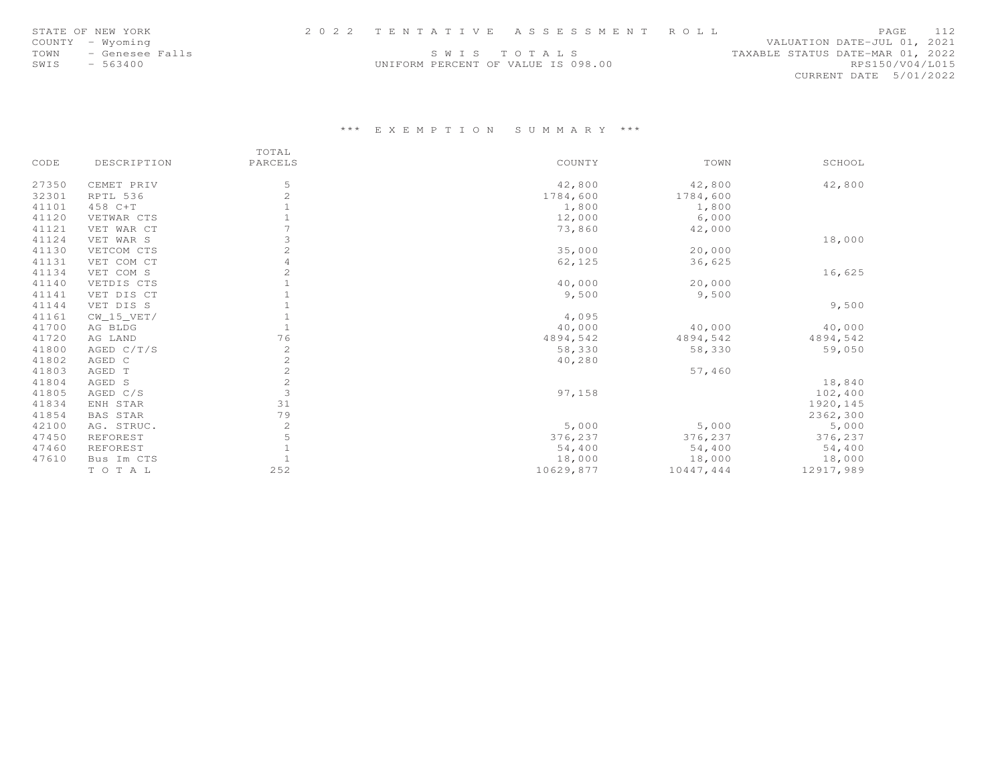|      | STATE OF NEW YORK |                                    | 2022 TENTATIVE ASSESSMENT ROLL |                                  |                        | <b>PAGE</b> | 112 |
|------|-------------------|------------------------------------|--------------------------------|----------------------------------|------------------------|-------------|-----|
|      | COUNTY - Wyoming  |                                    |                                | VALUATION DATE-JUL 01, 2021      |                        |             |     |
| TOWN | - Genesee Falls   |                                    | SWIS TOTALS                    | TAXABLE STATUS DATE-MAR 01, 2022 |                        |             |     |
| SWIS | - 563400          | UNIFORM PERCENT OF VALUE IS 098.00 |                                |                                  | RPS150/V04/L015        |             |     |
|      |                   |                                    |                                |                                  | CURRENT DATE 5/01/2022 |             |     |

|       |                 | TOTAL          |           |           |           |
|-------|-----------------|----------------|-----------|-----------|-----------|
| CODE  | DESCRIPTION     | PARCELS        | COUNTY    | TOWN      | SCHOOL    |
| 27350 | CEMET PRIV      | 5              | 42,800    | 42,800    | 42,800    |
| 32301 | RPTL 536        | $\overline{c}$ | 1784,600  | 1784,600  |           |
| 41101 | 458 C+T         |                | 1,800     | 1,800     |           |
| 41120 | VETWAR CTS      |                | 12,000    | 6,000     |           |
| 41121 | VET WAR CT      |                | 73,860    | 42,000    |           |
| 41124 | VET WAR S       | 3              |           |           | 18,000    |
| 41130 | VETCOM CTS      | $\overline{c}$ | 35,000    | 20,000    |           |
| 41131 | VET COM CT      | 4              | 62,125    | 36,625    |           |
| 41134 | VET COM S       | 2              |           |           | 16,625    |
| 41140 | VETDIS CTS      |                | 40,000    | 20,000    |           |
| 41141 | VET DIS CT      |                | 9,500     | 9,500     |           |
| 41144 | VET DIS S       |                |           |           | 9,500     |
| 41161 | $CW_15_VET/$    |                | 4,095     |           |           |
| 41700 | AG BLDG         |                | 40,000    | 40,000    | 40,000    |
| 41720 | AG LAND         | 76             | 4894,542  | 4894,542  | 4894,542  |
| 41800 | AGED C/T/S      | 2              | 58,330    | 58,330    | 59,050    |
| 41802 | AGED C          | $\mathbf{2}$   | 40,280    |           |           |
| 41803 | AGED T          | $\mathbf{2}$   |           | 57,460    |           |
| 41804 | AGED S          | $\mathbf{2}$   |           |           | 18,840    |
| 41805 | AGED C/S        | 3              | 97,158    |           | 102,400   |
| 41834 | ENH STAR        | 31             |           |           | 1920, 145 |
| 41854 | <b>BAS STAR</b> | 79             |           |           | 2362,300  |
| 42100 | AG. STRUC.      | 2              | 5,000     | 5,000     | 5,000     |
| 47450 | REFOREST        | 5              | 376,237   | 376,237   | 376,237   |
| 47460 | REFOREST        |                | 54,400    | 54,400    | 54,400    |
| 47610 | Bus Im CTS      |                | 18,000    | 18,000    | 18,000    |
|       | TOTAL           | 252            | 10629,877 | 10447,444 | 12917,989 |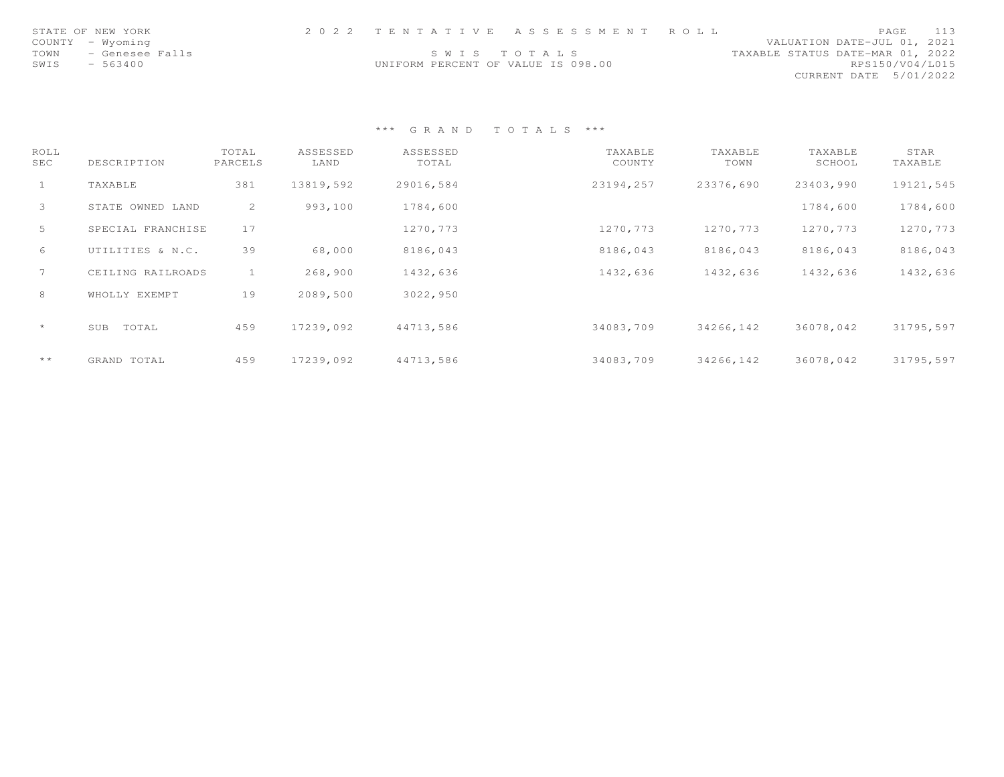| STATE OF NEW YORK       |                                    | 2022 TENTATIVE ASSESSMENT ROLL |                                  | PAGE                   | 113 |
|-------------------------|------------------------------------|--------------------------------|----------------------------------|------------------------|-----|
| COUNTY - Wyoming        |                                    |                                | VALUATION DATE-JUL 01, 2021      |                        |     |
| TOWN<br>- Genesee Falls |                                    | SWIS TOTALS                    | TAXABLE STATUS DATE-MAR 01, 2022 |                        |     |
| SWIS<br>$-563400$       | UNIFORM PERCENT OF VALUE IS 098.00 |                                |                                  | RPS150/V04/L015        |     |
|                         |                                    |                                |                                  | CURRENT DATE 5/01/2022 |     |

\*\*\* G R A N D T O T A L S \*\*\*

| ROLL<br>SEC   | DESCRIPTION       | TOTAL<br>PARCELS | ASSESSED<br>LAND | ASSESSED<br>TOTAL | TAXABLE<br>COUNTY | TAXABLE<br>TOWN | TAXABLE<br>SCHOOL | STAR<br>TAXABLE |
|---------------|-------------------|------------------|------------------|-------------------|-------------------|-----------------|-------------------|-----------------|
| $\mathbf{1}$  | TAXABLE           | 381              | 13819,592        | 29016,584         | 23194,257         | 23376,690       | 23403,990         | 19121,545       |
| $\mathcal{S}$ | STATE OWNED LAND  | 2                | 993,100          | 1784,600          |                   |                 | 1784,600          | 1784,600        |
| 5             | SPECIAL FRANCHISE | 17               |                  | 1270,773          | 1270,773          | 1270,773        | 1270,773          | 1270,773        |
| 6             | UTILITIES & N.C.  | 39               | 68,000           | 8186,043          | 8186,043          | 8186,043        | 8186,043          | 8186,043        |
| $7^{\circ}$   | CEILING RAILROADS |                  | 268,900          | 1432,636          | 1432,636          | 1432,636        | 1432,636          | 1432,636        |
| 8             | WHOLLY EXEMPT     | 19               | 2089,500         | 3022,950          |                   |                 |                   |                 |
| $\star$       | TOTAL<br>SUB      | 459              | 17239,092        | 44713,586         | 34083,709         | 34266,142       | 36078,042         | 31795,597       |
| $\star\star$  | GRAND TOTAL       | 459              | 17239,092        | 44713,586         | 34083,709         | 34266,142       | 36078,042         | 31795,597       |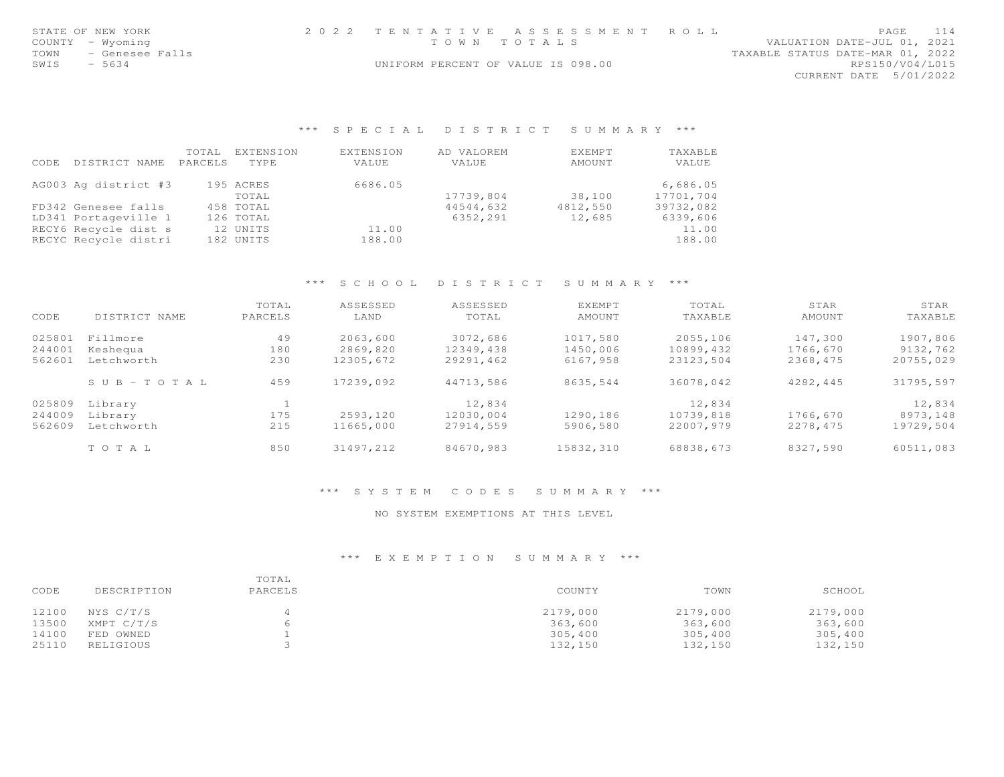| STATE OF NEW YORK<br>COUNTY<br>- Wyoming<br>- Genesee Falls<br>TOWN<br>$-5634$<br>SWIS |                          |                         | 2 0 2 2                   | TENTATIVE<br>A S S E S S M E N T<br>TOWN TOTALS<br>UNIFORM PERCENT OF VALUE IS 098.00 | ROLL                    | PAGE<br>114<br>VALUATION DATE-JUL 01, 2021<br>TAXABLE STATUS DATE-MAR 01, 2022<br>RPS150/V04/L015<br>CURRENT DATE 5/01/2022 |          |           |  |
|----------------------------------------------------------------------------------------|--------------------------|-------------------------|---------------------------|---------------------------------------------------------------------------------------|-------------------------|-----------------------------------------------------------------------------------------------------------------------------|----------|-----------|--|
|                                                                                        |                          |                         | $***$<br>SPECIAL          | DISTRICT                                                                              | SUMMARY ***             |                                                                                                                             |          |           |  |
| CODE                                                                                   | DISTRICT NAME<br>PARCELS | TOTAL EXTENSION<br>TYPE | <b>EXTENSION</b><br>VALUE | AD VALOREM<br>VALUE                                                                   | <b>EXEMPT</b><br>AMOUNT | TAXABLE<br>VALUE                                                                                                            |          |           |  |
|                                                                                        | AG003 Ag district #3     | 195 ACRES<br>TOTAL      | 6686.05                   | 17739,804                                                                             | 38,100                  | 6,686.05<br>17701,704                                                                                                       |          |           |  |
|                                                                                        | FD342 Genesee falls      | 458 TOTAL               |                           | 44544,632                                                                             | 4812,550                | 39732,082                                                                                                                   |          |           |  |
|                                                                                        | LD341 Portageville 1     | 126 TOTAL               |                           | 6352,291                                                                              | 12,685                  | 6339,606                                                                                                                    |          |           |  |
|                                                                                        | RECY6 Recycle dist s     | 12 UNITS                | 11.00                     |                                                                                       |                         | 11.00                                                                                                                       |          |           |  |
|                                                                                        | RECYC Recycle distri     | 182 UNITS               | 188.00                    |                                                                                       |                         | 188.00                                                                                                                      |          |           |  |
|                                                                                        |                          |                         | $***$<br>S C H O O L      | DISTRICT                                                                              | SUMMARY ***             |                                                                                                                             |          |           |  |
|                                                                                        |                          | TOTAL                   | ASSESSED                  | ASSESSED                                                                              | <b>EXEMPT</b>           | TOTAL                                                                                                                       | STAR     | STAR      |  |
| CODE                                                                                   | DISTRICT NAME            | PARCELS                 | LAND                      | TOTAL                                                                                 | AMOUNT                  | TAXABLE                                                                                                                     | AMOUNT   | TAXABLE   |  |
| 025801                                                                                 | Fillmore                 | 49                      | 2063,600                  | 3072,686                                                                              | 1017,580                | 2055,106                                                                                                                    | 147,300  | 1907,806  |  |
| 244001                                                                                 | Keshequa                 | 180                     | 2869,820                  | 12349,438                                                                             | 1450,006                | 10899,432                                                                                                                   | 1766,670 | 9132,762  |  |
| 562601                                                                                 | Letchworth               | 230                     | 12305,672                 | 29291,462                                                                             | 6167,958                | 23123,504                                                                                                                   | 2368,475 | 20755,029 |  |
|                                                                                        | $S$ U B - T O T A L      | 459                     | 17239,092                 | 44713,586                                                                             | 8635,544                | 36078,042                                                                                                                   | 4282,445 | 31795,597 |  |
| 025809                                                                                 | Library                  | $\mathbf{1}$            |                           | 12,834                                                                                |                         | 12,834                                                                                                                      |          | 12,834    |  |
| 244009                                                                                 | Library                  | 175                     | 2593,120                  | 12030,004                                                                             | 1290,186                | 10739,818                                                                                                                   | 1766,670 | 8973,148  |  |
| 562609                                                                                 | Letchworth               | 215                     | 11665,000                 | 27914,559                                                                             | 5906,580                | 22007,979                                                                                                                   | 2278,475 | 19729,504 |  |
|                                                                                        | TO TAL                   | 850                     | 31497,212                 | 84670,983                                                                             | 15832,310               | 68838,673                                                                                                                   | 8327,590 | 60511,083 |  |
|                                                                                        |                          |                         |                           |                                                                                       |                         |                                                                                                                             |          |           |  |

## \*\*\* S Y S T E M C O D E S S U M M A R Y \*\*\*

## NO SYSTEM EXEMPTIONS AT THIS LEVEL

| CODE  | DESCRIPTION | TOTAL<br>PARCELS | COUNTY   | TOWN     | SCHOOL   |
|-------|-------------|------------------|----------|----------|----------|
| 12100 | NYS C/T/S   |                  | 2179,000 | 2179,000 | 2179,000 |
| 13500 | XMPT C/T/S  | h                | 363,600  | 363,600  | 363,600  |
| 14100 | FED OWNED   |                  | 305,400  | 305,400  | 305,400  |
| 25110 | RELIGIOUS   |                  | 132,150  | 132,150  | 132,150  |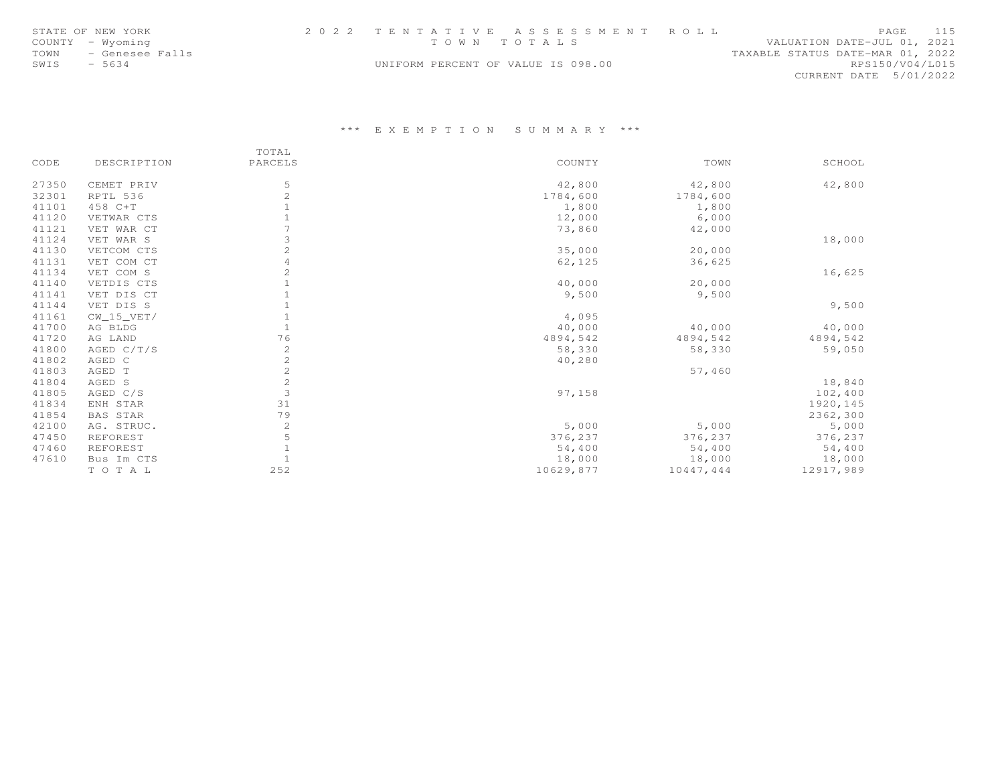|      | STATE OF NEW YORK    | 2022 TENTATIVE ASSESSMENT ROLL     |  |                                  |                        | PAGE | 115 |
|------|----------------------|------------------------------------|--|----------------------------------|------------------------|------|-----|
|      | COUNTY - Wyoming     | TOWN TOTALS                        |  | VALUATION DATE-JUL 01, 2021      |                        |      |     |
|      | TOWN - Genesee Falls |                                    |  | TAXABLE STATUS DATE-MAR 01, 2022 |                        |      |     |
| SWIS | - 5634               | UNIFORM PERCENT OF VALUE IS 098.00 |  |                                  | RPS150/V04/L015        |      |     |
|      |                      |                                    |  |                                  | CURRENT DATE 5/01/2022 |      |     |

|       |                 | TOTAL                 |           |           |           |
|-------|-----------------|-----------------------|-----------|-----------|-----------|
| CODE  | DESCRIPTION     | PARCELS               | COUNTY    | TOWN      | SCHOOL    |
| 27350 | CEMET PRIV      | 5                     | 42,800    | 42,800    | 42,800    |
| 32301 | RPTL 536        | $\overline{c}$        | 1784,600  | 1784,600  |           |
| 41101 | 458 C+T         |                       | 1,800     | 1,800     |           |
| 41120 | VETWAR CTS      |                       | 12,000    | 6,000     |           |
| 41121 | VET WAR CT      |                       | 73,860    | 42,000    |           |
| 41124 | VET WAR S       | 3                     |           |           | 18,000    |
| 41130 | VETCOM CTS      | $\overline{c}$        | 35,000    | 20,000    |           |
| 41131 | VET COM CT      |                       | 62,125    | 36,625    |           |
| 41134 | VET COM S       | 2                     |           |           | 16,625    |
| 41140 | VETDIS CTS      |                       | 40,000    | 20,000    |           |
| 41141 | VET DIS CT      |                       | 9,500     | 9,500     |           |
| 41144 | VET DIS S       |                       |           |           | 9,500     |
| 41161 | $CW_15_VET/$    |                       | 4,095     |           |           |
| 41700 | AG BLDG         |                       | 40,000    | 40,000    | 40,000    |
| 41720 | AG LAND         | 76                    | 4894,542  | 4894,542  | 4894,542  |
| 41800 | AGED C/T/S      | 2                     | 58,330    | 58,330    | 59,050    |
| 41802 | AGED C          | $\mathbf{2}^{\prime}$ | 40,280    |           |           |
| 41803 | AGED T          | $\mathbf{2}^{\prime}$ |           | 57,460    |           |
| 41804 | AGED S          | 2                     |           |           | 18,840    |
| 41805 | AGED C/S        | 3                     | 97,158    |           | 102,400   |
| 41834 | ENH STAR        | 31                    |           |           | 1920, 145 |
| 41854 | <b>BAS STAR</b> | 79                    |           |           | 2362,300  |
| 42100 | AG. STRUC.      | $\mathbf{2}$          | 5,000     | 5,000     | 5,000     |
| 47450 | REFOREST        | 5                     | 376,237   | 376,237   | 376,237   |
| 47460 | REFOREST        |                       | 54,400    | 54,400    | 54,400    |
| 47610 | Bus Im CTS      |                       | 18,000    | 18,000    | 18,000    |
|       | TOTAL           | 252                   | 10629,877 | 10447,444 | 12917,989 |